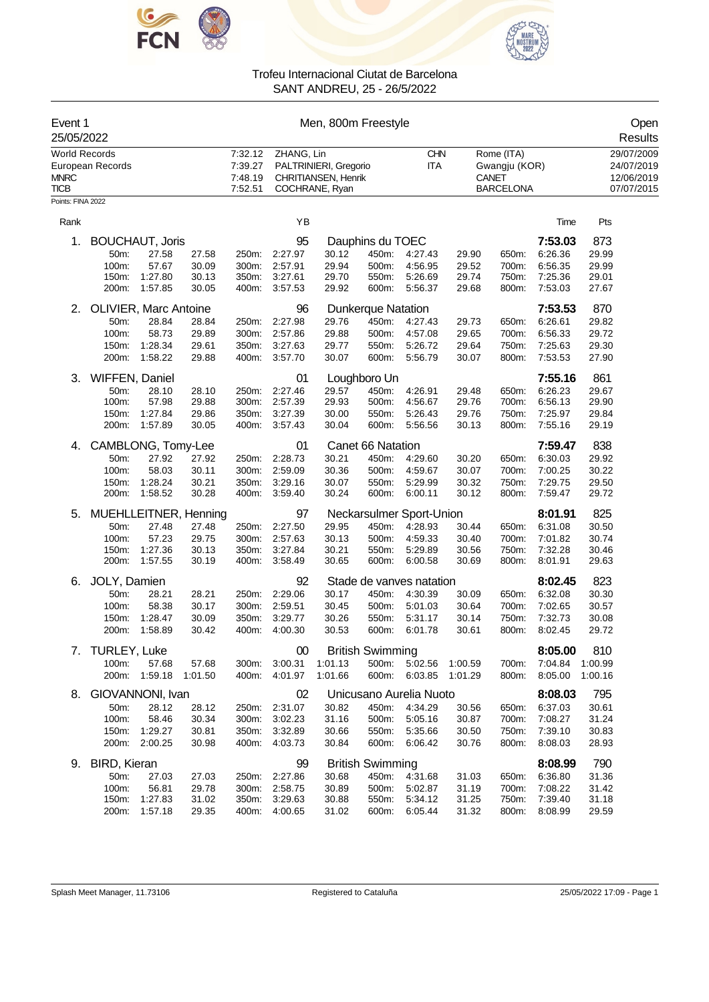



| Event 1<br>25/05/2022                              |                        |               |         | Men, 800m Freestyle                      |               |                                                                       |                           |                          |         |                                                                 |         |         | Open<br>Results                                      |
|----------------------------------------------------|------------------------|---------------|---------|------------------------------------------|---------------|-----------------------------------------------------------------------|---------------------------|--------------------------|---------|-----------------------------------------------------------------|---------|---------|------------------------------------------------------|
| <b>World Records</b><br><b>MNRC</b><br><b>TICB</b> | European Records       |               |         | 7:32.12<br>7:39.27<br>7:48.19<br>7:52.51 | ZHANG, Lin    | PALTRINIERI, Gregorio<br><b>CHRITIANSEN, Henrik</b><br>COCHRANE, Ryan |                           | <b>CHN</b><br><b>ITA</b> |         | Rome (ITA)<br>Gwangju (KOR)<br><b>CANET</b><br><b>BARCELONA</b> |         |         | 29/07/2009<br>24/07/2019<br>12/06/2019<br>07/07/2015 |
| Points: FINA 2022                                  |                        |               |         |                                          |               |                                                                       |                           |                          |         |                                                                 |         |         |                                                      |
| Rank                                               |                        |               |         |                                          | ΥB            |                                                                       |                           |                          |         |                                                                 | Time    | Pts     |                                                      |
| 1.                                                 | <b>BOUCHAUT, Joris</b> |               |         |                                          | 95            |                                                                       | Dauphins du TOEC          |                          |         |                                                                 | 7:53.03 | 873     |                                                      |
|                                                    | 50m:                   | 27.58         | 27.58   | 250m:                                    | 2:27.97       | 30.12                                                                 | 450m:                     | 4:27.43                  | 29.90   | 650m:                                                           | 6:26.36 | 29.99   |                                                      |
|                                                    | 100m:                  | 57.67         | 30.09   | 300m:                                    | 2:57.91       | 29.94                                                                 | 500m:                     | 4:56.95                  | 29.52   | 700m:                                                           | 6:56.35 | 29.99   |                                                      |
|                                                    | 150m:                  | 1:27.80       | 30.13   | 350m:                                    | 3:27.61       | 29.70                                                                 | 550m:                     | 5:26.69                  | 29.74   | 750m:                                                           | 7:25.36 | 29.01   |                                                      |
|                                                    | 200m:                  | 1:57.85       | 30.05   | 400m:                                    | 3:57.53       | 29.92                                                                 | 600m:                     | 5:56.37                  | 29.68   | 800m:                                                           | 7:53.03 | 27.67   |                                                      |
| 2.                                                 | OLIVIER, Marc Antoine  |               |         |                                          | 96            |                                                                       | <b>Dunkerque Natation</b> |                          |         |                                                                 | 7:53.53 | 870     |                                                      |
|                                                    | 50m:                   | 28.84         | 28.84   | 250m:                                    | 2:27.98       | 29.76                                                                 | 450m:                     | 4:27.43                  | 29.73   | 650m:                                                           | 6:26.61 | 29.82   |                                                      |
|                                                    | 100m:                  | 58.73         | 29.89   | 300m:                                    | 2:57.86       | 29.88                                                                 | 500m:                     | 4:57.08                  | 29.65   | 700m:                                                           | 6:56.33 | 29.72   |                                                      |
|                                                    | 150m:                  | 1:28.34       | 29.61   | 350m:                                    | 3:27.63       | 29.77                                                                 | 550m:                     | 5:26.72                  | 29.64   | 750m:                                                           | 7:25.63 | 29.30   |                                                      |
|                                                    | 200m:                  | 1:58.22       | 29.88   | 400m:                                    | 3:57.70       | 30.07                                                                 | 600m:                     | 5:56.79                  | 30.07   | 800m:                                                           | 7:53.53 | 27.90   |                                                      |
| З.                                                 | WIFFEN, Daniel         |               |         |                                          | 01            |                                                                       | Loughboro Un              |                          |         |                                                                 | 7:55.16 | 861     |                                                      |
|                                                    | 50m:                   | 28.10         | 28.10   | 250m:                                    | 2:27.46       | 29.57                                                                 | 450m:                     | 4:26.91                  | 29.48   | 650m:                                                           | 6:26.23 | 29.67   |                                                      |
|                                                    | 100m:                  | 57.98         | 29.88   | 300m:                                    | 2:57.39       | 29.93                                                                 | 500m:                     | 4:56.67                  | 29.76   | 700m:                                                           | 6:56.13 | 29.90   |                                                      |
|                                                    | 150m:                  | 1:27.84       | 29.86   | 350m:                                    | 3:27.39       | 30.00                                                                 | 550m:                     | 5:26.43                  | 29.76   | 750m:                                                           | 7:25.97 | 29.84   |                                                      |
|                                                    | 200m:                  | 1.57.89       | 30.05   | 400m:                                    | 3:57.43       | 30.04                                                                 | 600m:                     | 5:56.56                  | 30.13   | 800m:                                                           | 7:55.16 | 29.19   |                                                      |
| 4.                                                 | CAMBLONG, Tomy-Lee     |               |         |                                          | 01            |                                                                       | Canet 66 Natation         |                          |         |                                                                 | 7:59.47 | 838     |                                                      |
|                                                    | 50m:                   | 27.92         | 27.92   | 250m:                                    | 2:28.73       | 30.21                                                                 | 450m:                     | 4:29.60                  | 30.20   | 650m:                                                           | 6:30.03 | 29.92   |                                                      |
|                                                    | 100m:                  | 58.03         | 30.11   | 300m:                                    | 2:59.09       | 30.36                                                                 | 500m:                     | 4:59.67                  | 30.07   | 700m:                                                           | 7:00.25 | 30.22   |                                                      |
|                                                    | 150m:                  | 1:28.24       | 30.21   | 350m.                                    | 3:29.16       | 30.07                                                                 | 550m:                     | 5:29.99                  | 30.32   | 750m:                                                           | 7:29.75 | 29.50   |                                                      |
|                                                    | 200m:                  | 1:58.52       | 30.28   | 400m:                                    | 3:59.40       | 30.24                                                                 | 600m:                     | 6:00.11                  | 30.12   | 800m:                                                           | 7:59.47 | 29.72   |                                                      |
| 5.                                                 | MUEHLLEITNER, Henning  |               |         |                                          | 97            |                                                                       |                           | Neckarsulmer Sport-Union |         |                                                                 | 8:01.91 | 825     |                                                      |
|                                                    | 50m:                   | 27.48         | 27.48   | 250m:                                    | 2:27.50       | 29.95                                                                 | 450m:                     | 4:28.93                  | 30.44   | 650m:                                                           | 6:31.08 | 30.50   |                                                      |
|                                                    | 100m:                  | 57.23         | 29.75   | 300m:                                    | 2:57.63       | 30.13                                                                 | 500m:                     | 4:59.33                  | 30.40   | 700m:                                                           | 7:01.82 | 30.74   |                                                      |
|                                                    | 150m:                  | 1:27.36       | 30.13   | 350m:                                    | 3:27.84       | 30.21                                                                 | 550m:                     | 5:29.89                  | 30.56   | 750m:                                                           | 7:32.28 | 30.46   |                                                      |
|                                                    | 200m:                  | 1:57.55       | 30.19   | 400m:                                    | 3:58.49       | 30.65                                                                 | 600m:                     | 6:00.58                  | 30.69   | 800m:                                                           | 8:01.91 | 29.63   |                                                      |
| 6.                                                 | JOLY, Damien           |               |         |                                          | 92            |                                                                       |                           | Stade de vanves natation |         |                                                                 | 8:02.45 | 823     |                                                      |
|                                                    | 50m:                   | 28.21         | 28.21   | 250m:                                    | 2:29.06       | 30.17                                                                 | 450m:                     | 4:30.39                  | 30.09   | 650m:                                                           | 6:32.08 | 30.30   |                                                      |
|                                                    | 100m:                  | 58.38         | 30.17   | 300m:                                    | 2:59.51       | 30.45                                                                 | 500m:                     | 5:01.03                  | 30.64   | 700m:                                                           | 7:02.65 | 30.57   |                                                      |
|                                                    | 150m:                  | 1.28.47       | 30.09   | 350m:                                    | 3:29.77       | 30.26                                                                 | 550m:                     | 5:31.17                  | 30.14   | 750m:                                                           | 7:32.73 | 30.08   |                                                      |
|                                                    | 200m:                  | 1:58.89       | 30.42   | 400m:                                    | 4:00.30       | 30.53                                                                 | 600m:                     | 6:01.78                  | 30.61   | 800m:                                                           | 8:02.45 | 29.72   |                                                      |
|                                                    | 7. TURLEY, Luke        |               |         |                                          | 00            |                                                                       | <b>British Swimming</b>   |                          |         |                                                                 | 8:05.00 | 810     |                                                      |
|                                                    | 100m:                  | 57.68         | 57.68   | 300m:                                    | 3:00.31       | 1:01.13                                                               |                           | 500m: 5:02.56            | 1:00.59 | 700m:                                                           | 7:04.84 | 1:00.99 |                                                      |
|                                                    |                        | 200m: 1:59.18 | 1:01.50 | 400m:                                    | 4:01.97       | 1:01.66                                                               |                           | 600m: 6:03.85            | 1:01.29 | 800m:                                                           | 8:05.00 | 1:00.16 |                                                      |
| 8.                                                 | GIOVANNONI, Ivan       |               |         |                                          | 02            |                                                                       |                           | Unicusano Aurelia Nuoto  |         |                                                                 | 8:08.03 | 795     |                                                      |
|                                                    | 50m:                   | 28.12         | 28.12   | 250m:                                    | 2:31.07       | 30.82                                                                 | 450m:                     | 4:34.29                  | 30.56   | 650m:                                                           | 6:37.03 | 30.61   |                                                      |
|                                                    | 100m:                  | 58.46         | 30.34   | 300m:                                    | 3:02.23       | 31.16                                                                 | 500m:                     | 5:05.16                  | 30.87   | 700m:                                                           | 7:08.27 | 31.24   |                                                      |
|                                                    | 150m:                  | 1:29.27       | 30.81   |                                          | 350m: 3:32.89 | 30.66                                                                 | 550m:                     | 5:35.66                  | 30.50   | 750m:                                                           | 7:39.10 | 30.83   |                                                      |
|                                                    |                        | 200m: 2:00.25 | 30.98   | 400m:                                    | 4:03.73       | 30.84                                                                 | 600m:                     | 6:06.42                  | 30.76   | 800m:                                                           | 8:08.03 | 28.93   |                                                      |
| 9.                                                 | BIRD, Kieran           |               |         |                                          | 99            |                                                                       | <b>British Swimming</b>   |                          |         |                                                                 | 8:08.99 | 790     |                                                      |
|                                                    | 50m:                   | 27.03         | 27.03   | 250m:                                    | 2:27.86       | 30.68                                                                 | 450m:                     | 4:31.68                  | 31.03   | 650m:                                                           | 6:36.80 | 31.36   |                                                      |
|                                                    | 100m:                  | 56.81         | 29.78   | 300m:                                    | 2:58.75       | 30.89                                                                 | 500m:                     | 5:02.87                  | 31.19   | 700m:                                                           | 7:08.22 | 31.42   |                                                      |
|                                                    | 150m:                  | 1:27.83       | 31.02   | 350m:                                    | 3:29.63       | 30.88                                                                 | 550m:                     | 5:34.12                  | 31.25   | 750m:                                                           | 7:39.40 | 31.18   |                                                      |
|                                                    | 200m:                  | 1:57.18       | 29.35   |                                          | 400m: 4:00.65 | 31.02                                                                 | 600m:                     | 6:05.44                  | 31.32   | 800m:                                                           | 8:08.99 | 29.59   |                                                      |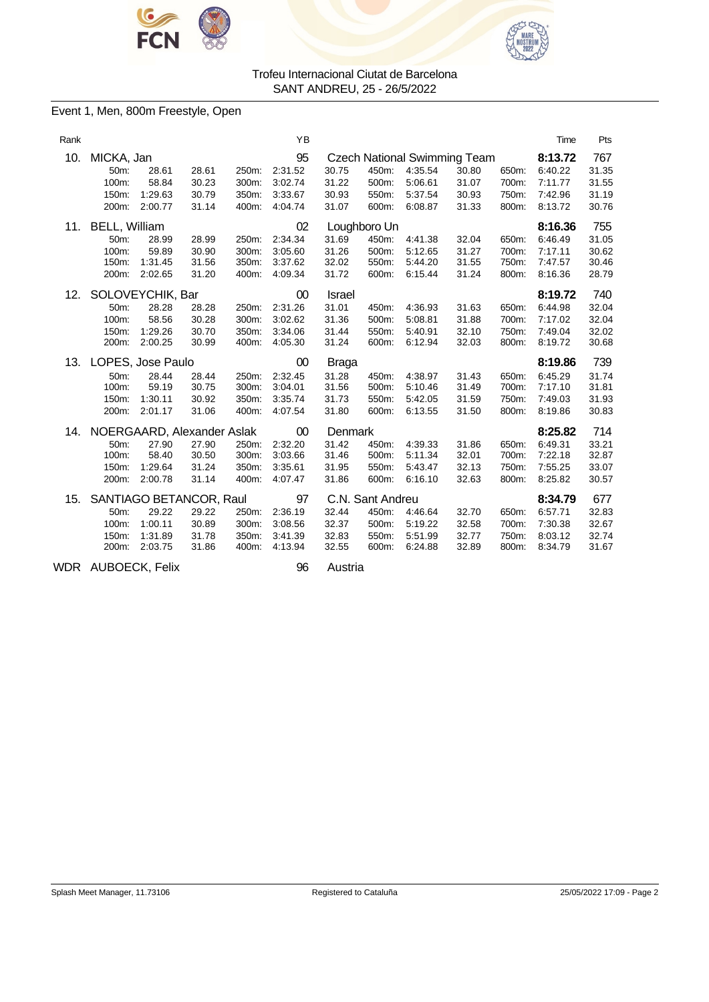



### Event 1, Men, 800m Freestyle, Open

| Rank |                                                                      |                                        |                                                             |                                  | YB                                             |                                                   |                                                      |                                          |                                                                         |                                  | Time                                                | Pts                                     |
|------|----------------------------------------------------------------------|----------------------------------------|-------------------------------------------------------------|----------------------------------|------------------------------------------------|---------------------------------------------------|------------------------------------------------------|------------------------------------------|-------------------------------------------------------------------------|----------------------------------|-----------------------------------------------------|-----------------------------------------|
| 10.  | MICKA, Jan<br>50 <sub>m</sub> :<br>100m:<br>150m:<br>200m:           | 28.61<br>58.84<br>1:29.63<br>2:00.77   | 28.61<br>30.23<br>30.79<br>31.14                            | 250m:<br>300m:<br>350m:<br>400m: | 95<br>2:31.52<br>3:02.74<br>3:33.67<br>4:04.74 | 30.75<br>31.22<br>30.93<br>31.07                  | 450m:<br>500m:<br>550m:<br>600m:                     | 4:35.54<br>5:06.61<br>5:37.54<br>6:08.87 | <b>Czech National Swimming Team</b><br>30.80<br>31.07<br>30.93<br>31.33 | 650m:<br>700m:<br>750m:<br>800m: | 8:13.72<br>6:40.22<br>7:11.77<br>7:42.96<br>8:13.72 | 767<br>31.35<br>31.55<br>31.19<br>30.76 |
| 11.  | <b>BELL, William</b><br>50 <sub>m</sub> :<br>100m:<br>150m:<br>200m: | 28.99<br>59.89<br>1:31.45<br>2:02.65   | 28.99<br>30.90<br>31.56<br>31.20                            | 250m:<br>300m:<br>350m:<br>400m: | 02<br>2:34.34<br>3:05.60<br>3:37.62<br>4:09.34 | 31.69<br>31.26<br>32.02<br>31.72                  | Loughboro Un<br>450m:<br>500m:<br>550m:<br>600m:     | 4:41.38<br>5:12.65<br>5:44.20<br>6:15.44 | 32.04<br>31.27<br>31.55<br>31.24                                        | 650m:<br>700m:<br>750m:<br>800m: | 8:16.36<br>6:46.49<br>7:17.11<br>7:47.57<br>8:16.36 | 755<br>31.05<br>30.62<br>30.46<br>28.79 |
| 12.  | SOLOVEYCHIK, Bar<br>50m:<br>100m:<br>150m:<br>200m:                  | 28.28<br>58.56<br>1:29.26<br>2:00.25   | 28.28<br>30.28<br>30.70<br>30.99                            | 250m:<br>300m:<br>350m:<br>400m: | 00<br>2:31.26<br>3:02.62<br>3:34.06<br>4:05.30 | <b>Israel</b><br>31.01<br>31.36<br>31.44<br>31.24 | 450m:<br>500m:<br>550m:<br>600m:                     | 4:36.93<br>5:08.81<br>5:40.91<br>6:12.94 | 31.63<br>31.88<br>32.10<br>32.03                                        | 650m:<br>700m:<br>750m:<br>800m: | 8:19.72<br>6:44.98<br>7:17.02<br>7:49.04<br>8:19.72 | 740<br>32.04<br>32.04<br>32.02<br>30.68 |
| 13.  | LOPES, Jose Paulo<br>50m:<br>100m:<br>150m:<br>200m:                 | 28.44<br>59.19<br>1:30.11<br>2:01.17   | 28.44<br>30.75<br>30.92<br>31.06                            | 250m:<br>300m:<br>350m:<br>400m: | 00<br>2:32.45<br>3:04.01<br>3:35.74<br>4:07.54 | Braga<br>31.28<br>31.56<br>31.73<br>31.80         | 450m:<br>500m:<br>550m:<br>600m:                     | 4:38.97<br>5:10.46<br>5:42.05<br>6:13.55 | 31.43<br>31.49<br>31.59<br>31.50                                        | 650m:<br>700m:<br>750m:<br>800m: | 8:19.86<br>6:45.29<br>7:17.10<br>7:49.03<br>8:19.86 | 739<br>31.74<br>31.81<br>31.93<br>30.83 |
| 14.  | NOERGAARD, Alexander Aslak<br>50m:<br>100m:<br>150m:<br>200m:        | 27.90<br>58.40<br>1:29.64<br>2:00.78   | 27.90<br>30.50<br>31.24<br>31.14                            | 250m:<br>300m:<br>350m:<br>400m: | 00<br>2:32.20<br>3:03.66<br>3:35.61<br>4:07.47 | Denmark<br>31.42<br>31.46<br>31.95<br>31.86       | 450m:<br>500m:<br>550m:<br>600m:                     | 4:39.33<br>5:11.34<br>5:43.47<br>6:16.10 | 31.86<br>32.01<br>32.13<br>32.63                                        | 650m:<br>700m:<br>750m:<br>800m: | 8:25.82<br>6:49.31<br>7:22.18<br>7:55.25<br>8:25.82 | 714<br>33.21<br>32.87<br>33.07<br>30.57 |
| 15.  | 50m:<br>100m:<br>150m:<br>200m:                                      | 29.22<br>1:00.11<br>1:31.89<br>2:03.75 | SANTIAGO BETANCOR, Raul<br>29.22<br>30.89<br>31.78<br>31.86 | 250m:<br>300m:<br>350m:<br>400m: | 97<br>2:36.19<br>3:08.56<br>3:41.39<br>4:13.94 | 32.44<br>32.37<br>32.83<br>32.55                  | C.N. Sant Andreu<br>450m:<br>500m:<br>550m:<br>600m: | 4:46.64<br>5:19.22<br>5:51.99<br>6:24.88 | 32.70<br>32.58<br>32.77<br>32.89                                        | 650m:<br>700m:<br>750m:<br>800m: | 8:34.79<br>6:57.71<br>7:30.38<br>8:03.12<br>8:34.79 | 677<br>32.83<br>32.67<br>32.74<br>31.67 |

WDR AUBOECK, Felix 96 Austria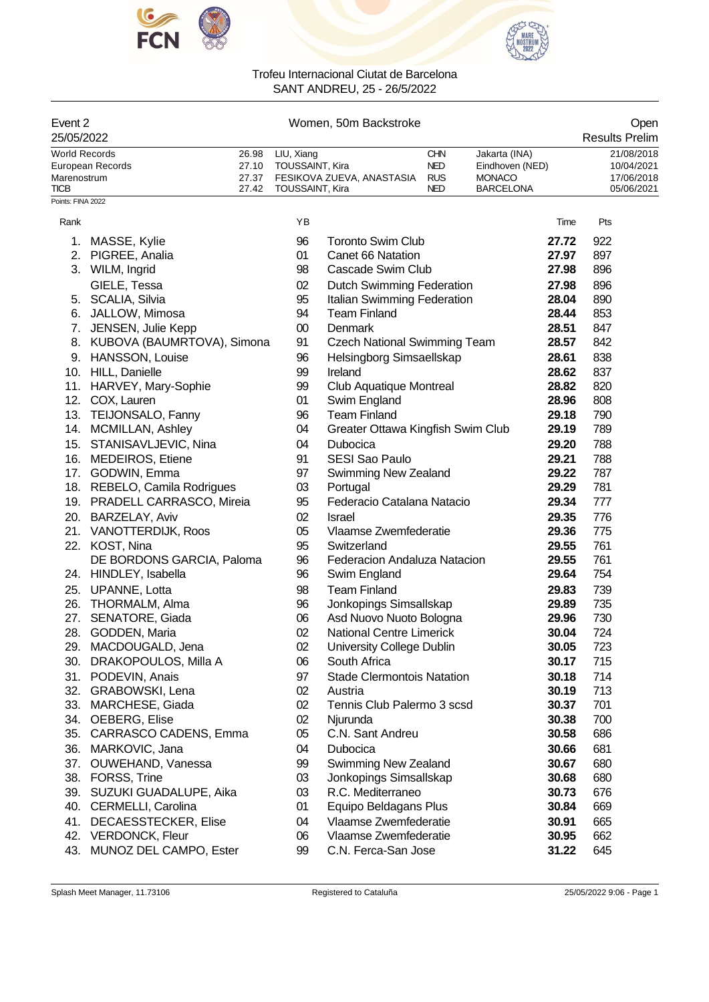



| Event 2<br>25/05/2022               |                                   |                         |                               |               | Women, 50m Backstroke                             |                                        |                                                   |                | Open<br><b>Results Prelim</b>          |
|-------------------------------------|-----------------------------------|-------------------------|-------------------------------|---------------|---------------------------------------------------|----------------------------------------|---------------------------------------------------|----------------|----------------------------------------|
| <b>World Records</b><br>Marenostrum | European Records                  | 26.98<br>27.10<br>27.37 | LIU, Xiang<br>TOUSSAINT, Kira |               | FESIKOVA ZUEVA, ANASTASIA                         | <b>CHN</b><br><b>NED</b><br><b>RUS</b> | Jakarta (INA)<br>Eindhoven (NED)<br><b>MONACO</b> |                | 21/08/2018<br>10/04/2021<br>17/06/2018 |
| TICB<br>Points: FINA 2022           |                                   | 27.42                   | TOUSSAINT, Kira               |               |                                                   | NED                                    | <b>BARCELONA</b>                                  |                | 05/06/2021                             |
| Rank                                |                                   |                         | ΥB                            |               |                                                   |                                        |                                                   | Time           | Pts                                    |
| 1.                                  | MASSE, Kylie                      |                         | 96                            |               | <b>Toronto Swim Club</b>                          |                                        |                                                   | 27.72          | 922                                    |
|                                     | 2. PIGREE, Analia                 |                         | 01                            |               | Canet 66 Natation                                 |                                        |                                                   | 27.97          | 897                                    |
|                                     | 3. WILM, Ingrid                   |                         | 98                            |               | Cascade Swim Club                                 |                                        |                                                   | 27.98          | 896                                    |
|                                     | GIELE, Tessa                      |                         | 02                            |               | Dutch Swimming Federation                         |                                        |                                                   | 27.98          | 896                                    |
|                                     | 5. SCALIA, Silvia                 |                         | 95                            |               | Italian Swimming Federation                       |                                        |                                                   | 28.04          | 890                                    |
|                                     | 6. JALLOW, Mimosa                 |                         | 94                            |               | <b>Team Finland</b>                               |                                        |                                                   | 28.44          | 853                                    |
|                                     | 7. JENSEN, Julie Kepp             |                         | $00\,$                        | Denmark       |                                                   |                                        |                                                   | 28.51          | 847                                    |
|                                     | 8. KUBOVA (BAUMRTOVA), Simona     |                         | 91                            |               | <b>Czech National Swimming Team</b>               |                                        |                                                   | 28.57          | 842                                    |
|                                     | 9. HANSSON, Louise                |                         | 96                            |               | Helsingborg Simsaellskap                          |                                        |                                                   | 28.61          | 838                                    |
|                                     | 10. HILL, Danielle                |                         | 99                            | Ireland       |                                                   |                                        |                                                   | 28.62          | 837                                    |
|                                     | 11. HARVEY, Mary-Sophie           |                         | 99                            |               | Club Aquatique Montreal                           |                                        |                                                   | 28.82          | 820                                    |
|                                     | 12. COX, Lauren                   |                         | 01                            |               | Swim England                                      |                                        |                                                   | 28.96          | 808                                    |
|                                     | 13. TEIJONSALO, Fanny             |                         | 96                            |               | <b>Team Finland</b>                               |                                        |                                                   | 29.18          | 790                                    |
|                                     | 14. MCMILLAN, Ashley              |                         | 04                            |               | Greater Ottawa Kingfish Swim Club                 |                                        |                                                   | 29.19          | 789                                    |
|                                     | 15. STANISAVLJEVIC, Nina          |                         | 04                            | Dubocica      |                                                   |                                        |                                                   | 29.20          | 788                                    |
|                                     | 16. MEDEIROS, Etiene              |                         | 91                            |               | <b>SESI Sao Paulo</b>                             |                                        |                                                   | 29.21          | 788                                    |
|                                     | 17. GODWIN, Emma                  |                         | 97                            |               | Swimming New Zealand                              |                                        |                                                   | 29.22          | 787                                    |
|                                     | 18. REBELO, Camila Rodrigues      |                         | 03                            | Portugal      |                                                   |                                        |                                                   | 29.29          | 781                                    |
|                                     | 19. PRADELL CARRASCO, Mireia      |                         | 95                            |               | Federacio Catalana Natacio                        |                                        |                                                   | 29.34          | 777                                    |
|                                     | 20. BARZELAY, Aviv                |                         | 02                            | <b>Israel</b> |                                                   |                                        |                                                   | 29.35          | 776                                    |
|                                     | 21. VANOTTERDIJK, Roos            |                         | 05                            |               | Vlaamse Zwemfederatie                             |                                        |                                                   | 29.36          | 775                                    |
|                                     | 22. KOST, Nina                    |                         | 95                            | Switzerland   |                                                   |                                        |                                                   | 29.55          | 761                                    |
|                                     | DE BORDONS GARCIA, Paloma         |                         | 96                            |               | Federacion Andaluza Natacion                      |                                        |                                                   | 29.55          | 761                                    |
|                                     | 24. HINDLEY, Isabella             |                         | 96                            |               | Swim England                                      |                                        |                                                   | 29.64          | 754                                    |
| 25.                                 | UPANNE, Lotta                     |                         | 98                            |               | <b>Team Finland</b>                               |                                        |                                                   | 29.83          | 739                                    |
| 26.<br>27.                          | THORMALM, Alma<br>SENATORE, Giada |                         | 96<br>06                      |               | Jonkopings Simsallskap<br>Asd Nuovo Nuoto Bologna |                                        |                                                   | 29.89<br>29.96 | 735<br>730                             |
|                                     | 28. GODDEN, Maria                 |                         | 02                            |               | <b>National Centre Limerick</b>                   |                                        |                                                   | 30.04          | 724                                    |
|                                     | 29. MACDOUGALD, Jena              |                         | 02                            |               | University College Dublin                         |                                        |                                                   | 30.05          | 723                                    |
| 30.                                 | DRAKOPOULOS, Milla A              |                         | 06                            | South Africa  |                                                   |                                        |                                                   | 30.17          | 715                                    |
| 31.                                 | PODEVIN, Anais                    |                         | 97                            |               | <b>Stade Clermontois Natation</b>                 |                                        |                                                   | 30.18          | 714                                    |
|                                     | 32. GRABOWSKI, Lena               |                         | 02                            | Austria       |                                                   |                                        |                                                   | 30.19          | 713                                    |
|                                     | 33. MARCHESE, Giada               |                         | 02                            |               | Tennis Club Palermo 3 scsd                        |                                        |                                                   | 30.37          | 701                                    |
|                                     | 34. OEBERG, Elise                 |                         | 02                            | Njurunda      |                                                   |                                        |                                                   | 30.38          | 700                                    |
| 35.                                 | CARRASCO CADENS, Emma             |                         | 05                            |               | C.N. Sant Andreu                                  |                                        |                                                   | 30.58          | 686                                    |
|                                     | 36. MARKOVIC, Jana                |                         | 04                            | Dubocica      |                                                   |                                        |                                                   | 30.66          | 681                                    |
|                                     | 37. OUWEHAND, Vanessa             |                         | 99                            |               | Swimming New Zealand                              |                                        |                                                   | 30.67          | 680                                    |
|                                     | 38. FORSS, Trine                  |                         | 03                            |               | Jonkopings Simsallskap                            |                                        |                                                   | 30.68          | 680                                    |
|                                     | 39. SUZUKI GUADALUPE, Aika        |                         | 03                            |               | R.C. Mediterraneo                                 |                                        |                                                   | 30.73          | 676                                    |
|                                     | 40. CERMELLI, Carolina            |                         | 01                            |               | Equipo Beldagans Plus                             |                                        |                                                   | 30.84          | 669                                    |
| 41.                                 | DECAESSTECKER, Elise              |                         | 04                            |               | Vlaamse Zwemfederatie                             |                                        |                                                   | 30.91          | 665                                    |
|                                     | 42. VERDONCK, Fleur               |                         | 06                            |               | Vlaamse Zwemfederatie                             |                                        |                                                   | 30.95          | 662                                    |
| 43.                                 | MUNOZ DEL CAMPO, Ester            |                         | 99                            |               | C.N. Ferca-San Jose                               |                                        |                                                   | 31.22          | 645                                    |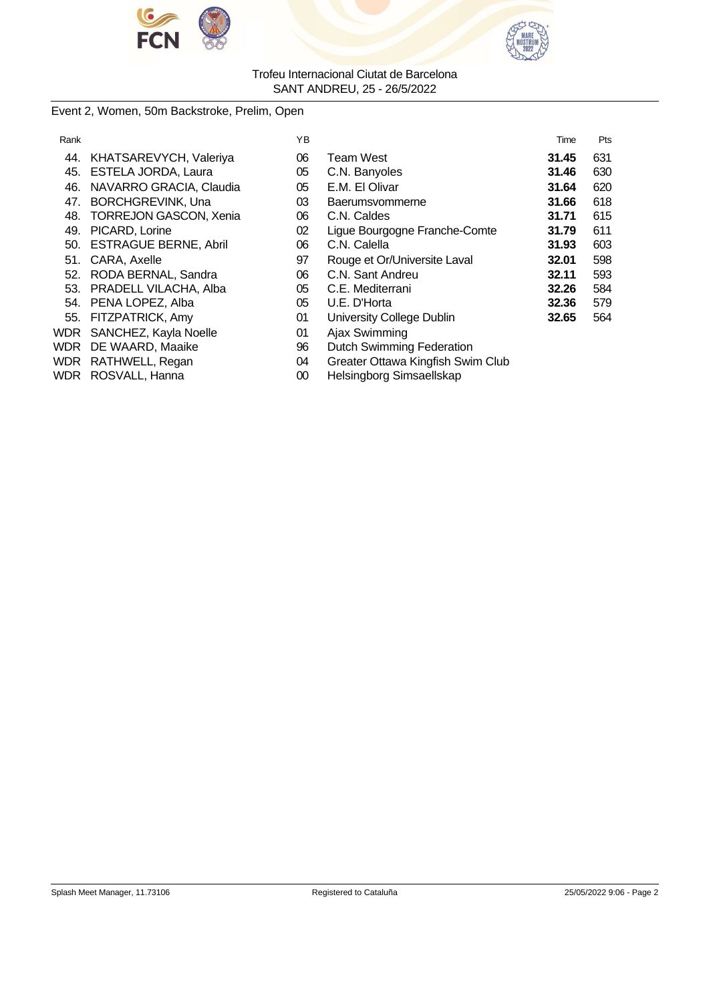



# Event 2, Women, 50m Backstroke, Prelim, Open

| Rank       |                               | YB |                                   | Time  | Pts |
|------------|-------------------------------|----|-----------------------------------|-------|-----|
| 44.        | KHATSAREVYCH, Valeriya        | 06 | Team West                         | 31.45 | 631 |
| 45.        | ESTELA JORDA, Laura           | 05 | C.N. Banyoles                     | 31.46 | 630 |
| 46.        | NAVARRO GRACIA, Claudia       | 05 | E.M. El Olivar                    | 31.64 | 620 |
| 47.        | <b>BORCHGREVINK, Una</b>      | 03 | Baerumsvommerne                   | 31.66 | 618 |
| 48.        | <b>TORREJON GASCON, Xenia</b> | 06 | C.N. Caldes                       | 31.71 | 615 |
| 49.        | PICARD, Lorine                | 02 | Ligue Bourgogne Franche-Comte     | 31.79 | 611 |
|            | 50. ESTRAGUE BERNE, Abril     | 06 | C.N. Calella                      | 31.93 | 603 |
| 51.        | CARA, Axelle                  | 97 | Rouge et Or/Universite Laval      | 32.01 | 598 |
| 52.        | RODA BERNAL, Sandra           | 06 | C.N. Sant Andreu                  | 32.11 | 593 |
| 53.        | PRADELL VILACHA, Alba         | 05 | C.E. Mediterrani                  | 32.26 | 584 |
| 54.        | PENA LOPEZ, Alba              | 05 | U.E. D'Horta                      | 32.36 | 579 |
| 55.        | FITZPATRICK, Amy              | 01 | University College Dublin         | 32.65 | 564 |
| WDR        | SANCHEZ, Kayla Noelle         | 01 | Ajax Swimming                     |       |     |
| <b>WDR</b> | DE WAARD, Maaike              | 96 | <b>Dutch Swimming Federation</b>  |       |     |
|            | WDR RATHWELL, Regan           | 04 | Greater Ottawa Kingfish Swim Club |       |     |
|            | WDR ROSVALL, Hanna            | 00 | Helsingborg Simsaellskap          |       |     |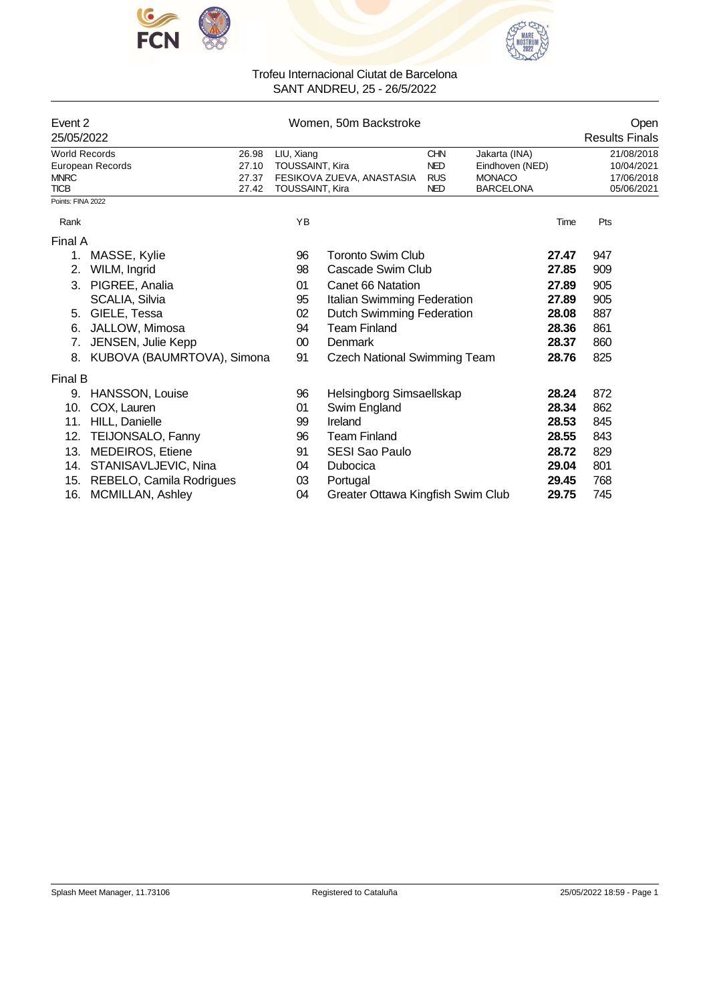



|                                  | Event 2<br>25/05/2022      |                        | Women, 50m Backstroke               |            |                  | Open<br><b>Results Finals</b> |
|----------------------------------|----------------------------|------------------------|-------------------------------------|------------|------------------|-------------------------------|
| <b>World Records</b>             | 26.98                      | LIU, Xiang             |                                     | <b>CHN</b> | Jakarta (INA)    | 21/08/2018                    |
|                                  | 27.10<br>European Records  | <b>TOUSSAINT, Kira</b> |                                     | <b>NED</b> | Eindhoven (NED)  | 10/04/2021                    |
| <b>MNRC</b>                      | 27.37                      |                        | FESIKOVA ZUEVA, ANASTASIA           | <b>RUS</b> | <b>MONACO</b>    | 17/06/2018                    |
| <b>TICB</b><br>Points: FINA 2022 | 27.42                      | <b>TOUSSAINT, Kira</b> |                                     | <b>NED</b> | <b>BARCELONA</b> | 05/06/2021                    |
|                                  |                            |                        |                                     |            |                  |                               |
| Rank                             |                            | YB                     |                                     |            | Time             | Pts                           |
| Final A                          |                            |                        |                                     |            |                  |                               |
| 1.                               | MASSE, Kylie               | 96                     | Toronto Swim Club                   |            | 27.47            | 947                           |
| 2.                               | WILM, Ingrid               | 98                     | Cascade Swim Club                   |            | 27.85            | 909                           |
|                                  | 3. PIGREE, Analia          | 01                     | Canet 66 Natation                   |            | 27.89            | 905                           |
|                                  | SCALIA, Silvia             | 95                     | Italian Swimming Federation         |            | 27.89            | 905                           |
| 5.                               | GIELE, Tessa               | 02                     | <b>Dutch Swimming Federation</b>    |            | 28.08            | 887                           |
| 6.                               | JALLOW, Mimosa             | 94                     | <b>Team Finland</b>                 |            | 28.36            | 861                           |
| 7.                               | JENSEN, Julie Kepp         | 00                     | <b>Denmark</b>                      |            | 28.37            | 860                           |
| 8.                               | KUBOVA (BAUMRTOVA), Simona | 91                     | <b>Czech National Swimming Team</b> |            | 28.76            | 825                           |
| Final B                          |                            |                        |                                     |            |                  |                               |
| 9.                               | HANSSON, Louise            | 96                     | Helsingborg Simsaellskap            |            | 28.24            | 872                           |
| 10.                              | COX, Lauren                | 01                     | Swim England                        |            | 28.34            | 862                           |
| 11.                              | HILL, Danielle             | 99                     | Ireland                             |            | 28.53            | 845                           |
| 12.                              | <b>TEIJONSALO, Fanny</b>   | 96                     | <b>Team Finland</b>                 |            | 28.55            | 843                           |
| 13.                              | <b>MEDEIROS, Etiene</b>    | 91                     | <b>SESI Sao Paulo</b>               |            | 28.72            | 829                           |
| 14.                              | STANISAVLJEVIC, Nina       | 04                     | Dubocica                            |            | 29.04            | 801                           |
| 15.                              | REBELO, Camila Rodrigues   | 03                     | Portugal                            |            | 29.45            | 768                           |
| 16.                              | <b>MCMILLAN, Ashley</b>    | 04                     | Greater Ottawa Kingfish Swim Club   |            | 29.75            | 745                           |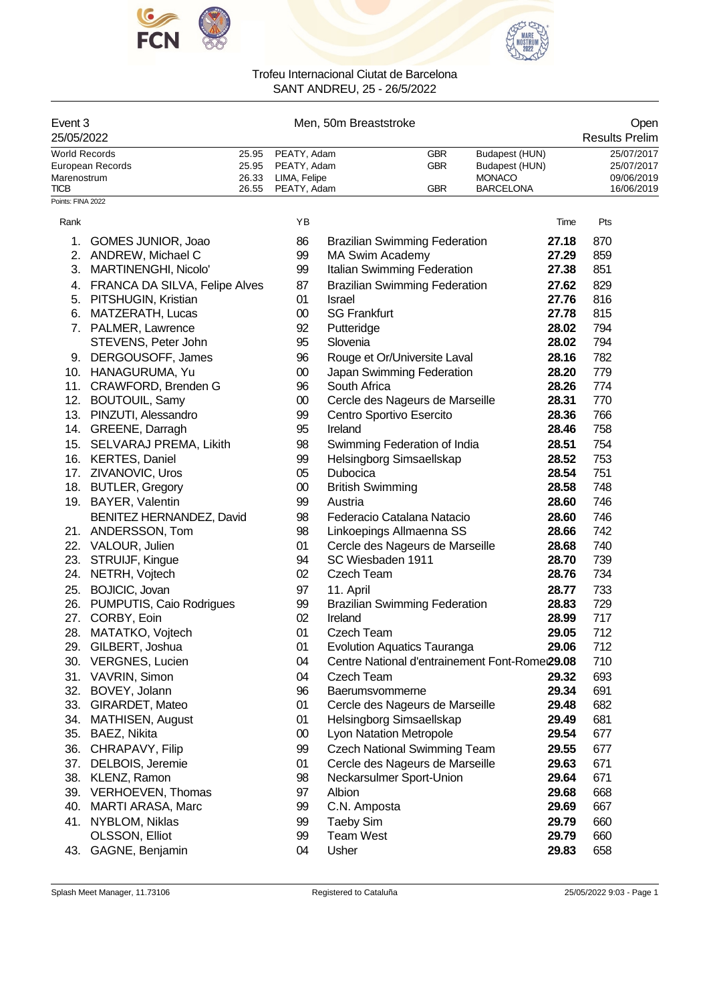



| Event 3<br>25/05/2022 |       | Men, 50m Breaststroke |            |                  | Open<br><b>Results Prelim</b> |
|-----------------------|-------|-----------------------|------------|------------------|-------------------------------|
| World Records         |       | 25.95 PEATY, Adam     | GBR        | Budapest (HUN)   | 25/07/2017                    |
| European Records      |       | 25.95 PEATY, Adam     | <b>GBR</b> | Budapest (HUN)   | 25/07/2017                    |
| Marenostrum           | 26.33 | LIMA, Felipe          |            | <b>MONACO</b>    | 09/06/2019                    |
| <b>TICB</b>           |       | 26.55 PEATY, Adam     | GBR        | <b>BARCELONA</b> | 16/06/2019                    |
| Points: FINA 2022     |       |                       |            |                  |                               |

| Rank |                                  | YB     |                                                | Time  | Pts |
|------|----------------------------------|--------|------------------------------------------------|-------|-----|
|      | 1. GOMES JUNIOR, Joao            | 86     | <b>Brazilian Swimming Federation</b>           | 27.18 | 870 |
|      | 2. ANDREW, Michael C             | 99     | <b>MA Swim Academy</b>                         | 27.29 | 859 |
|      | 3. MARTINENGHI, Nicolo'          | 99     | Italian Swimming Federation                    | 27.38 | 851 |
|      | 4. FRANCA DA SILVA, Felipe Alves | 87     | <b>Brazilian Swimming Federation</b>           | 27.62 | 829 |
|      | 5. PITSHUGIN, Kristian           | 01     | Israel                                         | 27.76 | 816 |
|      | 6. MATZERATH, Lucas              | $00\,$ | <b>SG Frankfurt</b>                            | 27.78 | 815 |
|      | 7. PALMER, Lawrence              | 92     | Putteridge                                     | 28.02 | 794 |
|      | STEVENS, Peter John              | 95     | Slovenia                                       | 28.02 | 794 |
|      | 9. DERGOUSOFF, James             | 96     | Rouge et Or/Universite Laval                   | 28.16 | 782 |
|      | 10. HANAGURUMA, Yu               | $00\,$ | Japan Swimming Federation                      | 28.20 | 779 |
| 11.  | CRAWFORD, Brenden G              | 96     | South Africa                                   | 28.26 | 774 |
|      | 12. BOUTOUIL, Samy               | $00\,$ | Cercle des Nageurs de Marseille                | 28.31 | 770 |
|      | 13. PINZUTI, Alessandro          | 99     | Centro Sportivo Esercito                       | 28.36 | 766 |
|      | 14. GREENE, Darragh              | 95     | Ireland                                        | 28.46 | 758 |
|      | 15. SELVARAJ PREMA, Likith       | 98     | Swimming Federation of India                   | 28.51 | 754 |
|      | 16. KERTES, Daniel               | 99     | Helsingborg Simsaellskap                       | 28.52 | 753 |
|      | 17. ZIVANOVIC, Uros              | 05     | Dubocica                                       | 28.54 | 751 |
|      | 18. BUTLER, Gregory              | $00\,$ | <b>British Swimming</b>                        | 28.58 | 748 |
|      | 19. BAYER, Valentin              | 99     | Austria                                        | 28.60 | 746 |
|      | BENITEZ HERNANDEZ, David         | 98     | Federacio Catalana Natacio                     | 28.60 | 746 |
|      | 21. ANDERSSON, Tom               | 98     | Linkoepings Allmaenna SS                       | 28.66 | 742 |
|      | 22. VALOUR, Julien               | 01     | Cercle des Nageurs de Marseille                | 28.68 | 740 |
|      | 23. STRUIJF, Kingue              | 94     | SC Wiesbaden 1911                              | 28.70 | 739 |
|      | 24. NETRH, Vojtech               | 02     | Czech Team                                     | 28.76 | 734 |
|      | 25. BOJICIC, Jovan               | 97     | 11. April                                      | 28.77 | 733 |
|      | 26. PUMPUTIS, Caio Rodrigues     | 99     | <b>Brazilian Swimming Federation</b>           | 28.83 | 729 |
|      | 27. CORBY, Eoin                  | 02     | Ireland                                        | 28.99 | 717 |
|      | 28. MATATKO, Vojtech             | 01     | Czech Team                                     | 29.05 | 712 |
|      | 29. GILBERT, Joshua              | 01     | <b>Evolution Aquatics Tauranga</b>             | 29.06 | 712 |
|      | 30. VERGNES, Lucien              | 04     | Centre National d'entrainement Font-Romei29.08 |       | 710 |
|      | 31. VAVRIN, Simon                | 04     | Czech Team                                     | 29.32 | 693 |
|      | 32. BOVEY, Jolann                | 96     | Baerumsvommerne                                | 29.34 | 691 |
|      | 33. GIRARDET, Mateo              | 01     | Cercle des Nageurs de Marseille                | 29.48 | 682 |
|      | 34. MATHISEN, August             | 01     | Helsingborg Simsaellskap                       | 29.49 | 681 |
|      | 35. BAEZ, Nikita                 | $00\,$ | <b>Lyon Natation Metropole</b>                 | 29.54 | 677 |
|      | 36. CHRAPAVY, Filip              | 99     | <b>Czech National Swimming Team</b>            | 29.55 | 677 |
|      | 37. DELBOIS, Jeremie             | 01     | Cercle des Nageurs de Marseille                | 29.63 | 671 |
| 38.  | KLENZ, Ramon                     | 98     | Neckarsulmer Sport-Union                       | 29.64 | 671 |
| 39.  | VERHOEVEN, Thomas                | 97     | Albion                                         | 29.68 | 668 |
| 40.  | MARTI ARASA, Marc                | 99     | C.N. Amposta                                   | 29.69 | 667 |
| 41.  | NYBLOM, Niklas                   | 99     | <b>Taeby Sim</b>                               | 29.79 | 660 |
|      | OLSSON, Elliot                   | 99     | <b>Team West</b>                               | 29.79 | 660 |
| 43.  | GAGNE, Benjamin                  | 04     | Usher                                          | 29.83 | 658 |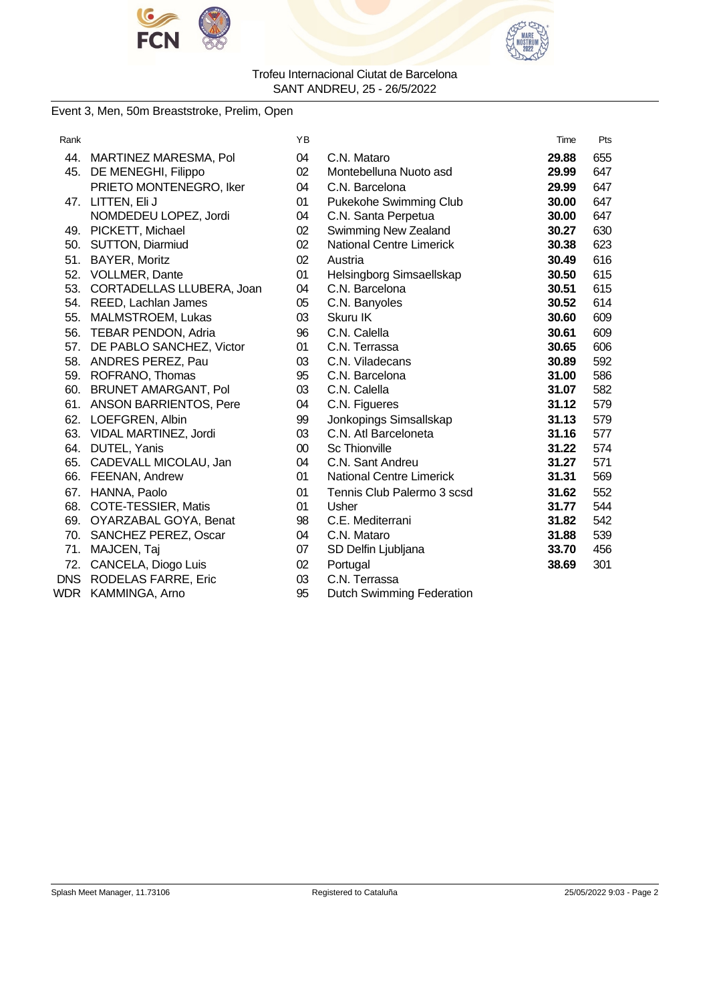



### Event 3, Men, 50m Breaststroke, Prelim, Open

| Rank       |                               | ΥB     |                                  | Time  | Pts |
|------------|-------------------------------|--------|----------------------------------|-------|-----|
|            | 44. MARTINEZ MARESMA, Pol     | 04     | C.N. Mataro                      | 29.88 | 655 |
| 45.        | DE MENEGHI, Filippo           | 02     | Montebelluna Nuoto asd           | 29.99 | 647 |
|            | PRIETO MONTENEGRO, Iker       | 04     | C.N. Barcelona                   | 29.99 | 647 |
| 47.        | LITTEN, Eli J                 | 01     | Pukekohe Swimming Club           | 30.00 | 647 |
|            | NOMDEDEU LOPEZ, Jordi         | 04     | C.N. Santa Perpetua              | 30.00 | 647 |
|            | 49. PICKETT, Michael          | 02     | Swimming New Zealand             | 30.27 | 630 |
| 50.        | <b>SUTTON, Diarmiud</b>       | 02     | <b>National Centre Limerick</b>  | 30.38 | 623 |
| 51.        | BAYER, Moritz                 | 02     | Austria                          | 30.49 | 616 |
|            | 52. VOLLMER, Dante            | 01     | Helsingborg Simsaellskap         | 30.50 | 615 |
| 53.        | CORTADELLAS LLUBERA, Joan     | 04     | C.N. Barcelona                   | 30.51 | 615 |
|            | 54. REED, Lachlan James       | 05     | C.N. Banyoles                    | 30.52 | 614 |
| 55.        | MALMSTROEM, Lukas             | 03     | Skuru IK                         | 30.60 | 609 |
| 56.        | TEBAR PENDON, Adria           | 96     | C.N. Calella                     | 30.61 | 609 |
| 57.        | DE PABLO SANCHEZ, Victor      | 01     | C.N. Terrassa                    | 30.65 | 606 |
|            | 58. ANDRES PEREZ, Pau         | 03     | C.N. Viladecans                  | 30.89 | 592 |
|            | 59. ROFRANO, Thomas           | 95     | C.N. Barcelona                   | 31.00 | 586 |
| 60.        | <b>BRUNET AMARGANT, Pol</b>   | 03     | C.N. Calella                     | 31.07 | 582 |
| 61.        | <b>ANSON BARRIENTOS, Pere</b> | 04     | C.N. Figueres                    | 31.12 | 579 |
|            | 62. LOEFGREN, Albin           | 99     | Jonkopings Simsallskap           | 31.13 | 579 |
| 63.        | VIDAL MARTINEZ, Jordi         | 03     | C.N. Atl Barceloneta             | 31.16 | 577 |
| 64.        | DUTEL, Yanis                  | $00\,$ | <b>Sc Thionville</b>             | 31.22 | 574 |
|            | 65. CADEVALL MICOLAU, Jan     | 04     | C.N. Sant Andreu                 | 31.27 | 571 |
|            | 66. FEENAN, Andrew            | 01     | <b>National Centre Limerick</b>  | 31.31 | 569 |
| 67.        | HANNA, Paolo                  | 01     | Tennis Club Palermo 3 scsd       | 31.62 | 552 |
| 68.        | COTE-TESSIER, Matis           | 01     | Usher                            | 31.77 | 544 |
| 69.        | OYARZABAL GOYA, Benat         | 98     | C.E. Mediterrani                 | 31.82 | 542 |
| 70.        | <b>SANCHEZ PEREZ, Oscar</b>   | 04     | C.N. Mataro                      | 31.88 | 539 |
| 71.        | MAJCEN, Taj                   | 07     | SD Delfin Ljubljana              | 33.70 | 456 |
| 72.        | CANCELA, Diogo Luis           | 02     | Portugal                         | 38.69 | 301 |
| <b>DNS</b> | <b>RODELAS FARRE, Eric</b>    | 03     | C.N. Terrassa                    |       |     |
| WDR.       | KAMMINGA, Arno                | 95     | <b>Dutch Swimming Federation</b> |       |     |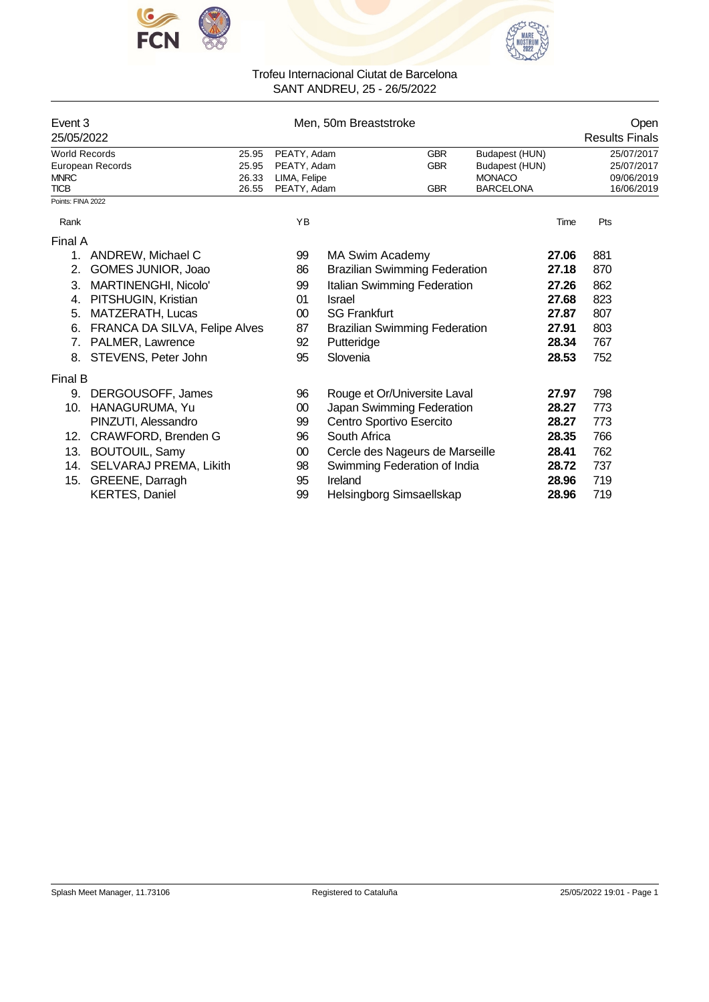



|                            | Event 3<br>25/05/2022         |                |                             | Men, 50m Breaststroke                |            |                                   |       | Open<br><b>Results Finals</b> |
|----------------------------|-------------------------------|----------------|-----------------------------|--------------------------------------|------------|-----------------------------------|-------|-------------------------------|
| <b>World Records</b>       |                               | 25.95          | PEATY, Adam                 |                                      | <b>GBR</b> | Budapest (HUN)                    |       | 25/07/2017                    |
|                            | European Records              | 25.95          | PEATY, Adam                 |                                      | <b>GBR</b> | Budapest (HUN)                    |       | 25/07/2017                    |
| <b>MNRC</b><br><b>TICB</b> |                               | 26.33<br>26.55 | LIMA, Felipe<br>PEATY, Adam |                                      | <b>GBR</b> | <b>MONACO</b><br><b>BARCELONA</b> |       | 09/06/2019<br>16/06/2019      |
| Points: FINA 2022          |                               |                |                             |                                      |            |                                   |       |                               |
| Rank                       |                               |                | YB                          |                                      |            |                                   | Time  | Pts                           |
| Final A                    |                               |                |                             |                                      |            |                                   |       |                               |
| 1.                         | ANDREW, Michael C             |                | 99                          | <b>MA Swim Academy</b>               |            |                                   | 27.06 | 881                           |
| 2.                         | GOMES JUNIOR, Joao            |                | 86                          | <b>Brazilian Swimming Federation</b> |            |                                   | 27.18 | 870                           |
| 3.                         | MARTINENGHI, Nicolo'          |                | 99                          | Italian Swimming Federation          |            |                                   | 27.26 | 862                           |
| 4.                         | PITSHUGIN, Kristian           |                | 01                          | Israel                               |            |                                   | 27.68 | 823                           |
| 5.                         | MATZERATH, Lucas              |                | 00                          | <b>SG Frankfurt</b>                  |            |                                   | 27.87 | 807                           |
| 6.                         | FRANCA DA SILVA, Felipe Alves |                | 87                          | <b>Brazilian Swimming Federation</b> |            |                                   | 27.91 | 803                           |
| 7.                         | PALMER, Lawrence              |                | 92                          | Putteridge                           |            |                                   | 28.34 | 767                           |
| 8.                         | STEVENS, Peter John           |                | 95                          | Slovenia                             |            |                                   | 28.53 | 752                           |
| Final B                    |                               |                |                             |                                      |            |                                   |       |                               |
| 9.                         | DERGOUSOFF, James             |                | 96                          | Rouge et Or/Universite Laval         |            |                                   | 27.97 | 798                           |
| 10.                        | HANAGURUMA, Yu                |                | $00\,$                      | Japan Swimming Federation            |            |                                   | 28.27 | 773                           |
|                            | PINZUTI, Alessandro           |                | 99                          | Centro Sportivo Esercito             |            |                                   | 28.27 | 773                           |
| 12.                        | CRAWFORD, Brenden G           |                | 96                          | South Africa                         |            |                                   | 28.35 | 766                           |
| 13.                        | <b>BOUTOUIL, Samy</b>         |                | 00                          | Cercle des Nageurs de Marseille      |            |                                   | 28.41 | 762                           |
|                            | 14. SELVARAJ PREMA, Likith    |                | 98                          | Swimming Federation of India         |            |                                   | 28.72 | 737                           |
| 15.                        | GREENE, Darragh               |                | 95                          | Ireland                              |            |                                   | 28.96 | 719                           |
|                            | <b>KERTES, Daniel</b>         |                | 99                          | Helsingborg Simsaellskap             |            |                                   | 28.96 | 719                           |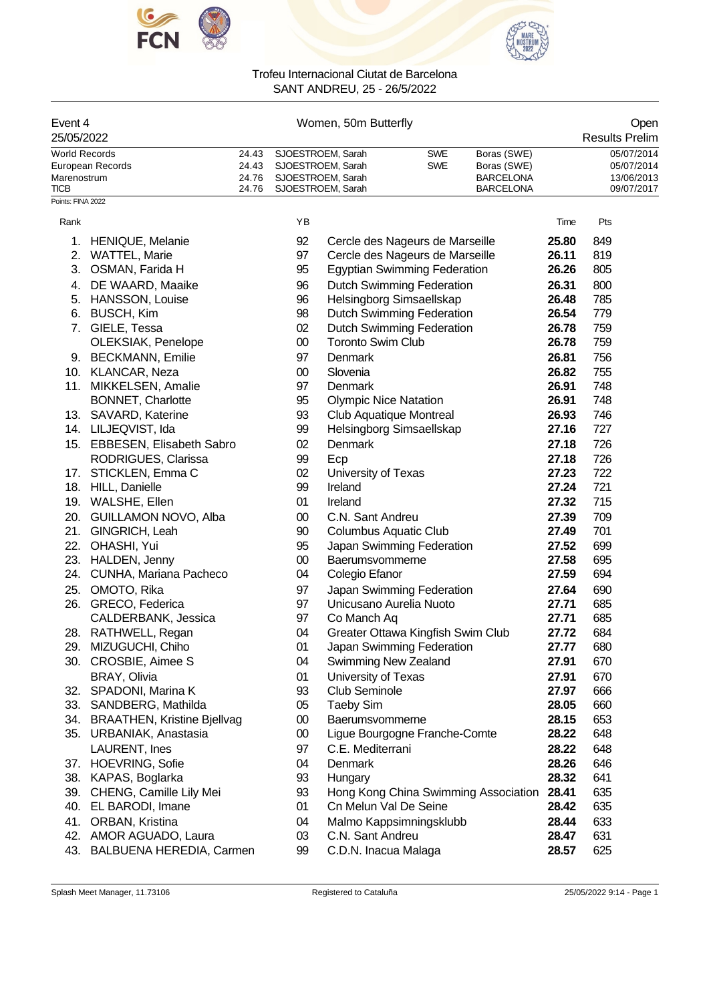



|       | Women, 50m Butterfly |                         |                  |                       |  |  |  |  |
|-------|----------------------|-------------------------|------------------|-----------------------|--|--|--|--|
|       |                      |                         |                  | <b>Results Prelim</b> |  |  |  |  |
|       | SJOESTROEM, Sarah    | <b>SWE</b>              | Boras (SWE)      | 05/07/2014            |  |  |  |  |
|       | SJOESTROEM, Sarah    | <b>SWE</b>              | Boras (SWE)      | 05/07/2014            |  |  |  |  |
| 24.76 | SJOESTROEM, Sarah    |                         | <b>BARCELONA</b> | 13/06/2013            |  |  |  |  |
|       | SJOESTROEM, Sarah    |                         | <b>BARCELONA</b> | 09/07/2017            |  |  |  |  |
|       |                      | 24.43<br>24.43<br>24.76 |                  |                       |  |  |  |  |

| Rank |                                    | ΥB     |                                      | Time  | Pts |
|------|------------------------------------|--------|--------------------------------------|-------|-----|
| 1.   | <b>HENIQUE, Melanie</b>            | 92     | Cercle des Nageurs de Marseille      | 25.80 | 849 |
| 2.   | <b>WATTEL, Marie</b>               | 97     | Cercle des Nageurs de Marseille      | 26.11 | 819 |
| 3.   | OSMAN, Farida H                    | 95     | <b>Egyptian Swimming Federation</b>  | 26.26 | 805 |
| 4.   | DE WAARD, Maaike                   | 96     | <b>Dutch Swimming Federation</b>     | 26.31 | 800 |
| 5.   | <b>HANSSON, Louise</b>             | 96     | Helsingborg Simsaellskap             | 26.48 | 785 |
| 6.   | <b>BUSCH, Kim</b>                  | 98     | <b>Dutch Swimming Federation</b>     | 26.54 | 779 |
| 7.   | GIELE, Tessa                       | 02     | <b>Dutch Swimming Federation</b>     | 26.78 | 759 |
|      | OLEKSIAK, Penelope                 | $00\,$ | <b>Toronto Swim Club</b>             | 26.78 | 759 |
|      | 9. BECKMANN, Emilie                | 97     | Denmark                              | 26.81 | 756 |
|      | 10. KLANCAR, Neza                  | 00     | Slovenia                             | 26.82 | 755 |
| 11.  | MIKKELSEN, Amalie                  | 97     | Denmark                              | 26.91 | 748 |
|      | BONNET, Charlotte                  | 95     | <b>Olympic Nice Natation</b>         | 26.91 | 748 |
|      | 13. SAVARD, Katerine               | 93     | <b>Club Aquatique Montreal</b>       | 26.93 | 746 |
|      | 14. LILJEQVIST, Ida                | 99     | Helsingborg Simsaellskap             | 27.16 | 727 |
|      | 15. EBBESEN, Elisabeth Sabro       | 02     | <b>Denmark</b>                       | 27.18 | 726 |
|      | RODRIGUES, Clarissa                | 99     | Ecp                                  | 27.18 | 726 |
|      | 17. STICKLEN, Emma C               | 02     | University of Texas                  | 27.23 | 722 |
|      | 18. HILL, Danielle                 | 99     | Ireland                              | 27.24 | 721 |
|      | 19. WALSHE, Ellen                  | 01     | Ireland                              | 27.32 | 715 |
|      | 20. GUILLAMON NOVO, Alba           | 00     | C.N. Sant Andreu                     | 27.39 | 709 |
|      | 21. GINGRICH, Leah                 | 90     | <b>Columbus Aquatic Club</b>         | 27.49 | 701 |
|      | 22. OHASHI, Yui                    | 95     | Japan Swimming Federation            | 27.52 | 699 |
|      | 23. HALDEN, Jenny                  | $00\,$ | Baerumsvommerne                      | 27.58 | 695 |
|      | 24. CUNHA, Mariana Pacheco         | 04     | Colegio Efanor                       | 27.59 | 694 |
|      | 25. OMOTO, Rika                    | 97     | Japan Swimming Federation            | 27.64 | 690 |
|      | 26. GRECO, Federica                | 97     | Unicusano Aurelia Nuoto              | 27.71 | 685 |
|      | CALDERBANK, Jessica                | 97     | Co Manch Aq                          | 27.71 | 685 |
|      | 28. RATHWELL, Regan                | 04     | Greater Ottawa Kingfish Swim Club    | 27.72 | 684 |
|      | 29. MIZUGUCHI, Chiho               | 01     | Japan Swimming Federation            | 27.77 | 680 |
|      | 30. CROSBIE, Aimee S               | 04     | Swimming New Zealand                 | 27.91 | 670 |
|      | BRAY, Olivia                       | 01     | University of Texas                  | 27.91 | 670 |
|      | 32. SPADONI, Marina K              | 93     | <b>Club Seminole</b>                 | 27.97 | 666 |
|      | 33. SANDBERG, Mathilda             | 05     | <b>Taeby Sim</b>                     | 28.05 | 660 |
| 34.  | <b>BRAATHEN, Kristine Bjellvag</b> | 00     | Baerumsvommerne                      | 28.15 | 653 |
| 35.  | URBANIAK, Anastasia                | 00     | Ligue Bourgogne Franche-Comte        | 28.22 | 648 |
|      | LAURENT, Ines                      | 97     | C.E. Mediterrani                     | 28.22 | 648 |
|      | 37. HOEVRING, Sofie                | 04     | Denmark                              | 28.26 | 646 |
| 38.  | KAPAS, Boglarka                    | 93     | Hungary                              | 28.32 | 641 |
| 39.  | CHENG, Camille Lily Mei            | 93     | Hong Kong China Swimming Association | 28.41 | 635 |
| 40.  | EL BARODI, Imane                   | 01     | Cn Melun Val De Seine                | 28.42 | 635 |
| 41.  | ORBAN, Kristina                    | 04     | Malmo Kappsimningsklubb              | 28.44 | 633 |
|      | 42. AMOR AGUADO, Laura             | 03     | C.N. Sant Andreu                     | 28.47 | 631 |
| 43.  | <b>BALBUENA HEREDIA, Carmen</b>    | 99     | C.D.N. Inacua Malaga                 | 28.57 | 625 |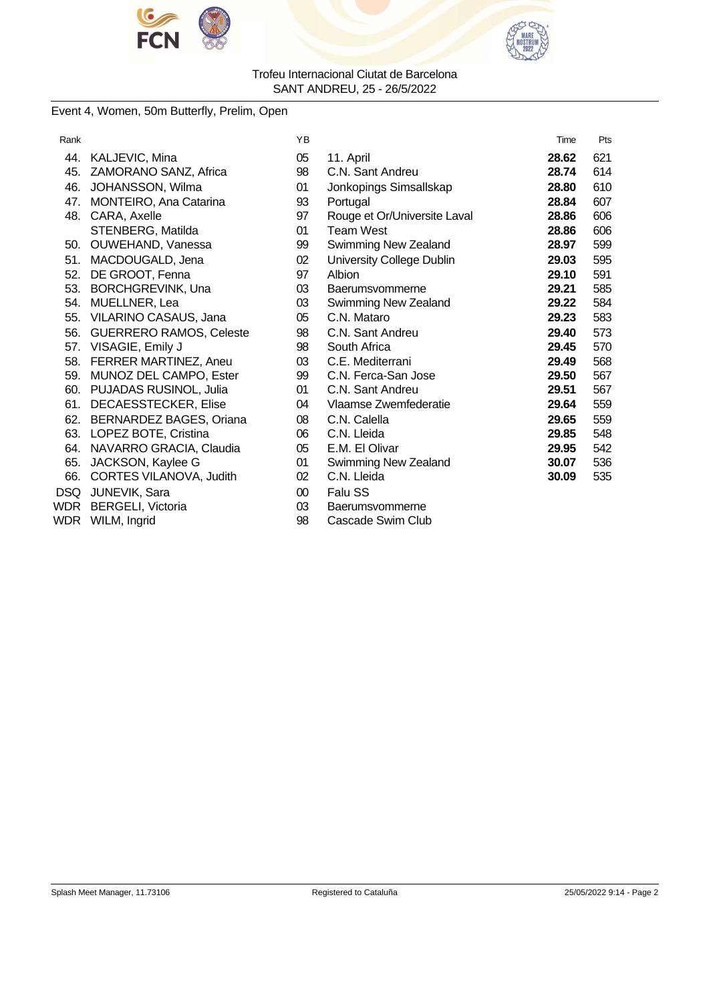



### Event 4, Women, 50m Butterfly, Prelim, Open

| Rank |                                | ΥB     |                              | Time  | Pts |
|------|--------------------------------|--------|------------------------------|-------|-----|
| 44.  | KALJEVIC, Mina                 | 05     | 11. April                    | 28.62 | 621 |
| 45.  | ZAMORANO SANZ, Africa          | 98     | C.N. Sant Andreu             | 28.74 | 614 |
| 46.  | JOHANSSON, Wilma               | 01     | Jonkopings Simsallskap       | 28.80 | 610 |
| 47.  | MONTEIRO, Ana Catarina         | 93     | Portugal                     | 28.84 | 607 |
| 48.  | CARA, Axelle                   | 97     | Rouge et Or/Universite Laval | 28.86 | 606 |
|      | STENBERG, Matilda              | 01     | <b>Team West</b>             | 28.86 | 606 |
| 50.  | OUWEHAND, Vanessa              | 99     | Swimming New Zealand         | 28.97 | 599 |
| 51.  | MACDOUGALD, Jena               | 02     | University College Dublin    | 29.03 | 595 |
| 52.  | DE GROOT, Fenna                | 97     | Albion                       | 29.10 | 591 |
| 53.  | <b>BORCHGREVINK, Una</b>       | 03     | Baerumsvommerne              | 29.21 | 585 |
| 54.  | MUELLNER, Lea                  | 03     | Swimming New Zealand         | 29.22 | 584 |
| 55.  | VILARINO CASAUS, Jana          | 05     | C.N. Mataro                  | 29.23 | 583 |
| 56.  | <b>GUERRERO RAMOS, Celeste</b> | 98     | C.N. Sant Andreu             | 29.40 | 573 |
|      | 57. VISAGIE, Emily J           | 98     | South Africa                 | 29.45 | 570 |
| 58.  | FERRER MARTINEZ, Aneu          | 03     | C.E. Mediterrani             | 29.49 | 568 |
| 59.  | MUNOZ DEL CAMPO, Ester         | 99     | C.N. Ferca-San Jose          | 29.50 | 567 |
|      | 60. PUJADAS RUSINOL, Julia     | 01     | C.N. Sant Andreu             | 29.51 | 567 |
| 61.  | DECAESSTECKER, Elise           | 04     | Vlaamse Zwemfederatie        | 29.64 | 559 |
| 62.  | BERNARDEZ BAGES, Oriana        | 08     | C.N. Calella                 | 29.65 | 559 |
| 63.  | LOPEZ BOTE, Cristina           | 06     | C.N. Lleida                  | 29.85 | 548 |
| 64.  | NAVARRO GRACIA, Claudia        | 05     | E.M. El Olivar               | 29.95 | 542 |
| 65.  | JACKSON, Kaylee G              | 01     | Swimming New Zealand         | 30.07 | 536 |
| 66.  | CORTES VILANOVA, Judith        | 02     | C.N. Lleida                  | 30.09 | 535 |
| DSQ  | JUNEVIK, Sara                  | $00\,$ | Falu SS                      |       |     |
| WDR  | BERGELI, Victoria              | 03     | Baerumsvommerne              |       |     |
| WDR  | WILM, Ingrid                   | 98     | Cascade Swim Club            |       |     |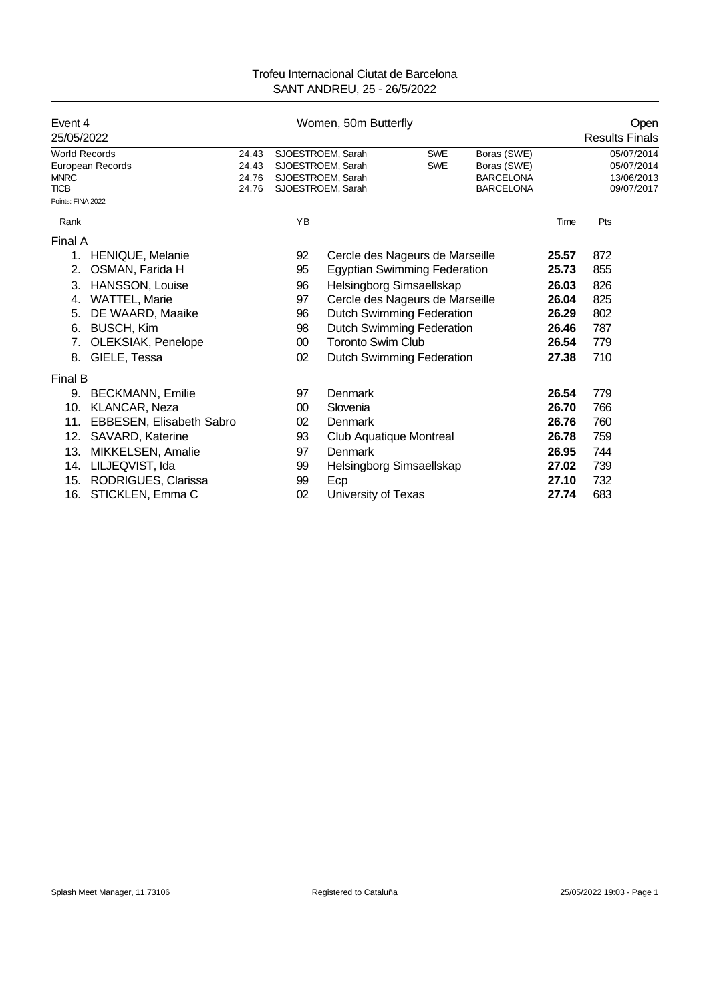| Event 4<br>25/05/2022      |                                 |                |    | Women, 50m Butterfly                   |            |                                      |       | Open<br><b>Results Finals</b> |
|----------------------------|---------------------------------|----------------|----|----------------------------------------|------------|--------------------------------------|-------|-------------------------------|
| <b>World Records</b>       |                                 | 24.43          |    | SJOESTROEM, Sarah                      | <b>SWE</b> | Boras (SWE)                          |       | 05/07/2014                    |
|                            | European Records                | 24.43          |    | SJOESTROEM, Sarah                      | <b>SWE</b> | Boras (SWE)                          |       | 05/07/2014                    |
| <b>MNRC</b><br><b>TICB</b> |                                 | 24.76<br>24.76 |    | SJOESTROEM, Sarah<br>SJOESTROEM, Sarah |            | <b>BARCELONA</b><br><b>BARCELONA</b> |       | 13/06/2013<br>09/07/2017      |
| Points: FINA 2022          |                                 |                |    |                                        |            |                                      |       |                               |
| Rank                       |                                 |                | YB |                                        |            |                                      | Time  | Pts                           |
| Final A                    |                                 |                |    |                                        |            |                                      |       |                               |
| 1.                         | <b>HENIQUE, Melanie</b>         |                | 92 | Cercle des Nageurs de Marseille        |            |                                      | 25.57 | 872                           |
| 2.                         | OSMAN, Farida H                 |                | 95 | <b>Egyptian Swimming Federation</b>    |            |                                      | 25.73 | 855                           |
| 3.                         | HANSSON, Louise                 |                | 96 | Helsingborg Simsaellskap               |            |                                      | 26.03 | 826                           |
| 4.                         | WATTEL, Marie                   |                | 97 | Cercle des Nageurs de Marseille        |            |                                      | 26.04 | 825                           |
| 5.                         | DE WAARD, Maaike                |                | 96 | Dutch Swimming Federation              |            |                                      | 26.29 | 802                           |
| 6.                         | BUSCH, Kim                      |                | 98 | Dutch Swimming Federation              |            |                                      | 26.46 | 787                           |
| 7.                         | OLEKSIAK, Penelope              |                | 00 | <b>Toronto Swim Club</b>               |            |                                      | 26.54 | 779                           |
| 8.                         | GIELE, Tessa                    |                | 02 | Dutch Swimming Federation              |            |                                      | 27.38 | 710                           |
| Final B                    |                                 |                |    |                                        |            |                                      |       |                               |
| 9.                         | <b>BECKMANN, Emilie</b>         |                | 97 | Denmark                                |            |                                      | 26.54 | 779                           |
| 10.                        | KLANCAR, Neza                   |                | 00 | Slovenia                               |            |                                      | 26.70 | 766                           |
| 11.                        | <b>EBBESEN, Elisabeth Sabro</b> |                | 02 | Denmark                                |            |                                      | 26.76 | 760                           |
| 12.                        | SAVARD, Katerine                |                | 93 | Club Aquatique Montreal                |            |                                      | 26.78 | 759                           |
| 13.                        | MIKKELSEN, Amalie               |                | 97 | Denmark                                |            |                                      | 26.95 | 744                           |
| 14.                        | LILJEQVIST, Ida                 |                | 99 | Helsingborg Simsaellskap               |            |                                      | 27.02 | 739                           |
| 15.                        | RODRIGUES, Clarissa             |                | 99 | Ecp                                    |            |                                      | 27.10 | 732                           |
| 16.                        | STICKLEN, Emma C                |                | 02 | University of Texas                    |            |                                      | 27.74 | 683                           |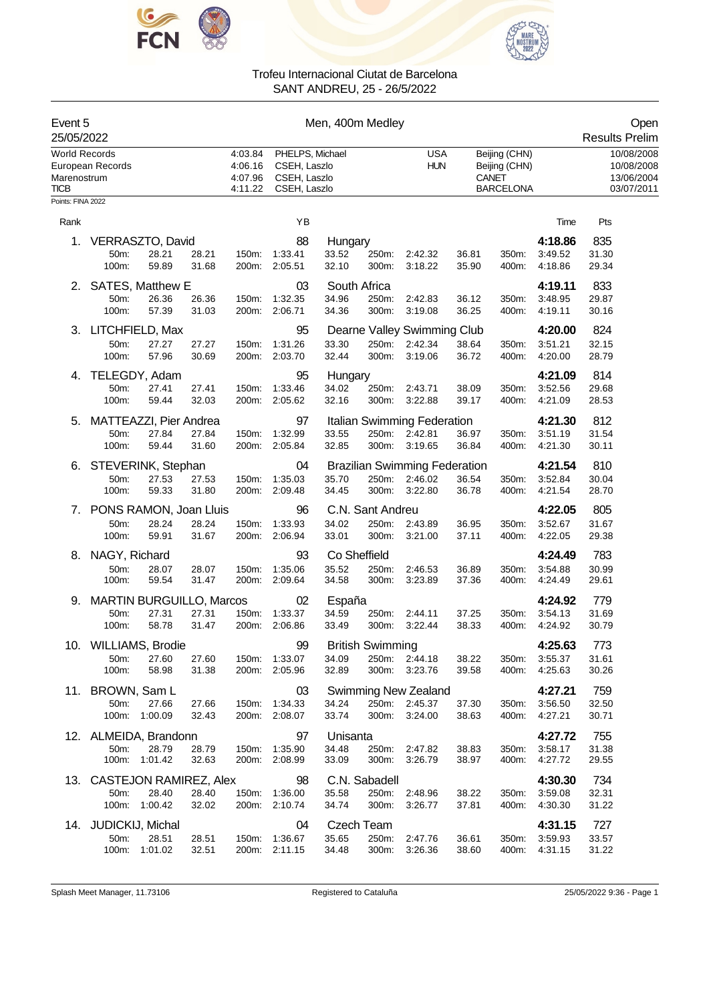



| Event 5<br>25/05/2022                              |                                         |                        |                | Men, 400m Medley                         |                                                                 |                                |                         |                                                            |                |                                                                    |                               | Open<br><b>Results Prelim</b>                        |
|----------------------------------------------------|-----------------------------------------|------------------------|----------------|------------------------------------------|-----------------------------------------------------------------|--------------------------------|-------------------------|------------------------------------------------------------|----------------|--------------------------------------------------------------------|-------------------------------|------------------------------------------------------|
| <b>World Records</b><br>Marenostrum<br><b>TICB</b> | European Records                        |                        |                | 4:03.84<br>4:06.16<br>4:07.96<br>4:11.22 | PHELPS, Michael<br>CSEH, Laszlo<br>CSEH, Laszlo<br>CSEH, Laszlo |                                |                         | <b>USA</b><br><b>HUN</b>                                   |                | Beijing (CHN)<br>Beijing (CHN)<br><b>CANET</b><br><b>BARCELONA</b> |                               | 10/08/2008<br>10/08/2008<br>13/06/2004<br>03/07/2011 |
| Points: FINA 2022                                  |                                         |                        |                |                                          |                                                                 |                                |                         |                                                            |                |                                                                    |                               |                                                      |
| Rank                                               |                                         |                        |                |                                          | YB                                                              |                                |                         |                                                            |                |                                                                    | Time                          | Pts                                                  |
| 1.                                                 | VERRASZTO, David<br>50m:<br>100m:       | 28.21<br>59.89         | 28.21<br>31.68 | 150m:<br>200m:                           | 88<br>1:33.41<br>2:05.51                                        | Hungary<br>33.52<br>32.10      | 250m:<br>300m:          | 2:42.32<br>3:18.22                                         | 36.81<br>35.90 | 350m:<br>400m:                                                     | 4:18.86<br>3:49.52<br>4:18.86 | 835<br>31.30<br>29.34                                |
|                                                    |                                         |                        |                |                                          |                                                                 |                                |                         |                                                            |                |                                                                    |                               |                                                      |
| 2.                                                 | SATES, Matthew E<br>50m:<br>100m:       | 26.36<br>57.39         | 26.36<br>31.03 | 150m:<br>200m:                           | 03<br>1:32.35<br>2:06.71                                        | South Africa<br>34.96<br>34.36 | 250m:<br>300m:          | 2:42.83<br>3:19.08                                         | 36.12<br>36.25 | 350m:<br>400m:                                                     | 4:19.11<br>3:48.95<br>4:19.11 | 833<br>29.87<br>30.16                                |
| 3.                                                 | LITCHFIELD, Max                         |                        |                |                                          | 95                                                              |                                |                         | Dearne Valley Swimming Club                                |                |                                                                    | 4:20.00                       | 824                                                  |
|                                                    | 50m:<br>100m:                           | 27.27<br>57.96         | 27.27<br>30.69 | 150m:<br>200m:                           | 1:31.26<br>2:03.70                                              | 33.30<br>32.44                 | 250m:<br>300m:          | 2:42.34<br>3:19.06                                         | 38.64<br>36.72 | 350m:<br>400m:                                                     | 3:51.21<br>4:20.00            | 32.15<br>28.79                                       |
| 4.                                                 | TELEGDY, Adam<br>50m:<br>100m:          | 27.41<br>59.44         | 27.41<br>32.03 | 150m:<br>200m:                           | 95<br>1:33.46<br>2:05.62                                        | Hungary<br>34.02<br>32.16      | 250m:<br>300m:          | 2:43.71<br>3:22.88                                         | 38.09<br>39.17 | 350m:<br>400m:                                                     | 4:21.09<br>3:52.56<br>4:21.09 | 814<br>29.68<br>28.53                                |
| 5.                                                 | MATTEAZZI, Pier Andrea<br>50m:<br>100m: | 27.84<br>59.44         | 27.84<br>31.60 | 150m:<br>200m:                           | 97<br>1:32.99<br>2:05.84                                        | 33.55<br>32.85                 | 250m:<br>300m:          | Italian Swimming Federation<br>2:42.81<br>3:19.65          | 36.97<br>36.84 | 350m:<br>400m:                                                     | 4:21.30<br>3:51.19<br>4:21.30 | 812<br>31.54<br>30.11                                |
| 6.                                                 | STEVERINK, Stephan<br>50m:<br>100m:     | 27.53<br>59.33         | 27.53<br>31.80 | 150m:<br>200m:                           | 04<br>1:35.03<br>2:09.48                                        | 35.70<br>34.45                 | 250m:<br>300m:          | <b>Brazilian Swimming Federation</b><br>2:46.02<br>3:22.80 | 36.54<br>36.78 | 350m:<br>400m:                                                     | 4:21.54<br>3:52.84<br>4:21.54 | 810<br>30.04<br>28.70                                |
| 7.                                                 | PONS RAMON, Joan Lluis                  |                        |                |                                          | 96                                                              |                                | C.N. Sant Andreu        |                                                            |                |                                                                    | 4:22.05                       | 805                                                  |
|                                                    | 50m:<br>100m:                           | 28.24<br>59.91         | 28.24<br>31.67 | 150m:<br>200m:                           | 1:33.93<br>2:06.94                                              | 34.02<br>33.01                 | 250m:<br>300m:          | 2:43.89<br>3:21.00                                         | 36.95<br>37.11 | 350m:<br>400m:                                                     | 3:52.67<br>4:22.05            | 31.67<br>29.38                                       |
| 8.                                                 | NAGY, Richard                           |                        |                |                                          | 93                                                              | Co Sheffield                   |                         |                                                            |                |                                                                    | 4:24.49                       | 783                                                  |
|                                                    | 50m:<br>100m:                           | 28.07<br>59.54         | 28.07<br>31.47 | 150m:<br>200m:                           | 1:35.06<br>2:09.64                                              | 35.52<br>34.58                 | 250m:<br>300m:          | 2:46.53<br>3:23.89                                         | 36.89<br>37.36 | 350m:<br>400m:                                                     | 3:54.88<br>4:24.49            | 30.99<br>29.61                                       |
| 9.                                                 | <b>MARTIN BURGUILLO, Marcos</b>         |                        |                |                                          | 02                                                              | España                         |                         |                                                            |                |                                                                    | 4:24.92                       | 779                                                  |
|                                                    | 50m:<br>100m:                           | 27.31<br>58.78         | 27.31<br>31.47 | 150m:<br>200m:                           | 1:33.37<br>2:06.86                                              | 34.59<br>33.49                 | 250m:<br>300m:          | 2:44.11<br>3:22.44                                         | 37.25<br>38.33 | 350m:<br>400m:                                                     | 3:54.13<br>4:24.92            | 31.69<br>30.79                                       |
|                                                    | 10. WILLIAMS, Brodie                    |                        |                |                                          | 99                                                              |                                | <b>British Swimming</b> |                                                            |                |                                                                    | 4:25.63                       | 773                                                  |
|                                                    | 50m:<br>100m:                           | 27.60<br>58.98         | 27.60<br>31.38 |                                          | 150m: 1:33.07<br>200m: 2:05.96                                  | 34.09<br>32.89                 |                         | 250m: 2:44.18<br>300m: 3:23.76                             | 38.22<br>39.58 | 350m:<br>400m:                                                     | 3:55.37<br>4:25.63            | 31.61<br>30.26                                       |
|                                                    | 11. BROWN, Sam L                        |                        |                |                                          | 03                                                              |                                |                         | <b>Swimming New Zealand</b>                                |                |                                                                    | 4:27.21                       | 759                                                  |
|                                                    | 50m:                                    | 27.66<br>100m: 1:00.09 | 27.66<br>32.43 | 150m:                                    | 1:34.33<br>200m: 2:08.07                                        | 34.24<br>33.74                 | 300m:                   | 250m: 2:45.37<br>3:24.00                                   | 37.30<br>38.63 | 350m:<br>400m:                                                     | 3:56.50<br>4:27.21            | 32.50<br>30.71                                       |
|                                                    | 12. ALMEIDA, Brandonn                   |                        |                |                                          | 97                                                              | Unisanta                       |                         |                                                            |                |                                                                    | 4:27.72                       | 755                                                  |
|                                                    | 50m:                                    | 28.79<br>100m: 1:01.42 | 28.79<br>32.63 | 150m:                                    | 1:35.90<br>200m: 2:08.99                                        | 34.48<br>33.09                 | 250m:<br>300m:          | 2:47.82<br>3:26.79                                         | 38.83<br>38.97 | 350m:<br>400m:                                                     | 3:58.17<br>4:27.72            | 31.38<br>29.55                                       |
|                                                    | 13. CASTEJON RAMIREZ, Alex              |                        |                |                                          | 98                                                              |                                | C.N. Sabadell           |                                                            |                |                                                                    | 4:30.30                       | 734                                                  |
|                                                    | 50m:                                    | 28.40                  | 28.40          | 150m:                                    | 1:36.00                                                         | 35.58                          | 250m:                   | 2:48.96                                                    | 38.22          | 350m:                                                              | 3:59.08                       | 32.31                                                |
|                                                    |                                         | 100m: 1:00.42          | 32.02          |                                          | 200m: 2:10.74                                                   | 34.74                          | 300m:                   | 3:26.77                                                    | 37.81          | 400m:                                                              | 4:30.30                       | 31.22                                                |
| 14.                                                | JUDICKIJ, Michal                        |                        |                |                                          | 04                                                              | Czech Team                     |                         |                                                            |                |                                                                    | 4:31.15                       | 727                                                  |
|                                                    | 50m:                                    | 28.51<br>100m: 1:01.02 | 28.51<br>32.51 | 150m:                                    | 1:36.67<br>200m: 2:11.15                                        | 35.65<br>34.48                 | 250m:<br>300m:          | 2:47.76<br>3:26.36                                         | 36.61<br>38.60 | 350m:<br>400m:                                                     | 3:59.93<br>4:31.15            | 33.57<br>31.22                                       |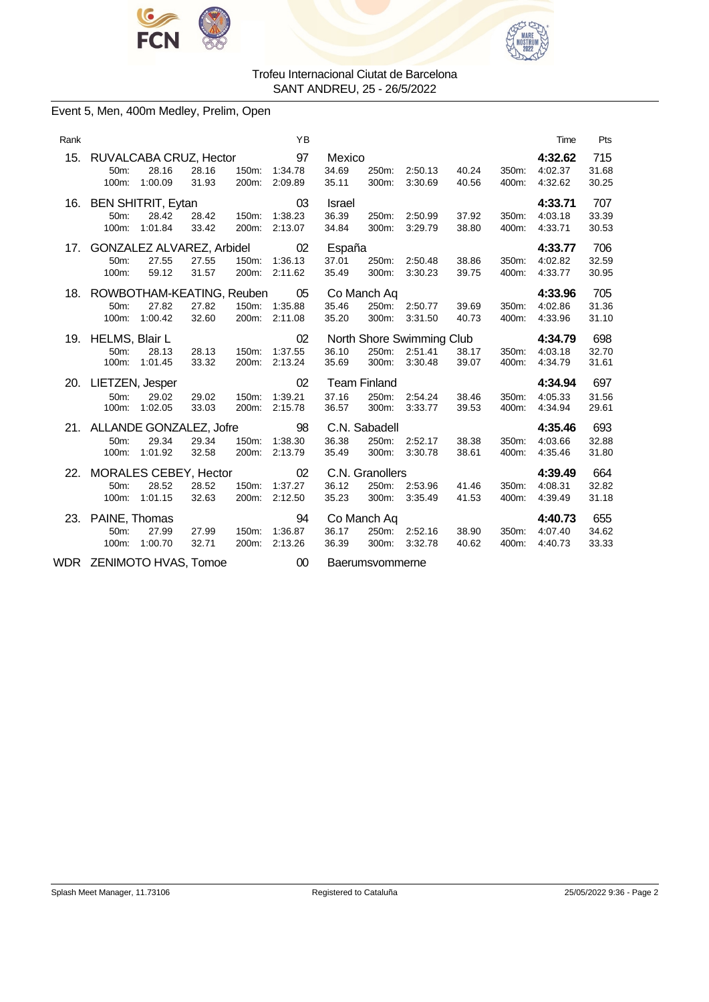



### Event 5, Men, 400m Medley, Prelim, Open

| Rank |                                                 |                                               |                |                | YB                       |                                 |                                       |                                                 |                |                | Time                          | Pts                   |
|------|-------------------------------------------------|-----------------------------------------------|----------------|----------------|--------------------------|---------------------------------|---------------------------------------|-------------------------------------------------|----------------|----------------|-------------------------------|-----------------------|
| 15.  | RUVALCABA CRUZ, Hector<br>50m:<br>100m:         | 28.16<br>1:00.09                              | 28.16<br>31.93 | 150m:<br>200m: | 97<br>1:34.78<br>2:09.89 | Mexico<br>34.69<br>35.11        | 250m:<br>300m:                        | 2:50.13<br>3:30.69                              | 40.24<br>40.56 | 350m:<br>400m: | 4:32.62<br>4:02.37<br>4:32.62 | 715<br>31.68<br>30.25 |
| 16.  | <b>BEN SHITRIT, Eytan</b><br>50m:<br>100m:      | 28.42<br>1:01.84                              | 28.42<br>33.42 | 150m:<br>200m: | 03<br>1:38.23<br>2:13.07 | <b>Israel</b><br>36.39<br>34.84 | 250m:<br>300m:                        | 2:50.99<br>3:29.79                              | 37.92<br>38.80 | 350m:<br>400m: | 4:33.71<br>4:03.18<br>4:33.71 | 707<br>33.39<br>30.53 |
| 17.  | 50m:<br>100m:                                   | GONZALEZ ALVAREZ, Arbidel<br>27.55<br>59.12   | 27.55<br>31.57 | 150m:<br>200m: | 02<br>1:36.13<br>2:11.62 | España<br>37.01<br>35.49        | 250m:<br>300m:                        | 2:50.48<br>3:30.23                              | 38.86<br>39.75 | 350m:<br>400m: | 4:33.77<br>4:02.82<br>4:33.77 | 706<br>32.59<br>30.95 |
| 18.  | 50 <sub>m</sub> :<br>100m:                      | ROWBOTHAM-KEATING, Reuben<br>27.82<br>1:00.42 | 27.82<br>32.60 | 150m.<br>200m: | 05<br>1:35.88<br>2:11.08 | 35.46<br>35.20                  | Co Manch Aq<br>250m:<br>300m:         | 2:50.77<br>3:31.50                              | 39.69<br>40.73 | 350m.<br>400m: | 4:33.96<br>4:02.86<br>4:33.96 | 705<br>31.36<br>31.10 |
|      | 19. HELMS, Blair L<br>50m:<br>100m:             | 28.13<br>1:01.45                              | 28.13<br>33.32 | 150m:<br>200m: | 02<br>1:37.55<br>2:13.24 | 36.10<br>35.69                  | 250m:<br>300m:                        | North Shore Swimming Club<br>2:51.41<br>3:30.48 | 38.17<br>39.07 | 350m:<br>400m: | 4:34.79<br>4:03.18<br>4:34.79 | 698<br>32.70<br>31.61 |
| 20.  | LIETZEN, Jesper<br>50m:<br>100m:                | 29.02<br>1:02.05                              | 29.02<br>33.03 | 150m:<br>200m: | 02<br>1:39.21<br>2:15.78 | 37.16<br>36.57                  | <b>Team Finland</b><br>250m:<br>300m: | 2:54.24<br>3:33.77                              | 38.46<br>39.53 | 350m:<br>400m: | 4:34.94<br>4:05.33<br>4.34.94 | 697<br>31.56<br>29.61 |
|      | 21. ALLANDE GONZALEZ, Jofre<br>50m:<br>$100m$ : | 29.34<br>1:01.92                              | 29.34<br>32.58 | 150m:<br>200m: | 98<br>1:38.30<br>2:13.79 | 36.38<br>35.49                  | C.N. Sabadell<br>250m:<br>300m:       | 2:52.17<br>3:30.78                              | 38.38<br>38.61 | 350m:<br>400m: | 4:35.46<br>4:03.66<br>4:35.46 | 693<br>32.88<br>31.80 |
| 22.  | MORALES CEBEY, Hector<br>50m:<br>$100m$ :       | 28.52<br>1:01.15                              | 28.52<br>32.63 | 150m:<br>200m: | 02<br>1:37.27<br>2:12.50 | 36.12<br>35.23                  | C.N. Granollers<br>250m:<br>300m:     | 2:53.96<br>3:35.49                              | 41.46<br>41.53 | 350m:<br>400m: | 4:39.49<br>4:08.31<br>4:39.49 | 664<br>32.82<br>31.18 |
| 23.  | PAINE, Thomas<br>50 <sub>m</sub> :<br>100m:     | 27.99<br>1:00.70                              | 27.99<br>32.71 | 150m:<br>200m: | 94<br>1:36.87<br>2:13.26 | 36.17<br>36.39                  | Co Manch Aq<br>250m:<br>300m:         | 2:52.16<br>3:32.78                              | 38.90<br>40.62 | 350m.<br>400m: | 4:40.73<br>4:07.40<br>4:40.73 | 655<br>34.62<br>33.33 |

WDR ZENIMOTO HVAS, Tomoe 00 Baerumsvommerne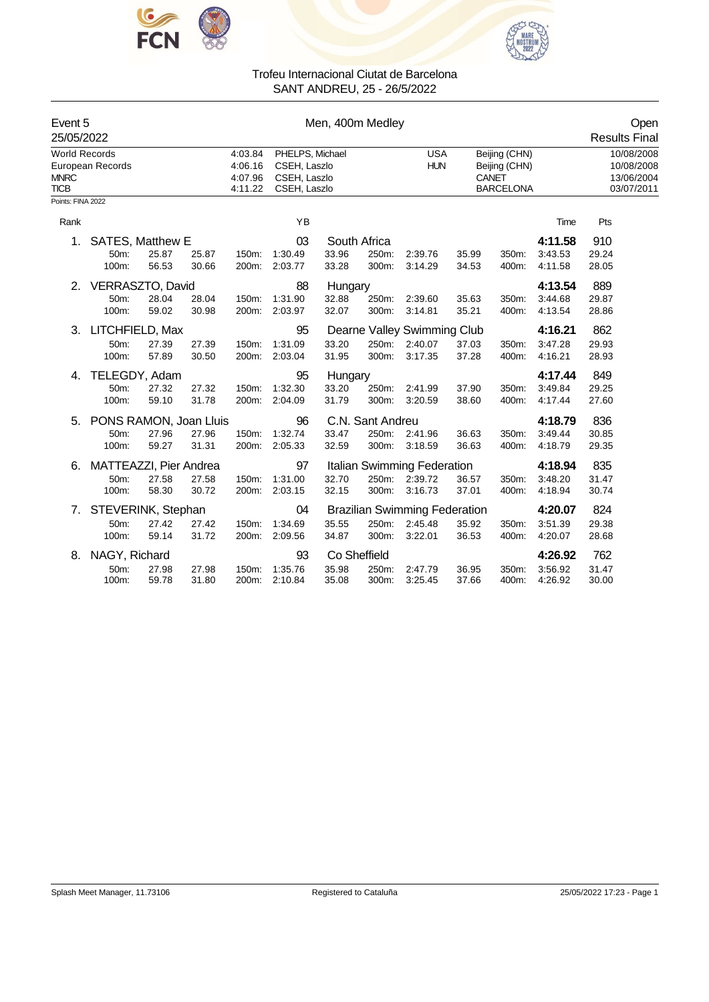



| Event 5<br>25/05/2022                              |                                         |                |                |                                          |                                                                 | Men, 400m Medley          |                                    |                                                            |                                                                    |                |                                                      | Open<br><b>Results Final</b> |
|----------------------------------------------------|-----------------------------------------|----------------|----------------|------------------------------------------|-----------------------------------------------------------------|---------------------------|------------------------------------|------------------------------------------------------------|--------------------------------------------------------------------|----------------|------------------------------------------------------|------------------------------|
| <b>World Records</b><br><b>MNRC</b><br><b>TICB</b> | European Records                        |                |                | 4:03.84<br>4:06.16<br>4:07.96<br>4:11.22 | PHELPS, Michael<br>CSEH, Laszlo<br>CSEH, Laszlo<br>CSEH, Laszlo |                           | <b>USA</b><br><b>HUN</b>           |                                                            | Beijing (CHN)<br>Beijing (CHN)<br><b>CANET</b><br><b>BARCELONA</b> |                | 10/08/2008<br>10/08/2008<br>13/06/2004<br>03/07/2011 |                              |
| Points: FINA 2022                                  |                                         |                |                |                                          |                                                                 |                           |                                    |                                                            |                                                                    |                |                                                      |                              |
| Rank                                               |                                         |                |                |                                          | YB                                                              |                           |                                    |                                                            |                                                                    |                | Time                                                 | Pts                          |
| 1.                                                 | SATES, Matthew E<br>50m:<br>100m:       | 25.87<br>56.53 | 25.87<br>30.66 | 150m:<br>200m:                           | 03<br>1:30.49<br>2:03.77                                        | 33.96<br>33.28            | South Africa<br>250m:<br>300m:     | 2:39.76<br>3:14.29                                         | 35.99<br>34.53                                                     | 350m:<br>400m: | 4:11.58<br>3:43.53<br>4:11.58                        | 910<br>29.24<br>28.05        |
| 2.                                                 | VERRASZTO, David<br>50m:<br>100m:       | 28.04<br>59.02 | 28.04<br>30.98 | 150m:<br>200m:                           | 88<br>1:31.90<br>2:03.97                                        | Hungary<br>32.88<br>32.07 | 250m:<br>300m:                     | 2:39.60<br>3:14.81                                         | 35.63<br>35.21                                                     | 350m:<br>400m: | 4:13.54<br>3:44.68<br>4:13.54                        | 889<br>29.87<br>28.86        |
| 3.                                                 | LITCHFIELD, Max<br>50m:<br>100m:        | 27.39<br>57.89 | 27.39<br>30.50 | 150m:<br>200m:                           | 95<br>1:31.09<br>2:03.04                                        | 33.20<br>31.95            | 250m:<br>300m:                     | Dearne Valley Swimming Club<br>2:40.07<br>3:17.35          | 37.03<br>37.28                                                     | 350m:<br>400m: | 4:16.21<br>3:47.28<br>4:16.21                        | 862<br>29.93<br>28.93        |
| 4.                                                 | TELEGDY, Adam<br>50m:<br>100m:          | 27.32<br>59.10 | 27.32<br>31.78 | 150m:<br>200m:                           | 95<br>1:32.30<br>2:04.09                                        | Hungary<br>33.20<br>31.79 | 250m:<br>300m:                     | 2:41.99<br>3:20.59                                         | 37.90<br>38.60                                                     | 350m:<br>400m: | 4:17.44<br>3:49.84<br>4:17.44                        | 849<br>29.25<br>27.60        |
| 5.                                                 | PONS RAMON, Joan Lluis<br>50m:<br>100m: | 27.96<br>59.27 | 27.96<br>31.31 | 150m:<br>200m:                           | 96<br>1:32.74<br>2:05.33                                        | 33.47<br>32.59            | C.N. Sant Andreu<br>250m:<br>300m: | 2:41.96<br>3:18.59                                         | 36.63<br>36.63                                                     | 350m:<br>400m: | 4:18.79<br>3:49.44<br>4:18.79                        | 836<br>30.85<br>29.35        |
| 6.                                                 | MATTEAZZI, Pier Andrea<br>50m:<br>100m: | 27.58<br>58.30 | 27.58<br>30.72 | 150m:<br>200m:                           | 97<br>1:31.00<br>2:03.15                                        | 32.70<br>32.15            | 250m:<br>300m:                     | Italian Swimming Federation<br>2:39.72<br>3:16.73          | 36.57<br>37.01                                                     | 350m:<br>400m: | 4:18.94<br>3:48.20<br>4:18.94                        | 835<br>31.47<br>30.74        |
| $\mathcal{L}$                                      | STEVERINK, Stephan<br>50m:<br>100m:     | 27.42<br>59.14 | 27.42<br>31.72 | 150m:<br>200m:                           | 04<br>1:34.69                                                   | 35.55                     | 250m:                              | <b>Brazilian Swimming Federation</b><br>2:45.48<br>3:22.01 | 35.92                                                              | 350m:<br>400m: | 4:20.07<br>3:51.39<br>4:20.07                        | 824<br>29.38                 |
| 8.                                                 | NAGY, Richard<br>50m:                   | 27.98          | 27.98          | 150m:                                    | 2:09.56<br>93<br>1:35.76                                        | 34.87<br>35.98            | 300m:<br>Co Sheffield<br>250m:     | 2:47.79                                                    | 36.53<br>36.95                                                     | 350m:          | 4:26.92<br>3:56.92                                   | 28.68<br>762<br>31.47        |
|                                                    | 100m:                                   | 59.78          | 31.80          | 200m:                                    | 2:10.84                                                         | 35.08                     | 300m:                              | 3:25.45                                                    | 37.66                                                              | 400m:          | 4:26.92                                              | 30.00                        |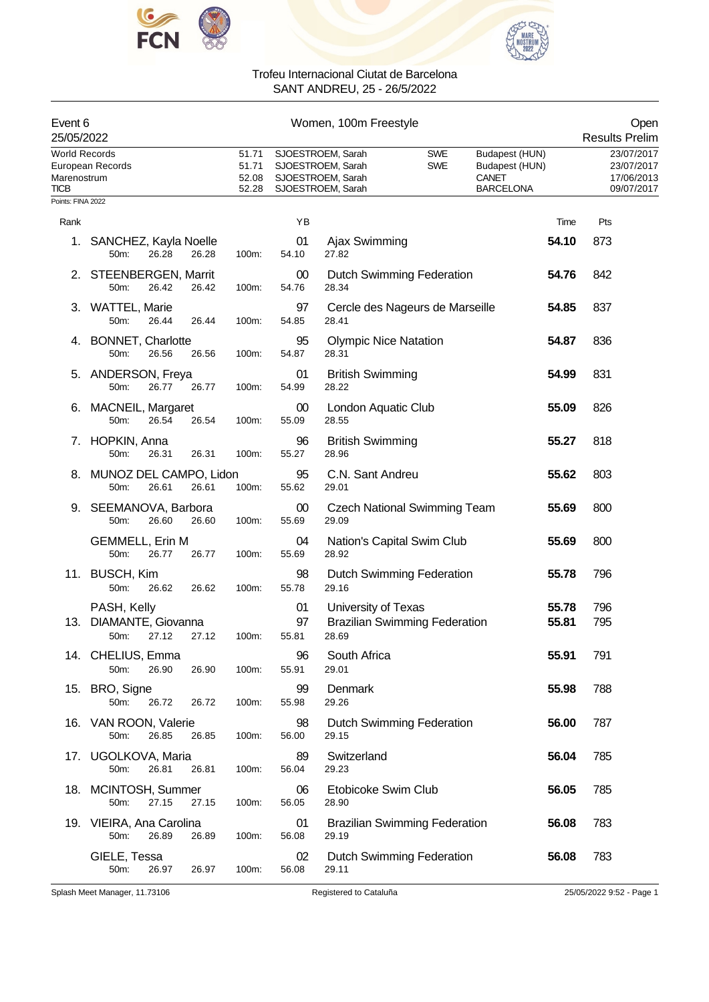



| Event 6<br>25/05/2022                              |                                                    |                                  | Women, 100m Freestyle |                                                                                  |                              |                                      |                                                                      |                |                                                      |  |
|----------------------------------------------------|----------------------------------------------------|----------------------------------|-----------------------|----------------------------------------------------------------------------------|------------------------------|--------------------------------------|----------------------------------------------------------------------|----------------|------------------------------------------------------|--|
| <b>World Records</b><br>Marenostrum<br><b>TICB</b> | European Records                                   | 51.71<br>51.71<br>52.08<br>52.28 |                       | SJOESTROEM, Sarah<br>SJOESTROEM, Sarah<br>SJOESTROEM, Sarah<br>SJOESTROEM, Sarah |                              | <b>SWE</b><br><b>SWE</b>             | Budapest (HUN)<br>Budapest (HUN)<br><b>CANET</b><br><b>BARCELONA</b> |                | 23/07/2017<br>23/07/2017<br>17/06/2013<br>09/07/2017 |  |
| Points: FINA 2022                                  |                                                    |                                  |                       |                                                                                  |                              |                                      |                                                                      |                |                                                      |  |
| Rank                                               |                                                    |                                  | YB                    |                                                                                  |                              |                                      |                                                                      | Time           | Pts                                                  |  |
| 1.                                                 | SANCHEZ, Kayla Noelle<br>26.28<br>50m:             | 26.28<br>100m:                   | 01<br>54.10           | Ajax Swimming<br>27.82                                                           |                              |                                      |                                                                      | 54.10          | 873                                                  |  |
|                                                    | 2. STEENBERGEN, Marrit<br>50m:<br>26.42            | 26.42<br>100m:                   | 00<br>54.76           | 28.34                                                                            |                              | <b>Dutch Swimming Federation</b>     |                                                                      | 54.76          | 842                                                  |  |
|                                                    | 3. WATTEL, Marie<br>26.44<br>50m:                  | 26.44<br>100m:                   | 97<br>54.85           | 28.41                                                                            |                              | Cercle des Nageurs de Marseille      |                                                                      | 54.85          | 837                                                  |  |
|                                                    | 4. BONNET, Charlotte<br>50m:<br>26.56              | 26.56<br>100m:                   | 95<br>54.87           | 28.31                                                                            | <b>Olympic Nice Natation</b> |                                      |                                                                      | 54.87          | 836                                                  |  |
|                                                    | 5. ANDERSON, Freya<br>50m:<br>26.77                | 26.77<br>100m:                   | 01<br>54.99           | 28.22                                                                            | <b>British Swimming</b>      |                                      |                                                                      | 54.99          | 831                                                  |  |
|                                                    | 6. MACNEIL, Margaret<br>50 <sub>m</sub> :<br>26.54 | 26.54<br>100m:                   | 00<br>55.09           | 28.55                                                                            | London Aquatic Club          |                                      |                                                                      | 55.09          | 826                                                  |  |
|                                                    | 7. HOPKIN, Anna<br>50m:<br>26.31                   | 26.31<br>100m:                   | 96<br>55.27           | 28.96                                                                            | <b>British Swimming</b>      |                                      |                                                                      | 55.27          | 818                                                  |  |
| 8.                                                 | MUNOZ DEL CAMPO, Lidon<br>50m:<br>26.61            | 100m:<br>26.61                   | 95<br>55.62           | 29.01                                                                            | C.N. Sant Andreu             |                                      |                                                                      | 55.62          | 803                                                  |  |
|                                                    | 9. SEEMANOVA, Barbora<br>50m:<br>26.60             | 26.60<br>100m:                   | $00\,$<br>55.69       | 29.09                                                                            |                              | <b>Czech National Swimming Team</b>  |                                                                      | 55.69          | 800                                                  |  |
|                                                    | <b>GEMMELL, Erin M</b><br>26.77<br>50m:            | 26.77<br>100m:                   | 04<br>55.69           | 28.92                                                                            | Nation's Capital Swim Club   |                                      |                                                                      | 55.69          | 800                                                  |  |
|                                                    | 11. BUSCH, Kim<br>50m:<br>26.62                    | 26.62<br>100m:                   | 98<br>55.78           | 29.16                                                                            |                              | Dutch Swimming Federation            |                                                                      | 55.78          | 796                                                  |  |
| 13.                                                | PASH, Kelly<br>DIAMANTE, Giovanna<br>50m:<br>27.12 | 100m:<br>27.12                   | 01<br>97<br>55.81     | 28.69                                                                            | University of Texas          | <b>Brazilian Swimming Federation</b> |                                                                      | 55.78<br>55.81 | 796<br>795                                           |  |
|                                                    | 14. CHELIUS, Emma<br>26.90<br>50m:                 | 26.90<br>100m:                   | 96<br>55.91           | South Africa<br>29.01                                                            |                              |                                      |                                                                      | 55.91          | 791                                                  |  |
|                                                    | 15. BRO, Signe<br>50m:<br>26.72                    | 26.72<br>100m:                   | 99<br>55.98           | Denmark<br>29.26                                                                 |                              |                                      |                                                                      | 55.98          | 788                                                  |  |
|                                                    | 16. VAN ROON, Valerie<br>26.85<br>50m:             | 26.85<br>100m:                   | 98<br>56.00           | 29.15                                                                            |                              | <b>Dutch Swimming Federation</b>     |                                                                      | 56.00          | 787                                                  |  |
|                                                    | 17. UGOLKOVA, Maria<br>50m:<br>26.81               | 26.81<br>100m:                   | 89<br>56.04           | Switzerland<br>29.23                                                             |                              |                                      |                                                                      | 56.04          | 785                                                  |  |
|                                                    | 18. MCINTOSH, Summer<br>27.15<br>50m:              | 27.15<br>100m:                   | 06<br>56.05           | 28.90                                                                            | Etobicoke Swim Club          |                                      |                                                                      | 56.05          | 785                                                  |  |
|                                                    | 19. VIEIRA, Ana Carolina<br>50m:<br>26.89          | 26.89<br>100m:                   | 01<br>56.08           | 29.19                                                                            |                              | <b>Brazilian Swimming Federation</b> |                                                                      | 56.08          | 783                                                  |  |
|                                                    | GIELE, Tessa<br>50m:<br>26.97                      | 26.97<br>100m:                   | 02<br>56.08           | 29.11                                                                            |                              | <b>Dutch Swimming Federation</b>     |                                                                      | 56.08          | 783                                                  |  |

Splash Meet Manager, 11.73106 Registered to Cataluña 25/05/2022 9:52 - Page 1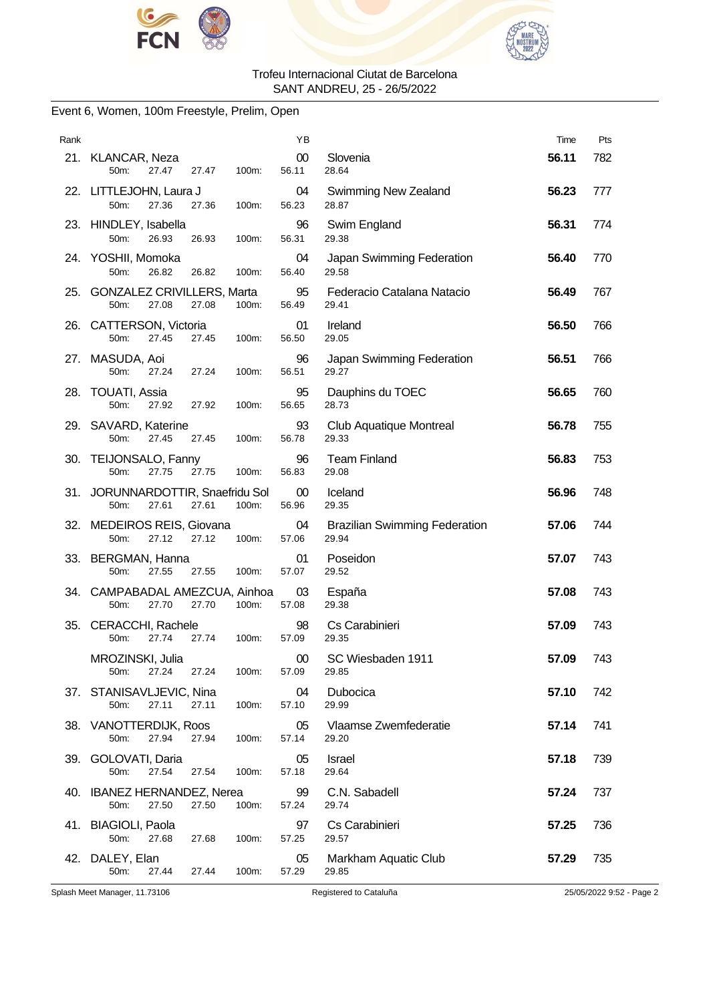



### Event 6, Women, 100m Freestyle, Prelim, Open

| Rank |                                                                                   | ΥB              |                                               | Time  | Pts |
|------|-----------------------------------------------------------------------------------|-----------------|-----------------------------------------------|-------|-----|
|      | 21. KLANCAR, Neza<br>50 <sub>m</sub> :<br>27.47<br>27.47<br>100m:                 | $00\,$<br>56.11 | Slovenia<br>28.64                             | 56.11 | 782 |
|      | 22. LITTLEJOHN, Laura J<br>50m:<br>27.36<br>27.36<br>100m:                        | 04<br>56.23     | Swimming New Zealand<br>28.87                 | 56.23 | 777 |
|      | 23. HINDLEY, Isabella<br>50m:<br>26.93<br>26.93<br>100m:                          | 96<br>56.31     | Swim England<br>29.38                         | 56.31 | 774 |
|      | 24. YOSHII, Momoka<br>50m:<br>26.82<br>26.82<br>100m:                             | 04<br>56.40     | Japan Swimming Federation<br>29.58            | 56.40 | 770 |
|      | 25. GONZALEZ CRIVILLERS, Marta<br>50m:<br>27.08<br>27.08<br>100m:                 | 95<br>56.49     | Federacio Catalana Natacio<br>29.41           | 56.49 | 767 |
|      | 26. CATTERSON, Victoria<br>27.45<br>50m:<br>27.45<br>100m:                        | 01<br>56.50     | Ireland<br>29.05                              | 56.50 | 766 |
|      | 27. MASUDA, Aoi<br>50m:<br>27.24<br>27.24<br>100m:                                | 96<br>56.51     | Japan Swimming Federation<br>29.27            | 56.51 | 766 |
|      | 28. TOUATI, Assia<br>50 <sub>m</sub> :<br>27.92<br>27.92<br>100m:                 | 95<br>56.65     | Dauphins du TOEC<br>28.73                     | 56.65 | 760 |
|      | 29. SAVARD, Katerine<br>50m:<br>27.45<br>27.45<br>100m:                           | 93<br>56.78     | Club Aquatique Montreal<br>29.33              | 56.78 | 755 |
|      | 30. TEIJONSALO, Fanny<br>50m:<br>27.75<br>27.75<br>100m:                          | 96<br>56.83     | <b>Team Finland</b><br>29.08                  | 56.83 | 753 |
|      | 31. JORUNNARDOTTIR, Snaefridu Sol<br>100m:<br>50 <sub>m</sub> :<br>27.61<br>27.61 | 00<br>56.96     | Iceland<br>29.35                              | 56.96 | 748 |
|      | 32. MEDEIROS REIS, Giovana<br>50m:<br>27.12<br>27.12<br>100m:                     | 04<br>57.06     | <b>Brazilian Swimming Federation</b><br>29.94 | 57.06 | 744 |
|      | 33. BERGMAN, Hanna<br>50m:<br>27.55<br>27.55<br>100m:                             | 01<br>57.07     | Poseidon<br>29.52                             | 57.07 | 743 |
|      | 34. CAMPABADAL AMEZCUA, Ainhoa<br>27.70<br>50 <sub>m</sub><br>27.70<br>100m:      | 03<br>57.08     | España<br>29.38                               | 57.08 | 743 |
|      | 35. CERACCHI, Rachele<br>50m:<br>27.74<br>27.74<br>100m:                          | 98<br>57.09     | Cs Carabinieri<br>29.35                       | 57.09 | 743 |
|      | MROZINSKI, Julia<br>27.24<br>27.24<br>100m:<br>50m:                               | $00\,$<br>57.09 | SC Wiesbaden 1911<br>29.85                    | 57.09 | 743 |
|      | 37. STANISAVLJEVIC, Nina<br>27.11<br>27.11<br>100m:<br>50m:                       | 04<br>57.10     | Dubocica<br>29.99                             | 57.10 | 742 |
|      | 38. VANOTTERDIJK, Roos<br>50m:<br>27.94<br>27.94<br>100m:                         | 05<br>57.14     | Vlaamse Zwemfederatie<br>29.20                | 57.14 | 741 |
|      | 39. GOLOVATI, Daria<br>50m:<br>27.54<br>27.54<br>100m:                            | 05<br>57.18     | Israel<br>29.64                               | 57.18 | 739 |
|      | 40. IBANEZ HERNANDEZ, Nerea<br>27.50<br>27.50<br>100m:<br>50m:                    | 99<br>57.24     | C.N. Sabadell<br>29.74                        | 57.24 | 737 |
|      | 41. BIAGIOLI, Paola<br>50m:<br>27.68<br>27.68<br>100m:                            | 97<br>57.25     | Cs Carabinieri<br>29.57                       | 57.25 | 736 |
|      | 42. DALEY, Elan<br>50m:<br>27.44<br>27.44<br>100m:                                | 05<br>57.29     | Markham Aquatic Club<br>29.85                 | 57.29 | 735 |

Splash Meet Manager, 11.73106 Registered to Cataluña 25/05/2022 9:52 - Page 2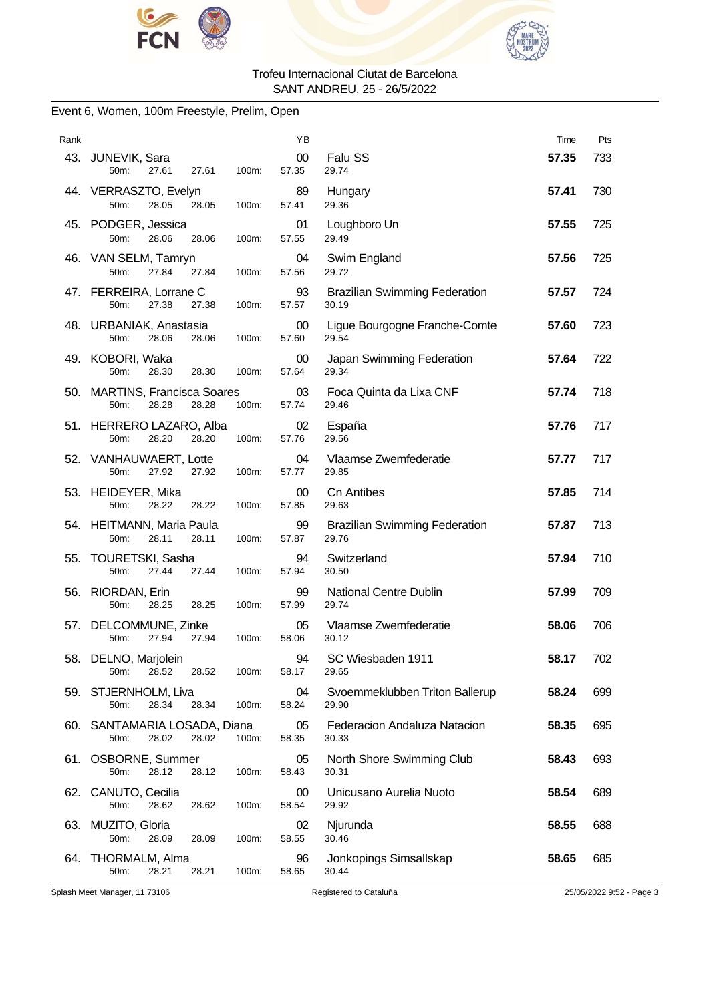



### Event 6, Women, 100m Freestyle, Prelim, Open

| Rank |                                                                  | ΥB                       |                                               | Time  | Pts |
|------|------------------------------------------------------------------|--------------------------|-----------------------------------------------|-------|-----|
|      | 43. JUNEVIK, Sara<br>27.61<br>27.61<br>100m:<br>50m:             | 00<br>57.35              | <b>Falu SS</b><br>29.74                       | 57.35 | 733 |
|      | 44. VERRASZTO, Evelyn<br>50m:<br>28.05<br>28.05<br>100m:         | 89<br>57.41              | Hungary<br>29.36                              | 57.41 | 730 |
|      | 45. PODGER, Jessica<br>50m:<br>28.06<br>28.06<br>100m:           | 01<br>57.55              | Loughboro Un<br>29.49                         | 57.55 | 725 |
|      | 46. VAN SELM, Tamryn<br>50m:<br>27.84<br>27.84<br>100m:          | 04<br>57.56              | Swim England<br>29.72                         | 57.56 | 725 |
|      | 47. FERREIRA, Lorrane C<br>50m:<br>27.38<br>27.38<br>100m:       | 93<br>57.57              | <b>Brazilian Swimming Federation</b><br>30.19 | 57.57 | 724 |
|      | 48. URBANIAK, Anastasia<br>50m:<br>28.06<br>100m:<br>28.06       | $00\,$<br>57.60          | Ligue Bourgogne Franche-Comte<br>29.54        | 57.60 | 723 |
|      | 49. KOBORI, Waka<br>50m:<br>28.30<br>28.30<br>100m:              | 00 <sup>°</sup><br>57.64 | Japan Swimming Federation<br>29.34            | 57.64 | 722 |
|      | 50. MARTINS, Francisca Soares<br>50m:<br>28.28<br>28.28<br>100m: | 03<br>57.74              | Foca Quinta da Lixa CNF<br>29.46              | 57.74 | 718 |
|      | 51. HERRERO LAZARO, Alba<br>50m:<br>28.20<br>28.20<br>100m:      | 02<br>57.76              | España<br>29.56                               | 57.76 | 717 |
|      | 52. VANHAUWAERT, Lotte<br>50m:<br>27.92<br>27.92<br>100m:        | 04<br>57.77              | Vlaamse Zwemfederatie<br>29.85                | 57.77 | 717 |
|      | 53. HEIDEYER, Mika<br>50m:<br>28.22<br>28.22<br>100m:            | $00\,$<br>57.85          | <b>Cn Antibes</b><br>29.63                    | 57.85 | 714 |
|      | 54. HEITMANN, Maria Paula<br>50m:<br>28.11<br>28.11<br>100m:     | 99<br>57.87              | <b>Brazilian Swimming Federation</b><br>29.76 | 57.87 | 713 |
| 55.  | TOURETSKI, Sasha<br>50m:<br>27.44<br>27.44<br>100m:              | 94<br>57.94              | Switzerland<br>30.50                          | 57.94 | 710 |
|      | 56. RIORDAN, Erin<br>50m:<br>28.25<br>100m:<br>28.25             | 99<br>57.99              | National Centre Dublin<br>29.74               | 57.99 | 709 |
|      | 57. DELCOMMUNE, Zinke<br>27.94<br>50m:<br>27.94<br>100m:         | 05<br>58.06              | Vlaamse Zwemfederatie<br>30.12                | 58.06 | 706 |
|      | 58. DELNO, Marjolein<br>28.52<br>50m:<br>28.52<br>100m:          | 94<br>58.17              | SC Wiesbaden 1911<br>29.65                    | 58.17 | 702 |
|      | 59. STJERNHOLM, Liva<br>28.34<br>50m:<br>28.34<br>100m:          | 04<br>58.24              | Svoemmeklubben Triton Ballerup<br>29.90       | 58.24 | 699 |
|      | 60. SANTAMARIA LOSADA, Diana<br>50m:<br>28.02<br>28.02<br>100m:  | 05<br>58.35              | Federacion Andaluza Natacion<br>30.33         | 58.35 | 695 |
|      | 61. OSBORNE, Summer<br>50m:<br>28.12<br>28.12<br>100m:           | 05<br>58.43              | North Shore Swimming Club<br>30.31            | 58.43 | 693 |
|      | 62. CANUTO, Cecilia<br>28.62<br>50m:<br>28.62<br>100m:           | $00\,$<br>58.54          | Unicusano Aurelia Nuoto<br>29.92              | 58.54 | 689 |
|      | 63. MUZITO, Gloria<br>50m:<br>28.09<br>28.09<br>100m:            | 02<br>58.55              | Njurunda<br>30.46                             | 58.55 | 688 |
| 64.  | THORMALM, Alma<br>50m:<br>28.21<br>28.21<br>100m:                | 96<br>58.65              | Jonkopings Simsallskap<br>30.44               | 58.65 | 685 |

Splash Meet Manager, 11.73106 Registered to Cataluña 25/05/2022 9:52 - Page 3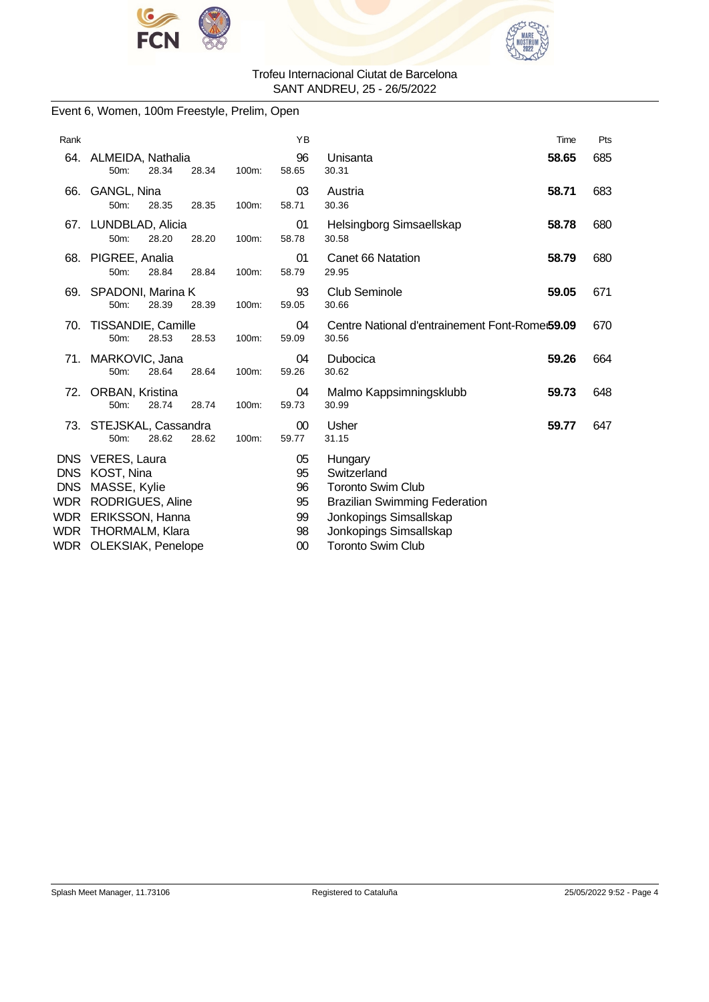



### Event 6, Women, 100m Freestyle, Prelim, Open

| Rank                                                         |                                                                                                                                   |       | YB                                     |                                                                                                                                                                            | Time  | Pts |
|--------------------------------------------------------------|-----------------------------------------------------------------------------------------------------------------------------------|-------|----------------------------------------|----------------------------------------------------------------------------------------------------------------------------------------------------------------------------|-------|-----|
| 64.                                                          | ALMEIDA, Nathalia<br>28.34<br>50m:<br>28.34                                                                                       | 100m: | 96<br>58.65                            | Unisanta<br>30.31                                                                                                                                                          | 58.65 | 685 |
| 66.                                                          | GANGL, Nina<br>50m:<br>28.35<br>28.35                                                                                             | 100m: | 03<br>58.71                            | Austria<br>30.36                                                                                                                                                           | 58.71 | 683 |
|                                                              | 67. LUNDBLAD, Alicia<br>50m:<br>28.20<br>28.20                                                                                    | 100m: | 01<br>58.78                            | Helsingborg Simsaellskap<br>30.58                                                                                                                                          | 58.78 | 680 |
| 68.                                                          | PIGREE, Analia<br>50m:<br>28.84<br>28.84                                                                                          | 100m: | 01<br>58.79                            | Canet 66 Natation<br>29.95                                                                                                                                                 | 58.79 | 680 |
|                                                              | 69. SPADONI, Marina K<br>50m:<br>28.39<br>28.39                                                                                   | 100m: | 93<br>59.05                            | <b>Club Seminole</b><br>30.66                                                                                                                                              | 59.05 | 671 |
| 70.                                                          | TISSANDIE, Camille<br>50m:<br>28.53<br>28.53                                                                                      | 100m: | 04<br>59.09                            | Centre National d'entrainement Font-Rome 59.09<br>30.56                                                                                                                    |       | 670 |
| 71.                                                          | MARKOVIC, Jana<br>50m:<br>28.64<br>28.64                                                                                          | 100m: | 04<br>59.26                            | Dubocica<br>30.62                                                                                                                                                          | 59.26 | 664 |
| 72.                                                          | ORBAN, Kristina<br>28.74<br>28.74<br>50m:                                                                                         | 100m: | 04<br>59.73                            | Malmo Kappsimningsklubb<br>30.99                                                                                                                                           | 59.73 | 648 |
|                                                              | 73. STEJSKAL, Cassandra<br>28.62<br>50m:<br>28.62                                                                                 | 100m: | 00<br>59.77                            | Usher<br>31.15                                                                                                                                                             | 59.77 | 647 |
| DNS<br><b>DNS</b><br><b>DNS</b><br>WDR.<br>WDR<br>WDR<br>WDR | VERES, Laura<br>KOST, Nina<br>MASSE, Kylie<br><b>RODRIGUES, Aline</b><br>ERIKSSON, Hanna<br>THORMALM, Klara<br>OLEKSIAK, Penelope |       | 05<br>95<br>96<br>95<br>99<br>98<br>00 | Hungary<br>Switzerland<br><b>Toronto Swim Club</b><br><b>Brazilian Swimming Federation</b><br>Jonkopings Simsallskap<br>Jonkopings Simsallskap<br><b>Toronto Swim Club</b> |       |     |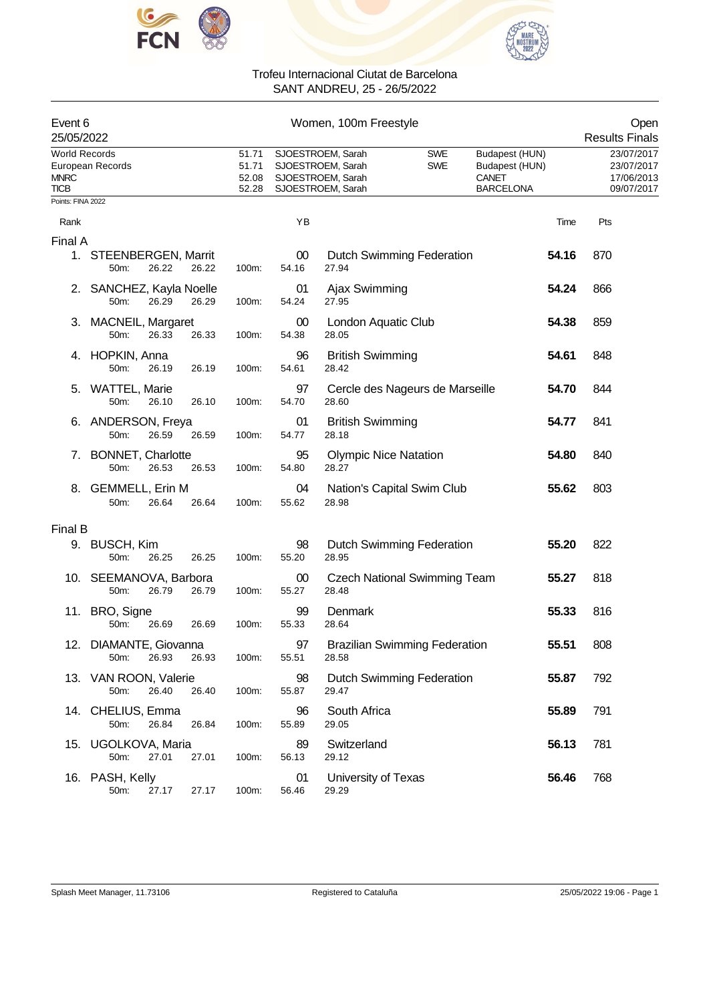



| Event 6<br>25/05/2022                       |                                  |       |       |                                  |                 | Open<br><b>Results Finals</b>                                                    |                                      |                                                                      |       |                                                      |
|---------------------------------------------|----------------------------------|-------|-------|----------------------------------|-----------------|----------------------------------------------------------------------------------|--------------------------------------|----------------------------------------------------------------------|-------|------------------------------------------------------|
| <b>World Records</b><br><b>MNRC</b><br>TICB | European Records                 |       |       | 51.71<br>51.71<br>52.08<br>52.28 |                 | SJOESTROEM, Sarah<br>SJOESTROEM, Sarah<br>SJOESTROEM, Sarah<br>SJOESTROEM, Sarah | <b>SWE</b><br><b>SWE</b>             | Budapest (HUN)<br>Budapest (HUN)<br><b>CANET</b><br><b>BARCELONA</b> |       | 23/07/2017<br>23/07/2017<br>17/06/2013<br>09/07/2017 |
| Points: FINA 2022                           |                                  |       |       |                                  |                 |                                                                                  |                                      |                                                                      |       |                                                      |
| Rank                                        |                                  |       |       |                                  | YB              |                                                                                  |                                      |                                                                      | Time  | Pts                                                  |
| Final A                                     |                                  |       |       |                                  |                 |                                                                                  |                                      |                                                                      |       |                                                      |
|                                             | 1. STEENBERGEN, Marrit<br>50m:   | 26.22 | 26.22 | 100m:                            | $00\,$<br>54.16 | 27.94                                                                            | <b>Dutch Swimming Federation</b>     |                                                                      | 54.16 | 870                                                  |
| 2.                                          | SANCHEZ, Kayla Noelle<br>50m:    | 26.29 | 26.29 | 100m:                            | 01<br>54.24     | Ajax Swimming<br>27.95                                                           |                                      |                                                                      | 54.24 | 866                                                  |
|                                             | 3. MACNEIL, Margaret<br>50m:     | 26.33 | 26.33 | 100m:                            | 00<br>54.38     | London Aquatic Club<br>28.05                                                     |                                      |                                                                      | 54.38 | 859                                                  |
| 4.                                          | HOPKIN, Anna<br>50m:             | 26.19 | 26.19 | 100m:                            | 96<br>54.61     | <b>British Swimming</b><br>28.42                                                 |                                      |                                                                      | 54.61 | 848                                                  |
| 5.                                          | <b>WATTEL, Marie</b><br>50m:     | 26.10 | 26.10 | 100m:                            | 97<br>54.70     | 28.60                                                                            | Cercle des Nageurs de Marseille      |                                                                      | 54.70 | 844                                                  |
|                                             | 6. ANDERSON, Freya<br>50m:       | 26.59 | 26.59 | 100m:                            | 01<br>54.77     | <b>British Swimming</b><br>28.18                                                 |                                      |                                                                      | 54.77 | 841                                                  |
| $\mathcal{L}$ .                             | <b>BONNET, Charlotte</b><br>50m: | 26.53 | 26.53 | 100m:                            | 95<br>54.80     | <b>Olympic Nice Natation</b><br>28.27                                            |                                      |                                                                      | 54.80 | 840                                                  |
| 8.                                          | <b>GEMMELL, Erin M</b><br>50m:   | 26.64 | 26.64 | 100m:                            | 04<br>55.62     | 28.98                                                                            | Nation's Capital Swim Club           |                                                                      | 55.62 | 803                                                  |
| Final B                                     |                                  |       |       |                                  |                 |                                                                                  |                                      |                                                                      |       |                                                      |
|                                             | 9. BUSCH, Kim<br>50m:            | 26.25 | 26.25 | 100m:                            | 98<br>55.20     | 28.95                                                                            | Dutch Swimming Federation            |                                                                      | 55.20 | 822                                                  |
|                                             | 10. SEEMANOVA, Barbora<br>50m:   | 26.79 | 26.79 | 100m:                            | 00<br>55.27     | 28.48                                                                            | <b>Czech National Swimming Team</b>  |                                                                      | 55.27 | 818                                                  |
|                                             | 11. BRO, Signe<br>50m:           | 26.69 | 26.69 | 100m:                            | 99<br>55.33     | Denmark<br>28.64                                                                 |                                      |                                                                      | 55.33 | 816                                                  |
|                                             | 12. DIAMANTE, Giovanna<br>50m:   | 26.93 | 26.93 | 100m:                            | 97<br>55.51     | 28.58                                                                            | <b>Brazilian Swimming Federation</b> |                                                                      | 55.51 | 808                                                  |
|                                             | 13. VAN ROON, Valerie<br>50m:    | 26.40 | 26.40 | 100m:                            | 98<br>55.87     | 29.47                                                                            | <b>Dutch Swimming Federation</b>     |                                                                      | 55.87 | 792                                                  |
|                                             | 14. CHELIUS, Emma<br>50m:        | 26.84 | 26.84 | 100m:                            | 96<br>55.89     | South Africa<br>29.05                                                            |                                      |                                                                      | 55.89 | 791                                                  |
|                                             | 15. UGOLKOVA, Maria<br>50m:      | 27.01 | 27.01 | 100m:                            | 89<br>56.13     | Switzerland<br>29.12                                                             |                                      |                                                                      | 56.13 | 781                                                  |
|                                             | 16. PASH, Kelly<br>50m:          | 27.17 | 27.17 | 100m:                            | 01<br>56.46     | University of Texas<br>29.29                                                     |                                      |                                                                      | 56.46 | 768                                                  |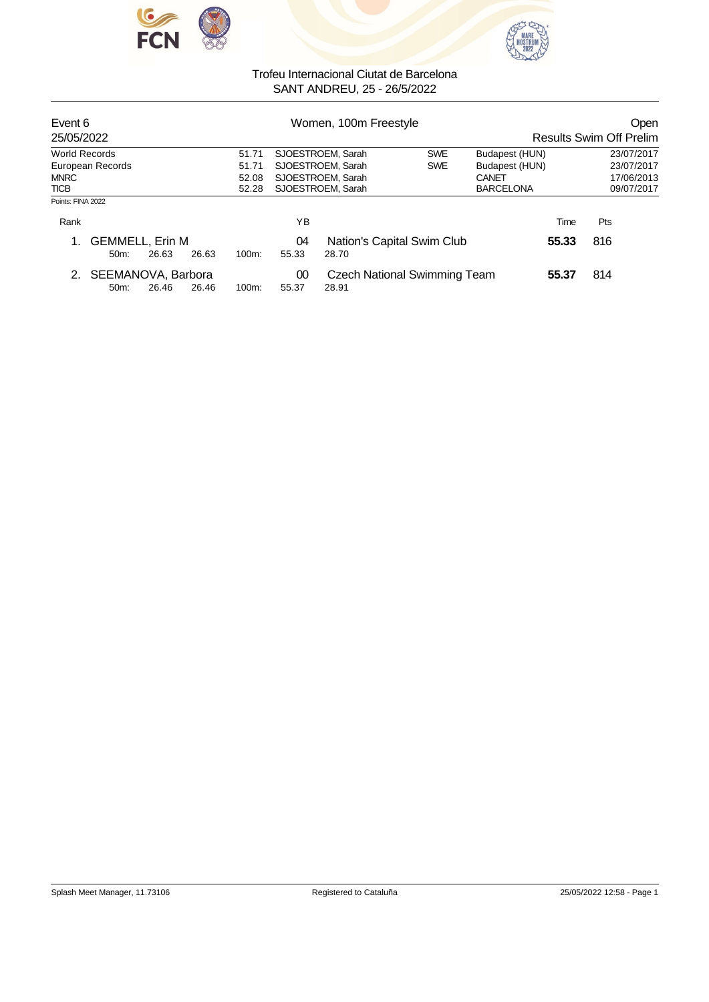



|                  |                  |                                                       | Women, 100m Freestyle           |       | Open<br><b>Results Swim Off Prelim</b>                               |                  |                                                                   |                        |
|------------------|------------------|-------------------------------------------------------|---------------------------------|-------|----------------------------------------------------------------------|------------------|-------------------------------------------------------------------|------------------------|
|                  |                  | 51.71                                                 | <b>SWE</b><br>SJOESTROEM, Sarah |       |                                                                      | Budapest (HUN)   | 23/07/2017                                                        |                        |
| European Records |                  | 51.71                                                 |                                 |       | <b>SWE</b>                                                           | Budapest (HUN)   |                                                                   | 23/07/2017             |
|                  |                  | 52.08                                                 |                                 |       |                                                                      | CANET            |                                                                   | 17/06/2013             |
|                  |                  | 52.28                                                 |                                 |       |                                                                      | <b>BARCELONA</b> |                                                                   | 09/07/2017             |
|                  |                  |                                                       |                                 |       |                                                                      |                  |                                                                   |                        |
|                  |                  |                                                       | ΥB                              |       |                                                                      |                  |                                                                   | <b>Pts</b>             |
| 26.63<br>50m     | 26.63            | 100m:                                                 | 04<br>55.33                     | 28.70 |                                                                      |                  |                                                                   | 816                    |
|                  |                  |                                                       | 00                              |       |                                                                      |                  |                                                                   | 814                    |
|                  | $50m$ :<br>26.46 | <b>GEMMELL, Erin M</b><br>SEEMANOVA, Barbora<br>26.46 | $100m$ :                        | 55.37 | SJOESTROEM, Sarah<br>SJOESTROEM, Sarah<br>SJOESTROEM, Sarah<br>28.91 |                  | Nation's Capital Swim Club<br><b>Czech National Swimming Team</b> | Time<br>55.33<br>55.37 |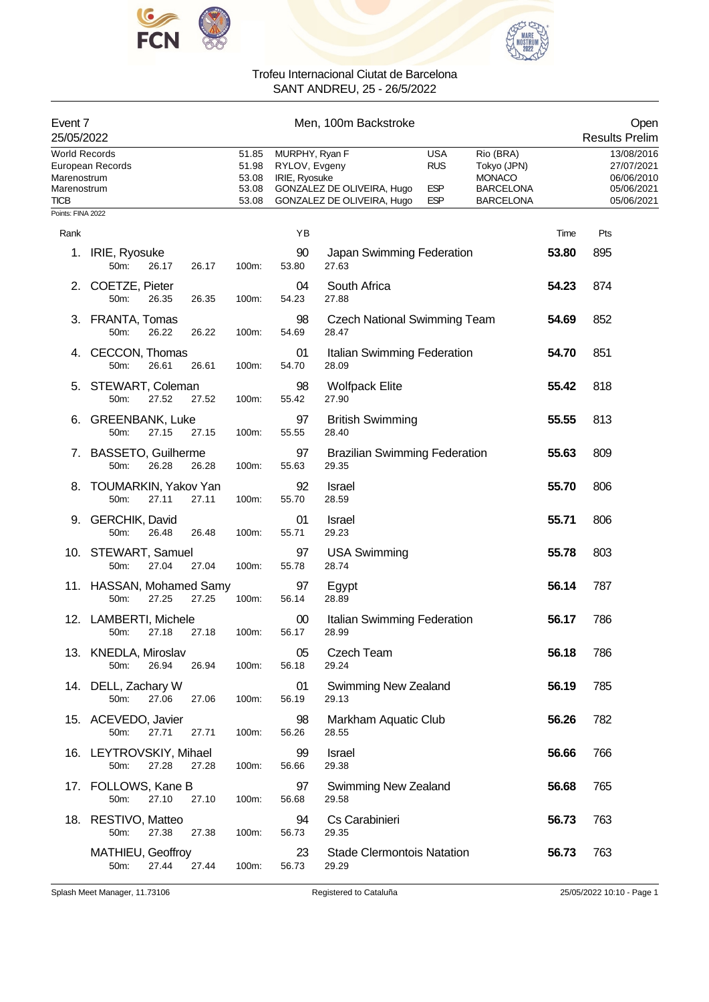



| Event 7<br>25/05/2022                                             |                                            |       |                                           |                                                  | Men, 100m Backstroke                                     |                                                      |                                                                                   |               | Open<br><b>Results Prelim</b>                                      |
|-------------------------------------------------------------------|--------------------------------------------|-------|-------------------------------------------|--------------------------------------------------|----------------------------------------------------------|------------------------------------------------------|-----------------------------------------------------------------------------------|---------------|--------------------------------------------------------------------|
| <b>World Records</b><br>Marenostrum<br>Marenostrum<br><b>TICB</b> | European Records                           |       | 51.85<br>51.98<br>53.08<br>53.08<br>53.08 | MURPHY, Ryan F<br>RYLOV, Evgeny<br>IRIE, Ryosuke | GONZALEZ DE OLIVEIRA, Hugo<br>GONZALEZ DE OLIVEIRA, Hugo | <b>USA</b><br><b>RUS</b><br><b>ESP</b><br><b>ESP</b> | Rio (BRA)<br>Tokyo (JPN)<br><b>MONACO</b><br><b>BARCELONA</b><br><b>BARCELONA</b> |               | 13/08/2016<br>27/07/2021<br>06/06/2010<br>05/06/2021<br>05/06/2021 |
| Points: FINA 2022                                                 |                                            |       |                                           | YB                                               |                                                          |                                                      |                                                                                   |               | Pts                                                                |
| Rank<br>1.                                                        | IRIE, Ryosuke<br>50m:<br>26.17             | 26.17 | 100m:                                     | 90<br>53.80                                      | Japan Swimming Federation<br>27.63                       |                                                      |                                                                                   | Time<br>53.80 | 895                                                                |
| 2.                                                                | COETZE, Pieter<br>50m:<br>26.35            | 26.35 | 100m:                                     | 04<br>54.23                                      | South Africa<br>27.88                                    |                                                      |                                                                                   | 54.23         | 874                                                                |
| З.                                                                | FRANTA, Tomas<br>50m:<br>26.22             | 26.22 | 100m:                                     | 98<br>54.69                                      | <b>Czech National Swimming Team</b><br>28.47             |                                                      |                                                                                   | 54.69         | 852                                                                |
| 4.                                                                | CECCON, Thomas<br>50m:<br>26.61            | 26.61 | 100m:                                     | 01<br>54.70                                      | Italian Swimming Federation<br>28.09                     |                                                      |                                                                                   | 54.70         | 851                                                                |
| 5.                                                                | STEWART, Coleman<br>27.52<br>50m:          | 27.52 | 100m:                                     | 98<br>55.42                                      | <b>Wolfpack Elite</b><br>27.90                           |                                                      |                                                                                   | 55.42         | 818                                                                |
| 6.                                                                | <b>GREENBANK, Luke</b><br>50m:<br>27.15    | 27.15 | 100m:                                     | 97<br>55.55                                      | <b>British Swimming</b><br>28.40                         |                                                      |                                                                                   | 55.55         | 813                                                                |
| 7.                                                                | <b>BASSETO, Guilherme</b><br>50m:<br>26.28 | 26.28 | 100m:                                     | 97<br>55.63                                      | <b>Brazilian Swimming Federation</b><br>29.35            |                                                      |                                                                                   | 55.63         | 809                                                                |
| 8.                                                                | TOUMARKIN, Yakov Yan<br>50m:<br>27.11      | 27.11 | 100m:                                     | 92<br>55.70                                      | <b>Israel</b><br>28.59                                   |                                                      |                                                                                   | 55.70         | 806                                                                |
| 9.                                                                | <b>GERCHIK, David</b><br>50m:<br>26.48     | 26.48 | 100m:                                     | 01<br>55.71                                      | <b>Israel</b><br>29.23                                   |                                                      |                                                                                   | 55.71         | 806                                                                |
|                                                                   | 10. STEWART, Samuel<br>50m:<br>27.04       | 27.04 | 100m:                                     | 97<br>55.78                                      | <b>USA Swimming</b><br>28.74                             |                                                      |                                                                                   | 55.78         | 803                                                                |
|                                                                   | 11. HASSAN, Mohamed Samy<br>50m:<br>27.25  | 27.25 | 100m:                                     | 97<br>56.14                                      | Egypt<br>28.89                                           |                                                      |                                                                                   | 56.14         | 787                                                                |
| 12.                                                               | <b>LAMBERTI, Michele</b><br>50m:<br>27.18  | 27.18 | 100m:                                     | 00<br>56.17                                      | Italian Swimming Federation<br>28.99                     |                                                      |                                                                                   | 56.17         | 786                                                                |
|                                                                   | 13. KNEDLA, Miroslav<br>50m:<br>26.94      | 26.94 | 100m:                                     | 05<br>56.18                                      | Czech Team<br>29.24                                      |                                                      |                                                                                   | 56.18         | 786                                                                |
|                                                                   | 14. DELL, Zachary W<br>50m:<br>27.06       | 27.06 | 100m:                                     | 01<br>56.19                                      | <b>Swimming New Zealand</b><br>29.13                     |                                                      |                                                                                   | 56.19         | 785                                                                |
|                                                                   | 15. ACEVEDO, Javier<br>50m:<br>27.71       | 27.71 | 100m:                                     | 98<br>56.26                                      | Markham Aquatic Club<br>28.55                            |                                                      |                                                                                   | 56.26         | 782                                                                |
|                                                                   | 16. LEYTROVSKIY, Mihael<br>50m:<br>27.28   | 27.28 | 100m:                                     | 99<br>56.66                                      | Israel<br>29.38                                          |                                                      |                                                                                   | 56.66         | 766                                                                |
|                                                                   | 17. FOLLOWS, Kane B<br>27.10<br>50m:       | 27.10 | 100m:                                     | 97<br>56.68                                      | <b>Swimming New Zealand</b><br>29.58                     |                                                      |                                                                                   | 56.68         | 765                                                                |
|                                                                   | 18. RESTIVO, Matteo<br>27.38<br>50m:       | 27.38 | 100m:                                     | 94<br>56.73                                      | Cs Carabinieri<br>29.35                                  |                                                      |                                                                                   | 56.73         | 763                                                                |
|                                                                   | MATHIEU, Geoffroy<br>27.44<br>50m:         | 27.44 | 100m:                                     | 23<br>56.73                                      | <b>Stade Clermontois Natation</b><br>29.29               |                                                      |                                                                                   | 56.73         | 763                                                                |

Splash Meet Manager, 11.73106 Registered to Cataluña 25/05/2022 10:10 - Page 1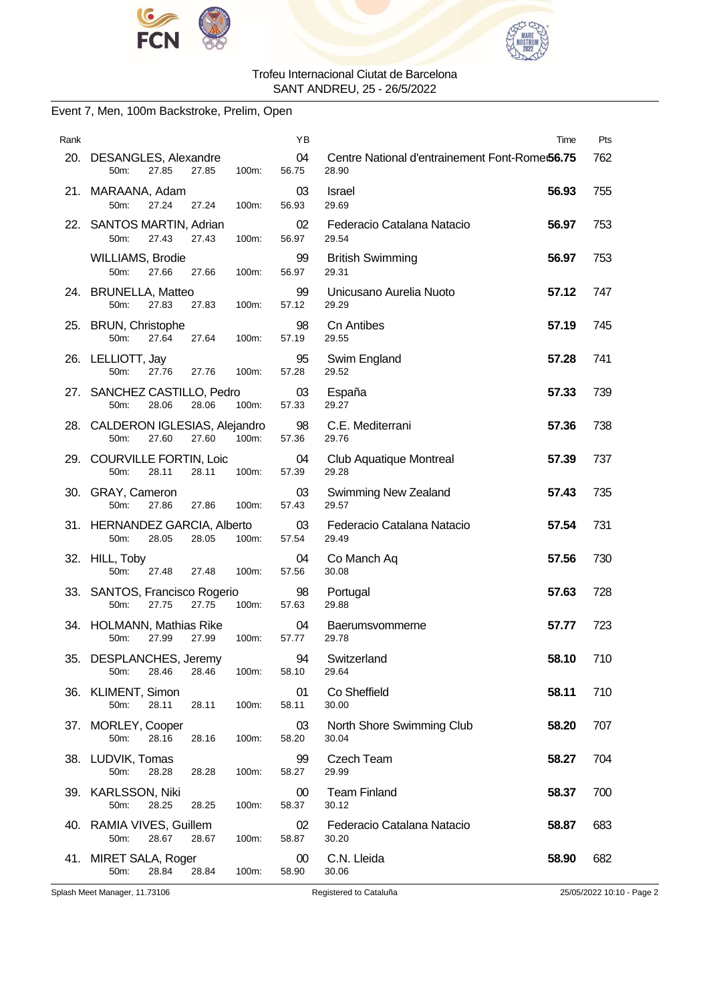



### Event 7, Men, 100m Backstroke, Prelim, Open

| Rank |                                                                     | YB              |                                                         | Time  | Pts |
|------|---------------------------------------------------------------------|-----------------|---------------------------------------------------------|-------|-----|
|      | 20. DESANGLES, Alexandre<br>27.85<br>27.85<br>100m:<br>50m:         | 04<br>56.75     | Centre National d'entrainement Font-Rome:56.75<br>28.90 |       | 762 |
|      | 21. MARAANA, Adam<br>50m:<br>27.24<br>27.24<br>100m:                | 03<br>56.93     | Israel<br>29.69                                         | 56.93 | 755 |
|      | 22. SANTOS MARTIN, Adrian<br>27.43<br>50m:<br>27.43<br>100m:        | 02<br>56.97     | Federacio Catalana Natacio<br>29.54                     | 56.97 | 753 |
|      | WILLIAMS, Brodie<br>50m:<br>27.66<br>100m:<br>27.66                 | 99<br>56.97     | <b>British Swimming</b><br>29.31                        | 56.97 | 753 |
|      | 24. BRUNELLA, Matteo<br>50m:<br>27.83<br>27.83<br>100m:             | 99<br>57.12     | Unicusano Aurelia Nuoto<br>29.29                        | 57.12 | 747 |
|      | 25. BRUN, Christophe<br>50m:<br>27.64<br>27.64<br>100m:             | 98<br>57.19     | <b>Cn Antibes</b><br>29.55                              | 57.19 | 745 |
|      | 26. LELLIOTT, Jay<br>50m:<br>27.76<br>100m:<br>27.76                | 95<br>57.28     | Swim England<br>29.52                                   | 57.28 | 741 |
|      | 27. SANCHEZ CASTILLO, Pedro<br>50m:<br>28.06<br>28.06<br>100m:      | 03<br>57.33     | España<br>29.27                                         | 57.33 | 739 |
|      | 28. CALDERON IGLESIAS, Alejandro<br>27.60<br>27.60<br>100m:<br>50m: | 98<br>57.36     | C.E. Mediterrani<br>29.76                               | 57.36 | 738 |
|      | 29. COURVILLE FORTIN, Loic<br>50m:<br>28.11<br>28.11<br>100m:       | 04<br>57.39     | Club Aquatique Montreal<br>29.28                        | 57.39 | 737 |
|      | 30. GRAY, Cameron<br>50m:<br>27.86<br>27.86<br>100m:                | 03<br>57.43     | Swimming New Zealand<br>29.57                           | 57.43 | 735 |
|      | 31. HERNANDEZ GARCIA, Alberto<br>50m:<br>28.05<br>28.05<br>100m:    | 03<br>57.54     | Federacio Catalana Natacio<br>29.49                     | 57.54 | 731 |
|      | 32. HILL, Toby<br>50m:<br>27.48<br>100m:<br>27.48                   | 04<br>57.56     | Co Manch Aq<br>30.08                                    | 57.56 | 730 |
|      | 33. SANTOS, Francisco Rogerio<br>27.75<br>50m:<br>27.75<br>100m:    | 98<br>57.63     | Portugal<br>29.88                                       | 57.63 | 728 |
|      | 34. HOLMANN, Mathias Rike<br>$50m$ :<br>27.99<br>27.99<br>100m:     | 04<br>57.77     | Baerumsvommerne<br>29.78                                | 57.77 | 723 |
|      | 35. DESPLANCHES, Jeremy<br>28.46<br>100m:<br>50m:<br>28.46          | 94<br>58.10     | Switzerland<br>29.64                                    | 58.10 | 710 |
|      | 36. KLIMENT, Simon<br>50m:<br>28.11<br>28.11<br>100m:               | 01<br>58.11     | Co Sheffield<br>30.00                                   | 58.11 | 710 |
|      | 37. MORLEY, Cooper<br>50m:<br>28.16<br>28.16<br>100m:               | 03<br>58.20     | North Shore Swimming Club<br>30.04                      | 58.20 | 707 |
|      | 38. LUDVIK, Tomas<br>50m:<br>28.28<br>28.28<br>100m:                | 99<br>58.27     | Czech Team<br>29.99                                     | 58.27 | 704 |
|      | 39. KARLSSON, Niki<br>28.25<br>50m:<br>28.25<br>100m:               | $00\,$<br>58.37 | <b>Team Finland</b><br>30.12                            | 58.37 | 700 |
|      | 40. RAMIA VIVES, Guillem<br>50m:<br>28.67<br>28.67<br>100m:         | 02<br>58.87     | Federacio Catalana Natacio<br>30.20                     | 58.87 | 683 |
|      | 41. MIRET SALA, Roger<br>50m:<br>28.84<br>28.84<br>100m:            | 00<br>58.90     | C.N. Lleida<br>30.06                                    | 58.90 | 682 |

Splash Meet Manager, 11.73106 Registered to Cataluña 25/05/2022 10:10 - Page 2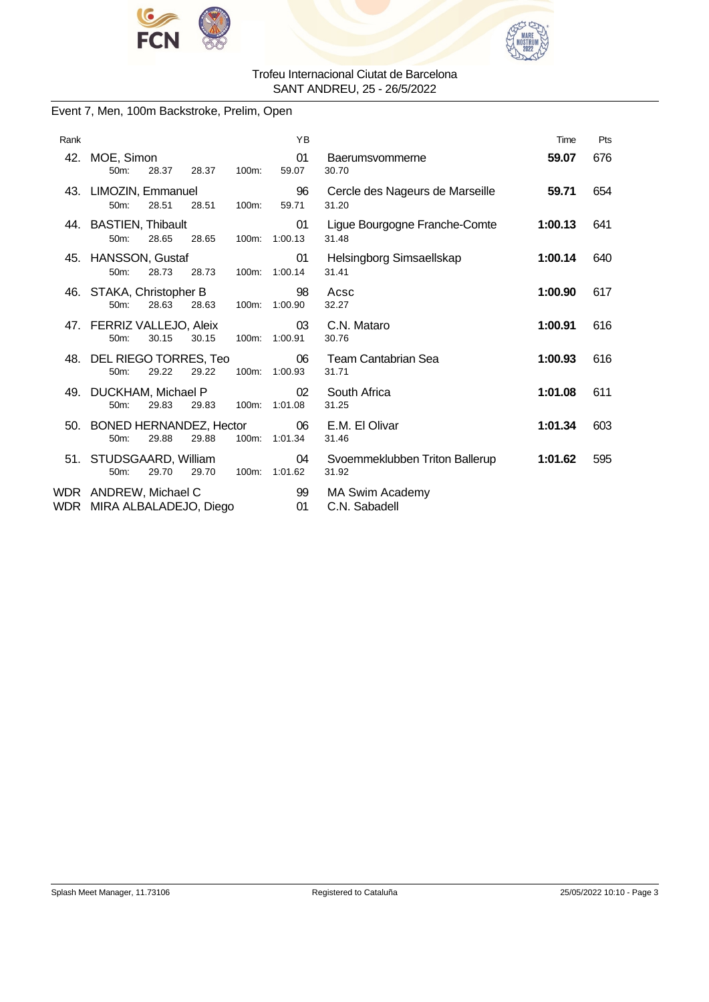



### Event 7, Men, 100m Backstroke, Prelim, Open

| Rank |                                                     |                   | YB                  |                                          | Time    | Pts |
|------|-----------------------------------------------------|-------------------|---------------------|------------------------------------------|---------|-----|
| 42.  | MOE, Simon<br>28.37<br>50m:                         | 28.37<br>100m:    | 01<br>59.07         | Baerumsvommerne<br>30.70                 | 59.07   | 676 |
|      | 43. LIMOZIN, Emmanuel<br>$50m$ :<br>28.51           | 28.51<br>100m:    | 96<br>59.71         | Cercle des Nageurs de Marseille<br>31.20 | 59.71   | 654 |
|      | 44. BASTIEN, Thibault<br>50m:<br>28.65              | 28.65<br>100m:    | 01<br>1:00.13       | Ligue Bourgogne Franche-Comte<br>31.48   | 1:00.13 | 641 |
|      | 45. HANSSON, Gustaf<br>28.73<br>50m:                | 28.73<br>$100m$ : | 01<br>1:00.14       | Helsingborg Simsaellskap<br>31.41        | 1:00.14 | 640 |
|      | 46. STAKA, Christopher B<br>28.63<br>50m:           | 28.63<br>100m:    | 98<br>1:00.90       | Acsc<br>32.27                            | 1:00.90 | 617 |
|      | 47. FERRIZ VALLEJO, Aleix<br>30.15<br>50m:          | 30.15<br>100m:    | 03<br>1:00.91       | C.N. Mataro<br>30.76                     | 1:00.91 | 616 |
| 48.  | DEL RIEGO TORRES, Teo<br>29.22<br>$50m$ :           | 29.22<br>100m:    | 06<br>1:00.93       | <b>Team Cantabrian Sea</b><br>31.71      | 1:00.93 | 616 |
|      | 49. DUCKHAM, Michael P<br>29.83<br>50m:             | 29.83             | 02<br>100m: 1:01.08 | South Africa<br>31.25                    | 1:01.08 | 611 |
|      | 50. BONED HERNANDEZ, Hector<br>29.88<br>50m:        | 29.88<br>$100m$ : | 06<br>1:01.34       | E.M. El Olivar<br>31.46                  | 1:01.34 | 603 |
|      | 51. STUDSGAARD, William<br>29.70<br>50m:            | 29.70<br>100m:    | 04<br>1:01.62       | Svoemmeklubben Triton Ballerup<br>31.92  | 1:01.62 | 595 |
|      | WDR ANDREW, Michael C<br>WDR MIRA ALBALADEJO, Diego |                   | 99<br>01            | <b>MA Swim Academy</b><br>C.N. Sabadell  |         |     |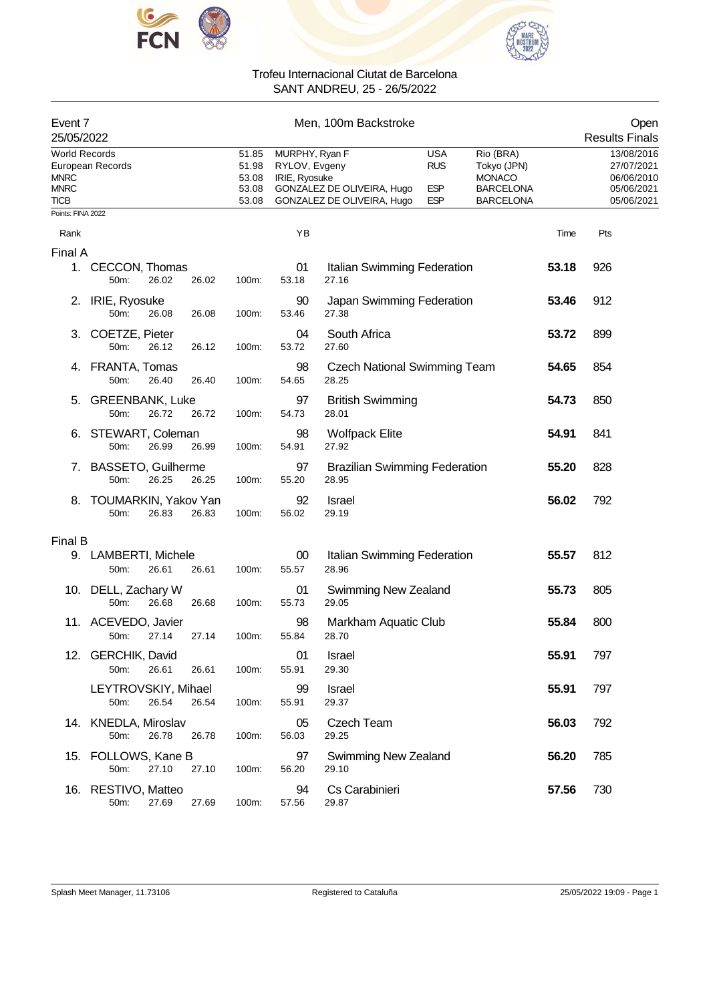



| Event 7<br>25/05/2022                                             |                                     |       |       |                                           |                                                  | Men, 100m Backstroke                                     |                                                      |                                                                                   |       | Open<br><b>Results Finals</b>                                      |
|-------------------------------------------------------------------|-------------------------------------|-------|-------|-------------------------------------------|--------------------------------------------------|----------------------------------------------------------|------------------------------------------------------|-----------------------------------------------------------------------------------|-------|--------------------------------------------------------------------|
| <b>World Records</b><br><b>MNRC</b><br><b>MNRC</b><br><b>TICB</b> | European Records                    |       |       | 51.85<br>51.98<br>53.08<br>53.08<br>53.08 | MURPHY, Ryan F<br>RYLOV, Evgeny<br>IRIE, Ryosuke | GONZALEZ DE OLIVEIRA, Hugo<br>GONZALEZ DE OLIVEIRA, Hugo | <b>USA</b><br><b>RUS</b><br><b>ESP</b><br><b>ESP</b> | Rio (BRA)<br>Tokyo (JPN)<br><b>MONACO</b><br><b>BARCELONA</b><br><b>BARCELONA</b> |       | 13/08/2016<br>27/07/2021<br>06/06/2010<br>05/06/2021<br>05/06/2021 |
| Points: FINA 2022                                                 |                                     |       |       |                                           |                                                  |                                                          |                                                      |                                                                                   |       |                                                                    |
| Rank                                                              |                                     |       |       |                                           | YB                                               |                                                          |                                                      |                                                                                   | Time  | Pts                                                                |
| Final A                                                           |                                     |       |       |                                           |                                                  |                                                          |                                                      |                                                                                   |       |                                                                    |
| 1.                                                                | CECCON, Thomas<br>50m:              | 26.02 | 26.02 | 100m:                                     | 01<br>53.18                                      | Italian Swimming Federation<br>27.16                     |                                                      |                                                                                   | 53.18 | 926                                                                |
| 2.                                                                | IRIE, Ryosuke<br>50m:               | 26.08 | 26.08 | 100m:                                     | 90<br>53.46                                      | Japan Swimming Federation<br>27.38                       |                                                      |                                                                                   | 53.46 | 912                                                                |
| 3.                                                                | COETZE, Pieter<br>50m:              | 26.12 | 26.12 | 100m:                                     | 04<br>53.72                                      | South Africa<br>27.60                                    |                                                      |                                                                                   | 53.72 | 899                                                                |
|                                                                   | 4. FRANTA, Tomas<br>50m:            | 26.40 | 26.40 | 100m:                                     | 98<br>54.65                                      | <b>Czech National Swimming Team</b><br>28.25             |                                                      |                                                                                   | 54.65 | 854                                                                |
| 5.                                                                | <b>GREENBANK, Luke</b><br>50m:      | 26.72 | 26.72 | 100m:                                     | 97<br>54.73                                      | <b>British Swimming</b><br>28.01                         |                                                      |                                                                                   | 54.73 | 850                                                                |
| 6.                                                                | STEWART, Coleman<br>50m:            | 26.99 | 26.99 | 100m:                                     | 98<br>54.91                                      | <b>Wolfpack Elite</b><br>27.92                           |                                                      |                                                                                   | 54.91 | 841                                                                |
| 7.                                                                | <b>BASSETO, Guilherme</b><br>50m:   | 26.25 | 26.25 | 100m:                                     | 97<br>55.20                                      | <b>Brazilian Swimming Federation</b><br>28.95            |                                                      |                                                                                   | 55.20 | 828                                                                |
| 8.                                                                | <b>TOUMARKIN, Yakov Yan</b><br>50m: | 26.83 | 26.83 | 100m:                                     | 92<br>56.02                                      | <b>Israel</b><br>29.19                                   |                                                      |                                                                                   | 56.02 | 792                                                                |
| Final B                                                           |                                     |       |       |                                           |                                                  |                                                          |                                                      |                                                                                   |       |                                                                    |
|                                                                   | 9. LAMBERTI, Michele<br>50m:        | 26.61 | 26.61 | 100m:                                     | 00<br>55.57                                      | Italian Swimming Federation<br>28.96                     |                                                      |                                                                                   | 55.57 | 812                                                                |
|                                                                   | 10. DELL, Zachary W<br>50m:         | 26.68 | 26.68 | 100m:                                     | 01<br>55.73                                      | <b>Swimming New Zealand</b><br>29.05                     |                                                      |                                                                                   | 55.73 | 805                                                                |
|                                                                   | 11. ACEVEDO, Javier<br>50m:         | 27.14 | 27.14 | 100m:                                     | 98<br>55.84                                      | Markham Aquatic Club<br>28.70                            |                                                      |                                                                                   | 55.84 | 800                                                                |
|                                                                   | 12. GERCHIK, David<br>50m:          | 26.61 | 26.61 | 100m:                                     | 01<br>55.91                                      | Israel<br>29.30                                          |                                                      |                                                                                   | 55.91 | 797                                                                |
|                                                                   | LEYTROVSKIY, Mihael<br>50m:         | 26.54 | 26.54 | 100m:                                     | 99<br>55.91                                      | Israel<br>29.37                                          |                                                      |                                                                                   | 55.91 | 797                                                                |
|                                                                   | 14. KNEDLA, Miroslav<br>50m:        | 26.78 | 26.78 | 100m:                                     | 05<br>56.03                                      | Czech Team<br>29.25                                      |                                                      |                                                                                   | 56.03 | 792                                                                |
|                                                                   | 15. FOLLOWS, Kane B<br>50m:         | 27.10 | 27.10 | 100m:                                     | 97<br>56.20                                      | <b>Swimming New Zealand</b><br>29.10                     |                                                      |                                                                                   | 56.20 | 785                                                                |
|                                                                   | 16. RESTIVO, Matteo<br>50m:         | 27.69 | 27.69 | 100m:                                     | 94<br>57.56                                      | Cs Carabinieri<br>29.87                                  |                                                      |                                                                                   | 57.56 | 730                                                                |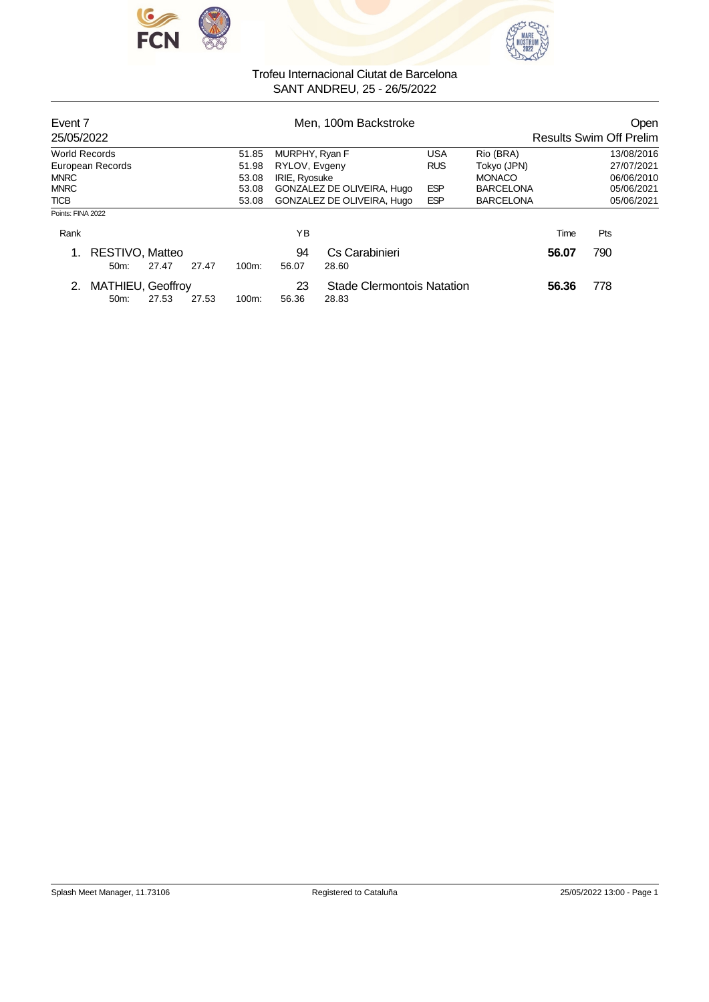



| Event 7<br>25/05/2022    |                 |       |                                          |                                                              |                | Men, 100m Backstroke |               | Open<br><b>Results Swim Off Prelim</b> |            |            |
|--------------------------|-----------------|-------|------------------------------------------|--------------------------------------------------------------|----------------|----------------------|---------------|----------------------------------------|------------|------------|
| <b>World Records</b>     |                 |       |                                          | 51.85                                                        | MURPHY, Ryan F |                      | <b>USA</b>    | Rio (BRA)                              |            | 13/08/2016 |
| European Records         |                 |       | 51.98                                    | RYLOV, Evgeny                                                |                | <b>RUS</b>           | Tokyo (JPN)   |                                        | 27/07/2021 |            |
| <b>MNRC</b>              |                 |       | 53.08                                    | IRIE, Ryosuke                                                |                |                      | <b>MONACO</b> |                                        | 06/06/2010 |            |
| <b>MNRC</b>              |                 |       | 53.08                                    | <b>ESP</b><br>GONZALEZ DE OLIVEIRA, Hugo<br><b>BARCELONA</b> |                |                      |               | 05/06/2021                             |            |            |
| <b>TICB</b>              |                 | 53.08 | GONZALEZ DE OLIVEIRA, Hugo<br><b>ESP</b> |                                                              |                | <b>BARCELONA</b>     |               | 05/06/2021                             |            |            |
| Points: FINA 2022        |                 |       |                                          |                                                              |                |                      |               |                                        |            |            |
| Rank                     |                 |       |                                          |                                                              | YB             |                      |               |                                        | Time       | Pts        |
|                          | RESTIVO, Matteo |       |                                          |                                                              | 94             | Cs Carabinieri       |               |                                        | 56.07      | 790        |
|                          | $50m$ :         | 27.47 | 27.47                                    | $100m$ :                                                     | 56.07          | 28.60                |               |                                        |            |            |
| <b>MATHIEU, Geoffroy</b> |                 |       | 23                                       | Stade Clermontois Natation                                   |                |                      | 56.36         | 778                                    |            |            |
|                          | $50m$ :         | 27.53 | 27.53                                    | $100m$ :                                                     | 56.36          | 28.83                |               |                                        |            |            |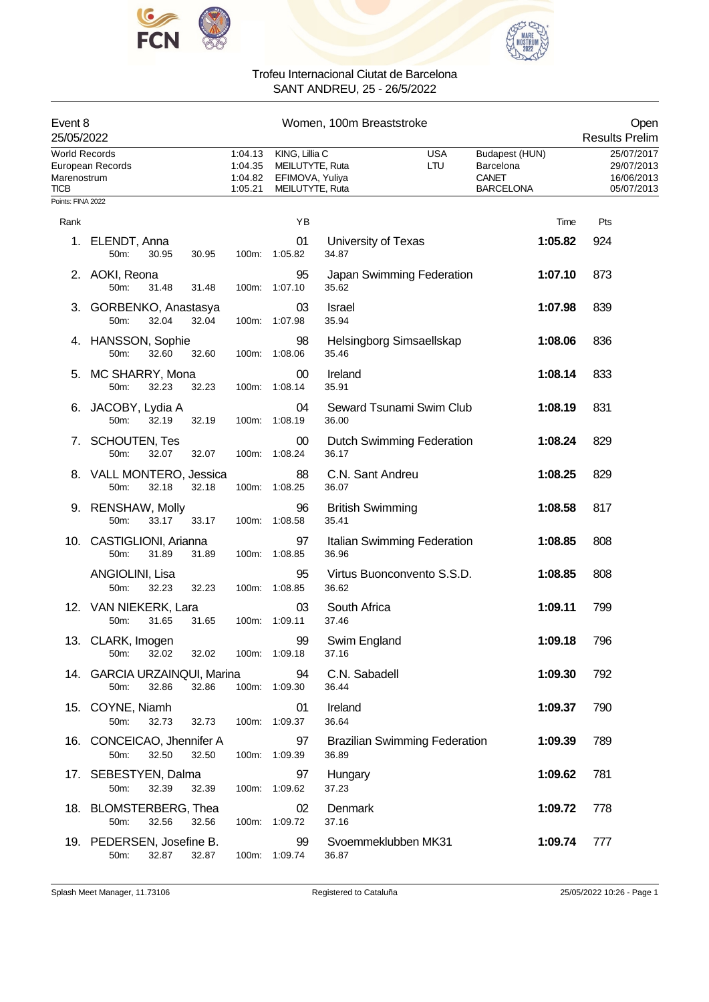



| Event 8<br>25/05/2022                                            |                                                        |                                          | Women, 100m Breaststroke                                                |                                  |                                      |                                                                 |                                                                               |  |  |
|------------------------------------------------------------------|--------------------------------------------------------|------------------------------------------|-------------------------------------------------------------------------|----------------------------------|--------------------------------------|-----------------------------------------------------------------|-------------------------------------------------------------------------------|--|--|
| <b>World Records</b><br>Marenostrum<br>TICB<br>Points: FINA 2022 | European Records                                       | 1:04.13<br>1:04.35<br>1:04.82<br>1:05.21 | KING, Lillia C<br>MEILUTYTE, Ruta<br>EFIMOVA, Yuliya<br>MEILUTYTE, Ruta |                                  | <b>USA</b><br>LTU                    | Budapest (HUN)<br>Barcelona<br><b>CANET</b><br><b>BARCELONA</b> | <b>Results Prelim</b><br>25/07/2017<br>29/07/2013<br>16/06/2013<br>05/07/2013 |  |  |
|                                                                  |                                                        |                                          |                                                                         |                                  |                                      |                                                                 |                                                                               |  |  |
| Rank                                                             |                                                        |                                          | YB                                                                      |                                  |                                      | Time                                                            | Pts                                                                           |  |  |
| 1.                                                               | ELENDT, Anna<br>50m:<br>30.95<br>30.95                 |                                          | 01<br>100m: 1:05.82                                                     | University of Texas<br>34.87     |                                      | 1:05.82                                                         | 924                                                                           |  |  |
|                                                                  | 2. AOKI, Reona<br>50m:<br>31.48<br>31.48               | 100m:                                    | 95<br>1:07.10                                                           | 35.62                            | Japan Swimming Federation            | 1:07.10                                                         | 873                                                                           |  |  |
|                                                                  | 3. GORBENKO, Anastasya<br>32.04<br>32.04<br>50m:       | 100m:                                    | 03<br>1.07.98                                                           | <b>Israel</b><br>35.94           |                                      | 1:07.98                                                         | 839                                                                           |  |  |
|                                                                  | 4. HANSSON, Sophie<br>32.60<br>50m:<br>32.60           | 100m:                                    | 98<br>1:08.06                                                           | 35.46                            | Helsingborg Simsaellskap             | 1:08.06                                                         | 836                                                                           |  |  |
| 5.                                                               | MC SHARRY, Mona<br>50m:<br>32.23<br>32.23              | 100m:                                    | 00<br>1:08.14                                                           | Ireland<br>35.91                 |                                      | 1:08.14                                                         | 833                                                                           |  |  |
|                                                                  | JACOBY, Lydia A<br>32.19<br>50m:<br>32.19              | 100m:                                    | 04<br>1:08.19                                                           | 36.00                            | Seward Tsunami Swim Club             | 1:08.19                                                         | 831                                                                           |  |  |
| 7.                                                               | <b>SCHOUTEN, Tes</b><br>32.07<br>50m:<br>32.07         | 100m:                                    | 00<br>1:08.24                                                           | 36.17                            | <b>Dutch Swimming Federation</b>     | 1:08.24                                                         | 829                                                                           |  |  |
|                                                                  | 8. VALL MONTERO, Jessica<br>50m:<br>32.18<br>32.18     |                                          | 88<br>100m: 1:08.25                                                     | C.N. Sant Andreu<br>36.07        |                                      | 1:08.25                                                         | 829                                                                           |  |  |
|                                                                  | 9. RENSHAW, Molly<br>33.17<br>50m:<br>33.17            | 100m:                                    | 96<br>1:08.58                                                           | <b>British Swimming</b><br>35.41 |                                      | 1:08.58                                                         | 817                                                                           |  |  |
|                                                                  | 10. CASTIGLIONI, Arianna<br>31.89<br>50m:<br>31.89     |                                          | 97<br>100m: 1:08.85                                                     | 36.96                            | Italian Swimming Federation          | 1:08.85                                                         | 808                                                                           |  |  |
|                                                                  | ANGIOLINI, Lisa<br>50m:<br>32.23<br>32.23              |                                          | 95<br>100m: 1:08.85                                                     | 36.62                            | Virtus Buonconvento S.S.D.           | 1:08.85                                                         | 808                                                                           |  |  |
|                                                                  | 12. VAN NIEKERK, Lara<br>31.65<br>31.65<br>50m:        | 100m:                                    | 03<br>1:09.11                                                           | South Africa<br>37.46            |                                      | 1:09.11                                                         | 799                                                                           |  |  |
|                                                                  | 13. CLARK, Imogen<br>32.02<br>32.02<br>50m:            |                                          | 99<br>100m: 1:09.18                                                     | Swim England<br>37.16            |                                      | 1:09.18                                                         | 796                                                                           |  |  |
|                                                                  | 14. GARCIA URZAINQUI, Marina<br>32.86<br>32.86<br>50m: |                                          | 94<br>100m: 1:09.30                                                     | C.N. Sabadell<br>36.44           |                                      | 1:09.30                                                         | 792                                                                           |  |  |
|                                                                  | 15. COYNE, Niamh<br>50m:<br>32.73<br>32.73             |                                          | 01<br>100m: 1:09.37                                                     | Ireland<br>36.64                 |                                      | 1:09.37                                                         | 790                                                                           |  |  |
|                                                                  | 16. CONCEICAO, Jhennifer A<br>32.50<br>50m:<br>32.50   |                                          | 97<br>100m: 1:09.39                                                     | 36.89                            | <b>Brazilian Swimming Federation</b> | 1:09.39                                                         | 789                                                                           |  |  |
|                                                                  | 17. SEBESTYEN, Dalma<br>50m:<br>32.39<br>32.39         |                                          | 97<br>100m: 1:09.62                                                     | Hungary<br>37.23                 |                                      | 1:09.62                                                         | 781                                                                           |  |  |
|                                                                  | 18. BLOMSTERBERG, Thea<br>50m:<br>32.56<br>32.56       |                                          | 02<br>100m: 1:09.72                                                     | Denmark<br>37.16                 |                                      | 1:09.72                                                         | 778                                                                           |  |  |
|                                                                  | 19. PEDERSEN, Josefine B.<br>32.87<br>32.87<br>50m:    |                                          | 99<br>100m: 1:09.74                                                     | 36.87                            | Svoemmeklubben MK31                  | 1:09.74                                                         | 777                                                                           |  |  |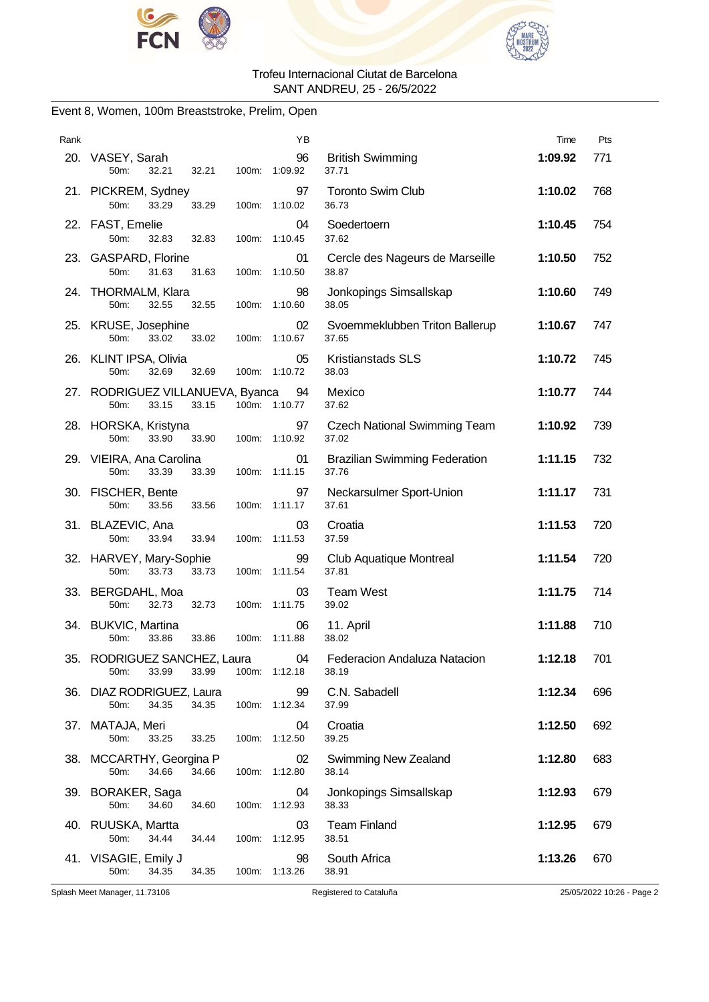



### Event 8, Women, 100m Breaststroke, Prelim, Open

| Rank |                                                            |       | YB                  |                                               | Time    | Pts |
|------|------------------------------------------------------------|-------|---------------------|-----------------------------------------------|---------|-----|
|      | 20. VASEY, Sarah<br>50 <sub>m</sub><br>32.21<br>32.21      |       | 96<br>100m: 1:09.92 | <b>British Swimming</b><br>37.71              | 1:09.92 | 771 |
|      | 21. PICKREM, Sydney<br>50m:<br>33.29<br>33.29              | 100m: | 97<br>1:10.02       | Toronto Swim Club<br>36.73                    | 1:10.02 | 768 |
|      | 22. FAST, Emelie<br>50m:<br>32.83<br>32.83                 |       | 04<br>100m: 1:10.45 | Soedertoern<br>37.62                          | 1:10.45 | 754 |
|      | 23. GASPARD, Florine<br>50m:<br>31.63<br>31.63             | 100m: | 01<br>1:10.50       | Cercle des Nageurs de Marseille<br>38.87      | 1:10.50 | 752 |
|      | 24. THORMALM, Klara<br>50m:<br>32.55<br>32.55              | 100m: | 98<br>1:10.60       | Jonkopings Simsallskap<br>38.05               | 1:10.60 | 749 |
|      | 25. KRUSE, Josephine<br>50m:<br>33.02<br>33.02             |       | 02<br>100m: 1:10.67 | Svoemmeklubben Triton Ballerup<br>37.65       | 1:10.67 | 747 |
|      | 26. KLINT IPSA, Olivia<br>50m:<br>32.69<br>32.69           | 100m: | 05<br>1:10.72       | <b>Kristianstads SLS</b><br>38.03             | 1:10.72 | 745 |
|      | 27. RODRIGUEZ VILLANUEVA, Byanca<br>50m:<br>33.15<br>33.15 |       | 94<br>100m: 1:10.77 | Mexico<br>37.62                               | 1:10.77 | 744 |
|      | 28. HORSKA, Kristyna<br>50m:<br>33.90<br>33.90             |       | 97<br>100m: 1:10.92 | <b>Czech National Swimming Team</b><br>37.02  | 1:10.92 | 739 |
|      | 29. VIEIRA, Ana Carolina<br>33.39<br>50m:<br>33.39         | 100m: | 01<br>1:11.15       | <b>Brazilian Swimming Federation</b><br>37.76 | 1:11.15 | 732 |
|      | 30. FISCHER, Bente<br>50m:<br>33.56<br>33.56               | 100m: | 97<br>1:11.17       | Neckarsulmer Sport-Union<br>37.61             | 1:11.17 | 731 |
|      | 31. BLAZEVIC, Ana<br>50m:<br>33.94<br>33.94                |       | 03<br>100m: 1:11.53 | Croatia<br>37.59                              | 1:11.53 | 720 |
|      | 32. HARVEY, Mary-Sophie<br>50m:<br>33.73<br>33.73          | 100m: | 99<br>1:11.54       | <b>Club Aquatique Montreal</b><br>37.81       | 1:11.54 | 720 |
|      | 33. BERGDAHL, Moa<br>50m:<br>32.73<br>32.73                | 100m: | 03<br>1:11.75       | <b>Team West</b><br>39.02                     | 1:11.75 | 714 |
|      | 34. BUKVIC, Martina<br>33.86<br>50m:<br>33.86              |       | 06<br>100m: 1:11.88 | 11. April<br>38.02                            | 1:11.88 | 710 |
| 35.  | RODRIGUEZ SANCHEZ, Laura<br>50m:<br>33.99<br>33.99         |       | 04<br>100m: 1:12.18 | Federacion Andaluza Natacion<br>38.19         | 1:12.18 | 701 |
|      | 36. DIAZ RODRIGUEZ, Laura<br>34.35<br>50m:<br>34.35        |       | 99<br>100m: 1:12.34 | C.N. Sabadell<br>37.99                        | 1:12.34 | 696 |
|      | 37. MATAJA, Meri<br>50m:<br>33.25<br>33.25                 | 100m: | 04<br>1:12.50       | Croatia<br>39.25                              | 1:12.50 | 692 |
|      | 38. MCCARTHY, Georgina P<br>34.66<br>50m:<br>34.66         | 100m: | 02<br>1:12.80       | Swimming New Zealand<br>38.14                 | 1:12.80 | 683 |
|      | 39. BORAKER, Saga<br>50m:<br>34.60<br>34.60                |       | 04<br>100m: 1:12.93 | Jonkopings Simsallskap<br>38.33               | 1:12.93 | 679 |
|      | 40. RUUSKA, Martta<br>50m:<br>34.44<br>34.44               | 100m: | 03<br>1:12.95       | <b>Team Finland</b><br>38.51                  | 1:12.95 | 679 |
|      | 41. VISAGIE, Emily J<br>50m:<br>34.35<br>34.35             | 100m: | 98<br>1:13.26       | South Africa<br>38.91                         | 1:13.26 | 670 |

Splash Meet Manager, 11.73106 Registered to Cataluña 25/05/2022 10:26 - Page 2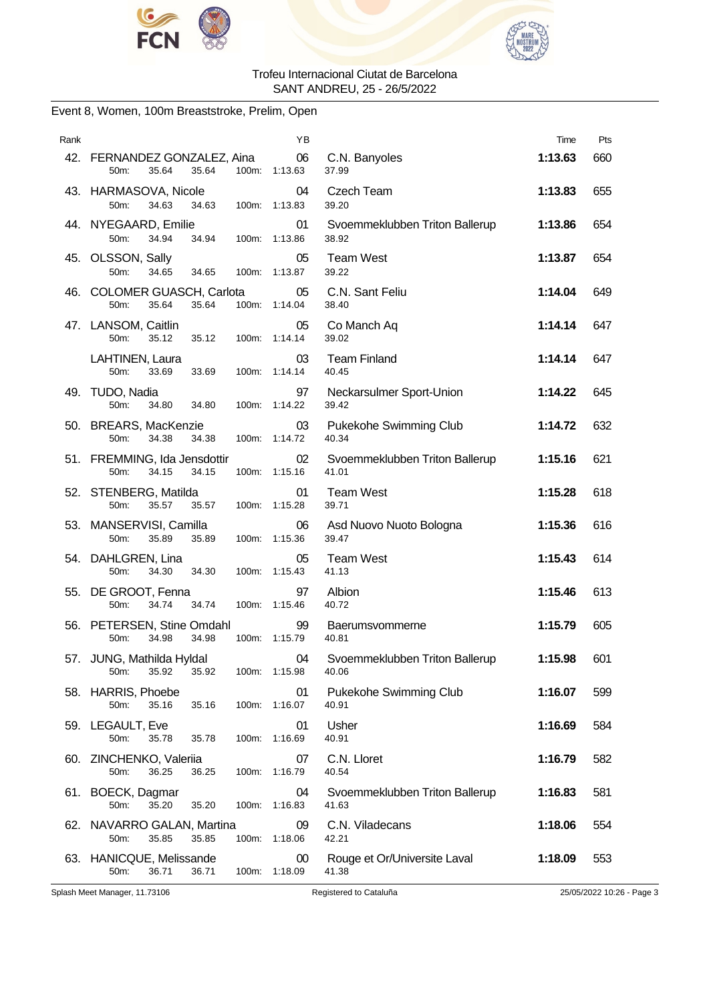



### Event 8, Women, 100m Breaststroke, Prelim, Open

| Rank |                                                               | ΥB                  |                                         | Time    | Pts |
|------|---------------------------------------------------------------|---------------------|-----------------------------------------|---------|-----|
|      | 42. FERNANDEZ GONZALEZ, Aina<br>35.64<br>35.64<br>50m:        | 06<br>100m: 1:13.63 | C.N. Banyoles<br>37.99                  | 1:13.63 | 660 |
|      | 43. HARMASOVA, Nicole<br>50m:<br>34.63<br>34.63               | 04<br>100m: 1:13.83 | Czech Team<br>39.20                     | 1:13.83 | 655 |
|      | 44. NYEGAARD, Emilie<br>34.94<br>34.94<br>50m:                | 01<br>100m: 1:13.86 | Svoemmeklubben Triton Ballerup<br>38.92 | 1:13.86 | 654 |
|      | 45. OLSSON, Sally<br>50m:<br>34.65<br>100m:<br>34.65          | 05<br>1:13.87       | <b>Team West</b><br>39.22               | 1:13.87 | 654 |
|      | 46. COLOMER GUASCH, Carlota<br>50m:<br>35.64<br>35.64         | 05<br>100m: 1:14.04 | C.N. Sant Feliu<br>38.40                | 1:14.04 | 649 |
|      | 47. LANSOM, Caitlin<br>50m:<br>35.12<br>35.12                 | 05<br>100m: 1:14.14 | Co Manch Aq<br>39.02                    | 1:14.14 | 647 |
|      | LAHTINEN, Laura<br>50m:<br>33.69<br>33.69                     | 03<br>100m: 1:14.14 | <b>Team Finland</b><br>40.45            | 1:14.14 | 647 |
|      | 49. TUDO, Nadia<br>50m:<br>34.80<br>34.80                     | 97<br>100m: 1:14.22 | Neckarsulmer Sport-Union<br>39.42       | 1:14.22 | 645 |
|      | 50. BREARS, MacKenzie<br>34.38<br>50m:<br>34.38               | 03<br>100m: 1:14.72 | Pukekohe Swimming Club<br>40.34         | 1:14.72 | 632 |
|      | 51. FREMMING, Ida Jensdottir<br>34.15<br>50m:<br>34.15        | 02<br>100m: 1:15.16 | Svoemmeklubben Triton Ballerup<br>41.01 | 1:15.16 | 621 |
|      | 52. STENBERG, Matilda<br>50m:<br>35.57<br>35.57               | 01<br>100m: 1:15.28 | <b>Team West</b><br>39.71               | 1:15.28 | 618 |
|      | 53. MANSERVISI, Camilla<br>50m:<br>35.89<br>35.89             | 06<br>100m: 1:15.36 | Asd Nuovo Nuoto Bologna<br>39.47        | 1:15.36 | 616 |
|      | 54. DAHLGREN, Lina<br>50m:<br>34.30<br>34.30                  | 05<br>100m: 1:15.43 | <b>Team West</b><br>41.13               | 1:15.43 | 614 |
|      | 55. DE GROOT, Fenna<br>34.74<br>34.74<br>50m:                 | 97<br>100m: 1:15.46 | Albion<br>40.72                         | 1:15.46 | 613 |
|      | 56. PETERSEN, Stine Omdahl<br>34.98<br>34.98<br>50m:          | 99<br>100m: 1:15.79 | Baerumsvommerne<br>40.81                | 1:15.79 | 605 |
|      | 57. JUNG, Mathilda Hyldal<br>35.92<br>50m:<br>35.92           | 04<br>100m: 1:15.98 | Svoemmeklubben Triton Ballerup<br>40.06 | 1:15.98 | 601 |
|      | 58. HARRIS, Phoebe<br>35.16<br>35.16<br>50m:<br>100m:         | 01<br>1:16.07       | Pukekohe Swimming Club<br>40.91         | 1:16.07 | 599 |
|      | 59. LEGAULT, Eve<br>50m:<br>35.78<br>35.78                    | 01<br>100m: 1:16.69 | Usher<br>40.91                          | 1:16.69 | 584 |
|      | 60. ZINCHENKO, Valeriia<br>50m:<br>36.25<br>36.25             | 07<br>100m: 1:16.79 | C.N. Lloret<br>40.54                    | 1:16.79 | 582 |
|      | 61. BOECK, Dagmar<br>50m:<br>35.20<br>35.20<br>100m:          | 04<br>1:16.83       | Svoemmeklubben Triton Ballerup<br>41.63 | 1:16.83 | 581 |
|      | 62. NAVARRO GALAN, Martina<br>50m:<br>35.85<br>35.85<br>100m: | 09<br>1:18.06       | C.N. Viladecans<br>42.21                | 1:18.06 | 554 |
|      | 63. HANICQUE, Melissande<br>50m:<br>36.71<br>36.71            | 00<br>100m: 1:18.09 | Rouge et Or/Universite Laval<br>41.38   | 1:18.09 | 553 |

Splash Meet Manager, 11.73106 Registered to Cataluña 25/05/2022 10:26 - Page 3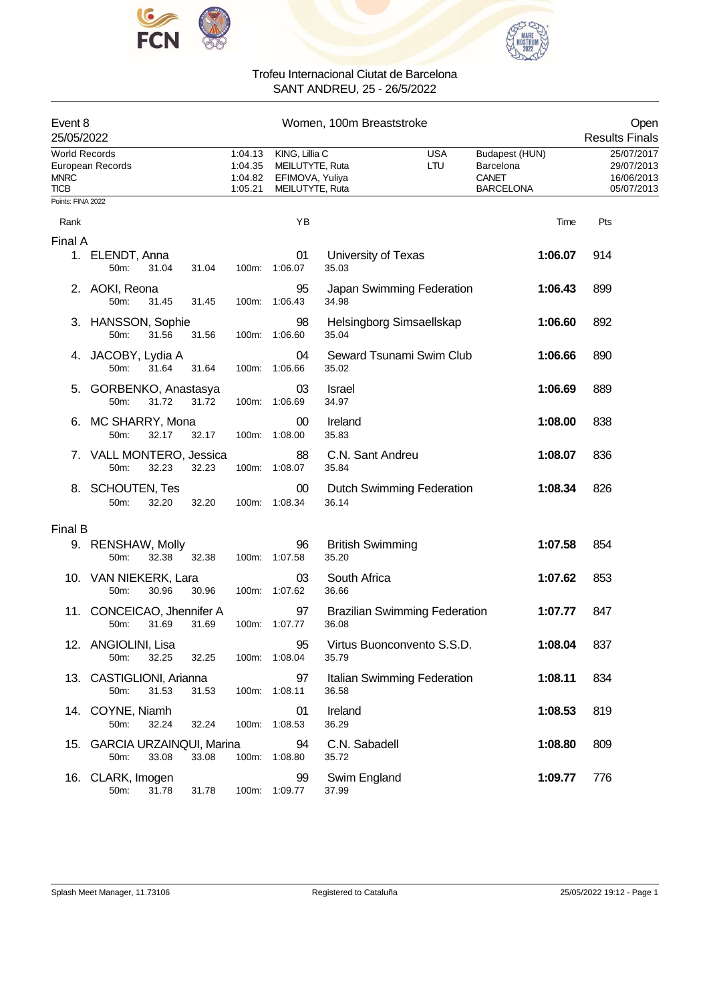



| Women, 100m Breaststroke<br>Event 8<br>25/05/2022  |                                         |                                          |       |                                          |                                                                         |                                  | Open<br><b>Results Finals</b>        |                                                                 |                                                      |
|----------------------------------------------------|-----------------------------------------|------------------------------------------|-------|------------------------------------------|-------------------------------------------------------------------------|----------------------------------|--------------------------------------|-----------------------------------------------------------------|------------------------------------------------------|
| <b>World Records</b><br><b>MNRC</b><br><b>TICB</b> | European Records                        |                                          |       | 1:04.13<br>1:04.35<br>1:04.82<br>1:05.21 | KING, Lillia C<br>MEILUTYTE, Ruta<br>EFIMOVA, Yuliya<br>MEILUTYTE, Ruta |                                  | <b>USA</b><br><b>LTU</b>             | Budapest (HUN)<br>Barcelona<br><b>CANET</b><br><b>BARCELONA</b> | 25/07/2017<br>29/07/2013<br>16/06/2013<br>05/07/2013 |
| Points: FINA 2022                                  |                                         |                                          |       |                                          |                                                                         |                                  |                                      |                                                                 |                                                      |
| Rank                                               |                                         |                                          |       |                                          | YB                                                                      |                                  |                                      | Time                                                            | Pts                                                  |
| Final A                                            |                                         |                                          |       |                                          |                                                                         |                                  |                                      |                                                                 |                                                      |
|                                                    | 1. ELENDT, Anna<br>50m:                 | 31.04                                    | 31.04 |                                          | 01<br>100m: 1:06.07                                                     | University of Texas<br>35.03     |                                      | 1:06.07                                                         | 914                                                  |
|                                                    | 2. AOKI, Reona<br>50m:                  | 31.45                                    | 31.45 | 100m:                                    | 95<br>1:06.43                                                           | 34.98                            | Japan Swimming Federation            | 1:06.43                                                         | 899                                                  |
|                                                    | 3. HANSSON, Sophie<br>50m:              | 31.56                                    | 31.56 |                                          | 98<br>100m: 1:06.60                                                     | 35.04                            | Helsingborg Simsaellskap             | 1:06.60                                                         | 892                                                  |
|                                                    | 4. JACOBY, Lydia A<br>50 <sub>m</sub> : | 31.64                                    | 31.64 |                                          | 04<br>100m: 1:06.66                                                     | 35.02                            | Seward Tsunami Swim Club             | 1:06.66                                                         | 890                                                  |
|                                                    | 5. GORBENKO, Anastasya<br>50m:          | 31.72                                    | 31.72 |                                          | 03<br>100m: 1:06.69                                                     | Israel<br>34.97                  |                                      | 1:06.69                                                         | 889                                                  |
|                                                    | 6. MC SHARRY, Mona<br>50m:              | 32.17                                    | 32.17 |                                          | $00\,$<br>100m: 1:08.00                                                 | Ireland<br>35.83                 |                                      | 1:08.00                                                         | 838                                                  |
|                                                    | 7. VALL MONTERO, Jessica<br>50m:        | 32.23                                    | 32.23 |                                          | 88<br>100m: 1:08.07                                                     | C.N. Sant Andreu<br>35.84        |                                      | 1:08.07                                                         | 836                                                  |
|                                                    | 8. SCHOUTEN, Tes<br>50m:                | 32.20                                    | 32.20 |                                          | 00<br>100m: 1:08.34                                                     | 36.14                            | Dutch Swimming Federation            | 1:08.34                                                         | 826                                                  |
| Final B                                            |                                         |                                          |       |                                          |                                                                         |                                  |                                      |                                                                 |                                                      |
|                                                    | 9. RENSHAW, Molly<br>50m:               | 32.38                                    | 32.38 |                                          | 96<br>100m: 1:07.58                                                     | <b>British Swimming</b><br>35.20 |                                      | 1:07.58                                                         | 854                                                  |
|                                                    | 10. VAN NIEKERK, Lara<br>50m:           | 30.96                                    | 30.96 |                                          | 03<br>100m: 1:07.62                                                     | South Africa<br>36.66            |                                      | 1:07.62                                                         | 853                                                  |
|                                                    | 11. CONCEICAO, Jhennifer A<br>50m:      | 31.69                                    | 31.69 |                                          | 97<br>100m: 1:07.77                                                     | 36.08                            | <b>Brazilian Swimming Federation</b> | 1:07.77                                                         | 847                                                  |
|                                                    | 12. ANGIOLINI, Lisa<br>50m:             | 32.25                                    | 32.25 |                                          | 95<br>100m: 1:08.04                                                     | 35.79                            | Virtus Buonconvento S.S.D.           | 1:08.04                                                         | 837                                                  |
|                                                    | 13. CASTIGLIONI, Arianna<br>50m:        | 31.53                                    | 31.53 |                                          | 97<br>100m: 1:08.11                                                     | 36.58                            | Italian Swimming Federation          | 1:08.11                                                         | 834                                                  |
|                                                    | 14. COYNE, Niamh<br>50m:                | 32.24                                    | 32.24 |                                          | 01<br>100m: 1:08.53                                                     | Ireland<br>36.29                 |                                      | 1:08.53                                                         | 819                                                  |
| 15.                                                | 50m:                                    | <b>GARCIA URZAINQUI, Marina</b><br>33.08 | 33.08 |                                          | 94<br>100m: 1:08.80                                                     | C.N. Sabadell<br>35.72           |                                      | 1:08.80                                                         | 809                                                  |
|                                                    | 16. CLARK, Imogen<br>50m:               | 31.78                                    | 31.78 |                                          | 99<br>100m: 1:09.77                                                     | Swim England<br>37.99            |                                      | 1:09.77                                                         | 776                                                  |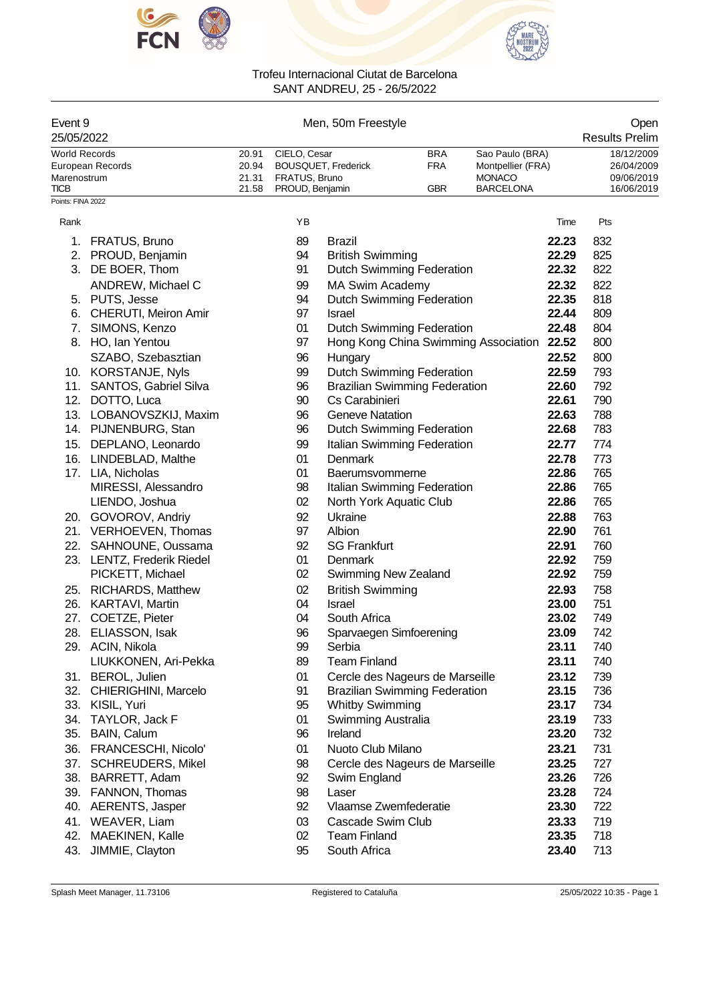



| Event 9<br>25/05/2022                              |                                                 |                                  |                                                  | Men, 50m Freestyle                                                      |                                        |                                                                    |                | Open<br><b>Results Prelim</b>                        |  |
|----------------------------------------------------|-------------------------------------------------|----------------------------------|--------------------------------------------------|-------------------------------------------------------------------------|----------------------------------------|--------------------------------------------------------------------|----------------|------------------------------------------------------|--|
| <b>World Records</b><br>Marenostrum<br><b>TICB</b> | European Records                                | 20.91<br>20.94<br>21.31<br>21.58 | CIELO, Cesar<br>FRATUS, Bruno<br>PROUD, Benjamin | BOUSQUET, Frederick                                                     | <b>BRA</b><br><b>FRA</b><br><b>GBR</b> | Sao Paulo (BRA)<br>Montpellier (FRA)<br>MONACO<br><b>BARCELONA</b> |                | 18/12/2009<br>26/04/2009<br>09/06/2019<br>16/06/2019 |  |
| Points: FINA 2022                                  |                                                 |                                  |                                                  |                                                                         |                                        |                                                                    |                |                                                      |  |
| Rank                                               |                                                 |                                  | ΥB                                               |                                                                         |                                        |                                                                    | Time           | Pts                                                  |  |
| 1.                                                 | <b>FRATUS, Bruno</b>                            |                                  | 89                                               | <b>Brazil</b>                                                           |                                        |                                                                    | 22.23          | 832                                                  |  |
| 2.                                                 | PROUD, Benjamin                                 |                                  | 94                                               | <b>British Swimming</b>                                                 |                                        |                                                                    | 22.29          | 825                                                  |  |
|                                                    | 3. DE BOER, Thom                                |                                  | 91                                               | Dutch Swimming Federation                                               |                                        |                                                                    | 22.32          | 822                                                  |  |
|                                                    | ANDREW, Michael C                               |                                  | 99                                               | MA Swim Academy                                                         |                                        |                                                                    | 22.32          | 822                                                  |  |
|                                                    | 5. PUTS, Jesse                                  |                                  | 94                                               | Dutch Swimming Federation                                               |                                        |                                                                    | 22.35          | 818                                                  |  |
| 6.                                                 | CHERUTI, Meiron Amir                            |                                  | 97                                               | <b>Israel</b>                                                           |                                        |                                                                    | 22.44          | 809                                                  |  |
| 7.                                                 | SIMONS, Kenzo                                   |                                  | 01                                               | Dutch Swimming Federation                                               |                                        |                                                                    | 22.48          | 804                                                  |  |
|                                                    | 8. HO, Ian Yentou                               |                                  | 97                                               | Hong Kong China Swimming Association                                    |                                        |                                                                    | 22.52          | 800                                                  |  |
|                                                    | SZABO, Szebasztian                              |                                  | 96                                               | Hungary                                                                 |                                        |                                                                    | 22.52          | 800                                                  |  |
|                                                    | 10. KORSTANJE, Nyls                             |                                  | 99                                               | Dutch Swimming Federation                                               |                                        |                                                                    | 22.59          | 793                                                  |  |
|                                                    | 11. SANTOS, Gabriel Silva                       |                                  | 96                                               | <b>Brazilian Swimming Federation</b>                                    |                                        |                                                                    | 22.60          | 792                                                  |  |
|                                                    | 12. DOTTO, Luca                                 |                                  | 90                                               | Cs Carabinieri                                                          |                                        |                                                                    | 22.61          | 790                                                  |  |
|                                                    | 13. LOBANOVSZKIJ, Maxim<br>14. PIJNENBURG, Stan |                                  | 96<br>96                                         | <b>Geneve Natation</b>                                                  |                                        |                                                                    | 22.63<br>22.68 | 788<br>783                                           |  |
|                                                    | 15. DEPLANO, Leonardo                           |                                  | 99                                               | <b>Dutch Swimming Federation</b><br>Italian Swimming Federation         |                                        |                                                                    | 22.77          | 774                                                  |  |
|                                                    | 16. LINDEBLAD, Malthe                           |                                  | 01                                               | Denmark                                                                 |                                        |                                                                    | 22.78          | 773                                                  |  |
|                                                    | 17. LIA, Nicholas                               |                                  | 01                                               | Baerumsvommerne                                                         |                                        |                                                                    | 22.86          | 765                                                  |  |
|                                                    | MIRESSI, Alessandro                             |                                  | 98                                               | Italian Swimming Federation                                             |                                        |                                                                    | 22.86          | 765                                                  |  |
|                                                    | LIENDO, Joshua                                  |                                  | 02                                               | North York Aquatic Club                                                 |                                        |                                                                    | 22.86          | 765                                                  |  |
|                                                    | 20. GOVOROV, Andriy                             |                                  | 92                                               | Ukraine                                                                 |                                        |                                                                    | 22.88          | 763                                                  |  |
|                                                    | 21. VERHOEVEN, Thomas                           |                                  | 97                                               | Albion                                                                  |                                        |                                                                    | 22.90          | 761                                                  |  |
|                                                    | 22. SAHNOUNE, Oussama                           |                                  | 92                                               | <b>SG Frankfurt</b>                                                     |                                        |                                                                    | 22.91          | 760                                                  |  |
|                                                    | 23. LENTZ, Frederik Riedel                      |                                  | 01                                               | Denmark                                                                 |                                        |                                                                    | 22.92          | 759                                                  |  |
|                                                    | PICKETT, Michael                                |                                  | 02                                               | Swimming New Zealand                                                    |                                        |                                                                    | 22.92          | 759                                                  |  |
|                                                    | 25. RICHARDS, Matthew                           |                                  | 02                                               | <b>British Swimming</b>                                                 |                                        |                                                                    | 22.93          | 758                                                  |  |
|                                                    | 26. KARTAVI, Martin                             |                                  | 04                                               | Israel                                                                  |                                        |                                                                    | 23.00          | 751                                                  |  |
|                                                    | 27. COETZE, Pieter                              |                                  | 04                                               | South Africa                                                            |                                        |                                                                    | 23.02          | 749                                                  |  |
| 28.                                                | ELIASSON, Isak                                  |                                  | 96                                               | Sparvaegen Simfoerening                                                 |                                        |                                                                    | 23.09          | 742                                                  |  |
|                                                    | 29. ACIN, Nikola<br>LIUKKONEN, Ari-Pekka        |                                  | 99                                               | Serbia<br><b>Team Finland</b>                                           |                                        |                                                                    | 23.11          | 740                                                  |  |
|                                                    | 31. BEROL, Julien                               |                                  | 89                                               |                                                                         |                                        |                                                                    | 23.11          | 740                                                  |  |
|                                                    | 32. CHIERIGHINI, Marcelo                        |                                  | 01<br>91                                         | Cercle des Nageurs de Marseille<br><b>Brazilian Swimming Federation</b> |                                        |                                                                    | 23.12<br>23.15 | 739<br>736                                           |  |
|                                                    | 33. KISIL, Yuri                                 |                                  | 95                                               | <b>Whitby Swimming</b>                                                  |                                        |                                                                    | 23.17          | 734                                                  |  |
| 34.                                                | TAYLOR, Jack F                                  |                                  | 01                                               | Swimming Australia                                                      |                                        |                                                                    | 23.19          | 733                                                  |  |
| 35.                                                | BAIN, Calum                                     |                                  | 96                                               | Ireland                                                                 |                                        |                                                                    | 23.20          | 732                                                  |  |
| 36.                                                | FRANCESCHI, Nicolo'                             |                                  | 01                                               | Nuoto Club Milano                                                       |                                        |                                                                    | 23.21          | 731                                                  |  |
| 37.                                                | <b>SCHREUDERS, Mikel</b>                        |                                  | 98                                               | Cercle des Nageurs de Marseille                                         |                                        |                                                                    | 23.25          | 727                                                  |  |
| 38.                                                | BARRETT, Adam                                   |                                  | 92                                               | Swim England                                                            |                                        |                                                                    | 23.26          | 726                                                  |  |
| 39.                                                | FANNON, Thomas                                  |                                  | 98                                               | Laser                                                                   |                                        |                                                                    | 23.28          | 724                                                  |  |
| 40.                                                | AERENTS, Jasper                                 |                                  | 92                                               | Vlaamse Zwemfederatie                                                   |                                        |                                                                    | 23.30          | 722                                                  |  |
| 41.                                                | WEAVER, Liam                                    |                                  | 03                                               | Cascade Swim Club                                                       |                                        |                                                                    | 23.33          | 719                                                  |  |
| 42.                                                | MAEKINEN, Kalle                                 |                                  | 02                                               | <b>Team Finland</b>                                                     |                                        |                                                                    | 23.35          | 718                                                  |  |
| 43.                                                | JIMMIE, Clayton                                 |                                  | 95                                               | South Africa                                                            |                                        |                                                                    | 23.40          | 713                                                  |  |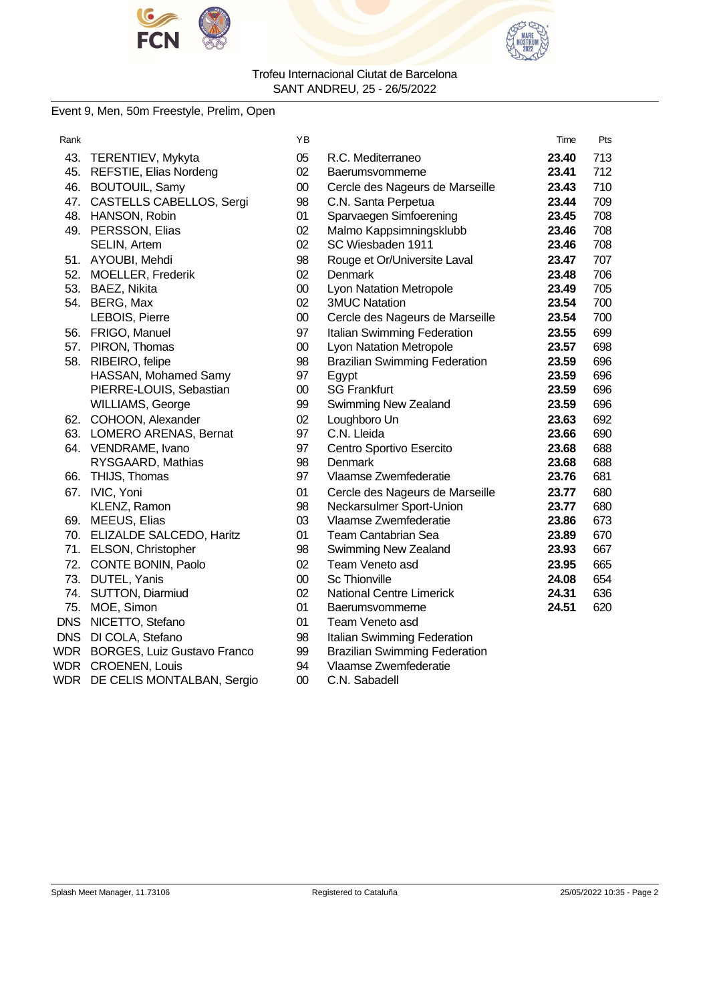



### Event 9, Men, 50m Freestyle, Prelim, Open

| Rank       |                                    | ΥB     |                                      | Time  | Pts |
|------------|------------------------------------|--------|--------------------------------------|-------|-----|
| 43.        | TERENTIEV, Mykyta                  | 05     | R.C. Mediterraneo                    | 23.40 | 713 |
| 45.        | REFSTIE, Elias Nordeng             | 02     | Baerumsvommerne                      | 23.41 | 712 |
| 46.        | <b>BOUTOUIL, Samy</b>              | $00\,$ | Cercle des Nageurs de Marseille      | 23.43 | 710 |
| 47.        | CASTELLS CABELLOS, Sergi           | 98     | C.N. Santa Perpetua                  | 23.44 | 709 |
|            | 48. HANSON, Robin                  | 01     | Sparvaegen Simfoerening              | 23.45 | 708 |
|            | 49. PERSSON, Elias                 | 02     | Malmo Kappsimningsklubb              | 23.46 | 708 |
|            | SELIN, Artem                       | 02     | SC Wiesbaden 1911                    | 23.46 | 708 |
|            | 51. AYOUBI, Mehdi                  | 98     | Rouge et Or/Universite Laval         | 23.47 | 707 |
|            | 52. MOELLER, Frederik              | 02     | Denmark                              | 23.48 | 706 |
|            | 53. BAEZ, Nikita                   | $00\,$ | Lyon Natation Metropole              | 23.49 | 705 |
|            | 54. BERG, Max                      | 02     | <b>3MUC Natation</b>                 | 23.54 | 700 |
|            | LEBOIS, Pierre                     | $00\,$ | Cercle des Nageurs de Marseille      | 23.54 | 700 |
|            | 56. FRIGO, Manuel                  | 97     | Italian Swimming Federation          | 23.55 | 699 |
|            | 57. PIRON, Thomas                  | $00\,$ | <b>Lyon Natation Metropole</b>       | 23.57 | 698 |
|            | 58. RIBEIRO, felipe                | 98     | <b>Brazilian Swimming Federation</b> | 23.59 | 696 |
|            | HASSAN, Mohamed Samy               | 97     | Egypt                                | 23.59 | 696 |
|            | PIERRE-LOUIS, Sebastian            | $00\,$ | <b>SG Frankfurt</b>                  | 23.59 | 696 |
|            | <b>WILLIAMS, George</b>            | 99     | <b>Swimming New Zealand</b>          | 23.59 | 696 |
|            | 62. COHOON, Alexander              | 02     | Loughboro Un                         | 23.63 | 692 |
|            | 63. LOMERO ARENAS, Bernat          | 97     | C.N. Lleida                          | 23.66 | 690 |
|            | 64. VENDRAME, Ivano                | 97     | Centro Sportivo Esercito             | 23.68 | 688 |
|            | RYSGAARD, Mathias                  | 98     | <b>Denmark</b>                       | 23.68 | 688 |
| 66.        | THIJS, Thomas                      | 97     | Vlaamse Zwemfederatie                | 23.76 | 681 |
| 67.        | IVIC, Yoni                         | 01     | Cercle des Nageurs de Marseille      | 23.77 | 680 |
|            | KLENZ, Ramon                       | 98     | Neckarsulmer Sport-Union             | 23.77 | 680 |
|            | 69. MEEUS, Elias                   | 03     | Vlaamse Zwemfederatie                | 23.86 | 673 |
|            | 70. ELIZALDE SALCEDO, Haritz       | 01     | <b>Team Cantabrian Sea</b>           | 23.89 | 670 |
|            | 71. ELSON, Christopher             | 98     | Swimming New Zealand                 | 23.93 | 667 |
| 72.        | CONTE BONIN, Paolo                 | 02     | Team Veneto asd                      | 23.95 | 665 |
| 73.        | DUTEL, Yanis                       | $00\,$ | <b>Sc Thionville</b>                 | 24.08 | 654 |
| 74.        | <b>SUTTON, Diarmiud</b>            | 02     | <b>National Centre Limerick</b>      | 24.31 | 636 |
| 75.        | MOE, Simon                         | 01     | Baerumsvommerne                      | 24.51 | 620 |
| <b>DNS</b> | NICETTO, Stefano                   | 01     | Team Veneto asd                      |       |     |
| <b>DNS</b> | DI COLA, Stefano                   | 98     | Italian Swimming Federation          |       |     |
| WDR        | <b>BORGES, Luiz Gustavo Franco</b> | 99     | <b>Brazilian Swimming Federation</b> |       |     |
| WDR        | <b>CROENEN, Louis</b>              | 94     | Vlaamse Zwemfederatie                |       |     |
| WDR        | DE CELIS MONTALBAN, Sergio         | 00     | C.N. Sabadell                        |       |     |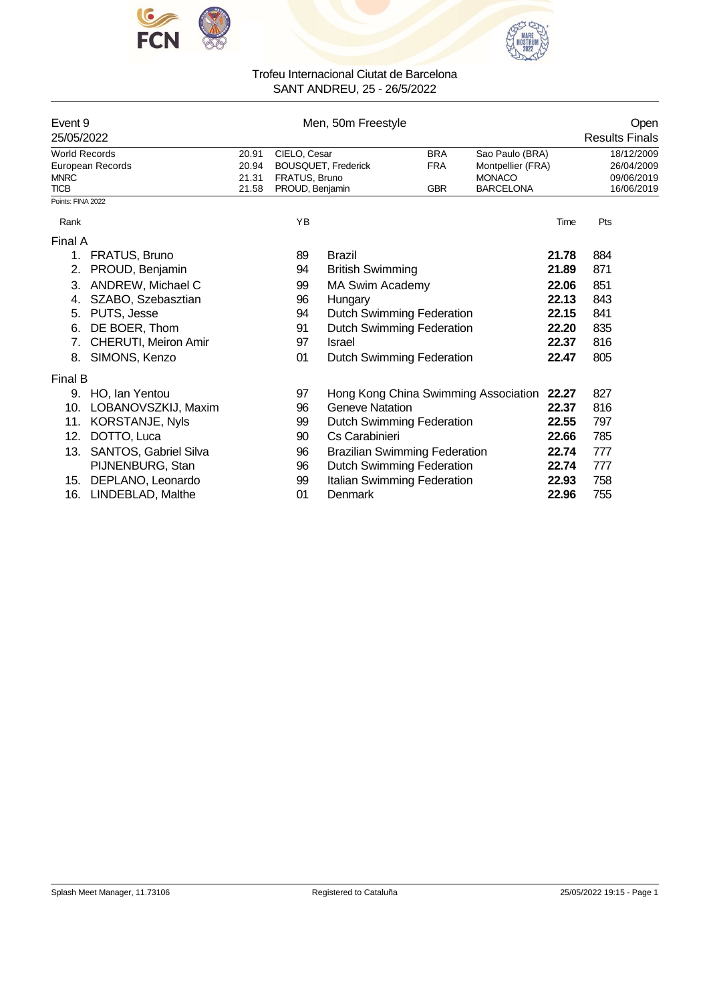



| Event 9<br>25/05/2022      |                         | Men, 50m Freestyle |                                  |                                          |            |                                   |       | Open<br><b>Results Finals</b> |
|----------------------------|-------------------------|--------------------|----------------------------------|------------------------------------------|------------|-----------------------------------|-------|-------------------------------|
| <b>World Records</b>       |                         | 20.91              |                                  | CIELO, Cesar<br><b>BRA</b>               |            | Sao Paulo (BRA)                   |       | 18/12/2009                    |
|                            | <b>European Records</b> | 20.94              |                                  | <b>BOUSQUET, Frederick</b><br><b>FRA</b> |            | Montpellier (FRA)                 |       | 26/04/2009                    |
| <b>MNRC</b><br><b>TICB</b> |                         | 21.31<br>21.58     | FRATUS, Bruno<br>PROUD, Benjamin |                                          | <b>GBR</b> | <b>MONACO</b><br><b>BARCELONA</b> |       | 09/06/2019<br>16/06/2019      |
| Points: FINA 2022          |                         |                    |                                  |                                          |            |                                   |       |                               |
| Rank                       |                         |                    | YB                               |                                          |            |                                   | Time  | Pts                           |
| Final A                    |                         |                    |                                  |                                          |            |                                   |       |                               |
| $\mathbf{1}$ .             | FRATUS, Bruno           |                    | 89                               | <b>Brazil</b>                            |            |                                   | 21.78 | 884                           |
| 2.                         | PROUD, Benjamin         |                    | 94                               | <b>British Swimming</b>                  |            |                                   | 21.89 | 871                           |
| 3.                         | ANDREW, Michael C       |                    | 99                               | <b>MA Swim Academy</b>                   |            |                                   | 22.06 | 851                           |
| 4.                         | SZABO, Szebasztian      |                    | 96                               | Hungary                                  |            |                                   | 22.13 | 843                           |
| 5.                         | PUTS, Jesse             |                    | 94                               | <b>Dutch Swimming Federation</b>         |            |                                   | 22.15 | 841                           |
| 6.                         | DE BOER, Thom           |                    | 91                               | <b>Dutch Swimming Federation</b>         |            |                                   | 22.20 | 835                           |
| 7.                         | CHERUTI, Meiron Amir    |                    | 97                               | <b>Israel</b>                            |            |                                   | 22.37 | 816                           |
| 8.                         | SIMONS, Kenzo           |                    | 01                               | Dutch Swimming Federation                |            |                                   | 22.47 | 805                           |
| Final B                    |                         |                    |                                  |                                          |            |                                   |       |                               |
| 9.                         | HO, Ian Yentou          |                    | 97                               | Hong Kong China Swimming Association     |            |                                   | 22.27 | 827                           |
| 10.                        | LOBANOVSZKIJ, Maxim     |                    | 96                               | <b>Geneve Natation</b>                   |            |                                   | 22.37 | 816                           |
| 11.                        | KORSTANJE, Nyls         |                    | 99                               | Dutch Swimming Federation                |            |                                   | 22.55 | 797                           |
| 12.                        | DOTTO, Luca             |                    | 90                               | Cs Carabinieri                           |            |                                   | 22.66 | 785                           |
| 13.                        | SANTOS, Gabriel Silva   |                    | 96                               | <b>Brazilian Swimming Federation</b>     |            |                                   | 22.74 | 777                           |
|                            | PIJNENBURG, Stan        |                    | 96                               | <b>Dutch Swimming Federation</b>         |            |                                   | 22.74 | 777                           |
| 15.                        | DEPLANO, Leonardo       |                    | 99                               | Italian Swimming Federation              |            |                                   | 22.93 | 758                           |
| 16.                        | LINDEBLAD, Malthe       |                    | 01                               | Denmark                                  |            |                                   | 22.96 | 755                           |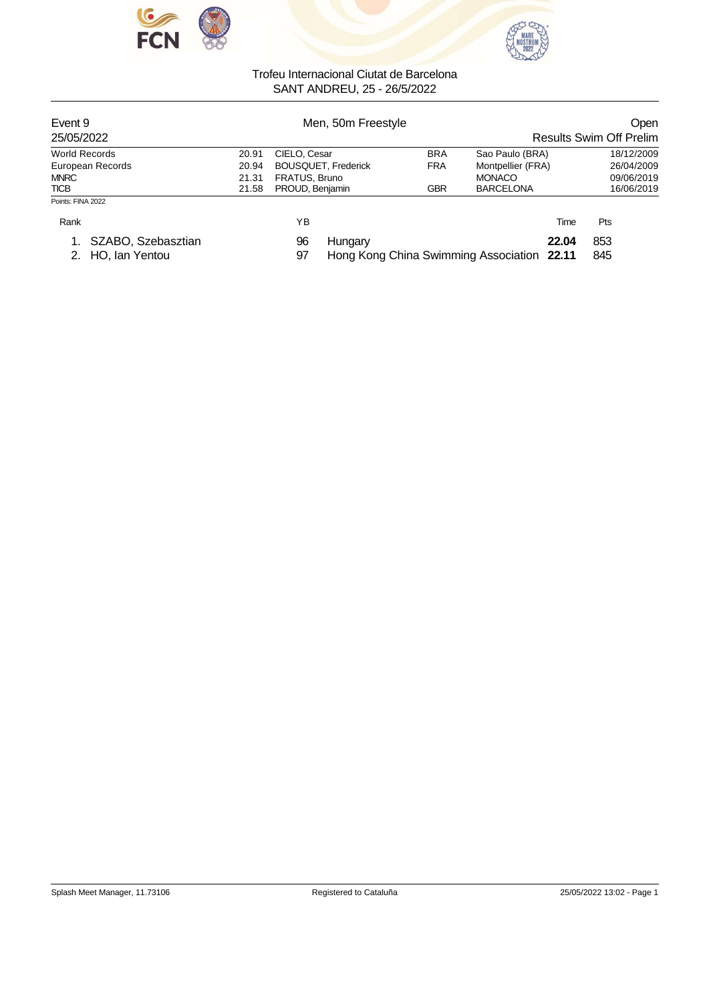



| Event 9<br>25/05/2022 |       | Men, 50m Freestyle         |            |                   | <b>Open</b><br><b>Results Swim Off Prelim</b> |  |  |
|-----------------------|-------|----------------------------|------------|-------------------|-----------------------------------------------|--|--|
| <b>World Records</b>  | 20.91 | CIELO, Cesar               | <b>BRA</b> | Sao Paulo (BRA)   | 18/12/2009                                    |  |  |
| European Records      | 20.94 | <b>BOUSQUET, Frederick</b> | <b>FRA</b> | Montpellier (FRA) | 26/04/2009                                    |  |  |
| <b>MNRC</b>           | 21.31 | FRATUS, Bruno              |            | <b>MONACO</b>     | 09/06/2019                                    |  |  |
| <b>TICB</b>           | 21.58 | PROUD, Benjamin            | <b>GBR</b> | <b>BARCELONA</b>  | 16/06/2019                                    |  |  |
| Points: FINA 2022     |       |                            |            |                   |                                               |  |  |
| Rank                  |       | ΥB                         |            | Time              | Pts                                           |  |  |
| $\cdots$              |       | -- -                       |            | -- - -            | $- - -$                                       |  |  |

1. SZABO, Szebasztian 96 Hungary **22.04** 853 Hong Kong China Swimming Association **22.11**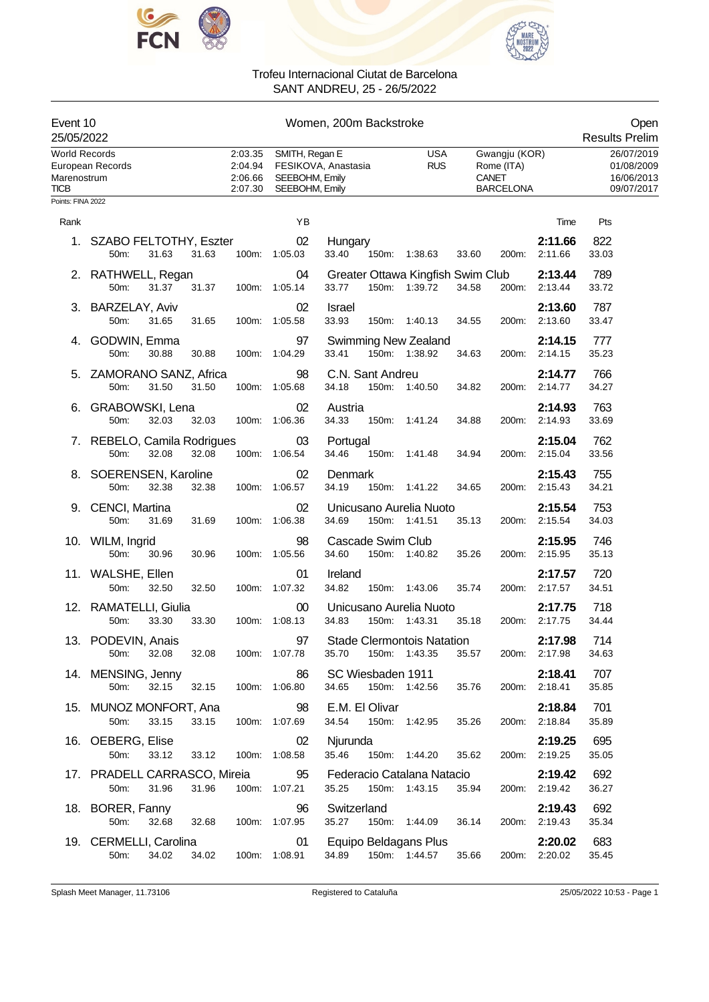



|                                                    | Event 10<br>Women, 200m Backstroke<br>25/05/2022              |                                          |                                                    |                                                          |                          |                                                                 |                             | Open<br><b>Results Prelim</b>                        |
|----------------------------------------------------|---------------------------------------------------------------|------------------------------------------|----------------------------------------------------|----------------------------------------------------------|--------------------------|-----------------------------------------------------------------|-----------------------------|------------------------------------------------------|
| <b>World Records</b><br>Marenostrum<br><b>TICB</b> | European Records                                              | 2:03.35<br>2:04.94<br>2:06.66<br>2:07.30 | SMITH, Regan E<br>SEEBOHM, Emily<br>SEEBOHM, Emily | FESIKOVA, Anastasia                                      | <b>USA</b><br><b>RUS</b> | Gwangju (KOR)<br>Rome (ITA)<br><b>CANET</b><br><b>BARCELONA</b> |                             | 26/07/2019<br>01/08/2009<br>16/06/2013<br>09/07/2017 |
| Points: FINA 2022                                  |                                                               |                                          |                                                    |                                                          |                          |                                                                 |                             |                                                      |
| Rank                                               |                                                               |                                          | ΥB                                                 |                                                          |                          |                                                                 | Time                        | Pts                                                  |
|                                                    | 1. SZABO FELTOTHY, Eszter<br>31.63<br>31.63<br>50m:           |                                          | 02<br>100m: 1:05.03                                | Hungary<br>33.40                                         | 150m: 1:38.63            | 33.60<br>200m:                                                  | 2:11.66<br>2:11.66          | 822<br>33.03                                         |
|                                                    | 2. RATHWELL, Regan<br>31.37<br>50m:<br>31.37                  |                                          | 04<br>100m: 1:05.14                                | Greater Ottawa Kingfish Swim Club<br>33.77               | 150m: 1:39.72            | 200m:<br>34.58                                                  | 2:13.44<br>2:13.44          | 789<br>33.72                                         |
|                                                    | 3. BARZELAY, Aviv<br>31.65<br>31.65<br>50m:                   |                                          | 02<br>100m: 1:05.58                                | <b>Israel</b><br>33.93                                   | 150m: 1:40.13            | 34.55                                                           | 2:13.60<br>2:13.60<br>200m: | 787<br>33.47                                         |
|                                                    | 4. GODWIN, Emma<br>50m:<br>30.88<br>30.88                     |                                          | 97<br>100m: 1:04.29                                | <b>Swimming New Zealand</b><br>33.41                     | 150m: 1:38.92            | 34.63                                                           | 2:14.15<br>2:14.15<br>200m: | 777<br>35.23                                         |
|                                                    | 5. ZAMORANO SANZ, Africa<br>50m:<br>31.50<br>31.50            |                                          | 98<br>100m: 1:05.68                                | C.N. Sant Andreu<br>34.18                                | 150m: 1:40.50            | 34.82<br>200m:                                                  | 2:14.77<br>2:14.77          | 766<br>34.27                                         |
| 6.                                                 | GRABOWSKI, Lena<br>32.03<br>50m:<br>32.03                     |                                          | 02<br>100m: 1:06.36                                | Austria<br>34.33                                         | 150m: 1:41.24            | 34.88                                                           | 2:14.93<br>200m:<br>2:14.93 | 763<br>33.69                                         |
|                                                    | 7. REBELO, Camila Rodrigues<br>50m:<br>32.08<br>32.08         |                                          | 03<br>100m: 1:06.54                                | Portugal<br>34.46<br>150m:                               | 1:41.48                  | 34.94                                                           | 2:15.04<br>2:15.04<br>200m: | 762<br>33.56                                         |
|                                                    | 8. SOERENSEN, Karoline<br>50 <sub>m</sub> :<br>32.38<br>32.38 |                                          | 02<br>100m: 1:06.57                                | Denmark<br>34.19                                         | 150m: 1:41.22            | 200m:<br>34.65                                                  | 2:15.43<br>2:15.43          | 755<br>34.21                                         |
|                                                    | 9. CENCI, Martina<br>50m:<br>31.69<br>31.69                   |                                          | 02<br>100m: 1:06.38                                | Unicusano Aurelia Nuoto<br>34.69                         | 150m: 1:41.51            | 35.13                                                           | 2:15.54<br>200m: 2:15.54    | 753<br>34.03                                         |
|                                                    | 10. WILM, Ingrid<br>50m:<br>30.96<br>30.96                    |                                          | 98<br>100m: 1:05.56                                | Cascade Swim Club<br>34.60                               | 150m: 1:40.82            | 35.26<br>200m:                                                  | 2:15.95<br>2:15.95          | 746<br>35.13                                         |
|                                                    | 11. WALSHE, Ellen<br>50m:<br>32.50<br>32.50                   |                                          | 01<br>100m: 1:07.32                                | Ireland<br>34.82                                         | 150m: 1:43.06            | 35.74<br>200m:                                                  | 2:17.57<br>2:17.57          | 720<br>34.51                                         |
|                                                    | 12. RAMATELLI, Giulia<br>50m:<br>33.30<br>33.30               |                                          | 00<br>100m: 1:08.13                                | Unicusano Aurelia Nuoto<br>34.83                         | 150m: 1:43.31            | 35.18                                                           | 2:17.75<br>200m: 2:17.75    | 718<br>34.44                                         |
|                                                    | 13. PODEVIN, Anais<br>32.08<br>32.08<br>50m:                  |                                          | 97<br>100m: 1:07.78                                | <b>Stade Clermontois Natation</b><br>35.70 150m: 1:43.35 |                          | 35.57                                                           | 2:17.98<br>200m: 2:17.98    | 714<br>34.63                                         |
|                                                    | 14. MENSING, Jenny<br>32.15<br>32.15<br>50m:                  | 100m: 1:06.80                            | 86                                                 | SC Wiesbaden 1911<br>34.65                               | 150m: 1:42.56            | 35.76                                                           | 2:18.41<br>200m: 2:18.41    | 707<br>35.85                                         |
|                                                    | 15. MUNOZ MONFORT, Ana<br>50m:<br>33.15<br>33.15              |                                          | 98<br>100m: 1:07.69                                | E.M. El Olivar<br>34.54                                  | 150m: 1:42.95            | 35.26                                                           | 2:18.84<br>200m: 2:18.84    | 701<br>35.89                                         |
|                                                    | 16. OEBERG, Elise<br>50m:<br>33.12<br>33.12                   |                                          | 02<br>100m: 1:08.58                                | Njurunda<br>35.46 150m: 1:44.20                          |                          | 35.62                                                           | 2:19.25<br>200m: 2:19.25    | 695<br>35.05                                         |
|                                                    | 17. PRADELL CARRASCO, Mireia 95<br>31.96<br>50m:<br>31.96     |                                          | 100m: 1:07.21                                      | Federacio Catalana Natacio<br>35.25                      | 150m: 1:43.15            | 35.94                                                           | 2:19.42<br>200m: 2:19.42    | 692<br>36.27                                         |
|                                                    | 18. BORER, Fanny<br>32.68<br>50m:<br>32.68                    | 100m: 1:07.95                            | 96                                                 | Switzerland<br>35.27                                     | 150m: 1:44.09            | 36.14                                                           | 2:19.43<br>200m: 2:19.43    | 692<br>35.34                                         |
|                                                    | 19. CERMELLI, Carolina<br>34.02<br>50m:                       |                                          | 01<br>34.02 100m: 1:08.91                          | Equipo Beldagans Plus<br>34.89                           | 150m: 1:44.57            | 35.66                                                           | 2:20.02<br>200m: 2:20.02    | 683<br>35.45                                         |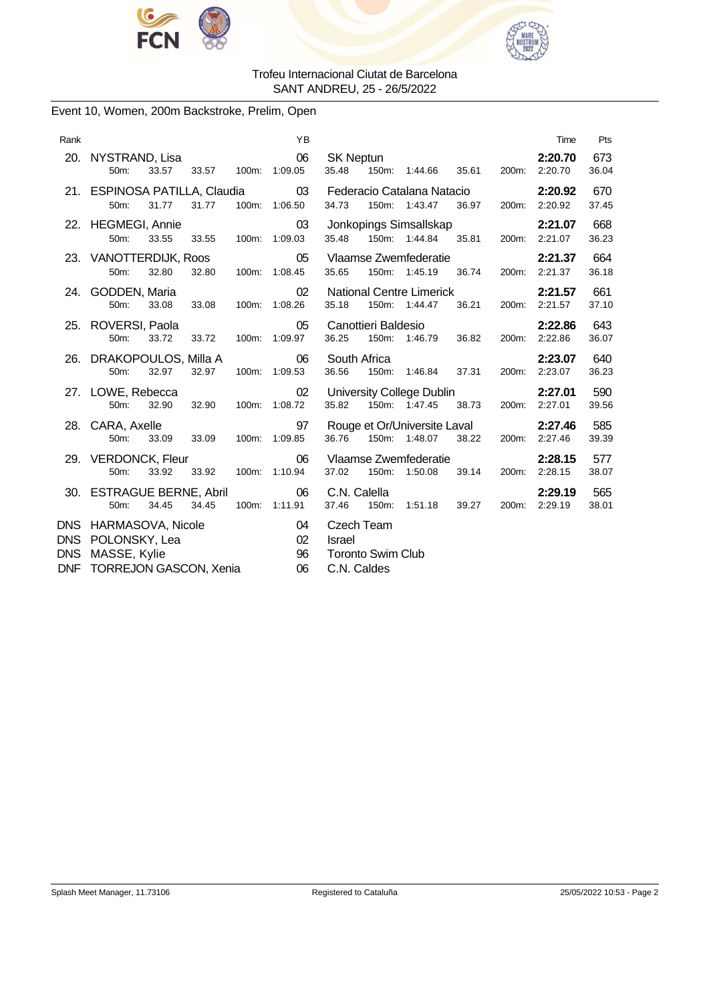



# Event 10, Women, 200m Backstroke, Prelim, Open

| Rank                                   |                                                                                         |       |             |               | YB                               |                                                                        |                                              |                                                  |                          |              | Time                     | Pts          |  |
|----------------------------------------|-----------------------------------------------------------------------------------------|-------|-------------|---------------|----------------------------------|------------------------------------------------------------------------|----------------------------------------------|--------------------------------------------------|--------------------------|--------------|--------------------------|--------------|--|
|                                        | 20. NYSTRAND, Lisa<br>50m:                                                              | 33.57 |             |               | 06<br>33.57 100m: 1:09.05        | <b>SK Neptun</b>                                                       |                                              | 35.48 150m: 1:44.66 35.61                        |                          |              | 2:20.70<br>200m: 2:20.70 | 673<br>36.04 |  |
|                                        | 21. ESPINOSA PATILLA, Claudia 03<br>50m:                                                | 31.77 |             | 100m: 1:06.50 | 34.73                            | Federacio Catalana Natacio<br>150m: 1:43.47                            |                                              | 2:20.92<br>200m: 2:20.92                         | 670<br>37.45             |              |                          |              |  |
|                                        | 22. HEGMEGI, Annie<br>50m:                                                              | 33.55 | 33.55       |               | 03<br>100m: 1:09.03              | 35.48                                                                  | Jonkopings Simsallskap<br>150m: 1:44.84      | 2:21.07<br>200m: 2:21.07                         | 668<br>36.23             |              |                          |              |  |
|                                        | 23. VANOTTERDIJK, Roos<br>50m:                                                          | 32.80 | 32.80       |               | 05<br>100m: 1:08.45              | 35.65                                                                  | Vlaamse Zwemfederatie<br>150m: 1:45.19 36.74 |                                                  | 2:21.37<br>200m: 2:21.37 | 664<br>36.18 |                          |              |  |
|                                        | 24. GODDEN, Maria<br>50m:                                                               |       | 33.08 33.08 |               | 02 <sup>2</sup><br>100m: 1:08.26 | 35.18                                                                  |                                              | <b>National Centre Limerick</b><br>150m: 1:44.47 | 36.21 200m: 2:21.57      |              | 2:21.57                  | 661<br>37.10 |  |
|                                        | 25. ROVERSI, Paola<br>50 <sub>m</sub> :                                                 | 33.72 | 33.72       |               | 05<br>100m: 1:09.97              | 36.25                                                                  | Canottieri Baldesio                          | 150m: 1:46.79 36.82 200m: 2:22.86                |                          |              | 2:22.86                  | 643<br>36.07 |  |
|                                        | 26. DRAKOPOULOS, Milla A<br>50m:                                                        | 32.97 | 32.97       |               | 06<br>100m: 1:09.53              | South Africa<br>36.56                                                  |                                              | 150m: 1:46.84                                    | 37.31                    |              | 2:23.07<br>200m: 2:23.07 | 640<br>36.23 |  |
|                                        | 27. LOWE, Rebecca<br>50 <sub>m</sub> :                                                  | 32.90 | 32.90       |               | 02<br>100m: 1:08.72              | 35.82                                                                  |                                              | University College Dublin<br>150m: 1:47.45       | 38.73                    |              | 2:27.01<br>200m: 2:27.01 | 590<br>39.56 |  |
|                                        | 28. CARA, Axelle<br>50m:                                                                | 33.09 | 33.09       |               | 97<br>100m: 1:09.85              | 36.76                                                                  |                                              | Rouge et Or/Universite Laval<br>150m: 1:48.07    | 38.22                    |              | 2:27.46<br>200m: 2:27.46 | 585<br>39.39 |  |
|                                        | 29. VERDONCK, Fleur<br>50m:<br>33.92 33.92<br>100m: 1:10.94                             |       |             |               |                                  | 37.02                                                                  |                                              | Vlaamse Zwemfederatie<br>150m: 1:50.08           | 39.14 200m: 2:28.15      |              | 2:28.15                  | 577<br>38.07 |  |
|                                        | 30. ESTRAGUE BERNE, Abril<br>50 <sub>m</sub> :                                          | 34.45 | 34.45       |               | 06<br>100m: 1:11.91              | C.N. Calella<br>37.46                                                  | 150m:                                        | 1:51.18 39.27                                    |                          |              | 2:29.19<br>200m: 2:29.19 | 565<br>38.01 |  |
| <b>DNS</b><br><b>DNS</b><br><b>DNF</b> | DNS HARMASOVA, Nicole<br>POLONSKY, Lea<br>MASSE, Kylie<br><b>TORREJON GASCON, Xenia</b> |       |             |               | 04<br>02<br>96<br>06             | Czech Team<br><b>Israel</b><br><b>Toronto Swim Club</b><br>C.N. Caldes |                                              |                                                  |                          |              |                          |              |  |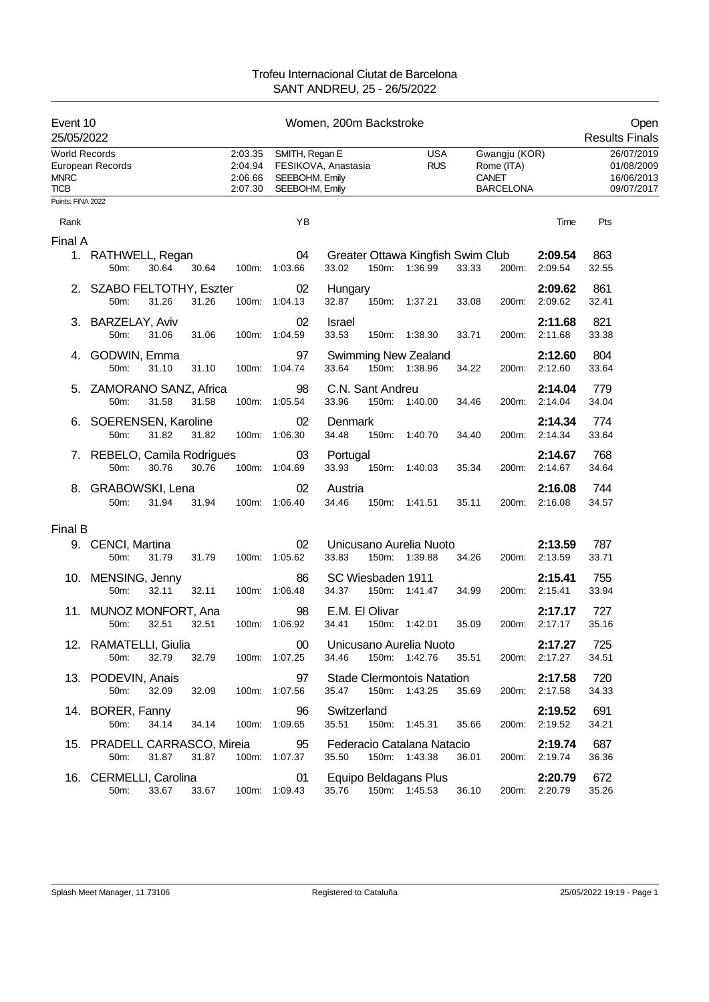| Event 10<br>25/05/2022                      |                                      |       |       |                                          | Open<br><b>Results Finals</b>                      |                            |       |                                                    |       |                                                          |                          |              |                                                      |
|---------------------------------------------|--------------------------------------|-------|-------|------------------------------------------|----------------------------------------------------|----------------------------|-------|----------------------------------------------------|-------|----------------------------------------------------------|--------------------------|--------------|------------------------------------------------------|
| World Records<br><b>MNRC</b><br><b>TICB</b> | European Records                     |       |       | 2:03.35<br>2:04.94<br>2:06.66<br>2:07.30 | SMITH, Regan E<br>SEEBOHM, Emily<br>SEEBOHM, Emily | FESIKOVA, Anastasia        |       | <b>USA</b><br><b>RUS</b>                           |       | Gwangju (KOR)<br>Rome (ITA)<br>CANET<br><b>BARCELONA</b> |                          |              | 26/07/2019<br>01/08/2009<br>16/06/2013<br>09/07/2017 |
| Points: FINA 2022                           |                                      |       |       |                                          |                                                    |                            |       |                                                    |       |                                                          |                          |              |                                                      |
| Rank                                        |                                      |       |       |                                          | YB                                                 |                            |       |                                                    |       |                                                          | Time                     | Pts          |                                                      |
| Final A                                     |                                      |       |       |                                          |                                                    |                            |       |                                                    |       |                                                          |                          |              |                                                      |
|                                             | 1. RATHWELL, Regan<br>50m:           | 30.64 | 30.64 | 100m:                                    | 04<br>1:03.66                                      | 33.02                      |       | Greater Ottawa Kingfish Swim Club<br>150m: 1:36.99 | 33.33 | 200m:                                                    | 2:09.54<br>2:09.54       | 863<br>32.55 |                                                      |
|                                             | 2. SZABO FELTOTHY, Eszter<br>50m:    | 31.26 | 31.26 |                                          | 02<br>100m: 1:04.13                                | Hungary<br>32.87           |       | 150m: 1:37.21                                      | 33.08 | 200m:                                                    | 2:09.62<br>2:09.62       | 861<br>32.41 |                                                      |
|                                             | 3. BARZELAY, Aviv<br>50m:            | 31.06 | 31.06 |                                          | 02<br>100m: 1:04.59                                | Israel<br>33.53            |       | 150m: 1:38.30                                      | 33.71 | 200m:                                                    | 2:11.68<br>2:11.68       | 821<br>33.38 |                                                      |
|                                             | 4. GODWIN, Emma<br>50m:              | 31.10 | 31.10 |                                          | 97<br>100m: 1:04.74                                | 33.64                      |       | <b>Swimming New Zealand</b><br>150m: 1:38.96       | 34.22 | 200m:                                                    | 2:12.60<br>2:12.60       | 804<br>33.64 |                                                      |
|                                             | 5. ZAMORANO SANZ, Africa<br>50m:     | 31.58 | 31.58 |                                          | 98<br>100m: 1:05.54                                | C.N. Sant Andreu<br>33.96  |       | 150m: 1:40.00                                      | 34.46 | 200m:                                                    | 2:14.04<br>2:14.04       | 779<br>34.04 |                                                      |
|                                             | 6. SOERENSEN, Karoline<br>50m:       | 31.82 | 31.82 |                                          | 02<br>100m: 1:06.30                                | Denmark<br>34.48           |       | 150m: 1:40.70                                      | 34.40 | 200m:                                                    | 2:14.34<br>2:14.34       | 774<br>33.64 |                                                      |
|                                             | 7. REBELO, Camila Rodrigues<br>50m:  | 30.76 | 30.76 |                                          | 03<br>100m: 1:04.69                                | Portugal<br>33.93          | 150m: | 1:40.03                                            | 35.34 | 200m:                                                    | 2:14.67<br>2:14.67       | 768<br>34.64 |                                                      |
|                                             | 8. GRABOWSKI, Lena<br>50m:           | 31.94 | 31.94 |                                          | 02<br>100m: 1:06.40                                | Austria<br>34.46           |       | 150m: 1:41.51                                      | 35.11 | 200m:                                                    | 2:16.08<br>2:16.08       | 744<br>34.57 |                                                      |
| Final B                                     |                                      |       |       |                                          |                                                    |                            |       |                                                    |       |                                                          |                          |              |                                                      |
|                                             | 9. CENCI, Martina<br>50m:            | 31.79 | 31.79 |                                          | 02<br>100m: 1:05.62                                | 33.83                      |       | Unicusano Aurelia Nuoto<br>150m: 1:39.88           | 34.26 |                                                          | 2:13.59<br>200m: 2:13.59 | 787<br>33.71 |                                                      |
|                                             | 10. MENSING, Jenny<br>50m:           | 32.11 | 32.11 |                                          | 86<br>100m: 1:06.48                                | SC Wiesbaden 1911<br>34.37 |       | 150m: 1:41.47                                      | 34.99 |                                                          | 2:15.41<br>200m: 2:15.41 | 755<br>33.94 |                                                      |
|                                             | 11. MUNOZ MONFORT, Ana<br>50m:       | 32.51 | 32.51 |                                          | 98<br>100m: 1:06.92                                | E.M. El Olivar<br>34.41    |       | 150m: 1:42.01                                      | 35.09 | 200m:                                                    | 2:17.17<br>2:17.17       | 727<br>35.16 |                                                      |
|                                             | 12. RAMATELLI, Giulia<br>50m:        | 32.79 | 32.79 | 100m: 1:07.25                            |                                                    | 34.46                      |       | 00 Unicusano Aurelia Nuoto<br>150m: 1:42.76        | 35.51 |                                                          | 2:17.27<br>200m: 2:17.27 | 725<br>34.51 |                                                      |
|                                             | 13. PODEVIN, Anais<br>50m:           | 32.09 | 32.09 |                                          | 97<br>100m: 1:07.56                                | 35.47 150m: 1:43.25        |       | <b>Stade Clermontois Natation</b>                  | 35.69 |                                                          | 2:17.58<br>200m: 2:17.58 | 720<br>34.33 |                                                      |
|                                             | 14. BORER, Fanny<br>50m:             | 34.14 | 34.14 |                                          | 96<br>100m: 1:09.65                                | Switzerland<br>35.51       |       | 150m: 1:45.31                                      | 35.66 |                                                          | 2:19.52<br>200m: 2:19.52 | 691<br>34.21 |                                                      |
|                                             | 15. PRADELL CARRASCO, Mireia<br>50m: | 31.87 | 31.87 |                                          | 95<br>100m: 1:07.37                                | 35.50 150m: 1:43.38        |       | Federacio Catalana Natacio                         | 36.01 |                                                          | 2:19.74<br>200m: 2:19.74 | 687<br>36.36 |                                                      |
|                                             | 16. CERMELLI, Carolina<br>50m:       | 33.67 | 33.67 |                                          | 01<br>100m: 1:09.43                                | 35.76                      |       | Equipo Beldagans Plus<br>150m: 1:45.53             | 36.10 |                                                          | 2:20.79<br>200m: 2:20.79 | 672<br>35.26 |                                                      |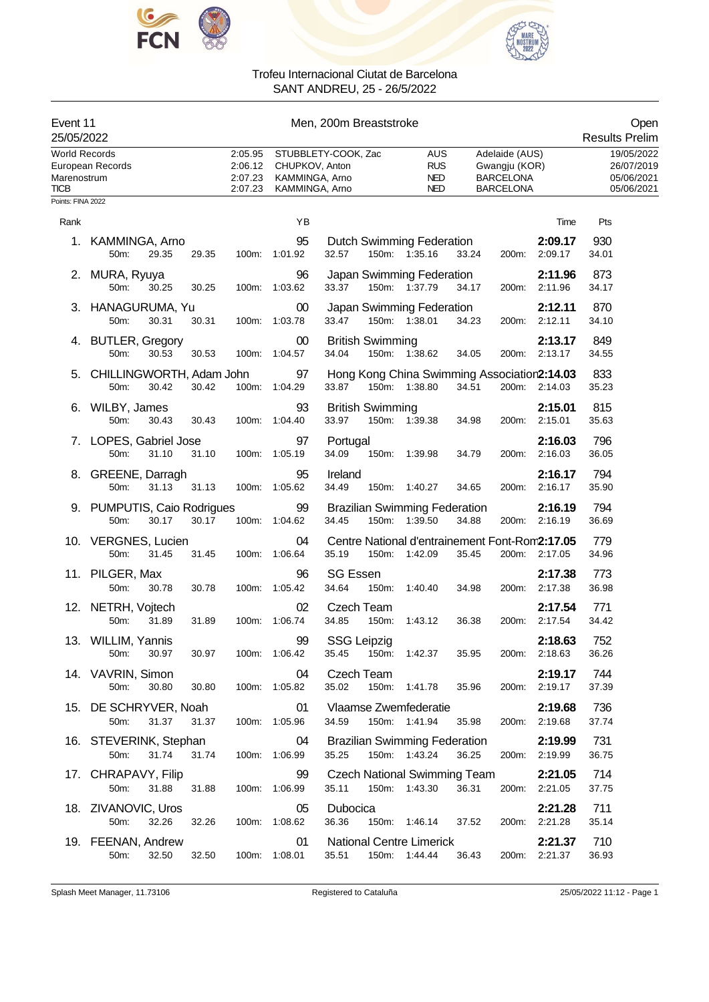



| Event 11<br>Men, 200m Breaststroke<br>25/05/2022          |                                                       |                                          |                                                    |                                                                          |                                               |       |                                                                         | Open<br><b>Results Prelim</b> |                                                      |
|-----------------------------------------------------------|-------------------------------------------------------|------------------------------------------|----------------------------------------------------|--------------------------------------------------------------------------|-----------------------------------------------|-------|-------------------------------------------------------------------------|-------------------------------|------------------------------------------------------|
| World Records<br>Marenostrum<br>TICB<br>Points: FINA 2022 | European Records                                      | 2:05.95<br>2:06.12<br>2:07.23<br>2:07.23 | CHUPKOV, Anton<br>KAMMINGA, Arno<br>KAMMINGA, Arno | STUBBLETY-COOK, Zac                                                      | AUS<br><b>RUS</b><br><b>NED</b><br><b>NED</b> |       | Adelaide (AUS)<br>Gwangju (KOR)<br><b>BARCELONA</b><br><b>BARCELONA</b> |                               | 19/05/2022<br>26/07/2019<br>05/06/2021<br>05/06/2021 |
|                                                           |                                                       |                                          | YB                                                 |                                                                          |                                               |       |                                                                         |                               |                                                      |
| Rank                                                      | 1. KAMMINGA, Arno                                     |                                          | 95                                                 | Dutch Swimming Federation                                                |                                               |       |                                                                         | Time<br>2:09.17               | Pts<br>930                                           |
|                                                           | 29.35<br>29.35<br>$50m$ :                             | 100m:                                    | 1:01.92                                            | 150m: 1:35.16<br>32.57                                                   |                                               | 33.24 | 200m:                                                                   | 2:09.17                       | 34.01                                                |
|                                                           | 2. MURA, Ryuya<br>50 <sub>m</sub> :<br>30.25<br>30.25 |                                          | 96<br>100m: 1:03.62                                | Japan Swimming Federation<br>33.37<br>150m: 1:37.79                      |                                               | 34.17 |                                                                         | 2:11.96<br>200m: 2:11.96      | 873<br>34.17                                         |
|                                                           | 3. HANAGURUMA, Yu<br>30.31<br>30.31<br>50m:           |                                          | 00<br>100m: 1:03.78                                | Japan Swimming Federation<br>33.47<br>150m: 1:38.01                      |                                               | 34.23 |                                                                         | 2:12.11<br>200m: 2:12.11      | 870<br>34.10                                         |
|                                                           | 4. BUTLER, Gregory<br>50m:<br>30.53<br>30.53          | 100m:                                    | 00<br>1:04.57                                      | <b>British Swimming</b><br>34.04<br>150m: 1:38.62                        |                                               | 34.05 |                                                                         | 2:13.17<br>200m: 2:13.17      | 849<br>34.55                                         |
|                                                           | 5. CHILLINGWORTH, Adam John<br>50m:<br>30.42<br>30.42 |                                          | 97<br>100m: 1:04.29                                | Hong Kong China Swimming Association2:14.03<br>150m: 1:38.80<br>33.87    |                                               | 34.51 |                                                                         | 200m: 2:14.03                 | 833<br>35.23                                         |
|                                                           | 6. WILBY, James<br>50m:<br>30.43<br>30.43             |                                          | 93<br>100m: 1:04.40                                | <b>British Swimming</b><br>33.97<br>150m: 1:39.38                        |                                               | 34.98 | 200m:                                                                   | 2:15.01<br>2:15.01            | 815<br>35.63                                         |
|                                                           | 7. LOPES, Gabriel Jose<br>50m:<br>31.10<br>31.10      |                                          | 97<br>100m: 1:05.19                                | Portugal<br>34.09<br>150m:                                               | 1:39.98                                       | 34.79 | 200m:                                                                   | 2:16.03<br>2:16.03            | 796<br>36.05                                         |
|                                                           | 8. GREENE, Darragh<br>31.13<br>50m:<br>31.13          |                                          | 95<br>100m: 1:05.62                                | Ireland<br>34.49<br>150m: 1:40.27                                        |                                               | 34.65 | 200m:                                                                   | 2:16.17<br>2:16.17            | 794<br>35.90                                         |
|                                                           | 9. PUMPUTIS, Caio Rodrigues<br>30.17<br>30.17<br>50m: |                                          | 99<br>100m: 1:04.62                                | <b>Brazilian Swimming Federation</b><br>34.45<br>150m: 1:39.50           |                                               | 34.88 |                                                                         | 2:16.19<br>200m: 2:16.19      | 794<br>36.69                                         |
|                                                           | 10. VERGNES, Lucien<br>50m:<br>31.45<br>31.45         | 100m:                                    | 04<br>1:06.64                                      | Centre National d'entrainement Font-Rom2:17.05<br>35.19<br>150m: 1:42.09 |                                               | 35.45 |                                                                         | 200m: 2:17.05                 | 779<br>34.96                                         |
|                                                           | 11. PILGER, Max<br>50m:<br>30.78<br>30.78             | 100m:                                    | 96<br>1:05.42                                      | <b>SG Essen</b><br>34.64<br>150m:                                        | 1:40.40                                       | 34.98 | 200m:                                                                   | 2:17.38<br>2:17.38            | 773<br>36.98                                         |
|                                                           | 12. NETRH, Vojtech<br>31.89<br>31.89<br>50m:          | 100m:                                    | 02<br>1:06.74                                      | Czech Team<br>34.85<br>150m:                                             | 1:43.12                                       | 36.38 | 200m:                                                                   | 2:17.54<br>2:17.54            | 771<br>34.42                                         |
|                                                           | 13. WILLIM, Yannis<br>50m:<br>30.97<br>30.97          |                                          | 99<br>100m: 1:06.42                                | SSG Leipzig<br>35.45                                                     | 150m: 1:42.37                                 | 35.95 |                                                                         | 2:18.63<br>200m: 2:18.63      | 752<br>36.26                                         |
|                                                           | 14. VAVRIN, Simon<br>30.80<br>50m:<br>30.80           |                                          | 04<br>100m: 1:05.82                                | Czech Team<br>35.02                                                      | 150m: 1:41.78                                 | 35.96 |                                                                         | 2:19.17<br>200m: 2:19.17      | 744<br>37.39                                         |
|                                                           | 15. DE SCHRYVER, Noah<br>50m:<br>31.37<br>31.37       |                                          | 01<br>100m: 1:05.96                                | Vlaamse Zwemfederatie<br>34.59<br>150m: 1:41.94                          |                                               | 35.98 |                                                                         | 2:19.68<br>200m: 2:19.68      | 736<br>37.74                                         |
|                                                           | 16. STEVERINK, Stephan<br>50m:<br>31.74<br>31.74      |                                          | 04<br>100m: 1:06.99                                | <b>Brazilian Swimming Federation</b><br>35.25<br>150m: 1:43.24           |                                               | 36.25 |                                                                         | 2:19.99<br>200m: 2:19.99      | 731<br>36.75                                         |
|                                                           | 17. CHRAPAVY, Filip<br>31.88<br>50m:<br>31.88         |                                          | 99<br>100m: 1:06.99                                | <b>Czech National Swimming Team</b><br>35.11 150m: 1:43.30               |                                               | 36.31 |                                                                         | 2:21.05<br>200m: 2:21.05      | 714<br>37.75                                         |
|                                                           | 18. ZIVANOVIC, Uros<br>50m:<br>32.26<br>32.26         |                                          | 05<br>100m: 1:08.62                                | Dubocica<br>36.36                                                        | 150m: 1:46.14 37.52                           |       |                                                                         | 2:21.28<br>200m: 2:21.28      | 711<br>35.14                                         |
|                                                           | 19. FEENAN, Andrew<br>32.50<br>32.50<br>50m:          |                                          | 01<br>100m: 1:08.01                                | National Centre Limerick<br>35.51<br>150m: 1:44.44                       |                                               | 36.43 |                                                                         | 2:21.37<br>200m: 2:21.37      | 710<br>36.93                                         |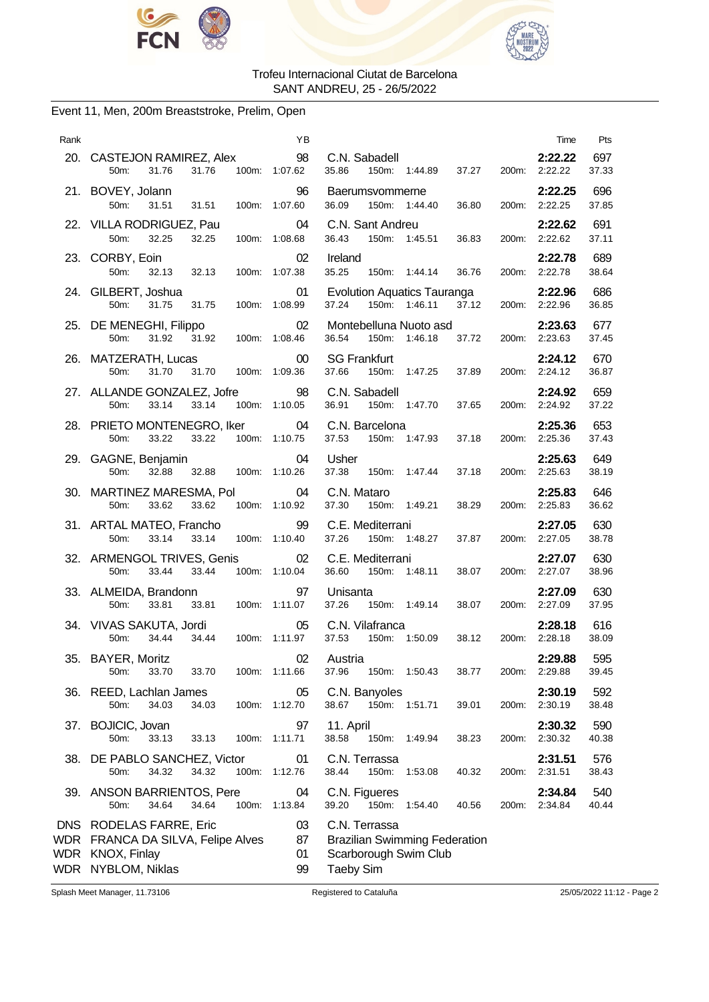



### Event 11, Men, 200m Breaststroke, Prelim, Open

| Rank       | 20. CASTEJON RAMIREZ, Alex<br>31.76<br>100m: 1:07.62<br>31.76<br>50m:                          | ΥB<br>98                | C.N. Sabadell<br>150m: 1:44.89<br>37.27<br>35.86                                                   | Time<br>2:22.22<br>200m: 2:22.22 | Pts<br>697<br>37.33 |
|------------|------------------------------------------------------------------------------------------------|-------------------------|----------------------------------------------------------------------------------------------------|----------------------------------|---------------------|
|            | 21. BOVEY, Jolann<br>50m:<br>31.51<br>31.51                                                    | 96<br>100m: 1:07.60     | Baerumsvommerne<br>36.09<br>150m: 1:44.40<br>36.80                                                 | 2:22.25<br>200m: 2:22.25         | 696<br>37.85        |
|            | 22. VILLA RODRIGUEZ, Pau<br>50m:<br>32.25<br>32.25                                             | 04<br>100m: 1:08.68     | C.N. Sant Andreu<br>150m: 1:45.51<br>36.83<br>36.43                                                | 2:22.62<br>200m: 2:22.62         | 691<br>37.11        |
|            | 23. CORBY, Eoin<br>32.13 32.13<br>50m:                                                         | 02<br>100m: 1:07.38     | Ireland<br>35.25<br>150m: 1:44.14<br>36.76                                                         | 2:22.78<br>200m: 2:22.78         | 689<br>38.64        |
|            | 24. GILBERT, Joshua<br>50m:<br>31.75<br>31.75                                                  | 01<br>100m: 1:08.99     | <b>Evolution Aquatics Tauranga</b><br>37.24<br>150m: 1:46.11<br>37.12                              | 2:22.96<br>200m: 2:22.96         | 686<br>36.85        |
|            | 25. DE MENEGHI, Filippo<br>31.92 100m: 1:08.46<br>50m:<br>31.92                                | 02                      | Montebelluna Nuoto asd<br>37.72<br>36.54<br>150m: 1:46.18                                          | 2:23.63<br>200m: 2:23.63         | 677<br>37.45        |
|            | 26. MATZERATH, Lucas<br>31.70<br>31.70<br>50m:                                                 | $00\,$<br>100m: 1:09.36 | <b>SG Frankfurt</b><br>37.66<br>150m: 1:47.25<br>37.89                                             | 2:24.12<br>200m: 2:24.12         | 670<br>36.87        |
|            | 27. ALLANDE GONZALEZ, Jofre<br>33.14<br>33.14<br>50m:                                          | 98<br>100m: 1:10.05     | C.N. Sabadell<br>36.91<br>150m: 1:47.70<br>37.65                                                   | 2:24.92<br>200m: 2:24.92         | 659<br>37.22        |
|            | 28. PRIETO MONTENEGRO, Iker<br>33.22<br>33.22<br>50m:                                          | 04<br>100m: 1:10.75     | C.N. Barcelona<br>150m: 1:47.93<br>37.53<br>37.18                                                  | 2:25.36<br>200m: 2:25.36         | 653<br>37.43        |
|            | 29. GAGNE, Benjamin<br>32.88<br>50m:<br>32.88<br>100m: 1:10.26                                 | 04                      | Usher<br>37.38<br>150m: 1:47.44<br>37.18                                                           | 2:25.63<br>200m: 2:25.63         | 649<br>38.19        |
|            | 30. MARTINEZ MARESMA, Pol<br>50m:<br>33.62<br>33.62                                            | 04<br>100m: 1:10.92     | C.N. Mataro<br>37.30<br>150m:<br>1:49.21<br>38.29                                                  | 2:25.83<br>200m: 2:25.83         | 646<br>36.62        |
|            | 31. ARTAL MATEO, Francho<br>33.14<br>50m:<br>33.14                                             | 99<br>100m: 1:10.40     | C.E. Mediterrani<br>150m: 1:48.27<br>37.87<br>37.26                                                | 2:27.05<br>200m: 2:27.05         | 630<br>38.78        |
|            | 32. ARMENGOL TRIVES, Genis<br>50m:<br>33.44<br>33.44                                           | 02<br>100m: 1:10.04     | C.E. Mediterrani<br>36.60<br>150m:<br>1:48.11<br>38.07<br>200m:                                    | 2:27.07<br>2:27.07               | 630<br>38.96        |
|            | 33. ALMEIDA, Brandonn<br>50m:<br>33.81<br>33.81  100m: 1:11.07                                 | 97                      | Unisanta<br>37.26<br>150m: 1:49.14<br>38.07                                                        | 2:27.09<br>200m: 2:27.09         | 630<br>37.95        |
|            | 34. VIVAS SAKUTA, Jordi<br>50m:<br>34.44<br>34.44                                              | 05<br>100m: 1:11.97     | C.N. Vilafranca<br>150m: 1:50.09<br>38.12<br>37.53                                                 | 2:28.18<br>200m: 2:28.18         | 616<br>38.09        |
|            | 35. BAYER, Moritz<br>33.70<br>33.70<br>100m:<br>50m:                                           | 02<br>1:11.66           | Austria<br>37.96<br>150m:<br>1:50.43<br>38.77<br>200m:                                             | 2:29.88<br>2:29.88               | 595<br>39.45        |
|            | 36. REED, Lachlan James<br>50m:<br>34.03<br>34.03                                              | 05<br>100m: 1:12.70     | C.N. Banyoles<br>150m: 1:51.71<br>38.67<br>39.01<br>200m:                                          | 2:30.19<br>2:30.19               | 592<br>38.48        |
| 37.        | BOJICIC, Jovan<br>50m:<br>33.13<br>33.13<br>100m:                                              | 97<br>1:11.71           | 11. April<br>38.58<br>150m:<br>1:49.94<br>38.23<br>200m:                                           | 2:30.32<br>2:30.32               | 590<br>40.38        |
| 38.        | DE PABLO SANCHEZ, Victor<br>50m:<br>34.32<br>34.32<br>100m:                                    | 01<br>1:12.76           | C.N. Terrassa<br>38.44<br>150m:<br>1:53.08<br>40.32<br>200m:                                       | 2:31.51<br>2:31.51               | 576<br>38.43        |
|            | 39. ANSON BARRIENTOS, Pere<br>34.64<br>50m:<br>34.64                                           | 04<br>100m: 1:13.84     | C.N. Figueres<br>150m:<br>39.20<br>1:54.40<br>40.56<br>200m:                                       | 2:34.84<br>2:34.84               | 540<br>40.44        |
| WDR<br>WDR | DNS RODELAS FARRE, Eric<br>WDR FRANCA DA SILVA, Felipe Alves<br>KNOX, Finlay<br>NYBLOM, Niklas | 03<br>87<br>01<br>99    | C.N. Terrassa<br><b>Brazilian Swimming Federation</b><br>Scarborough Swim Club<br><b>Taeby Sim</b> |                                  |                     |

Splash Meet Manager, 11.73106 Registered to Cataluña 25/05/2022 11:12 - Page 2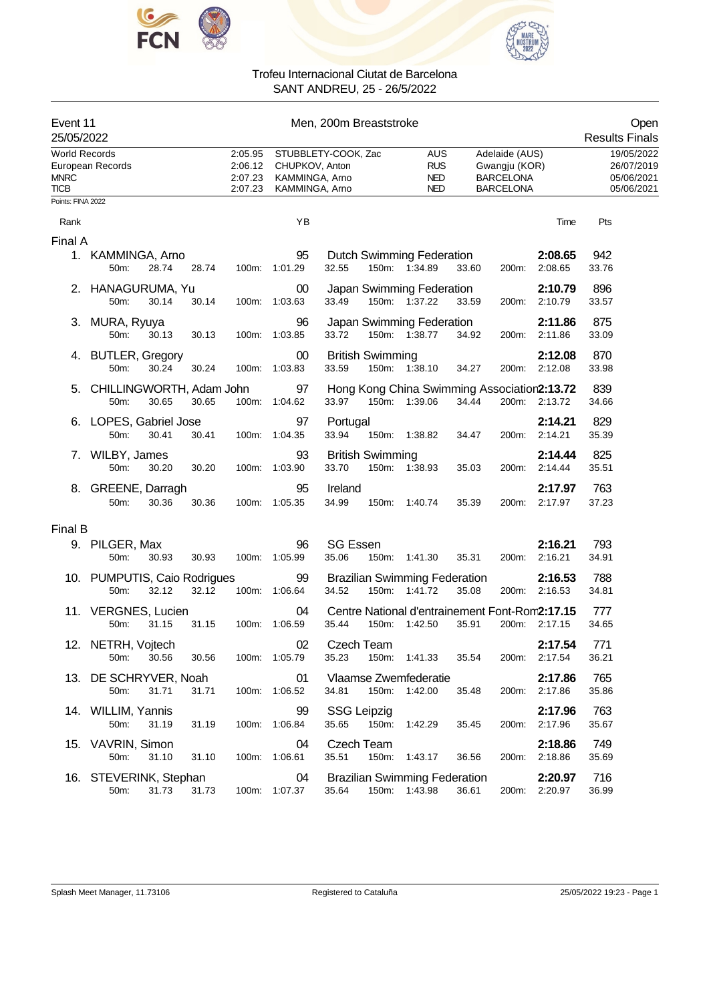



| Event 11<br>25/05/2022                             |                                      |       |       |                                          | Open<br><b>Results Finals</b>                      |                                                                                                                                                        |                          |                                                      |
|----------------------------------------------------|--------------------------------------|-------|-------|------------------------------------------|----------------------------------------------------|--------------------------------------------------------------------------------------------------------------------------------------------------------|--------------------------|------------------------------------------------------|
| <b>World Records</b><br><b>MNRC</b><br><b>TICB</b> | European Records                     |       |       | 2:05.95<br>2:06.12<br>2:07.23<br>2:07.23 | CHUPKOV, Anton<br>KAMMINGA, Arno<br>KAMMINGA, Arno | STUBBLETY-COOK, Zac<br>Adelaide (AUS)<br><b>AUS</b><br><b>RUS</b><br>Gwangju (KOR)<br><b>NED</b><br><b>BARCELONA</b><br><b>NED</b><br><b>BARCELONA</b> |                          | 19/05/2022<br>26/07/2019<br>05/06/2021<br>05/06/2021 |
| Points: FINA 2022                                  |                                      |       |       |                                          |                                                    |                                                                                                                                                        |                          |                                                      |
| Rank                                               |                                      |       |       |                                          | YB                                                 |                                                                                                                                                        | Time                     | Pts                                                  |
| Final A                                            |                                      |       |       |                                          |                                                    |                                                                                                                                                        |                          |                                                      |
|                                                    | 1. KAMMINGA, Arno<br>50m:            | 28.74 | 28.74 | 100m:                                    | 95<br>1:01.29                                      | Dutch Swimming Federation<br>32.55<br>150m: 1:34.89<br>33.60<br>200m:                                                                                  | 2:08.65<br>2:08.65       | 942<br>33.76                                         |
|                                                    | 2. HANAGURUMA, Yu<br>50m:            | 30.14 | 30.14 | 100m:                                    | 00<br>1:03.63                                      | Japan Swimming Federation<br>33.49<br>150m: 1:37.22<br>33.59<br>200m:                                                                                  | 2:10.79<br>2:10.79       | 896<br>33.57                                         |
|                                                    | 3. MURA, Ryuya<br>50m:               | 30.13 | 30.13 |                                          | 96<br>100m: 1:03.85                                | Japan Swimming Federation<br>33.72<br>150m: 1:38.77<br>34.92<br>200m:                                                                                  | 2:11.86<br>2:11.86       | 875<br>33.09                                         |
|                                                    | 4. BUTLER, Gregory<br>50m:           | 30.24 | 30.24 | 100m:                                    | 00<br>1:03.83                                      | <b>British Swimming</b><br>33.59<br>150m: 1:38.10<br>200m:<br>34.27                                                                                    | 2:12.08<br>2:12.08       | 870<br>33.98                                         |
|                                                    | CHILLINGWORTH, Adam John<br>50m:     | 30.65 | 30.65 |                                          | 97<br>100m: 1:04.62                                | Hong Kong China Swimming Association2:13.72<br>33.97<br>150m: 1:39.06<br>34.44                                                                         | 200m: 2:13.72            | 839<br>34.66                                         |
|                                                    | 6. LOPES, Gabriel Jose<br>50m:       | 30.41 | 30.41 |                                          | 97<br>100m: 1:04.35                                | Portugal<br>33.94<br>150m: 1:38.82<br>34.47<br>200m:                                                                                                   | 2:14.21<br>2:14.21       | 829<br>35.39                                         |
|                                                    | 7. WILBY, James<br>50m:              | 30.20 | 30.20 | 100m:                                    | 93<br>1:03.90                                      | <b>British Swimming</b><br>33.70<br>150m: 1:38.93<br>35.03<br>200m:                                                                                    | 2:14.44<br>2:14.44       | 825<br>35.51                                         |
|                                                    | 8. GREENE, Darragh<br>50m:           | 30.36 | 30.36 | 100m:                                    | 95<br>1:05.35                                      | Ireland<br>34.99<br>150m: 1:40.74<br>35.39<br>200m:                                                                                                    | 2:17.97<br>2:17.97       | 763<br>37.23                                         |
| Final B                                            |                                      |       |       |                                          |                                                    |                                                                                                                                                        |                          |                                                      |
|                                                    | 9. PILGER, Max<br>50m:               | 30.93 | 30.93 | 100m:                                    | 96<br>1:05.99                                      | <b>SG Essen</b><br>35.06<br>150m: 1:41.30<br>35.31<br>200m:                                                                                            | 2:16.21<br>2:16.21       | 793<br>34.91                                         |
|                                                    | 10. PUMPUTIS, Caio Rodrigues<br>50m: | 32.12 | 32.12 |                                          | 99<br>100m: 1:06.64                                | <b>Brazilian Swimming Federation</b><br>34.52<br>150m: 1:41.72<br>35.08                                                                                | 2:16.53<br>200m: 2:16.53 | 788<br>34.81                                         |
|                                                    | 11. VERGNES, Lucien<br>50m:          | 31.15 | 31.15 | 100m:                                    | 04<br>1:06.59                                      | Centre National d'entrainement Font-Rom2:17.15<br>35.44<br>150m: 1:42.50<br>35.91                                                                      | 200m: 2:17.15            | 777<br>34.65                                         |
|                                                    | 12. NETRH, Vojtech<br>50m:           | 30.56 | 30.56 |                                          | $02\,$<br>100m: 1:05.79                            | Czech Team<br>35.23<br>150m: 1:41.33<br>35.54                                                                                                          | 2:17.54<br>200m: 2:17.54 | 771<br>36.21                                         |
|                                                    | 13. DE SCHRYVER, Noah<br>50m:        | 31.71 | 31.71 |                                          | 01<br>100m: 1:06.52                                | Vlaamse Zwemfederatie<br>34.81<br>150m: 1:42.00<br>35.48                                                                                               | 2:17.86<br>200m: 2:17.86 | 765<br>35.86                                         |
|                                                    | 14. WILLIM, Yannis<br>50m:           | 31.19 | 31.19 |                                          | 99<br>100m: 1:06.84                                | <b>SSG Leipzig</b><br>35.65<br>150m: 1:42.29<br>35.45<br>200m:                                                                                         | 2:17.96<br>2:17.96       | 763<br>35.67                                         |
|                                                    | 15. VAVRIN, Simon<br>50m:            | 31.10 | 31.10 |                                          | 04<br>100m: 1:06.61                                | Czech Team<br>35.51<br>150m: 1:43.17<br>36.56                                                                                                          | 2:18.86<br>200m: 2:18.86 | 749<br>35.69                                         |
|                                                    | 16. STEVERINK, Stephan<br>50m:       | 31.73 | 31.73 |                                          | 04<br>100m: 1:07.37                                | <b>Brazilian Swimming Federation</b><br>35.64<br>150m: 1:43.98<br>36.61                                                                                | 2:20.97<br>200m: 2:20.97 | 716<br>36.99                                         |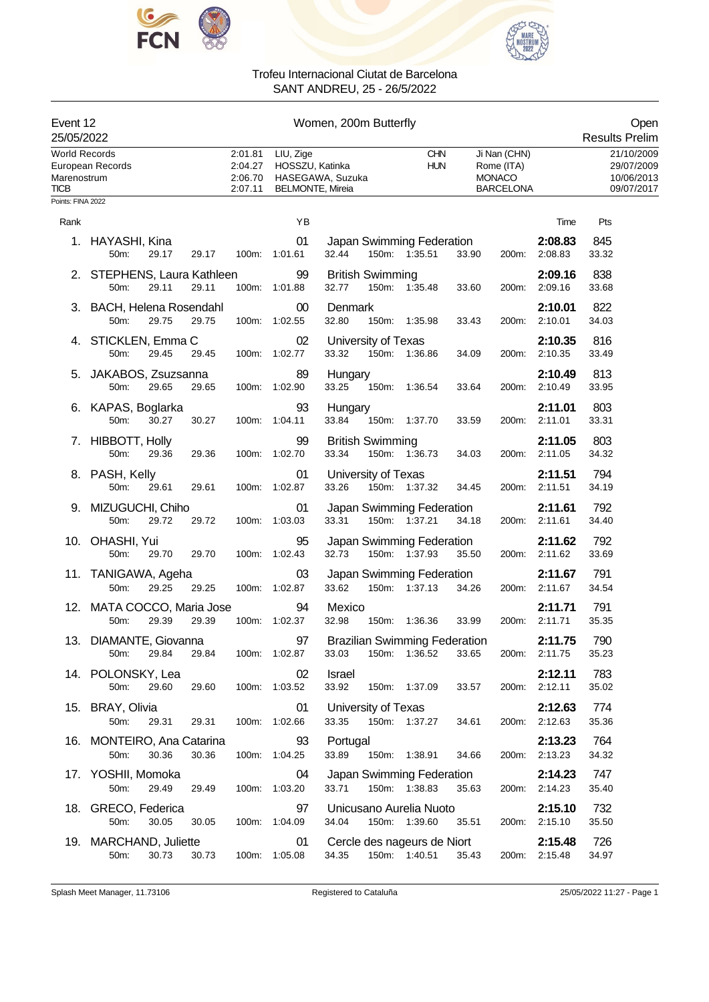



| Women, 200m Butterfly<br>Event 12<br>25/05/2022                  |                                                                   |                                          |                                                         |                                               |                          |       |                                                                 |                          | Open<br><b>Results Prelim</b>                        |
|------------------------------------------------------------------|-------------------------------------------------------------------|------------------------------------------|---------------------------------------------------------|-----------------------------------------------|--------------------------|-------|-----------------------------------------------------------------|--------------------------|------------------------------------------------------|
| World Records<br>Marenostrum<br><b>TICB</b><br>Points: FINA 2022 | European Records                                                  | 2:01.81<br>2:04.27<br>2:06.70<br>2:07.11 | LIU, Zige<br>HOSSZU, Katinka<br><b>BELMONTE, Mireia</b> | HASEGAWA, Suzuka                              | <b>CHN</b><br><b>HUN</b> |       | Ji Nan (CHN)<br>Rome (ITA)<br><b>MONACO</b><br><b>BARCELONA</b> |                          | 21/10/2009<br>29/07/2009<br>10/06/2013<br>09/07/2017 |
| Rank                                                             |                                                                   |                                          | YB                                                      |                                               |                          |       |                                                                 | Time                     | Pts                                                  |
|                                                                  | 1. HAYASHI, Kina<br>50m:<br>29.17<br>29.17                        |                                          | 01<br>100m: 1:01.61                                     | Japan Swimming Federation<br>32.44            | 150m: 1:35.51            | 33.90 | 200m:                                                           | 2:08.83<br>2:08.83       | 845<br>33.32                                         |
|                                                                  | 2. STEPHENS, Laura Kathleen<br>50m:<br>29.11<br>29.11             |                                          | 99<br>100m: 1:01.88                                     | <b>British Swimming</b><br>32.77              | 150m: 1:35.48            | 33.60 |                                                                 | 2:09.16<br>200m: 2:09.16 | 838<br>33.68                                         |
|                                                                  | 3. BACH, Helena Rosendahl<br>29.75<br>29.75<br>50m:               |                                          | $00\,$<br>100m: 1:02.55                                 | Denmark<br>32.80                              | 150m: 1:35.98            | 33.43 | 200m:                                                           | 2:10.01<br>2:10.01       | 822<br>34.03                                         |
|                                                                  | 4. STICKLEN, Emma C<br>50m:<br>29.45<br>29.45                     |                                          | 02<br>100m: 1:02.77                                     | University of Texas<br>33.32                  | 150m: 1:36.86            | 34.09 | 200m:                                                           | 2:10.35<br>2:10.35       | 816<br>33.49                                         |
|                                                                  | 5. JAKABOS, Zsuzsanna<br>50m:<br>29.65<br>29.65                   |                                          | 89<br>100m: 1:02.90                                     | Hungary<br>33.25                              | 150m: 1:36.54            | 33.64 |                                                                 | 2:10.49<br>200m: 2:10.49 | 813<br>33.95                                         |
|                                                                  | 6. KAPAS, Boglarka<br>30.27<br>30.27<br>50m:                      |                                          | 93<br>100m: 1:04.11                                     | Hungary<br>33.84                              | 150m: 1:37.70            | 33.59 |                                                                 | 2:11.01<br>200m: 2:11.01 | 803<br>33.31                                         |
|                                                                  | 7. HIBBOTT, Holly<br>50m:<br>29.36<br>29.36                       |                                          | 99<br>100m: 1:02.70                                     | <b>British Swimming</b><br>33.34              | 150m: 1:36.73            | 34.03 | 200m:                                                           | 2:11.05<br>2:11.05       | 803<br>34.32                                         |
|                                                                  | 8. PASH, Kelly<br>50m:<br>29.61<br>29.61                          |                                          | 01<br>100m: 1:02.87                                     | University of Texas<br>33.26                  | 150m: 1:37.32            | 34.45 |                                                                 | 2:11.51<br>200m: 2:11.51 | 794<br>34.19                                         |
|                                                                  | 9. MIZUGUCHI, Chiho<br>29.72<br>50m:<br>29.72                     |                                          | 01<br>100m: 1:03.03                                     | Japan Swimming Federation<br>33.31            | 150m: 1:37.21            | 34.18 |                                                                 | 2:11.61<br>200m: 2:11.61 | 792<br>34.40                                         |
|                                                                  | 10. OHASHI, Yui<br>50m:<br>29.70<br>29.70                         |                                          | 95<br>100m: 1:02.43                                     | Japan Swimming Federation<br>32.73            | 150m: 1:37.93            | 35.50 | 200m:                                                           | 2:11.62<br>2:11.62       | 792<br>33.69                                         |
|                                                                  | 11. TANIGAWA, Ageha<br>29.25<br>29.25<br>50m:                     |                                          | 03<br>100m: 1:02.87                                     | Japan Swimming Federation<br>33.62            | 150m: 1:37.13            | 34.26 | 200m:                                                           | 2:11.67<br>2:11.67       | 791<br>34.54                                         |
|                                                                  | 12. MATA COCCO, Maria Jose<br>29.39<br>29.39<br>50 <sub>m</sub> : |                                          | 94<br>100m: 1:02.37                                     | Mexico<br>32.98                               | 150m: 1:36.36            | 33.99 |                                                                 | 2:11.71<br>200m: 2:11.71 | 791<br>35.35                                         |
|                                                                  | 13. DIAMANTE, Giovanna<br>29.84<br>29.84<br>50m:                  |                                          | 97<br>100m: 1:02.87                                     | <b>Brazilian Swimming Federation</b><br>33.03 | 150m: 1:36.52            | 33.65 |                                                                 | 2:11.75<br>200m: 2:11.75 | 790<br>35.23                                         |
|                                                                  | 14. POLONSKY, Lea<br>50m:<br>29.60<br>29.60                       |                                          | 02<br>100m: 1:03.52                                     | Israel<br>33.92                               | 150m: 1:37.09            | 33.57 |                                                                 | 2:12.11<br>200m: 2:12.11 | 783<br>35.02                                         |
|                                                                  | 15. BRAY, Olivia<br>50m:<br>29.31<br>29.31                        |                                          | 01<br>100m: 1:02.66                                     | University of Texas<br>33.35                  | 150m: 1:37.27            | 34.61 |                                                                 | 2:12.63<br>200m: 2:12.63 | 774<br>35.36                                         |
|                                                                  | 16. MONTEIRO, Ana Catarina<br>50m:<br>30.36<br>30.36              |                                          | 93<br>100m: 1:04.25                                     | Portugal<br>33.89                             | 150m: 1:38.91            | 34.66 |                                                                 | 2:13.23<br>200m: 2:13.23 | 764<br>34.32                                         |
|                                                                  | 17. YOSHII, Momoka<br>29.49<br>50m:<br>29.49                      |                                          | 04<br>100m: 1:03.20                                     | Japan Swimming Federation<br>33.71            | 150m: 1:38.83            | 35.63 |                                                                 | 2:14.23<br>200m: 2:14.23 | 747<br>35.40                                         |
|                                                                  | 18. GRECO, Federica<br>30.05<br>50m:<br>30.05                     |                                          | 97<br>100m: 1:04.09                                     | Unicusano Aurelia Nuoto<br>34.04              | 150m: 1:39.60            | 35.51 |                                                                 | 2:15.10<br>200m: 2:15.10 | 732<br>35.50                                         |
|                                                                  | 19. MARCHAND, Juliette<br>30.73<br>50m:<br>30.73                  |                                          | 01<br>100m: 1:05.08                                     | Cercle des nageurs de Niort<br>34.35          | 150m: 1:40.51            | 35.43 |                                                                 | 2:15.48<br>200m: 2:15.48 | 726<br>34.97                                         |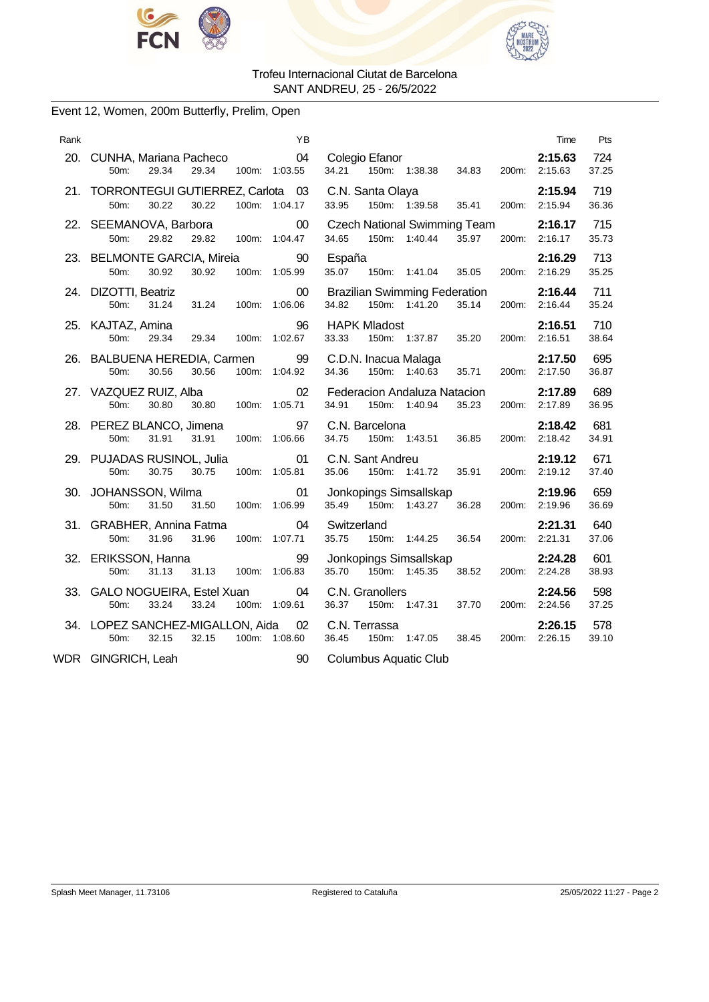



# Event 12, Women, 200m Butterfly, Prelim, Open

| Rank | ΥB                                                                                      |                                                                                 | Time                     | Pts          |
|------|-----------------------------------------------------------------------------------------|---------------------------------------------------------------------------------|--------------------------|--------------|
|      | 04<br>20. CUNHA, Mariana Pacheco<br>29.34<br>50m:<br>29.34<br>100m: 1:03.55             | Colegio Efanor<br>34.83                                                         | 2:15.63<br>200m: 2:15.63 | 724<br>37.25 |
|      | 21. TORRONTEGUI GUTIERREZ, Carlota 03<br>50m:<br>30.22<br>30.22<br>100m: 1:04.17        | C.N. Santa Olaya<br>150m: 1:39.58<br>33.95<br>35.41                             | 2:15.94<br>200m: 2:15.94 | 719<br>36.36 |
|      | $00\,$<br>22. SEEMANOVA, Barbora<br>50m:<br>29.82<br>29.82<br>100m: 1:04.47             | <b>Czech National Swimming Team</b><br>34.65<br>150m: 1:40.44<br>35.97<br>200m: | 2:16.17<br>2:16.17       | 715<br>35.73 |
|      | 23. BELMONTE GARCIA, Mireia<br>90<br>30.92<br>30.92<br>100m: 1:05.99<br>50m:            | España<br>35.07<br>150m: 1:41.04<br>35.05                                       | 2:16.29<br>200m: 2:16.29 | 713<br>35.25 |
|      | 24. DIZOTTI, Beatriz<br>$00\,$<br>31.24<br>50m:<br>31.24<br>100m:<br>1:06.06            | <b>Brazilian Swimming Federation</b><br>34.82<br>150m: 1:41.20<br>35.14         | 2:16.44<br>200m: 2:16.44 | 711<br>35.24 |
|      | 25. KAJTAZ, Amina<br>96<br>29.34<br>100m: 1:02.67<br>50m:<br>29.34                      | <b>HAPK Mladost</b><br>150m: 1:37.87<br>35.20<br>33.33                          | 2:16.51<br>200m: 2:16.51 | 710<br>38.64 |
|      | 26. BALBUENA HEREDIA, Carmen 99<br>30.56<br>30.56<br>100m: 1:04.92<br>50 <sub>m</sub> : | C.D.N. Inacua Malaga<br>34.36<br>150m: 1:40.63<br>35.71                         | 2:17.50<br>200m: 2:17.50 | 695<br>36.87 |
|      | 02<br>27. VAZQUEZ RUIZ, Alba<br>30.80<br>30.80<br>50m:<br>100m: 1:05.71                 | Federacion Andaluza Natacion<br>34.91<br>150m: 1:40.94<br>35.23                 | 2:17.89<br>200m: 2:17.89 | 689<br>36.95 |
|      | 28. PEREZ BLANCO, Jimena<br>97<br>50m:<br>31.91<br>100m: 1:06.66<br>31.91               | C.N. Barcelona<br>150m: 1:43.51 36.85<br>34.75                                  | 2:18.42<br>200m: 2:18.42 | 681<br>34.91 |
|      | 29. PUJADAS RUSINOL, Julia<br>01<br>30.75<br>30.75<br>100m: 1:05.81<br>50m:             | C.N. Sant Andreu<br>35.06<br>150m: 1:41.72<br>35.91                             | 2:19.12<br>200m: 2:19.12 | 671<br>37.40 |
|      | 30. JOHANSSON, Wilma<br>01<br>50m:<br>31.50<br>31.50<br>100m: 1:06.99                   | Jonkopings Simsallskap<br>35.49 150m: 1:43.27<br>36.28                          | 2:19.96<br>200m: 2:19.96 | 659<br>36.69 |
|      | 04<br>31. GRABHER, Annina Fatma<br>31.96<br>31.96<br>100m: 1:07.71<br>50m:              | Switzerland<br>150m: 1:44.25 36.54<br>35.75                                     | 2:21.31<br>200m: 2:21.31 | 640<br>37.06 |
|      | 32. ERIKSSON, Hanna<br>99<br>50m:<br>31.13<br>31.13<br>100m: 1:06.83                    | Jonkopings Simsallskap<br>35.70 150m: 1:45.35<br>38.52                          | 2:24.28<br>200m: 2:24.28 | 601<br>38.93 |
|      | 33. GALO NOGUEIRA, Estel Xuan<br>04<br>50m:<br>33.24<br>33.24<br>100m: 1:09.61          | C.N. Granollers<br>36.37<br>1:47.31<br>150m:<br>37.70                           | 2:24.56<br>200m: 2:24.56 | 598<br>37.25 |
|      | 34. LOPEZ SANCHEZ-MIGALLON, Aida<br>02<br>32.15<br>32.15<br>100m: 1:08.60<br>50m:       | C.N. Terrassa<br>150m: 1:47.05<br>38.45<br>36.45<br>200m:                       | 2:26.15<br>2:26.15       | 578<br>39.10 |
|      | WDR GINGRICH, Leah<br>90                                                                | <b>Columbus Aquatic Club</b>                                                    |                          |              |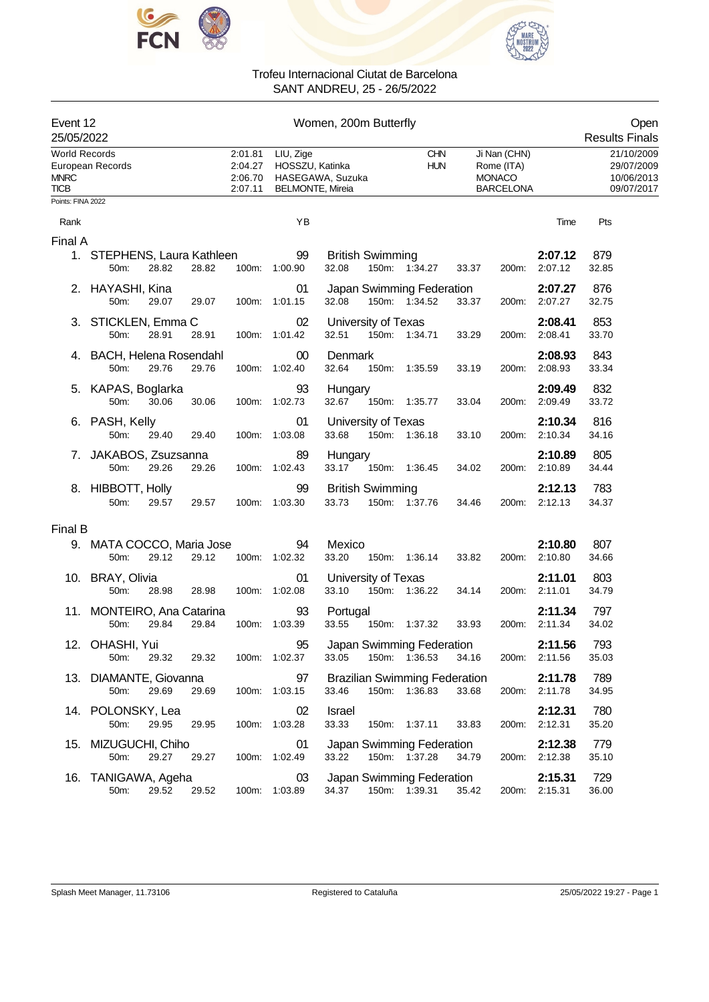



| Event 12<br>25/05/2022                             |                                                      |                                          |                                                                             | Women, 200m Butterfly                         |                          |       |                                                                 |                          | Open<br><b>Results Finals</b>                        |
|----------------------------------------------------|------------------------------------------------------|------------------------------------------|-----------------------------------------------------------------------------|-----------------------------------------------|--------------------------|-------|-----------------------------------------------------------------|--------------------------|------------------------------------------------------|
| <b>World Records</b><br><b>MNRC</b><br><b>TICB</b> | European Records                                     | 2:01.81<br>2:04.27<br>2:06.70<br>2:07.11 | LIU, Zige<br>HOSSZU, Katinka<br>HASEGAWA, Suzuka<br><b>BELMONTE, Mireia</b> |                                               | <b>CHN</b><br><b>HUN</b> |       | Ji Nan (CHN)<br>Rome (ITA)<br><b>MONACO</b><br><b>BARCELONA</b> |                          | 21/10/2009<br>29/07/2009<br>10/06/2013<br>09/07/2017 |
| Points: FINA 2022                                  |                                                      |                                          |                                                                             |                                               |                          |       |                                                                 |                          |                                                      |
| Rank                                               |                                                      |                                          | YB                                                                          |                                               |                          |       |                                                                 | Time                     | Pts                                                  |
| Final A                                            |                                                      |                                          |                                                                             |                                               |                          |       |                                                                 |                          |                                                      |
|                                                    | 1. STEPHENS, Laura Kathleen<br>50m:<br>28.82         | 28.82                                    | 99<br>100m: 1:00.90                                                         | <b>British Swimming</b><br>32.08              | 150m: 1:34.27            | 33.37 | 200m:                                                           | 2:07.12<br>2:07.12       | 879<br>32.85                                         |
|                                                    | 2. HAYASHI, Kina<br>50m:<br>29.07                    | 29.07                                    | 01<br>100m: 1:01.15                                                         | Japan Swimming Federation<br>32.08            | 150m: 1:34.52            | 33.37 |                                                                 | 2:07.27<br>200m: 2:07.27 | 876<br>32.75                                         |
|                                                    | 3. STICKLEN, Emma C<br>28.91<br>50m:                 | 28.91                                    | 02<br>100m: 1:01.42                                                         | University of Texas<br>32.51                  | 150m: 1:34.71            | 33.29 | 200m:                                                           | 2:08.41<br>2:08.41       | 853<br>33.70                                         |
|                                                    | 4. BACH, Helena Rosendahl<br>29.76<br>50m:           | 29.76                                    | $00\,$<br>100m: 1:02.40                                                     | Denmark<br>32.64                              | 150m: 1:35.59            | 33.19 | 200m:                                                           | 2:08.93<br>2:08.93       | 843<br>33.34                                         |
|                                                    | 5. KAPAS, Boglarka<br>50m:<br>30.06                  | 30.06                                    | 93<br>100m: 1:02.73                                                         | Hungary<br>32.67                              | 150m: 1:35.77            | 33.04 | 200m:                                                           | 2:09.49<br>2:09.49       | 832<br>33.72                                         |
|                                                    | 6. PASH, Kelly<br>50m:<br>29.40                      | 29.40                                    | 01<br>100m: 1:03.08                                                         | University of Texas<br>33.68                  | 150m: 1:36.18            | 33.10 | 200m:                                                           | 2:10.34<br>2:10.34       | 816<br>34.16                                         |
|                                                    | 7. JAKABOS, Zsuzsanna<br>50m:<br>29.26               | 29.26                                    | 89<br>100m: 1:02.43                                                         | Hungary<br>33.17                              | 150m: 1:36.45            | 34.02 | 200m:                                                           | 2:10.89<br>2:10.89       | 805<br>34.44                                         |
|                                                    | 8. HIBBOTT, Holly<br>50m:<br>29.57                   | 29.57                                    | 99<br>100m: 1:03.30                                                         | <b>British Swimming</b><br>33.73              | 150m: 1:37.76            | 34.46 | 200m:                                                           | 2:12.13<br>2:12.13       | 783<br>34.37                                         |
| Final B                                            |                                                      |                                          |                                                                             |                                               |                          |       |                                                                 |                          |                                                      |
|                                                    | 9. MATA COCCO, Maria Jose<br>50m:<br>29.12           | 29.12                                    | 94<br>100m: 1:02.32                                                         | Mexico<br>33.20                               | 150m: 1:36.14            | 33.82 | 200m:                                                           | 2:10.80<br>2:10.80       | 807<br>34.66                                         |
|                                                    | 10. BRAY, Olivia<br>50m:<br>28.98                    | 28.98                                    | 01<br>100m: 1:02.08                                                         | University of Texas<br>33.10                  | 150m: 1:36.22            | 34.14 |                                                                 | 2:11.01<br>200m: 2:11.01 | 803<br>34.79                                         |
|                                                    | 11. MONTEIRO, Ana Catarina<br>29.84<br>29.84<br>50m: | 100m:                                    | 93<br>1:03.39                                                               | Portugal<br>33.55                             | 150m: 1:37.32            | 33.93 |                                                                 | 2:11.34<br>200m: 2:11.34 | 797<br>34.02                                         |
|                                                    | 12. OHASHI, Yui<br>50m:<br>29.32                     | 29.32                                    | 95<br>100m: 1:02.37                                                         | Japan Swimming Federation<br>33.05            | 150m: 1:36.53            | 34.16 |                                                                 | 2:11.56<br>200m: 2:11.56 | 793<br>35.03                                         |
|                                                    | 13. DIAMANTE, Giovanna<br>29.69<br>50m:              | 29.69                                    | 97<br>100m: 1:03.15                                                         | <b>Brazilian Swimming Federation</b><br>33.46 | 150m: 1:36.83            | 33.68 |                                                                 | 2:11.78<br>200m: 2:11.78 | 789<br>34.95                                         |
|                                                    | 14. POLONSKY, Lea<br>50m:<br>29.95                   | 29.95                                    | 02<br>100m: 1:03.28                                                         | Israel<br>33.33                               | 150m: 1:37.11            | 33.83 | 200m:                                                           | 2:12.31<br>2:12.31       | 780<br>35.20                                         |
|                                                    | 15. MIZUGUCHI, Chiho<br>50m:<br>29.27                | 29.27                                    | 01<br>100m: 1:02.49                                                         | Japan Swimming Federation<br>33.22            | 150m: 1:37.28            | 34.79 |                                                                 | 2:12.38<br>200m: 2:12.38 | 779<br>35.10                                         |
|                                                    | 16. TANIGAWA, Ageha<br>29.52<br>50m:                 | 29.52                                    | 03<br>100m: 1:03.89                                                         | Japan Swimming Federation<br>34.37            | 150m: 1:39.31            | 35.42 |                                                                 | 2:15.31<br>200m: 2:15.31 | 729<br>36.00                                         |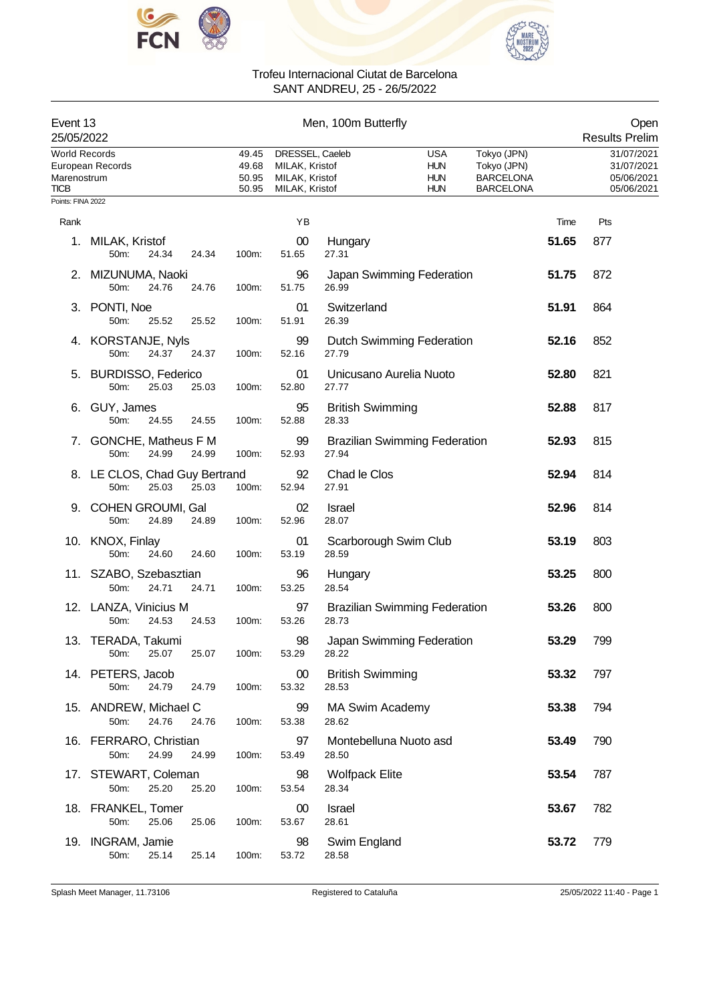



| Event 13<br>25/05/2022                                                  |                                                         |                                  |                                                                       | Men, 100m Butterfly              |                                                      |                                                                    |       | Open<br><b>Results Prelim</b>                        |
|-------------------------------------------------------------------------|---------------------------------------------------------|----------------------------------|-----------------------------------------------------------------------|----------------------------------|------------------------------------------------------|--------------------------------------------------------------------|-------|------------------------------------------------------|
| <b>World Records</b><br>Marenostrum<br><b>TICB</b><br>Points: FINA 2022 | European Records                                        | 49.45<br>49.68<br>50.95<br>50.95 | DRESSEL, Caeleb<br>MILAK, Kristof<br>MILAK, Kristof<br>MILAK, Kristof |                                  | <b>USA</b><br><b>HUN</b><br><b>HUN</b><br><b>HUN</b> | Tokyo (JPN)<br>Tokyo (JPN)<br><b>BARCELONA</b><br><b>BARCELONA</b> |       | 31/07/2021<br>31/07/2021<br>05/06/2021<br>05/06/2021 |
|                                                                         |                                                         |                                  | YB                                                                    |                                  |                                                      |                                                                    | Time  | Pts                                                  |
| Rank<br>1.                                                              | MILAK, Kristof<br>50m:<br>24.34<br>24.34                | 100m:                            | 00<br>51.65                                                           | Hungary<br>27.31                 |                                                      |                                                                    | 51.65 | 877                                                  |
| 2.                                                                      | MIZUNUMA, Naoki<br>50m:<br>24.76<br>24.76               | 100m:                            | 96<br>51.75                                                           | 26.99                            | Japan Swimming Federation                            |                                                                    | 51.75 | 872                                                  |
|                                                                         | 3. PONTI, Noe<br>50m:<br>25.52<br>25.52                 | 100m:                            | 01<br>51.91                                                           | Switzerland<br>26.39             |                                                      |                                                                    | 51.91 | 864                                                  |
|                                                                         | 4. KORSTANJE, Nyls<br>24.37<br>50m:<br>24.37            | 100m:                            | 99<br>52.16                                                           | 27.79                            | <b>Dutch Swimming Federation</b>                     |                                                                    | 52.16 | 852                                                  |
| 5.                                                                      | <b>BURDISSO, Federico</b><br>50m:<br>25.03<br>25.03     | 100m:                            | 01<br>52.80                                                           | 27.77                            | Unicusano Aurelia Nuoto                              |                                                                    | 52.80 | 821                                                  |
|                                                                         | 6. GUY, James<br>50m:<br>24.55<br>24.55                 | 100m:                            | 95<br>52.88                                                           | <b>British Swimming</b><br>28.33 |                                                      |                                                                    | 52.88 | 817                                                  |
|                                                                         | 7. GONCHE, Matheus F M<br>24.99<br>50m:<br>24.99        | 100m:                            | 99<br>52.93                                                           | 27.94                            | <b>Brazilian Swimming Federation</b>                 |                                                                    | 52.93 | 815                                                  |
|                                                                         | 8. LE CLOS, Chad Guy Bertrand<br>50m:<br>25.03<br>25.03 | 100m:                            | 92<br>52.94                                                           | Chad le Clos<br>27.91            |                                                      |                                                                    | 52.94 | 814                                                  |
|                                                                         | 9. COHEN GROUMI, Gal<br>24.89<br>50m:<br>24.89          | 100m:                            | 02<br>52.96                                                           | Israel<br>28.07                  |                                                      |                                                                    | 52.96 | 814                                                  |
|                                                                         | 10. KNOX, Finlay<br>50m:<br>24.60<br>24.60              | 100m:                            | 01<br>53.19                                                           | Scarborough Swim Club<br>28.59   |                                                      |                                                                    | 53.19 | 803                                                  |
|                                                                         | 11. SZABO, Szebasztian<br>24.71<br>50m:<br>24.71        | 100m:                            | 96<br>53.25                                                           | Hungary<br>28.54                 |                                                      |                                                                    | 53.25 | 800                                                  |
|                                                                         | 12. LANZA, Vinicius M<br>24.53<br>24.53<br>50m:         | 100m:                            | 97<br>53.26                                                           | 28.73                            | <b>Brazilian Swimming Federation</b>                 |                                                                    | 53.26 | 800                                                  |
|                                                                         | 13. TERADA, Takumi<br>25.07<br>25.07<br>50m:            | 100m:                            | 98<br>53.29                                                           | 28.22                            | Japan Swimming Federation                            |                                                                    | 53.29 | 799                                                  |
|                                                                         | 14. PETERS, Jacob<br>50m:<br>24.79<br>24.79             | 100m:                            | 00<br>53.32                                                           | <b>British Swimming</b><br>28.53 |                                                      |                                                                    | 53.32 | 797                                                  |
|                                                                         | 15. ANDREW, Michael C<br>50m:<br>24.76<br>24.76         | 100m:                            | 99<br>53.38                                                           | <b>MA Swim Academy</b><br>28.62  |                                                      |                                                                    | 53.38 | 794                                                  |
|                                                                         | 16. FERRARO, Christian<br>24.99<br>50m:<br>24.99        | 100m:                            | 97<br>53.49                                                           | Montebelluna Nuoto asd<br>28.50  |                                                      |                                                                    | 53.49 | 790                                                  |
| 17.                                                                     | STEWART, Coleman<br>25.20<br>50m:<br>25.20              | 100m:                            | 98<br>53.54                                                           | <b>Wolfpack Elite</b><br>28.34   |                                                      |                                                                    | 53.54 | 787                                                  |
|                                                                         | 18. FRANKEL, Tomer<br>50m:<br>25.06<br>25.06            | 100m:                            | 00<br>53.67                                                           | Israel<br>28.61                  |                                                      |                                                                    | 53.67 | 782                                                  |
|                                                                         | 19. INGRAM, Jamie<br>25.14<br>50m:<br>25.14             | 100m:                            | 98<br>53.72                                                           | Swim England<br>28.58            |                                                      |                                                                    | 53.72 | 779                                                  |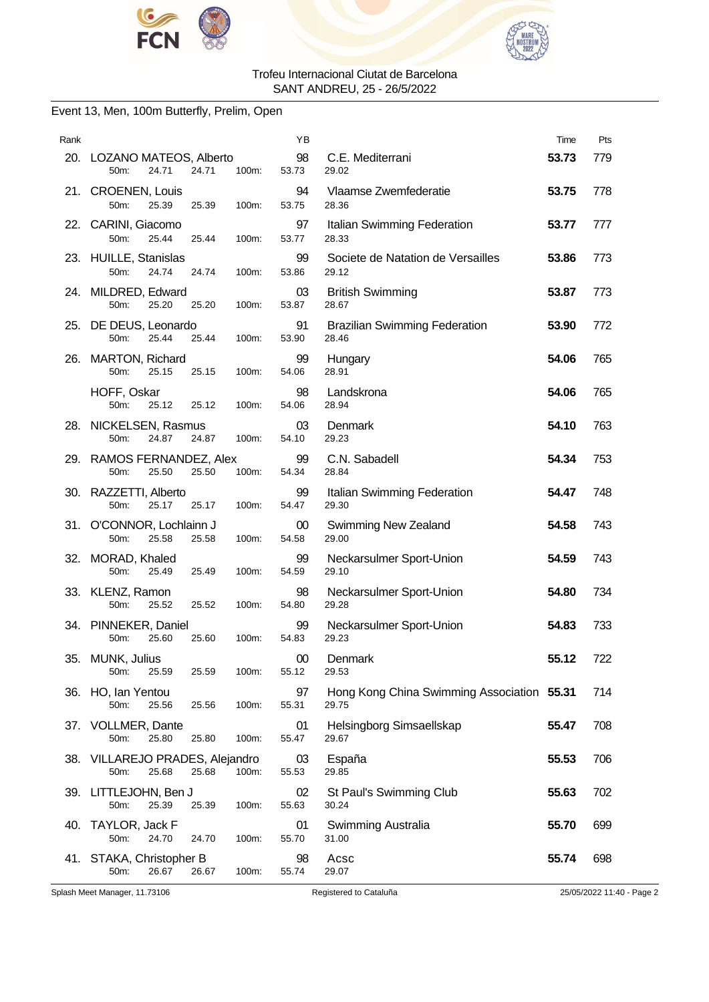



### Event 13, Men, 100m Butterfly, Prelim, Open

| Rank |                                                                       | ΥB              |                                                     | Time  | Pts |
|------|-----------------------------------------------------------------------|-----------------|-----------------------------------------------------|-------|-----|
|      | 20. LOZANO MATEOS, Alberto<br>24.71<br>24.71<br>100m:<br>50m:         | 98<br>53.73     | C.E. Mediterrani<br>29.02                           | 53.73 | 779 |
|      | 21. CROENEN, Louis<br>50m:<br>25.39<br>25.39<br>100m:                 | 94<br>53.75     | Vlaamse Zwemfederatie<br>28.36                      | 53.75 | 778 |
|      | 22. CARINI, Giacomo<br>50m:<br>25.44<br>25.44<br>100m:                | 97<br>53.77     | Italian Swimming Federation<br>28.33                | 53.77 | 777 |
|      | 23. HUILLE, Stanislas<br>50m:<br>24.74<br>24.74<br>100m:              | 99<br>53.86     | Societe de Natation de Versailles<br>29.12          | 53.86 | 773 |
|      | 24. MILDRED, Edward<br>50m:<br>25.20<br>25.20<br>100m:                | 03<br>53.87     | <b>British Swimming</b><br>28.67                    | 53.87 | 773 |
|      | 25. DE DEUS, Leonardo<br>50 <sub>m</sub> :<br>25.44<br>25.44<br>100m: | 91<br>53.90     | <b>Brazilian Swimming Federation</b><br>28.46       | 53.90 | 772 |
| 26.  | <b>MARTON, Richard</b><br>50m:<br>25.15<br>25.15<br>100m:             | 99<br>54.06     | Hungary<br>28.91                                    | 54.06 | 765 |
|      | HOFF, Oskar<br>50m:<br>25.12<br>25.12<br>100m:                        | 98<br>54.06     | Landskrona<br>28.94                                 | 54.06 | 765 |
|      | 28. NICKELSEN, Rasmus<br>50 <sub>m</sub> :<br>24.87<br>24.87<br>100m: | 03<br>54.10     | Denmark<br>29.23                                    | 54.10 | 763 |
|      | 29. RAMOS FERNANDEZ, Alex<br>50m:<br>25.50<br>25.50<br>100m:          | 99<br>54.34     | C.N. Sabadell<br>28.84                              | 54.34 | 753 |
|      | 30. RAZZETTI, Alberto<br>50m:<br>25.17<br>25.17<br>100m:              | 99<br>54.47     | Italian Swimming Federation<br>29.30                | 54.47 | 748 |
|      | 31. O'CONNOR, Lochlainn J<br>50m:<br>25.58<br>25.58<br>100m:          | $00\,$<br>54.58 | Swimming New Zealand<br>29.00                       | 54.58 | 743 |
|      | 32. MORAD, Khaled<br>50m:<br>25.49<br>100m:<br>25.49                  | 99<br>54.59     | Neckarsulmer Sport-Union<br>29.10                   | 54.59 | 743 |
|      | 33. KLENZ, Ramon<br>50m:<br>25.52<br>25.52<br>100m:                   | 98<br>54.80     | Neckarsulmer Sport-Union<br>29.28                   | 54.80 | 734 |
|      | 34. PINNEKER, Daniel<br>50m:<br>25.60<br>25.60<br>100m:               | 99<br>54.83     | Neckarsulmer Sport-Union<br>29.23                   | 54.83 | 733 |
| 35.  | MUNK, Julius<br>100m:<br>50m:<br>25.59<br>25.59                       | $00\,$<br>55.12 | Denmark<br>29.53                                    | 55.12 | 722 |
|      | 36. HO, Ian Yentou<br>50m:<br>25.56<br>25.56<br>100m:                 | 97<br>55.31     | Hong Kong China Swimming Association 55.31<br>29.75 |       | 714 |
|      | 37. VOLLMER, Dante<br>50m:<br>25.80<br>25.80<br>100m:                 | 01<br>55.47     | Helsingborg Simsaellskap<br>29.67                   | 55.47 | 708 |
|      | 38. VILLAREJO PRADES, Alejandro<br>50m:<br>25.68<br>25.68<br>100m:    | 03<br>55.53     | España<br>29.85                                     | 55.53 | 706 |
|      | 39. LITTLEJOHN, Ben J<br>50m:<br>25.39<br>25.39<br>100m:              | 02<br>55.63     | St Paul's Swimming Club<br>30.24                    | 55.63 | 702 |
| 40.  | TAYLOR, Jack F<br>24.70<br>100m:<br>50m:<br>24.70                     | 01<br>55.70     | Swimming Australia<br>31.00                         | 55.70 | 699 |
|      | 41. STAKA, Christopher B<br>50m:<br>26.67<br>26.67<br>100m:           | 98<br>55.74     | Acsc<br>29.07                                       | 55.74 | 698 |

Splash Meet Manager, 11.73106 Registered to Cataluña 25/05/2022 11:40 - Page 2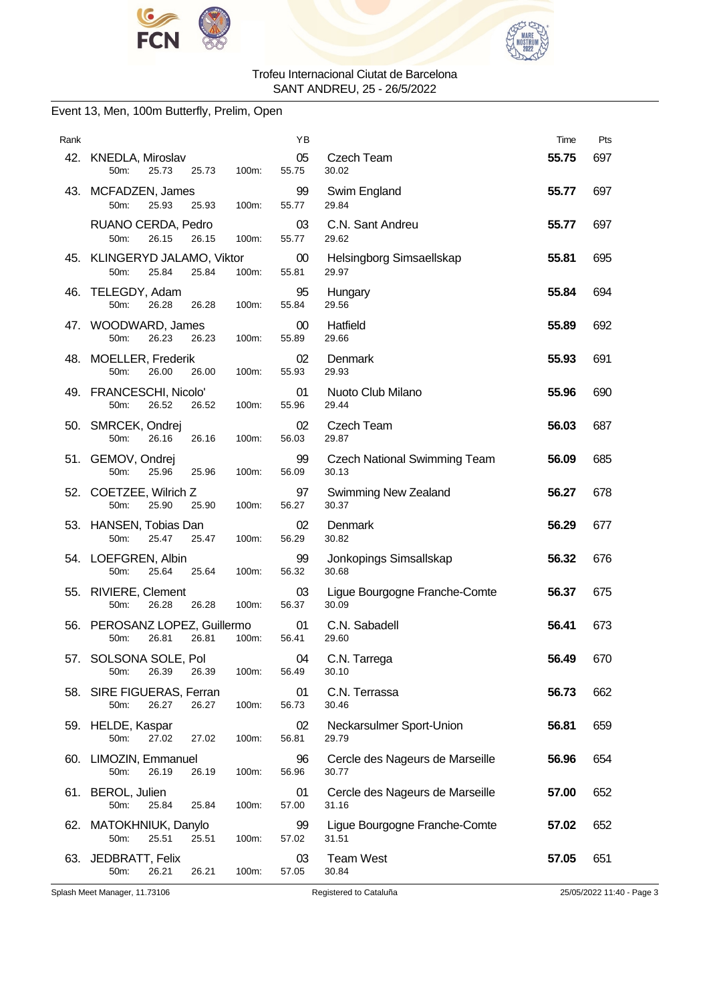



### Event 13, Men, 100m Butterfly, Prelim, Open

| Rank |                                                                    | ΥB              |                                              | Time  | Pts |
|------|--------------------------------------------------------------------|-----------------|----------------------------------------------|-------|-----|
|      | 42. KNEDLA, Miroslav<br>50m:<br>25.73<br>25.73<br>100m:            | 05<br>55.75     | Czech Team<br>30.02                          | 55.75 | 697 |
|      | 43. MCFADZEN, James<br>50m:<br>25.93<br>25.93<br>100m:             | 99<br>55.77     | Swim England<br>29.84                        | 55.77 | 697 |
|      | RUANO CERDA, Pedro<br>50 <sub>m</sub> :<br>26.15<br>26.15<br>100m: | 03<br>55.77     | C.N. Sant Andreu<br>29.62                    | 55.77 | 697 |
|      | 45. KLINGERYD JALAMO, Viktor<br>25.84<br>50m:<br>25.84<br>100m:    | $00\,$<br>55.81 | Helsingborg Simsaellskap<br>29.97            | 55.81 | 695 |
| 46.  | TELEGDY, Adam<br>50m:<br>26.28<br>26.28<br>100m:                   | 95<br>55.84     | Hungary<br>29.56                             | 55.84 | 694 |
|      | 47. WOODWARD, James<br>50m:<br>26.23<br>26.23<br>100m:             | $00\,$<br>55.89 | Hatfield<br>29.66                            | 55.89 | 692 |
|      | 48. MOELLER, Frederik<br>50m:<br>26.00<br>26.00<br>100m:           | 02<br>55.93     | Denmark<br>29.93                             | 55.93 | 691 |
|      | 49. FRANCESCHI, Nicolo'<br>50m:<br>26.52<br>26.52<br>100m:         | 01<br>55.96     | Nuoto Club Milano<br>29.44                   | 55.96 | 690 |
|      | 50. SMRCEK, Ondrej<br>50m:<br>26.16<br>26.16<br>100m:              | 02<br>56.03     | Czech Team<br>29.87                          | 56.03 | 687 |
|      | 51. GEMOV, Ondrej<br>50m:<br>25.96<br>25.96<br>100m:               | 99<br>56.09     | <b>Czech National Swimming Team</b><br>30.13 | 56.09 | 685 |
|      | 52. COETZEE, Wilrich Z<br>50m:<br>25.90<br>25.90<br>100m:          | 97<br>56.27     | <b>Swimming New Zealand</b><br>30.37         | 56.27 | 678 |
|      | 53. HANSEN, Tobias Dan<br>50m:<br>25.47<br>25.47<br>100m:          | 02<br>56.29     | Denmark<br>30.82                             | 56.29 | 677 |
|      | 54. LOEFGREN, Albin<br>50m:<br>25.64<br>25.64<br>100m:             | 99<br>56.32     | Jonkopings Simsallskap<br>30.68              | 56.32 | 676 |
|      | 55. RIVIERE, Clement<br>50m:<br>26.28<br>26.28<br>100m:            | 03<br>56.37     | Ligue Bourgogne Franche-Comte<br>30.09       | 56.37 | 675 |
|      | 56. PEROSANZ LOPEZ, Guillermo<br>26.81<br>50m:<br>26.81<br>100m:   | 01<br>56.41     | C.N. Sabadell<br>29.60                       | 56.41 | 673 |
|      | 57. SOLSONA SOLE, Pol<br>26.39<br>50m:<br>26.39<br>100m:           | 04<br>56.49     | C.N. Tarrega<br>30.10                        | 56.49 | 670 |
|      | 58. SIRE FIGUERAS, Ferran<br>26.27<br>26.27<br>50m:<br>100m:       | 01<br>56.73     | C.N. Terrassa<br>30.46                       | 56.73 | 662 |
|      | 59. HELDE, Kaspar<br>50m:<br>27.02<br>27.02<br>100m:               | 02<br>56.81     | Neckarsulmer Sport-Union<br>29.79            | 56.81 | 659 |
|      | 60. LIMOZIN, Emmanuel<br>50m:<br>26.19<br>26.19<br>100m:           | 96<br>56.96     | Cercle des Nageurs de Marseille<br>30.77     | 56.96 | 654 |
|      | 61. BEROL, Julien<br>50m:<br>25.84<br>25.84<br>100m:               | 01<br>57.00     | Cercle des Nageurs de Marseille<br>31.16     | 57.00 | 652 |
|      | 62. MATOKHNIUK, Danylo<br>50m:<br>25.51<br>25.51<br>100m:          | 99<br>57.02     | Ligue Bourgogne Franche-Comte<br>31.51       | 57.02 | 652 |
|      | 63. JEDBRATT, Felix<br>50m:<br>26.21<br>26.21<br>100m:             | 03<br>57.05     | <b>Team West</b><br>30.84                    | 57.05 | 651 |

Splash Meet Manager, 11.73106 Registered to Cataluña 25/05/2022 11:40 - Page 3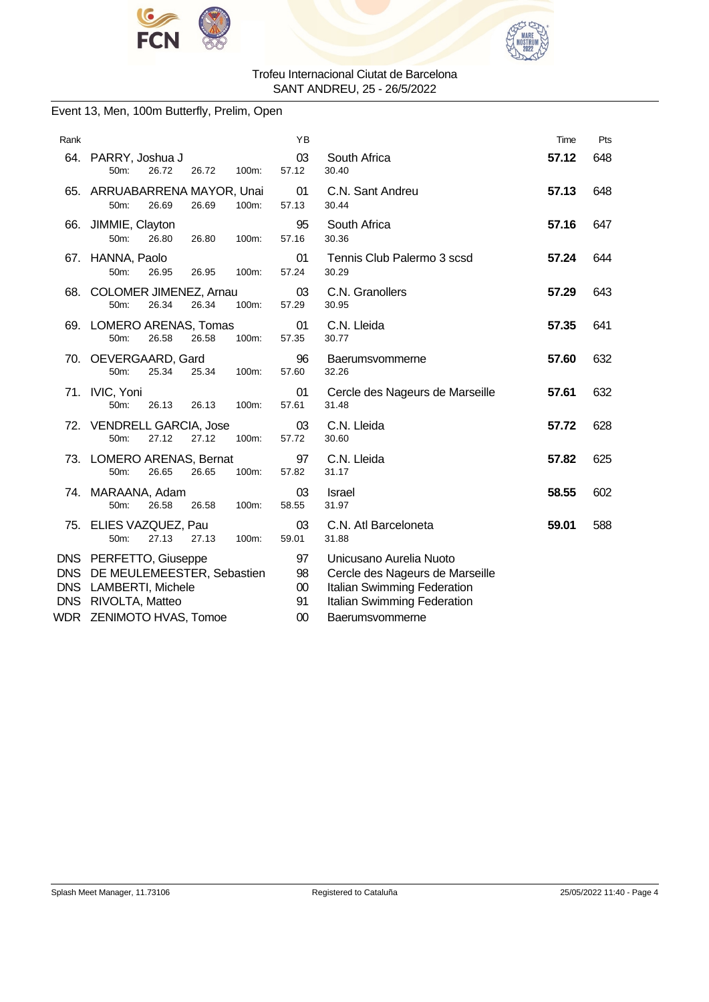



### Event 13, Men, 100m Butterfly, Prelim, Open

| Rank       |                                                                                                                                         | YB                         |                                                                                                                                             | Time  | Pts |
|------------|-----------------------------------------------------------------------------------------------------------------------------------------|----------------------------|---------------------------------------------------------------------------------------------------------------------------------------------|-------|-----|
| 64.        | PARRY, Joshua J<br>26.72<br>$50m$ :<br>26.72<br>100m:                                                                                   | 03<br>57.12                | South Africa<br>30.40                                                                                                                       | 57.12 | 648 |
|            | 65. ARRUABARRENA MAYOR, Unai<br>50m:<br>26.69<br>26.69<br>100m:                                                                         | 01<br>57.13                | C.N. Sant Andreu<br>30.44                                                                                                                   | 57.13 | 648 |
| 66.        | JIMMIE, Clayton<br>50m:<br>26.80<br>26.80<br>100m:                                                                                      | 95<br>57.16                | South Africa<br>30.36                                                                                                                       | 57.16 | 647 |
|            | 67. HANNA, Paolo<br>50m:<br>26.95<br>100m:<br>26.95                                                                                     | 01<br>57.24                | Tennis Club Palermo 3 scsd<br>30.29                                                                                                         | 57.24 | 644 |
|            | 68. COLOMER JIMENEZ, Arnau<br>50m:<br>26.34<br>26.34<br>100m:                                                                           | 03<br>57.29                | C.N. Granollers<br>30.95                                                                                                                    | 57.29 | 643 |
|            | 69. LOMERO ARENAS, Tomas<br>26.58<br>100m:<br>50m:<br>26.58                                                                             | 01<br>57.35                | C.N. Lleida<br>30.77                                                                                                                        | 57.35 | 641 |
|            | 70. OEVERGAARD, Gard<br>50m:<br>25.34<br>25.34<br>100m:                                                                                 | 96<br>57.60                | Baerumsvommerne<br>32.26                                                                                                                    | 57.60 | 632 |
|            | 71. IVIC, Yoni<br>50m:<br>26.13<br>26.13<br>100m:                                                                                       | 01<br>57.61                | Cercle des Nageurs de Marseille<br>31.48                                                                                                    | 57.61 | 632 |
|            | 72. VENDRELL GARCIA, Jose<br>50m:<br>27.12<br>27.12<br>100m:                                                                            | 03<br>57.72                | C.N. Lleida<br>30.60                                                                                                                        | 57.72 | 628 |
|            | 73. LOMERO ARENAS, Bernat<br>50m:<br>26.65<br>26.65<br>100m:                                                                            | 97<br>57.82                | C.N. Lleida<br>31.17                                                                                                                        | 57.82 | 625 |
|            | 74. MARAANA, Adam<br>26.58<br>50m:<br>26.58<br>100m:                                                                                    | 03<br>58.55                | <b>Israel</b><br>31.97                                                                                                                      | 58.55 | 602 |
|            | 75. ELIES VAZQUEZ, Pau<br>27.13<br>27.13<br>100m:<br>50m:                                                                               | 03<br>59.01                | C.N. Atl Barceloneta<br>31.88                                                                                                               | 59.01 | 588 |
| <b>DNS</b> | DNS PERFETTO, Giuseppe<br>DNS DE MEULEMEESTER, Sebastien<br><b>LAMBERTI, Michele</b><br>DNS RIVOLTA, Matteo<br>WDR ZENIMOTO HVAS, Tomoe | 97<br>98<br>00<br>91<br>00 | Unicusano Aurelia Nuoto<br>Cercle des Nageurs de Marseille<br>Italian Swimming Federation<br>Italian Swimming Federation<br>Baerumsvommerne |       |     |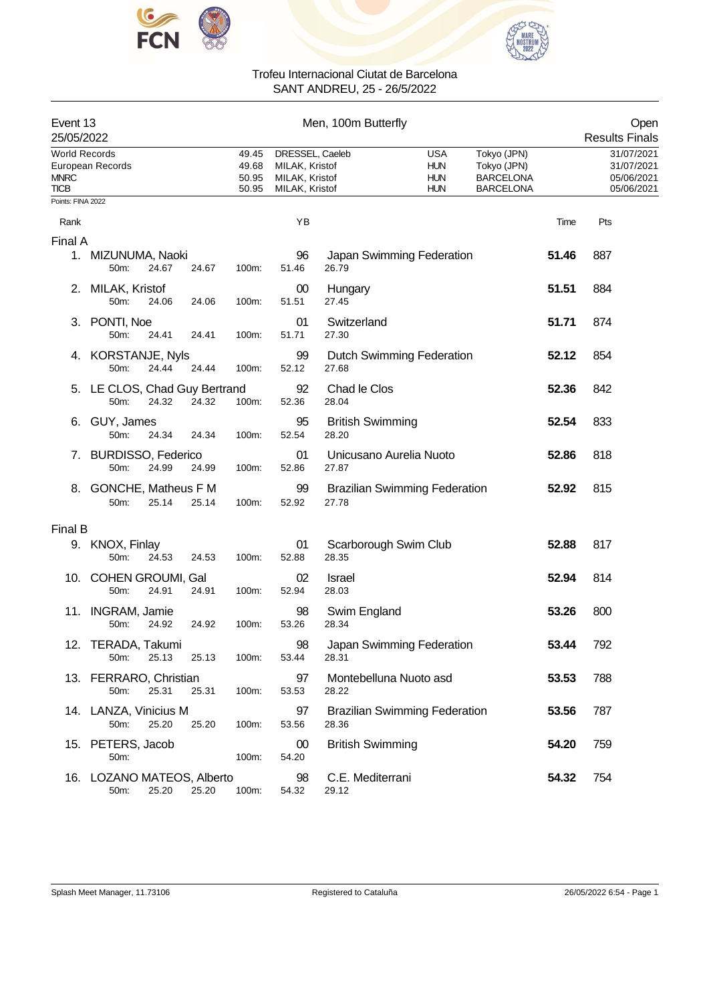



| Event 13<br>25/05/2022                      |                                       |       |       |                                  |                                                                       | Men, 100m Butterfly                           |                                                      |                                                                    |       | Open<br><b>Results Finals</b>                        |
|---------------------------------------------|---------------------------------------|-------|-------|----------------------------------|-----------------------------------------------------------------------|-----------------------------------------------|------------------------------------------------------|--------------------------------------------------------------------|-------|------------------------------------------------------|
| <b>World Records</b><br><b>MNRC</b><br>TICB | European Records                      |       |       | 49.45<br>49.68<br>50.95<br>50.95 | DRESSEL, Caeleb<br>MILAK, Kristof<br>MILAK, Kristof<br>MILAK, Kristof |                                               | <b>USA</b><br><b>HUN</b><br><b>HUN</b><br><b>HUN</b> | Tokyo (JPN)<br>Tokyo (JPN)<br><b>BARCELONA</b><br><b>BARCELONA</b> |       | 31/07/2021<br>31/07/2021<br>05/06/2021<br>05/06/2021 |
| Points: FINA 2022                           |                                       |       |       |                                  |                                                                       |                                               |                                                      |                                                                    |       |                                                      |
| Rank                                        |                                       |       |       |                                  | YB                                                                    |                                               |                                                      |                                                                    | Time  | Pts                                                  |
| Final A                                     |                                       |       |       |                                  |                                                                       |                                               |                                                      |                                                                    |       |                                                      |
|                                             | 1. MIZUNUMA, Naoki<br>50m:            | 24.67 | 24.67 | 100m:                            | 96<br>51.46                                                           | Japan Swimming Federation<br>26.79            |                                                      |                                                                    | 51.46 | 887                                                  |
| 2.                                          | MILAK, Kristof<br>50m:                | 24.06 | 24.06 | 100m:                            | 00<br>51.51                                                           | Hungary<br>27.45                              |                                                      |                                                                    | 51.51 | 884                                                  |
|                                             | 3. PONTI, Noe<br>50m:                 | 24.41 | 24.41 | 100m:                            | 01<br>51.71                                                           | Switzerland<br>27.30                          |                                                      |                                                                    | 51.71 | 874                                                  |
|                                             | 4. KORSTANJE, Nyls<br>50m:            | 24.44 | 24.44 | 100m:                            | 99<br>52.12                                                           | <b>Dutch Swimming Federation</b><br>27.68     |                                                      |                                                                    | 52.12 | 854                                                  |
|                                             | 5. LE CLOS, Chad Guy Bertrand<br>50m: | 24.32 | 24.32 | 100m:                            | 92<br>52.36                                                           | Chad le Clos<br>28.04                         |                                                      |                                                                    | 52.36 | 842                                                  |
|                                             | 6. GUY, James<br>50m:                 | 24.34 | 24.34 | 100m:                            | 95<br>52.54                                                           | <b>British Swimming</b><br>28.20              |                                                      |                                                                    | 52.54 | 833                                                  |
| $\mathcal{L}$                               | <b>BURDISSO, Federico</b><br>50m:     | 24.99 | 24.99 | 100m:                            | 01<br>52.86                                                           | Unicusano Aurelia Nuoto<br>27.87              |                                                      |                                                                    | 52.86 | 818                                                  |
| 8.                                          | <b>GONCHE, Matheus F M</b><br>50m:    | 25.14 | 25.14 | 100m:                            | 99<br>52.92                                                           | <b>Brazilian Swimming Federation</b><br>27.78 |                                                      |                                                                    | 52.92 | 815                                                  |
| Final B                                     |                                       |       |       |                                  |                                                                       |                                               |                                                      |                                                                    |       |                                                      |
|                                             | 9. KNOX, Finlay<br>50m:               | 24.53 | 24.53 | 100m:                            | 01<br>52.88                                                           | Scarborough Swim Club<br>28.35                |                                                      |                                                                    | 52.88 | 817                                                  |
|                                             | 10. COHEN GROUMI, Gal<br>50m:         | 24.91 | 24.91 | 100m:                            | 02<br>52.94                                                           | <b>Israel</b><br>28.03                        |                                                      |                                                                    | 52.94 | 814                                                  |
| 11.                                         | <b>INGRAM, Jamie</b><br>50m:          | 24.92 | 24.92 | 100m:                            | 98<br>53.26                                                           | Swim England<br>28.34                         |                                                      |                                                                    | 53.26 | 800                                                  |
|                                             | 12. TERADA, Takumi<br>50m:            | 25.13 | 25.13 | 100m:                            | 98<br>53.44                                                           | Japan Swimming Federation<br>28.31            |                                                      |                                                                    | 53.44 | 792                                                  |
|                                             | 13. FERRARO, Christian<br>50m:        | 25.31 | 25.31 | 100m:                            | 97<br>53.53                                                           | Montebelluna Nuoto asd<br>28.22               |                                                      |                                                                    | 53.53 | 788                                                  |
|                                             | 14. LANZA, Vinicius M<br>50m:         | 25.20 | 25.20 | 100m:                            | 97<br>53.56                                                           | <b>Brazilian Swimming Federation</b><br>28.36 |                                                      |                                                                    | 53.56 | 787                                                  |
|                                             | 15. PETERS, Jacob<br>50m:             |       |       | 100m:                            | 00<br>54.20                                                           | <b>British Swimming</b>                       |                                                      |                                                                    | 54.20 | 759                                                  |
|                                             | 16. LOZANO MATEOS, Alberto<br>50m:    | 25.20 | 25.20 | 100m:                            | 98<br>54.32                                                           | C.E. Mediterrani<br>29.12                     |                                                      |                                                                    | 54.32 | 754                                                  |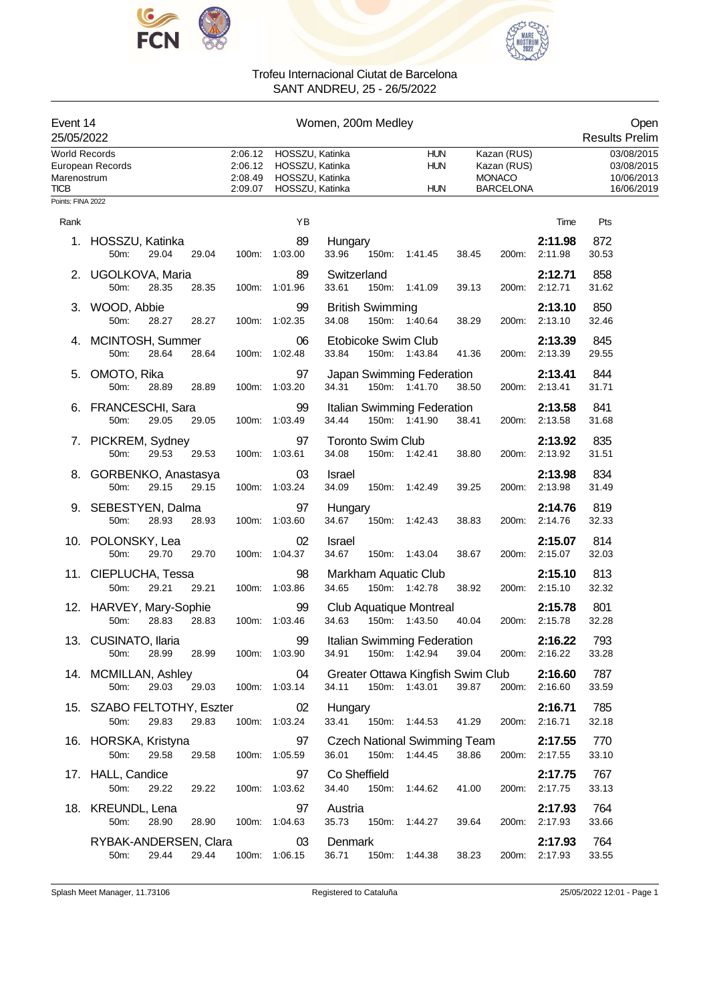



| Event 14<br>25/05/2022                                                  | Women, 200m Medley                    |       |       |                                          |                                                                          |                      |                          |                                                                | Open<br><b>Results Prelim</b> |                                                                 |                          |                                                      |
|-------------------------------------------------------------------------|---------------------------------------|-------|-------|------------------------------------------|--------------------------------------------------------------------------|----------------------|--------------------------|----------------------------------------------------------------|-------------------------------|-----------------------------------------------------------------|--------------------------|------------------------------------------------------|
| <b>World Records</b><br>Marenostrum<br><b>TICB</b><br>Points: FINA 2022 | European Records                      |       |       | 2:06.12<br>2:06.12<br>2:08.49<br>2:09.07 | HOSSZU, Katinka<br>HOSSZU, Katinka<br>HOSSZU, Katinka<br>HOSSZU, Katinka |                      |                          | <b>HUN</b><br><b>HUN</b><br><b>HUN</b>                         |                               | Kazan (RUS)<br>Kazan (RUS)<br><b>MONACO</b><br><b>BARCELONA</b> |                          | 03/08/2015<br>03/08/2015<br>10/06/2013<br>16/06/2019 |
| Rank                                                                    |                                       |       |       |                                          | ΥB                                                                       |                      |                          |                                                                |                               |                                                                 | Time                     | Pts                                                  |
|                                                                         |                                       |       |       |                                          | 89                                                                       |                      |                          |                                                                |                               |                                                                 | 2:11.98                  | 872                                                  |
|                                                                         | 1. HOSSZU, Katinka<br>50m:            | 29.04 | 29.04 |                                          | 100m: 1:03.00                                                            | Hungary<br>33.96     | 150m:                    | 1:41.45                                                        | 38.45                         | 200m:                                                           | 2:11.98                  | 30.53                                                |
|                                                                         | 2. UGOLKOVA, Maria<br>50m:            | 28.35 | 28.35 |                                          | 89<br>100m: 1:01.96                                                      | Switzerland<br>33.61 |                          | 150m: 1:41.09                                                  | 39.13                         | 200m:                                                           | 2:12.71<br>2:12.71       | 858<br>31.62                                         |
|                                                                         | 3. WOOD, Abbie<br>50m:                | 28.27 | 28.27 |                                          | 99<br>100m: 1:02.35                                                      | 34.08                | <b>British Swimming</b>  | 150m: 1:40.64                                                  | 38.29                         |                                                                 | 2:13.10<br>200m: 2:13.10 | 850<br>32.46                                         |
|                                                                         | 4. MCINTOSH, Summer<br>50m:           | 28.64 | 28.64 |                                          | 06<br>100m: 1:02.48                                                      | 33.84                |                          | Etobicoke Swim Club<br>150m: 1:43.84                           | 41.36                         | 200m:                                                           | 2:13.39<br>2:13.39       | 845<br>29.55                                         |
|                                                                         | 5. OMOTO, Rika<br>50m:                | 28.89 | 28.89 |                                          | 97<br>100m: 1:03.20                                                      | 34.31                |                          | Japan Swimming Federation<br>150m: 1:41.70                     | 38.50                         |                                                                 | 2:13.41<br>200m: 2:13.41 | 844<br>31.71                                         |
|                                                                         | 6. FRANCESCHI, Sara<br>50m:           | 29.05 | 29.05 |                                          | 99<br>100m: 1:03.49                                                      | 34.44                |                          | Italian Swimming Federation<br>150m: 1:41.90                   | 38.41                         |                                                                 | 2:13.58<br>200m: 2:13.58 | 841<br>31.68                                         |
|                                                                         | 7. PICKREM, Sydney<br>50m:            | 29.53 | 29.53 |                                          | 97<br>100m: 1:03.61                                                      | 34.08                | <b>Toronto Swim Club</b> | 150m: 1:42.41                                                  | 38.80                         | 200m:                                                           | 2:13.92<br>2:13.92       | 835<br>31.51                                         |
|                                                                         | 8. GORBENKO, Anastasya<br>50m:        | 29.15 | 29.15 |                                          | 03<br>100m: 1:03.24                                                      | Israel<br>34.09      |                          | 150m: 1:42.49                                                  | 39.25                         |                                                                 | 2:13.98<br>200m: 2:13.98 | 834<br>31.49                                         |
|                                                                         | 9. SEBESTYEN, Dalma<br>50m:           | 28.93 | 28.93 |                                          | 97<br>100m: 1:03.60                                                      | Hungary<br>34.67     |                          | 150m: 1:42.43                                                  | 38.83                         |                                                                 | 2:14.76<br>200m: 2:14.76 | 819<br>32.33                                         |
|                                                                         | 10. POLONSKY, Lea<br>50m:             | 29.70 | 29.70 |                                          | 02<br>100m: 1:04.37                                                      | Israel<br>34.67      |                          | 150m: 1:43.04                                                  | 38.67                         | 200m:                                                           | 2:15.07<br>2:15.07       | 814<br>32.03                                         |
|                                                                         | 11. CIEPLUCHA, Tessa<br>50m:          | 29.21 | 29.21 |                                          | 98<br>100m: 1:03.86                                                      | 34.65                |                          | Markham Aquatic Club<br>150m: 1:42.78                          | 38.92                         | 200m:                                                           | 2:15.10<br>2:15.10       | 813<br>32.32                                         |
|                                                                         | 12. HARVEY, Mary-Sophie<br>50m:       | 28.83 | 28.83 |                                          | 99<br>100m: 1:03.46                                                      | 34.63                |                          | Club Aquatique Montreal<br>150m: 1:43.50                       | 40.04                         |                                                                 | 2:15.78<br>200m: 2:15.78 | 801<br>32.28                                         |
|                                                                         | 13. CUSINATO, Ilaria<br>50m:          |       |       |                                          | 99<br>28.99 28.99 100m: 1:03.90                                          |                      |                          | Italian Swimming Federation<br>34.91  150m: 1:42.94  39.04     |                               |                                                                 | 2:16.22<br>200m: 2:16.22 | 793<br>33.28                                         |
|                                                                         | 14. MCMILLAN, Ashley<br>50m:          |       |       |                                          | 04<br>29.03 29.03 100m: 1:03.14                                          |                      |                          | Greater Ottawa Kingfish Swim Club<br>34.11 150m: 1:43.01 39.87 |                               |                                                                 | 2:16.60<br>200m: 2:16.60 | 787<br>33.59                                         |
|                                                                         | 15. SZABO FELTOTHY, Eszter 02<br>50m: | 29.83 | 29.83 |                                          | 100m: 1:03.24                                                            | Hungary<br>33.41     |                          | 150m: 1:44.53 41.29                                            |                               |                                                                 | 2:16.71<br>200m: 2:16.71 | 785<br>32.18                                         |
|                                                                         | 16. HORSKA, Kristyna<br>50m:          | 29.58 | 29.58 |                                          | 97<br>100m: 1:05.59                                                      |                      |                          | Czech National Swimming Team<br>36.01  150m: 1:44.45           | 38.86                         |                                                                 | 2:17.55<br>200m: 2:17.55 | 770<br>33.10                                         |
|                                                                         | 17. HALL, Candice<br>50m:             | 29.22 | 29.22 |                                          | 97<br>100m: 1:03.62                                                      |                      | Co Sheffield             | 34.40  150m: 1:44.62                                           | 41.00                         |                                                                 | 2:17.75<br>200m: 2:17.75 | 767<br>33.13                                         |
|                                                                         | 18. KREUNDL, Lena<br>50m:             | 28.90 | 28.90 |                                          | 97<br>100m: 1:04.63                                                      | Austria<br>35.73     |                          | 150m: 1:44.27                                                  | 39.64                         |                                                                 | 2:17.93<br>200m: 2:17.93 | 764<br>33.66                                         |
|                                                                         | RYBAK-ANDERSEN, Clara 03<br>50m:      | 29.44 | 29.44 |                                          | 100m: 1:06.15                                                            | Denmark              |                          | 36.71  150m: 1:44.38                                           | 38.23                         |                                                                 | 2:17.93<br>200m: 2:17.93 | 764<br>33.55                                         |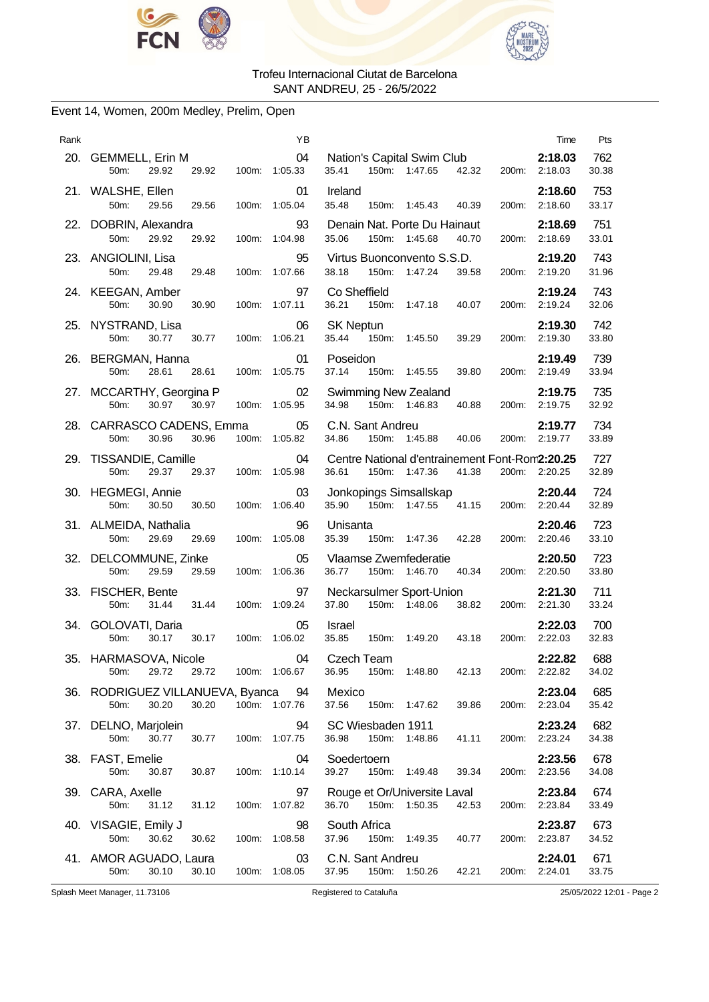



# Event 14, Women, 200m Medley, Prelim, Open

| Rank |                                                        |       | ΥB                  | Time                                                                                           | Pts          |
|------|--------------------------------------------------------|-------|---------------------|------------------------------------------------------------------------------------------------|--------------|
|      | 20. GEMMELL, Erin M<br>50m:<br>29.92<br>29.92          |       | 04<br>100m: 1:05.33 | Nation's Capital Swim Club<br>2:18.03<br>150m: 1:47.65<br>35.41<br>42.32<br>200m: 2:18.03      | 762<br>30.38 |
|      | 21. WALSHE, Ellen<br>50m:<br>29.56<br>29.56            |       | 01<br>100m: 1:05.04 | Ireland<br>2:18.60<br>35.48<br>150m: 1:45.43<br>200m: 2:18.60<br>40.39                         | 753<br>33.17 |
|      | 22. DOBRIN, Alexandra<br>50m:<br>29.92<br>29.92        |       | 93<br>100m: 1:04.98 | Denain Nat. Porte Du Hainaut<br>2:18.69<br>35.06<br>150m:<br>1:45.68<br>40.70<br>200m: 2:18.69 | 751<br>33.01 |
|      | 23. ANGIOLINI, Lisa<br>50m:<br>29.48<br>29.48          |       | 95<br>100m: 1:07.66 | Virtus Buonconvento S.S.D.<br>2:19.20<br>38.18<br>150m:<br>1:47.24<br>39.58<br>200m: 2:19.20   | 743<br>31.96 |
|      | 24. KEEGAN, Amber<br>50m:<br>30.90<br>30.90            |       | 97<br>100m: 1:07.11 | Co Sheffield<br>2:19.24<br>36.21<br>150m: 1:47.18<br>200m: 2:19.24<br>40.07                    | 743<br>32.06 |
|      | 25. NYSTRAND, Lisa<br>50m:<br>30.77<br>30.77           |       | 06<br>100m: 1:06.21 | <b>SK Neptun</b><br>2:19.30<br>)tun<br>150m: 1:45.50<br>35.44<br>39.29<br>200m: 2:19.30        | 742<br>33.80 |
|      | 26. BERGMAN, Hanna<br>50m:<br>28.61<br>28.61           |       | 01<br>100m: 1:05.75 | 2:19.49<br>Poseidon<br>37.14<br>150m: 1:45.55<br>39.80<br>200m: 2:19.49                        | 739<br>33.94 |
|      | 27. MCCARTHY, Georgina P<br>50m:<br>30.97<br>30.97     |       | 02<br>100m: 1:05.95 | <b>Swimming New Zealand</b><br>2:19.75<br>34.98<br>150m: 1:46.83<br>200m: 2:19.75<br>40.88     | 735<br>32.92 |
|      | 28. CARRASCO CADENS, Emma<br>50m:<br>30.96<br>30.96    |       | 05<br>100m: 1:05.82 | C.N. Sant Andreu<br>2:19.77<br>150m: 1:45.88 40.06<br>34.86<br>200m: 2:19.77                   | 734          |
|      | 29. TISSANDIE, Camille                                 |       | 04                  | Centre National d'entrainement Font-Rom2:20.25                                                 | 33.89<br>727 |
|      | 29.37<br>50m:<br>29.37<br>30. HEGMEGI, Annie           |       | 100m: 1:05.98<br>03 | 36.61<br>150m: 1:47.36<br>41.38<br>200m: 2:20.25<br>Jonkopings Simsallskap<br>2:20.44          | 32.89<br>724 |
|      | 50m:<br>30.50<br>30.50                                 |       | 100m: 1:06.40       | 35.90  150m: 1:47.55  41.15<br>200m: 2:20.44                                                   | 32.89        |
|      | 31. ALMEIDA, Nathalia<br>50m:<br>29.69<br>29.69        |       | 96<br>100m: 1:05.08 | 2:20.46<br>Unisanta<br>150m: 1:47.36 42.28<br>35.39<br>200m: 2:20.46                           | 723<br>33.10 |
|      | 32. DELCOMMUNE, Zinke<br>50m:<br>29.59<br>29.59        |       | 05<br>100m: 1:06.36 | 2:20.50<br>Vlaamse Zwemfederatie<br>36.77<br>150m: 1:46.70 40.34<br>200m: 2:20.50              | 723<br>33.80 |
|      | 33. FISCHER, Bente<br>50m:<br>31.44<br>31.44           |       | 97<br>100m: 1:09.24 | Neckarsulmer Sport-Union<br>2:21.30<br>150m: 1:48.06<br>37.80<br>38.82<br>200m: 2:21.30        | 711<br>33.24 |
|      | 34. GOLOVATI, Daria<br>50m:<br>30.17<br>30.17          |       | 05<br>100m: 1:06.02 | 2:22.03<br>Israel<br>35.85<br>150m: 1:49.20 43.18<br>200m: 2:22.03                             | 700<br>32.83 |
|      | 35. HARMASOVA, Nicole<br>50m:<br>29.72<br>29.72        |       | 04<br>100m: 1:06.67 | 2:22.82<br>Czech Team<br>36.95<br>150m:<br>1:48.80<br>42.13<br>200m: 2:22.82                   | 688<br>34.02 |
| 36.  | RODRIGUEZ VILLANUEVA, Byanca<br>30.20<br>30.20<br>50m: |       | 94<br>100m: 1:07.76 | Mexico<br>2:23.04<br>37.56<br>150m: 1:47.62<br>200m: 2:23.04<br>39.86                          | 685<br>35.42 |
| 37.  | DELNO, Marjolein<br>50m:<br>30.77<br>30.77             | 100m: | 94<br>1:07.75       | SC Wiesbaden 1911<br>2:23.24<br>36.98<br>150m:<br>2:23.24<br>1:48.86<br>41.11<br>200m:         | 682<br>34.38 |
|      | 38. FAST, Emelie<br>50m:<br>30.87<br>30.87             | 100m: | 04<br>1:10.14       | 2:23.56<br>Soedertoern<br>39.27<br>150m:<br>1:49.48<br>39.34<br>200m:<br>2:23.56               | 678<br>34.08 |
|      | 39. CARA, Axelle<br>31.12<br>50m:<br>31.12             |       | 97<br>100m: 1:07.82 | Rouge et Or/Universite Laval<br>2:23.84<br>36.70<br>150m: 1:50.35<br>42.53<br>200m: 2:23.84    | 674<br>33.49 |
|      | 40. VISAGIE, Emily J<br>50m:<br>30.62<br>30.62         | 100m: | 98<br>1:08.58       | South Africa<br>2:23.87<br>37.96<br>150m:<br>2:23.87<br>1:49.35<br>40.77<br>200m:              | 673<br>34.52 |
|      | 41. AMOR AGUADO, Laura<br>50m:<br>30.10<br>30.10       |       | 03<br>100m: 1:08.05 | C.N. Sant Andreu<br>2:24.01<br>37.95<br>150m:<br>1:50.26<br>42.21<br>200m: 2:24.01             | 671<br>33.75 |

Splash Meet Manager, 11.73106 Registered to Cataluña 25/05/2022 12:01 - Page 2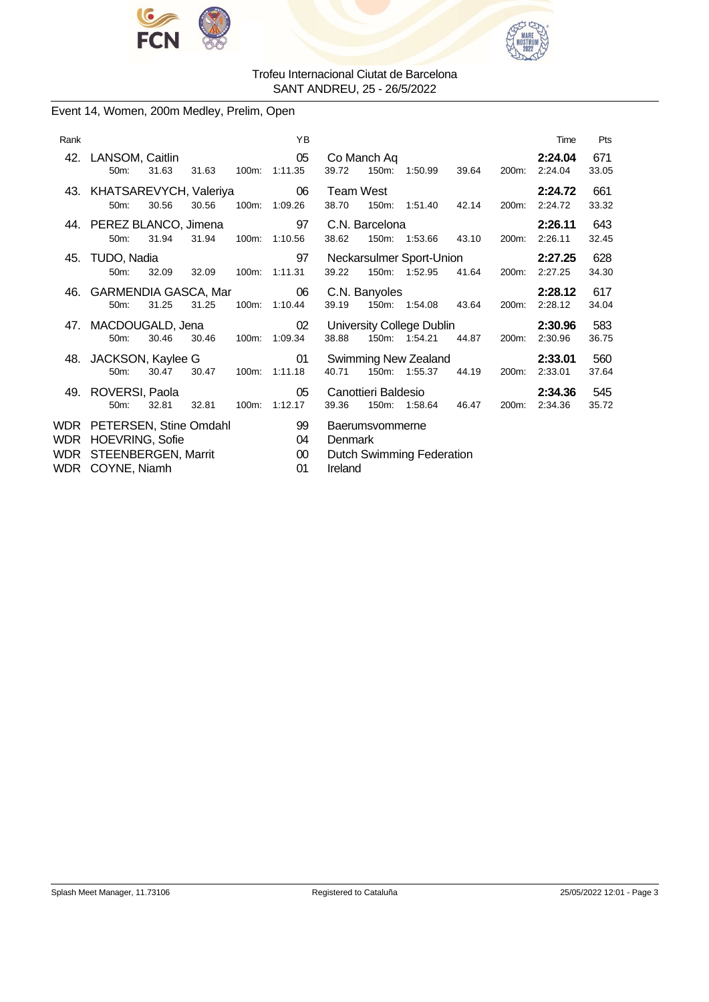



# Event 14, Women, 200m Medley, Prelim, Open

| Rank |                                                                                                     |       |       |       | YB                       |                    |                      |                                            |       |       | Time               | Pts          |
|------|-----------------------------------------------------------------------------------------------------|-------|-------|-------|--------------------------|--------------------|----------------------|--------------------------------------------|-------|-------|--------------------|--------------|
|      | 42. LANSOM, Caitlin<br>50m:                                                                         | 31.63 | 31.63 | 100m: | 05<br>1:11.35            | 39.72              | Co Manch Aq<br>150m: | 1:50.99                                    | 39.64 | 200m: | 2:24.04<br>2:24.04 | 671<br>33.05 |
|      | 43. KHATSAREVYCH, Valeriya<br>50m:                                                                  | 30.56 | 30.56 |       | 06<br>100m: 1:09.26      | Team West<br>38.70 | 150m:                | 1:51.40                                    | 42.14 | 200m: | 2:24.72<br>2:24.72 | 661<br>33.32 |
|      | 44. PEREZ BLANCO, Jimena<br>50m:                                                                    | 31.94 | 31.94 |       | 97<br>100m: 1:10.56      | 38.62              | C.N. Barcelona       | 150m: 1:53.66 43.10                        |       | 200m: | 2:26.11<br>2:26.11 | 643<br>32.45 |
|      | 45. TUDO, Nadia<br>50m:                                                                             | 32.09 | 32.09 | 100m: | 97<br>1:11.31            | 39.22              | $150m$ :             | Neckarsulmer Sport-Union<br>1:52.95        | 41.64 | 200m: | 2:27.25<br>2:27.25 | 628<br>34.30 |
|      | 46. GARMENDIA GASCA, Mar<br>50m:                                                                    | 31.25 | 31.25 |       | 06<br>100m: 1:10.44      | 39.19              | C.N. Banyoles        | 150m: 1:54.08 43.64                        |       | 200m: | 2:28.12<br>2:28.12 | 617<br>34.04 |
|      | 47. MACDOUGALD, Jena<br>50m:                                                                        | 30.46 | 30.46 | 100m: | 02<br>1:09.34            | 38.88              |                      | University College Dublin<br>150m: 1:54.21 | 44.87 | 200m: | 2:30.96<br>2:30.96 | 583<br>36.75 |
|      | 48. JACKSON, Kaylee G<br>50m:                                                                       | 30.47 | 30.47 | 100m: | 01<br>1:11.18            | 40.71              | 150m:                | Swimming New Zealand<br>1:55.37            | 44.19 | 200m: | 2:33.01<br>2:33.01 | 560<br>37.64 |
|      | 49. ROVERSI, Paola<br>$50m$ :                                                                       | 32.81 | 32.81 |       | 05<br>100m: 1:12.17      | 39.36              | Canottieri Baldesio  | 150m: 1:58.64                              | 46.47 | 200m: | 2:34.36<br>2:34.36 | 545<br>35.72 |
| WDR  | WDR PETERSEN, Stine Omdahl<br><b>HOEVRING, Sofie</b><br>WDR STEENBERGEN, Marrit<br>WDR COYNE, Niamh |       |       |       | 99<br>04<br>$00\,$<br>01 | Denmark<br>Ireland | Baerumsvommerne      | Dutch Swimming Federation                  |       |       |                    |              |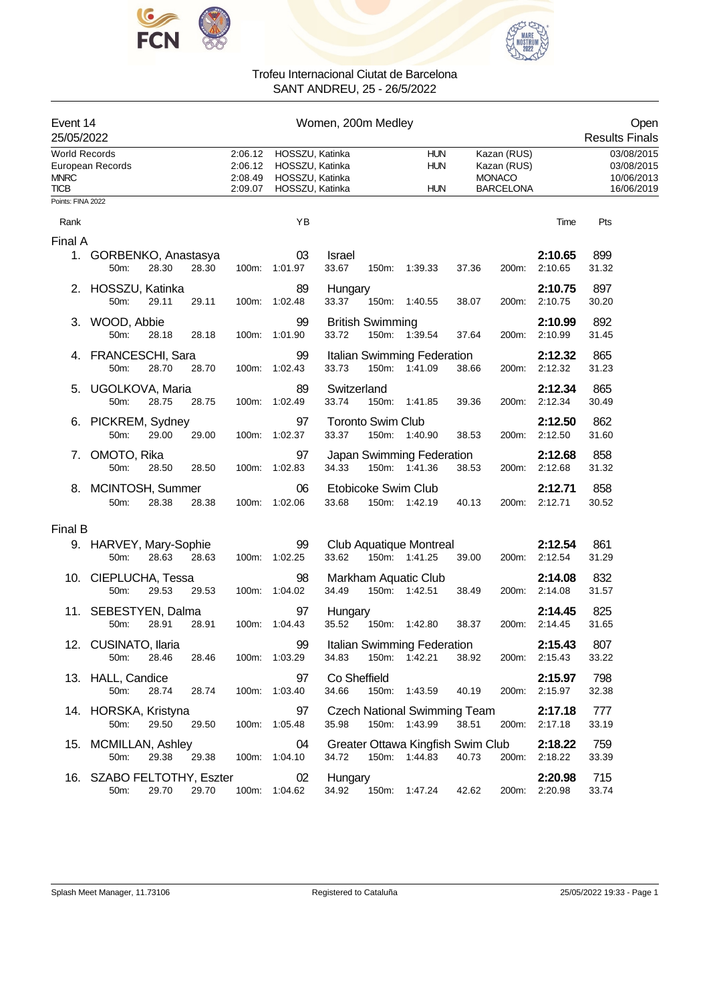



| Event 14<br>25/05/2022                             |                                    |       |       |                                          |                                                                          | Women, 200m Medley     |                          |                                                      |       |                                                                 |                          | Open<br><b>Results Finals</b>                        |
|----------------------------------------------------|------------------------------------|-------|-------|------------------------------------------|--------------------------------------------------------------------------|------------------------|--------------------------|------------------------------------------------------|-------|-----------------------------------------------------------------|--------------------------|------------------------------------------------------|
| <b>World Records</b><br><b>MNRC</b><br><b>TICB</b> | European Records                   |       |       | 2:06.12<br>2:06.12<br>2:08.49<br>2:09.07 | HOSSZU, Katinka<br>HOSSZU, Katinka<br>HOSSZU, Katinka<br>HOSSZU, Katinka |                        |                          | <b>HUN</b><br><b>HUN</b><br><b>HUN</b>               |       | Kazan (RUS)<br>Kazan (RUS)<br><b>MONACO</b><br><b>BARCELONA</b> |                          | 03/08/2015<br>03/08/2015<br>10/06/2013<br>16/06/2019 |
| Points: FINA 2022                                  |                                    |       |       |                                          |                                                                          |                        |                          |                                                      |       |                                                                 |                          |                                                      |
| Rank                                               |                                    |       |       |                                          | YB                                                                       |                        |                          |                                                      |       |                                                                 | Time                     | Pts                                                  |
| Final A                                            |                                    |       |       |                                          |                                                                          |                        |                          |                                                      |       |                                                                 |                          |                                                      |
|                                                    | 1. GORBENKO, Anastasya<br>50m:     | 28.30 | 28.30 |                                          | 03<br>100m: 1:01.97                                                      | <b>Israel</b><br>33.67 |                          | 150m: 1:39.33                                        | 37.36 | 200m:                                                           | 2:10.65<br>2:10.65       | 899<br>31.32                                         |
|                                                    | 2. HOSSZU, Katinka<br>50m:         | 29.11 | 29.11 |                                          | 89<br>100m: 1:02.48                                                      | Hungary<br>33.37       |                          | 150m: 1:40.55                                        | 38.07 | 200m:                                                           | 2:10.75<br>2:10.75       | 897<br>30.20                                         |
|                                                    | 3. WOOD, Abbie<br>50m:             | 28.18 | 28.18 |                                          | 99<br>100m: 1:01.90                                                      | 33.72                  | <b>British Swimming</b>  | 150m: 1:39.54                                        | 37.64 | 200m:                                                           | 2:10.99<br>2:10.99       | 892<br>31.45                                         |
|                                                    | 4. FRANCESCHI, Sara<br>50m:        | 28.70 | 28.70 | 100m:                                    | 99<br>1:02.43                                                            | 33.73                  |                          | Italian Swimming Federation<br>150m: 1:41.09         | 38.66 | 200m:                                                           | 2:12.32<br>2:12.32       | 865<br>31.23                                         |
|                                                    | 5. UGOLKOVA, Maria<br>50m:         | 28.75 | 28.75 |                                          | 89<br>100m: 1:02.49                                                      | Switzerland<br>33.74   |                          | 150m: 1:41.85                                        | 39.36 | 200m:                                                           | 2:12.34<br>2:12.34       | 865<br>30.49                                         |
|                                                    | 6. PICKREM, Sydney<br>50m:         | 29.00 | 29.00 |                                          | 97<br>100m: 1:02.37                                                      | 33.37                  | <b>Toronto Swim Club</b> | 150m: 1:40.90                                        | 38.53 |                                                                 | 2:12.50<br>200m: 2:12.50 | 862<br>31.60                                         |
|                                                    | 7. OMOTO, Rika<br>50m:             | 28.50 | 28.50 |                                          | 97<br>100m: 1:02.83                                                      | 34.33                  |                          | Japan Swimming Federation<br>150m: 1:41.36           | 38.53 | 200m:                                                           | 2:12.68<br>2:12.68       | 858<br>31.32                                         |
|                                                    | 8. MCINTOSH, Summer<br>50m:        | 28.38 | 28.38 |                                          | 06<br>100m: 1:02.06                                                      | 33.68                  |                          | Etobicoke Swim Club<br>150m: 1:42.19                 | 40.13 | 200m:                                                           | 2:12.71<br>2:12.71       | 858<br>30.52                                         |
| Final B                                            |                                    |       |       |                                          |                                                                          |                        |                          |                                                      |       |                                                                 |                          |                                                      |
|                                                    | 9. HARVEY, Mary-Sophie<br>50m:     | 28.63 | 28.63 |                                          | 99<br>100m: 1:02.25                                                      | 33.62                  |                          | Club Aquatique Montreal<br>150m: 1:41.25             | 39.00 |                                                                 | 2:12.54<br>200m: 2:12.54 | 861<br>31.29                                         |
|                                                    | 10. CIEPLUCHA, Tessa<br>50m:       | 29.53 | 29.53 |                                          | 98<br>100m: 1:04.02                                                      | 34.49                  |                          | Markham Aquatic Club<br>150m: 1:42.51                | 38.49 |                                                                 | 2:14.08<br>200m: 2:14.08 | 832<br>31.57                                         |
|                                                    | 11. SEBESTYEN, Dalma<br>50m:       | 28.91 | 28.91 | 100m:                                    | 97<br>1:04.43                                                            | Hungary<br>35.52       |                          | 150m: 1:42.80                                        | 38.37 | 200m:                                                           | 2:14.45<br>2:14.45       | 825<br>31.65                                         |
|                                                    | 12. CUSINATO, Ilaria<br>50m:       | 28.46 | 28.46 |                                          | 99<br>100m: 1:03.29                                                      | 34.83                  |                          | Italian Swimming Federation<br>150m: 1:42.21         | 38.92 |                                                                 | 2:15.43<br>200m: 2:15.43 | 807<br>33.22                                         |
|                                                    | 13. HALL, Candice<br>50m:          | 28.74 | 28.74 |                                          | 97<br>100m: 1:03.40                                                      | Co Sheffield<br>34.66  |                          | 150m: 1:43.59                                        | 40.19 |                                                                 | 2:15.97<br>200m: 2:15.97 | 798<br>32.38                                         |
|                                                    | 14. HORSKA, Kristyna<br>50m:       | 29.50 | 29.50 |                                          | 97<br>100m: 1:05.48                                                      | 35.98                  |                          | <b>Czech National Swimming Team</b><br>150m: 1:43.99 | 38.51 | 200m:                                                           | 2:17.18<br>2:17.18       | 777<br>33.19                                         |
|                                                    | 15. MCMILLAN, Ashley<br>50m:       | 29.38 | 29.38 |                                          | 04<br>100m: 1:04.10                                                      | 34.72                  |                          | Greater Ottawa Kingfish Swim Club<br>150m: 1:44.83   | 40.73 | 200m:                                                           | 2:18.22<br>2:18.22       | 759<br>33.39                                         |
|                                                    | 16. SZABO FELTOTHY, Eszter<br>50m: | 29.70 | 29.70 |                                          | 02<br>100m: 1:04.62                                                      | Hungary<br>34.92       |                          | 150m: 1:47.24                                        | 42.62 |                                                                 | 2:20.98<br>200m: 2:20.98 | 715<br>33.74                                         |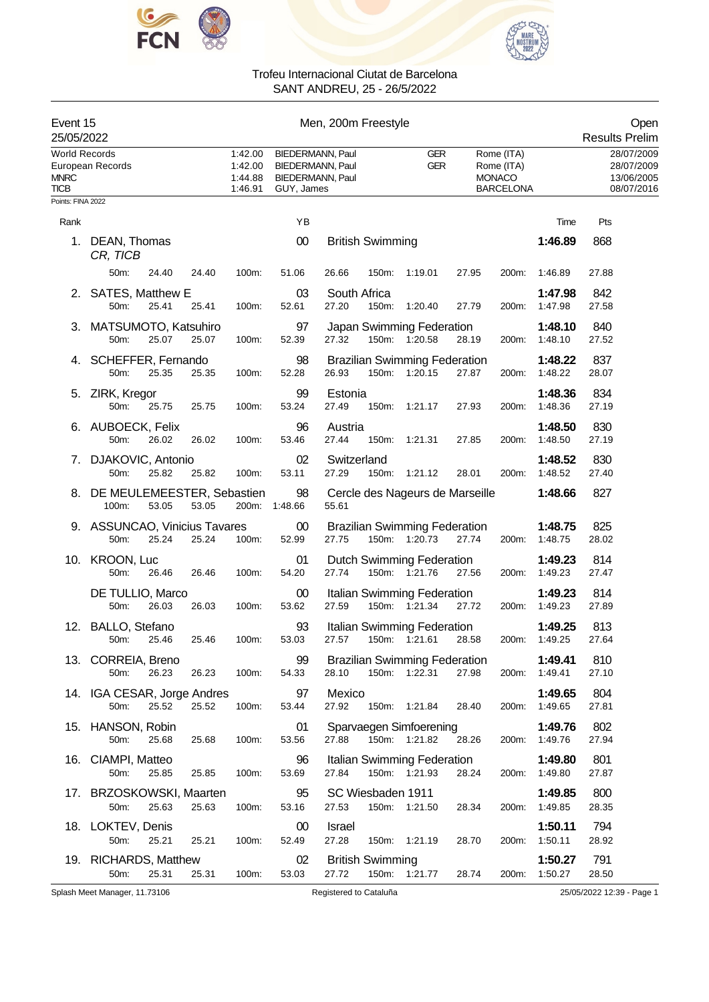



| Event 15<br>25/05/2022                      |                                                |       | Men, 200m Freestyle                      |                                                                        |                        |                         |                                                          |       |                                                               |                          | Open<br><b>Results Prelim</b>                        |
|---------------------------------------------|------------------------------------------------|-------|------------------------------------------|------------------------------------------------------------------------|------------------------|-------------------------|----------------------------------------------------------|-------|---------------------------------------------------------------|--------------------------|------------------------------------------------------|
| <b>World Records</b><br><b>MNRC</b><br>TICB | European Records                               |       | 1:42.00<br>1:42.00<br>1:44.88<br>1:46.91 | BIEDERMANN, Paul<br>BIEDERMANN, Paul<br>BIEDERMANN, Paul<br>GUY, James |                        |                         | <b>GER</b><br><b>GER</b>                                 |       | Rome (ITA)<br>Rome (ITA)<br><b>MONACO</b><br><b>BARCELONA</b> |                          | 28/07/2009<br>28/07/2009<br>13/06/2005<br>08/07/2016 |
| Points: FINA 2022                           |                                                |       |                                          |                                                                        |                        |                         |                                                          |       |                                                               |                          |                                                      |
| Rank                                        |                                                |       |                                          | ΥB                                                                     |                        |                         |                                                          |       |                                                               | Time                     | Pts                                                  |
| 1.                                          | DEAN, Thomas<br>CR, TICB                       |       |                                          | $00\,$                                                                 |                        | <b>British Swimming</b> |                                                          |       |                                                               | 1:46.89                  | 868                                                  |
|                                             | 50m:<br>24.40                                  | 24.40 | 100m:                                    | 51.06                                                                  | 26.66                  | 150m:                   | 1:19.01                                                  | 27.95 | 200m:                                                         | 1:46.89                  | 27.88                                                |
| 2.                                          | SATES, Matthew E<br>50m:<br>25.41              | 25.41 | 100m:                                    | 03<br>52.61                                                            | South Africa<br>27.20  | 150m:                   | 1:20.40                                                  | 27.79 | 200m:                                                         | 1:47.98<br>1.47.98       | 842<br>27.58                                         |
|                                             | 3. MATSUMOTO, Katsuhiro<br>50m:<br>25.07       | 25.07 | 100m:                                    | 97<br>52.39                                                            | 27.32                  |                         | Japan Swimming Federation<br>150m: 1:20.58               | 28.19 | 200m:                                                         | 1:48.10<br>1:48.10       | 840<br>27.52                                         |
|                                             | 4. SCHEFFER, Fernando<br>25.35<br>50m:         | 25.35 | 100m:                                    | 98<br>52.28                                                            | 26.93                  | 150m:                   | <b>Brazilian Swimming Federation</b><br>1:20.15          | 27.87 | 200m:                                                         | 1:48.22<br>1:48.22       | 837<br>28.07                                         |
| 5.                                          | ZIRK, Kregor<br>50m:<br>25.75                  | 25.75 | 100m:                                    | 99<br>53.24                                                            | Estonia<br>27.49       | 150m:                   | 1:21.17                                                  | 27.93 | 200m:                                                         | 1:48.36<br>1:48.36       | 834<br>27.19                                         |
| 6.                                          | AUBOECK, Felix<br>50m:<br>26.02                | 26.02 | 100m:                                    | 96<br>53.46                                                            | Austria<br>27.44       | 150m:                   | 1:21.31                                                  | 27.85 | 200m:                                                         | 1:48.50<br>1:48.50       | 830<br>27.19                                         |
| 7.                                          | DJAKOVIC, Antonio<br>25.82<br>$50m$ :          | 25.82 | 100m:                                    | 02<br>53.11                                                            | Switzerland<br>27.29   | 150m:                   | 1:21.12                                                  | 28.01 | 200m:                                                         | 1:48.52<br>1:48.52       | 830<br>27.40                                         |
| 8.                                          | DE MEULEMEESTER, Sebastien<br>53.05<br>100m:   | 53.05 |                                          | 98<br>200m: 1:48.66                                                    | 55.61                  |                         | Cercle des Nageurs de Marseille                          |       |                                                               | 1:48.66                  | 827                                                  |
|                                             | 9. ASSUNCAO, Vinicius Tavares<br>50m:<br>25.24 | 25.24 | 100m:                                    | $00\,$<br>52.99                                                        | 27.75                  |                         | <b>Brazilian Swimming Federation</b><br>150m: 1:20.73    | 27.74 | 200m:                                                         | 1:48.75<br>1:48.75       | 825<br>28.02                                         |
|                                             | 10. KROON, Luc<br>50m:<br>26.46                | 26.46 | 100m:                                    | 01<br>54.20                                                            | 27.74                  |                         | Dutch Swimming Federation<br>150m: 1:21.76               | 27.56 | 200m:                                                         | 1:49.23<br>1:49.23       | 814<br>27.47                                         |
|                                             | DE TULLIO, Marco<br>50m:<br>26.03              | 26.03 | 100m:                                    | 00<br>53.62                                                            | 27.59                  |                         | Italian Swimming Federation<br>150m: 1:21.34             | 27.72 | 200m:                                                         | 1:49.23<br>1:49.23       | 814<br>27.89                                         |
|                                             | 12. BALLO, Stefano<br>50m: 25.46               | 25.46 | 100m:                                    | 93<br>53.03                                                            |                        |                         | Italian Swimming Federation<br>27.57 150m: 1:21.61 28.58 |       |                                                               | 1:49.25<br>200m: 1:49.25 | 813<br>27.64                                         |
|                                             | 13. CORREIA, Breno<br>50m:<br>26.23            | 26.23 | 100m:                                    | 99<br>54.33                                                            | 28.10                  | 150m:                   | <b>Brazilian Swimming Federation</b><br>1:22.31          | 27.98 | 200m:                                                         | 1:49.41<br>1:49.41       | 810<br>27.10                                         |
|                                             | 14. IGA CESAR, Jorge Andres<br>50m:<br>25.52   | 25.52 | 100m:                                    | 97<br>53.44                                                            | Mexico<br>27.92        | 150m:                   | 1:21.84                                                  | 28.40 | 200m:                                                         | 1:49.65<br>1:49.65       | 804<br>27.81                                         |
|                                             | 15. HANSON, Robin<br>50m:<br>25.68             | 25.68 | 100m:                                    | 01<br>53.56                                                            | 27.88                  |                         | Sparvaegen Simfoerening<br>150m: 1:21.82                 | 28.26 | 200m:                                                         | 1:49.76<br>1:49.76       | 802<br>27.94                                         |
| 16.                                         | CIAMPI, Matteo<br>50m:<br>25.85                | 25.85 | 100m:                                    | 96<br>53.69                                                            | 27.84                  | 150m:                   | Italian Swimming Federation<br>1:21.93                   | 28.24 | 200m:                                                         | 1:49.80<br>1:49.80       | 801<br>27.87                                         |
|                                             | 17. BRZOSKOWSKI, Maarten                       |       |                                          | 95                                                                     |                        | SC Wiesbaden 1911       |                                                          |       |                                                               | 1:49.85                  | 800                                                  |
|                                             | 50m:<br>25.63                                  | 25.63 | 100m:                                    | 53.16                                                                  | 27.53                  | 150m:                   | 1:21.50                                                  | 28.34 | 200m:                                                         | 1:49.85                  | 28.35                                                |
|                                             | 18. LOKTEV, Denis<br>25.21<br>50m:             | 25.21 | 100m:                                    | $00\,$<br>52.49                                                        | <b>Israel</b><br>27.28 |                         | 150m: 1:21.19                                            | 28.70 | 200m:                                                         | 1:50.11<br>1:50.11       | 794<br>28.92                                         |
|                                             | 19. RICHARDS, Matthew                          |       |                                          | 02                                                                     |                        | <b>British Swimming</b> |                                                          |       |                                                               | 1:50.27                  | 791                                                  |
|                                             | 25.31<br>50m:                                  | 25.31 | 100m:                                    | 53.03                                                                  | 27.72                  | 150m:                   | 1:21.77                                                  | 28.74 | 200m:                                                         | 1:50.27                  | 28.50                                                |
|                                             | Splash Meet Manager, 11.73106                  |       |                                          |                                                                        | Registered to Cataluña |                         |                                                          |       |                                                               |                          | 25/05/2022 12:39 - Page 1                            |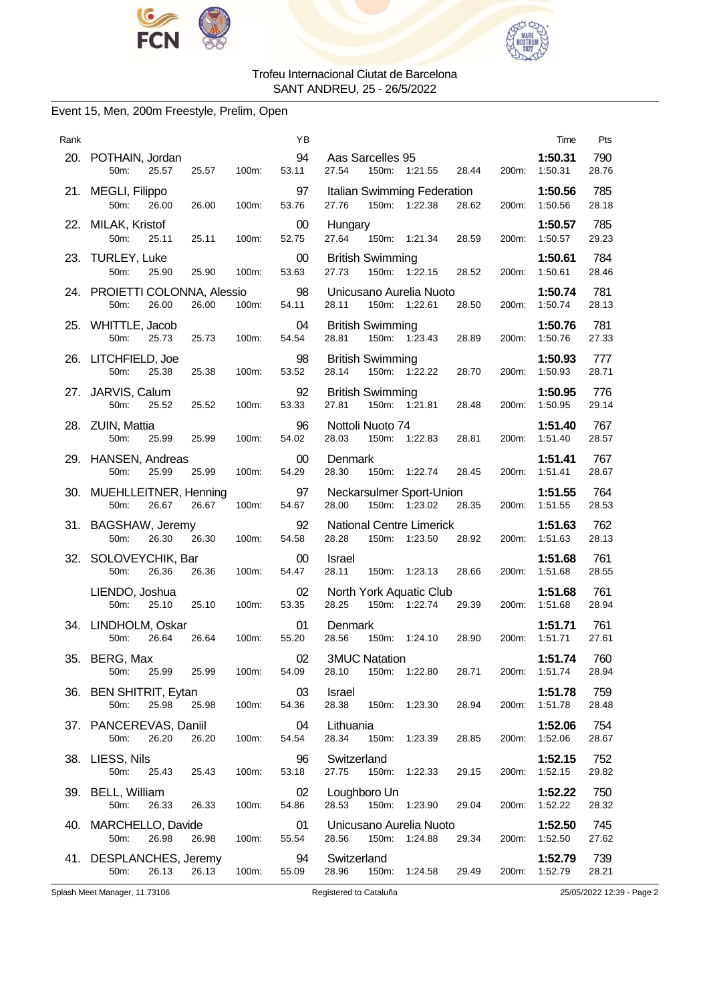



### Event 15, Men, 200m Freestyle, Prelim, Open

| Rank |                                                         |       | YB              | Pts<br>Time                                                                                                       |
|------|---------------------------------------------------------|-------|-----------------|-------------------------------------------------------------------------------------------------------------------|
|      | 20. POTHAIN, Jordan<br>50m:<br>25.57<br>25.57           | 100m: | 94<br>53.11     | Aas Sarcelles 95<br>1:50.31<br>790<br>27.54<br>150m: 1:21.55<br>28.44<br>1:50.31<br>28.76<br>200m:                |
|      | 21. MEGLI, Filippo<br>26.00<br>50m:<br>26.00            | 100m: | 97<br>53.76     | 785<br>Italian Swimming Federation<br>1:50.56<br>150m: 1:22.38<br>28.18<br>27.76<br>28.62<br>200m:<br>1:50.56     |
|      | 22. MILAK, Kristof<br>50m:<br>25.11<br>25.11            | 100m: | $00\,$<br>52.75 | 785<br>1:50.57<br>Hungary<br>27.64<br>150m: 1:21.34<br>1:50.57<br>29.23<br>28.59<br>200m:                         |
|      | 23. TURLEY, Luke<br>50m:<br>25.90<br>25.90              | 100m: | 00<br>53.63     | 784<br><b>British Swimming</b><br>1:50.61<br>27.73<br>150m: 1:22.15<br>28.52<br>1:50.61<br>28.46<br>200m:         |
|      | 24. PROIETTI COLONNA, Alessio<br>50m:<br>26.00<br>26.00 | 100m: | 98<br>54.11     | 781<br>1:50.74<br>Unicusano Aurelia Nuoto<br>28.11<br>150m: 1:22.61<br>1:50.74<br>28.13<br>28.50<br>200m:         |
|      | 25. WHITTLE, Jacob<br>25.73<br>50m:<br>25.73            | 100m: | 04<br>54.54     | 781<br><b>British Swimming</b><br>1:50.76<br>150m: 1:23.43<br>28.89<br>1:50.76<br>27.33<br>28.81<br>200m:         |
|      | 26. LITCHFIELD, Joe<br>50m:<br>25.38<br>25.38           | 100m: | 98<br>53.52     | <b>British Swimming</b><br>777<br>1:50.93<br>150m: 1:22.22<br>28.71<br>28.14<br>28.70<br>1:50.93<br>200m:         |
|      | 27. JARVIS, Calum<br>50m:<br>25.52<br>25.52             | 100m: | 92<br>53.33     | 776<br><b>British Swimming</b><br>1:50.95<br>27.81<br>150m: 1:21.81<br>1:50.95<br>29.14<br>28.48<br>200m:         |
|      | 28. ZUIN, Mattia<br>25.99<br>50m:<br>25.99              | 100m: | 96<br>54.02     | Nottoli Nuoto 74<br>1:51.40<br>767<br>150m: 1:22.83<br>28.81<br>28.57<br>28.03<br>200m:<br>1:51.40                |
|      | 29. HANSEN, Andreas<br>50m:<br>25.99<br>25.99           | 100m: | $00\,$<br>54.29 | 767<br>Denmark<br>1:51.41<br>28.30<br>150m: 1:22.74<br>28.45<br>1:51.41<br>28.67<br>200m:                         |
|      | 30. MUEHLLEITNER, Henning<br>50m:<br>26.67<br>26.67     | 100m: | 97<br>54.67     | 764<br>Neckarsulmer Sport-Union<br>1:51.55<br>150m: 1:23.02<br>28.00<br>28.35<br>28.53<br>200m: 1:51.55           |
|      | 31. BAGSHAW, Jeremy<br>26.30<br>50m:<br>26.30           | 100m: | 92<br>54.58     | 762<br><b>National Centre Limerick</b><br>1:51.63<br>28.28<br>28.13<br>150m: 1:23.50<br>28.92<br>200m:<br>1:51.63 |
|      | 32. SOLOVEYCHIK, Bar<br>26.36<br>50m:<br>26.36          | 100m: | $00\,$<br>54.47 | 761<br>1:51.68<br>Israel<br>28.11<br>150m: 1:23.13<br>28.66<br>1:51.68<br>28.55<br>200m:                          |
|      | LIENDO, Joshua<br>25.10<br>25.10<br>50m:                | 100m: | 02<br>53.35     | 761<br>North York Aquatic Club<br>1:51.68<br>28.25<br>150m: 1:22.74<br>29.39<br>200m: 1:51.68<br>28.94            |
|      | 34. LINDHOLM, Oskar<br>50m:<br>26.64<br>26.64           | 100m: | 01<br>55.20     | 761<br>1:51.71<br>Denmark<br>150m: 1:24.10<br>28.56<br>28.90<br>200m:<br>1:51.71<br>27.61                         |
|      | 35. BERG, Max<br>25.99<br>50m:<br>25.99                 | 100m: | 02<br>54.09     | <b>3MUC Natation</b><br>1:51.74<br>760<br>28.10<br>150m: 1:22.80<br>28.71<br>200m:<br>1:51.74<br>28.94            |
|      | 36. BEN SHITRIT, Eytan<br>25.98<br>50m:<br>25.98        | 100m: | 03<br>54.36     | 759<br>Israel<br>1:51.78<br>28.38<br>150m: 1:23.30<br>1:51.78<br>28.48<br>28.94<br>200m:                          |
|      | 37. PANCEREVAS, Daniil<br>26.20<br>50m:<br>26.20        | 100m: | 04<br>54.54     | 754<br>Lithuania<br>1:52.06<br>1:52.06<br>28.67<br>28.34<br>150m: 1:23.39<br>28.85<br>200m:                       |
|      | 38. LIESS, Nils<br>50m:<br>25.43<br>25.43               | 100m: | 96<br>53.18     | 752<br>Switzerland<br>1:52.15<br>150m: 1:22.33<br>1:52.15<br>29.82<br>27.75<br>29.15<br>200m:                     |
|      | 39. BELL, William<br>50m:<br>26.33<br>26.33             | 100m: | 02<br>54.86     | 750<br>Loughboro Un<br>1:52.22<br>28.53<br>150m: 1:23.90<br>1:52.22<br>28.32<br>29.04<br>200m:                    |
|      | 40. MARCHELLO, Davide<br>26.98<br>50m:<br>26.98         | 100m: | 01<br>55.54     | 745<br>Unicusano Aurelia Nuoto<br>1:52.50<br>27.62<br>28.56<br>150m: 1:24.88<br>29.34<br>200m:<br>1:52.50         |
|      | 41. DESPLANCHES, Jeremy<br>26.13<br>50m:<br>26.13       | 100m: | 94<br>55.09     | 739<br>Switzerland<br>1:52.79<br>28.96<br>150m:<br>1:52.79<br>28.21<br>1:24.58<br>29.49<br>200m:                  |
|      | Splash Meet Manager, 11.73106                           |       |                 | 25/05/2022 12:39 - Page 2<br>Registered to Cataluña                                                               |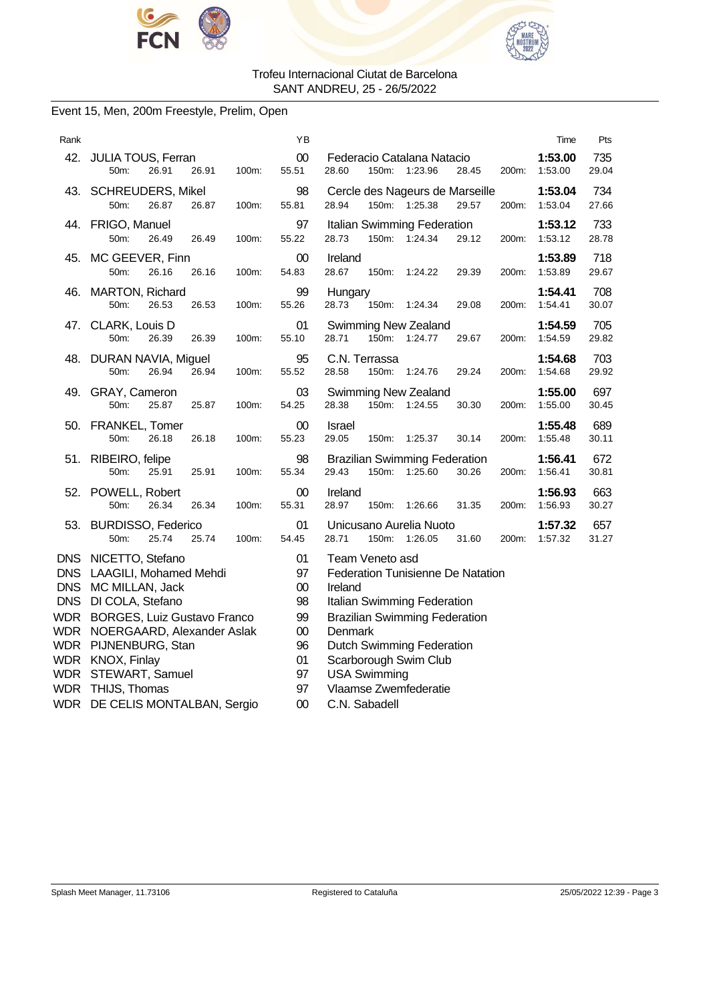



### Event 15, Men, 200m Freestyle, Prelim, Open

| Rank                      |                                                                                                                                                                                           | ΥB                                             | Time                                                                                                                                                                           | Pts          |
|---------------------------|-------------------------------------------------------------------------------------------------------------------------------------------------------------------------------------------|------------------------------------------------|--------------------------------------------------------------------------------------------------------------------------------------------------------------------------------|--------------|
|                           | 42. JULIA TOUS, Ferran<br>26.91<br>50m:<br>26.91<br>100m:                                                                                                                                 | 00<br>55.51                                    | 1:53.00<br>Federacio Catalana Natacio<br>150m: 1:23.96<br>1:53.00<br>28.60<br>28.45<br>200m:                                                                                   | 735<br>29.04 |
|                           | 43. SCHREUDERS, Mikel<br>50m:<br>26.87<br>26.87<br>100m:                                                                                                                                  | 98<br>55.81                                    | Cercle des Nageurs de Marseille<br>1:53.04<br>150m: 1:25.38<br>200m:<br>28.94<br>29.57<br>1.53.04                                                                              | 734<br>27.66 |
| 44.                       | FRIGO, Manuel<br>50m:<br>26.49<br>26.49<br>100m:                                                                                                                                          | 97<br>55.22                                    | Italian Swimming Federation<br>1:53.12<br>28.73<br>150m:<br>1:24.34<br>29.12<br>1:53.12<br>200m:                                                                               | 733<br>28.78 |
| 45.                       | MC GEEVER, Finn<br>50m:<br>26.16<br>26.16<br>100m:                                                                                                                                        | $00\,$<br>54.83                                | Ireland<br>1:53.89<br>28.67<br>150m:<br>1:53.89<br>1:24.22<br>29.39<br>200m:                                                                                                   | 718<br>29.67 |
| 46.                       | <b>MARTON, Richard</b><br>50m:<br>26.53<br>26.53<br>100m:                                                                                                                                 | 99<br>55.26                                    | 1:54.41<br>Hungary<br>28.73<br>150m:<br>1.24.34<br>29.08<br>200m:<br>1.54.41                                                                                                   | 708<br>30.07 |
| 47.                       | CLARK, Louis D<br>50m:<br>26.39<br>26.39<br>100m:                                                                                                                                         | 01<br>55.10                                    | Swimming New Zealand<br>1:54.59<br>150m:<br>28.71<br>1:24.77<br>29.67<br>200m:<br>1:54.59                                                                                      | 705<br>29.82 |
| 48.                       | DURAN NAVIA, Miguel<br>50m:<br>26.94<br>26.94<br>100m:                                                                                                                                    | 95<br>55.52                                    | C.N. Terrassa<br>1:54.68<br>28.58<br>150m:<br>29.24<br>1:54.68<br>1.24.76<br>200m:                                                                                             | 703<br>29.92 |
|                           | 49. GRAY, Cameron<br>50m:<br>25.87<br>25.87<br>100m:                                                                                                                                      | 03<br>54.25                                    | Swimming New Zealand<br>1:55.00<br>28.38<br>150m:<br>1:24.55<br>30.30<br>200m:<br>1:55.00                                                                                      | 697<br>30.45 |
| 50.                       | FRANKEL, Tomer<br>50m:<br>26.18<br>26.18<br>100m:                                                                                                                                         | 00<br>55.23                                    | 1:55.48<br><b>Israel</b><br>29.05<br>150m:<br>1:25.37<br>30.14<br>200m:<br>1:55.48                                                                                             | 689<br>30.11 |
| 51.                       | RIBEIRO, felipe<br>50m:<br>25.91<br>25.91<br>100m:                                                                                                                                        | 98<br>55.34                                    | <b>Brazilian Swimming Federation</b><br>1:56.41<br>29.43<br>150m:<br>1:25.60<br>30.26<br>200m:<br>1:56.41                                                                      | 672<br>30.81 |
| 52.                       | POWELL, Robert<br>50m:<br>26.34<br>26.34<br>100m:                                                                                                                                         | 00<br>55.31                                    | Ireland<br>1:56.93<br>28.97<br>1:56.93<br>150m:<br>1:26.66<br>31.35<br>200m:                                                                                                   | 663<br>30.27 |
|                           | 53. BURDISSO, Federico<br>50m:<br>25.74<br>25.74<br>100m:                                                                                                                                 | 01<br>54.45                                    | 1:57.32<br>Unicusano Aurelia Nuoto<br>28.71<br>150m:<br>1:26.05<br>200m:<br>31.60<br>1:57.32                                                                                   | 657<br>31.27 |
| <b>WDR</b><br>WDR<br>WDR. | DNS NICETTO, Stefano<br>DNS LAAGILI, Mohamed Mehdi<br>DNS MC MILLAN, Jack<br>DNS DI COLA, Stefano<br><b>BORGES, Luiz Gustavo Franco</b><br>NOERGAARD, Alexander Aslak<br>PIJNENBURG, Stan | 01<br>97<br>$00\,$<br>98<br>99<br>$00\,$<br>96 | Team Veneto asd<br>Federation Tunisienne De Natation<br>Ireland<br>Italian Swimming Federation<br><b>Brazilian Swimming Federation</b><br>Denmark<br>Dutch Swimming Federation |              |
| WDR.<br>WDR               | KNOX, Finlay<br>STEWART, Samuel<br>WDR THIJS, Thomas<br>WDR DE CELIS MONTALBAN, Sergio                                                                                                    | 01<br>97<br>97<br>00                           | Scarborough Swim Club<br><b>USA Swimming</b><br>Vlaamse Zwemfederatie<br>C.N. Sabadell                                                                                         |              |
|                           |                                                                                                                                                                                           |                                                |                                                                                                                                                                                |              |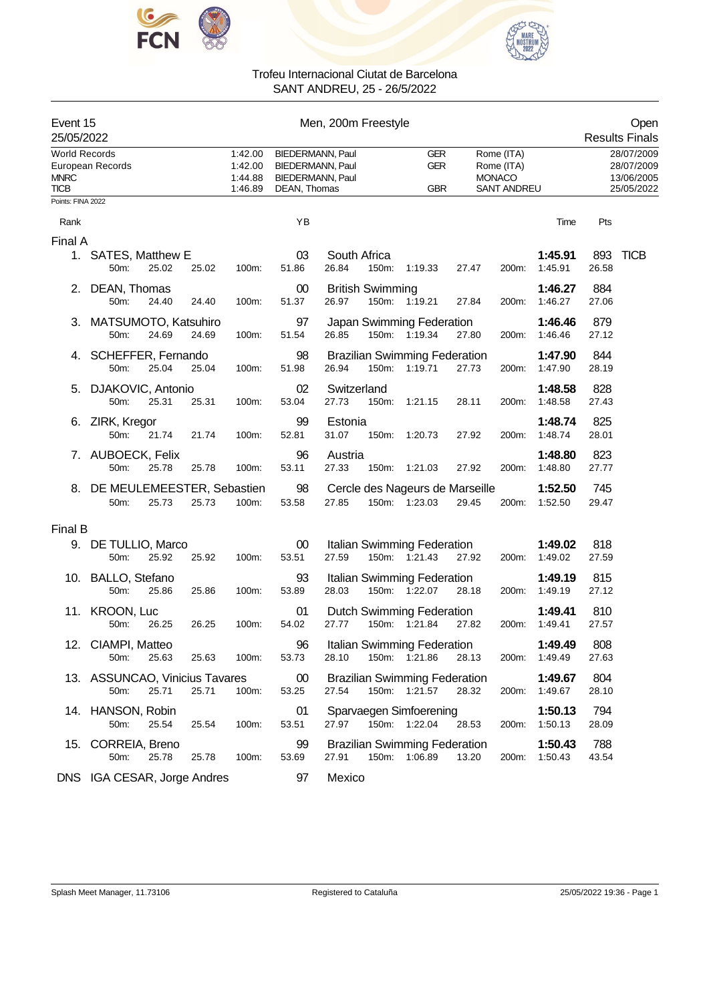



| Event 15<br>25/05/2022                             |                                                 |       | Men, 200m Freestyle                      |                                                                                        |                       |                         |                                                       |       |                                                                 |                    |              | Open<br><b>Results Finals</b>                        |  |  |
|----------------------------------------------------|-------------------------------------------------|-------|------------------------------------------|----------------------------------------------------------------------------------------|-----------------------|-------------------------|-------------------------------------------------------|-------|-----------------------------------------------------------------|--------------------|--------------|------------------------------------------------------|--|--|
| <b>World Records</b><br><b>MNRC</b><br><b>TICB</b> | European Records                                |       | 1:42.00<br>1:42.00<br>1:44.88<br>1:46.89 | <b>BIEDERMANN, Paul</b><br>BIEDERMANN, Paul<br><b>BIEDERMANN, Paul</b><br>DEAN, Thomas |                       |                         | <b>GER</b><br><b>GER</b><br><b>GBR</b>                |       | Rome (ITA)<br>Rome (ITA)<br><b>MONACO</b><br><b>SANT ANDREU</b> |                    |              | 28/07/2009<br>28/07/2009<br>13/06/2005<br>25/05/2022 |  |  |
| Points: FINA 2022                                  |                                                 |       |                                          |                                                                                        |                       |                         |                                                       |       |                                                                 |                    |              |                                                      |  |  |
| Rank                                               |                                                 |       |                                          | YB                                                                                     |                       |                         |                                                       |       |                                                                 | Time               | Pts          |                                                      |  |  |
| Final A                                            | 1. SATES, Matthew E<br>25.02<br>50m:            | 25.02 | 100m:                                    | 03<br>51.86                                                                            | South Africa<br>26.84 | 150m:                   | 1:19.33                                               | 27.47 | 200m:                                                           | 1:45.91<br>1:45.91 | 893<br>26.58 | <b>TICB</b>                                          |  |  |
|                                                    | 2. DEAN, Thomas<br>50m:<br>24.40                | 24.40 | 100m:                                    | 00<br>51.37                                                                            | 26.97                 | <b>British Swimming</b> | 150m: 1:19.21                                         | 27.84 | 200m:                                                           | 1:46.27<br>1:46.27 | 884<br>27.06 |                                                      |  |  |
|                                                    | 3. MATSUMOTO, Katsuhiro<br>24.69<br>50m:        | 24.69 | 100m:                                    | 97<br>51.54                                                                            | 26.85                 |                         | Japan Swimming Federation<br>150m: 1:19.34            | 27.80 | 200m:                                                           | 1:46.46<br>1:46.46 | 879<br>27.12 |                                                      |  |  |
| 4.                                                 | SCHEFFER, Fernando<br>25.04<br>50m:             | 25.04 | 100m:                                    | 98<br>51.98                                                                            | 26.94                 |                         | <b>Brazilian Swimming Federation</b><br>150m: 1:19.71 | 27.73 | 200m:                                                           | 1:47.90<br>1:47.90 | 844<br>28.19 |                                                      |  |  |
| 5.                                                 | DJAKOVIC, Antonio<br>50m:<br>25.31              | 25.31 | 100m:                                    | 02<br>53.04                                                                            | Switzerland<br>27.73  | 150m:                   | 1:21.15                                               | 28.11 | 200m:                                                           | 1:48.58<br>1:48.58 | 828<br>27.43 |                                                      |  |  |
|                                                    | 6. ZIRK, Kregor<br>50m:<br>21.74                | 21.74 | 100m:                                    | 99<br>52.81                                                                            | Estonia<br>31.07      | 150m:                   | 1:20.73                                               | 27.92 | 200m:                                                           | 1:48.74<br>1:48.74 | 825<br>28.01 |                                                      |  |  |
|                                                    | 7. AUBOECK, Felix<br>25.78<br>50m:              | 25.78 | 100m:                                    | 96<br>53.11                                                                            | Austria<br>27.33      |                         | 150m: 1:21.03                                         | 27.92 | 200m:                                                           | 1:48.80<br>1:48.80 | 823<br>27.77 |                                                      |  |  |
|                                                    | 8. DE MEULEMEESTER, Sebastien<br>50m:<br>25.73  | 25.73 | 100m:                                    | 98<br>53.58                                                                            | 27.85                 |                         | Cercle des Nageurs de Marseille<br>150m: 1:23.03      | 29.45 | 200m:                                                           | 1:52.50<br>1:52.50 | 745<br>29.47 |                                                      |  |  |
| Final B                                            |                                                 |       |                                          |                                                                                        |                       |                         |                                                       |       |                                                                 |                    |              |                                                      |  |  |
|                                                    | 9. DE TULLIO, Marco<br>25.92<br>50m:            | 25.92 | 100m:                                    | 00<br>53.51                                                                            | 27.59                 |                         | Italian Swimming Federation<br>150m: 1:21.43          | 27.92 | 200m:                                                           | 1:49.02<br>1:49.02 | 818<br>27.59 |                                                      |  |  |
|                                                    | 10. BALLO, Stefano<br>50m:<br>25.86             | 25.86 | 100m:                                    | 93<br>53.89                                                                            | 28.03                 |                         | Italian Swimming Federation<br>150m: 1:22.07          | 28.18 | 200m:                                                           | 1:49.19<br>1:49.19 | 815<br>27.12 |                                                      |  |  |
|                                                    | 11. KROON, Luc<br>50m:<br>26.25                 | 26.25 | 100m:                                    | 01<br>54.02                                                                            | 27.77                 |                         | <b>Dutch Swimming Federation</b><br>150m: 1:21.84     | 27.82 | 200m:                                                           | 1:49.41<br>1:49.41 | 810<br>27.57 |                                                      |  |  |
|                                                    | 12. CIAMPI, Matteo<br>50m:<br>25.63             | 25.63 | 100m:                                    | 96<br>53.73                                                                            | 28.10                 |                         | Italian Swimming Federation<br>150m: 1:21.86          | 28.13 | 200m:                                                           | 1:49.49<br>1:49.49 | 808<br>27.63 |                                                      |  |  |
|                                                    | 13. ASSUNCAO, Vinicius Tavares<br>25.71<br>50m: | 25.71 | 100m:                                    | $00\,$<br>53.25                                                                        | 27.54                 |                         | <b>Brazilian Swimming Federation</b><br>150m: 1:21.57 | 28.32 | 200m:                                                           | 1:49.67<br>1:49.67 | 804<br>28.10 |                                                      |  |  |
|                                                    | 14. HANSON, Robin<br>25.54<br>50m:              | 25.54 | 100m:                                    | 01<br>53.51                                                                            | 27.97                 |                         | Sparvaegen Simfoerening<br>150m: 1:22.04              | 28.53 | 200m:                                                           | 1:50.13<br>1:50.13 | 794<br>28.09 |                                                      |  |  |
|                                                    | 15. CORREIA, Breno<br>50m:<br>25.78             | 25.78 | 100m:                                    | 99<br>53.69                                                                            | 27.91                 |                         | <b>Brazilian Swimming Federation</b><br>150m: 1:06.89 | 13.20 | 200m:                                                           | 1:50.43<br>1:50.43 | 788<br>43.54 |                                                      |  |  |
|                                                    | DNS IGA CESAR, Jorge Andres                     |       |                                          | 97                                                                                     | Mexico                |                         |                                                       |       |                                                                 |                    |              |                                                      |  |  |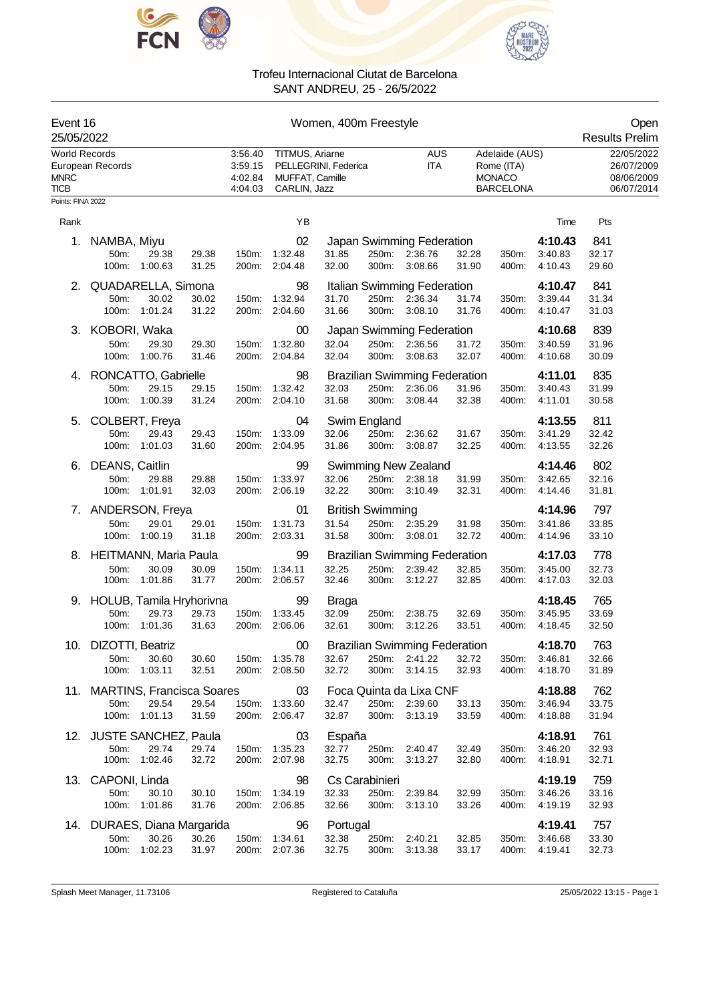



| Event 16<br>25/05/2022                      |                               |       |                                          |                                                    | Women, 400m Freestyle |                         |                                      |       |                                                                   |         | Open<br><b>Results Prelim</b>                        |
|---------------------------------------------|-------------------------------|-------|------------------------------------------|----------------------------------------------------|-----------------------|-------------------------|--------------------------------------|-------|-------------------------------------------------------------------|---------|------------------------------------------------------|
| World Records<br><b>MNRC</b><br><b>TICB</b> | European Records              |       | 3:56.40<br>3:59.15<br>4:02.84<br>4:04.03 | TITMUS, Ariarne<br>MUFFAT, Camille<br>CARLIN, Jazz | PELLEGRINI, Federica  |                         | AUS<br><b>ITA</b>                    |       | Adelaide (AUS)<br>Rome (ITA)<br><b>MONACO</b><br><b>BARCELONA</b> |         | 22/05/2022<br>26/07/2009<br>08/06/2009<br>06/07/2014 |
| Points: FINA 2022                           |                               |       |                                          |                                                    |                       |                         |                                      |       |                                                                   |         |                                                      |
| Rank                                        |                               |       |                                          | YB                                                 |                       |                         |                                      |       |                                                                   | Time    | Pts                                                  |
| 1.                                          | NAMBA, Miyu                   |       |                                          | 02                                                 |                       |                         | Japan Swimming Federation            |       |                                                                   | 4:10.43 | 841                                                  |
|                                             | 50m:<br>29.38                 | 29.38 | 150m:                                    | 1:32.48                                            | 31.85                 | 250m:                   | 2:36.76                              | 32.28 | 350m:                                                             | 3:40.83 | 32.17                                                |
|                                             | 100m:<br>1:00.63              | 31.25 | 200m:                                    | 2:04.48                                            | 32.00                 | 300m:                   | 3:08.66                              | 31.90 | 400m:                                                             | 4:10.43 | 29.60                                                |
| 2.                                          | QUADARELLA, Simona            |       |                                          | 98                                                 |                       |                         | Italian Swimming Federation          |       |                                                                   | 4:10.47 | 841                                                  |
|                                             | 50m:<br>30.02                 | 30.02 | 150m:                                    | 1:32.94                                            | 31.70                 |                         | 250m: 2:36.34                        | 31.74 | 350m:                                                             | 3:39.44 | 31.34                                                |
|                                             | 100m:<br>1:01.24              | 31.22 | 200m:                                    | 2:04.60                                            | 31.66                 | 300m:                   | 3:08.10                              | 31.76 | 400m:                                                             | 4:10.47 | 31.03                                                |
| 3.                                          | KOBORI, Waka                  |       |                                          | 00                                                 |                       |                         | Japan Swimming Federation            |       |                                                                   | 4:10.68 | 839                                                  |
|                                             | 50m:<br>29.30                 | 29.30 | 150m:                                    | 1:32.80                                            | 32.04                 | 250m:                   | 2:36.56                              | 31.72 | 350m:                                                             | 3:40.59 | 31.96                                                |
|                                             | 1:00.76<br>100m:              | 31.46 | 200m:                                    | 2:04.84                                            | 32.04                 | 300m:                   | 3:08.63                              | 32.07 | 400m:                                                             | 4:10.68 | 30.09                                                |
| 4.                                          | RONCATTO, Gabrielle           |       |                                          | 98                                                 |                       |                         | <b>Brazilian Swimming Federation</b> |       |                                                                   | 4:11.01 | 835                                                  |
|                                             | 50m:<br>29.15                 | 29.15 | 150m:                                    | 1:32.42                                            | 32.03                 | 250m:                   | 2:36.06                              | 31.96 | 350m:                                                             | 3:40.43 | 31.99                                                |
|                                             | 100m:<br>1:00.39              | 31.24 | 200m:                                    | 2:04.10                                            | 31.68                 | 300m:                   | 3:08.44                              | 32.38 | 400m:                                                             | 4:11.01 | 30.58                                                |
| 5.                                          | COLBERT, Freya                |       |                                          | 04                                                 |                       | Swim England            |                                      |       |                                                                   | 4:13.55 | 811                                                  |
|                                             | 50m:<br>29.43                 | 29.43 | 150m:                                    | 1:33.09                                            | 32.06                 | 250m:                   | 2:36.62                              | 31.67 | 350m:                                                             | 3:41.29 | 32.42                                                |
|                                             | 100m:<br>1:01.03              | 31.60 | 200m:                                    | 2:04.95                                            | 31.86                 | 300m:                   | 3:08.87                              | 32.25 | 400m:                                                             | 4:13.55 | 32.26                                                |
| 6.                                          | DEANS, Caitlin                |       |                                          | 99                                                 |                       |                         | <b>Swimming New Zealand</b>          |       |                                                                   | 4:14.46 | 802                                                  |
|                                             | 29.88<br>50m:                 | 29.88 | 150m:                                    | 1:33.97                                            | 32.06                 |                         | 250m: 2:38.18                        | 31.99 | 350m:                                                             | 3:42.65 | 32.16                                                |
|                                             | 100m: 1:01.91                 | 32.03 | 200m:                                    | 2:06.19                                            | 32.22                 | 300m:                   | 3:10.49                              | 32.31 | 400m:                                                             | 4:14.46 | 31.81                                                |
|                                             | 7. ANDERSON, Freya            |       |                                          | 01                                                 |                       | <b>British Swimming</b> |                                      |       |                                                                   | 4:14.96 | 797                                                  |
|                                             | 50m:<br>29.01                 | 29.01 | 150m:                                    | 1:31.73                                            | 31.54                 | 250m:                   | 2:35.29                              | 31.98 | 350m:                                                             | 3:41.86 | 33.85                                                |
|                                             | 100m:<br>1:00.19              | 31.18 | 200m:                                    | 2:03.31                                            | 31.58                 | 300m:                   | 3:08.01                              | 32.72 | 400m:                                                             | 4:14.96 | 33.10                                                |
| 8.                                          | <b>HEITMANN, Maria Paula</b>  |       |                                          | 99                                                 |                       |                         | <b>Brazilian Swimming Federation</b> |       |                                                                   | 4:17.03 | 778                                                  |
|                                             | 30.09<br>50m:                 | 30.09 | 150m:                                    | 1:34.11                                            | 32.25                 | 250m:                   | 2:39.42                              | 32.85 | 350m:                                                             | 3:45.00 | 32.73                                                |
|                                             | 100m:<br>1:01.86              | 31.77 | 200m:                                    | 2:06.57                                            | 32.46                 | 300m:                   | 3:12.27                              | 32.85 | 400m:                                                             | 4:17.03 | 32.03                                                |
|                                             | 9. HOLUB, Tamila Hryhorivna   |       |                                          | 99                                                 | <b>Braga</b>          |                         |                                      |       |                                                                   | 4:18.45 | 765                                                  |
|                                             | 50m:<br>29.73                 | 29.73 | 150m:                                    | 1:33.45                                            | 32.09                 | 250m:                   | 2:38.75                              | 32.69 | 350m:                                                             | 3:45.95 | 33.69                                                |
|                                             | 1:01.36<br>100m:              | 31.63 | 200m:                                    | 2:06.06                                            | 32.61                 | 300m:                   | 3:12.26                              | 33.51 | 400m:                                                             | 4:18.45 | 32.50                                                |
|                                             | 10. DIZOTTI, Beatriz          |       |                                          | 00                                                 |                       |                         | <b>Brazilian Swimming Federation</b> |       |                                                                   | 4:18.70 | 763                                                  |
|                                             | 50m:<br>30.60                 | 30.60 |                                          | 150m: 1:35.78                                      | 32.67                 | 250m:                   | 2:41.22                              | 32.72 | 350m:                                                             | 3:46.81 | 32.66                                                |
|                                             | 100m: 1:03.11                 | 32.51 |                                          | 200m: 2:08.50                                      | 32.72                 |                         | 300m: 3:14.15                        | 32.93 | 400m:                                                             | 4:18.70 | 31.89                                                |
|                                             | 11. MARTINS, Francisca Soares |       |                                          | 03                                                 |                       |                         | Foca Quinta da Lixa CNF              |       |                                                                   | 4:18.88 | 762                                                  |
|                                             | 29.54<br>50m:                 | 29.54 | 150m:                                    | 1:33.60                                            | 32.47                 |                         | 250m: 2:39.60                        | 33.13 | 350m:                                                             | 3:46.94 | 33.75                                                |
|                                             | 100m: 1:01.13                 | 31.59 |                                          | 200m: 2:06.47                                      | 32.87                 | 300m:                   | 3:13.19                              | 33.59 | 400m:                                                             | 4:18.88 | 31.94                                                |
|                                             | 12. JUSTE SANCHEZ, Paula      |       |                                          | 03                                                 | España                |                         |                                      |       |                                                                   | 4:18.91 | 761                                                  |
|                                             | 50m:<br>29.74                 | 29.74 | 150m:                                    | 1:35.23                                            | 32.77                 | 250m:                   | 2:40.47                              | 32.49 | 350m:                                                             | 3:46.20 | 32.93                                                |
|                                             | 100m:<br>1:02.46              | 32.72 |                                          | 200m: 2:07.98                                      | 32.75                 | 300m:                   | 3:13.27                              | 32.80 | 400m:                                                             | 4:18.91 | 32.71                                                |
|                                             | 13. CAPONI, Linda             |       |                                          | 98                                                 |                       | Cs Carabinieri          |                                      |       |                                                                   | 4:19.19 | 759                                                  |
|                                             | 50m:<br>30.10                 | 30.10 | 150m:                                    | 1:34.19                                            | 32.33                 | 250m:                   | 2:39.84                              | 32.99 | 350m:                                                             | 3:46.26 | 33.16                                                |
|                                             | 100m:<br>1:01.86              | 31.76 |                                          | 200m: 2:06.85                                      | 32.66                 | 300m:                   | 3:13.10                              | 33.26 | 400m:                                                             | 4:19.19 | 32.93                                                |
| 14.                                         | DURAES, Diana Margarida       |       |                                          | 96                                                 | Portugal              |                         |                                      |       |                                                                   | 4:19.41 | 757                                                  |
|                                             | 30.26<br>50m:                 | 30.26 | 150m:                                    | 1:34.61                                            | 32.38                 | 250m:                   | 2:40.21                              | 32.85 | 350m:                                                             | 3:46.68 | 33.30                                                |
|                                             | 100m: 1:02.23                 | 31.97 |                                          | 200m: 2:07.36                                      | 32.75                 | 300m:                   | 3:13.38                              | 33.17 | 400m:                                                             | 4:19.41 | 32.73                                                |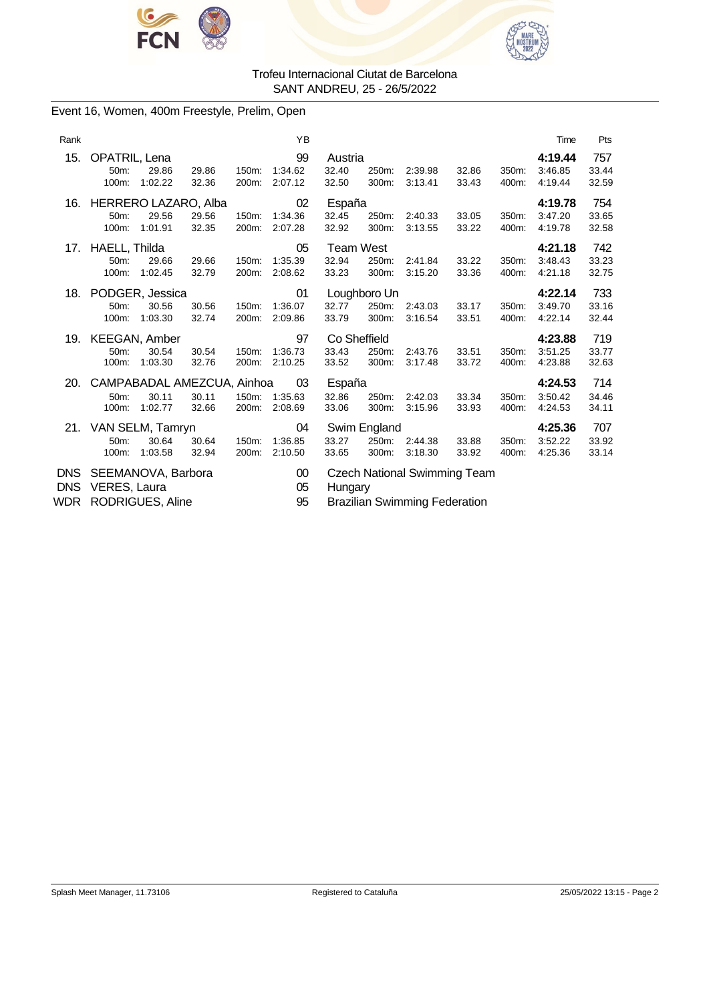



# Event 16, Women, 400m Freestyle, Prelim, Open

| Rank              |                                                                   |                |                | YB                       |                                    |                                |                                                                             |                |                | Time                          | Pts                   |
|-------------------|-------------------------------------------------------------------|----------------|----------------|--------------------------|------------------------------------|--------------------------------|-----------------------------------------------------------------------------|----------------|----------------|-------------------------------|-----------------------|
| 15.               | OPATRIL, Lena<br>50m:<br>29.86<br>100m:<br>1:02.22                | 29.86<br>32.36 | 150m:<br>200m: | 99<br>1:34.62<br>2:07.12 | Austria<br>32.40<br>32.50          | 250m:<br>300m:                 | 2:39.98<br>3:13.41                                                          | 32.86<br>33.43 | 350m:<br>400m: | 4:19.44<br>3:46.85<br>4:19.44 | 757<br>33.44<br>32.59 |
| 16.               | HERRERO LAZARO, Alba<br>50m:<br>29.56<br>100m:<br>1:01.91         | 29.56<br>32.35 | 150m:<br>200m: | 02<br>1:34.36<br>2:07.28 | España<br>32.45<br>32.92           | 250m:<br>300m:                 | 2:40.33<br>3:13.55                                                          | 33.05<br>33.22 | 350m:<br>400m: | 4:19.78<br>3:47.20<br>4:19.78 | 754<br>33.65<br>32.58 |
| 17.               | HAELL, Thilda<br>50m:<br>29.66<br>100m:<br>1:02.45                | 29.66<br>32.79 | 150m:<br>200m: | 05<br>1:35.39<br>2:08.62 | <b>Team West</b><br>32.94<br>33.23 | 250m:<br>300m:                 | 2:41.84<br>3:15.20                                                          | 33.22<br>33.36 | 350m:<br>400m: | 4:21.18<br>3:48.43<br>4:21.18 | 742<br>33.23<br>32.75 |
| 18.               | PODGER, Jessica<br>30.56<br>50m:<br>1:03.30<br>100m:              | 30.56<br>32.74 | 150m:<br>200m: | 01<br>1:36.07<br>2:09.86 | 32.77<br>33.79                     | Loughboro Un<br>250m:<br>300m: | 2:43.03<br>3:16.54                                                          | 33.17<br>33.51 | 350m:<br>400m: | 4:22.14<br>3:49.70<br>4.22.14 | 733<br>33.16<br>32.44 |
| 19.               | <b>KEEGAN, Amber</b><br>50m:<br>30.54<br>1:03.30<br>100m:         | 30.54<br>32.76 | 150m:<br>200m: | 97<br>1:36.73<br>2:10.25 | Co Sheffield<br>33.43<br>33.52     | 250m:<br>300m:                 | 2:43.76<br>3:17.48                                                          | 33.51<br>33.72 | 350m:<br>400m: | 4:23.88<br>3:51.25<br>4:23.88 | 719<br>33.77<br>32.63 |
| 20.               | CAMPABADAL AMEZCUA, Ainhoa<br>30.11<br>50m:<br>1:02.77<br>100m:   | 30.11<br>32.66 | 150m:<br>200m: | 03<br>1:35.63<br>2:08.69 | España<br>32.86<br>33.06           | 250m:<br>300m:                 | 2:42.03<br>3:15.96                                                          | 33.34<br>33.93 | 350m:<br>400m: | 4:24.53<br>3:50.42<br>4:24.53 | 714<br>34.46<br>34.11 |
|                   | 21. VAN SELM, Tamryn<br>50m:<br>30.64<br>1:03.58<br>100m:         | 30.64<br>32.94 | 150m:<br>200m: | 04<br>1:36.85<br>2:10.50 | 33.27<br>33.65                     | Swim England<br>250m:<br>300m: | 2:44.38<br>3:18.30                                                          | 33.88<br>33.92 | 350m:<br>400m: | 4:25.36<br>3:52.22<br>4:25.36 | 707<br>33.92<br>33.14 |
| <b>DNS</b><br>WDR | DNS SEEMANOVA, Barbora<br>VERES, Laura<br><b>RODRIGUES, Aline</b> |                |                | $00\,$<br>05<br>95       | Hungary                            |                                | <b>Czech National Swimming Team</b><br><b>Brazilian Swimming Federation</b> |                |                |                               |                       |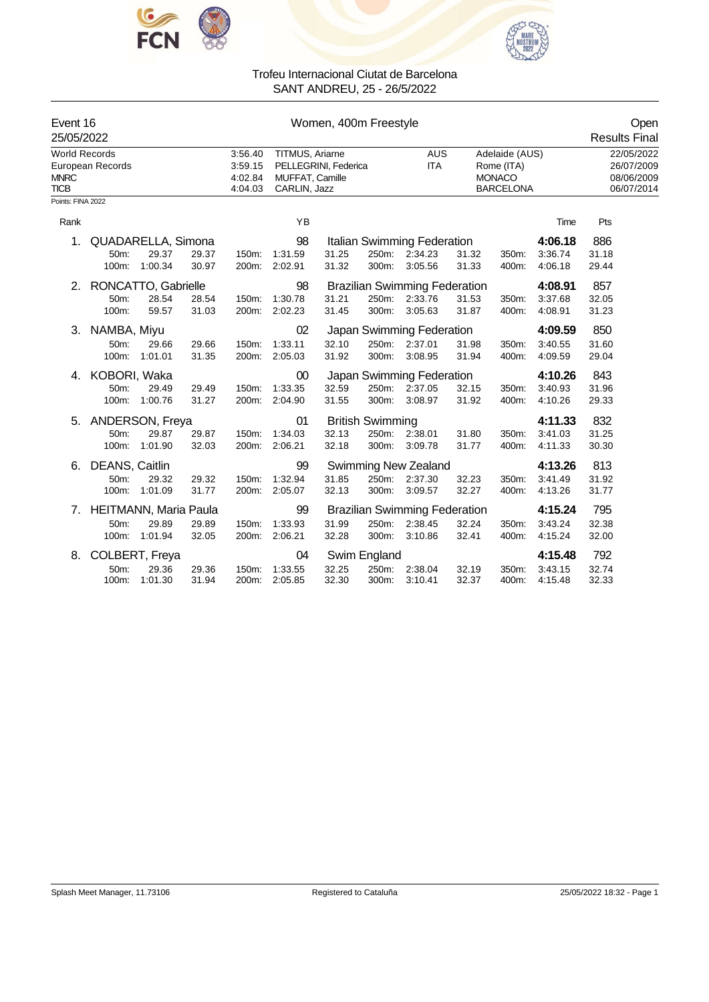



| Event 16<br>25/05/2022                             |                                               |                  |                |                                          |                                                    | Open<br><b>Results Final</b> |                                           |                                                                        |                |                                                                   |                               |                                                      |
|----------------------------------------------------|-----------------------------------------------|------------------|----------------|------------------------------------------|----------------------------------------------------|------------------------------|-------------------------------------------|------------------------------------------------------------------------|----------------|-------------------------------------------------------------------|-------------------------------|------------------------------------------------------|
| <b>World Records</b><br><b>MNRC</b><br><b>TICB</b> | European Records                              |                  |                | 3:56.40<br>3:59.15<br>4:02.84<br>4:04.03 | TITMUS, Ariarne<br>MUFFAT, Camille<br>CARLIN, Jazz | PELLEGRINI, Federica         |                                           | <b>AUS</b><br><b>ITA</b>                                               |                | Adelaide (AUS)<br>Rome (ITA)<br><b>MONACO</b><br><b>BARCELONA</b> |                               | 22/05/2022<br>26/07/2009<br>08/06/2009<br>06/07/2014 |
| Points: FINA 2022                                  |                                               |                  |                |                                          |                                                    |                              |                                           |                                                                        |                |                                                                   |                               |                                                      |
| Rank                                               |                                               |                  |                |                                          | YB                                                 |                              |                                           |                                                                        |                |                                                                   | Time                          | Pts                                                  |
| 1.                                                 | QUADARELLA, Simona<br>50m:<br>100m:           | 29.37<br>1:00.34 | 29.37<br>30.97 | 150m:<br>200m:                           | 98<br>1:31.59<br>2:02.91                           | 31.25<br>31.32               | 300m:                                     | Italian Swimming Federation<br>250m: 2:34.23<br>3:05.56                | 31.32<br>31.33 | 350m:<br>400m:                                                    | 4:06.18<br>3:36.74<br>4:06.18 | 886<br>31.18<br>29.44                                |
| 2.                                                 | RONCATTO, Gabrielle<br>50m:<br>100m:          | 28.54<br>59.57   | 28.54<br>31.03 | 150m:<br>200m:                           | 98<br>1:30.78<br>2:02.23                           | 31.21<br>31.45               |                                           | <b>Brazilian Swimming Federation</b><br>250m: 2:33.76<br>300m: 3:05.63 | 31.53<br>31.87 | 350m:<br>400m:                                                    | 4:08.91<br>3:37.68<br>4:08.91 | 857<br>32.05<br>31.23                                |
| 3.                                                 | NAMBA, Miyu<br>50m:<br>100m:                  | 29.66<br>1:01.01 | 29.66<br>31.35 | 150m:<br>200m:                           | 02<br>1:33.11<br>2:05.03                           | 32.10<br>31.92               | 300m:                                     | Japan Swimming Federation<br>250m: 2:37.01<br>3:08.95                  | 31.98<br>31.94 | 350m:<br>400m:                                                    | 4:09.59<br>3:40.55<br>4:09.59 | 850<br>31.60<br>29.04                                |
| 4.                                                 | KOBORI, Waka<br>50m:<br>100m:                 | 29.49<br>1:00.76 | 29.49<br>31.27 | 150m:<br>200m:                           | $00\,$<br>1:33.35<br>2:04.90                       | 32.59<br>31.55               |                                           | Japan Swimming Federation<br>250m: 2:37.05<br>300m: 3:08.97            | 32.15<br>31.92 | 350m:<br>400m:                                                    | 4:10.26<br>3:40.93<br>4:10.26 | 843<br>31.96<br>29.33                                |
| 5.                                                 | ANDERSON, Freya<br>50m:<br>100m:              | 29.87<br>1:01.90 | 29.87<br>32.03 | 150m:<br>200m:                           | 01<br>1:34.03<br>2:06.21                           | 32.13<br>32.18               | <b>British Swimming</b><br>250m:<br>300m: | 2:38.01<br>3:09.78                                                     | 31.80<br>31.77 | 350m:<br>400m:                                                    | 4:11.33<br>3:41.03<br>4:11.33 | 832<br>31.25<br>30.30                                |
| 6.                                                 | DEANS, Caitlin<br>50m:<br>100m:               | 29.32<br>1:01.09 | 29.32<br>31.77 | 150m:<br>200m:                           | 99<br>1:32.94<br>2:05.07                           | 31.85<br>32.13               | 250m:<br>300m:                            | Swimming New Zealand<br>2:37.30<br>3:09.57                             | 32.23<br>32.27 | 350m:<br>400m:                                                    | 4:13.26<br>3:41.49<br>4:13.26 | 813<br>31.92<br>31.77                                |
| 7.                                                 | <b>HEITMANN, Maria Paula</b><br>50m:<br>100m: | 29.89<br>1:01.94 | 29.89<br>32.05 | 150m:<br>200m:                           | 99<br>1:33.93<br>2:06.21                           | 31.99<br>32.28               | 250m:<br>300m:                            | <b>Brazilian Swimming Federation</b><br>2:38.45<br>3:10.86             | 32.24<br>32.41 | 350m:<br>400m:                                                    | 4:15.24<br>3:43.24<br>4:15.24 | 795<br>32.38<br>32.00                                |
| 8.                                                 | COLBERT, Freya<br>50m:<br>100m:               | 29.36<br>1:01.30 | 29.36<br>31.94 | 150m:<br>200m:                           | 04<br>1:33.55<br>2:05.85                           | 32.25<br>32.30               | Swim England<br>250m:<br>300m:            | 2:38.04<br>3:10.41                                                     | 32.19<br>32.37 | 350m:<br>400m:                                                    | 4:15.48<br>3:43.15<br>4:15.48 | 792<br>32.74<br>32.33                                |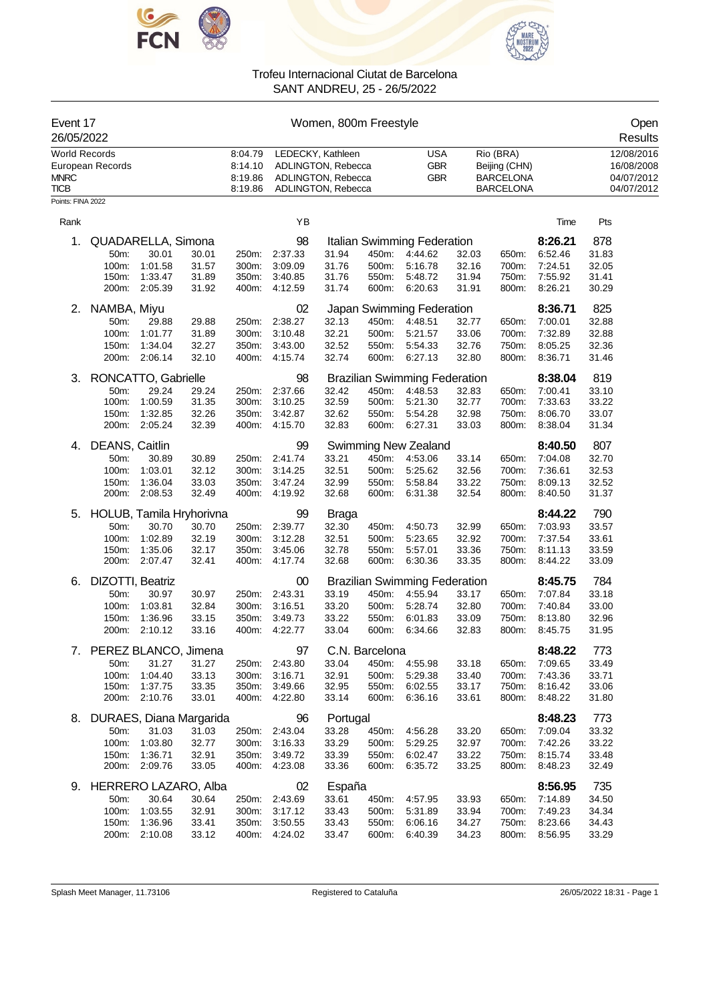



| Event 17<br>26/05/2022                             |                                                            |                                                                          |                                  |                                          |                                                                        | Women, 800m Freestyle                                                               |                                           |                                                                                  |                                  |                                                                    |                                                     | Open<br>Results                                      |  |
|----------------------------------------------------|------------------------------------------------------------|--------------------------------------------------------------------------|----------------------------------|------------------------------------------|------------------------------------------------------------------------|-------------------------------------------------------------------------------------|-------------------------------------------|----------------------------------------------------------------------------------|----------------------------------|--------------------------------------------------------------------|-----------------------------------------------------|------------------------------------------------------|--|
| <b>World Records</b><br><b>MNRC</b><br><b>TICB</b> | European Records                                           |                                                                          |                                  | 8:04.79<br>8:14.10<br>8:19.86<br>8:19.86 |                                                                        | LEDECKY, Kathleen<br>ADLINGTON, Rebecca<br>ADLINGTON, Rebecca<br>ADLINGTON, Rebecca |                                           | <b>USA</b><br><b>GBR</b><br><b>GBR</b>                                           |                                  | Rio (BRA)<br>Beijing (CHN)<br><b>BARCELONA</b><br><b>BARCELONA</b> |                                                     | 12/08/2016<br>16/08/2008<br>04/07/2012<br>04/07/2012 |  |
| Points: FINA 2022                                  |                                                            |                                                                          |                                  |                                          |                                                                        |                                                                                     |                                           |                                                                                  |                                  |                                                                    |                                                     |                                                      |  |
| Rank                                               |                                                            |                                                                          |                                  |                                          | YB                                                                     |                                                                                     |                                           |                                                                                  |                                  |                                                                    | Time                                                | Pts                                                  |  |
| 1.                                                 | 50m:<br>100m:<br>150m:<br>200m:                            | QUADARELLA, Simona<br>30.01<br>1:01.58<br>1:33.47<br>2:05.39             | 30.01<br>31.57<br>31.89<br>31.92 | 250m:<br>300m:<br>350m:<br>400m:         | 98<br>2:37.33<br>3:09.09<br>3:40.85<br>4:12.59                         | 31.94<br>31.76<br>31.76<br>31.74                                                    | 450m:<br>500m:<br>550m:<br>600m:          | Italian Swimming Federation<br>4:44.62<br>5:16.78<br>5:48.72<br>6:20.63          | 32.03<br>32.16<br>31.94<br>31.91 | 650m:<br>700m:<br>750m:<br>800m:                                   | 8:26.21<br>6:52.46<br>7:24.51<br>7:55.92<br>8:26.21 | 878<br>31.83<br>32.05<br>31.41<br>30.29              |  |
| 2.                                                 | NAMBA, Miyu<br>50m:<br>100m:<br>150m:<br>200m:             | 29.88<br>1:01.77<br>1:34.04<br>2:06.14                                   | 29.88<br>31.89<br>32.27<br>32.10 | 250m:<br>300m:<br>350m:<br>400m:         | 02<br>2:38.27<br>3:10.48<br>3:43.00<br>4:15.74                         | 32.13<br>32.21<br>32.52<br>32.74                                                    | 450m:<br>500m:<br>550m:<br>600m:          | Japan Swimming Federation<br>4:48.51<br>5:21.57<br>5:54.33<br>6:27.13            | 32.77<br>33.06<br>32.76<br>32.80 | 650m:<br>700m:<br>750m:<br>800m:                                   | 8:36.71<br>7:00.01<br>7:32.89<br>8:05.25<br>8:36.71 | 825<br>32.88<br>32.88<br>32.36<br>31.46              |  |
| 3.                                                 | RONCATTO, Gabrielle<br>50m:<br>100m:<br>150m:<br>200m:     | 29.24<br>1:00.59<br>1:32.85<br>2:05.24                                   | 29.24<br>31.35<br>32.26<br>32.39 | 250m:<br>300m:<br>350m:<br>400m:         | 98<br>2:37.66<br>3:10.25<br>3:42.87<br>4:15.70                         | 32.42<br>32.59<br>32.62<br>32.83                                                    | 450m:<br>500m:<br>550m:<br>600m:          | <b>Brazilian Swimming Federation</b><br>4:48.53<br>5:21.30<br>5:54.28<br>6:27.31 | 32.83<br>32.77<br>32.98<br>33.03 | 650m:<br>700m:<br>750m:<br>800m:                                   | 8:38.04<br>7:00.41<br>7:33.63<br>8:06.70<br>8:38.04 | 819<br>33.10<br>33.22<br>33.07<br>31.34              |  |
| 4.                                                 | DEANS, Caitlin<br>50m:<br>100m:<br>150m:<br>200m:          | 30.89<br>1:03.01<br>1:36.04<br>2:08.53                                   | 30.89<br>32.12<br>33.03<br>32.49 | 250m:<br>300m:<br>350m:<br>400m:         | 99<br>2:41.74<br>3:14.25<br>3:47.24<br>4:19.92                         | 33.21<br>32.51<br>32.99<br>32.68                                                    | 450m:<br>500m:<br>550m:<br>600m:          | <b>Swimming New Zealand</b><br>4:53.06<br>5:25.62<br>5:58.84<br>6:31.38          | 33.14<br>32.56<br>33.22<br>32.54 | 650m:<br>700m:<br>750m:<br>800m:                                   | 8:40.50<br>7:04.08<br>7:36.61<br>8:09.13<br>8:40.50 | 807<br>32.70<br>32.53<br>32.52<br>31.37              |  |
| 5.                                                 | 50m:<br>100m:<br>150m:                                     | HOLUB, Tamila Hryhorivna<br>30.70<br>1:02.89<br>1:35.06<br>200m: 2:07.47 | 30.70<br>32.19<br>32.17<br>32.41 | 250m:<br>300m:<br>350m:<br>400m:         | 99<br>2:39.77<br>3:12.28<br>3:45.06<br>4:17.74                         | Braga<br>32.30<br>32.51<br>32.78<br>32.68                                           | 450m:<br>500m:<br>550m:<br>600m:          | 4:50.73<br>5:23.65<br>5:57.01<br>6:30.36                                         | 32.99<br>32.92<br>33.36<br>33.35 | 650m:<br>700m:<br>750m:<br>800m:                                   | 8:44.22<br>7:03.93<br>7:37.54<br>8:11.13<br>8:44.22 | 790<br>33.57<br>33.61<br>33.59<br>33.09              |  |
| 6.                                                 | DIZOTTI, Beatriz<br>50m:<br>100m:<br>150m:<br>200m:        | 30.97<br>1:03.81<br>1:36.96<br>2:10.12                                   | 30.97<br>32.84<br>33.15<br>33.16 | 250m:<br>300m:<br>350m:<br>400m:         | 00<br>2:43.31<br>3:16.51<br>3:49.73<br>4.22.77                         | 33.19<br>33.20<br>33.22<br>33.04                                                    | 450m:<br>500m:<br>550m:<br>600m:          | <b>Brazilian Swimming Federation</b><br>4:55.94<br>5:28.74<br>6:01.83<br>6:34.66 | 33.17<br>32.80<br>33.09<br>32.83 | 650m:<br>700m:<br>750m:<br>800m:                                   | 8:45.75<br>7:07.84<br>7:40.84<br>8:13.80<br>8:45.75 | 784<br>33.18<br>33.00<br>32.96<br>31.95              |  |
|                                                    | 7. PEREZ BLANCO, Jimena<br>50m:<br>100m:<br>150m:          | 31.27<br>1:04.40<br>1:37.75<br>200m: 2:10.76                             | 31.27<br>33.13<br>33.35<br>33.01 |                                          | 97<br>250m: 2:43.80<br>300m: 3:16.71<br>350m: 3:49.66<br>400m: 4:22.80 | 33.04<br>32.91<br>32.95<br>33.14                                                    | C.N. Barcelona<br>500m:<br>550m:<br>600m: | 450m: 4:55.98<br>5:29.38<br>6:02.55<br>6:36.16                                   | 33.18<br>33.40<br>33.17<br>33.61 | 650m:<br>700m:<br>750m:<br>800m:                                   | 8:48.22<br>7:09.65<br>7:43.36<br>8:16.42<br>8:48.22 | 773<br>33.49<br>33.71<br>33.06<br>31.80              |  |
| 8.                                                 | 50m:<br>100m:<br>150m:<br>200m:                            | DURAES, Diana Margarida<br>31.03<br>1:03.80<br>1:36.71<br>2:09.76        | 31.03<br>32.77<br>32.91<br>33.05 | 350m:                                    | 96<br>250m: 2:43.04<br>300m: 3:16.33<br>3:49.72<br>400m: 4:23.08       | Portugal<br>33.28<br>33.29<br>33.39<br>33.36                                        | 450m:<br>500m:<br>550m:<br>600m:          | 4:56.28<br>5:29.25<br>6:02.47<br>6:35.72                                         | 33.20<br>32.97<br>33.22<br>33.25 | 650m:<br>700m:<br>750m:<br>800m:                                   | 8:48.23<br>7:09.04<br>7:42.26<br>8:15.74<br>8:48.23 | 773<br>33.32<br>33.22<br>33.48<br>32.49              |  |
|                                                    | 9. HERRERO LAZARO, Alba<br>50m:<br>100m:<br>150m:<br>200m: | 30.64<br>1:03.55<br>1:36.96<br>2:10.08                                   | 30.64<br>32.91<br>33.41<br>33.12 | 350m:                                    | 02<br>250m: 2:43.69<br>300m: 3:17.12<br>3:50.55<br>400m: 4:24.02       | España<br>33.61<br>33.43<br>33.43<br>33.47                                          | 450m:<br>500m:<br>550m:<br>600m:          | 4:57.95<br>5:31.89<br>6:06.16<br>6:40.39                                         | 33.93<br>33.94<br>34.27<br>34.23 | 650m:<br>700m:<br>750m:<br>800m:                                   | 8:56.95<br>7:14.89<br>7:49.23<br>8:23.66<br>8:56.95 | 735<br>34.50<br>34.34<br>34.43<br>33.29              |  |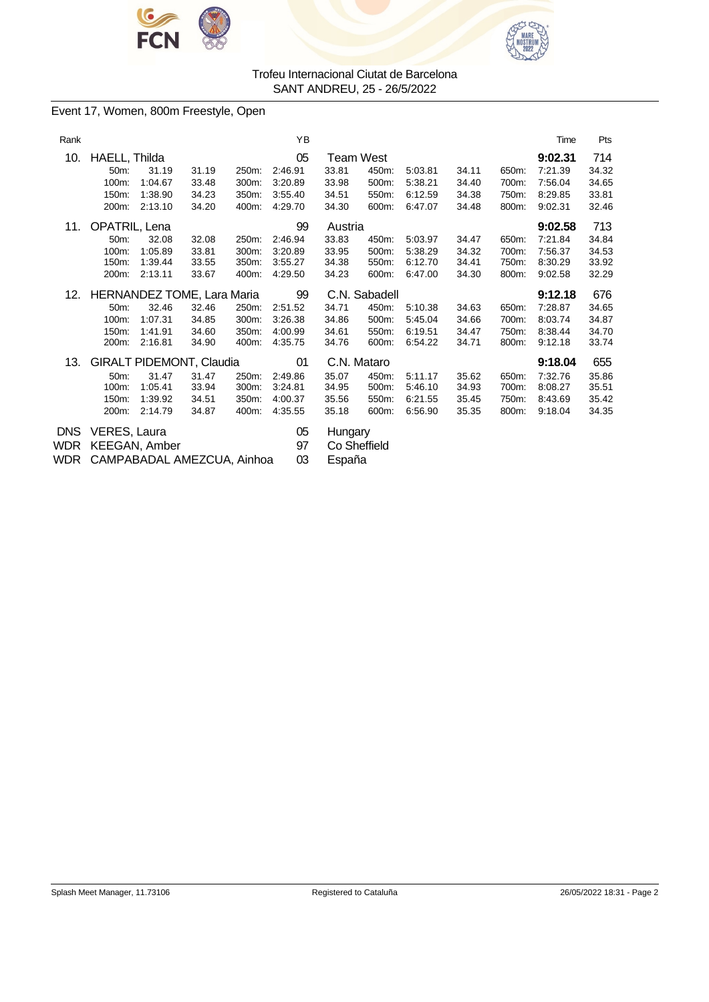



### Event 17, Women, 800m Freestyle, Open

| 9:02.31<br>7:21.39<br>7:56.04<br>8:29.85<br>9:02.31 | 714<br>34.32<br>34.65<br>33.81<br>32.46 |
|-----------------------------------------------------|-----------------------------------------|
|                                                     |                                         |
|                                                     |                                         |
|                                                     |                                         |
|                                                     |                                         |
|                                                     |                                         |
| 9:02.58                                             | 713                                     |
| 7:21.84                                             | 34.84                                   |
| 7:56.37                                             | 34.53                                   |
| 8:30.29                                             | 33.92                                   |
| 9:02.58                                             | 32.29                                   |
| 9:12.18                                             | 676                                     |
| 7:28.87                                             | 34.65                                   |
| 8:03.74                                             | 34.87                                   |
| 8:38.44                                             | 34.70                                   |
| 9:12.18                                             | 33.74                                   |
| 9:18.04                                             | 655                                     |
|                                                     | 35.86                                   |
| 8:08.27                                             | 35.51                                   |
| 8:43.69                                             | 35.42                                   |
| 9:18.04                                             | 34.35                                   |
|                                                     |                                         |
|                                                     |                                         |
|                                                     | 7:32.76                                 |

WDR CAMPABADAL AMEZCUA, Ainhoa 03 España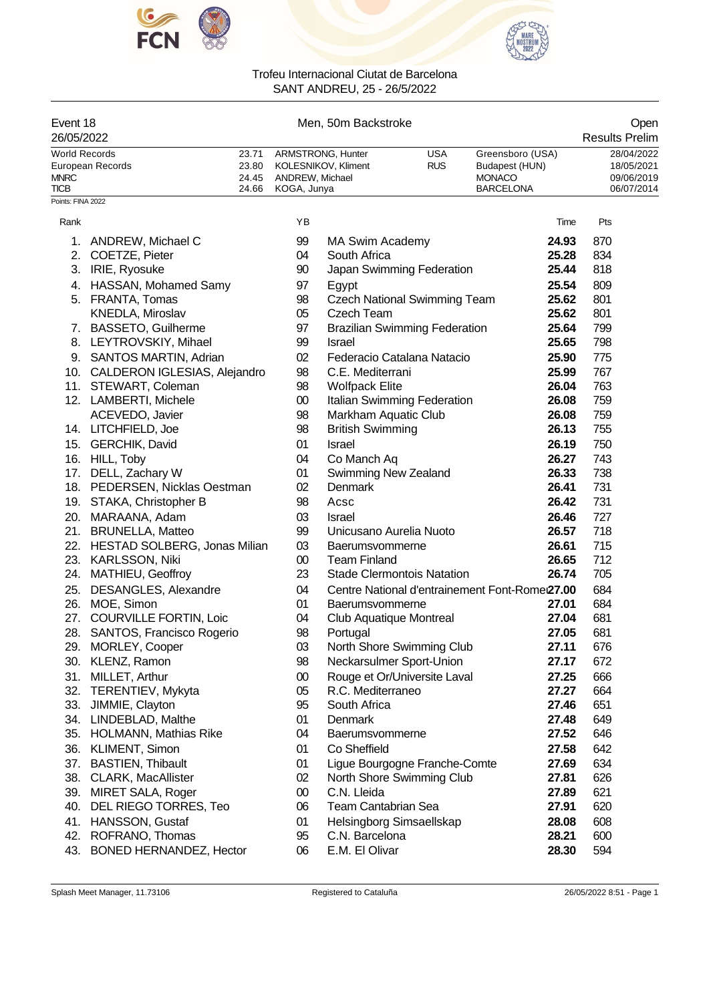



| Event 18<br>26/05/2022                                    |                                                          |                                  | Men, 50m Backstroke            |                                           | Open<br><b>Results Prelim</b>        |                                                                         |                |                                                      |
|-----------------------------------------------------------|----------------------------------------------------------|----------------------------------|--------------------------------|-------------------------------------------|--------------------------------------|-------------------------------------------------------------------------|----------------|------------------------------------------------------|
| World Records<br><b>MNRC</b><br>TICB<br>Points: FINA 2022 | European Records                                         | 23.71<br>23.80<br>24.45<br>24.66 | ANDREW, Michael<br>KOGA, Junya | ARMSTRONG, Hunter<br>KOLESNIKOV, Kliment  | <b>USA</b><br><b>RUS</b>             | Greensboro (USA)<br>Budapest (HUN)<br><b>MONACO</b><br><b>BARCELONA</b> |                | 28/04/2022<br>18/05/2021<br>09/06/2019<br>06/07/2014 |
|                                                           |                                                          |                                  |                                |                                           |                                      |                                                                         |                |                                                      |
| Rank                                                      |                                                          |                                  | ΥB                             |                                           |                                      |                                                                         | Time           | Pts                                                  |
| 1.                                                        | ANDREW, Michael C                                        |                                  | 99                             | MA Swim Academy                           |                                      |                                                                         | 24.93          | 870                                                  |
|                                                           | 2. COETZE, Pieter                                        |                                  | 04                             | South Africa                              |                                      |                                                                         | 25.28          | 834                                                  |
|                                                           | 3. IRIE, Ryosuke                                         |                                  | 90                             |                                           | Japan Swimming Federation            |                                                                         | 25.44          | 818                                                  |
|                                                           | 4. HASSAN, Mohamed Samy                                  |                                  | 97                             | Egypt                                     |                                      |                                                                         | 25.54          | 809                                                  |
| 5.                                                        | FRANTA, Tomas                                            |                                  | 98                             |                                           | <b>Czech National Swimming Team</b>  |                                                                         | 25.62          | 801                                                  |
|                                                           | KNEDLA, Miroslav                                         |                                  | 05                             | Czech Team                                |                                      |                                                                         | 25.62          | 801                                                  |
| 7.                                                        | <b>BASSETO, Guilherme</b>                                |                                  | 97                             |                                           | <b>Brazilian Swimming Federation</b> |                                                                         | 25.64          | 799                                                  |
| 8.                                                        | LEYTROVSKIY, Mihael                                      |                                  | 99                             | <b>Israel</b>                             |                                      |                                                                         | 25.65          | 798                                                  |
|                                                           | 9. SANTOS MARTIN, Adrian                                 |                                  | 02                             |                                           | Federacio Catalana Natacio           |                                                                         | 25.90<br>25.99 | 775<br>767                                           |
|                                                           | 10. CALDERON IGLESIAS, Alejandro<br>11. STEWART, Coleman |                                  | 98<br>98                       | C.E. Mediterrani<br><b>Wolfpack Elite</b> |                                      |                                                                         | 26.04          | 763                                                  |
|                                                           | 12. LAMBERTI, Michele                                    |                                  | $^{00}$                        |                                           | Italian Swimming Federation          |                                                                         | 26.08          | 759                                                  |
|                                                           | ACEVEDO, Javier                                          |                                  | 98                             | Markham Aquatic Club                      |                                      |                                                                         | 26.08          | 759                                                  |
|                                                           | 14. LITCHFIELD, Joe                                      |                                  | 98                             | <b>British Swimming</b>                   |                                      |                                                                         | 26.13          | 755                                                  |
| 15.                                                       | <b>GERCHIK, David</b>                                    |                                  | 01                             | <b>Israel</b>                             |                                      |                                                                         | 26.19          | 750                                                  |
|                                                           | 16. HILL, Toby                                           |                                  | 04                             | Co Manch Aq                               |                                      |                                                                         | 26.27          | 743                                                  |
| 17.                                                       | DELL, Zachary W                                          |                                  | 01                             | Swimming New Zealand                      |                                      |                                                                         | 26.33          | 738                                                  |
|                                                           | 18. PEDERSEN, Nicklas Oestman                            |                                  | 02                             | Denmark                                   |                                      |                                                                         | 26.41          | 731                                                  |
|                                                           | 19. STAKA, Christopher B                                 |                                  | 98                             | Acsc                                      |                                      |                                                                         | 26.42          | 731                                                  |
|                                                           | 20. MARAANA, Adam                                        |                                  | 03                             | <b>Israel</b>                             |                                      |                                                                         | 26.46          | 727                                                  |
|                                                           | 21. BRUNELLA, Matteo                                     |                                  | 99                             | Unicusano Aurelia Nuoto                   |                                      |                                                                         | 26.57          | 718                                                  |
|                                                           | 22. HESTAD SOLBERG, Jonas Milian                         |                                  | 03                             | Baerumsvommerne                           |                                      |                                                                         | 26.61          | 715                                                  |
|                                                           | 23. KARLSSON, Niki                                       |                                  | 00                             | <b>Team Finland</b>                       |                                      |                                                                         | 26.65          | 712                                                  |
|                                                           | 24. MATHIEU, Geoffroy                                    |                                  | 23                             |                                           | <b>Stade Clermontois Natation</b>    |                                                                         | 26.74          | 705                                                  |
| 25.                                                       | DESANGLES, Alexandre                                     |                                  | 04                             |                                           |                                      | Centre National d'entrainement Font-Rome 27.00                          |                | 684                                                  |
|                                                           | 26. MOE, Simon                                           |                                  | 01                             | Baerumsvommerne                           |                                      |                                                                         | 27.01          | 684                                                  |
| 27.                                                       | <b>COURVILLE FORTIN, Loic</b>                            |                                  | 04                             | Club Aquatique Montreal                   |                                      |                                                                         | 27.04          | 681                                                  |
|                                                           | 28. SANTOS, Francisco Rogerio                            |                                  | 98                             | Portugal                                  |                                      |                                                                         | 27.05          | 681                                                  |
|                                                           | 29. MORLEY, Cooper                                       |                                  | 03                             |                                           | North Shore Swimming Club            |                                                                         | 27.11          | 676                                                  |
|                                                           | 30. KLENZ, Ramon                                         |                                  | 98                             |                                           | Neckarsulmer Sport-Union             |                                                                         | 27.17          | 672                                                  |
| 31.                                                       | MILLET, Arthur                                           |                                  | $00\,$                         |                                           | Rouge et Or/Universite Laval         |                                                                         | 27.25          | 666                                                  |
| 32.                                                       | TERENTIEV, Mykyta                                        |                                  | 05                             | R.C. Mediterraneo                         |                                      |                                                                         | 27.27          | 664                                                  |
| 33.                                                       | JIMMIE, Clayton                                          |                                  | 95<br>01                       | South Africa                              |                                      |                                                                         | 27.46<br>27.48 | 651<br>649                                           |
| 35.                                                       | 34. LINDEBLAD, Malthe<br><b>HOLMANN, Mathias Rike</b>    |                                  | 04                             | Denmark<br>Baerumsvommerne                |                                      |                                                                         | 27.52          | 646                                                  |
| 36.                                                       | KLIMENT, Simon                                           |                                  | 01                             | Co Sheffield                              |                                      |                                                                         | 27.58          | 642                                                  |
| 37.                                                       | <b>BASTIEN, Thibault</b>                                 |                                  | 01                             |                                           | Ligue Bourgogne Franche-Comte        |                                                                         | 27.69          | 634                                                  |
| 38.                                                       | CLARK, MacAllister                                       |                                  | 02                             |                                           | North Shore Swimming Club            |                                                                         | 27.81          | 626                                                  |
| 39.                                                       | MIRET SALA, Roger                                        |                                  | $00\,$                         | C.N. Lleida                               |                                      |                                                                         | 27.89          | 621                                                  |
| 40.                                                       | DEL RIEGO TORRES, Teo                                    |                                  | 06                             | Team Cantabrian Sea                       |                                      |                                                                         | 27.91          | 620                                                  |
| 41.                                                       | <b>HANSSON, Gustaf</b>                                   |                                  | 01                             |                                           | Helsingborg Simsaellskap             |                                                                         | 28.08          | 608                                                  |
| 42.                                                       | ROFRANO, Thomas                                          |                                  | 95                             | C.N. Barcelona                            |                                      |                                                                         | 28.21          | 600                                                  |
| 43.                                                       | BONED HERNANDEZ, Hector                                  |                                  | 06                             | E.M. El Olivar                            |                                      |                                                                         | 28.30          | 594                                                  |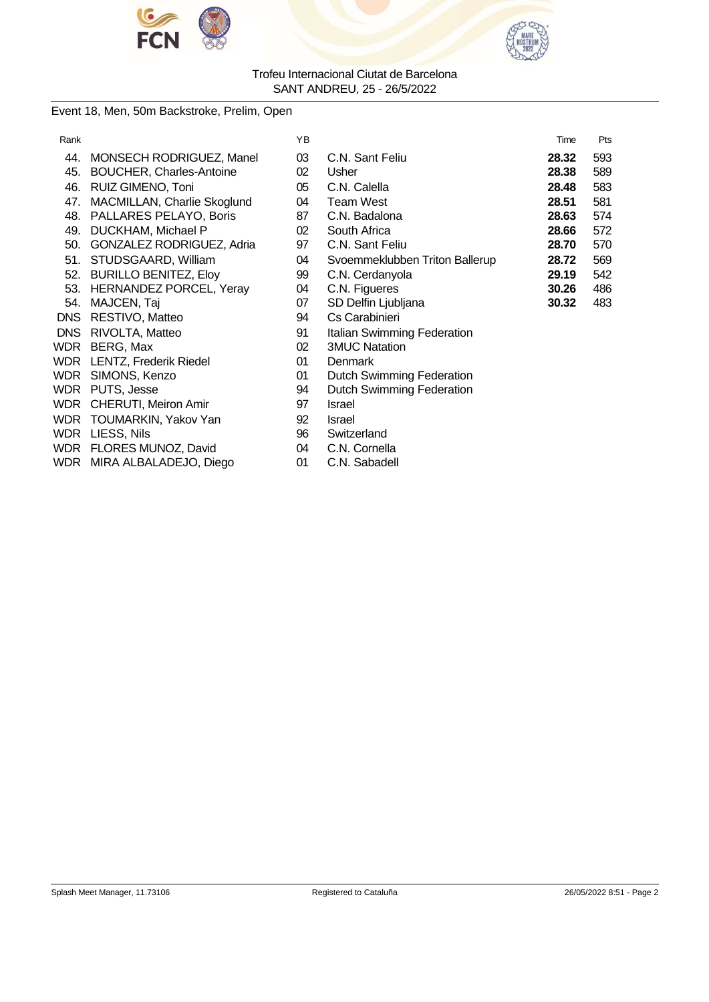



### Event 18, Men, 50m Backstroke, Prelim, Open

| Rank       |                                   | YB |                                  | Time  | Pts |
|------------|-----------------------------------|----|----------------------------------|-------|-----|
| 44.        | MONSECH RODRIGUEZ, Manel          | 03 | C.N. Sant Feliu                  | 28.32 | 593 |
| 45.        | BOUCHER, Charles-Antoine          | 02 | Usher                            | 28.38 | 589 |
| 46.        | RUIZ GIMENO, Toni                 | 05 | C.N. Calella                     | 28.48 | 583 |
| 47.        | MACMILLAN, Charlie Skoglund       | 04 | <b>Team West</b>                 | 28.51 | 581 |
| 48.        | PALLARES PELAYO, Boris            | 87 | C.N. Badalona                    | 28.63 | 574 |
| 49.        | DUCKHAM, Michael P                | 02 | South Africa                     | 28.66 | 572 |
| 50.        | GONZALEZ RODRIGUEZ, Adria         | 97 | C.N. Sant Feliu                  | 28.70 | 570 |
| 51.        | STUDSGAARD, William               | 04 | Svoemmeklubben Triton Ballerup   | 28.72 | 569 |
| 52.        | <b>BURILLO BENITEZ, Eloy</b>      | 99 | C.N. Cerdanyola                  | 29.19 | 542 |
|            | 53. HERNANDEZ PORCEL, Yeray       | 04 | C.N. Figueres                    | 30.26 | 486 |
| 54.        | MAJCEN, Taj                       | 07 | SD Delfin Ljubljana              | 30.32 | 483 |
| <b>DNS</b> | RESTIVO, Matteo                   | 94 | Cs Carabinieri                   |       |     |
| DNS.       | RIVOLTA, Matteo                   | 91 | Italian Swimming Federation      |       |     |
| WDR        | BERG, Max                         | 02 | <b>3MUC Natation</b>             |       |     |
|            | <b>WDR</b> LENTZ, Frederik Riedel | 01 | <b>Denmark</b>                   |       |     |
|            | WDR SIMONS, Kenzo                 | 01 | <b>Dutch Swimming Federation</b> |       |     |
| WDR        | PUTS, Jesse                       | 94 | Dutch Swimming Federation        |       |     |
|            | WDR CHERUTI, Meiron Amir          | 97 | Israel                           |       |     |
|            | WDR TOUMARKIN, Yakov Yan          | 92 | <b>Israel</b>                    |       |     |
|            | WDR LIESS, Nils                   | 96 | Switzerland                      |       |     |
|            | WDR FLORES MUNOZ, David           | 04 | C.N. Cornella                    |       |     |
|            | WDR MIRA ALBALADEJO, Diego        | 01 | C.N. Sabadell                    |       |     |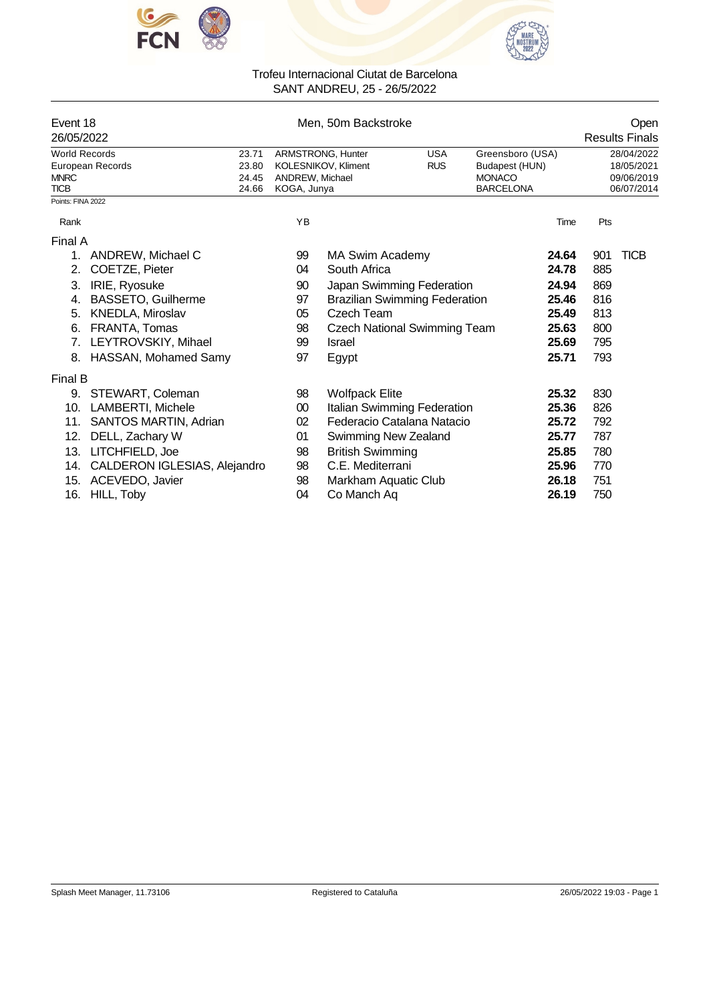



| Event 18<br>26/05/2022                             |                              |                                  |                                | Open<br><b>Results Finals</b>            |                          |                                                                         |       |     |                                                      |
|----------------------------------------------------|------------------------------|----------------------------------|--------------------------------|------------------------------------------|--------------------------|-------------------------------------------------------------------------|-------|-----|------------------------------------------------------|
| <b>World Records</b><br><b>MNRC</b><br><b>TICB</b> | European Records             | 23.71<br>23.80<br>24.45<br>24.66 | ANDREW, Michael<br>KOGA, Junya | ARMSTRONG, Hunter<br>KOLESNIKOV, Kliment | <b>USA</b><br><b>RUS</b> | Greensboro (USA)<br>Budapest (HUN)<br><b>MONACO</b><br><b>BARCELONA</b> |       |     | 28/04/2022<br>18/05/2021<br>09/06/2019<br>06/07/2014 |
| Points: FINA 2022                                  |                              |                                  |                                |                                          |                          |                                                                         |       |     |                                                      |
| Rank                                               |                              |                                  | YB                             |                                          |                          |                                                                         | Time  | Pts |                                                      |
| Final A                                            |                              |                                  |                                |                                          |                          |                                                                         |       |     |                                                      |
| 1.                                                 | ANDREW, Michael C            |                                  | 99                             | MA Swim Academy                          |                          |                                                                         | 24.64 | 901 | <b>TICB</b>                                          |
| 2.                                                 | COETZE, Pieter               |                                  | 04                             | South Africa                             |                          |                                                                         | 24.78 | 885 |                                                      |
| 3.                                                 | IRIE, Ryosuke                |                                  | 90                             | Japan Swimming Federation                |                          |                                                                         | 24.94 | 869 |                                                      |
| 4.                                                 | BASSETO, Guilherme           |                                  | 97                             | <b>Brazilian Swimming Federation</b>     |                          |                                                                         | 25.46 | 816 |                                                      |
| 5.                                                 | <b>KNEDLA, Miroslav</b>      |                                  | 05                             | Czech Team                               |                          |                                                                         | 25.49 | 813 |                                                      |
| 6.                                                 | FRANTA, Tomas                |                                  | 98                             | <b>Czech National Swimming Team</b>      |                          |                                                                         | 25.63 | 800 |                                                      |
| 7.                                                 | LEYTROVSKIY, Mihael          |                                  | 99                             | Israel                                   |                          |                                                                         | 25.69 | 795 |                                                      |
| 8.                                                 | HASSAN, Mohamed Samy         |                                  | 97                             | Egypt                                    |                          |                                                                         | 25.71 | 793 |                                                      |
| <b>Final B</b>                                     |                              |                                  |                                |                                          |                          |                                                                         |       |     |                                                      |
| 9.                                                 | STEWART, Coleman             |                                  | 98                             | <b>Wolfpack Elite</b>                    |                          |                                                                         | 25.32 | 830 |                                                      |
| 10.                                                | LAMBERTI, Michele            |                                  | 00                             | Italian Swimming Federation              |                          |                                                                         | 25.36 | 826 |                                                      |
| 11.                                                | SANTOS MARTIN, Adrian        |                                  | 02                             | Federacio Catalana Natacio               |                          |                                                                         | 25.72 | 792 |                                                      |
| 12.                                                | DELL, Zachary W              |                                  | 01                             | <b>Swimming New Zealand</b>              |                          |                                                                         | 25.77 | 787 |                                                      |
| 13.                                                | LITCHFIELD, Joe              |                                  | 98                             | <b>British Swimming</b>                  |                          |                                                                         | 25.85 | 780 |                                                      |
| 14.                                                | CALDERON IGLESIAS, Alejandro |                                  | 98                             | C.E. Mediterrani                         |                          |                                                                         | 25.96 | 770 |                                                      |
| 15.                                                | ACEVEDO, Javier              |                                  | 98                             | Markham Aquatic Club                     |                          |                                                                         | 26.18 | 751 |                                                      |
| 16.                                                | HILL, Toby                   |                                  | 04                             | Co Manch Aq                              |                          |                                                                         | 26.19 | 750 |                                                      |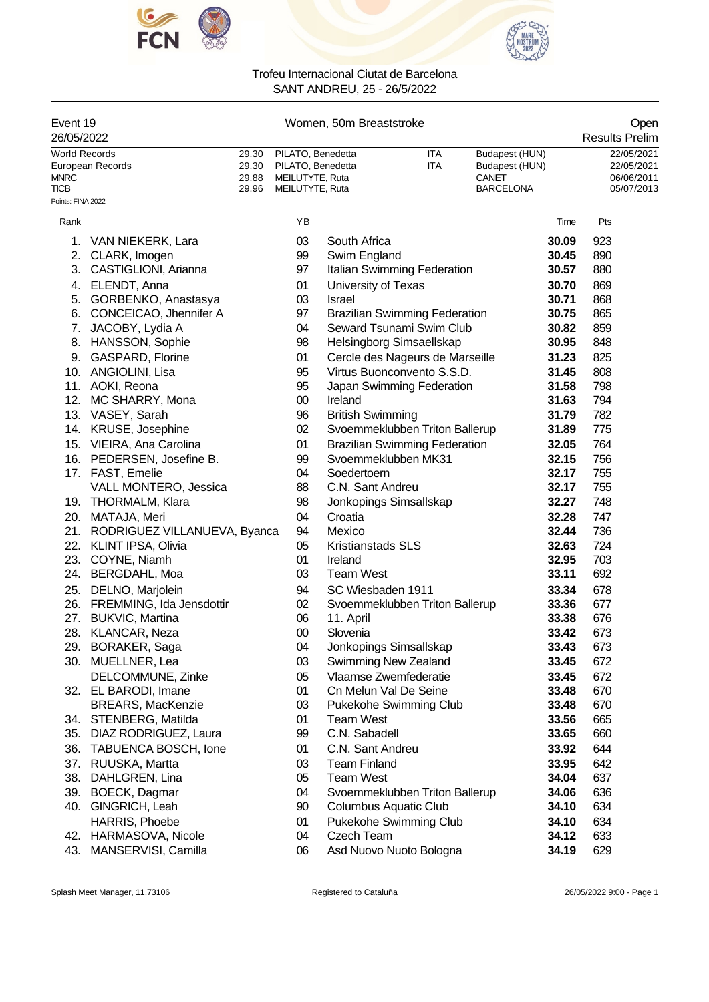



| Event 19<br>26/05/2022              |                              |                         | Open<br><b>Results Prelim</b>                             |                          |                                      |                                                  |       |                                        |
|-------------------------------------|------------------------------|-------------------------|-----------------------------------------------------------|--------------------------|--------------------------------------|--------------------------------------------------|-------|----------------------------------------|
| <b>World Records</b><br><b>MNRC</b> | European Records             | 29.30<br>29.30<br>29.88 | PILATO, Benedetta<br>PILATO, Benedetta<br>MEILUTYTE, Ruta |                          | ITA<br><b>ITA</b>                    | Budapest (HUN)<br>Budapest (HUN)<br><b>CANET</b> |       | 22/05/2021<br>22/05/2021<br>06/06/2011 |
| <b>TICB</b>                         |                              | 29.96                   | MEILUTYTE, Ruta                                           |                          |                                      | <b>BARCELONA</b>                                 |       | 05/07/2013                             |
| Points: FINA 2022                   |                              |                         |                                                           |                          |                                      |                                                  |       |                                        |
| Rank                                |                              |                         | YB                                                        |                          |                                      |                                                  | Time  | Pts                                    |
| 1.                                  | VAN NIEKERK, Lara            |                         | 03                                                        | South Africa             |                                      |                                                  | 30.09 | 923                                    |
| 2.                                  | CLARK, Imogen                |                         | 99                                                        | Swim England             |                                      |                                                  | 30.45 | 890                                    |
| 3.                                  | CASTIGLIONI, Arianna         |                         | 97                                                        |                          | Italian Swimming Federation          |                                                  | 30.57 | 880                                    |
| 4.                                  | ELENDT, Anna                 |                         | 01                                                        | University of Texas      |                                      |                                                  | 30.70 | 869                                    |
| 5.                                  | GORBENKO, Anastasya          |                         | 03                                                        | Israel                   |                                      |                                                  | 30.71 | 868                                    |
| 6.                                  | CONCEICAO, Jhennifer A       |                         | 97                                                        |                          | <b>Brazilian Swimming Federation</b> |                                                  | 30.75 | 865                                    |
| 7.                                  | JACOBY, Lydia A              |                         | 04                                                        |                          | Seward Tsunami Swim Club             |                                                  | 30.82 | 859                                    |
|                                     | 8. HANSSON, Sophie           |                         | 98                                                        |                          | Helsingborg Simsaellskap             |                                                  | 30.95 | 848                                    |
| 9.                                  | <b>GASPARD, Florine</b>      |                         | 01                                                        |                          | Cercle des Nageurs de Marseille      |                                                  | 31.23 | 825                                    |
|                                     | 10. ANGIOLINI, Lisa          |                         | 95                                                        |                          | Virtus Buonconvento S.S.D.           |                                                  | 31.45 | 808                                    |
|                                     | 11. AOKI, Reona              |                         | 95                                                        |                          | Japan Swimming Federation            |                                                  | 31.58 | 798                                    |
|                                     | 12. MC SHARRY, Mona          |                         | $00\,$                                                    | Ireland                  |                                      |                                                  | 31.63 | 794                                    |
|                                     | 13. VASEY, Sarah             |                         | 96                                                        | <b>British Swimming</b>  |                                      |                                                  | 31.79 | 782                                    |
|                                     | 14. KRUSE, Josephine         |                         | 02                                                        |                          | Svoemmeklubben Triton Ballerup       |                                                  | 31.89 | 775                                    |
|                                     | 15. VIEIRA, Ana Carolina     |                         | 01                                                        |                          | <b>Brazilian Swimming Federation</b> |                                                  | 32.05 | 764                                    |
|                                     | 16. PEDERSEN, Josefine B.    |                         | 99                                                        |                          | Svoemmeklubben MK31                  |                                                  | 32.15 | 756                                    |
|                                     | 17. FAST, Emelie             |                         | 04                                                        | Soedertoern              |                                      |                                                  | 32.17 | 755                                    |
|                                     | VALL MONTERO, Jessica        |                         | 88                                                        | C.N. Sant Andreu         |                                      |                                                  | 32.17 | 755                                    |
|                                     | 19. THORMALM, Klara          |                         | 98                                                        |                          | Jonkopings Simsallskap               |                                                  | 32.27 | 748                                    |
| 20.                                 | MATAJA, Meri                 |                         | 04                                                        | Croatia                  |                                      |                                                  | 32.28 | 747                                    |
| 21.                                 | RODRIGUEZ VILLANUEVA, Byanca |                         | 94                                                        | Mexico                   |                                      |                                                  | 32.44 | 736                                    |
| 22.                                 | <b>KLINT IPSA, Olivia</b>    |                         | 05                                                        | <b>Kristianstads SLS</b> |                                      |                                                  | 32.63 | 724                                    |
| 23.                                 | COYNE, Niamh                 |                         | 01                                                        | Ireland                  |                                      |                                                  | 32.95 | 703                                    |
| 24.                                 | BERGDAHL, Moa                |                         | 03                                                        | <b>Team West</b>         |                                      |                                                  | 33.11 | 692                                    |
| 25.                                 | DELNO, Marjolein             |                         | 94                                                        | SC Wiesbaden 1911        |                                      |                                                  | 33.34 | 678                                    |
| 26.                                 | FREMMING, Ida Jensdottir     |                         | 02                                                        |                          | Svoemmeklubben Triton Ballerup       |                                                  | 33.36 | 677                                    |
|                                     | 27. BUKVIC, Martina          |                         | 06                                                        | 11. April                |                                      |                                                  | 33.38 | 676                                    |
|                                     | 28. KLANCAR, Neza            |                         | $00\,$                                                    | Slovenia                 |                                      |                                                  | 33.42 | 673                                    |
| 29.                                 | BORAKER, Saga                |                         | 04                                                        |                          | Jonkopings Simsallskap               |                                                  | 33.43 | 673                                    |
| 30.                                 | MUELLNER, Lea                |                         | 03                                                        |                          | Swimming New Zealand                 |                                                  | 33.45 | 672                                    |
|                                     | DELCOMMUNE, Zinke            |                         | 05                                                        |                          | Vlaamse Zwemfederatie                |                                                  | 33.45 | 672                                    |
|                                     | 32. EL BARODI, Imane         |                         | 01                                                        |                          | Cn Melun Val De Seine                |                                                  | 33.48 | 670                                    |
|                                     | <b>BREARS, MacKenzie</b>     |                         | 03                                                        |                          | Pukekohe Swimming Club               |                                                  | 33.48 | 670                                    |
| 34.                                 | STENBERG, Matilda            |                         | 01                                                        | <b>Team West</b>         |                                      |                                                  | 33.56 | 665                                    |
| 35.                                 | DIAZ RODRIGUEZ, Laura        |                         | 99                                                        | C.N. Sabadell            |                                      |                                                  | 33.65 | 660                                    |
| 36.                                 | TABUENCA BOSCH, Ione         |                         | 01                                                        | C.N. Sant Andreu         |                                      |                                                  | 33.92 | 644                                    |
|                                     | 37. RUUSKA, Martta           |                         | 03                                                        | <b>Team Finland</b>      |                                      |                                                  | 33.95 | 642                                    |
| 38.                                 | DAHLGREN, Lina               |                         | 05                                                        | <b>Team West</b>         |                                      |                                                  | 34.04 | 637                                    |
| 39.                                 | BOECK, Dagmar                |                         | 04                                                        |                          | Svoemmeklubben Triton Ballerup       |                                                  | 34.06 | 636                                    |

40. GINGRICH, Leah 90 Columbus Aquatic Club **34.10** 634 HARRIS, Phoebe 01 Pukekohe Swimming Club **34.10** 634 42. HARMASOVA, Nicole 04 Czech Team **34.12** 633

43. MANSERVISI, Camilla 06 Asd Nuovo Nuoto Bologna **34.19** 629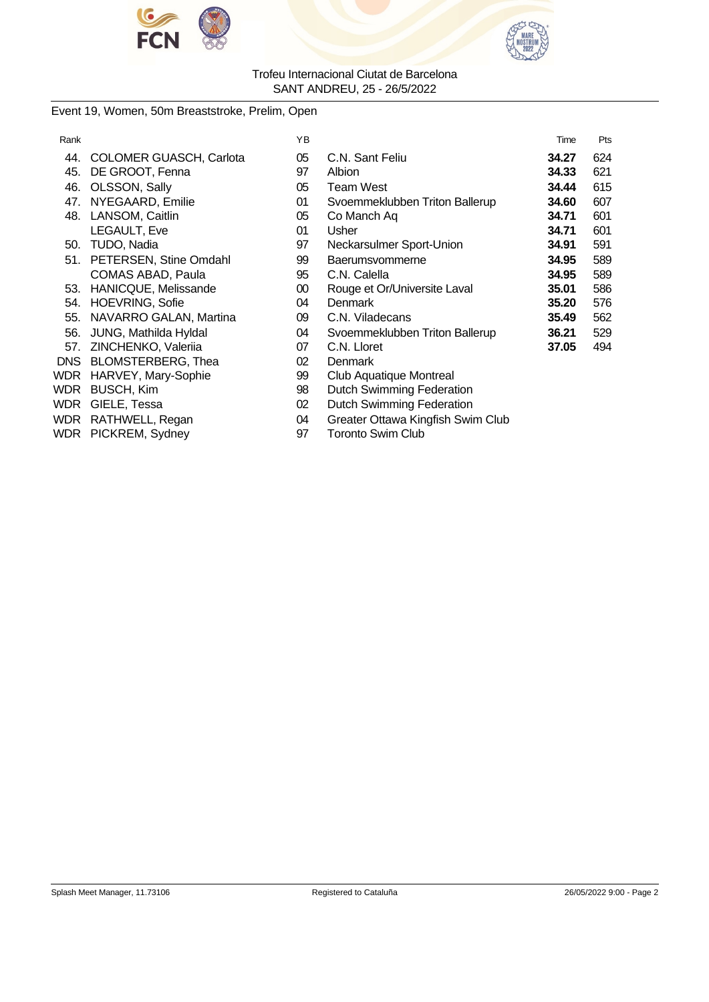



# Event 19, Women, 50m Breaststroke, Prelim, Open

| Rank |                                | ΥB |                                   | Time  | Pts |
|------|--------------------------------|----|-----------------------------------|-------|-----|
| 44.  | <b>COLOMER GUASCH, Carlota</b> | 05 | C.N. Sant Feliu                   | 34.27 | 624 |
| 45.  | DE GROOT, Fenna                | 97 | Albion                            | 34.33 | 621 |
| 46.  | OLSSON, Sally                  | 05 | Team West                         | 34.44 | 615 |
| 47.  | NYEGAARD, Emilie               | 01 | Svoemmeklubben Triton Ballerup    | 34.60 | 607 |
| 48.  | LANSOM, Caitlin                | 05 | Co Manch Aq                       | 34.71 | 601 |
|      | LEGAULT, Eve                   | 01 | Usher                             | 34.71 | 601 |
| 50.  | TUDO, Nadia                    | 97 | Neckarsulmer Sport-Union          | 34.91 | 591 |
| 51.  | PETERSEN, Stine Omdahl         | 99 | Baerumsvommerne                   | 34.95 | 589 |
|      | <b>COMAS ABAD, Paula</b>       | 95 | C.N. Calella                      | 34.95 | 589 |
| 53.  | HANICQUE, Melissande           | 00 | Rouge et Or/Universite Laval      | 35.01 | 586 |
| 54.  | <b>HOEVRING, Sofie</b>         | 04 | <b>Denmark</b>                    | 35.20 | 576 |
| 55.  | NAVARRO GALAN, Martina         | 09 | C.N. Viladecans                   | 35.49 | 562 |
| 56.  | JUNG, Mathilda Hyldal          | 04 | Svoemmeklubben Triton Ballerup    | 36.21 | 529 |
| 57.  | ZINCHENKO, Valeriia            | 07 | C.N. Lloret                       | 37.05 | 494 |
| DNS. | <b>BLOMSTERBERG, Thea</b>      | 02 | Denmark                           |       |     |
| WDR  | HARVEY, Mary-Sophie            | 99 | Club Aquatique Montreal           |       |     |
| WDR  | <b>BUSCH, Kim</b>              | 98 | Dutch Swimming Federation         |       |     |
| WDR  | GIELE, Tessa                   | 02 | <b>Dutch Swimming Federation</b>  |       |     |
|      | WDR RATHWELL, Regan            | 04 | Greater Ottawa Kingfish Swim Club |       |     |
|      | WDR PICKREM, Sydney            | 97 | <b>Toronto Swim Club</b>          |       |     |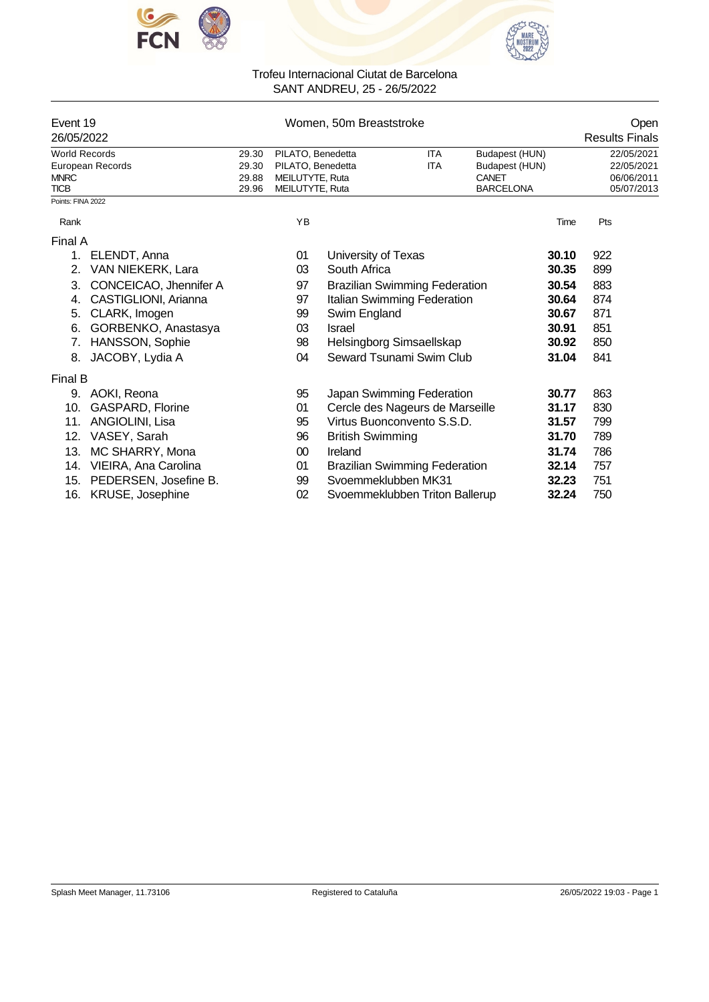



| Event 19<br>26/05/2022 |                         |       |                   | Open<br><b>Results Finals</b>        |            |                  |     |            |
|------------------------|-------------------------|-------|-------------------|--------------------------------------|------------|------------------|-----|------------|
| <b>World Records</b>   |                         | 29.30 | PILATO, Benedetta |                                      | <b>ITA</b> | Budapest (HUN)   |     | 22/05/2021 |
|                        | European Records        | 29.30 | PILATO, Benedetta |                                      | ITA        | Budapest (HUN)   |     | 22/05/2021 |
| <b>MNRC</b>            |                         | 29.88 | MEILUTYTE, Ruta   |                                      |            | CANET            |     | 06/06/2011 |
| <b>TICB</b>            |                         | 29.96 | MEILUTYTE, Ruta   |                                      |            | <b>BARCELONA</b> |     | 05/07/2013 |
| Points: FINA 2022      |                         |       |                   |                                      |            |                  |     |            |
| Rank                   |                         |       | YB                |                                      |            | Time             |     | Pts        |
| Final A                |                         |       |                   |                                      |            |                  |     |            |
| 1.                     | ELENDT, Anna            |       | 01                | University of Texas                  |            | 30.10            | 922 |            |
| 2.                     | VAN NIEKERK, Lara       |       | 03                | South Africa                         |            | 30.35            | 899 |            |
| 3.                     | CONCEICAO, Jhennifer A  |       | 97                | <b>Brazilian Swimming Federation</b> |            | 30.54            | 883 |            |
| 4.                     | CASTIGLIONI, Arianna    |       | 97                | Italian Swimming Federation          |            | 30.64            | 874 |            |
| 5.                     | CLARK, Imogen           |       | 99                | Swim England                         |            | 30.67            | 871 |            |
| 6.                     | GORBENKO, Anastasya     |       | 03                | <b>Israel</b>                        |            | 30.91            | 851 |            |
| 7.                     | HANSSON, Sophie         |       | 98                | Helsingborg Simsaellskap             |            | 30.92            | 850 |            |
| 8.                     | JACOBY, Lydia A         |       | 04                | Seward Tsunami Swim Club             |            | 31.04            | 841 |            |
| Final B                |                         |       |                   |                                      |            |                  |     |            |
| 9.                     | AOKI, Reona             |       | 95                | Japan Swimming Federation            |            | 30.77            | 863 |            |
| 10.                    | <b>GASPARD, Florine</b> |       | 01                | Cercle des Nageurs de Marseille      |            | 31.17            | 830 |            |
| 11.                    | ANGIOLINI, Lisa         |       | 95                | Virtus Buonconvento S.S.D.           |            | 31.57            | 799 |            |
| 12.                    | VASEY, Sarah            |       | 96                | <b>British Swimming</b>              |            | 31.70            | 789 |            |
| 13.                    | MC SHARRY, Mona         |       | 00                | Ireland                              |            | 31.74            | 786 |            |
| 14.                    | VIEIRA, Ana Carolina    |       | 01                | <b>Brazilian Swimming Federation</b> |            | 32.14            | 757 |            |
| 15.                    | PEDERSEN, Josefine B.   |       | 99                | Svoemmeklubben MK31                  |            | 32.23            | 751 |            |
| 16.                    | KRUSE, Josephine        |       | 02                | Svoemmeklubben Triton Ballerup       |            | 32.24            | 750 |            |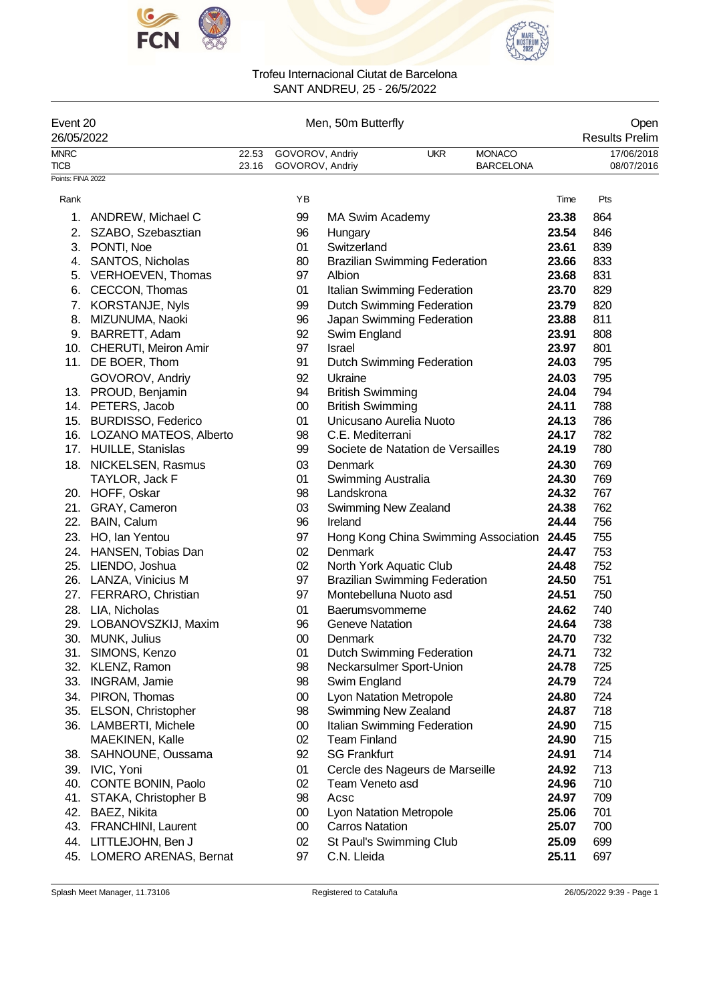



| Event 20<br>26/05/2022     |                            | Men, 50m Butterfly |                                    |                        |                                      |            |                                      |       | Open<br><b>Results Prelim</b> |
|----------------------------|----------------------------|--------------------|------------------------------------|------------------------|--------------------------------------|------------|--------------------------------------|-------|-------------------------------|
| <b>MNRC</b><br><b>TICB</b> |                            | 22.53<br>23.16     | GOVOROV, Andriy<br>GOVOROV, Andriy |                        |                                      | <b>UKR</b> | <b>MONACO</b><br><b>BARCELONA</b>    |       | 17/06/2018<br>08/07/2016      |
| Points: FINA 2022          |                            |                    |                                    |                        |                                      |            |                                      |       |                               |
| Rank                       |                            |                    | ΥB                                 |                        |                                      |            |                                      | Time  | Pts                           |
| 1.                         | ANDREW, Michael C          |                    | 99                                 |                        | <b>MA Swim Academy</b>               |            |                                      | 23.38 | 864                           |
| 2.                         | SZABO, Szebasztian         |                    | 96                                 | Hungary                |                                      |            |                                      | 23.54 | 846                           |
|                            | 3. PONTI, Noe              |                    | 01                                 | Switzerland            |                                      |            |                                      | 23.61 | 839                           |
|                            | 4. SANTOS, Nicholas        |                    | 80                                 |                        | <b>Brazilian Swimming Federation</b> |            |                                      | 23.66 | 833                           |
|                            | 5. VERHOEVEN, Thomas       |                    | 97                                 | Albion                 |                                      |            |                                      | 23.68 | 831                           |
| 6.                         | CECCON, Thomas             |                    | 01                                 |                        | Italian Swimming Federation          |            |                                      | 23.70 | 829                           |
| 7.                         | KORSTANJE, Nyls            |                    | 99                                 |                        | Dutch Swimming Federation            |            |                                      | 23.79 | 820                           |
|                            | 8. MIZUNUMA, Naoki         |                    | 96                                 |                        | Japan Swimming Federation            |            |                                      | 23.88 | 811                           |
|                            | 9. BARRETT, Adam           |                    | 92                                 | Swim England           |                                      |            |                                      | 23.91 | 808                           |
|                            | 10. CHERUTI, Meiron Amir   |                    | 97                                 | <b>Israel</b>          |                                      |            |                                      | 23.97 | 801                           |
|                            | 11. DE BOER, Thom          |                    | 91                                 |                        | <b>Dutch Swimming Federation</b>     |            |                                      | 24.03 | 795                           |
|                            | GOVOROV, Andriy            |                    | 92                                 | Ukraine                |                                      |            |                                      | 24.03 | 795                           |
|                            | 13. PROUD, Benjamin        |                    | 94                                 |                        | <b>British Swimming</b>              |            |                                      | 24.04 | 794                           |
|                            | 14. PETERS, Jacob          |                    | $00\,$                             |                        | <b>British Swimming</b>              |            |                                      | 24.11 | 788                           |
|                            | 15. BURDISSO, Federico     |                    | 01                                 |                        | Unicusano Aurelia Nuoto              |            |                                      | 24.13 | 786                           |
|                            | 16. LOZANO MATEOS, Alberto |                    | 98                                 |                        | C.E. Mediterrani                     |            |                                      | 24.17 | 782                           |
|                            | 17. HUILLE, Stanislas      |                    | 99                                 |                        | Societe de Natation de Versailles    |            |                                      | 24.19 | 780                           |
|                            | 18. NICKELSEN, Rasmus      |                    | 03                                 | Denmark                |                                      |            |                                      | 24.30 | 769                           |
|                            | TAYLOR, Jack F             |                    | 01                                 |                        | Swimming Australia                   |            |                                      | 24.30 | 769                           |
|                            | 20. HOFF, Oskar            |                    | 98                                 | Landskrona             |                                      |            |                                      | 24.32 | 767                           |
|                            | 21. GRAY, Cameron          |                    | 03                                 |                        | Swimming New Zealand                 |            |                                      | 24.38 | 762                           |
|                            | 22. BAIN, Calum            |                    | 96                                 | Ireland                |                                      |            |                                      | 24.44 | 756                           |
|                            | 23. HO, Ian Yentou         |                    | 97                                 |                        |                                      |            | Hong Kong China Swimming Association | 24.45 | 755                           |
|                            | 24. HANSEN, Tobias Dan     |                    | 02                                 | Denmark                |                                      |            |                                      | 24.47 | 753                           |
|                            | 25. LIENDO, Joshua         |                    | 02                                 |                        | North York Aquatic Club              |            |                                      | 24.48 | 752                           |
|                            | 26. LANZA, Vinicius M      |                    | 97                                 |                        | <b>Brazilian Swimming Federation</b> |            |                                      | 24.50 | 751                           |
|                            | 27. FERRARO, Christian     |                    | 97                                 |                        | Montebelluna Nuoto asd               |            |                                      | 24.51 | 750                           |
| 28.                        | LIA, Nicholas              |                    | 01                                 |                        | Baerumsvommerne                      |            |                                      | 24.62 | 740                           |
|                            | 29. LOBANOVSZKIJ, Maxim    |                    | 96                                 |                        | <b>Geneve Natation</b>               |            |                                      | 24.64 | 738                           |
| 30.                        | MUNK, Julius               |                    | 00                                 | Denmark                |                                      |            |                                      | 24.70 | 732                           |
|                            | 31. SIMONS, Kenzo          |                    | 01                                 |                        | <b>Dutch Swimming Federation</b>     |            |                                      | 24.71 | 732                           |
|                            | 32. KLENZ, Ramon           |                    | 98                                 |                        | Neckarsulmer Sport-Union             |            |                                      | 24.78 | 725                           |
| 33.                        | <b>INGRAM, Jamie</b>       |                    | 98                                 | Swim England           |                                      |            |                                      | 24.79 | 724                           |
|                            | 34. PIRON, Thomas          |                    | $00\,$                             |                        | <b>Lyon Natation Metropole</b>       |            |                                      | 24.80 | 724                           |
|                            | 35. ELSON, Christopher     |                    | 98                                 |                        | Swimming New Zealand                 |            |                                      | 24.87 | 718                           |
|                            | 36. LAMBERTI, Michele      |                    | $00\,$                             |                        | Italian Swimming Federation          |            |                                      | 24.90 | 715                           |
|                            | <b>MAEKINEN, Kalle</b>     |                    | 02                                 | <b>Team Finland</b>    |                                      |            |                                      | 24.90 | 715                           |
|                            | 38. SAHNOUNE, Oussama      |                    | 92                                 | <b>SG Frankfurt</b>    |                                      |            |                                      | 24.91 | 714                           |
|                            | 39. IVIC, Yoni             |                    | 01                                 |                        | Cercle des Nageurs de Marseille      |            |                                      | 24.92 | 713                           |
|                            | 40. CONTE BONIN, Paolo     |                    | 02                                 |                        | Team Veneto asd                      |            |                                      | 24.96 | 710                           |
|                            | 41. STAKA, Christopher B   |                    | 98                                 | Acsc                   |                                      |            |                                      | 24.97 | 709                           |
|                            | 42. BAEZ, Nikita           |                    | 00                                 |                        | Lyon Natation Metropole              |            |                                      | 25.06 | 701                           |
|                            | 43. FRANCHINI, Laurent     |                    | $00\,$                             | <b>Carros Natation</b> |                                      |            |                                      | 25.07 | 700                           |
|                            | 44. LITTLEJOHN, Ben J      |                    | 02                                 |                        | St Paul's Swimming Club              |            |                                      | 25.09 | 699                           |
|                            | 45. LOMERO ARENAS, Bernat  |                    | 97                                 | C.N. Lleida            |                                      |            |                                      | 25.11 | 697                           |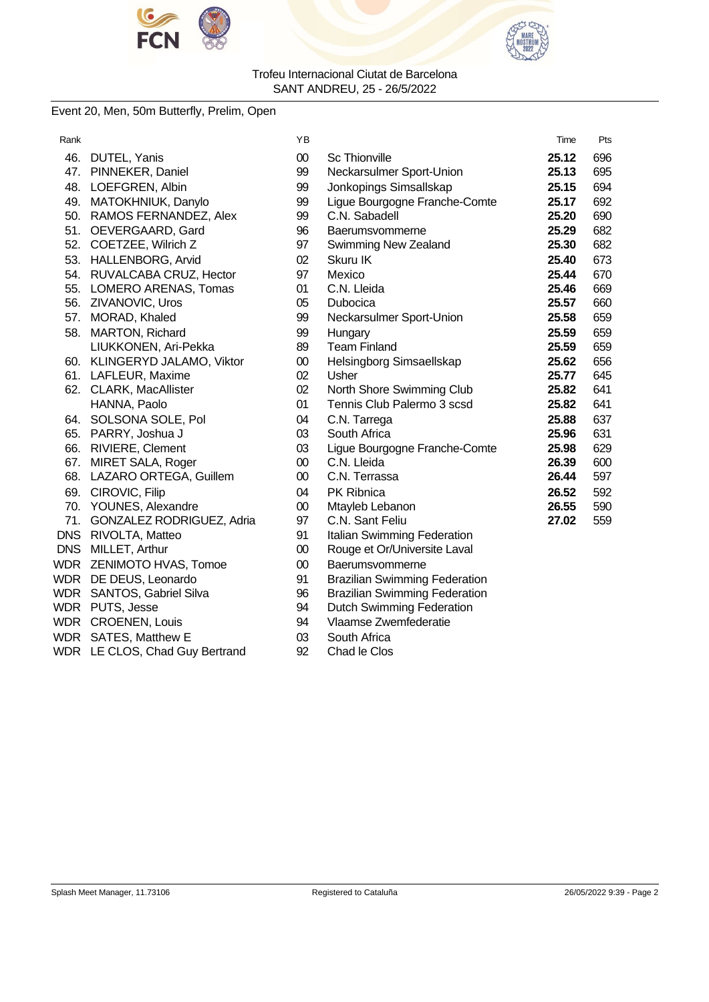



### Event 20, Men, 50m Butterfly, Prelim, Open

| Rank |                                | ΥB     |                                      | Time  | Pts |
|------|--------------------------------|--------|--------------------------------------|-------|-----|
|      | 46. DUTEL, Yanis               | $00\,$ | <b>Sc Thionville</b>                 | 25.12 | 696 |
|      | 47. PINNEKER, Daniel           | 99     | Neckarsulmer Sport-Union             | 25.13 | 695 |
|      | 48. LOEFGREN, Albin            | 99     | Jonkopings Simsallskap               | 25.15 | 694 |
|      | 49. MATOKHNIUK, Danylo         | 99     | Ligue Bourgogne Franche-Comte        | 25.17 | 692 |
|      | 50. RAMOS FERNANDEZ, Alex      | 99     | C.N. Sabadell                        | 25.20 | 690 |
|      | 51. OEVERGAARD, Gard           | 96     | Baerumsvommerne                      | 25.29 | 682 |
|      | 52. COETZEE, Wilrich Z         | 97     | Swimming New Zealand                 | 25.30 | 682 |
|      | 53. HALLENBORG, Arvid          | 02     | Skuru IK                             | 25.40 | 673 |
|      | 54. RUVALCABA CRUZ, Hector     | 97     | Mexico                               | 25.44 | 670 |
|      | 55. LOMERO ARENAS, Tomas       | 01     | C.N. Lleida                          | 25.46 | 669 |
|      | 56. ZIVANOVIC, Uros            | 05     | Dubocica                             | 25.57 | 660 |
|      | 57. MORAD, Khaled              | 99     | Neckarsulmer Sport-Union             | 25.58 | 659 |
| 58.  | <b>MARTON, Richard</b>         | 99     | Hungary                              | 25.59 | 659 |
|      | LIUKKONEN, Ari-Pekka           | 89     | <b>Team Finland</b>                  | 25.59 | 659 |
|      | 60. KLINGERYD JALAMO, Viktor   | $00\,$ | Helsingborg Simsaellskap             | 25.62 | 656 |
|      | 61. LAFLEUR, Maxime            | 02     | Usher                                | 25.77 | 645 |
|      | 62. CLARK, MacAllister         | 02     | North Shore Swimming Club            | 25.82 | 641 |
|      | HANNA, Paolo                   | 01     | Tennis Club Palermo 3 scsd           | 25.82 | 641 |
|      | 64. SOLSONA SOLE, Pol          | 04     | C.N. Tarrega                         | 25.88 | 637 |
|      | 65. PARRY, Joshua J            | 03     | South Africa                         | 25.96 | 631 |
|      | 66. RIVIERE, Clement           | 03     | Ligue Bourgogne Franche-Comte        | 25.98 | 629 |
|      | 67. MIRET SALA, Roger          | $00\,$ | C.N. Lleida                          | 26.39 | 600 |
|      | 68. LAZARO ORTEGA, Guillem     | $00\,$ | C.N. Terrassa                        | 26.44 | 597 |
|      | 69. CIROVIC, Filip             | 04     | PK Ribnica                           | 26.52 | 592 |
|      | 70. YOUNES, Alexandre          | $00\,$ | Mtayleb Lebanon                      | 26.55 | 590 |
|      | 71. GONZALEZ RODRIGUEZ, Adria  | 97     | C.N. Sant Feliu                      | 27.02 | 559 |
|      | DNS RIVOLTA, Matteo            | 91     | Italian Swimming Federation          |       |     |
|      | DNS MILLET, Arthur             | $00\,$ | Rouge et Or/Universite Laval         |       |     |
|      | WDR ZENIMOTO HVAS, Tomoe       | $00\,$ | Baerumsvommerne                      |       |     |
|      | WDR DE DEUS, Leonardo          | 91     | <b>Brazilian Swimming Federation</b> |       |     |
|      | WDR SANTOS, Gabriel Silva      | 96     | <b>Brazilian Swimming Federation</b> |       |     |
|      | WDR PUTS, Jesse                | 94     | <b>Dutch Swimming Federation</b>     |       |     |
|      | <b>WDR CROENEN, Louis</b>      | 94     | Vlaamse Zwemfederatie                |       |     |
|      | WDR SATES, Matthew E           | 03     | South Africa                         |       |     |
|      | WDR LE CLOS, Chad Guy Bertrand | 92     | Chad le Clos                         |       |     |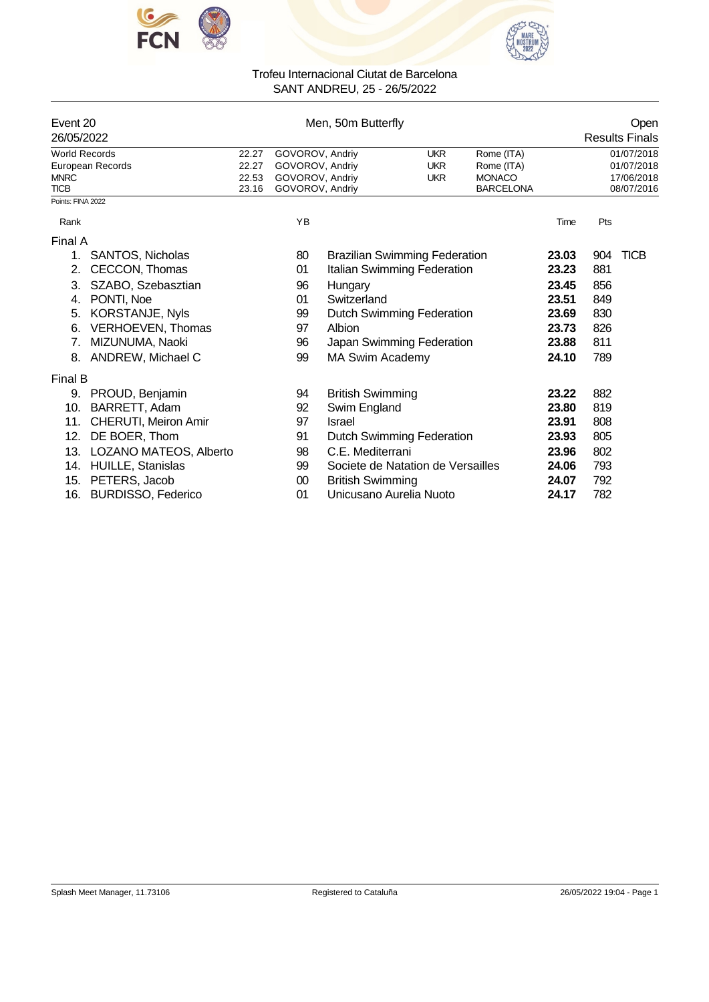



| Event 20<br>26/05/2022     |                           |                | Men, 50m Butterfly                 |                         |                                      | Open<br><b>Results Finals</b>     |       |            |                          |
|----------------------------|---------------------------|----------------|------------------------------------|-------------------------|--------------------------------------|-----------------------------------|-------|------------|--------------------------|
| <b>World Records</b>       |                           | 22.27          | GOVOROV, Andriy                    |                         | <b>UKR</b>                           | Rome (ITA)                        |       |            | 01/07/2018               |
|                            | European Records          | 22.27          | GOVOROV, Andriv                    |                         | <b>UKR</b>                           |                                   |       | 01/07/2018 |                          |
| <b>MNRC</b><br><b>TICB</b> |                           | 22.53<br>23.16 | GOVOROV, Andriv<br>GOVOROV, Andriy |                         | <b>UKR</b>                           | <b>MONACO</b><br><b>BARCELONA</b> |       |            | 17/06/2018<br>08/07/2016 |
| Points: FINA 2022          |                           |                |                                    |                         |                                      |                                   |       |            |                          |
| Rank                       |                           |                | YB                                 |                         |                                      |                                   | Time  | Pts        |                          |
| Final A                    |                           |                |                                    |                         |                                      |                                   |       |            |                          |
| 1.                         | <b>SANTOS, Nicholas</b>   |                | 80                                 |                         | <b>Brazilian Swimming Federation</b> |                                   | 23.03 | 904        | <b>TICB</b>              |
| 2.                         | CECCON, Thomas            |                | 01                                 |                         | Italian Swimming Federation          |                                   | 23.23 | 881        |                          |
| 3.                         | SZABO, Szebasztian        |                | 96                                 | Hungary                 |                                      |                                   | 23.45 | 856        |                          |
| 4.                         | PONTI, Noe                |                | 01                                 | Switzerland             |                                      |                                   | 23.51 | 849        |                          |
| 5.                         | KORSTANJE, Nyls           |                | 99                                 |                         | Dutch Swimming Federation            |                                   | 23.69 | 830        |                          |
| 6.                         | VERHOEVEN, Thomas         |                | 97                                 | Albion                  |                                      |                                   | 23.73 | 826        |                          |
| 7.                         | MIZUNUMA, Naoki           |                | 96                                 |                         | Japan Swimming Federation            |                                   | 23.88 | 811        |                          |
| 8.                         | ANDREW, Michael C         |                | 99                                 | MA Swim Academy         |                                      |                                   | 24.10 | 789        |                          |
| <b>Final B</b>             |                           |                |                                    |                         |                                      |                                   |       |            |                          |
| 9.                         | PROUD, Benjamin           |                | 94                                 | <b>British Swimming</b> |                                      |                                   | 23.22 | 882        |                          |
| 10.                        | BARRETT, Adam             |                | 92                                 | Swim England            |                                      |                                   | 23.80 | 819        |                          |
| 11.                        | CHERUTI, Meiron Amir      |                | 97                                 | Israel                  |                                      |                                   | 23.91 | 808        |                          |
| 12.                        | DE BOER, Thom             |                | 91                                 |                         | Dutch Swimming Federation            |                                   | 23.93 | 805        |                          |
| 13.                        | LOZANO MATEOS, Alberto    |                | 98                                 | C.E. Mediterrani        |                                      |                                   | 23.96 | 802        |                          |
| 14.                        | HUILLE, Stanislas         |                | 99                                 |                         | Societe de Natation de Versailles    |                                   | 24.06 | 793        |                          |
| 15.                        | PETERS, Jacob             |                | 00                                 | <b>British Swimming</b> |                                      |                                   | 24.07 | 792        |                          |
| 16.                        | <b>BURDISSO, Federico</b> |                | 01                                 |                         | Unicusano Aurelia Nuoto              |                                   | 24.17 | 782        |                          |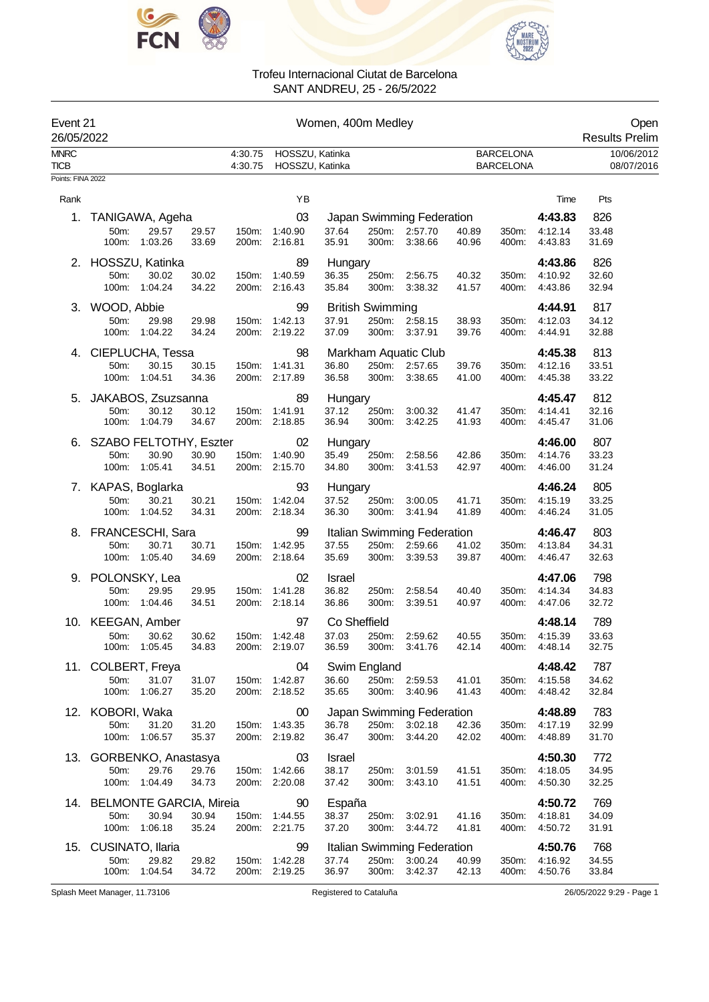



| Event 21<br>26/05/2022 |                             |                        |                |                    |                                    | Women, 400m Medley |                         |                                |                |                                      |                    | Open<br><b>Results Prelim</b> |
|------------------------|-----------------------------|------------------------|----------------|--------------------|------------------------------------|--------------------|-------------------------|--------------------------------|----------------|--------------------------------------|--------------------|-------------------------------|
| <b>MNRC</b><br>TICB    |                             |                        |                | 4:30.75<br>4:30.75 | HOSSZU, Katinka<br>HOSSZU, Katinka |                    |                         |                                |                | <b>BARCELONA</b><br><b>BARCELONA</b> |                    | 10/06/2012<br>08/07/2016      |
| Points: FINA 2022      |                             |                        |                |                    |                                    |                    |                         |                                |                |                                      |                    |                               |
| Rank                   |                             |                        |                |                    | YB                                 |                    |                         |                                |                |                                      | Time               | Pts                           |
| 1.                     | TANIGAWA, Ageha             |                        |                |                    | 03                                 |                    |                         | Japan Swimming Federation      |                |                                      | 4:43.83            | 826                           |
|                        | 50m:<br>100m:               | 29.57<br>1:03.26       | 29.57<br>33.69 | 150m:              | 1:40.90<br>200m: 2:16.81           | 37.64<br>35.91     | 250m:<br>300m:          | 2:57.70<br>3:38.66             | 40.89<br>40.96 | 350m:<br>400m:                       | 4:12.14<br>4:43.83 | 33.48<br>31.69                |
| 2.                     | HOSSZU, Katinka             |                        |                |                    | 89                                 | Hungary            |                         |                                |                |                                      | 4:43.86            | 826                           |
|                        | 50m:<br>100m:               | 30.02<br>1:04.24       | 30.02<br>34.22 | 150m:              | 1:40.59<br>200m: 2:16.43           | 36.35<br>35.84     | 250m:<br>300m:          | 2:56.75<br>3:38.32             | 40.32<br>41.57 | 350m:<br>400m:                       | 4:10.92<br>4:43.86 | 32.60<br>32.94                |
|                        | 3. WOOD, Abbie              |                        |                |                    | 99                                 |                    | <b>British Swimming</b> |                                |                |                                      | 4:44.91            | 817                           |
|                        | 50m:                        | 29.98                  | 29.98          |                    | 150m: 1:42.13                      | 37.91              |                         | 250m: 2:58.15                  | 38.93          | 350m:                                | 4:12.03            | 34.12                         |
|                        | 100m:                       | 1:04.22                | 34.24          |                    | 200m: 2:19.22                      | 37.09              |                         | 300m: 3:37.91                  | 39.76          | 400m:                                | 4:44.91            | 32.88                         |
|                        | 4. CIEPLUCHA, Tessa         |                        |                |                    | 98                                 |                    |                         | Markham Aquatic Club           |                |                                      | 4:45.38            | 813                           |
|                        | 50m:<br>100m:               | 30.15<br>1:04.51       | 30.15<br>34.36 | 150m:              | 1:41.31<br>200m: 2:17.89           | 36.80<br>36.58     |                         | 250m: 2:57.65<br>300m: 3:38.65 | 39.76          | 350m:                                | 4:12.16<br>4:45.38 | 33.51<br>33.22                |
|                        |                             |                        |                |                    |                                    |                    |                         |                                | 41.00          | 400m:                                |                    |                               |
| 5.                     | JAKABOS, Zsuzsanna          |                        |                |                    | 89                                 | Hungary            |                         |                                |                |                                      | 4:45.47            | 812                           |
|                        | 50m:<br>100m:               | 30.12<br>1:04.79       | 30.12<br>34.67 | 150m:              | 1:41.91<br>200m: 2:18.85           | 37.12<br>36.94     | 250m:<br>300m:          | 3:00.32<br>3:42.25             | 41.47<br>41.93 | 350m:<br>400m:                       | 4:14.41<br>4:45.47 | 32.16<br>31.06                |
| 6.                     | SZABO FELTOTHY, Eszter      |                        |                |                    | 02                                 | Hungary            |                         |                                |                |                                      | 4:46.00            | 807                           |
|                        | 50m:                        | 30.90                  | 30.90          |                    | 150m: 1:40.90                      | 35.49              | 250m:                   | 2:58.56                        | 42.86          | 350m:                                | 4:14.76            | 33.23                         |
|                        | 100m:                       | 1:05.41                | 34.51          |                    | 200m: 2:15.70                      | 34.80              | 300m:                   | 3:41.53                        | 42.97          | 400m:                                | 4:46.00            | 31.24                         |
| 7.                     | KAPAS, Boglarka             |                        |                |                    | 93                                 | Hungary            |                         |                                |                |                                      | 4:46.24            | 805                           |
|                        | 50m:<br>100m:               | 30.21<br>1:04.52       | 30.21<br>34.31 | 150m:              | 1:42.04<br>200m: 2:18.34           | 37.52<br>36.30     | 250m:<br>300m:          | 3:00.05<br>3.41.94             | 41.71<br>41.89 | 350m:<br>400m:                       | 4:15.19<br>4:46.24 | 33.25<br>31.05                |
|                        |                             |                        |                |                    |                                    |                    |                         |                                |                |                                      |                    |                               |
| 8.                     | FRANCESCHI, Sara            |                        |                |                    | 99                                 |                    |                         | Italian Swimming Federation    |                |                                      | 4:46.47            | 803                           |
|                        | 50m:<br>100m:               | 30.71<br>1:05.40       | 30.71<br>34.69 | 150m:              | 1:42.95<br>200m: 2:18.64           | 37.55<br>35.69     | 250m:<br>300m:          | 2:59.66<br>3:39.53             | 41.02<br>39.87 | 350m:<br>400m:                       | 4:13.84<br>4:46.47 | 34.31<br>32.63                |
| 9.                     | POLONSKY, Lea               |                        |                |                    | 02                                 | Israel             |                         |                                |                |                                      | 4:47.06            | 798                           |
|                        | 50m:                        | 29.95                  | 29.95          |                    | 150m: 1:41.28                      | 36.82              | 250m:                   | 2:58.54                        | 40.40          | 350m:                                | 4:14.34            | 34.83                         |
|                        | 100m:                       | 1:04.46                | 34.51          |                    | 200m: 2:18.14                      | 36.86              | 300m:                   | 3:39.51                        | 40.97          | 400m:                                | 4:47.06            | 32.72                         |
| 10.                    | <b>KEEGAN, Amber</b>        |                        |                |                    | 97                                 | Co Sheffield       |                         |                                |                |                                      | 4:48.14            | 789                           |
|                        | 50m:                        | 30.62<br>100m: 1:05.45 | 30.62<br>34.83 |                    | 150m: 1:42.48<br>200m: 2:19.07     | 37.03<br>36.59     | 250m:                   | 2:59.62<br>300m: 3:41.76       | 40.55<br>42.14 | 350m:<br>400m:                       | 4:15.39<br>4:48.14 | 33.63<br>32.75                |
|                        | 11. COLBERT, Freya          |                        |                |                    | 04                                 |                    | Swim England            |                                |                |                                      | 4:48.42            | 787                           |
|                        | 50m:                        | 31.07                  | 31.07          |                    | 150m: 1:42.87                      | 36.60              |                         | 250m: 2:59.53                  | 41.01          | 350m:                                | 4:15.58            | 34.62                         |
|                        | 100m:                       | 1:06.27                | 35.20          |                    | 200m: 2:18.52                      | 35.65              | $300m$ :                | 3:40.96                        | 41.43          | 400m:                                | 4:48.42            | 32.84                         |
| 12.                    | KOBORI, Waka                |                        |                |                    | 00                                 |                    |                         | Japan Swimming Federation      |                |                                      | 4:48.89            | 783                           |
|                        | 50m:                        | 31.20                  | 31.20          |                    | 150m: 1:43.35                      | 36.78              |                         | 250m: 3:02.18                  | 42.36          | 350m:                                | 4:17.19            | 32.99                         |
|                        | 100m:                       | 1:06.57                | 35.37          |                    | 200m: 2:19.82                      | 36.47              | 300m:                   | 3:44.20                        | 42.02          | 400m:                                | 4:48.89            | 31.70                         |
|                        | 13. GORBENKO, Anastasya     |                        |                |                    | 03                                 | Israel             |                         |                                |                |                                      | 4:50.30            | 772                           |
|                        | 50m:<br>100m:               | 29.76<br>1:04.49       | 29.76<br>34.73 |                    | 150m: 1:42.66<br>200m: 2:20.08     | 38.17<br>37.42     | 250m:<br>300m:          | 3:01.59<br>3:43.10             | 41.51<br>41.51 | 350m:<br>400m:                       | 4:18.05<br>4:50.30 | 34.95<br>32.25                |
|                        | 14. BELMONTE GARCIA, Mireia |                        |                |                    | 90                                 | España             |                         |                                |                |                                      | 4:50.72            | 769                           |
|                        | 50m:                        | 30.94                  | 30.94          |                    | 150m: 1:44.55                      | 38.37              | 250m:                   | 3:02.91                        | 41.16          | 350m:                                | 4:18.81            | 34.09                         |
|                        |                             | 100m: 1:06.18          | 35.24          |                    | 200m: 2:21.75                      | 37.20              | 300m:                   | 3:44.72                        | 41.81          | 400m:                                | 4:50.72            | 31.91                         |
| 15.                    | CUSINATO, Ilaria            |                        |                |                    | 99                                 |                    |                         | Italian Swimming Federation    |                |                                      | 4:50.76            | 768                           |
|                        | 50m:                        | 29.82                  | 29.82          | 150m:              | 1:42.28                            | 37.74              | 250m:                   | 3:00.24                        | 40.99          | 350m:                                | 4:16.92            | 34.55                         |
|                        | 100m:                       | 1:04.54                | 34.72          |                    | 200m: 2:19.25                      | 36.97              | 300m:                   | 3:42.37                        | 42.13          | 400m:                                | 4:50.76            | 33.84                         |

Splash Meet Manager, 11.73106 Registered to Cataluña 26/05/2022 9:29 - Page 1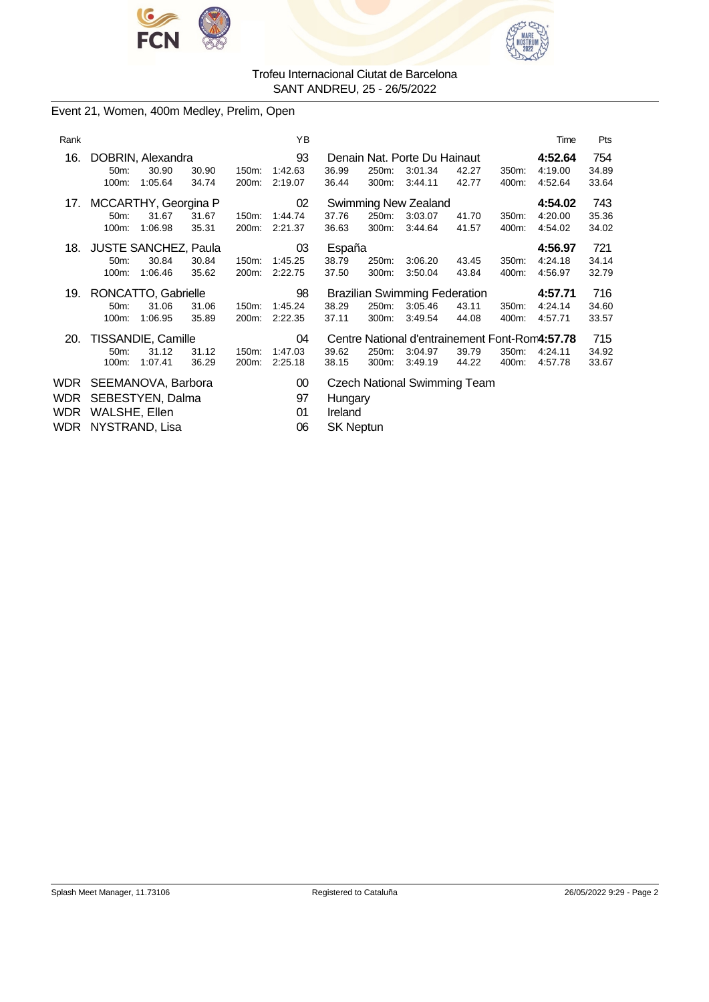



Event 21, Women, 400m Medley, Prelim, Open

| Rank |                                              |                     |                |                | ΥB                       |                             |                |                                                                      |                |                | Time                          | Pts                   |
|------|----------------------------------------------|---------------------|----------------|----------------|--------------------------|-----------------------------|----------------|----------------------------------------------------------------------|----------------|----------------|-------------------------------|-----------------------|
| 16.  | DOBRIN, Alexandra<br>50m:<br>100m:           | 30.90<br>1:05.64    | 30.90<br>34.74 | 150m:<br>200m: | 93<br>1:42.63<br>2:19.07 | 36.99<br>36.44              | 250m:<br>300m: | Denain Nat. Porte Du Hainaut<br>3:01.34<br>3.44.11                   | 42.27<br>42.77 | 350m:<br>400m: | 4:52.64<br>4:19.00<br>4:52.64 | 754<br>34.89<br>33.64 |
| 17.  | MCCARTHY, Georgina P<br>50m:<br>100m:        | 31.67<br>1:06.98    | 31.67<br>35.31 | 150m:<br>200m: | 02<br>1:44.74<br>2:21.37 | 37.76<br>36.63              | 250m:<br>300m: | Swimming New Zealand<br>3:03.07<br>3:44.64                           | 41.70<br>41.57 | 350m:<br>400m: | 4:54.02<br>4:20.00<br>4:54.02 | 743<br>35.36<br>34.02 |
| 18.  | <b>JUSTE SANCHEZ, Paula</b><br>50m:<br>100m: | 30.84<br>1:06.46    | 30.84<br>35.62 | 150m:<br>200m: | 03<br>1:45.25<br>2:22.75 | España<br>38.79<br>37.50    | 250m:<br>300m: | 3:06.20<br>3:50.04                                                   | 43.45<br>43.84 | 350m:<br>400m: | 4:56.97<br>4:24.18<br>4:56.97 | 721<br>34.14<br>32.79 |
|      |                                              | RONCATTO, Gabrielle |                |                | 98                       |                             |                | <b>Brazilian Swimming Federation</b>                                 |                |                | 4:57.71                       | 716                   |
| 19.  | 50m:<br>100m:                                | 31.06<br>1:06.95    | 31.06<br>35.89 | 150m:<br>200m: | 1:45.24<br>2:22.35       | 38.29<br>37.11              | 250m:<br>300m: | 3:05.46<br>3:49.54                                                   | 43.11<br>44.08 | 350m:<br>400m: | 4:24.14<br>4:57.71            | 34.60<br>33.57        |
| 20.  | TISSANDIE, Camille<br>$50m$ :<br>100m:       | 31.12<br>1:07.41    | 31.12<br>36.29 | 150m:<br>200m: | 04<br>1:47.03<br>2:25.18 | 39.62<br>38.15              | 250m:<br>300m: | Centre National d'entrainement Font-Rom4:57.78<br>3:04.97<br>3:49.19 | 39.79<br>44.22 | 350m:<br>400m: | 4:24.11<br>4:57.78            | 715<br>34.92<br>33.67 |
| WDR  | SEEMANOVA, Barbora                           |                     |                |                | $00\,$                   |                             |                | <b>Czech National Swimming Team</b>                                  |                |                |                               |                       |
| WDR  | SEBESTYEN, Dalma                             |                     |                |                | 97                       | Hungary                     |                |                                                                      |                |                |                               |                       |
| WDR  | WALSHE, Ellen<br>WDR NYSTRAND, Lisa          |                     |                |                | 01<br>06                 | Ireland<br><b>SK Neptun</b> |                |                                                                      |                |                |                               |                       |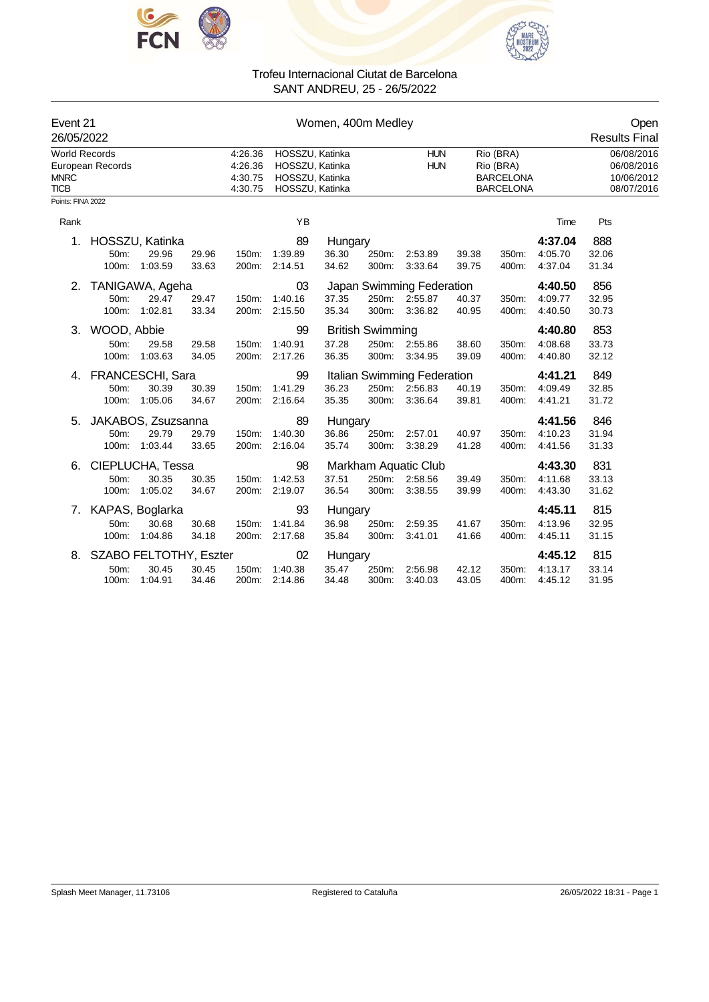



| Event 21<br>26/05/2022                             |                                            |                                        |                |                                          |                                | Women, 400m Medley                                                                                                                                                     |                                  |                                                             |                |                |                                                      | Open<br><b>Results Final</b> |
|----------------------------------------------------|--------------------------------------------|----------------------------------------|----------------|------------------------------------------|--------------------------------|------------------------------------------------------------------------------------------------------------------------------------------------------------------------|----------------------------------|-------------------------------------------------------------|----------------|----------------|------------------------------------------------------|------------------------------|
| <b>World Records</b><br><b>MNRC</b><br><b>TICB</b> | European Records                           |                                        |                | 4:26.36<br>4:26.36<br>4:30.75<br>4:30.75 |                                | HOSSZU, Katinka<br><b>HUN</b><br>Rio (BRA)<br>HOSSZU, Katinka<br><b>HUN</b><br>Rio (BRA)<br>HOSSZU, Katinka<br><b>BARCELONA</b><br>HOSSZU, Katinka<br><b>BARCELONA</b> |                                  |                                                             |                |                | 06/08/2016<br>06/08/2016<br>10/06/2012<br>08/07/2016 |                              |
| Points: FINA 2022                                  |                                            |                                        |                |                                          |                                |                                                                                                                                                                        |                                  |                                                             |                |                |                                                      |                              |
| Rank                                               |                                            |                                        |                |                                          | YB                             |                                                                                                                                                                        |                                  |                                                             |                |                | Time                                                 | Pts                          |
| 1.                                                 | 50m:<br>100m:                              | HOSSZU, Katinka<br>29.96<br>1:03.59    | 29.96<br>33.63 | 150m:<br>200m:                           | 89<br>1:39.89<br>2:14.51       | Hungary<br>36.30<br>34.62                                                                                                                                              | 250m:<br>300m:                   | 2:53.89<br>3:33.64                                          | 39.38<br>39.75 | 350m:<br>400m: | 4:37.04<br>4:05.70<br>4:37.04                        | 888<br>32.06<br>31.34        |
| 2.                                                 | TANIGAWA, Ageha<br>50m:                    | 29.47<br>100m: 1:02.81                 | 29.47<br>33.34 | 150m:                                    | 03<br>1:40.16<br>200m: 2:15.50 | 37.35<br>35.34                                                                                                                                                         |                                  | Japan Swimming Federation<br>250m: 2:55.87<br>300m: 3:36.82 | 40.37<br>40.95 | 350m:<br>400m: | 4:40.50<br>4:09.77<br>4:40.50                        | 856<br>32.95<br>30.73        |
|                                                    | 3. WOOD, Abbie<br>50m:<br>100m:            | 29.58<br>1:03.63                       | 29.58<br>34.05 | 150m:<br>200m:                           | 99<br>1:40.91<br>2:17.26       | 37.28<br>36.35                                                                                                                                                         | <b>British Swimming</b><br>300m: | 250m: 2:55.86<br>3:34.95                                    | 38.60<br>39.09 | 350m:<br>400m: | 4:40.80<br>4:08.68<br>4:40.80                        | 853<br>33.73<br>32.12        |
|                                                    | 4. FRANCESCHI, Sara<br>50m:                | 30.39<br>100m: 1:05.06                 | 30.39<br>34.67 | 150m:                                    | 99<br>1:41.29<br>200m: 2:16.64 | 36.23<br>35.35                                                                                                                                                         | 300m:                            | Italian Swimming Federation<br>250m: 2:56.83<br>3:36.64     | 40.19<br>39.81 | 350m:<br>400m: | 4:41.21<br>4:09.49<br>4:41.21                        | 849<br>32.85<br>31.72        |
| 5.                                                 | 50m:<br>100m:                              | JAKABOS, Zsuzsanna<br>29.79<br>1:03.44 | 29.79<br>33.65 | 150m:<br>200m:                           | 89<br>1:40.30<br>2:16.04       | Hungary<br>36.86<br>35.74                                                                                                                                              | 250m:<br>300m:                   | 2:57.01<br>3:38.29                                          | 40.97<br>41.28 | 350m:<br>400m: | 4:41.56<br>4:10.23<br>4:41.56                        | 846<br>31.94<br>31.33        |
| 6.                                                 | 50m:<br>100m:                              | CIEPLUCHA, Tessa<br>30.35<br>1:05.02   | 30.35<br>34.67 | 150m:                                    | 98<br>1:42.53<br>200m: 2:19.07 | 37.51<br>36.54                                                                                                                                                         | 300m:                            | Markham Aquatic Club<br>250m: 2:58.56<br>3:38.55            | 39.49<br>39.99 | 350m:<br>400m: | 4:43.30<br>4:11.68<br>4:43.30                        | 831<br>33.13<br>31.62        |
|                                                    | 7. KAPAS, Boglarka<br>50m:<br>100m:        | 30.68<br>1:04.86                       | 30.68<br>34.18 | 150m.<br>200m:                           | 93<br>1:41.84<br>2:17.68       | Hungary<br>36.98<br>35.84                                                                                                                                              | 250m:<br>300m:                   | 2:59.35<br>3:41.01                                          | 41.67<br>41.66 | 350m:<br>400m: | 4:45.11<br>4:13.96<br>4:45.11                        | 815<br>32.95<br>31.15        |
|                                                    | 8. SZABO FELTOTHY, Eszter<br>50m:<br>100m: | 30.45<br>1:04.91                       | 30.45<br>34.46 | 150m:                                    | 02<br>1:40.38<br>200m: 2:14.86 | Hungary<br>35.47<br>34.48                                                                                                                                              | 250m:<br>300m:                   | 2:56.98<br>3:40.03                                          | 42.12<br>43.05 | 350m:<br>400m: | 4:45.12<br>4:13.17<br>4:45.12                        | 815<br>33.14<br>31.95        |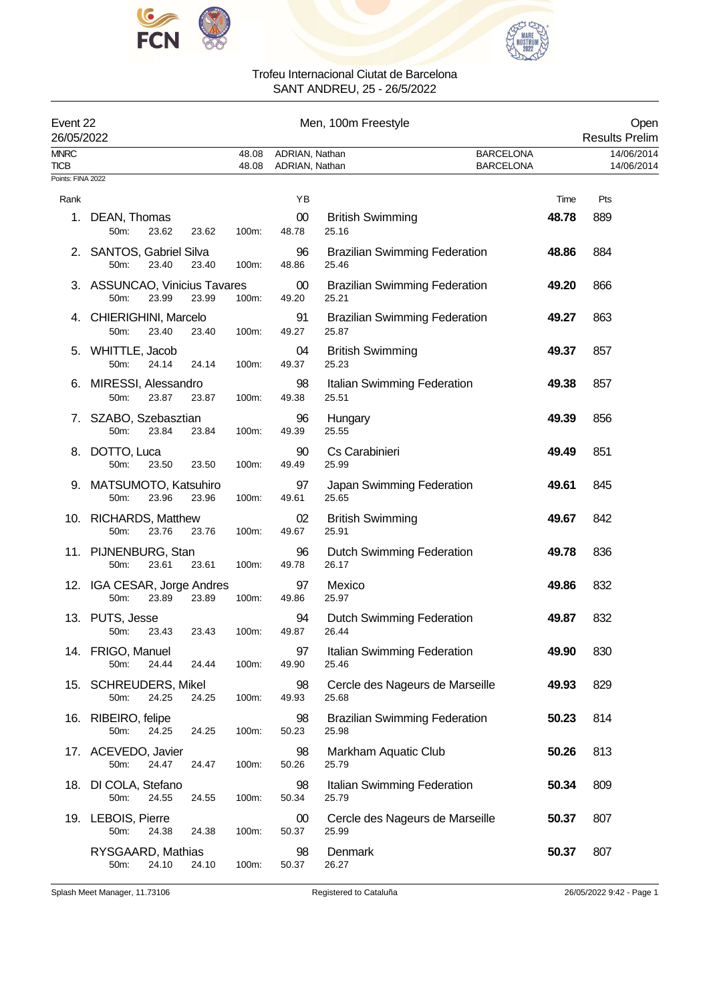



| Event 22<br>26/05/2022 |                                                |                | Men, 100m Freestyle<br><b>Results Prelim</b> |                                               |                                      |     |  |
|------------------------|------------------------------------------------|----------------|----------------------------------------------|-----------------------------------------------|--------------------------------------|-----|--|
| <b>MNRC</b><br>TICB    |                                                | 48.08<br>48.08 | ADRIAN, Nathan<br>ADRIAN, Nathan             |                                               | <b>BARCELONA</b><br><b>BARCELONA</b> |     |  |
| Points: FINA 2022      |                                                |                |                                              |                                               |                                      |     |  |
| Rank                   |                                                |                | YB                                           |                                               | Time                                 | Pts |  |
| 1.                     | DEAN, Thomas<br>50m:<br>23.62                  | 23.62<br>100m: | 00<br>48.78                                  | <b>British Swimming</b><br>25.16              | 48.78                                | 889 |  |
|                        | 2. SANTOS, Gabriel Silva<br>23.40<br>50m:      | 23.40<br>100m: | 96<br>48.86                                  | <b>Brazilian Swimming Federation</b><br>25.46 | 48.86                                | 884 |  |
|                        | 3. ASSUNCAO, Vinicius Tavares<br>50m:<br>23.99 | 23.99<br>100m: | 00<br>49.20                                  | <b>Brazilian Swimming Federation</b><br>25.21 | 49.20                                | 866 |  |
| 4.                     | CHIERIGHINI, Marcelo<br>50m:<br>23.40          | 23.40<br>100m: | 91<br>49.27                                  | <b>Brazilian Swimming Federation</b><br>25.87 | 49.27                                | 863 |  |
|                        | 5. WHITTLE, Jacob<br>50m:<br>24.14             | 24.14<br>100m: | 04<br>49.37                                  | <b>British Swimming</b><br>25.23              | 49.37                                | 857 |  |
| 6.                     | MIRESSI, Alessandro<br>50m:<br>23.87           | 23.87<br>100m: | 98<br>49.38                                  | Italian Swimming Federation<br>25.51          | 49.38                                | 857 |  |
| 7.                     | SZABO, Szebasztian<br>50m:<br>23.84            | 23.84<br>100m: | 96<br>49.39                                  | Hungary<br>25.55                              | 49.39                                | 856 |  |
| 8.                     | DOTTO, Luca<br>50m:<br>23.50                   | 23.50<br>100m: | 90<br>49.49                                  | Cs Carabinieri<br>25.99                       | 49.49                                | 851 |  |
| 9.                     | MATSUMOTO, Katsuhiro<br>23.96<br>50m:          | 23.96<br>100m: | 97<br>49.61                                  | Japan Swimming Federation<br>25.65            | 49.61                                | 845 |  |
|                        | 10. RICHARDS, Matthew<br>50m:<br>23.76         | 23.76<br>100m: | 02<br>49.67                                  | <b>British Swimming</b><br>25.91              | 49.67                                | 842 |  |
|                        | 11. PIJNENBURG, Stan<br>23.61<br>50m:          | 23.61<br>100m: | 96<br>49.78                                  | <b>Dutch Swimming Federation</b><br>26.17     | 49.78                                | 836 |  |
|                        | 12. IGA CESAR, Jorge Andres<br>50m:<br>23.89   | 23.89<br>100m: | 97<br>49.86                                  | Mexico<br>25.97                               | 49.86                                | 832 |  |
|                        | 13. PUTS, Jesse<br>50m:<br>23.43               | 23.43<br>100m: | 94<br>49.87                                  | Dutch Swimming Federation<br>26.44            | 49.87                                | 832 |  |
|                        | 14. FRIGO, Manuel<br>50m:<br>24.44             | 100m:<br>24.44 | 97<br>49.90                                  | Italian Swimming Federation<br>25.46          | 49.90                                | 830 |  |
|                        | 15. SCHREUDERS, Mikel<br>24.25<br>50m:         | 24.25<br>100m: | 98<br>49.93                                  | Cercle des Nageurs de Marseille<br>25.68      | 49.93                                | 829 |  |
| 16.                    | RIBEIRO, felipe<br>50m:<br>24.25               | 24.25<br>100m: | 98<br>50.23                                  | <b>Brazilian Swimming Federation</b><br>25.98 | 50.23                                | 814 |  |
|                        | 17. ACEVEDO, Javier<br>50m:<br>24.47           | 24.47<br>100m: | 98<br>50.26                                  | Markham Aquatic Club<br>25.79                 | 50.26                                | 813 |  |
| 18.                    | DI COLA, Stefano<br>50m:<br>24.55              | 24.55<br>100m: | 98<br>50.34                                  | Italian Swimming Federation<br>25.79          | 50.34                                | 809 |  |
| 19.                    | LEBOIS, Pierre<br>24.38<br>50m:                | 24.38<br>100m: | $00\,$<br>50.37                              | Cercle des Nageurs de Marseille<br>25.99      | 50.37                                | 807 |  |
|                        | RYSGAARD, Mathias<br>50m:<br>24.10             | 24.10<br>100m: | 98<br>50.37                                  | Denmark<br>26.27                              | 50.37                                | 807 |  |

Splash Meet Manager, 11.73106 **Registered to Cataluña** 26/05/2022 9:42 - Page 1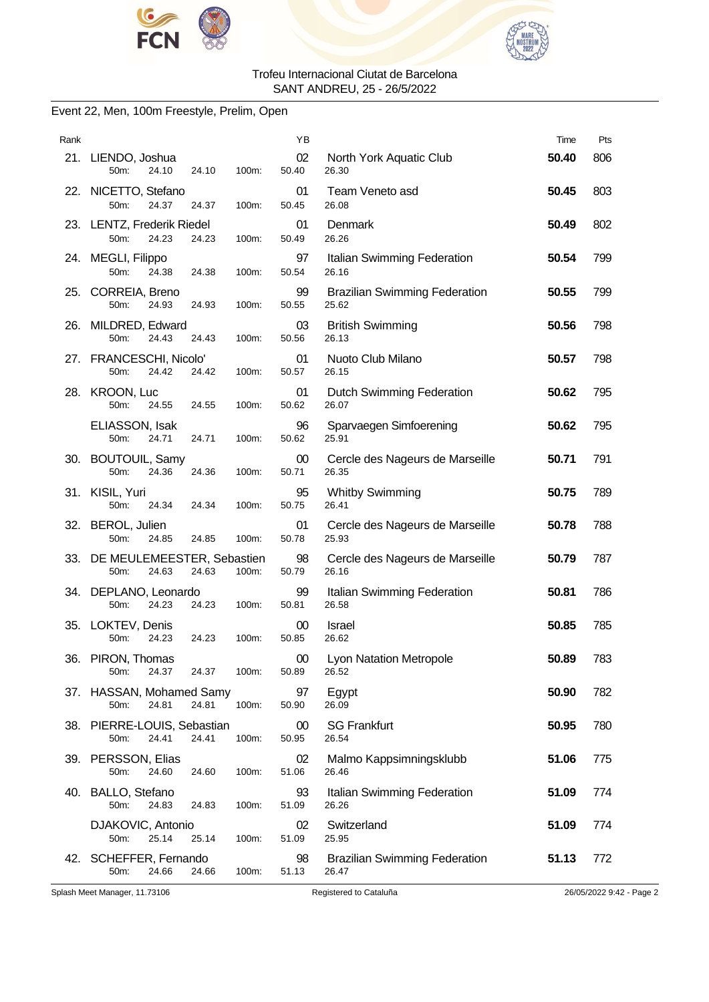



### Event 22, Men, 100m Freestyle, Prelim, Open

| Rank |                                                 |       |       | YB              |                                               | Time  | Pts |
|------|-------------------------------------------------|-------|-------|-----------------|-----------------------------------------------|-------|-----|
|      | 21. LIENDO, Joshua<br>24.10<br>50m:             | 24.10 | 100m: | 02<br>50.40     | North York Aquatic Club<br>26.30              | 50.40 | 806 |
|      | 22. NICETTO, Stefano<br>50m:<br>24.37           | 24.37 | 100m: | 01<br>50.45     | Team Veneto asd<br>26.08                      | 50.45 | 803 |
|      | 23. LENTZ, Frederik Riedel<br>24.23<br>50m:     | 24.23 | 100m: | 01<br>50.49     | Denmark<br>26.26                              | 50.49 | 802 |
|      | 24. MEGLI, Filippo<br>50m:<br>24.38             | 24.38 | 100m: | 97<br>50.54     | Italian Swimming Federation<br>26.16          | 50.54 | 799 |
|      | 25. CORREIA, Breno<br>50m:<br>24.93             | 24.93 | 100m: | 99<br>50.55     | <b>Brazilian Swimming Federation</b><br>25.62 | 50.55 | 799 |
|      | 26. MILDRED, Edward<br>50m:<br>24.43            | 24.43 | 100m: | 03<br>50.56     | <b>British Swimming</b><br>26.13              | 50.56 | 798 |
|      | 27. FRANCESCHI, Nicolo'<br>50m:<br>24.42        | 24.42 | 100m: | 01<br>50.57     | Nuoto Club Milano<br>26.15                    | 50.57 | 798 |
|      | 28. KROON, Luc<br>50m:<br>24.55                 | 24.55 | 100m: | 01<br>50.62     | <b>Dutch Swimming Federation</b><br>26.07     | 50.62 | 795 |
|      | ELIASSON, Isak<br>50m:<br>24.71                 | 24.71 | 100m: | 96<br>50.62     | Sparvaegen Simfoerening<br>25.91              | 50.62 | 795 |
|      | 30. BOUTOUIL, Samy<br>50m:<br>24.36             | 24.36 | 100m: | 00<br>50.71     | Cercle des Nageurs de Marseille<br>26.35      | 50.71 | 791 |
|      | 31. KISIL, Yuri<br>50m:<br>24.34                | 24.34 | 100m: | 95<br>50.75     | <b>Whitby Swimming</b><br>26.41               | 50.75 | 789 |
|      | 32. BEROL, Julien<br>50m:<br>24.85              | 24.85 | 100m: | 01<br>50.78     | Cercle des Nageurs de Marseille<br>25.93      | 50.78 | 788 |
|      | 33. DE MEULEMEESTER, Sebastien<br>50m:<br>24.63 | 24.63 | 100m: | 98<br>50.79     | Cercle des Nageurs de Marseille<br>26.16      | 50.79 | 787 |
|      | 34. DEPLANO, Leonardo<br>$50m$ :<br>24.23       | 24.23 | 100m: | 99<br>50.81     | Italian Swimming Federation<br>26.58          | 50.81 | 786 |
|      | 35. LOKTEV, Denis<br>50m:<br>24.23              | 24.23 | 100m: | 00<br>50.85     | <b>Israel</b><br>26.62                        | 50.85 | 785 |
| 36.  | PIRON, Thomas<br>24.37<br>50m:                  | 24.37 | 100m: | $00\,$<br>50.89 | <b>Lyon Natation Metropole</b><br>26.52       | 50.89 | 783 |
|      | 37. HASSAN, Mohamed Samy<br>50m:<br>24.81       | 24.81 | 100m: | 97<br>50.90     | Egypt<br>26.09                                | 50.90 | 782 |
|      | 38. PIERRE-LOUIS, Sebastian<br>50m:<br>24.41    | 24.41 | 100m: | 00<br>50.95     | <b>SG Frankfurt</b><br>26.54                  | 50.95 | 780 |
|      | 39. PERSSON, Elias<br>50m:<br>24.60             | 24.60 | 100m: | 02<br>51.06     | Malmo Kappsimningsklubb<br>26.46              | 51.06 | 775 |
|      | 40. BALLO, Stefano<br>50m:<br>24.83             | 24.83 | 100m: | 93<br>51.09     | Italian Swimming Federation<br>26.26          | 51.09 | 774 |
|      | DJAKOVIC, Antonio<br>25.14<br>50m:              | 25.14 | 100m: | 02<br>51.09     | Switzerland<br>25.95                          | 51.09 | 774 |
|      | 42. SCHEFFER, Fernando<br>24.66<br>50m:         | 24.66 | 100m: | 98<br>51.13     | <b>Brazilian Swimming Federation</b><br>26.47 | 51.13 | 772 |

Splash Meet Manager, 11.73106 Registered to Cataluña 26/05/2022 9:42 - Page 2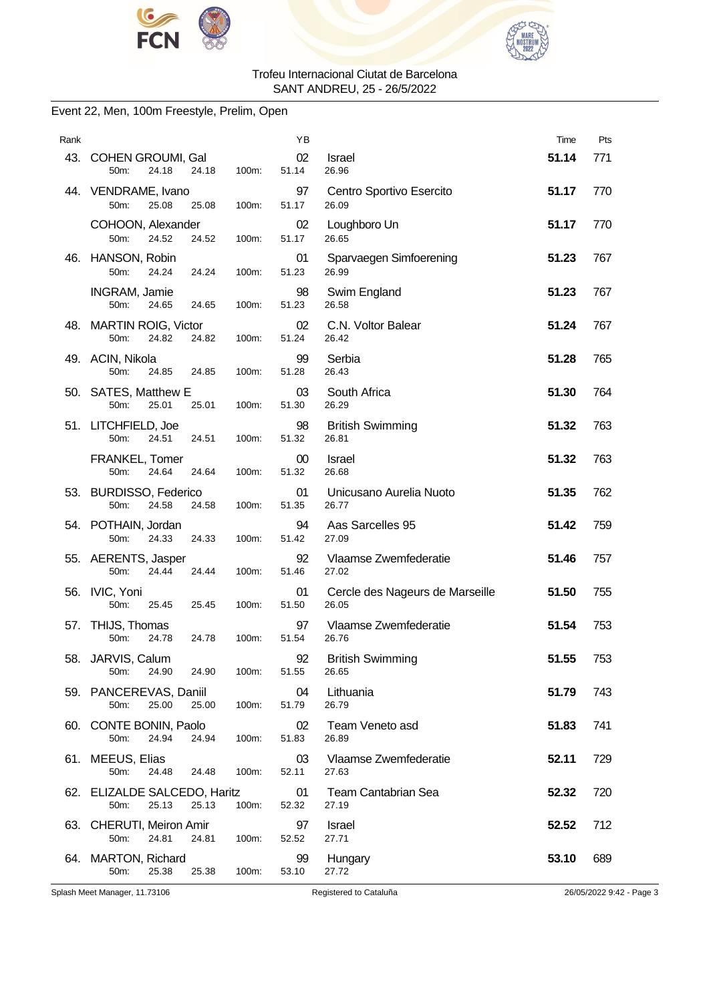



### Event 22, Men, 100m Freestyle, Prelim, Open

| Rank |                                                        |       | ΥB          |                                          | Time  | Pts                      |
|------|--------------------------------------------------------|-------|-------------|------------------------------------------|-------|--------------------------|
|      | 43. COHEN GROUMI, Gal<br>24.18<br>24.18<br>50m:        | 100m: | 02<br>51.14 | Israel<br>26.96                          | 51.14 | 771                      |
|      | 44. VENDRAME, Ivano<br>50m:<br>25.08<br>25.08          | 100m: | 97<br>51.17 | Centro Sportivo Esercito<br>26.09        | 51.17 | 770                      |
|      | COHOON, Alexander<br>50m:<br>24.52<br>24.52            | 100m: | 02<br>51.17 | Loughboro Un<br>26.65                    | 51.17 | 770                      |
| 46.  | HANSON, Robin<br>50m:<br>24.24<br>24.24                | 100m: | 01<br>51.23 | Sparvaegen Simfoerening<br>26.99         | 51.23 | 767                      |
|      | INGRAM, Jamie<br>50m:<br>24.65<br>24.65                | 100m: | 98<br>51.23 | Swim England<br>26.58                    | 51.23 | 767                      |
|      | 48. MARTIN ROIG, Victor<br>50m:<br>24.82<br>24.82      | 100m: | 02<br>51.24 | C.N. Voltor Balear<br>26.42              | 51.24 | 767                      |
|      | 49. ACIN, Nikola<br>50m:<br>24.85<br>24.85             | 100m: | 99<br>51.28 | Serbia<br>26.43                          | 51.28 | 765                      |
|      | 50. SATES, Matthew E<br>50m:<br>25.01<br>25.01         | 100m: | 03<br>51.30 | South Africa<br>26.29                    | 51.30 | 764                      |
|      | 51. LITCHFIELD, Joe<br>50m:<br>24.51<br>24.51          | 100m: | 98<br>51.32 | <b>British Swimming</b><br>26.81         | 51.32 | 763                      |
|      | FRANKEL, Tomer<br>50m:<br>24.64<br>24.64               | 100m: | 00<br>51.32 | Israel<br>26.68                          | 51.32 | 763                      |
|      | 53. BURDISSO, Federico<br>50m:<br>24.58<br>24.58       | 100m: | 01<br>51.35 | Unicusano Aurelia Nuoto<br>26.77         | 51.35 | 762                      |
|      | 54. POTHAIN, Jordan<br>50m:<br>24.33<br>24.33          | 100m: | 94<br>51.42 | Aas Sarcelles 95<br>27.09                | 51.42 | 759                      |
|      | 55. AERENTS, Jasper<br>50m:<br>24.44<br>24.44          | 100m: | 92<br>51.46 | Vlaamse Zwemfederatie<br>27.02           | 51.46 | 757                      |
|      | 56. IVIC, Yoni<br>50m:<br>25.45<br>25.45               | 100m: | 01<br>51.50 | Cercle des Nageurs de Marseille<br>26.05 | 51.50 | 755                      |
|      | 57. THIJS, Thomas<br>50m:<br>24.78<br>24.78            | 100m: | 97<br>51.54 | Vlaamse Zwemfederatie<br>26.76           | 51.54 | 753                      |
|      | 58. JARVIS, Calum<br>24.90<br>50m:<br>24.90            | 100m: | 92<br>51.55 | <b>British Swimming</b><br>26.65         | 51.55 | 753                      |
|      | 59. PANCEREVAS, Daniil<br>25.00<br>50m:<br>25.00       | 100m: | 04<br>51.79 | Lithuania<br>26.79                       | 51.79 | 743                      |
|      | 60. CONTE BONIN, Paolo<br>50m:<br>24.94<br>24.94       | 100m: | 02<br>51.83 | Team Veneto asd<br>26.89                 | 51.83 | 741                      |
|      | 61. MEEUS, Elias<br>50m:<br>24.48<br>24.48             | 100m: | 03<br>52.11 | Vlaamse Zwemfederatie<br>27.63           | 52.11 | 729                      |
|      | 62. ELIZALDE SALCEDO, Haritz<br>25.13<br>25.13<br>50m: | 100m: | 01<br>52.32 | <b>Team Cantabrian Sea</b><br>27.19      | 52.32 | 720                      |
|      | 63. CHERUTI, Meiron Amir<br>50m:<br>24.81<br>24.81     | 100m: | 97<br>52.52 | Israel<br>27.71                          | 52.52 | 712                      |
|      | 64. MARTON, Richard<br>50m:<br>25.38<br>25.38          | 100m: | 99<br>53.10 | Hungary<br>27.72                         | 53.10 | 689                      |
|      | Splash Meet Manager, 11.73106                          |       |             | Registered to Cataluña                   |       | 26/05/2022 9:42 - Page 3 |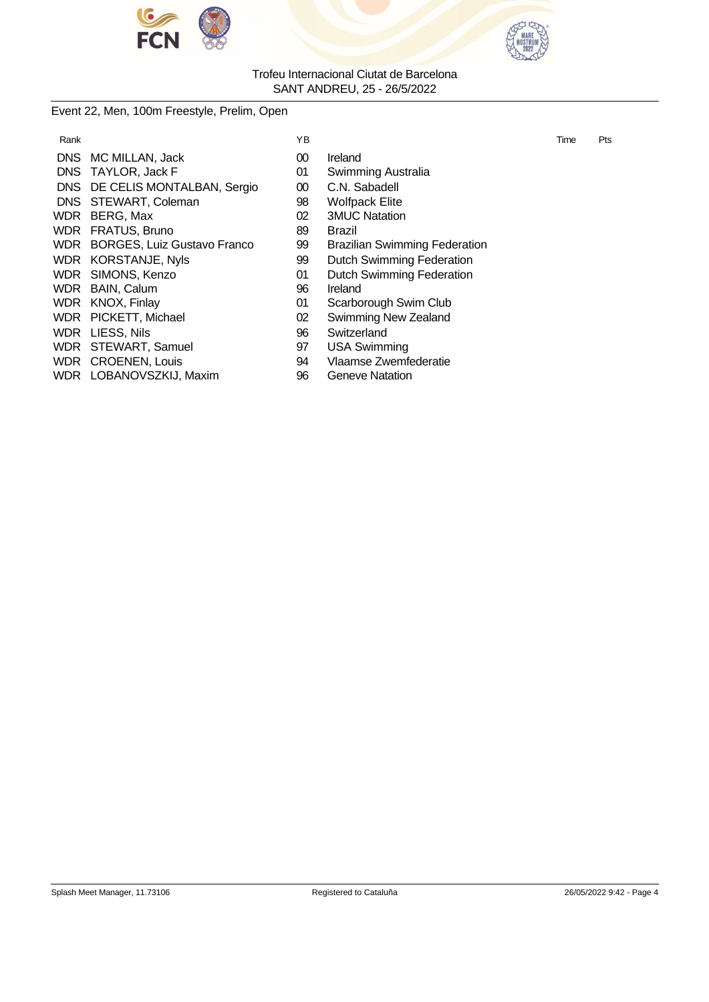



#### Event 22, Men, 100m Freestyle, Prelim, Open

| ΥB                                                                                                                                                                                                                                                                                                                                |                                      | Time | Pts |
|-----------------------------------------------------------------------------------------------------------------------------------------------------------------------------------------------------------------------------------------------------------------------------------------------------------------------------------|--------------------------------------|------|-----|
| $00\,$                                                                                                                                                                                                                                                                                                                            | Ireland                              |      |     |
| 01                                                                                                                                                                                                                                                                                                                                | Swimming Australia                   |      |     |
| $00\,$                                                                                                                                                                                                                                                                                                                            | C.N. Sabadell                        |      |     |
| 98                                                                                                                                                                                                                                                                                                                                | <b>Wolfpack Elite</b>                |      |     |
| 02                                                                                                                                                                                                                                                                                                                                | <b>3MUC Natation</b>                 |      |     |
| 89                                                                                                                                                                                                                                                                                                                                | Brazil                               |      |     |
| 99                                                                                                                                                                                                                                                                                                                                | <b>Brazilian Swimming Federation</b> |      |     |
| 99                                                                                                                                                                                                                                                                                                                                | <b>Dutch Swimming Federation</b>     |      |     |
| 01                                                                                                                                                                                                                                                                                                                                | <b>Dutch Swimming Federation</b>     |      |     |
| 96                                                                                                                                                                                                                                                                                                                                | Ireland                              |      |     |
| 01                                                                                                                                                                                                                                                                                                                                | Scarborough Swim Club                |      |     |
| 02                                                                                                                                                                                                                                                                                                                                | Swimming New Zealand                 |      |     |
| 96                                                                                                                                                                                                                                                                                                                                | Switzerland                          |      |     |
| 97                                                                                                                                                                                                                                                                                                                                | <b>USA Swimming</b>                  |      |     |
| DNS MC MILLAN, Jack<br>DNS TAYLOR, Jack F<br>DNS DE CELIS MONTALBAN, Sergio<br>DNS STEWART, Coleman<br>WDR BERG, Max<br>WDR FRATUS, Bruno<br>WDR BORGES, Luiz Gustavo Franco<br>WDR KORSTANJE, Nyls<br>WDR SIMONS, Kenzo<br>WDR BAIN, Calum<br>WDR KNOX, Finlay<br>WDR PICKETT, Michael<br>WDR LIESS, Nils<br>WDR STEWART, Samuel |                                      |      |     |

- 
- 
- WDR LOBANOVSZKIJ, Maxim 96
- 
- ) Ireland
- Swimming Australia
- D C.N. Sabadell
- **Wolfpack Elite**
- 3MUC Natation
- - Brazilian Swimming Federation
	- Dutch Swimming Federation
	- Dutch Swimming Federation
- S Ireland
- Scarborough Swim Club
- 2 Swimming New Zealand
- 6 Switzerland
- 
- WDR CROENEN, Louis 94 Vlaamse Zwemfederatie<br>
WDR LOBANOVSZKIJ, Maxim 96 Geneve Natation
	-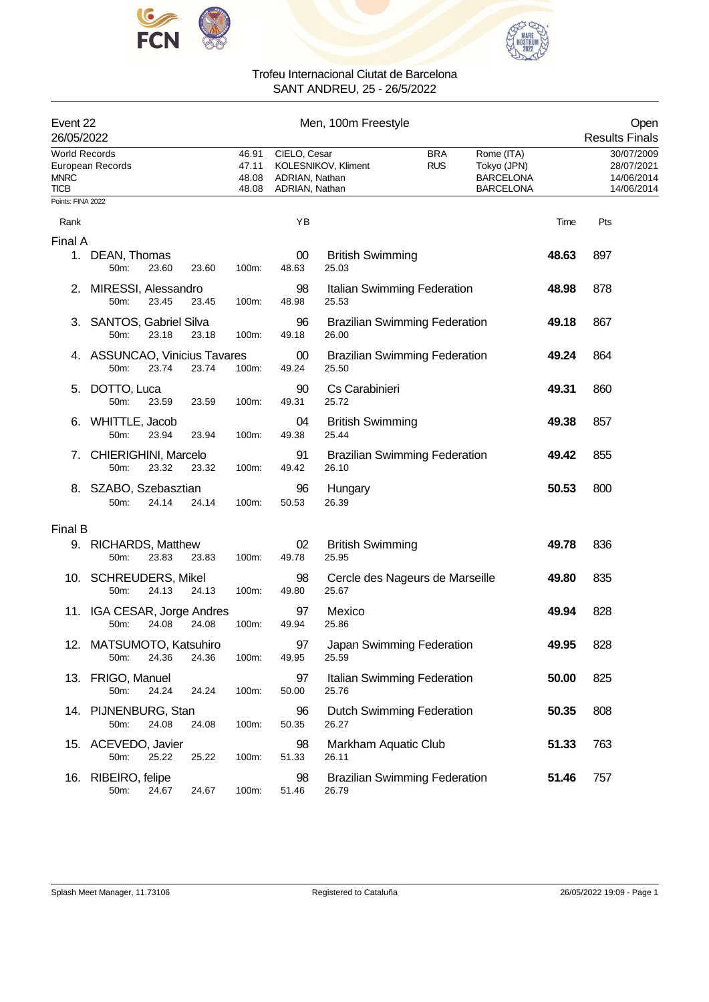



| Event 22<br>26/05/2022                             |                                       |       |       | Men, 100m Freestyle              |                 |                                                                                                                                                                          |  |  |                                                      | Open<br><b>Results Finals</b> |  |
|----------------------------------------------------|---------------------------------------|-------|-------|----------------------------------|-----------------|--------------------------------------------------------------------------------------------------------------------------------------------------------------------------|--|--|------------------------------------------------------|-------------------------------|--|
| <b>World Records</b><br><b>MNRC</b><br><b>TICB</b> | European Records                      |       |       | 46.91<br>47.11<br>48.08<br>48.08 |                 | CIELO, Cesar<br><b>BRA</b><br>Rome (ITA)<br><b>RUS</b><br>KOLESNIKOV, Kliment<br>Tokyo (JPN)<br><b>BARCELONA</b><br>ADRIAN, Nathan<br>ADRIAN, Nathan<br><b>BARCELONA</b> |  |  | 30/07/2009<br>28/07/2021<br>14/06/2014<br>14/06/2014 |                               |  |
| Points: FINA 2022                                  |                                       |       |       |                                  |                 |                                                                                                                                                                          |  |  |                                                      |                               |  |
| Rank                                               |                                       |       |       |                                  | YB              |                                                                                                                                                                          |  |  | Time                                                 | Pts                           |  |
| Final A                                            | 1. DEAN, Thomas<br>50m:               | 23.60 | 23.60 | 100m:                            | $00\,$<br>48.63 | <b>British Swimming</b><br>25.03                                                                                                                                         |  |  | 48.63                                                | 897                           |  |
| 2.                                                 | MIRESSI, Alessandro<br>50m:           | 23.45 | 23.45 | 100m:                            | 98<br>48.98     | Italian Swimming Federation<br>25.53                                                                                                                                     |  |  | 48.98                                                | 878                           |  |
|                                                    | 3. SANTOS, Gabriel Silva<br>50m:      | 23.18 | 23.18 | 100m:                            | 96<br>49.18     | <b>Brazilian Swimming Federation</b><br>26.00                                                                                                                            |  |  | 49.18                                                | 867                           |  |
|                                                    | 4. ASSUNCAO, Vinicius Tavares<br>50m: | 23.74 | 23.74 | 100m:                            | 00<br>49.24     | <b>Brazilian Swimming Federation</b><br>25.50                                                                                                                            |  |  | 49.24                                                | 864                           |  |
| 5.                                                 | DOTTO, Luca<br>50m:                   | 23.59 | 23.59 | 100m:                            | 90<br>49.31     | Cs Carabinieri<br>25.72                                                                                                                                                  |  |  | 49.31                                                | 860                           |  |
| 6.                                                 | WHITTLE, Jacob<br>50m:                | 23.94 | 23.94 | 100m:                            | 04<br>49.38     | <b>British Swimming</b><br>25.44                                                                                                                                         |  |  | 49.38                                                | 857                           |  |
| 7.                                                 | CHIERIGHINI, Marcelo<br>50m:          | 23.32 | 23.32 | 100m:                            | 91<br>49.42     | <b>Brazilian Swimming Federation</b><br>26.10                                                                                                                            |  |  | 49.42                                                | 855                           |  |
| 8.                                                 | SZABO, Szebasztian<br>50m:            | 24.14 | 24.14 | 100m:                            | 96<br>50.53     | Hungary<br>26.39                                                                                                                                                         |  |  | 50.53                                                | 800                           |  |
| Final B                                            |                                       |       |       |                                  |                 |                                                                                                                                                                          |  |  |                                                      |                               |  |
|                                                    | 9. RICHARDS, Matthew<br>50m:          | 23.83 | 23.83 | 100m:                            | 02<br>49.78     | <b>British Swimming</b><br>25.95                                                                                                                                         |  |  | 49.78                                                | 836                           |  |
|                                                    | 10. SCHREUDERS, Mikel<br>50m:         | 24.13 | 24.13 | 100m:                            | 98<br>49.80     | Cercle des Nageurs de Marseille<br>25.67                                                                                                                                 |  |  | 49.80                                                | 835                           |  |
|                                                    | 11. IGA CESAR, Jorge Andres<br>50m:   | 24.08 | 24.08 | 100m:                            | 97<br>49.94     | Mexico<br>25.86                                                                                                                                                          |  |  | 49.94                                                | 828                           |  |
|                                                    | 12. MATSUMOTO, Katsuhiro<br>50m:      | 24.36 | 24.36 | 100m:                            | 97<br>49.95     | Japan Swimming Federation<br>25.59                                                                                                                                       |  |  | 49.95                                                | 828                           |  |
|                                                    | 13. FRIGO, Manuel<br>50m:             | 24.24 | 24.24 | 100m:                            | 97<br>50.00     | Italian Swimming Federation<br>25.76                                                                                                                                     |  |  | 50.00                                                | 825                           |  |
|                                                    | 14. PIJNENBURG, Stan<br>50m:          | 24.08 | 24.08 | 100m:                            | 96<br>50.35     | Dutch Swimming Federation<br>26.27                                                                                                                                       |  |  | 50.35                                                | 808                           |  |
|                                                    | 15. ACEVEDO, Javier<br>50m:           | 25.22 | 25.22 | 100m:                            | 98<br>51.33     | Markham Aquatic Club<br>26.11                                                                                                                                            |  |  | 51.33                                                | 763                           |  |
| 16.                                                | RIBEIRO, felipe<br>50m:               | 24.67 | 24.67 | 100m:                            | 98<br>51.46     | <b>Brazilian Swimming Federation</b><br>26.79                                                                                                                            |  |  | 51.46                                                | 757                           |  |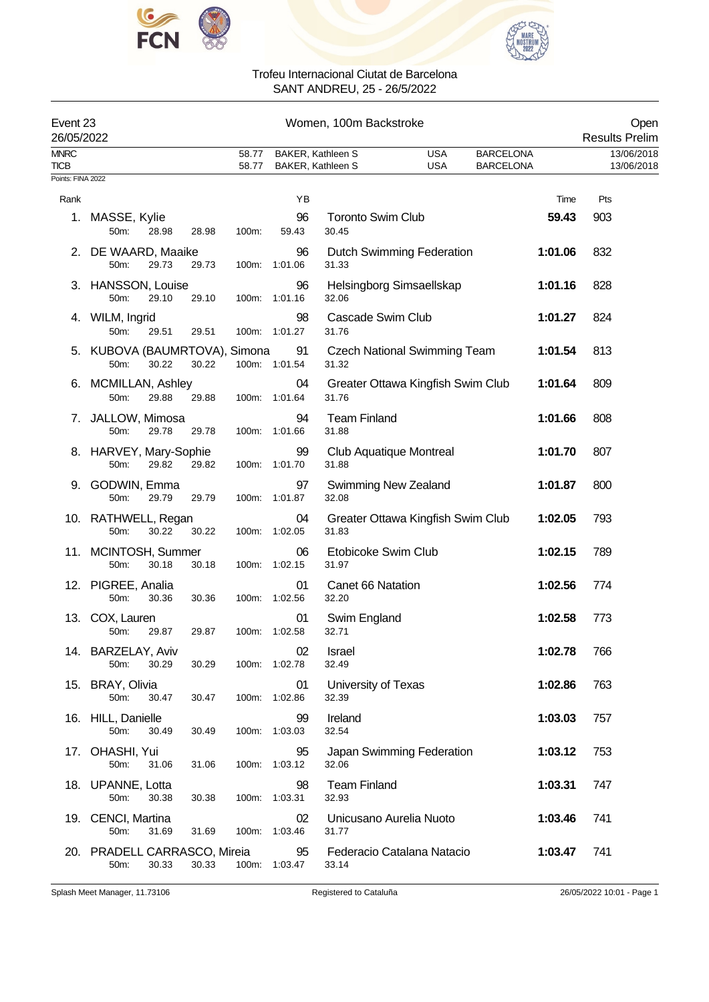



| Event 23<br>26/05/2022 |                                       |       |       |                |                                        | Women, 100m Backstroke                  |                                     |                                      |         | Open<br><b>Results Prelim</b> |
|------------------------|---------------------------------------|-------|-------|----------------|----------------------------------------|-----------------------------------------|-------------------------------------|--------------------------------------|---------|-------------------------------|
| <b>MNRC</b><br>TICB    |                                       |       |       | 58.77<br>58.77 | BAKER, Kathleen S<br>BAKER, Kathleen S |                                         | <b>USA</b><br><b>USA</b>            | <b>BARCELONA</b><br><b>BARCELONA</b> |         | 13/06/2018<br>13/06/2018      |
| Points: FINA 2022      |                                       |       |       |                |                                        |                                         |                                     |                                      |         |                               |
| Rank                   |                                       |       |       |                | YB                                     |                                         |                                     |                                      | Time    | Pts                           |
|                        | 1. MASSE, Kylie<br>50m:               | 28.98 | 28.98 | 100m:          | 96<br>59.43                            | <b>Toronto Swim Club</b><br>30.45       |                                     |                                      | 59.43   | 903                           |
|                        | 2. DE WAARD, Maaike<br>50m:           | 29.73 | 29.73 | 100m:          | 96<br>1:01.06                          | 31.33                                   | Dutch Swimming Federation           |                                      | 1:01.06 | 832                           |
|                        | 3. HANSSON, Louise<br>50m:            | 29.10 | 29.10 |                | 96<br>100m: 1:01.16                    | Helsingborg Simsaellskap<br>32.06       |                                     |                                      | 1:01.16 | 828                           |
|                        | 4. WILM, Ingrid<br>50m:               | 29.51 | 29.51 |                | 98<br>100m: 1:01.27                    | Cascade Swim Club<br>31.76              |                                     |                                      | 1:01.27 | 824                           |
|                        | 5. KUBOVA (BAUMRTOVA), Simona<br>50m: | 30.22 | 30.22 |                | 91<br>100m: 1:01.54                    | 31.32                                   | <b>Czech National Swimming Team</b> |                                      | 1:01.54 | 813                           |
|                        | 6. MCMILLAN, Ashley<br>50m:           | 29.88 | 29.88 |                | 04<br>100m: 1:01.64                    | 31.76                                   | Greater Ottawa Kingfish Swim Club   |                                      | 1:01.64 | 809                           |
|                        | 7. JALLOW, Mimosa<br>50m:             | 29.78 | 29.78 |                | 94<br>100m: 1:01.66                    | <b>Team Finland</b><br>31.88            |                                     |                                      | 1:01.66 | 808                           |
|                        | 8. HARVEY, Mary-Sophie<br>50m:        | 29.82 | 29.82 | 100m:          | 99<br>1:01.70                          | <b>Club Aquatique Montreal</b><br>31.88 |                                     |                                      | 1:01.70 | 807                           |
| 9.                     | GODWIN, Emma<br>50m:                  | 29.79 | 29.79 |                | 97<br>100m: 1:01.87                    | Swimming New Zealand<br>32.08           |                                     |                                      | 1:01.87 | 800                           |
|                        | 10. RATHWELL, Regan<br>50m:           | 30.22 | 30.22 |                | 04<br>100m: 1:02.05                    | 31.83                                   | Greater Ottawa Kingfish Swim Club   |                                      | 1:02.05 | 793                           |
|                        | 11. MCINTOSH, Summer<br>50m:          | 30.18 | 30.18 | 100m:          | 06<br>1:02.15                          | Etobicoke Swim Club<br>31.97            |                                     |                                      | 1:02.15 | 789                           |
|                        | 12. PIGREE, Analia<br>50m:            | 30.36 | 30.36 |                | 01<br>100m: 1:02.56                    | Canet 66 Natation<br>32.20              |                                     |                                      | 1:02.56 | 774                           |
| 13.                    | COX, Lauren<br>50m:                   | 29.87 | 29.87 |                | 01<br>100m: 1:02.58                    | Swim England<br>32.71                   |                                     |                                      | 1:02.58 | 773                           |
|                        | 14. BARZELAY, Aviv<br>50m:            | 30.29 | 30.29 |                | 02<br>100m: 1:02.78                    | Israel<br>32.49                         |                                     |                                      | 1:02.78 | 766                           |
|                        | 15. BRAY, Olivia<br>50m:              | 30.47 | 30.47 |                | 01<br>100m: 1:02.86                    | University of Texas<br>32.39            |                                     |                                      | 1:02.86 | 763                           |
|                        | 16. HILL, Danielle<br>50m:            | 30.49 | 30.49 |                | 99<br>100m: 1:03.03                    | Ireland<br>32.54                        |                                     |                                      | 1:03.03 | 757                           |
|                        | 17. OHASHI, Yui<br>50m:               | 31.06 | 31.06 |                | 95<br>100m: 1:03.12                    | 32.06                                   | Japan Swimming Federation           |                                      | 1:03.12 | 753                           |
|                        | 18. UPANNE, Lotta<br>50m:             | 30.38 | 30.38 |                | 98<br>100m: 1:03.31                    | <b>Team Finland</b><br>32.93            |                                     |                                      | 1:03.31 | 747                           |
|                        | 19. CENCI, Martina<br>50m:            | 31.69 | 31.69 |                | 02<br>100m: 1:03.46                    | Unicusano Aurelia Nuoto<br>31.77        |                                     |                                      | 1:03.46 | 741                           |
|                        | 20. PRADELL CARRASCO, Mireia<br>50m:  | 30.33 | 30.33 |                | 95<br>100m: 1:03.47                    | 33.14                                   | Federacio Catalana Natacio          |                                      | 1:03.47 | 741                           |

Splash Meet Manager, 11.73106 Registered to Cataluña 26/05/2022 10:01 - Page 1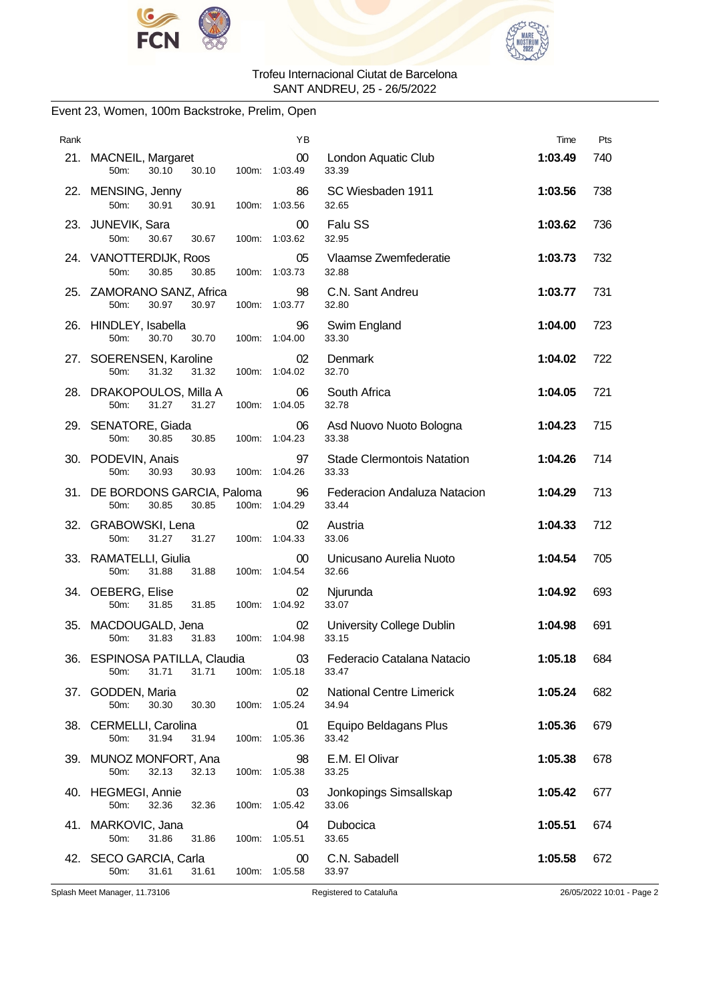



### Event 23, Women, 100m Backstroke, Prelim, Open

| Rank |                                                                         | ΥB                  |                                            | Time    | Pts |
|------|-------------------------------------------------------------------------|---------------------|--------------------------------------------|---------|-----|
|      | 21. MACNEIL, Margaret<br>50 <sub>m</sub> :<br>30.10<br>30.10            | 00<br>100m: 1:03.49 | London Aquatic Club<br>33.39               | 1:03.49 | 740 |
|      | 22. MENSING, Jenny<br>50m:<br>30.91<br>30.91<br>100m:                   | 86<br>1:03.56       | SC Wiesbaden 1911<br>32.65                 | 1:03.56 | 738 |
|      | 23. JUNEVIK, Sara<br>50m:<br>30.67<br>30.67                             | 00<br>100m: 1:03.62 | Falu SS<br>32.95                           | 1:03.62 | 736 |
|      | 24. VANOTTERDIJK, Roos<br>30.85<br>50 <sub>m</sub> :<br>30.85<br>100m:  | 05<br>1:03.73       | Vlaamse Zwemfederatie<br>32.88             | 1:03.73 | 732 |
|      | 25. ZAMORANO SANZ, Africa<br>50m:<br>30.97<br>30.97<br>100m:            | 98<br>1:03.77       | C.N. Sant Andreu<br>32.80                  | 1:03.77 | 731 |
|      | 26. HINDLEY, Isabella<br>50m:<br>30.70<br>30.70                         | 96<br>100m: 1:04.00 | Swim England<br>33.30                      | 1:04.00 | 723 |
|      | 27. SOERENSEN, Karoline<br>50 <sub>m</sub> :<br>31.32<br>31.32<br>100m: | 02<br>1:04.02       | Denmark<br>32.70                           | 1:04.02 | 722 |
|      | 28. DRAKOPOULOS, Milla A<br>31.27<br>50m:<br>31.27<br>100m:             | 06<br>1:04.05       | South Africa<br>32.78                      | 1:04.05 | 721 |
|      | 29. SENATORE, Giada<br>50m:<br>30.85<br>30.85                           | 06<br>100m: 1:04.23 | Asd Nuovo Nuoto Bologna<br>33.38           | 1:04.23 | 715 |
|      | 30. PODEVIN, Anais<br>50 <sub>m</sub> :<br>30.93<br>30.93<br>100m:      | 97<br>1:04.26       | <b>Stade Clermontois Natation</b><br>33.33 | 1:04.26 | 714 |
|      | 31. DE BORDONS GARCIA, Paloma<br>50m:<br>30.85<br>30.85<br>100m:        | 96<br>1:04.29       | Federacion Andaluza Natacion<br>33.44      | 1:04.29 | 713 |
|      | 32. GRABOWSKI, Lena<br>31.27 31.27<br>50 <sub>m</sub> :                 | 02<br>100m: 1:04.33 | Austria<br>33.06                           | 1:04.33 | 712 |
|      | 33. RAMATELLI, Giulia<br>50m:<br>31.88<br>31.88<br>100m:                | 00<br>1:04.54       | Unicusano Aurelia Nuoto<br>32.66           | 1:04.54 | 705 |
|      | 34. OEBERG, Elise<br>31.85<br>31.85<br>50 <sub>m</sub> :<br>100m:       | 02<br>1:04.92       | Njurunda<br>33.07                          | 1:04.92 | 693 |
|      | 35. MACDOUGALD, Jena<br>31.83<br>50m:<br>31.83                          | 02<br>100m: 1:04.98 | University College Dublin<br>33.15         | 1:04.98 | 691 |
| 36.  | ESPINOSA PATILLA, Claudia<br>31.71<br>50m:<br>31.71                     | 03<br>100m: 1:05.18 | Federacio Catalana Natacio<br>33.47        | 1:05.18 | 684 |
|      | 37. GODDEN, Maria<br>30.30<br>50 <sub>m</sub> :<br>30.30<br>100m:       | 02<br>1:05.24       | <b>National Centre Limerick</b><br>34.94   | 1:05.24 | 682 |
|      | 38. CERMELLI, Carolina<br>50m:<br>31.94<br>31.94<br>100m:               | 01<br>1:05.36       | Equipo Beldagans Plus<br>33.42             | 1:05.36 | 679 |
|      | 39. MUNOZ MONFORT, Ana<br>50m:<br>32.13<br>32.13<br>100m:               | 98<br>1:05.38       | E.M. El Olivar<br>33.25                    | 1:05.38 | 678 |
|      | 40. HEGMEGI, Annie<br>50m:<br>32.36<br>32.36<br>100m:                   | 03<br>1:05.42       | Jonkopings Simsallskap<br>33.06            | 1:05.42 | 677 |
|      | 41. MARKOVIC, Jana<br>50m:<br>31.86<br>31.86<br>100m:                   | 04<br>1:05.51       | Dubocica<br>33.65                          | 1:05.51 | 674 |
|      | 42. SECO GARCIA, Carla<br>50m:<br>31.61<br>31.61<br>100m:               | 00<br>1:05.58       | C.N. Sabadell<br>33.97                     | 1:05.58 | 672 |

Splash Meet Manager, 11.73106 Registered to Cataluña 26/05/2022 10:01 - Page 2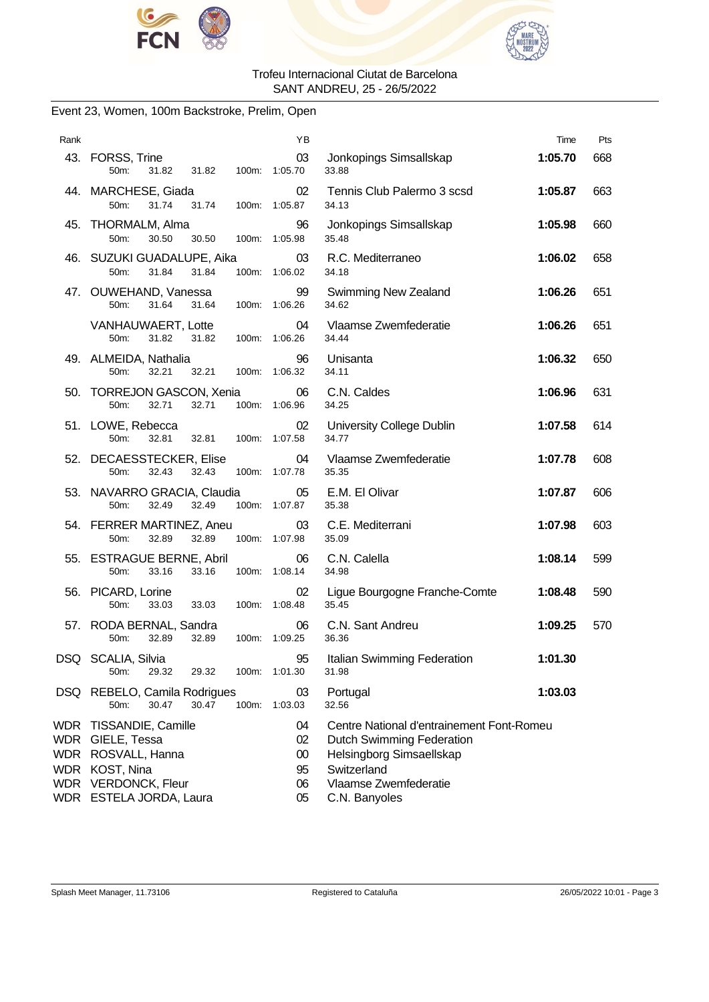



### Event 23, Women, 100m Backstroke, Prelim, Open

| Rank |                                                                                                                                      | ΥB                               |                                                                                                                                                             | Time    | Pts |
|------|--------------------------------------------------------------------------------------------------------------------------------------|----------------------------------|-------------------------------------------------------------------------------------------------------------------------------------------------------------|---------|-----|
|      | 43. FORSS, Trine<br>50m:<br>31.82<br>31.82                                                                                           | 03<br>100m: 1:05.70              | Jonkopings Simsallskap<br>33.88                                                                                                                             | 1:05.70 | 668 |
|      | 44. MARCHESE, Giada<br>50m:<br>31.74<br>31.74                                                                                        | 02<br>100m: 1:05.87              | Tennis Club Palermo 3 scsd<br>34.13                                                                                                                         | 1:05.87 | 663 |
|      | 45. THORMALM, Alma<br>50m:<br>30.50<br>30.50                                                                                         | 96<br>100m: 1:05.98              | Jonkopings Simsallskap<br>35.48                                                                                                                             | 1:05.98 | 660 |
|      | 46. SUZUKI GUADALUPE, Aika<br>50m:<br>31.84<br>31.84                                                                                 | 03<br>100m: 1:06.02              | R.C. Mediterraneo<br>34.18                                                                                                                                  | 1:06.02 | 658 |
|      | 47. OUWEHAND, Vanessa<br>31.64<br>50m:<br>31.64                                                                                      | 99<br>100m: 1:06.26              | <b>Swimming New Zealand</b><br>34.62                                                                                                                        | 1:06.26 | 651 |
|      | VANHAUWAERT, Lotte<br>50m:<br>31.82<br>31.82                                                                                         | 04<br>100m: 1:06.26              | Vlaamse Zwemfederatie<br>34.44                                                                                                                              | 1:06.26 | 651 |
|      | 49. ALMEIDA, Nathalia<br>50m:<br>32.21<br>32.21<br>100m:                                                                             | 96<br>1:06.32                    | Unisanta<br>34.11                                                                                                                                           | 1:06.32 | 650 |
|      | 50. TORREJON GASCON, Xenia<br>32.71<br>50m:<br>32.71                                                                                 | 06<br>100m: 1:06.96              | C.N. Caldes<br>34.25                                                                                                                                        | 1:06.96 | 631 |
|      | 51. LOWE, Rebecca<br>50m:<br>32.81<br>32.81                                                                                          | 02<br>100m: 1:07.58              | University College Dublin<br>34.77                                                                                                                          | 1:07.58 | 614 |
|      | 52. DECAESSTECKER, Elise<br>50m:<br>32.43<br>32.43                                                                                   | 04<br>100m: 1:07.78              | Vlaamse Zwemfederatie<br>35.35                                                                                                                              | 1:07.78 | 608 |
|      | 53. NAVARRO GRACIA, Claudia<br>50m:<br>32.49<br>32.49                                                                                | 05<br>100m: 1:07.87              | E.M. El Olivar<br>35.38                                                                                                                                     | 1:07.87 | 606 |
|      | 54. FERRER MARTINEZ, Aneu<br>50m:<br>32.89<br>32.89                                                                                  | 03<br>100m: 1:07.98              | C.E. Mediterrani<br>35.09                                                                                                                                   | 1:07.98 | 603 |
|      | 55. ESTRAGUE BERNE, Abril<br>50m:<br>33.16<br>33.16                                                                                  | 06<br>100m: 1:08.14              | C.N. Calella<br>34.98                                                                                                                                       | 1:08.14 | 599 |
|      | 56. PICARD, Lorine<br>50m:<br>33.03<br>33.03                                                                                         | 02<br>100m: 1:08.48              | Ligue Bourgogne Franche-Comte<br>35.45                                                                                                                      | 1:08.48 | 590 |
|      | 57. RODA BERNAL, Sandra<br>50m:<br>32.89<br>32.89                                                                                    | 06<br>100m: 1:09.25              | C.N. Sant Andreu<br>36.36                                                                                                                                   | 1:09.25 | 570 |
|      | DSQ SCALIA, Silvia<br>29.32<br>50m:<br>29.32                                                                                         | 95<br>100m: 1:01.30              | Italian Swimming Federation<br>31.98                                                                                                                        | 1:01.30 |     |
|      | DSQ REBELO, Camila Rodrigues<br>30.47<br>30.47<br>100m:<br>50m:                                                                      | 03<br>1:03.03                    | Portugal<br>32.56                                                                                                                                           | 1:03.03 |     |
|      | WDR TISSANDIE, Camille<br>WDR GIELE, Tessa<br>WDR ROSVALL, Hanna<br>WDR KOST, Nina<br>WDR VERDONCK, Fleur<br>WDR ESTELA JORDA, Laura | 04<br>02<br>00<br>95<br>06<br>05 | Centre National d'entrainement Font-Romeu<br>Dutch Swimming Federation<br>Helsingborg Simsaellskap<br>Switzerland<br>Vlaamse Zwemfederatie<br>C.N. Banyoles |         |     |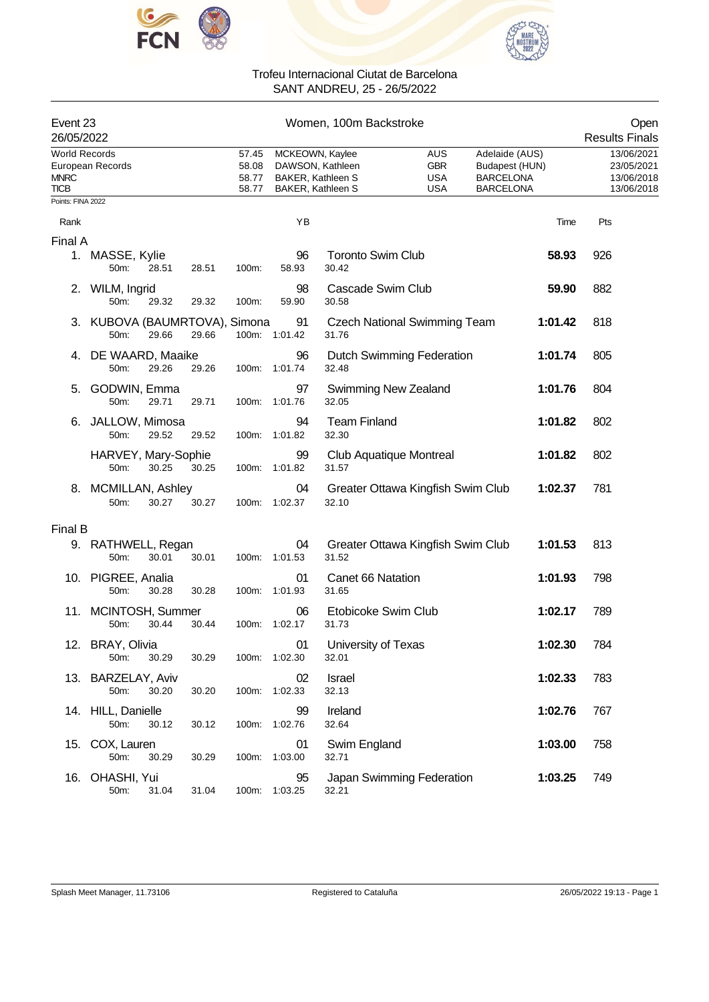



|                                                    | Event 23<br>26/05/2022                |       |       |                                  | Women, 100m Backstroke                                           |                                   |                                               |                                                                          |         |                                                      |  |
|----------------------------------------------------|---------------------------------------|-------|-------|----------------------------------|------------------------------------------------------------------|-----------------------------------|-----------------------------------------------|--------------------------------------------------------------------------|---------|------------------------------------------------------|--|
| <b>World Records</b><br><b>MNRC</b><br><b>TICB</b> | European Records                      |       |       | 57.45<br>58.08<br>58.77<br>58.77 | MCKEOWN, Kaylee<br><b>BAKER, Kathleen S</b><br>BAKER, Kathleen S | DAWSON, Kathleen                  | AUS<br><b>GBR</b><br><b>USA</b><br><b>USA</b> | Adelaide (AUS)<br>Budapest (HUN)<br><b>BARCELONA</b><br><b>BARCELONA</b> |         | 13/06/2021<br>23/05/2021<br>13/06/2018<br>13/06/2018 |  |
| Points: FINA 2022                                  |                                       |       |       |                                  |                                                                  |                                   |                                               |                                                                          |         |                                                      |  |
| Rank                                               |                                       |       |       |                                  | YB                                                               |                                   |                                               |                                                                          | Time    | Pts                                                  |  |
| Final A                                            | 1. MASSE, Kylie<br>50m:               | 28.51 | 28.51 | 100m:                            | 96<br>58.93                                                      | <b>Toronto Swim Club</b><br>30.42 |                                               |                                                                          | 58.93   | 926                                                  |  |
| 2.                                                 | WILM, Ingrid<br>50m:                  | 29.32 | 29.32 | 100m:                            | 98<br>59.90                                                      | Cascade Swim Club<br>30.58        |                                               |                                                                          | 59.90   | 882                                                  |  |
|                                                    | 3. KUBOVA (BAUMRTOVA), Simona<br>50m: | 29.66 | 29.66 |                                  | 91<br>100m: 1:01.42                                              | 31.76                             | <b>Czech National Swimming Team</b>           |                                                                          | 1:01.42 | 818                                                  |  |
| 4.                                                 | DE WAARD, Maaike<br>50m:              | 29.26 | 29.26 | 100m:                            | 96<br>1:01.74                                                    | 32.48                             | <b>Dutch Swimming Federation</b>              |                                                                          | 1:01.74 | 805                                                  |  |
| 5.                                                 | GODWIN, Emma<br>50m:                  | 29.71 | 29.71 | 100m:                            | 97<br>1:01.76                                                    | 32.05                             | <b>Swimming New Zealand</b>                   |                                                                          | 1:01.76 | 804                                                  |  |
|                                                    | JALLOW, Mimosa<br>50m:                | 29.52 | 29.52 | 100m:                            | 94<br>1:01.82                                                    | <b>Team Finland</b><br>32.30      |                                               |                                                                          | 1:01.82 | 802                                                  |  |
|                                                    | HARVEY, Mary-Sophie<br>50m:           | 30.25 | 30.25 | 100m:                            | 99<br>1:01.82                                                    | 31.57                             | <b>Club Aquatique Montreal</b>                |                                                                          | 1:01.82 | 802                                                  |  |
| 8.                                                 | MCMILLAN, Ashley<br>50m:              | 30.27 | 30.27 |                                  | 04<br>100m: 1:02.37                                              | 32.10                             | Greater Ottawa Kingfish Swim Club             |                                                                          | 1:02.37 | 781                                                  |  |
| Final B                                            |                                       |       |       |                                  |                                                                  |                                   |                                               |                                                                          |         |                                                      |  |
|                                                    | 9. RATHWELL, Regan<br>50m:            | 30.01 | 30.01 | 100m:                            | 04<br>1:01.53                                                    | 31.52                             | Greater Ottawa Kingfish Swim Club             |                                                                          | 1:01.53 | 813                                                  |  |
|                                                    | 10. PIGREE, Analia<br>50m:            | 30.28 | 30.28 | 100m:                            | 01<br>1:01.93                                                    | Canet 66 Natation<br>31.65        |                                               |                                                                          | 1:01.93 | 798                                                  |  |
|                                                    | 11. MCINTOSH, Summer<br>50m:          | 30.44 | 30.44 | 100m:                            | 06<br>1:02.17                                                    | Etobicoke Swim Club<br>31.73      |                                               |                                                                          | 1:02.17 | 789                                                  |  |
|                                                    | 12. BRAY, Olivia<br>50m:              | 30.29 | 30.29 |                                  | 01<br>100m: 1:02.30                                              | University of Texas<br>32.01      |                                               |                                                                          | 1:02.30 | 784                                                  |  |
|                                                    | 13. BARZELAY, Aviv<br>50m:            | 30.20 | 30.20 |                                  | 02<br>100m: 1:02.33                                              | Israel<br>32.13                   |                                               |                                                                          | 1:02.33 | 783                                                  |  |
|                                                    | 14. HILL, Danielle<br>50m:            | 30.12 | 30.12 |                                  | 99<br>100m: 1:02.76                                              | Ireland<br>32.64                  |                                               |                                                                          | 1:02.76 | 767                                                  |  |
|                                                    | 15. COX, Lauren<br>50m:               | 30.29 | 30.29 |                                  | 01<br>100m: 1:03.00                                              | Swim England<br>32.71             |                                               |                                                                          | 1:03.00 | 758                                                  |  |
|                                                    | 16. OHASHI, Yui<br>50m:               | 31.04 | 31.04 |                                  | 95<br>100m: 1:03.25                                              | 32.21                             | Japan Swimming Federation                     |                                                                          | 1:03.25 | 749                                                  |  |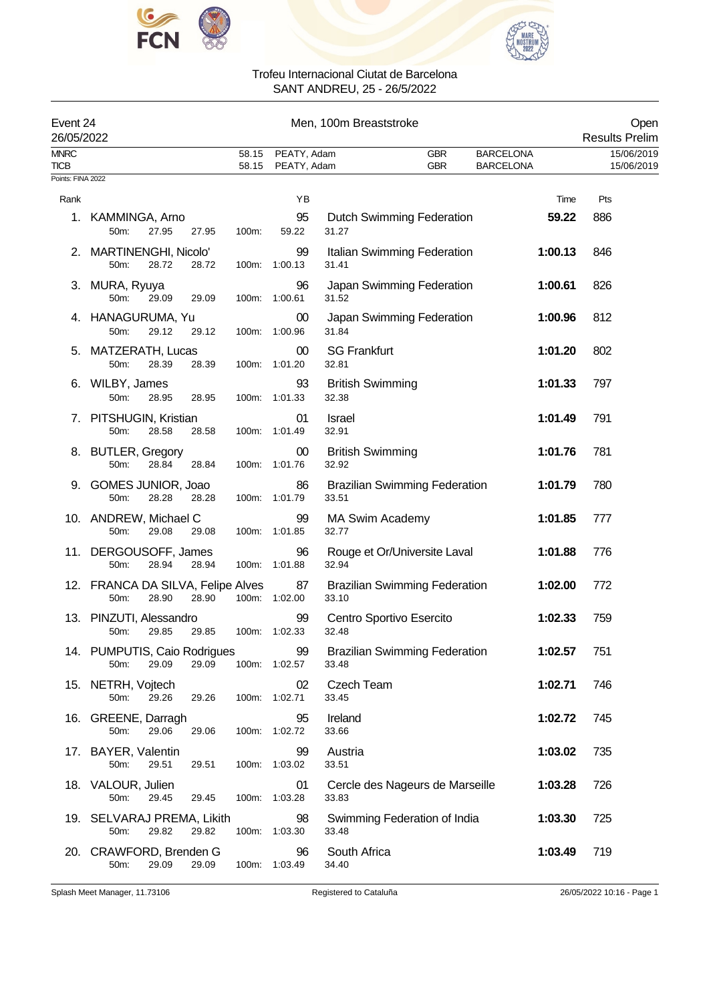



| Event 24<br>26/05/2022     |                                                             |                |                            | Men, 100m Breaststroke                        |                                      | Open<br><b>Results Prelim</b> |
|----------------------------|-------------------------------------------------------------|----------------|----------------------------|-----------------------------------------------|--------------------------------------|-------------------------------|
| <b>MNRC</b><br><b>TICB</b> |                                                             | 58.15<br>58.15 | PEATY, Adam<br>PEATY, Adam | <b>GBR</b><br><b>GBR</b>                      | <b>BARCELONA</b><br><b>BARCELONA</b> | 15/06/2019<br>15/06/2019      |
| Points: FINA 2022          |                                                             |                |                            |                                               |                                      |                               |
| Rank                       |                                                             |                | YB                         |                                               | Time                                 | Pts                           |
|                            | 1. KAMMINGA, Arno<br>50m:<br>27.95<br>27.95                 | 100m:          | 95<br>59.22                | <b>Dutch Swimming Federation</b><br>31.27     | 59.22                                | 886                           |
|                            | 2. MARTINENGHI, Nicolo'<br>50m:<br>28.72<br>28.72           | 100m:          | 99<br>1:00.13              | Italian Swimming Federation<br>31.41          | 1:00.13                              | 846                           |
|                            | 3. MURA, Ryuya<br>50m:<br>29.09<br>29.09                    |                | 96<br>100m: 1:00.61        | Japan Swimming Federation<br>31.52            | 1:00.61                              | 826                           |
|                            | 4. HANAGURUMA, Yu<br>50m:<br>29.12<br>29.12                 |                | 00<br>100m: 1:00.96        | Japan Swimming Federation<br>31.84            | 1:00.96                              | 812                           |
|                            | 5. MATZERATH, Lucas<br>50m:<br>28.39<br>28.39               | 100m:          | 00<br>1:01.20              | <b>SG Frankfurt</b><br>32.81                  | 1:01.20                              | 802                           |
|                            | 6. WILBY, James<br>50m:<br>28.95<br>28.95                   |                | 93<br>100m: 1:01.33        | <b>British Swimming</b><br>32.38              | 1:01.33                              | 797                           |
|                            | 7. PITSHUGIN, Kristian<br>50m:<br>28.58<br>28.58            |                | 01<br>100m: 1:01.49        | <b>Israel</b><br>32.91                        | 1:01.49                              | 791                           |
|                            | 8. BUTLER, Gregory<br>50m:<br>28.84<br>28.84                | 100m:          | 00<br>1:01.76              | <b>British Swimming</b><br>32.92              | 1:01.76                              | 781                           |
| 9.                         | GOMES JUNIOR, Joao<br>28.28<br>28.28<br>50m:                |                | 86<br>100m: 1:01.79        | <b>Brazilian Swimming Federation</b><br>33.51 | 1:01.79                              | 780                           |
|                            | 10. ANDREW, Michael C<br>50m:<br>29.08<br>29.08             |                | 99<br>100m: 1:01.85        | MA Swim Academy<br>32.77                      | 1:01.85                              | 777                           |
|                            | 11. DERGOUSOFF, James<br>28.94<br>50m:<br>28.94             | 100m:          | 96<br>1:01.88              | Rouge et Or/Universite Laval<br>32.94         | 1:01.88                              | 776                           |
|                            | 12. FRANCA DA SILVA, Felipe Alves<br>28.90<br>50m:<br>28.90 |                | 87<br>100m: 1:02.00        | <b>Brazilian Swimming Federation</b><br>33.10 | 1:02.00                              | 772                           |
|                            | 13. PINZUTI, Alessandro<br>29.85<br>29.85<br>50m:           |                | 99<br>100m: 1:02.33        | Centro Sportivo Esercito<br>32.48             | 1:02.33                              | 759                           |
|                            | 14. PUMPUTIS, Caio Rodrigues<br>29.09<br>29.09<br>50m:      |                | 99<br>100m: 1:02.57        | <b>Brazilian Swimming Federation</b><br>33.48 | 1:02.57                              | 751                           |
|                            | 15. NETRH, Vojtech<br>29.26<br>29.26<br>50m:                |                | 02<br>100m: 1:02.71        | Czech Team<br>33.45                           | 1:02.71                              | 746                           |
|                            | 16. GREENE, Darragh<br>50m:<br>29.06<br>29.06               |                | 95<br>100m: 1:02.72        | Ireland<br>33.66                              | 1:02.72                              | 745                           |
|                            | 17. BAYER, Valentin<br>50m:<br>29.51<br>29.51               |                | 99<br>100m: 1:03.02        | Austria<br>33.51                              | 1:03.02                              | 735                           |
|                            | 18. VALOUR, Julien<br>29.45<br>50m:<br>29.45                |                | 01<br>100m: 1:03.28        | Cercle des Nageurs de Marseille<br>33.83      | 1:03.28                              | 726                           |
|                            | 19. SELVARAJ PREMA, Likith<br>29.82<br>29.82<br>50m:        |                | 98<br>100m: 1:03.30        | Swimming Federation of India<br>33.48         | 1:03.30                              | 725                           |
|                            | 20. CRAWFORD, Brenden G<br>50m:<br>29.09<br>29.09           | 100m:          | 96<br>1:03.49              | South Africa<br>34.40                         | 1:03.49                              | 719                           |

Splash Meet Manager, 11.73106 Registered to Cataluña 26/05/2022 10:16 - Page 1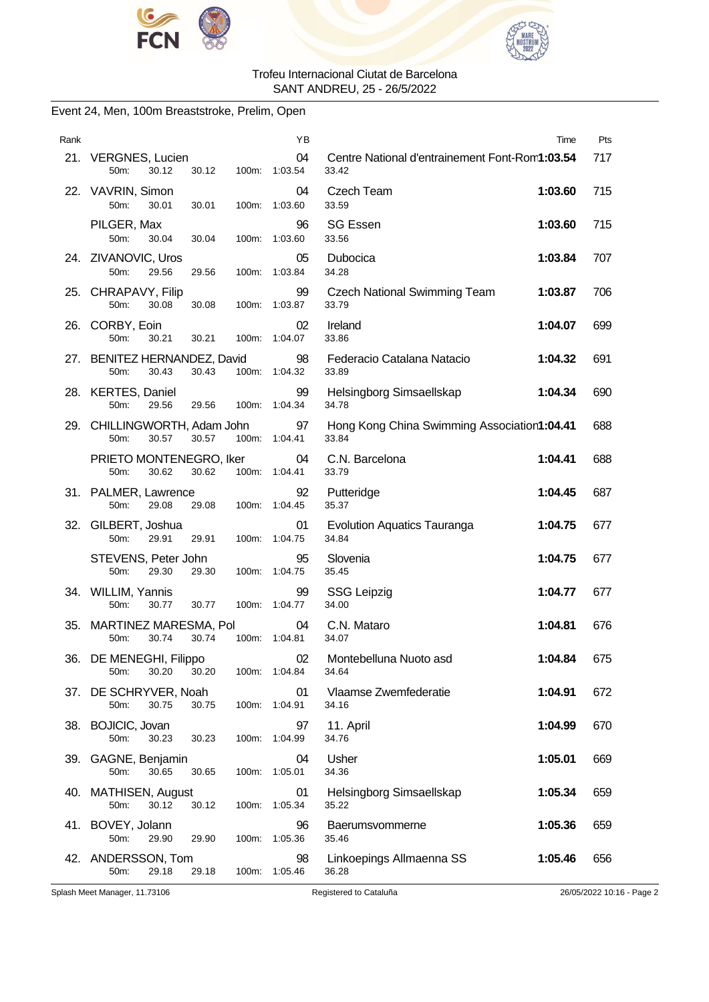



### Event 24, Men, 100m Breaststroke, Prelim, Open

| Rank |                                                        | ΥB                  | Time                                                    | Pts |
|------|--------------------------------------------------------|---------------------|---------------------------------------------------------|-----|
|      | 21. VERGNES, Lucien<br>30.12<br>30.12<br>50m:          | 04<br>100m: 1:03.54 | Centre National d'entrainement Font-Rom1:03.54<br>33.42 | 717 |
|      | 22. VAVRIN, Simon<br>50m:<br>30.01<br>30.01<br>100m:   | 04<br>1:03.60       | <b>Czech Team</b><br>1:03.60<br>33.59                   | 715 |
|      | PILGER, Max<br>50m:<br>30.04<br>30.04                  | 96<br>100m: 1:03.60 | <b>SG Essen</b><br>1:03.60<br>33.56                     | 715 |
|      | 24. ZIVANOVIC, Uros<br>50m:<br>29.56<br>29.56          | 05<br>100m: 1:03.84 | Dubocica<br>1:03.84<br>34.28                            | 707 |
|      | 25. CHRAPAVY, Filip<br>50m:<br>30.08<br>100m:<br>30.08 | 99<br>1:03.87       | 1:03.87<br>Czech National Swimming Team<br>33.79        | 706 |
|      | 26. CORBY, Eoin<br>50m:<br>30.21<br>30.21              | 02<br>100m: 1:04.07 | Ireland<br>1:04.07<br>33.86                             | 699 |
|      | 27. BENITEZ HERNANDEZ, David<br>50m:<br>30.43<br>30.43 | 98<br>100m: 1:04.32 | Federacio Catalana Natacio<br>1:04.32<br>33.89          | 691 |
|      | 28. KERTES, Daniel<br>50m:<br>29.56<br>29.56           | 99<br>100m: 1:04.34 | Helsingborg Simsaellskap<br>1:04.34<br>34.78            | 690 |
|      | 29. CHILLINGWORTH, Adam John<br>50m:<br>30.57<br>30.57 | 97<br>100m: 1:04.41 | Hong Kong China Swimming Association1:04.41<br>33.84    | 688 |
|      | PRIETO MONTENEGRO, Iker<br>30.62<br>30.62<br>50m:      | 04<br>100m: 1:04.41 | C.N. Barcelona<br>1:04.41<br>33.79                      | 688 |
|      | 31. PALMER, Lawrence<br>29.08<br>50m:<br>29.08         | 92<br>100m: 1:04.45 | Putteridge<br>1:04.45<br>35.37                          | 687 |
| 32.  | GILBERT, Joshua<br>50m:<br>29.91<br>29.91              | 01<br>100m: 1:04.75 | <b>Evolution Aquatics Tauranga</b><br>1:04.75<br>34.84  | 677 |
|      | STEVENS, Peter John<br>50m:<br>29.30<br>29.30          | 95<br>100m: 1:04.75 | Slovenia<br>1:04.75<br>35.45                            | 677 |
|      | 34. WILLIM, Yannis<br>50m:<br>30.77<br>30.77           | 99<br>100m: 1:04.77 | <b>SSG Leipzig</b><br>1:04.77<br>34.00                  | 677 |
| 35.  | MARTINEZ MARESMA, Pol<br>30.74<br>30.74<br>50m:        | 04<br>100m: 1:04.81 | C.N. Mataro<br>1:04.81<br>34.07                         | 676 |
| 36.  | DE MENEGHI, Filippo<br>30.20<br>30.20<br>50m:          | 02<br>100m: 1:04.84 | 1:04.84<br>Montebelluna Nuoto asd<br>34.64              | 675 |
|      | 37. DE SCHRYVER, Noah<br>50m:<br>30.75<br>30.75        | 01<br>100m: 1:04.91 | Vlaamse Zwemfederatie<br>1:04.91<br>34.16               | 672 |
|      | 38. BOJICIC, Jovan<br>50m:<br>30.23<br>30.23<br>100m:  | 97<br>1:04.99       | 11. April<br>1:04.99<br>34.76                           | 670 |
|      | 39. GAGNE, Benjamin<br>50m:<br>30.65<br>30.65          | 04<br>100m: 1:05.01 | Usher<br>1:05.01<br>34.36                               | 669 |
|      | 40. MATHISEN, August<br>30.12<br>50m:<br>30.12         | 01<br>100m: 1:05.34 | Helsingborg Simsaellskap<br>1:05.34<br>35.22            | 659 |
|      | 41. BOVEY, Jolann<br>50m:<br>29.90<br>29.90<br>100m:   | 96<br>1:05.36       | 1:05.36<br>Baerumsvommerne<br>35.46                     | 659 |
|      | 42. ANDERSSON, Tom<br>50m:<br>29.18<br>29.18           | 98<br>100m: 1:05.46 | Linkoepings Allmaenna SS<br>1:05.46<br>36.28            | 656 |

Splash Meet Manager, 11.73106 Registered to Cataluña 26/05/2022 10:16 - Page 2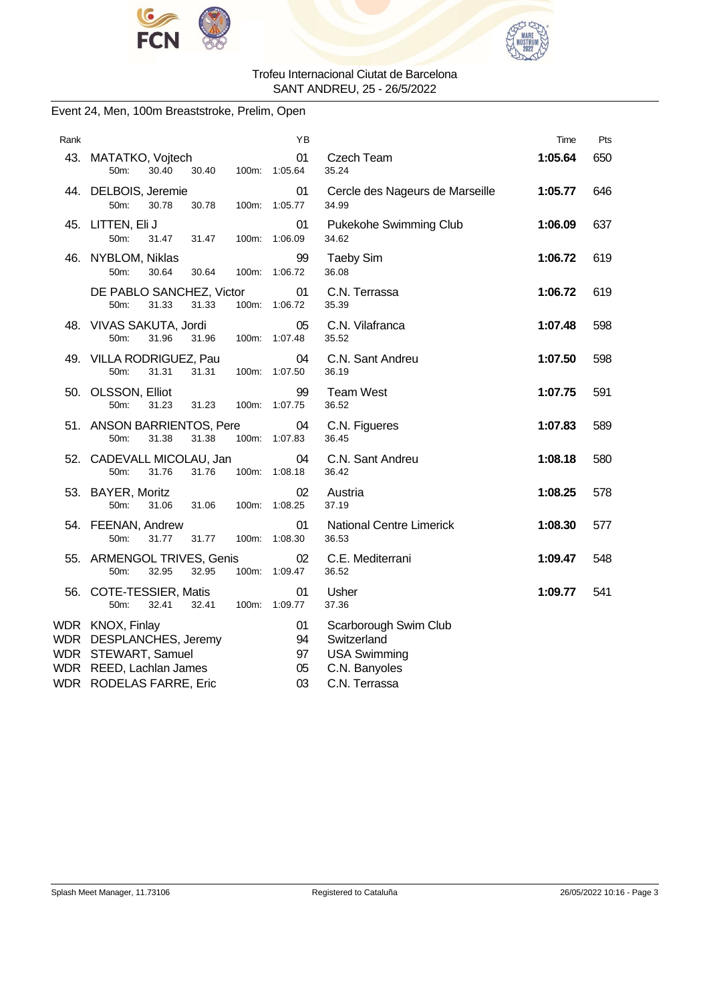



### Event 24, Men, 100m Breaststroke, Prelim, Open

| Rank |                                                                                                                          | ΥB                         |                                                                                               | Time    | Pts |
|------|--------------------------------------------------------------------------------------------------------------------------|----------------------------|-----------------------------------------------------------------------------------------------|---------|-----|
|      | 43. MATATKO, Vojtech<br>30.40<br>50m:<br>30.40                                                                           | 01<br>100m: 1:05.64        | Czech Team<br>35.24                                                                           | 1:05.64 | 650 |
|      | 44. DELBOIS, Jeremie<br>50m:<br>30.78<br>30.78                                                                           | 01<br>100m: 1:05.77        | Cercle des Nageurs de Marseille<br>34.99                                                      | 1:05.77 | 646 |
|      | 45. LITTEN, Eli J<br>50m:<br>31.47<br>31.47                                                                              | 01<br>100m: 1:06.09        | Pukekohe Swimming Club<br>34.62                                                               | 1:06.09 | 637 |
|      | 46. NYBLOM, Niklas<br>50m:<br>30.64<br>30.64<br>100m:                                                                    | 99<br>1:06.72              | <b>Taeby Sim</b><br>36.08                                                                     | 1:06.72 | 619 |
|      | DE PABLO SANCHEZ, Victor<br>31.33<br>31.33<br>50m:                                                                       | 01<br>100m: 1:06.72        | C.N. Terrassa<br>35.39                                                                        | 1:06.72 | 619 |
|      | 48. VIVAS SAKUTA, Jordi<br>31.96<br>50m:<br>31.96                                                                        | 05<br>100m: 1:07.48        | C.N. Vilafranca<br>35.52                                                                      | 1:07.48 | 598 |
|      | 49. VILLA RODRIGUEZ, Pau<br>31.31<br>50m:<br>31.31                                                                       | 04<br>100m: 1:07.50        | C.N. Sant Andreu<br>36.19                                                                     | 1:07.50 | 598 |
|      | 50. OLSSON, Elliot<br>50m:<br>31.23<br>31.23                                                                             | 99<br>100m: 1:07.75        | <b>Team West</b><br>36.52                                                                     | 1:07.75 | 591 |
|      | 51. ANSON BARRIENTOS, Pere<br>50m:<br>31.38<br>31.38                                                                     | 04<br>100m: 1:07.83        | C.N. Figueres<br>36.45                                                                        | 1:07.83 | 589 |
|      | 52. CADEVALL MICOLAU, Jan<br>31.76<br>50m:<br>31.76                                                                      | 04<br>100m: 1:08.18        | C.N. Sant Andreu<br>36.42                                                                     | 1:08.18 | 580 |
|      | 53. BAYER, Moritz<br>50m:<br>31.06<br>31.06<br>100m:                                                                     | 02<br>1:08.25              | Austria<br>37.19                                                                              | 1:08.25 | 578 |
|      | 54. FEENAN, Andrew<br>50m:<br>31.77<br>31.77<br>100m:                                                                    | 01<br>1:08.30              | <b>National Centre Limerick</b><br>36.53                                                      | 1:08.30 | 577 |
|      | 55. ARMENGOL TRIVES, Genis<br>50m:<br>32.95<br>32.95                                                                     | 02<br>100m: 1:09.47        | C.E. Mediterrani<br>36.52                                                                     | 1:09.47 | 548 |
|      | 56. COTE-TESSIER, Matis<br>50m:<br>32.41<br>32.41                                                                        | 01<br>100m: 1:09.77        | Usher<br>37.36                                                                                | 1:09.77 | 541 |
|      | WDR KNOX, Finlay<br>WDR DESPLANCHES, Jeremy<br>WDR STEWART, Samuel<br>WDR REED, Lachlan James<br>WDR RODELAS FARRE, Eric | 01<br>94<br>97<br>05<br>03 | Scarborough Swim Club<br>Switzerland<br><b>USA Swimming</b><br>C.N. Banyoles<br>C.N. Terrassa |         |     |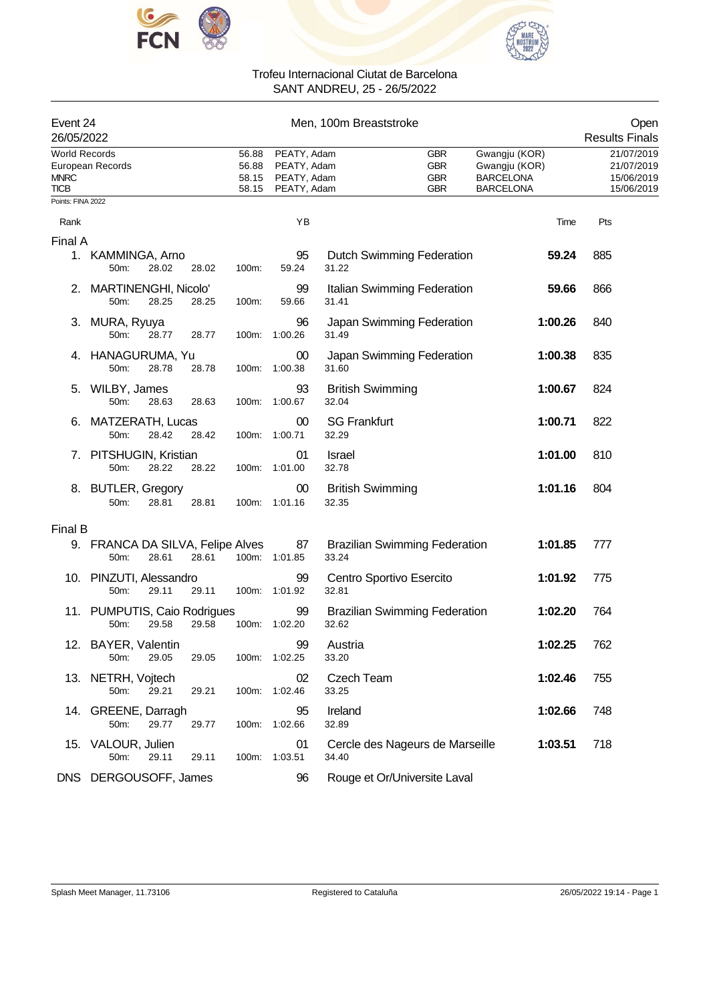



| Event 24<br>26/05/2022                             |                                             |       |       |                                  |                                                          | Men, 100m Breaststroke            |                                                      |                                                                        | Open<br><b>Results Finals</b>                        |
|----------------------------------------------------|---------------------------------------------|-------|-------|----------------------------------|----------------------------------------------------------|-----------------------------------|------------------------------------------------------|------------------------------------------------------------------------|------------------------------------------------------|
| <b>World Records</b><br><b>MNRC</b><br><b>TICB</b> | European Records                            |       |       | 56.88<br>56.88<br>58.15<br>58.15 | PEATY, Adam<br>PEATY, Adam<br>PEATY, Adam<br>PEATY, Adam |                                   | <b>GBR</b><br><b>GBR</b><br><b>GBR</b><br><b>GBR</b> | Gwangju (KOR)<br>Gwangju (KOR)<br><b>BARCELONA</b><br><b>BARCELONA</b> | 21/07/2019<br>21/07/2019<br>15/06/2019<br>15/06/2019 |
| Points: FINA 2022                                  |                                             |       |       |                                  |                                                          |                                   |                                                      |                                                                        |                                                      |
| Rank                                               |                                             |       |       |                                  | YB                                                       |                                   |                                                      | Time                                                                   | Pts                                                  |
| Final A                                            |                                             |       |       |                                  |                                                          |                                   |                                                      |                                                                        |                                                      |
|                                                    | 1. KAMMINGA, Arno<br>50m:                   | 28.02 | 28.02 | 100m:                            | 95<br>59.24                                              | 31.22                             | <b>Dutch Swimming Federation</b>                     | 59.24                                                                  | 885                                                  |
| 2.                                                 | MARTINENGHI, Nicolo'<br>50m:                | 28.25 | 28.25 | 100m:                            | 99<br>59.66                                              | 31.41                             | Italian Swimming Federation                          | 59.66                                                                  | 866                                                  |
|                                                    | 3. MURA, Ryuya<br>50 <sub>m</sub> :         | 28.77 | 28.77 | 100m:                            | 96<br>1:00.26                                            | 31.49                             | Japan Swimming Federation                            | 1:00.26                                                                | 840                                                  |
|                                                    | 4. HANAGURUMA, Yu<br>50m:                   | 28.78 | 28.78 | 100m:                            | 00<br>1:00.38                                            | 31.60                             | Japan Swimming Federation                            | 1:00.38                                                                | 835                                                  |
| 5.                                                 | WILBY, James<br>50m:                        | 28.63 | 28.63 | 100m:                            | 93<br>1:00.67                                            | <b>British Swimming</b><br>32.04  |                                                      | 1:00.67                                                                | 824                                                  |
| 6.                                                 | MATZERATH, Lucas<br>50m:                    | 28.42 | 28.42 | 100m:                            | 00<br>1:00.71                                            | <b>SG Frankfurt</b><br>32.29      |                                                      | 1:00.71                                                                | 822                                                  |
|                                                    | 7. PITSHUGIN, Kristian<br>50m:              | 28.22 | 28.22 | 100m:                            | 01<br>1:01.00                                            | <b>Israel</b><br>32.78            |                                                      | 1:01.00                                                                | 810                                                  |
|                                                    | 8. BUTLER, Gregory<br>50m:                  | 28.81 | 28.81 |                                  | 00<br>100m: 1:01.16                                      | <b>British Swimming</b><br>32.35  |                                                      | 1:01.16                                                                | 804                                                  |
| Final B                                            |                                             |       |       |                                  |                                                          |                                   |                                                      |                                                                        |                                                      |
|                                                    | 9. FRANCA DA SILVA, Felipe Alves<br>$50m$ : | 28.61 | 28.61 |                                  | 87<br>100m: 1:01.85                                      | 33.24                             | <b>Brazilian Swimming Federation</b>                 | 1:01.85                                                                | 777                                                  |
|                                                    | 10. PINZUTI, Alessandro<br>50m:             | 29.11 | 29.11 | 100m:                            | 99<br>1:01.92                                            | Centro Sportivo Esercito<br>32.81 |                                                      | 1:01.92                                                                | 775                                                  |
|                                                    | 11. PUMPUTIS, Caio Rodrigues<br>50m:        | 29.58 | 29.58 |                                  | 99<br>100m: 1:02.20                                      | 32.62                             | <b>Brazilian Swimming Federation</b>                 | 1:02.20                                                                | 764                                                  |
|                                                    | 12. BAYER, Valentin<br>50m:                 | 29.05 | 29.05 |                                  | 99<br>100m: 1:02.25                                      | Austria<br>33.20                  |                                                      | 1:02.25                                                                | 762                                                  |
|                                                    | 13. NETRH, Vojtech<br>50m:                  | 29.21 | 29.21 |                                  | 02<br>100m: 1:02.46                                      | Czech Team<br>33.25               |                                                      | 1:02.46                                                                | 755                                                  |
|                                                    | 14. GREENE, Darragh<br>50m:                 | 29.77 | 29.77 |                                  | 95<br>100m: 1:02.66                                      | Ireland<br>32.89                  |                                                      | 1:02.66                                                                | 748                                                  |
|                                                    | 15. VALOUR, Julien<br>50m:                  | 29.11 | 29.11 |                                  | 01<br>100m: 1:03.51                                      | 34.40                             | Cercle des Nageurs de Marseille                      | 1:03.51                                                                | 718                                                  |
|                                                    | DNS DERGOUSOFF, James                       |       |       |                                  | 96                                                       |                                   | Rouge et Or/Universite Laval                         |                                                                        |                                                      |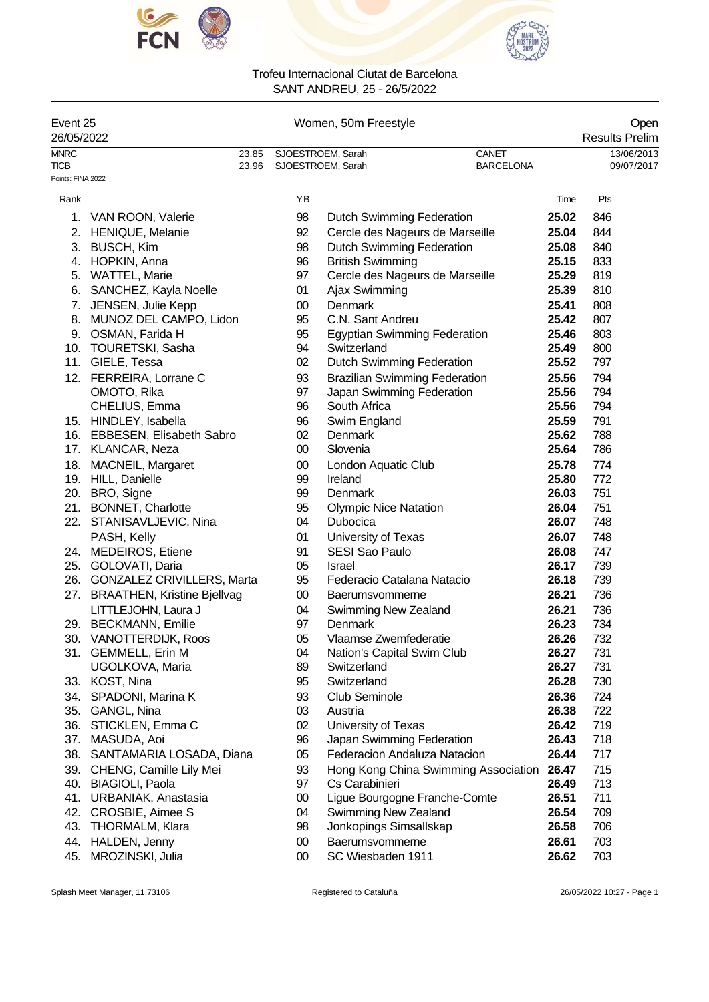



|                            | Event 25<br>26/05/2022             |                |                 | Women, 50m Freestyle                                                |       |                                                   |  |  |  |
|----------------------------|------------------------------------|----------------|-----------------|---------------------------------------------------------------------|-------|---------------------------------------------------|--|--|--|
| <b>MNRC</b><br><b>TICB</b> |                                    | 23.85<br>23.96 |                 | CANET<br>SJOESTROEM, Sarah<br><b>BARCELONA</b><br>SJOESTROEM, Sarah |       | <b>Results Prelim</b><br>13/06/2013<br>09/07/2017 |  |  |  |
| Points: FINA 2022          |                                    |                |                 |                                                                     |       |                                                   |  |  |  |
| Rank                       |                                    |                | ΥB              |                                                                     | Time  | Pts                                               |  |  |  |
| 1.                         | VAN ROON, Valerie                  |                | 98              | <b>Dutch Swimming Federation</b>                                    | 25.02 | 846                                               |  |  |  |
| 2.                         | <b>HENIQUE, Melanie</b>            |                | 92              | Cercle des Nageurs de Marseille                                     | 25.04 | 844                                               |  |  |  |
|                            | 3. BUSCH, Kim                      |                | 98              | Dutch Swimming Federation                                           | 25.08 | 840                                               |  |  |  |
|                            | 4. HOPKIN, Anna                    |                | 96              | <b>British Swimming</b>                                             | 25.15 | 833                                               |  |  |  |
|                            | 5. WATTEL, Marie                   |                | 97              | Cercle des Nageurs de Marseille                                     | 25.29 | 819                                               |  |  |  |
|                            | 6. SANCHEZ, Kayla Noelle           |                | 01              | Ajax Swimming                                                       | 25.39 | 810                                               |  |  |  |
|                            | 7. JENSEN, Julie Kepp              |                | $00\,$          | Denmark                                                             | 25.41 | 808                                               |  |  |  |
| 8.                         | MUNOZ DEL CAMPO, Lidon             |                | 95              | C.N. Sant Andreu                                                    | 25.42 | 807                                               |  |  |  |
|                            | 9. OSMAN, Farida H                 |                | 95              | <b>Egyptian Swimming Federation</b>                                 | 25.46 | 803                                               |  |  |  |
|                            | 10. TOURETSKI, Sasha               |                | 94              | Switzerland                                                         | 25.49 | 800                                               |  |  |  |
|                            | 11. GIELE, Tessa                   |                | 02              | <b>Dutch Swimming Federation</b>                                    | 25.52 | 797                                               |  |  |  |
|                            | 12. FERREIRA, Lorrane C            |                | 93              | <b>Brazilian Swimming Federation</b>                                | 25.56 | 794                                               |  |  |  |
|                            | OMOTO, Rika                        |                | 97              | Japan Swimming Federation                                           | 25.56 | 794                                               |  |  |  |
|                            | CHELIUS, Emma                      |                | 96              | South Africa                                                        | 25.56 | 794                                               |  |  |  |
|                            | 15. HINDLEY, Isabella              |                | 96              | Swim England                                                        | 25.59 | 791                                               |  |  |  |
|                            | 16. EBBESEN, Elisabeth Sabro       |                | 02 <sub>2</sub> | <b>Denmark</b>                                                      | 25.62 | 788                                               |  |  |  |
|                            | 17. KLANCAR, Neza                  |                | $00\,$          | Slovenia                                                            | 25.64 | 786                                               |  |  |  |
|                            | 18. MACNEIL, Margaret              |                | $00\,$          | London Aquatic Club                                                 | 25.78 | 774                                               |  |  |  |
|                            | 19. HILL, Danielle                 |                | 99              | Ireland                                                             | 25.80 | 772                                               |  |  |  |
|                            | 20. BRO, Signe                     |                | 99              | Denmark                                                             | 26.03 | 751                                               |  |  |  |
| 21.                        | <b>BONNET, Charlotte</b>           |                | 95              | <b>Olympic Nice Natation</b>                                        | 26.04 | 751                                               |  |  |  |
|                            | 22. STANISAVLJEVIC, Nina           |                | 04              | Dubocica                                                            | 26.07 | 748                                               |  |  |  |
|                            | PASH, Kelly                        |                | 01              | University of Texas                                                 | 26.07 | 748                                               |  |  |  |
| 24.                        | <b>MEDEIROS, Etiene</b>            |                | 91              | <b>SESI Sao Paulo</b>                                               | 26.08 | 747                                               |  |  |  |
| 25.                        | GOLOVATI, Daria                    |                | 05              | Israel                                                              | 26.17 | 739                                               |  |  |  |
|                            | 26. GONZALEZ CRIVILLERS, Marta     |                | 95              | Federacio Catalana Natacio                                          | 26.18 | 739                                               |  |  |  |
| 27.                        | <b>BRAATHEN, Kristine Bjellvag</b> |                | $00\,$          | Baerumsvommerne                                                     | 26.21 | 736                                               |  |  |  |
|                            | LITTLEJOHN, Laura J                |                | 04              | Swimming New Zealand                                                | 26.21 | 736                                               |  |  |  |
|                            | 29. BECKMANN, Emilie               |                | 97              | Denmark                                                             | 26.23 | 734                                               |  |  |  |
| 30.                        | <b>VANOTTERDIJK, Roos</b>          |                | 05              | Vlaamse Zwemfederatie                                               | 26.26 | 732                                               |  |  |  |
|                            | 31. GEMMELL, Erin M                |                | 04              | Nation's Capital Swim Club                                          | 26.27 | 731                                               |  |  |  |
|                            | UGOLKOVA, Maria                    |                | 89              | Switzerland                                                         | 26.27 | 731                                               |  |  |  |
|                            | 33. KOST, Nina                     |                | 95              | Switzerland                                                         | 26.28 | 730                                               |  |  |  |
|                            | 34. SPADONI, Marina K              |                | 93              | Club Seminole                                                       | 26.36 | 724                                               |  |  |  |
|                            | 35. GANGL, Nina                    |                | 03              | Austria                                                             | 26.38 | 722                                               |  |  |  |
|                            | 36. STICKLEN, Emma C               |                | $02\,$          | University of Texas                                                 | 26.42 | 719                                               |  |  |  |
|                            | 37. MASUDA, Aoi                    |                | 96              | Japan Swimming Federation                                           | 26.43 | 718                                               |  |  |  |
|                            | 38. SANTAMARIA LOSADA, Diana       |                | 05              | Federacion Andaluza Natacion                                        | 26.44 | 717                                               |  |  |  |
|                            | 39. CHENG, Camille Lily Mei        |                | 93              | Hong Kong China Swimming Association                                | 26.47 | 715                                               |  |  |  |
| 40.                        | <b>BIAGIOLI, Paola</b>             |                | 97              | Cs Carabinieri                                                      | 26.49 | 713                                               |  |  |  |
| 41.                        | URBANIAK, Anastasia                |                | $00\,$          | Ligue Bourgogne Franche-Comte                                       | 26.51 | 711                                               |  |  |  |
| 42.                        | CROSBIE, Aimee S                   |                | 04              | Swimming New Zealand                                                | 26.54 | 709                                               |  |  |  |
| 43.                        | <b>THORMALM, Klara</b>             |                | 98              | Jonkopings Simsallskap                                              | 26.58 | 706                                               |  |  |  |
| 44.                        | HALDEN, Jenny                      |                | $00\,$          | Baerumsvommerne                                                     | 26.61 | 703                                               |  |  |  |
| 45.                        | MROZINSKI, Julia                   |                | $00\,$          | SC Wiesbaden 1911                                                   | 26.62 | 703                                               |  |  |  |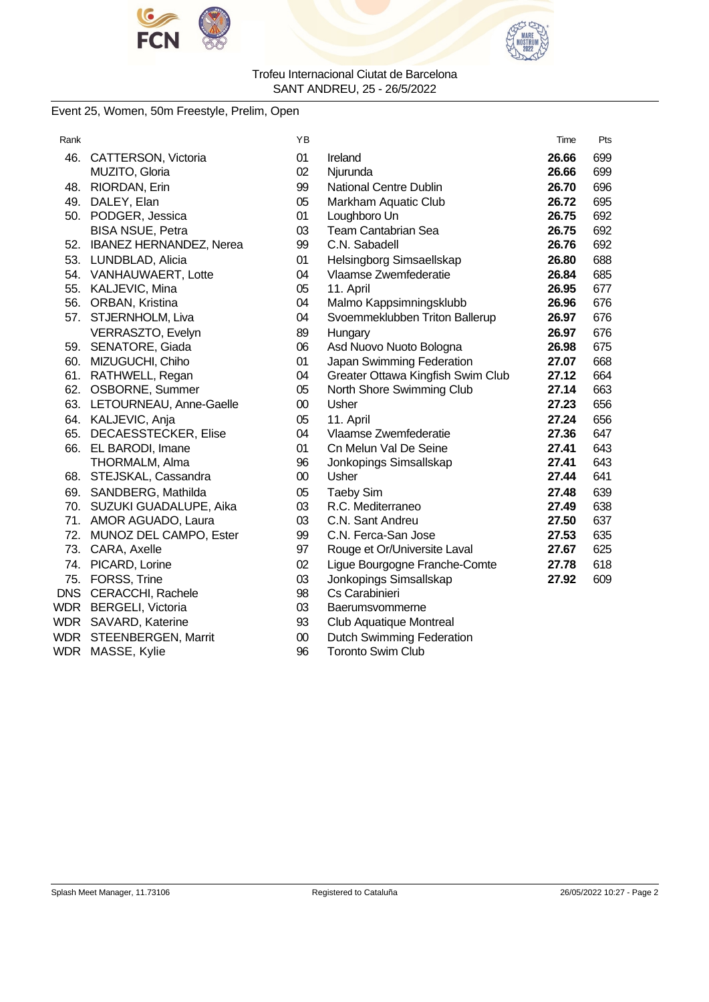



### Event 25, Women, 50m Freestyle, Prelim, Open

| Rank |                             | ΥB     |                                   | Time  | Pts |
|------|-----------------------------|--------|-----------------------------------|-------|-----|
| 46.  | CATTERSON, Victoria         | 01     | Ireland                           | 26.66 | 699 |
|      | MUZITO, Gloria              | 02     | Njurunda                          | 26.66 | 699 |
| 48.  | RIORDAN, Erin               | 99     | <b>National Centre Dublin</b>     | 26.70 | 696 |
|      | 49. DALEY, Elan             | 05     | Markham Aquatic Club              | 26.72 | 695 |
|      | 50. PODGER, Jessica         | 01     | Loughboro Un                      | 26.75 | 692 |
|      | <b>BISA NSUE, Petra</b>     | 03     | Team Cantabrian Sea               | 26.75 | 692 |
|      | 52. IBANEZ HERNANDEZ, Nerea | 99     | C.N. Sabadell                     | 26.76 | 692 |
|      | 53. LUNDBLAD, Alicia        | 01     | Helsingborg Simsaellskap          | 26.80 | 688 |
|      | 54. VANHAUWAERT, Lotte      | 04     | Vlaamse Zwemfederatie             | 26.84 | 685 |
|      | 55. KALJEVIC, Mina          | 05     | 11. April                         | 26.95 | 677 |
| 56.  | ORBAN, Kristina             | 04     | Malmo Kappsimningsklubb           | 26.96 | 676 |
| 57.  | STJERNHOLM, Liva            | 04     | Svoemmeklubben Triton Ballerup    | 26.97 | 676 |
|      | VERRASZTO, Evelyn           | 89     | Hungary                           | 26.97 | 676 |
|      | 59. SENATORE, Giada         | 06     | Asd Nuovo Nuoto Bologna           | 26.98 | 675 |
|      | 60. MIZUGUCHI, Chiho        | 01     | Japan Swimming Federation         | 27.07 | 668 |
| 61.  | RATHWELL, Regan             | 04     | Greater Ottawa Kingfish Swim Club | 27.12 | 664 |
|      | 62. OSBORNE, Summer         | 05     | North Shore Swimming Club         | 27.14 | 663 |
|      | 63. LETOURNEAU, Anne-Gaelle | $00\,$ | Usher                             | 27.23 | 656 |
|      | 64. KALJEVIC, Anja          | 05     | 11. April                         | 27.24 | 656 |
|      | 65. DECAESSTECKER, Elise    | 04     | Vlaamse Zwemfederatie             | 27.36 | 647 |
|      | 66. EL BARODI, Imane        | 01     | Cn Melun Val De Seine             | 27.41 | 643 |
|      | THORMALM, Alma              | 96     | Jonkopings Simsallskap            | 27.41 | 643 |
|      | 68. STEJSKAL, Cassandra     | $00\,$ | Usher                             | 27.44 | 641 |
|      | 69. SANDBERG, Mathilda      | 05     | <b>Taeby Sim</b>                  | 27.48 | 639 |
|      | 70. SUZUKI GUADALUPE, Aika  | 03     | R.C. Mediterraneo                 | 27.49 | 638 |
|      | 71. AMOR AGUADO, Laura      | 03     | C.N. Sant Andreu                  | 27.50 | 637 |
| 72.  | MUNOZ DEL CAMPO, Ester      | 99     | C.N. Ferca-San Jose               | 27.53 | 635 |
|      | 73. CARA, Axelle            | 97     | Rouge et Or/Universite Laval      | 27.67 | 625 |
|      | 74. PICARD, Lorine          | 02     | Ligue Bourgogne Franche-Comte     | 27.78 | 618 |
|      | 75. FORSS, Trine            | 03     | Jonkopings Simsallskap            | 27.92 | 609 |
|      | DNS CERACCHI, Rachele       | 98     | Cs Carabinieri                    |       |     |
|      | WDR BERGELI, Victoria       | 03     | Baerumsvommerne                   |       |     |
|      | WDR SAVARD, Katerine        | 93     | Club Aquatique Montreal           |       |     |
|      | WDR STEENBERGEN, Marrit     | $00\,$ | Dutch Swimming Federation         |       |     |
|      | WDR MASSE, Kylie            | 96     | <b>Toronto Swim Club</b>          |       |     |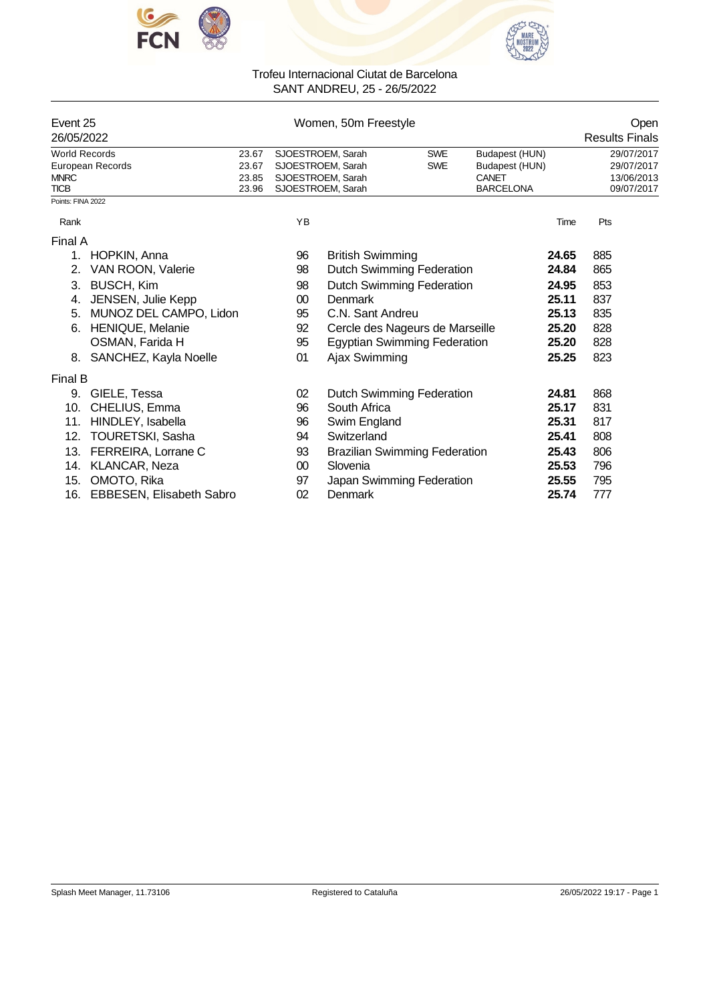



| Event 25<br>26/05/2022     |                          |                | Women, 50m Freestyle |                                        | Open<br><b>Results Finals</b> |                           |       |                          |
|----------------------------|--------------------------|----------------|----------------------|----------------------------------------|-------------------------------|---------------------------|-------|--------------------------|
| <b>World Records</b>       |                          | 23.67          |                      | SJOESTROEM, Sarah                      | <b>SWE</b>                    | Budapest (HUN)            |       | 29/07/2017               |
|                            | European Records         | 23.67          |                      | SJOESTROEM, Sarah                      | <b>SWE</b>                    | Budapest (HUN)            |       | 29/07/2017               |
| <b>MNRC</b><br><b>TICB</b> |                          | 23.85<br>23.96 |                      | SJOESTROEM, Sarah<br>SJOESTROEM, Sarah |                               | CANET<br><b>BARCELONA</b> |       | 13/06/2013<br>09/07/2017 |
| Points: FINA 2022          |                          |                |                      |                                        |                               |                           |       |                          |
| Rank                       |                          |                | YB                   |                                        |                               |                           | Time  | Pts                      |
| Final A                    |                          |                |                      |                                        |                               |                           |       |                          |
| 1.                         | HOPKIN, Anna             |                | 96                   | <b>British Swimming</b>                |                               |                           | 24.65 | 885                      |
| 2.                         | VAN ROON, Valerie        |                | 98                   | Dutch Swimming Federation              |                               |                           | 24.84 | 865                      |
| 3.                         | <b>BUSCH, Kim</b>        |                | 98                   | <b>Dutch Swimming Federation</b>       |                               |                           | 24.95 | 853                      |
| 4.                         | JENSEN, Julie Kepp       |                | 00                   | Denmark                                |                               |                           | 25.11 | 837                      |
| 5.                         | MUNOZ DEL CAMPO, Lidon   |                | 95                   | C.N. Sant Andreu                       |                               |                           | 25.13 | 835                      |
| 6.                         | <b>HENIQUE, Melanie</b>  |                | 92                   | Cercle des Nageurs de Marseille        |                               |                           | 25.20 | 828                      |
|                            | OSMAN, Farida H          |                | 95                   | <b>Egyptian Swimming Federation</b>    |                               |                           | 25.20 | 828                      |
| 8.                         | SANCHEZ, Kayla Noelle    |                | 01                   | Ajax Swimming                          |                               |                           | 25.25 | 823                      |
| Final B                    |                          |                |                      |                                        |                               |                           |       |                          |
| 9.                         | GIELE, Tessa             |                | 02                   | <b>Dutch Swimming Federation</b>       |                               |                           | 24.81 | 868                      |
| 10.                        | CHELIUS, Emma            |                | 96                   | South Africa                           |                               |                           | 25.17 | 831                      |
| 11.                        | HINDLEY, Isabella        |                | 96                   | Swim England                           |                               |                           | 25.31 | 817                      |
| 12.                        | <b>TOURETSKI, Sasha</b>  |                | 94                   | Switzerland                            |                               |                           | 25.41 | 808                      |
| 13.                        | FERREIRA, Lorrane C      |                | 93                   | <b>Brazilian Swimming Federation</b>   |                               |                           | 25.43 | 806                      |
| 14.                        | KLANCAR, Neza            |                | $00\,$               | Slovenia                               |                               |                           | 25.53 | 796                      |
| 15.                        | OMOTO, Rika              |                | 97                   | Japan Swimming Federation              |                               |                           | 25.55 | 795                      |
| 16.                        | EBBESEN, Elisabeth Sabro |                | 02                   | Denmark                                |                               |                           | 25.74 | 777                      |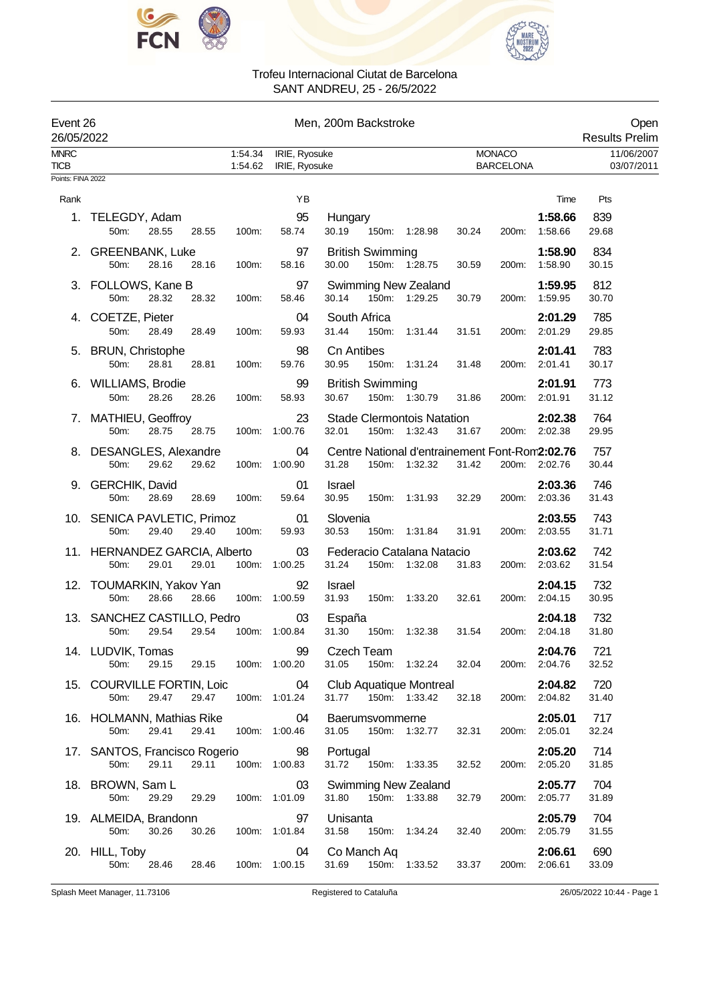



| Event 26<br>26/05/2022     |                                                         |                    |                                | Men, 200m Backstroke                                                     |                                   | Open<br><b>Results Prelim</b>      |
|----------------------------|---------------------------------------------------------|--------------------|--------------------------------|--------------------------------------------------------------------------|-----------------------------------|------------------------------------|
| <b>MNRC</b><br><b>TICB</b> |                                                         | 1:54.34<br>1:54.62 | IRIE, Ryosuke<br>IRIE, Ryosuke |                                                                          | <b>MONACO</b><br><b>BARCELONA</b> | 11/06/2007<br>03/07/2011           |
| Points: FINA 2022          |                                                         |                    |                                |                                                                          |                                   |                                    |
| Rank                       |                                                         |                    | YB                             |                                                                          |                                   | Time<br>Pts                        |
|                            | 1. TELEGDY, Adam<br>50m:<br>28.55<br>28.55              | 100m:              | 95<br>58.74                    | Hungary<br>30.19<br>150m: 1:28.98                                        | 30.24<br>200m:                    | 1:58.66<br>839<br>1:58.66<br>29.68 |
|                            | 2. GREENBANK, Luke<br>50m:<br>28.16<br>28.16            | 100m:              | 97<br>58.16                    | <b>British Swimming</b><br>30.00<br>150m: 1:28.75                        | 30.59<br>200m:                    | 834<br>1:58.90<br>1:58.90<br>30.15 |
|                            | 3. FOLLOWS, Kane B<br>50m:<br>28.32<br>28.32            | 100m:              | 97<br>58.46                    | <b>Swimming New Zealand</b><br>30.14<br>150m: 1:29.25                    | 30.79<br>200m:                    | 1:59.95<br>812<br>1:59.95<br>30.70 |
|                            | 4. COETZE, Pieter<br>50m:<br>28.49<br>28.49             | 100m:              | 04<br>59.93                    | South Africa<br>31.44<br>150m:<br>1:31.44                                | 200m:<br>2:01.29<br>31.51         | 785<br>2:01.29<br>29.85            |
| 5.                         | <b>BRUN, Christophe</b><br>50m:<br>28.81<br>28.81       | 100m:              | 98<br>59.76                    | <b>Cn Antibes</b><br>30.95<br>150m: 1:31.24                              | 2:01.41<br>31.48<br>200m:         | 783<br>2:01.41<br>30.17            |
|                            | 6. WILLIAMS, Brodie<br>50m:<br>28.26<br>28.26           | 100m:              | 99<br>58.93                    | <b>British Swimming</b><br>30.67<br>150m: 1:30.79                        | 2:01.91<br>31.86<br>200m:         | 773<br>2:01.91<br>31.12            |
| 7.                         | MATHIEU, Geoffroy<br>50m:<br>28.75<br>28.75             |                    | 23<br>100m: 1:00.76            | <b>Stade Clermontois Natation</b><br>32.01<br>150m: 1:32.43              | 31.67<br>200m: 2:02.38            | 764<br>2:02.38<br>29.95            |
| 8.                         | DESANGLES, Alexandre<br>50m:<br>29.62<br>29.62          |                    | 04<br>100m: 1:00.90            | Centre National d'entrainement Font-Rom2:02.76<br>31.28<br>150m: 1:32.32 | 31.42<br>200m: 2:02.76            | 757<br>30.44                       |
|                            | 9. GERCHIK, David<br>50m:<br>28.69<br>28.69             | 100m:              | 01<br>59.64                    | <b>Israel</b><br>30.95<br>150m: 1:31.93                                  | 32.29<br>200m:                    | 2:03.36<br>746<br>2:03.36<br>31.43 |
|                            | 10. SENICA PAVLETIC, Primoz<br>50m:<br>29.40<br>29.40   | 100m:              | 01<br>59.93                    | Slovenia<br>30.53<br>150m: 1:31.84                                       | 2:03.55<br>31.91<br>200m:         | 2:03.55<br>743<br>31.71            |
|                            | 11. HERNANDEZ GARCIA, Alberto<br>50m:<br>29.01<br>29.01 |                    | 03<br>100m: 1:00.25            | Federacio Catalana Natacio<br>31.24<br>150m: 1:32.08                     | 31.83<br>200m: 2:03.62            | 2:03.62<br>742<br>31.54            |
|                            | 12. TOUMARKIN, Yakov Yan<br>50m:<br>28.66<br>28.66      |                    | 92<br>100m: 1:00.59            | <b>Israel</b><br>31.93<br>150m:<br>1:33.20                               | 32.61<br>200m:                    | 2:04.15<br>732<br>30.95<br>2:04.15 |
|                            | 13. SANCHEZ CASTILLO, Pedro<br>29.54<br>29.54<br>50m:   |                    | 03<br>100m: 1:00.84            | España<br>31.30<br>150m:<br>1:32.38                                      | 31.54<br>200m:<br>2:04.18         | 2:04.18<br>732<br>31.80            |
|                            | 14. LUDVIK, Tomas<br>50m:<br>29.15<br>29.15             |                    | 99<br>100m: 1:00.20            | Czech Team<br>31.05<br>150m: 1:32.24                                     | 32.04<br>2:04.76<br>200m:         | 2:04.76<br>721<br>32.52            |
|                            | 15. COURVILLE FORTIN, Loic<br>29.47<br>50m:<br>29.47    |                    | 04<br>100m: 1:01.24            | Club Aquatique Montreal<br>31.77 150m: 1:33.42                           | 200m: 2:04.82<br>32.18            | 720<br>2:04.82<br>31.40            |
|                            | 16. HOLMANN, Mathias Rike<br>29.41<br>29.41<br>50m:     |                    | 04<br>100m: 1:00.46            | Baerumsvommerne<br>31.05<br>150m: 1:32.77                                | 32.31<br>200m:                    | 717<br>2:05.01<br>32.24<br>2:05.01 |
|                            | 17. SANTOS, Francisco Rogerio<br>50m:<br>29.11<br>29.11 |                    | 98<br>100m: 1:00.83            | Portugal<br>31.72<br>150m: 1:33.35                                       | 32.52<br>200m: 2:05.20            | 714<br>2:05.20<br>31.85            |
|                            | 18. BROWN, Sam L<br>50m:<br>29.29<br>29.29              |                    | 03<br>100m: 1:01.09            | <b>Swimming New Zealand</b><br>31.80<br>150m: 1:33.88                    | 2:05.77<br>32.79<br>200m:         | 704<br>2:05.77<br>31.89            |
|                            | 19. ALMEIDA, Brandonn<br>30.26<br>30.26<br>50m:         |                    | 97<br>100m: 1:01.84            | Unisanta<br>31.58<br>150m: 1:34.24                                       | 32.40<br>200m:                    | 704<br>2:05.79<br>2:05.79<br>31.55 |
|                            | 20. HILL, Toby<br>50m:<br>28.46<br>28.46                |                    | 04<br>100m: 1:00.15            | Co Manch Aq<br>31.69<br>150m: 1:33.52                                    | 200m: 2:06.61<br>33.37            | 690<br>2:06.61<br>33.09            |

Splash Meet Manager, 11.73106 Registered to Cataluña 26/05/2022 10:44 - Page 1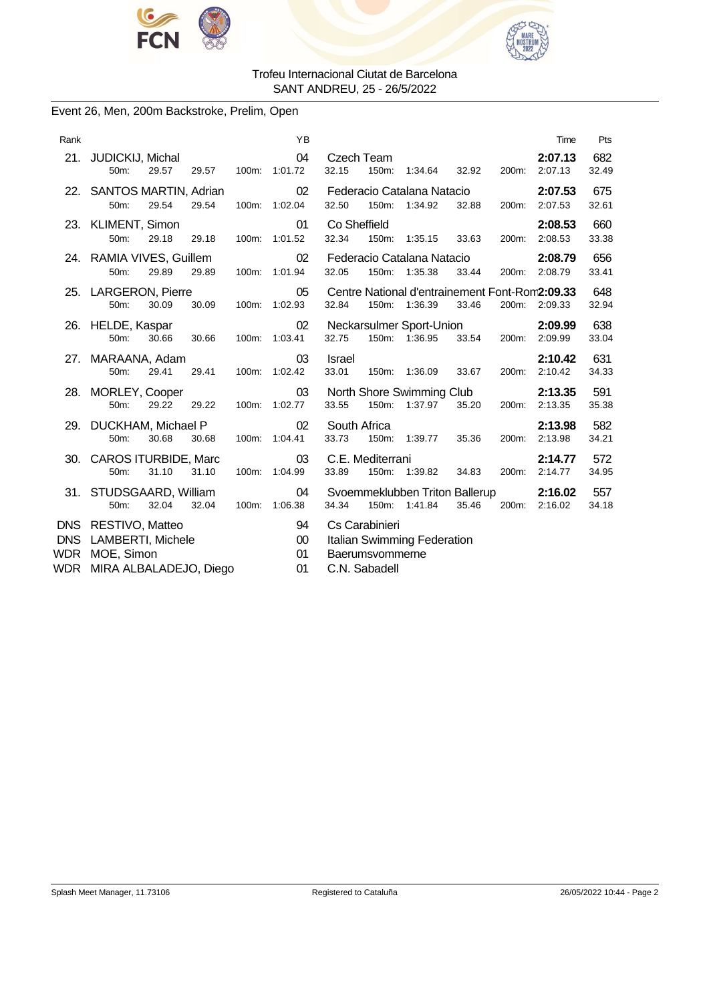



### Event 26, Men, 200m Backstroke, Prelim, Open

| Rank              |                                                                                      |       |       |       | YB                       |                       |                                                    |                                                                 |       |       | Time                     | Pts          |
|-------------------|--------------------------------------------------------------------------------------|-------|-------|-------|--------------------------|-----------------------|----------------------------------------------------|-----------------------------------------------------------------|-------|-------|--------------------------|--------------|
| 21.               | JUDICKIJ, Michal<br>50m:                                                             | 29.57 | 29.57 | 100m: | 04<br>1:01.72            | Czech Team<br>32.15   | 150m:                                              | 1:34.64                                                         | 32.92 | 200m: | 2:07.13<br>2:07.13       | 682<br>32.49 |
|                   | 22. SANTOS MARTIN, Adrian<br>50m:                                                    | 29.54 | 29.54 | 100m: | 02<br>1:02.04            | 32.50                 |                                                    | Federacio Catalana Natacio<br>150m: 1:34.92                     | 32.88 | 200m: | 2:07.53<br>2:07.53       | 675<br>32.61 |
|                   | 23. KLIMENT, Simon<br>50m:                                                           | 29.18 | 29.18 | 100m: | 01<br>1:01.52            | Co Sheffield<br>32.34 | 150m:                                              | 1:35.15                                                         | 33.63 | 200m: | 2:08.53<br>2:08.53       | 660<br>33.38 |
|                   | 24. RAMIA VIVES, Guillem<br>50m:                                                     | 29.89 | 29.89 |       | 02<br>100m: 1:01.94      | 32.05                 |                                                    | Federacio Catalana Natacio<br>150m: 1:35.38                     | 33.44 |       | 2:08.79<br>200m: 2:08.79 | 656<br>33.41 |
|                   | 25. LARGERON, Pierre<br>50m:                                                         | 30.09 | 30.09 |       | 05<br>100m: 1:02.93      | 32.84                 |                                                    | Centre National d'entrainement Font-Rom2:09.33<br>150m: 1:36.39 | 33.46 | 200m: | 2:09.33                  | 648<br>32.94 |
|                   | 26. HELDE, Kaspar<br>50m:                                                            | 30.66 | 30.66 | 100m: | 02<br>1:03.41            | 32.75                 |                                                    | Neckarsulmer Sport-Union<br>150m: 1:36.95                       | 33.54 | 200m: | 2:09.99<br>2:09.99       | 638<br>33.04 |
|                   | 27. MARAANA, Adam<br>50m:                                                            | 29.41 | 29.41 | 100m: | 03<br>1:02.42            | Israel<br>33.01       | 150m:                                              | 1:36.09                                                         | 33.67 | 200m: | 2:10.42<br>2:10.42       | 631<br>34.33 |
|                   | 28. MORLEY, Cooper<br>50m:                                                           | 29.22 | 29.22 |       | 03<br>100m: 1:02.77      | 33.55                 | 150m:                                              | North Shore Swimming Club<br>1:37.97                            | 35.20 | 200m: | 2:13.35<br>2:13.35       | 591<br>35.38 |
|                   | 29. DUCKHAM, Michael P<br>50m:                                                       | 30.68 | 30.68 | 100m: | 02<br>1:04.41            | South Africa<br>33.73 | 150m:                                              | 1:39.77                                                         | 35.36 | 200m: | 2:13.98<br>2:13.98       | 582<br>34.21 |
|                   | 30. CAROS ITURBIDE, Marc<br>50m:                                                     | 31.10 | 31.10 | 100m: | 03<br>1:04.99            | 33.89                 | C.E. Mediterrani                                   | 150m: 1:39.82                                                   | 34.83 | 200m: | 2:14.77<br>2:14.77       | 572<br>34.95 |
|                   | 31. STUDSGAARD, William<br>50m:                                                      | 32.04 | 32.04 | 100m: | 04<br>1:06.38            | 34.34                 | 150m:                                              | Svoemmeklubben Triton Ballerup<br>1:41.84                       | 35.46 | 200m: | 2:16.02<br>2:16.02       | 557<br>34.18 |
| <b>DNS</b><br>WDR | DNS RESTIVO, Matteo<br>LAMBERTI, Michele<br>MOE, Simon<br>WDR MIRA ALBALADEJO, Diego |       |       |       | 94<br>$00\,$<br>01<br>01 |                       | Cs Carabinieri<br>Baerumsvommerne<br>C.N. Sabadell | Italian Swimming Federation                                     |       |       |                          |              |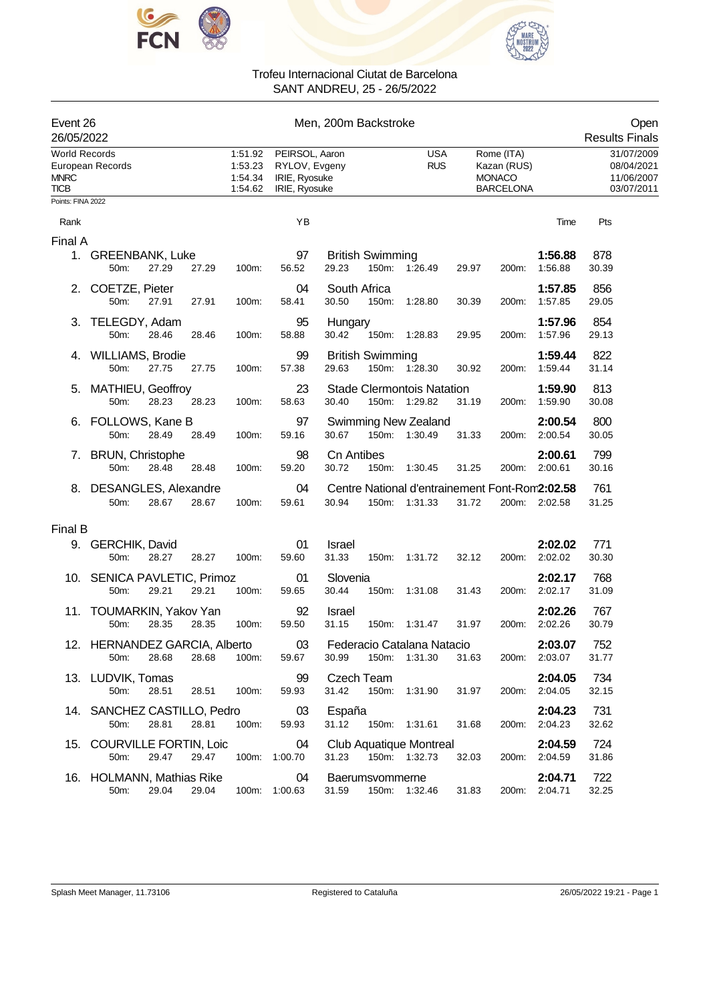



|                                                    | Event 26<br>26/05/2022                |       |       |                                          | Men, 200m Backstroke                                                                                                                                            |                                                                                                        |                                                      |  |  |  |  |
|----------------------------------------------------|---------------------------------------|-------|-------|------------------------------------------|-----------------------------------------------------------------------------------------------------------------------------------------------------------------|--------------------------------------------------------------------------------------------------------|------------------------------------------------------|--|--|--|--|
| <b>World Records</b><br><b>MNRC</b><br><b>TICB</b> | European Records                      |       |       | 1:51.92<br>1:53.23<br>1:54.34<br>1:54.62 | PEIRSOL, Aaron<br><b>USA</b><br>Rome (ITA)<br><b>RUS</b><br>RYLOV, Evgeny<br>Kazan (RUS)<br>IRIE, Ryosuke<br><b>MONACO</b><br><b>BARCELONA</b><br>IRIE, Ryosuke |                                                                                                        | 31/07/2009<br>08/04/2021<br>11/06/2007<br>03/07/2011 |  |  |  |  |
| Points: FINA 2022                                  |                                       |       |       |                                          |                                                                                                                                                                 |                                                                                                        |                                                      |  |  |  |  |
| Rank                                               |                                       |       |       |                                          | YB                                                                                                                                                              |                                                                                                        | Pts<br>Time                                          |  |  |  |  |
| Final A                                            |                                       |       |       |                                          |                                                                                                                                                                 |                                                                                                        |                                                      |  |  |  |  |
|                                                    | 1. GREENBANK, Luke<br>50m:            | 27.29 | 27.29 | 100m:                                    | 97<br>56.52                                                                                                                                                     | 1:56.88<br><b>British Swimming</b><br>29.23<br>150m: 1:26.49<br>1:56.88<br>29.97<br>200m:              | 878<br>30.39                                         |  |  |  |  |
| 2.                                                 | COETZE, Pieter<br>50m:                | 27.91 | 27.91 | 100m:                                    | 04<br>58.41                                                                                                                                                     | 1:57.85<br>South Africa<br>30.50<br>150m:<br>1:57.85<br>1:28.80<br>30.39<br>200m:                      | 856<br>29.05                                         |  |  |  |  |
| 3.                                                 | TELEGDY, Adam<br>50m:                 | 28.46 | 28.46 | 100m:                                    | 95<br>58.88                                                                                                                                                     | 1:57.96<br>Hungary<br>30.42<br>150m: 1:28.83<br>1:57.96<br>29.95<br>200m:                              | 854<br>29.13                                         |  |  |  |  |
|                                                    | 4. WILLIAMS, Brodie<br>50m:           | 27.75 | 27.75 | 100m:                                    | 99<br>57.38                                                                                                                                                     | <b>British Swimming</b><br>1:59.44<br>29.63<br>150m: 1:28.30<br>1:59.44<br>30.92<br>200m:              | 822<br>31.14                                         |  |  |  |  |
|                                                    | 5. MATHIEU, Geoffroy<br>50m:          | 28.23 | 28.23 | 100m:                                    | 23<br>58.63                                                                                                                                                     | 1:59.90<br><b>Stade Clermontois Natation</b><br>30.40<br>150m:<br>1:29.82<br>31.19<br>1:59.90<br>200m: | 813<br>30.08                                         |  |  |  |  |
| 6.                                                 | FOLLOWS, Kane B<br>50m:               | 28.49 | 28.49 | 100m:                                    | 97<br>59.16                                                                                                                                                     | 2:00.54<br><b>Swimming New Zealand</b><br>30.67<br>150m: 1:30.49<br>2:00.54<br>31.33<br>200m:          | 800<br>30.05                                         |  |  |  |  |
|                                                    | 7. BRUN, Christophe<br>50m:           | 28.48 | 28.48 | 100m:                                    | 98<br>59.20                                                                                                                                                     | <b>Cn Antibes</b><br>2:00.61<br>30.72<br>150m: 1:30.45<br>200m:<br>2:00.61<br>31.25                    | 799<br>30.16                                         |  |  |  |  |
|                                                    | 8. DESANGLES, Alexandre<br>50m:       | 28.67 | 28.67 | 100m:                                    | 04<br>59.61                                                                                                                                                     | Centre National d'entrainement Font-Rom2:02.58<br>30.94<br>150m: 1:31.33<br>31.72<br>200m: 2:02.58     | 761<br>31.25                                         |  |  |  |  |
| Final B                                            |                                       |       |       |                                          |                                                                                                                                                                 |                                                                                                        |                                                      |  |  |  |  |
|                                                    | 9. GERCHIK, David<br>50m:             | 28.27 | 28.27 | 100m:                                    | 01<br>59.60                                                                                                                                                     | Israel<br>2:02.02<br>31.33<br>2:02.02<br>150m: 1:31.72<br>32.12<br>200m:                               | 771<br>30.30                                         |  |  |  |  |
|                                                    | 10. SENICA PAVLETIC, Primoz<br>50m:   | 29.21 | 29.21 | 100m:                                    | 01<br>59.65                                                                                                                                                     | Slovenia<br>2:02.17<br>30.44<br>150m:<br>1:31.08<br>31.43<br>200m:<br>2:02.17                          | 768<br>31.09                                         |  |  |  |  |
|                                                    | 11. TOUMARKIN, Yakov Yan<br>50m:      | 28.35 | 28.35 | 100m:                                    | 92<br>59.50                                                                                                                                                     | 2:02.26<br>Israel<br>31.15<br>150m: 1:31.47<br>31.97<br>200m:<br>2:02.26                               | 767<br>30.79                                         |  |  |  |  |
|                                                    | 12. HERNANDEZ GARCIA, Alberto<br>50m: | 28.68 | 28.68 | 100m:                                    | $03\,$<br>59.67                                                                                                                                                 | Federacio Catalana Natacio<br>2:03.07<br>200m: 2:03.07<br>30.99<br>150m: 1:31.30<br>31.63              | 752<br>31.77                                         |  |  |  |  |
|                                                    | 13. LUDVIK, Tomas<br>50m:             | 28.51 | 28.51 | 100m:                                    | 99<br>59.93                                                                                                                                                     | Czech Team<br>2:04.05<br>31.42<br>150m: 1:31.90<br>31.97<br>200m: 2:04.05                              | 734<br>32.15                                         |  |  |  |  |
|                                                    | 14. SANCHEZ CASTILLO, Pedro<br>50m:   | 28.81 | 28.81 | 100m:                                    | 03<br>59.93                                                                                                                                                     | España<br>2:04.23<br>31.12<br>150m: 1:31.61<br>31.68<br>200m: 2:04.23                                  | 731<br>32.62                                         |  |  |  |  |
|                                                    | 15. COURVILLE FORTIN, Loic<br>50m:    | 29.47 | 29.47 |                                          | 04<br>100m: 1:00.70                                                                                                                                             | Club Aquatique Montreal<br>2:04.59<br>31.23<br>150m: 1:32.73<br>200m: 2:04.59<br>32.03                 | 724<br>31.86                                         |  |  |  |  |
|                                                    | 16. HOLMANN, Mathias Rike<br>50m:     | 29.04 | 29.04 |                                          | 04<br>100m: 1:00.63                                                                                                                                             | Baerumsvommerne<br>2:04.71<br>31.59<br>150m: 1:32.46<br>31.83<br>200m: 2:04.71                         | 722<br>32.25                                         |  |  |  |  |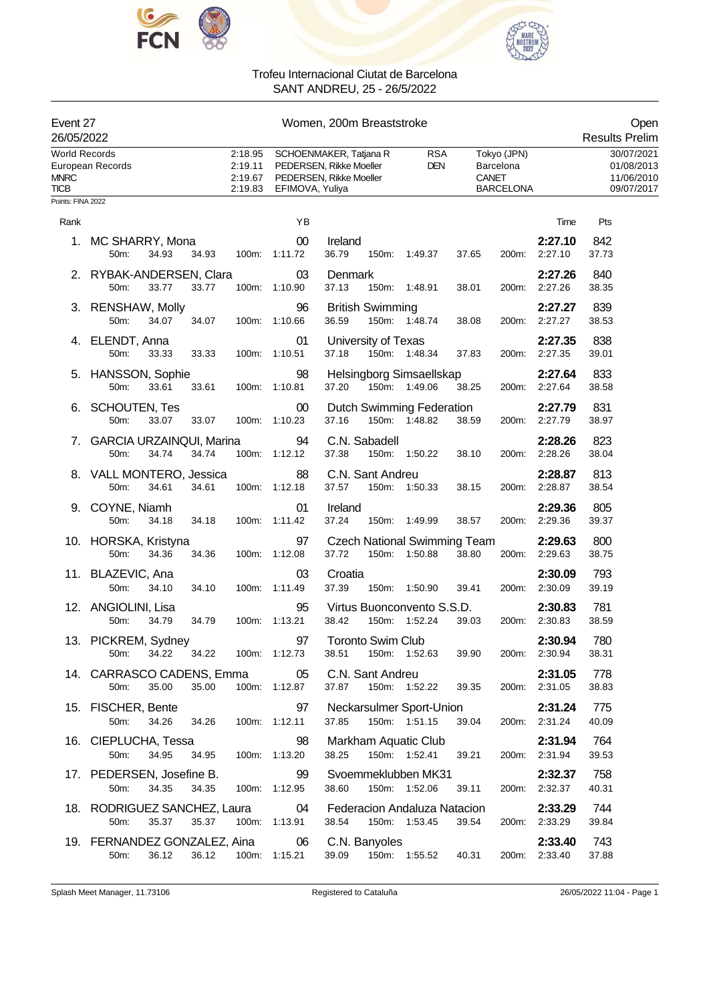



| Event 27<br>26/05/2022                      |                                                              |                                          |                         | Women, 200m Breaststroke                                                                                                    |               |       |                                              |                          | Open<br><b>Results Prelim</b>                        |
|---------------------------------------------|--------------------------------------------------------------|------------------------------------------|-------------------------|-----------------------------------------------------------------------------------------------------------------------------|---------------|-------|----------------------------------------------|--------------------------|------------------------------------------------------|
| World Records<br><b>MNRC</b><br><b>TICB</b> | European Records                                             | 2:18.95<br>2:19.11<br>2:19.67<br>2:19.83 |                         | SCHOENMAKER, Tatjana R<br><b>RSA</b><br>PEDERSEN, Rikke Moeller<br><b>DEN</b><br>PEDERSEN, Rikke Moeller<br>EFIMOVA, Yuliya |               | CANET | Tokyo (JPN)<br>Barcelona<br><b>BARCELONA</b> |                          | 30/07/2021<br>01/08/2013<br>11/06/2010<br>09/07/2017 |
| Points: FINA 2022                           |                                                              |                                          |                         |                                                                                                                             |               |       |                                              |                          |                                                      |
| Rank                                        |                                                              |                                          | YB                      |                                                                                                                             |               |       |                                              | Time                     | Pts                                                  |
|                                             | 1. MC SHARRY, Mona<br>34.93<br>50m:<br>34.93                 |                                          | $00\,$<br>100m: 1:11.72 | Ireland<br>36.79                                                                                                            | 150m: 1:49.37 | 37.65 | 200m:                                        | 2:27.10<br>2:27.10       | 842<br>37.73                                         |
|                                             | 2. RYBAK-ANDERSEN, Clara<br>50m:<br>33.77<br>33.77           |                                          | 03<br>100m: 1:10.90     | Denmark<br>37.13                                                                                                            | 150m: 1:48.91 | 38.01 | 200m:                                        | 2:27.26<br>2:27.26       | 840<br>38.35                                         |
|                                             | 3. RENSHAW, Molly<br>34.07<br>50m:<br>34.07                  |                                          | 96<br>100m: 1:10.66     | <b>British Swimming</b><br>36.59                                                                                            | 150m: 1:48.74 | 38.08 | 200m:                                        | 2:27.27<br>2:27.27       | 839<br>38.53                                         |
|                                             | 4. ELENDT, Anna<br>50m:<br>33.33<br>33.33                    |                                          | 01<br>100m: 1:10.51     | University of Texas<br>37.18                                                                                                | 150m: 1:48.34 | 37.83 | 200m:                                        | 2:27.35<br>2:27.35       | 838<br>39.01                                         |
|                                             | 5. HANSSON, Sophie<br>50m:<br>33.61<br>33.61                 |                                          | 98<br>100m: 1:10.81     | Helsingborg Simsaellskap<br>37.20                                                                                           | 150m: 1:49.06 | 38.25 |                                              | 2:27.64<br>200m: 2:27.64 | 833<br>38.58                                         |
|                                             | 6. SCHOUTEN, Tes<br>33.07<br>50m:<br>33.07                   |                                          | 00<br>100m: 1:10.23     | Dutch Swimming Federation<br>37.16                                                                                          | 150m: 1:48.82 | 38.59 | 200m:                                        | 2:27.79<br>2:27.79       | 831<br>38.97                                         |
|                                             | 7. GARCIA URZAINQUI, Marina<br>50m:<br>34.74<br>34.74        |                                          | 94<br>100m: 1:12.12     | C.N. Sabadell<br>37.38                                                                                                      | 150m: 1:50.22 | 38.10 | 200m:                                        | 2:28.26<br>2:28.26       | 823<br>38.04                                         |
|                                             | 8. VALL MONTERO, Jessica<br>50m:<br>34.61<br>34.61           |                                          | 88<br>100m: 1:12.18     | C.N. Sant Andreu<br>37.57                                                                                                   | 150m: 1:50.33 | 38.15 | 200m:                                        | 2:28.87<br>2:28.87       | 813<br>38.54                                         |
|                                             | 9. COYNE, Niamh<br>50m:<br>34.18<br>34.18                    |                                          | 01<br>100m: 1:11.42     | Ireland<br>37.24                                                                                                            | 150m: 1:49.99 | 38.57 | 200m:                                        | 2:29.36<br>2:29.36       | 805<br>39.37                                         |
|                                             | 10. HORSKA, Kristyna<br>50m:<br>34.36<br>34.36               |                                          | 97<br>100m: 1:12.08     | <b>Czech National Swimming Team</b><br>37.72                                                                                | 150m: 1:50.88 | 38.80 | 200m:                                        | 2:29.63<br>2:29.63       | 800<br>38.75                                         |
|                                             | 11. BLAZEVIC, Ana<br>50m:<br>34.10<br>34.10                  |                                          | 03<br>100m: 1:11.49     | Croatia<br>37.39                                                                                                            | 150m: 1:50.90 | 39.41 | 200m:                                        | 2:30.09<br>2:30.09       | 793<br>39.19                                         |
|                                             | 12. ANGIOLINI, Lisa<br>50m:<br>34.79<br>34.79                |                                          | 95<br>100m: 1:13.21     | Virtus Buonconvento S.S.D.<br>38.42                                                                                         | 150m: 1:52.24 | 39.03 |                                              | 2:30.83<br>200m: 2:30.83 | 781<br>38.59                                         |
|                                             | 13. PICKREM, Sydney<br>34.22   34.22   100m: 1:12.73<br>50m: |                                          | 97                      | <b>Toronto Swim Club</b><br>38.51 150m: 1:52.63                                                                             |               | 39.90 |                                              | 2:30.94<br>200m: 2:30.94 | 780<br>38.31                                         |
|                                             | 14. CARRASCO CADENS, Emma<br>35.00<br>35.00<br>50m:          |                                          | 05<br>100m: 1:12.87     | C.N. Sant Andreu<br>37.87<br>150m: 1:52.22                                                                                  |               | 39.35 |                                              | 2:31.05<br>200m: 2:31.05 | 778<br>38.83                                         |
|                                             | 15. FISCHER, Bente<br>50m:<br>34.26<br>34.26                 | 100m: 1:12.11                            | 97                      | Neckarsulmer Sport-Union<br>150m: 1:51.15<br>37.85                                                                          |               | 39.04 |                                              | 2:31.24<br>200m: 2:31.24 | 775<br>40.09                                         |
|                                             | 16. CIEPLUCHA, Tessa<br>50m:<br>34.95<br>34.95               | 100m: 1:13.20                            | 98                      | Markham Aquatic Club<br>38.25                                                                                               | 150m: 1:52.41 | 39.21 |                                              | 2:31.94<br>200m: 2:31.94 | 764<br>39.53                                         |
|                                             | 17. PEDERSEN, Josefine B.<br>34.35<br>34.35<br>50m:          |                                          | 99<br>100m: 1:12.95     | Svoemmeklubben MK31<br>38.60                                                                                                | 150m: 1:52.06 | 39.11 |                                              | 2:32.37<br>200m: 2:32.37 | 758<br>40.31                                         |
|                                             | 18. RODRIGUEZ SANCHEZ, Laura<br>35.37<br>50m:<br>35.37       |                                          | 04<br>100m: 1:13.91     | Federacion Andaluza Natacion<br>38.54<br>150m: 1:53.45                                                                      |               | 39.54 |                                              | 2:33.29<br>200m: 2:33.29 | 744<br>39.84                                         |
|                                             | 19. FERNANDEZ GONZALEZ, Aina 06<br>36.12<br>50m:             |                                          | 36.12 100m: 1:15.21     | C.N. Banyoles<br>39.09 150m: 1:55.52 40.31                                                                                  |               |       |                                              | 2:33.40<br>200m: 2:33.40 | 743<br>37.88                                         |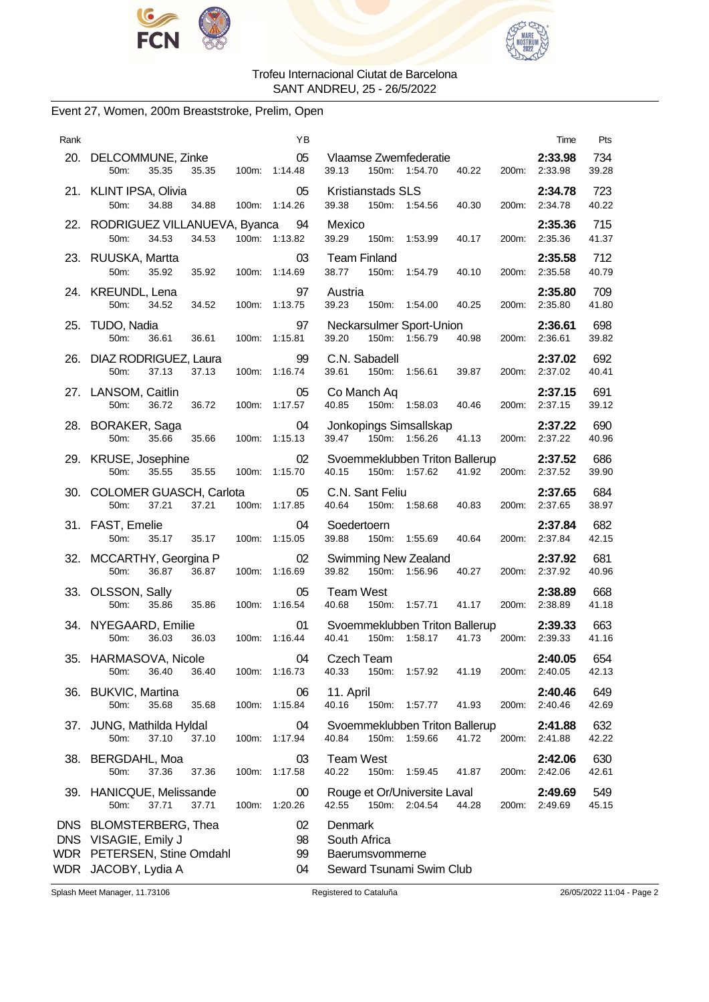



# Event 27, Women, 200m Breaststroke, Prelim, Open

| Rank       |                                                                                             |       |               | ΥB                   |                                            |       |                                                 |       |       | Time                     | Pts          |
|------------|---------------------------------------------------------------------------------------------|-------|---------------|----------------------|--------------------------------------------|-------|-------------------------------------------------|-------|-------|--------------------------|--------------|
|            | 20. DELCOMMUNE, Zinke<br>35.35<br>50m:                                                      | 35.35 |               | 05<br>100m: 1:14.48  | 39.13                                      |       | Vlaamse Zwemfederatie<br>150m: 1:54.70          | 40.22 |       | 2:33.98<br>200m: 2:33.98 | 734<br>39.28 |
|            | 21. KLINT IPSA, Olivia<br>50m:<br>34.88                                                     | 34.88 |               | 05<br>100m: 1:14.26  | <b>Kristianstads SLS</b><br>39.38          |       | 150m: 1:54.56                                   | 40.30 |       | 2:34.78<br>200m: 2:34.78 | 723<br>40.22 |
|            | 22. RODRIGUEZ VILLANUEVA, Byanca<br>50m:<br>34.53                                           | 34.53 | 100m: 1:13.82 | 94                   | Mexico<br>39.29                            |       | 150m: 1:53.99                                   | 40.17 | 200m: | 2:35.36<br>2:35.36       | 715<br>41.37 |
|            | 23. RUUSKA, Martta<br>50m:<br>35.92                                                         | 35.92 | 100m: 1:14.69 | 03                   | <b>Team Finland</b><br>38.77               | 150m: | 1:54.79                                         | 40.10 |       | 2:35.58<br>200m: 2:35.58 | 712<br>40.79 |
|            | 24. KREUNDL, Lena<br>50m:<br>34.52                                                          | 34.52 | 100m: 1:13.75 | 97                   | Austria<br>39.23                           |       | 150m: 1:54.00                                   | 40.25 |       | 2:35.80<br>200m: 2:35.80 | 709<br>41.80 |
|            | 25. TUDO, Nadia<br>50m:<br>36.61                                                            | 36.61 | 100m: 1:15.81 | 97                   | 39.20                                      |       | Neckarsulmer Sport-Union<br>150m: 1:56.79       | 40.98 |       | 2:36.61<br>200m: 2:36.61 | 698<br>39.82 |
|            | 26. DIAZ RODRIGUEZ, Laura<br>37.13<br>50m:                                                  | 37.13 | 100m: 1:16.74 | 99                   | C.N. Sabadell<br>39.61                     |       | 150m: 1:56.61                                   | 39.87 |       | 2:37.02<br>200m: 2:37.02 | 692<br>40.41 |
|            | 27. LANSOM, Caitlin<br>50m:<br>36.72                                                        | 36.72 |               | 05<br>100m: 1:17.57  | Co Manch Aq<br>40.85                       |       | 150m: 1:58.03                                   | 40.46 |       | 2:37.15<br>200m: 2:37.15 | 691<br>39.12 |
|            | 28. BORAKER, Saga<br>50m:<br>35.66                                                          | 35.66 | 100m: 1:15.13 | 04                   | 39.47                                      |       | Jonkopings Simsallskap<br>150m: 1:56.26         | 41.13 |       | 2:37.22<br>200m: 2:37.22 | 690<br>40.96 |
|            | 29. KRUSE, Josephine<br>35.55<br>50m:                                                       | 35.55 | 100m: 1:15.70 | 02                   | 40.15                                      |       | Svoemmeklubben Triton Ballerup<br>150m: 1:57.62 | 41.92 |       | 2:37.52<br>200m: 2:37.52 | 686<br>39.90 |
|            | 30. COLOMER GUASCH, Carlota<br>50m:<br>37.21                                                | 37.21 |               | 05<br>100m: 1:17.85  | C.N. Sant Feliu<br>40.64                   |       | 150m: 1:58.68                                   | 40.83 |       | 2:37.65<br>200m: 2:37.65 | 684<br>38.97 |
|            | 31. FAST, Emelie<br>50m:<br>35.17                                                           | 35.17 | 100m: 1:15.05 | 04                   | Soedertoern<br>39.88                       |       | 150m: 1:55.69                                   | 40.64 |       | 2:37.84<br>200m: 2:37.84 | 682<br>42.15 |
|            | 32. MCCARTHY, Georgina P<br>50m:<br>36.87                                                   | 36.87 | 100m: 1:16.69 | 02                   | 39.82                                      | 150m: | <b>Swimming New Zealand</b><br>1:56.96          | 40.27 |       | 2:37.92<br>200m: 2:37.92 | 681<br>40.96 |
|            | 33. OLSSON, Sally<br>50m:<br>35.86                                                          | 35.86 |               | 05<br>100m: 1:16.54  | <b>Team West</b><br>40.68                  |       | 150m: 1:57.71                                   | 41.17 |       | 2:38.89<br>200m: 2:38.89 | 668<br>41.18 |
|            | 34. NYEGAARD, Emilie<br>50m:<br>36.03                                                       | 36.03 |               | 01<br>100m: 1:16.44  | 40.41                                      |       | Svoemmeklubben Triton Ballerup<br>150m: 1:58.17 | 41.73 |       | 2:39.33<br>200m: 2:39.33 | 663<br>41.16 |
| 35.        | HARMASOVA, Nicole<br>50m:<br>36.40                                                          | 36.40 | 100m: 1:16.73 | 04                   | Czech Team<br>40.33                        | 150m: | 1:57.92                                         | 41.19 | 200m: | 2:40.05<br>2:40.05       | 654<br>42.13 |
| 36.        | <b>BUKVIC, Martina</b><br>35.68<br>50m:                                                     | 35.68 | 100m: 1:15.84 | 06                   | 11. April<br>40.16                         |       | 150m: 1:57.77                                   | 41.93 | 200m: | 2:40.46<br>2:40.46       | 649<br>42.69 |
| 37.        | JUNG, Mathilda Hyldal<br>37.10<br>50m:                                                      | 37.10 | 100m: 1:17.94 | 04                   | 40.84                                      | 150m: | Svoemmeklubben Triton Ballerup<br>1:59.66       | 41.72 | 200m: | 2:41.88<br>2:41.88       | 632<br>42.22 |
|            | 38. BERGDAHL, Moa<br>50m:<br>37.36                                                          | 37.36 | 100m:         | 03<br>1:17.58        | <b>Team West</b><br>40.22                  | 150m: | 1:59.45                                         | 41.87 | 200m: | 2:42.06<br>2:42.06       | 630<br>42.61 |
|            | 39. HANICQUE, Melissande<br>37.71<br>50m:                                                   | 37.71 | 100m: 1:20.26 | 00                   | 42.55                                      |       | Rouge et Or/Universite Laval<br>150m: 2:04.54   | 44.28 |       | 2:49.69<br>200m: 2:49.69 | 549<br>45.15 |
| WDR<br>WDR | DNS BLOMSTERBERG, Thea<br>DNS VISAGIE, Emily J<br>PETERSEN, Stine Omdahl<br>JACOBY, Lydia A |       |               | 02<br>98<br>99<br>04 | Denmark<br>South Africa<br>Baerumsvommerne |       | Seward Tsunami Swim Club                        |       |       |                          |              |

Splash Meet Manager, 11.73106 Registered to Cataluña 26/05/2022 11:04 - Page 2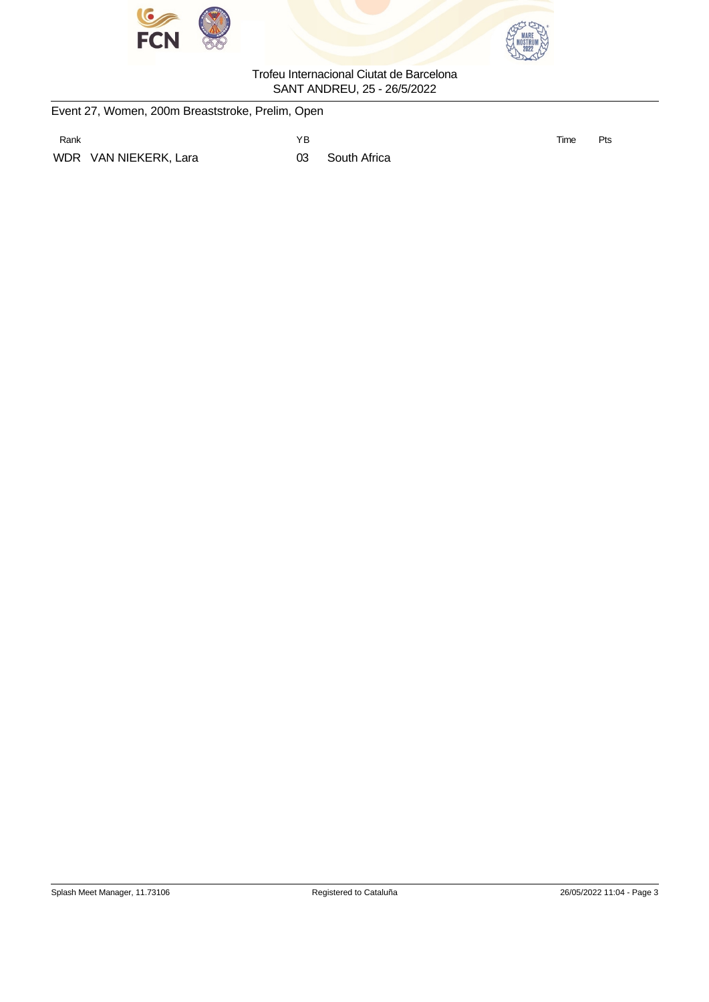



|      | Event 27, Women, 200m Breaststroke, Prelim, Open |    |              |      |     |
|------|--------------------------------------------------|----|--------------|------|-----|
| Rank |                                                  | ΥB |              | Time | Pts |
|      | WDR VAN NIEKERK, Lara                            | 03 | South Africa |      |     |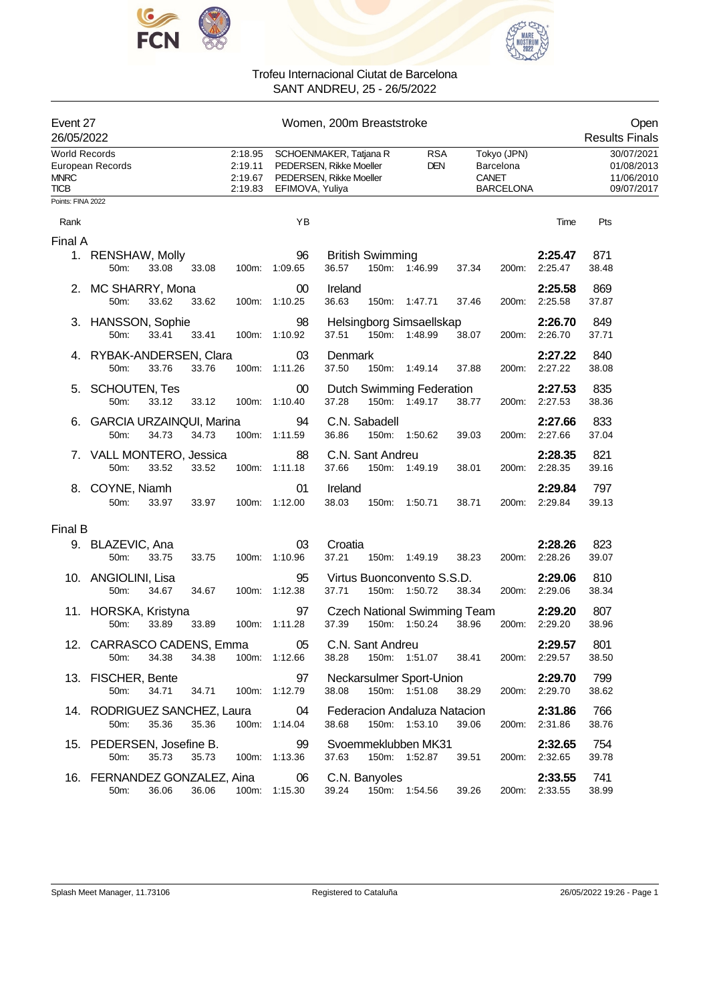



| Event 27<br>26/05/2022                             |                                         |       |       |                                          |                            | Women, 200m Breaststroke                                                                                                                                                 | Open<br><b>Results Finals</b>                        |
|----------------------------------------------------|-----------------------------------------|-------|-------|------------------------------------------|----------------------------|--------------------------------------------------------------------------------------------------------------------------------------------------------------------------|------------------------------------------------------|
| <b>World Records</b><br><b>MNRC</b><br><b>TICB</b> | European Records                        |       |       | 2:18.95<br>2:19.11<br>2:19.67<br>2:19.83 | EFIMOVA, Yuliya            | Tokyo (JPN)<br>SCHOENMAKER, Tatjana R<br><b>RSA</b><br>PEDERSEN, Rikke Moeller<br><b>DEN</b><br>Barcelona<br>PEDERSEN, Rikke Moeller<br><b>CANET</b><br><b>BARCELONA</b> | 30/07/2021<br>01/08/2013<br>11/06/2010<br>09/07/2017 |
| Points: FINA 2022                                  |                                         |       |       |                                          |                            |                                                                                                                                                                          |                                                      |
| Rank                                               |                                         |       |       |                                          | YB                         |                                                                                                                                                                          | Pts<br>Time                                          |
| Final A                                            |                                         |       |       |                                          |                            |                                                                                                                                                                          |                                                      |
|                                                    | 1. RENSHAW, Molly<br>50m:               | 33.08 | 33.08 | 100m:                                    | 96<br>1:09.65              | <b>British Swimming</b><br>2:25.47<br>36.57<br>150m: 1:46.99<br>2:25.47<br>37.34<br>200m:                                                                                | 871<br>38.48                                         |
|                                                    | 2. MC SHARRY, Mona<br>50m:              | 33.62 | 33.62 |                                          | 00<br>100m: 1:10.25        | 2:25.58<br>Ireland<br>36.63<br>2:25.58<br>150m: 1:47.71<br>37.46<br>200m:                                                                                                | 869<br>37.87                                         |
|                                                    | 3. HANSSON, Sophie<br>50m:              | 33.41 | 33.41 |                                          | 98<br>100m: 1:10.92        | 2:26.70<br>Helsingborg Simsaellskap<br>37.51<br>150m: 1:48.99<br>200m: 2:26.70<br>38.07                                                                                  | 849<br>37.71                                         |
|                                                    | 4. RYBAK-ANDERSEN, Clara<br>50m:        | 33.76 | 33.76 |                                          | 03<br>100m: 1:11.26        | 2:27.22<br>Denmark<br>37.50<br>150m: 1:49.14<br>2:27.22<br>37.88<br>200m:                                                                                                | 840<br>38.08                                         |
|                                                    | 5. SCHOUTEN, Tes<br>50m:                | 33.12 | 33.12 |                                          | 00<br>100m: 1:10.40        | 2:27.53<br>Dutch Swimming Federation<br>37.28<br>150m: 1:49.17<br>38.77<br>2:27.53<br>200m:                                                                              | 835<br>38.36                                         |
|                                                    | 6. GARCIA URZAINQUI, Marina<br>50m:     | 34.73 | 34.73 |                                          | 94<br>100m: 1:11.59        | C.N. Sabadell<br>2:27.66<br>36.86<br>150m: 1:50.62<br>2:27.66<br>39.03<br>200m:                                                                                          | 833<br>37.04                                         |
|                                                    | 7. VALL MONTERO, Jessica<br>50m:        | 33.52 | 33.52 |                                          | 88<br>100m: 1:11.18        | C.N. Sant Andreu<br>2:28.35<br>37.66<br>150m: 1:49.19<br>2:28.35<br>38.01<br>200m:                                                                                       | 821<br>39.16                                         |
|                                                    | 8. COYNE, Niamh<br>50m:                 | 33.97 | 33.97 |                                          | 01<br>100m: 1:12.00        | 2:29.84<br>Ireland<br>38.03<br>2:29.84<br>150m: 1:50.71<br>38.71<br>200m:                                                                                                | 797<br>39.13                                         |
| Final B                                            |                                         |       |       |                                          |                            |                                                                                                                                                                          |                                                      |
|                                                    | 9. BLAZEVIC, Ana<br>50m:                | 33.75 | 33.75 |                                          | 03<br>100m: 1:10.96        | Croatia<br>2:28.26<br>200m: 2:28.26<br>37.21<br>38.23<br>150m: 1:49.19                                                                                                   | 823<br>39.07                                         |
|                                                    | 10. ANGIOLINI, Lisa<br>50m:             | 34.67 | 34.67 |                                          | 95<br>100m: 1:12.38        | Virtus Buonconvento S.S.D.<br>2:29.06<br>37.71<br>150m: 1:50.72<br>38.34<br>200m: 2:29.06                                                                                | 810<br>38.34                                         |
|                                                    | 11. HORSKA, Kristyna<br>50m:            | 33.89 | 33.89 | 100m:                                    | 97<br>1:11.28              | <b>Czech National Swimming Team</b><br>2:29.20<br>37.39<br>150m: 1:50.24<br>38.96<br>200m: 2:29.20                                                                       | 807<br>38.96                                         |
|                                                    | 12. CARRASCO CADENS, Emma<br>50m:       | 34.38 | 34.38 |                                          | $\sim$ 05<br>100m: 1:12.66 | C.N. Sant Andreu<br>2:29.57<br>150m: 1:51.07<br>38.28<br>38.41<br>200m: 2:29.57                                                                                          | 801<br>38.50                                         |
|                                                    | 13. FISCHER, Bente<br>50m:              | 34.71 | 34.71 |                                          | 97<br>100m: 1:12.79        | Neckarsulmer Sport-Union<br>2:29.70<br>38.08<br>150m: 1:51.08<br>200m: 2:29.70<br>38.29                                                                                  | 799<br>38.62                                         |
|                                                    | 14. RODRIGUEZ SANCHEZ, Laura<br>50m:    | 35.36 | 35.36 |                                          | 04<br>100m: 1:14.04        | 2:31.86<br>Federacion Andaluza Natacion<br>38.68<br>150m: 1:53.10<br>200m: 2:31.86<br>39.06                                                                              | 766<br>38.76                                         |
|                                                    | 15. PEDERSEN, Josefine B.<br>50m:       | 35.73 | 35.73 |                                          | 99<br>100m: 1:13.36        | 2:32.65<br>Svoemmeklubben MK31<br>37.63<br>150m: 1:52.87<br>39.51<br>200m: 2:32.65                                                                                       | 754<br>39.78                                         |
|                                                    | 16. FERNANDEZ GONZALEZ, Aina 06<br>50m: | 36.06 | 36.06 |                                          | 100m: 1:15.30              | C.N. Banyoles<br>2:33.55<br>39.24<br>39.26<br>200m: 2:33.55<br>150m: 1:54.56                                                                                             | 741<br>38.99                                         |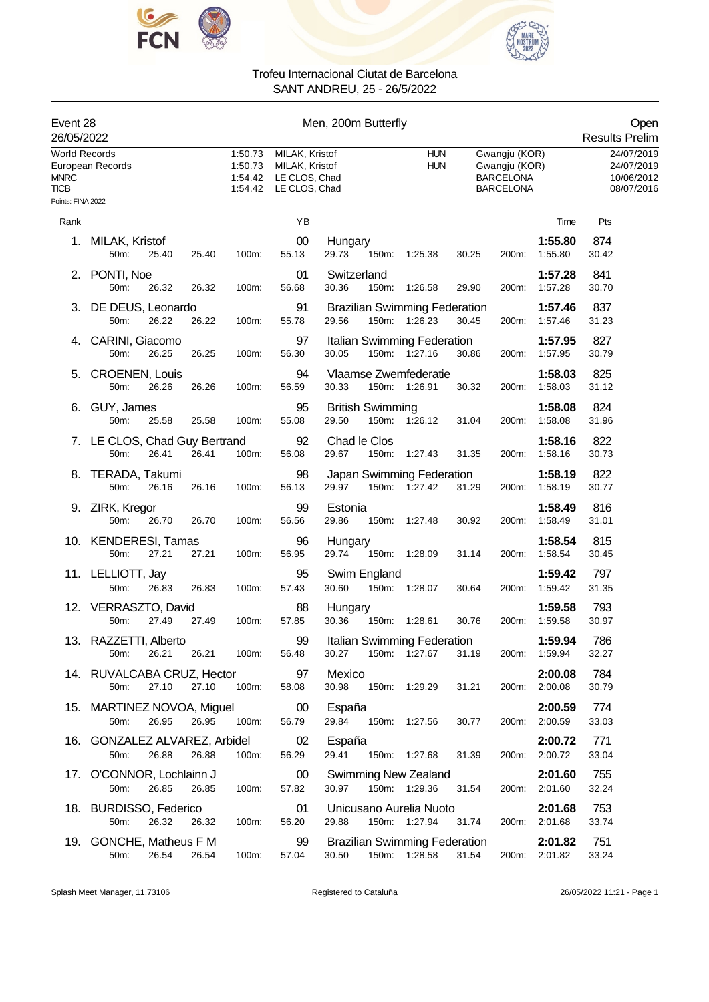



| Event 28<br>26/05/2022                             |                                                         |                                          |                                                                    | Men, 200m Butterfly                                                                                |       |                                                          |       |                                                      |                          | Open<br><b>Results Prelim</b> |
|----------------------------------------------------|---------------------------------------------------------|------------------------------------------|--------------------------------------------------------------------|----------------------------------------------------------------------------------------------------|-------|----------------------------------------------------------|-------|------------------------------------------------------|--------------------------|-------------------------------|
| <b>World Records</b><br><b>MNRC</b><br><b>TICB</b> | European Records                                        | 1:50.73<br>1:50.73<br>1:54.42<br>1:54.42 | MILAK, Kristof<br>MILAK, Kristof<br>LE CLOS, Chad<br>LE CLOS, Chad | Gwangju (KOR)<br><b>HUN</b><br><b>HUN</b><br>Gwangju (KOR)<br><b>BARCELONA</b><br><b>BARCELONA</b> |       |                                                          |       | 24/07/2019<br>24/07/2019<br>10/06/2012<br>08/07/2016 |                          |                               |
| Points: FINA 2022                                  |                                                         |                                          |                                                                    |                                                                                                    |       |                                                          |       |                                                      |                          |                               |
| Rank                                               |                                                         |                                          | ΥB                                                                 |                                                                                                    |       |                                                          |       |                                                      | Time                     | Pts                           |
|                                                    | 1. MILAK, Kristof<br>50m:<br>25.40<br>25.40             | 100m:                                    | 00<br>55.13                                                        | Hungary<br>29.73                                                                                   | 150m: | 1:25.38                                                  | 30.25 | 200m:                                                | 1:55.80<br>1:55.80       | 874<br>30.42                  |
|                                                    | 2. PONTI, Noe<br>50m:<br>26.32<br>26.32                 | 100m:                                    | 01<br>56.68                                                        | Switzerland<br>30.36                                                                               | 150m: | 1:26.58                                                  | 29.90 | 200m:                                                | 1:57.28<br>1:57.28       | 841<br>30.70                  |
|                                                    | 3. DE DEUS, Leonardo<br>26.22<br>26.22<br>50m:          | 100m:                                    | 91<br>55.78                                                        | 29.56                                                                                              |       | <b>Brazilian Swimming Federation</b><br>150m: 1:26.23    | 30.45 | 200m:                                                | 1:57.46<br>1.57.46       | 837<br>31.23                  |
|                                                    | 4. CARINI, Giacomo<br>26.25<br>26.25<br>50m:            | 100m:                                    | 97<br>56.30                                                        | 30.05                                                                                              |       | Italian Swimming Federation<br>150m: 1:27.16             | 30.86 | 200m:                                                | 1:57.95<br>1:57.95       | 827<br>30.79                  |
|                                                    | 5. CROENEN, Louis<br>50m:<br>26.26<br>26.26             | 100m:                                    | 94<br>56.59                                                        | 30.33                                                                                              |       | Vlaamse Zwemfederatie<br>150m: 1:26.91                   | 30.32 | 200m:                                                | 1:58.03<br>1:58.03       | 825<br>31.12                  |
|                                                    | 6. GUY, James<br>50m:<br>25.58<br>25.58                 | 100m:                                    | 95<br>55.08                                                        | <b>British Swimming</b><br>29.50                                                                   |       | 150m: 1:26.12                                            | 31.04 | 200m:                                                | 1:58.08<br>1:58.08       | 824<br>31.96                  |
|                                                    | 7. LE CLOS, Chad Guy Bertrand<br>50m:<br>26.41<br>26.41 | 100m:                                    | 92<br>56.08                                                        | Chad le Clos<br>29.67                                                                              |       | 150m: 1:27.43                                            | 31.35 | 200m:                                                | 1:58.16<br>1:58.16       | 822<br>30.73                  |
|                                                    | 8. TERADA, Takumi<br>50m:<br>26.16<br>26.16             | 100m:                                    | 98<br>56.13                                                        | 29.97                                                                                              |       | Japan Swimming Federation<br>150m: 1:27.42               | 31.29 | 200m:                                                | 1:58.19<br>1:58.19       | 822<br>30.77                  |
|                                                    | 9. ZIRK, Kregor<br>50m:<br>26.70<br>26.70               | 100m:                                    | 99<br>56.56                                                        | Estonia<br>29.86                                                                                   |       | 150m: 1:27.48                                            | 30.92 | 200m:                                                | 1:58.49<br>1.58.49       | 816<br>31.01                  |
|                                                    | 10. KENDERESI, Tamas<br>50m:<br>27.21<br>27.21          | 100m:                                    | 96<br>56.95                                                        | Hungary<br>29.74                                                                                   | 150m: | 1:28.09                                                  | 31.14 | 200m:                                                | 1:58.54<br>1:58.54       | 815<br>30.45                  |
|                                                    | 11. LELLIOTT, Jay<br>26.83<br>50m:<br>26.83             | 100m:                                    | 95<br>57.43                                                        | Swim England<br>30.60                                                                              |       | 150m: 1:28.07                                            | 30.64 | 200m:                                                | 1:59.42<br>1:59.42       | 797<br>31.35                  |
|                                                    | 12. VERRASZTO, David<br>27.49<br>27.49<br>50m:          | 100m:                                    | 88<br>57.85                                                        | Hungary<br>30.36                                                                                   |       | 150m: 1:28.61                                            | 30.76 | 200m:                                                | 1:59.58<br>1:59.58       | 793<br>30.97                  |
|                                                    | 13. RAZZETTI, Alberto<br>26.21  26.21  100m:<br>50m:    |                                          | 99<br>56.48                                                        |                                                                                                    |       | Italian Swimming Federation<br>30.27 150m: 1.27.67 31.19 |       |                                                      | 1:59.94<br>200m: 1:59.94 | 786<br>32.27                  |
|                                                    | 14. RUVALCABA CRUZ, Hector<br>27.10<br>27.10<br>50m:    | 100m:                                    | 97<br>58.08                                                        | Mexico<br>30.98                                                                                    |       | 150m: 1:29.29                                            | 31.21 |                                                      | 2:00.08<br>200m: 2:00.08 | 784<br>30.79                  |
|                                                    | 15. MARTINEZ NOVOA, Miguel 00<br>50m:<br>26.95<br>26.95 | 100m:                                    | 56.79                                                              | España<br>29.84                                                                                    |       | 150m: 1:27.56                                            | 30.77 |                                                      | 2:00.59<br>200m: 2:00.59 | 774<br>33.03                  |
|                                                    | 16. GONZALEZ ALVAREZ, Arbidel<br>26.88<br>26.88<br>50m: | 100m:                                    | 02<br>56.29                                                        | España                                                                                             |       | 29.41 150m: 1:27.68                                      | 31.39 |                                                      | 2:00.72<br>200m: 2:00.72 | 771<br>33.04                  |
|                                                    | 17. O'CONNOR, Lochlainn J<br>26.85<br>26.85<br>50m:     | 100m:                                    | 00<br>57.82                                                        | 30.97                                                                                              |       | Swimming New Zealand<br>150m: 1:29.36                    | 31.54 |                                                      | 2:01.60<br>200m: 2:01.60 | 755<br>32.24                  |
|                                                    | 18. BURDISSO, Federico<br>26.32<br>50m:<br>26.32        | 100m:                                    | 01<br>56.20                                                        | 29.88                                                                                              |       | Unicusano Aurelia Nuoto<br>150m: 1:27.94                 | 31.74 |                                                      | 2:01.68<br>200m: 2:01.68 | 753<br>33.74                  |
|                                                    | 19. GONCHE, Matheus F M<br>26.54<br>26.54<br>50m:       | 100m:                                    | 99<br>57.04                                                        | 30.50                                                                                              |       | <b>Brazilian Swimming Federation</b><br>150m: 1:28.58    | 31.54 |                                                      | 2:01.82<br>200m: 2:01.82 | 751<br>33.24                  |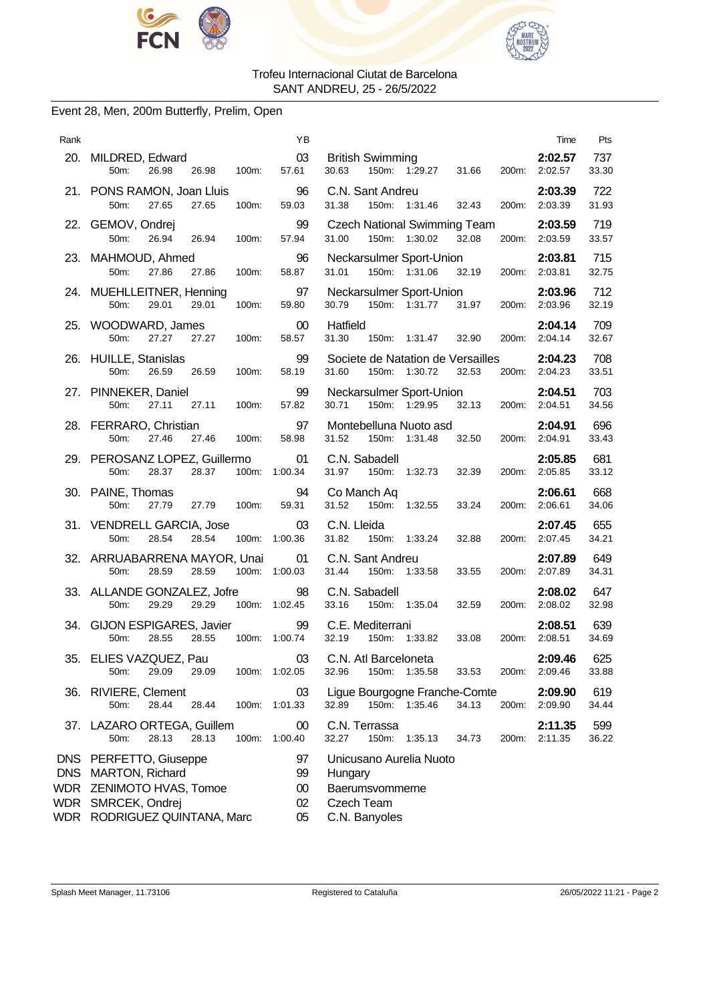



### Event 28, Men, 200m Butterfly, Prelim, Open

| Rank       |                                                                                                                                    | ΥB                             |                                                                                      | Time                     | Pts          |
|------------|------------------------------------------------------------------------------------------------------------------------------------|--------------------------------|--------------------------------------------------------------------------------------|--------------------------|--------------|
|            | 20. MILDRED, Edward<br>26.98 100m:<br>50m:<br>26.98                                                                                | 03<br>57.61                    | British Swimming<br>30.63 150m: 1:29.27 31.66 200m: 2:02.57<br>30.63                 | 2:02.57                  | 737<br>33.30 |
|            | 21. PONS RAMON, Joan Lluis<br>50m:<br>27.65<br>27.65<br>100m:                                                                      | $\sim$ 96<br>59.03             | C.N. Sant Andreu<br>31.38<br>150m: 1:31.46<br>32.43                                  | 2:03.39<br>200m: 2:03.39 | 722<br>31.93 |
|            | 22. GEMOV, Ondrej<br>26.94 26.94 100m:<br>50m:                                                                                     | 99<br>57.94                    | Czech National Swimming Team<br>31.00<br>150m: 1:30.02<br>32.08                      | 2:03.59<br>200m: 2:03.59 | 719<br>33.57 |
|            | 23. MAHMOUD, Ahmed<br>50m:<br>27.86<br>27.86<br>100m:                                                                              | 96<br>58.87                    | Neckarsulmer Sport-Union<br>150m: 1:31.06<br>31.01<br>32.19                          | 2:03.81<br>200m: 2:03.81 | 715<br>32.75 |
|            | 24. MUEHLLEITNER, Henning<br>50m:<br>29.01<br>29.01<br>100m:                                                                       | 97<br>59.80                    | Neckarsulmer Sport-Union<br>30.79 150m: 1:31.77 31.97                                | 2:03.96<br>200m: 2:03.96 | 712<br>32.19 |
|            | 25. WOODWARD, James<br>27.27 27.27 100m:<br>50m:                                                                                   | $00\,$<br>58.57                | Hatfield<br>150m: 1:31.47 32.90<br>31.30                                             | 2:04.14<br>200m: 2:04.14 | 709<br>32.67 |
|            | 26. HUILLE, Stanislas<br>50 <sub>m</sub> :<br>26.59<br>26.59<br>100m:                                                              | 99<br>58.19                    | Societe de Natation de Versailles<br>31.60 150m: 1:30.72 32.53                       | 2:04.23<br>200m: 2:04.23 | 708<br>33.51 |
|            | 27. PINNEKER, Daniel<br>50m:<br>27.11<br>27.11<br>100m:                                                                            | 99<br>57.82                    | Neckarsulmer Sport-Union<br>150m: 1:29.95<br>30.71<br>32.13                          | 2:04.51<br>200m: 2:04.51 | 703<br>34.56 |
|            | 28. FERRARO, Christian<br>27.46 27.46 100m:<br>50m:                                                                                | 97<br>58.98                    | Montebelluna Nuoto asd<br>32.50 200m: 2:04.91<br>31.52<br>150m: 1:31.48              | 2:04.91                  | 696<br>33.43 |
|            | 29. PEROSANZ LOPEZ, Guillermo 01<br>50m:<br>28.37<br>28.37                                                                         | 100m: 1:00.34                  | C.N. Sabadell<br>31.97 150m: 1:32.73<br>32.39                                        | 2:05.85<br>200m: 2:05.85 | 681<br>33.12 |
|            | 30. PAINE, Thomas<br>50m:<br>27.79<br>27.79<br>100m:                                                                               | 94<br>59.31                    | Co Manch Aq<br>150m: 1:32.55<br>31.52<br>33.24                                       | 2:06.61<br>200m: 2:06.61 | 668<br>34.06 |
|            | 31. VENDRELL GARCIA, Jose<br>28.54 100m: 1:00.36<br>50m:<br>28.54                                                                  | 03                             | C.N. Lleida<br>150m: 1:33.24<br>31.82<br>32.88                                       | 2:07.45<br>200m: 2:07.45 | 655<br>34.21 |
|            | 32. ARRUABARRENA MAYOR, Unai 01 C.N. Sant Andreu<br>100m: 1:00.03<br>50m:<br>28.59<br>28.59                                        |                                | 31.44 150m: 1:33.58<br>33.55                                                         | 2:07.89<br>200m: 2:07.89 | 649<br>34.31 |
|            | 33. ALLANDE GONZALEZ, Jofre<br>29.29<br>50m:<br>29.29                                                                              | 98<br>100m: 1:02.45            | C.N. Sabadell<br>150m: 1:35.04<br>33.16<br>32.59                                     | 2:08.02<br>200m: 2:08.02 | 647<br>32.98 |
|            | 34. GIJON ESPIGARES, Javier<br>28.55<br>50m:<br>28.55                                                                              | 99<br>100m: 1:00.74            | C.E. Mediterrani<br>150m: 1:33.82<br>33.08<br>32.19                                  | 2:08.51<br>200m: 2:08.51 | 639<br>34.69 |
|            | 35. ELIES VAZQUEZ, Pau<br>50m:<br>29.09<br>29.09                                                                                   | 03<br>100m: 1:02.05            | C.N. Atl Barceloneta<br>32.96<br>150m:<br>1:35.58<br>33.53<br>200m:                  | 2:09.46<br>2:09.46       | 625<br>33.88 |
| 36.        | <b>RIVIERE, Clement</b><br>28.44<br>50m:<br>28.44                                                                                  | 03<br>100m: 1:01.33            | Ligue Bourgogne Franche-Comte<br>32.89<br>150m: 1:35.46<br>34.13<br>200m:            | 2:09.90<br>2:09.90       | 619<br>34.44 |
|            | 37. LAZARO ORTEGA, Guillem<br>28.13<br>28.13<br>100m:<br>50m:                                                                      | 00<br>1:00.40                  | C.N. Terrassa<br>32.27<br>150m:<br>1:35.13<br>34.73<br>200m:                         | 2:11.35<br>2:11.35       | 599<br>36.22 |
| <b>DNS</b> | DNS PERFETTO, Giuseppe<br><b>MARTON, Richard</b><br>WDR ZENIMOTO HVAS, Tomoe<br>WDR SMRCEK, Ondrej<br>WDR RODRIGUEZ QUINTANA, Marc | 97<br>99<br>$00\,$<br>02<br>05 | Unicusano Aurelia Nuoto<br>Hungary<br>Baerumsvommerne<br>Czech Team<br>C.N. Banyoles |                          |              |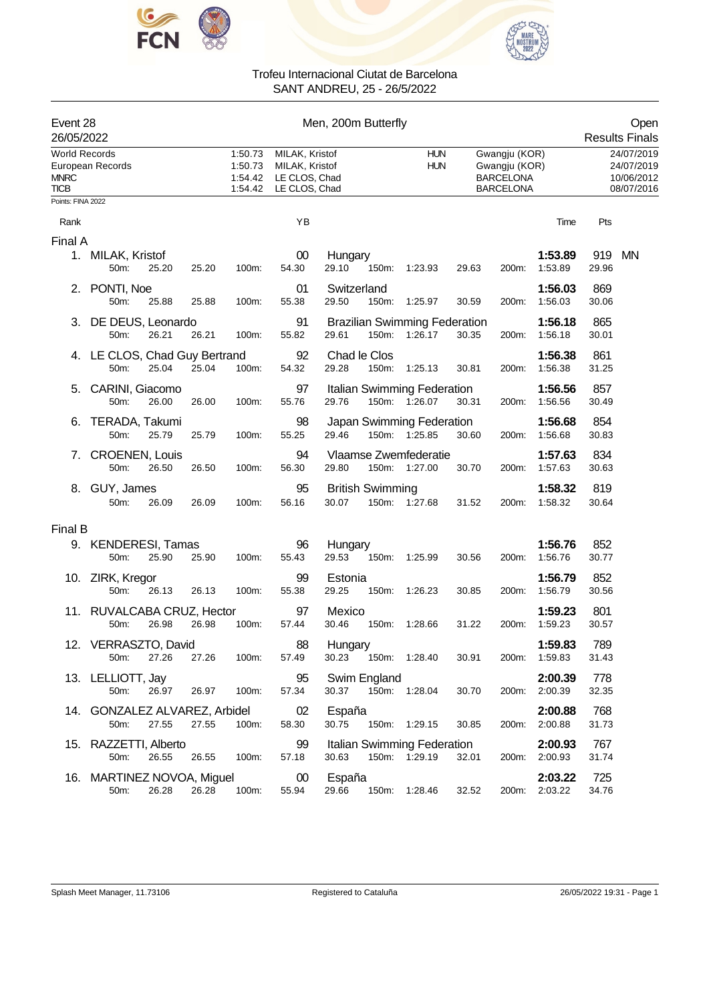



|                                                                        | Event 28<br>26/05/2022                |                                                                                                                |       |       | Men, 200m Butterfly      |                                               |                                                                        |       |                                                      |                          |              | Open<br><b>Results Finals</b> |
|------------------------------------------------------------------------|---------------------------------------|----------------------------------------------------------------------------------------------------------------|-------|-------|--------------------------|-----------------------------------------------|------------------------------------------------------------------------|-------|------------------------------------------------------|--------------------------|--------------|-------------------------------|
| <b>World Records</b><br>European Records<br><b>MNRC</b><br><b>TICB</b> |                                       | 1:50.73<br>MILAK, Kristof<br>1:50.73<br>MILAK, Kristof<br>LE CLOS, Chad<br>1:54.42<br>1:54.42<br>LE CLOS, Chad |       |       | <b>HUN</b><br><b>HUN</b> |                                               | Gwangju (KOR)<br>Gwangju (KOR)<br><b>BARCELONA</b><br><b>BARCELONA</b> |       | 24/07/2019<br>24/07/2019<br>10/06/2012<br>08/07/2016 |                          |              |                               |
| Points: FINA 2022                                                      |                                       |                                                                                                                |       |       |                          |                                               |                                                                        |       |                                                      |                          |              |                               |
| Rank                                                                   |                                       |                                                                                                                |       |       | YB                       |                                               |                                                                        |       |                                                      | Time                     | Pts          |                               |
| Final A                                                                |                                       |                                                                                                                |       |       |                          |                                               |                                                                        |       |                                                      |                          |              |                               |
|                                                                        | 1. MILAK, Kristof<br>50m:             | 25.20                                                                                                          | 25.20 | 100m: | $00\,$<br>54.30          | Hungary<br>29.10<br>150m:                     | 1:23.93                                                                | 29.63 | 200m:                                                | 1:53.89<br>1:53.89       | 919<br>29.96 | MN                            |
|                                                                        | 2. PONTI, Noe<br>50m:                 | 25.88                                                                                                          | 25.88 | 100m: | 01<br>55.38              | Switzerland<br>29.50<br>150m:                 | 1:25.97                                                                | 30.59 | 200m:                                                | 1:56.03<br>1:56.03       | 869<br>30.06 |                               |
|                                                                        | 3. DE DEUS, Leonardo<br>50m:          | 26.21                                                                                                          | 26.21 | 100m: | 91<br>55.82              | <b>Brazilian Swimming Federation</b><br>29.61 | 150m: 1:26.17                                                          | 30.35 | 200m:                                                | 1:56.18<br>1:56.18       | 865<br>30.01 |                               |
|                                                                        | 4. LE CLOS, Chad Guy Bertrand<br>50m: | 25.04                                                                                                          | 25.04 | 100m: | 92<br>54.32              | Chad le Clos<br>29.28<br>150m:                | 1:25.13                                                                | 30.81 | 200m:                                                | 1:56.38<br>1:56.38       | 861<br>31.25 |                               |
|                                                                        | 5. CARINI, Giacomo<br>50m:            | 26.00                                                                                                          | 26.00 | 100m: | 97<br>55.76              | Italian Swimming Federation<br>29.76          | 150m: 1:26.07                                                          | 30.31 | 200m:                                                | 1:56.56<br>1:56.56       | 857<br>30.49 |                               |
| 6.                                                                     | TERADA, Takumi<br>50m:                | 25.79                                                                                                          | 25.79 | 100m: | 98<br>55.25              | Japan Swimming Federation<br>29.46            | 150m: 1:25.85                                                          | 30.60 | 200m:                                                | 1:56.68<br>1.56.68       | 854<br>30.83 |                               |
|                                                                        | 7. CROENEN, Louis<br>50m:             | 26.50                                                                                                          | 26.50 | 100m: | 94<br>56.30              | Vlaamse Zwemfederatie<br>29.80                | 150m: 1:27.00                                                          | 30.70 | 200m:                                                | 1:57.63<br>1:57.63       | 834<br>30.63 |                               |
|                                                                        | 8. GUY, James<br>50m:                 | 26.09                                                                                                          | 26.09 | 100m: | 95<br>56.16              | <b>British Swimming</b><br>30.07              | 150m: 1:27.68                                                          | 31.52 | 200m:                                                | 1:58.32<br>1:58.32       | 819<br>30.64 |                               |
| Final B                                                                |                                       |                                                                                                                |       |       |                          |                                               |                                                                        |       |                                                      |                          |              |                               |
|                                                                        | 9. KENDERESI, Tamas<br>50m:           | 25.90                                                                                                          | 25.90 | 100m: | 96<br>55.43              | Hungary<br>29.53                              | 150m: 1:25.99                                                          | 30.56 | 200m:                                                | 1:56.76<br>1:56.76       | 852<br>30.77 |                               |
|                                                                        | 10. ZIRK, Kregor<br>50m:              | 26.13                                                                                                          | 26.13 | 100m: | 99<br>55.38              | Estonia<br>29.25<br>150m:                     | 1:26.23                                                                | 30.85 | 200m:                                                | 1:56.79<br>1:56.79       | 852<br>30.56 |                               |
|                                                                        | 11. RUVALCABA CRUZ, Hector<br>50m:    | 26.98                                                                                                          | 26.98 | 100m: | 97<br>57.44              | Mexico<br>30.46<br>150m:                      | 1:28.66                                                                | 31.22 | 200m:                                                | 1:59.23<br>1:59.23       | 801<br>30.57 |                               |
|                                                                        | 12. VERRASZTO, David<br>50m:          | 27.26                                                                                                          | 27.26 | 100m: | 88<br>57.49              | Hungary<br>30.23                              | 150m: 1:28.40                                                          | 30.91 | 200m:                                                | 1:59.83<br>1:59.83       | 789<br>31.43 |                               |
|                                                                        | 13. LELLIOTT, Jay<br>50m:             | 26.97                                                                                                          | 26.97 | 100m: | 95<br>57.34              | Swim England<br>30.37                         | 150m: 1:28.04                                                          | 30.70 |                                                      | 2:00.39<br>200m: 2:00.39 | 778<br>32.35 |                               |
|                                                                        | 14. GONZALEZ ALVAREZ, Arbidel<br>50m: | 27.55                                                                                                          | 27.55 | 100m: | 02<br>58.30              | España<br>30.75                               | 150m: 1:29.15                                                          | 30.85 | 200m:                                                | 2:00.88<br>2:00.88       | 768<br>31.73 |                               |
|                                                                        | 15. RAZZETTI, Alberto<br>50m:         | 26.55                                                                                                          | 26.55 | 100m: | 99<br>57.18              | Italian Swimming Federation<br>30.63          | 150m: 1:29.19                                                          | 32.01 |                                                      | 2:00.93<br>200m: 2:00.93 | 767<br>31.74 |                               |
|                                                                        | 16. MARTINEZ NOVOA, Miguel<br>50m:    | 26.28                                                                                                          | 26.28 | 100m: | 00<br>55.94              | España<br>29.66                               | 150m: 1:28.46                                                          | 32.52 |                                                      | 2:03.22<br>200m: 2:03.22 | 725<br>34.76 |                               |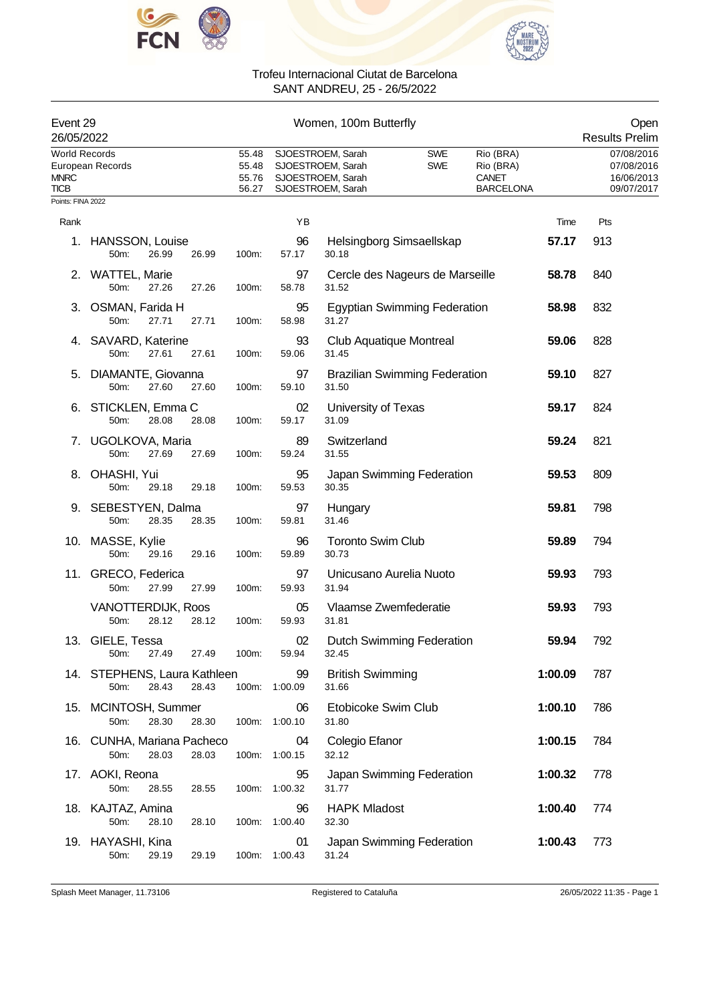



| Event 29<br>26/05/2022                             |                                               |                                  |                     | Women, 100m Butterfly                                                            |                          |                                                     |         | Open<br><b>Results Prelim</b>                        |
|----------------------------------------------------|-----------------------------------------------|----------------------------------|---------------------|----------------------------------------------------------------------------------|--------------------------|-----------------------------------------------------|---------|------------------------------------------------------|
| <b>World Records</b><br><b>MNRC</b><br><b>TICB</b> | European Records                              | 55.48<br>55.48<br>55.76<br>56.27 |                     | SJOESTROEM, Sarah<br>SJOESTROEM, Sarah<br>SJOESTROEM, Sarah<br>SJOESTROEM, Sarah | <b>SWE</b><br><b>SWE</b> | Rio (BRA)<br>Rio (BRA)<br>CANET<br><b>BARCELONA</b> |         | 07/08/2016<br>07/08/2016<br>16/06/2013<br>09/07/2017 |
| Points: FINA 2022                                  |                                               |                                  |                     |                                                                                  |                          |                                                     |         |                                                      |
| Rank                                               |                                               |                                  | YB                  |                                                                                  |                          |                                                     | Time    | Pts                                                  |
| 1.                                                 | <b>HANSSON, Louise</b><br>50m:<br>26.99       | 26.99<br>100m:                   | 96<br>57.17         | Helsingborg Simsaellskap<br>30.18                                                |                          |                                                     | 57.17   | 913                                                  |
|                                                    | 2. WATTEL, Marie<br>50m:<br>27.26             | 27.26<br>100m:                   | 97<br>58.78         | Cercle des Nageurs de Marseille<br>31.52                                         |                          |                                                     | 58.78   | 840                                                  |
|                                                    | 3. OSMAN, Farida H<br>27.71<br>50m:           | 27.71<br>100m:                   | 95<br>58.98         | <b>Egyptian Swimming Federation</b><br>31.27                                     |                          |                                                     | 58.98   | 832                                                  |
|                                                    | 4. SAVARD, Katerine<br>50m:<br>27.61          | 27.61<br>100m:                   | 93<br>59.06         | Club Aquatique Montreal<br>31.45                                                 |                          |                                                     | 59.06   | 828                                                  |
| 5.                                                 | DIAMANTE, Giovanna<br>27.60<br>50m:           | 27.60<br>100m:                   | 97<br>59.10         | <b>Brazilian Swimming Federation</b><br>31.50                                    |                          |                                                     | 59.10   | 827                                                  |
|                                                    | 6. STICKLEN, Emma C<br>50m:<br>28.08          | 28.08<br>100m:                   | 02<br>59.17         | University of Texas<br>31.09                                                     |                          |                                                     | 59.17   | 824                                                  |
| 7.                                                 | UGOLKOVA, Maria<br>50m:<br>27.69              | 27.69<br>100m:                   | 89<br>59.24         | Switzerland<br>31.55                                                             |                          |                                                     | 59.24   | 821                                                  |
| 8.                                                 | OHASHI, Yui<br>50m:<br>29.18                  | 29.18<br>100m:                   | 95<br>59.53         | Japan Swimming Federation<br>30.35                                               |                          |                                                     | 59.53   | 809                                                  |
|                                                    | 9. SEBESTYEN, Dalma<br>50m:<br>28.35          | 28.35<br>100m:                   | 97<br>59.81         | Hungary<br>31.46                                                                 |                          |                                                     | 59.81   | 798                                                  |
|                                                    | 10. MASSE, Kylie<br>50m:<br>29.16             | 29.16<br>100m:                   | 96<br>59.89         | <b>Toronto Swim Club</b><br>30.73                                                |                          |                                                     | 59.89   | 794                                                  |
|                                                    | 11. GRECO, Federica<br>50m:<br>27.99          | 27.99<br>100m:                   | 97<br>59.93         | Unicusano Aurelia Nuoto<br>31.94                                                 |                          |                                                     | 59.93   | 793                                                  |
|                                                    | VANOTTERDIJK, Roos<br>50m:<br>28.12           | 28.12<br>100m:                   | 05<br>59.93         | Vlaamse Zwemfederatie<br>31.81                                                   |                          |                                                     | 59.93   | 793                                                  |
|                                                    | 13. GIELE, Tessa<br>27.49<br>50m:             | 27.49<br>100m:                   | 02<br>59.94         | Dutch Swimming Federation<br>32.45                                               |                          |                                                     | 59.94   | 792                                                  |
|                                                    | 14. STEPHENS, Laura Kathleen<br>28.43<br>50m: | 28.43                            | 99<br>100m: 1:00.09 | <b>British Swimming</b><br>31.66                                                 |                          |                                                     | 1:00.09 | 787                                                  |
|                                                    | 15. MCINTOSH, Summer<br>50m:<br>28.30         | 28.30                            | 06<br>100m: 1:00.10 | Etobicoke Swim Club<br>31.80                                                     |                          |                                                     | 1:00.10 | 786                                                  |
|                                                    | 16. CUNHA, Mariana Pacheco<br>28.03<br>50m:   | 28.03                            | 04<br>100m: 1:00.15 | Colegio Efanor<br>32.12                                                          |                          |                                                     | 1:00.15 | 784                                                  |
|                                                    | 17. AOKI, Reona<br>50m:<br>28.55              | 28.55                            | 95<br>100m: 1:00.32 | Japan Swimming Federation<br>31.77                                               |                          |                                                     | 1:00.32 | 778                                                  |
|                                                    | 18. KAJTAZ, Amina<br>50m:<br>28.10            | 28.10                            | 96<br>100m: 1:00.40 | <b>HAPK Mladost</b><br>32.30                                                     |                          |                                                     | 1:00.40 | 774                                                  |
|                                                    | 19. HAYASHI, Kina<br>50m:<br>29.19            | 29.19<br>100m:                   | 01<br>1:00.43       | Japan Swimming Federation<br>31.24                                               |                          |                                                     | 1:00.43 | 773                                                  |

Splash Meet Manager, 11.73106 **Registered to Cataluña** Registered to Cataluña 26/05/2022 11:35 - Page 1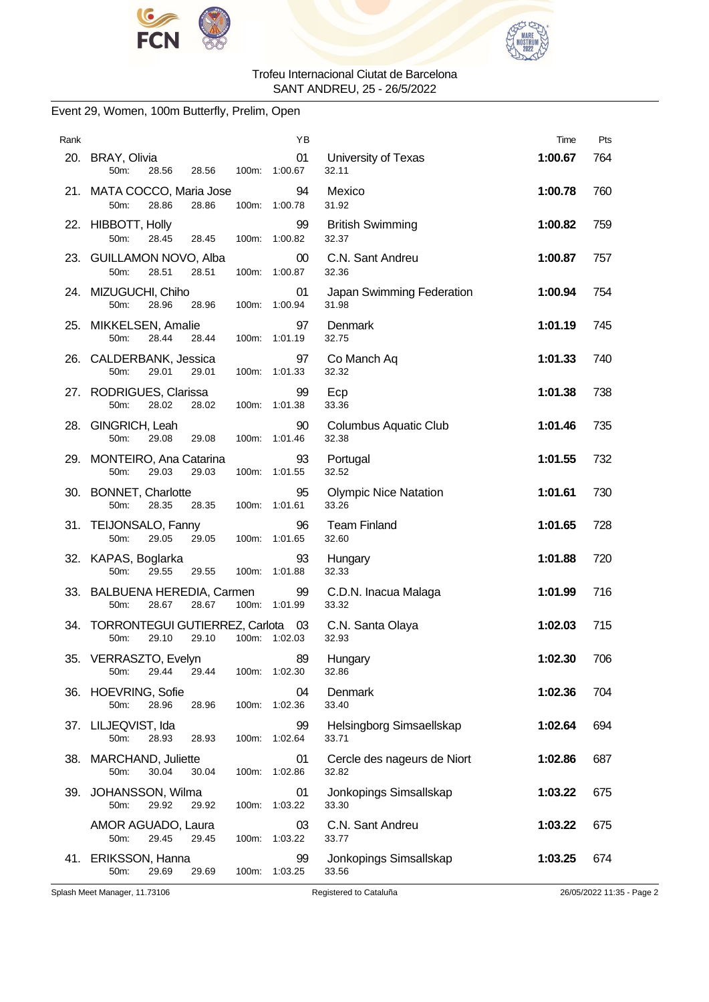



### Event 29, Women, 100m Butterfly, Prelim, Open

| Rank |                                                                 | ΥB                  |                                       | Time    | Pts |
|------|-----------------------------------------------------------------|---------------------|---------------------------------------|---------|-----|
|      | 20. BRAY, Olivia<br>50m:<br>28.56<br>28.56<br>100m:             | 01<br>1:00.67       | University of Texas<br>32.11          | 1:00.67 | 764 |
|      | 21. MATA COCCO, Maria Jose<br>50m:<br>28.86<br>28.86<br>100m:   | 94<br>1:00.78       | Mexico<br>31.92                       | 1:00.78 | 760 |
|      | 22. HIBBOTT, Holly<br>50m:<br>28.45<br>28.45                    | 99<br>100m: 1:00.82 | <b>British Swimming</b><br>32.37      | 1:00.82 | 759 |
|      | 23. GUILLAMON NOVO, Alba<br>50m:<br>28.51<br>28.51<br>100m:     | $00\,$<br>1:00.87   | C.N. Sant Andreu<br>32.36             | 1:00.87 | 757 |
|      | 24. MIZUGUCHI, Chiho<br>50m:<br>28.96<br>28.96<br>100m:         | 01<br>1:00.94       | Japan Swimming Federation<br>31.98    | 1:00.94 | 754 |
|      | 25. MIKKELSEN, Amalie<br>50m:<br>28.44<br>28.44                 | 97<br>100m: 1:01.19 | Denmark<br>32.75                      | 1:01.19 | 745 |
|      | 26. CALDERBANK, Jessica<br>50m:<br>29.01<br>29.01<br>100m:      | 97<br>1:01.33       | Co Manch Aq<br>32.32                  | 1:01.33 | 740 |
|      | 27. RODRIGUES, Clarissa<br>28.02<br>50m:<br>28.02<br>100m:      | 99<br>1:01.38       | Ecp<br>33.36                          | 1:01.38 | 738 |
|      | 28. GINGRICH, Leah<br>50m:<br>29.08<br>29.08                    | 90<br>100m: 1:01.46 | <b>Columbus Aquatic Club</b><br>32.38 | 1:01.46 | 735 |
|      | 29. MONTEIRO, Ana Catarina<br>50m:<br>29.03<br>29.03<br>100m:   | 93<br>1:01.55       | Portugal<br>32.52                     | 1:01.55 | 732 |
|      | 30. BONNET, Charlotte<br>50m:<br>28.35<br>28.35                 | 95<br>100m: 1:01.61 | <b>Olympic Nice Natation</b><br>33.26 | 1:01.61 | 730 |
|      | 31. TEIJONSALO, Fanny<br>50m:<br>29.05 29.05                    | 96<br>100m: 1:01.65 | <b>Team Finland</b><br>32.60          | 1:01.65 | 728 |
|      | 32. KAPAS, Boglarka<br>50m:<br>29.55<br>29.55<br>100m:          | 93<br>1:01.88       | Hungary<br>32.33                      | 1:01.88 | 720 |
|      | 33. BALBUENA HEREDIA, Carmen<br>28.67<br>50m:<br>28.67          | 99<br>100m: 1:01.99 | C.D.N. Inacua Malaga<br>33.32         | 1:01.99 | 716 |
|      | 34. TORRONTEGUI GUTIERREZ, Carlota 03<br>29.10<br>50m:<br>29.10 | 100m: 1:02.03       | C.N. Santa Olaya<br>32.93             | 1:02.03 | 715 |
|      | 35. VERRASZTO, Evelyn<br>29.44<br>29.44<br>50m:                 | 89<br>100m: 1:02.30 | Hungary<br>32.86                      | 1:02.30 | 706 |
|      | 36. HOEVRING, Sofie<br>50m:<br>28.96<br>28.96<br>100m:          | 04<br>1:02.36       | Denmark<br>33.40                      | 1:02.36 | 704 |
|      | 37. LILJEQVIST, Ida<br>50m:<br>28.93<br>28.93<br>100m:          | 99<br>1:02.64       | Helsingborg Simsaellskap<br>33.71     | 1:02.64 | 694 |
|      | 38. MARCHAND, Juliette<br>50m:<br>30.04<br>30.04                | 01<br>100m: 1:02.86 | Cercle des nageurs de Niort<br>32.82  | 1:02.86 | 687 |
| 39.  | JOHANSSON, Wilma<br>29.92<br>50m:<br>29.92<br>100m:             | 01<br>1:03.22       | Jonkopings Simsallskap<br>33.30       | 1:03.22 | 675 |
|      | AMOR AGUADO, Laura<br>50m:<br>29.45<br>29.45<br>100m:           | 03<br>1:03.22       | C.N. Sant Andreu<br>33.77             | 1:03.22 | 675 |
|      | 41. ERIKSSON, Hanna<br>50m:<br>29.69<br>29.69                   | 99<br>100m: 1:03.25 | Jonkopings Simsallskap<br>33.56       | 1:03.25 | 674 |

Splash Meet Manager, 11.73106 Registered to Cataluña 26/05/2022 11:35 - Page 2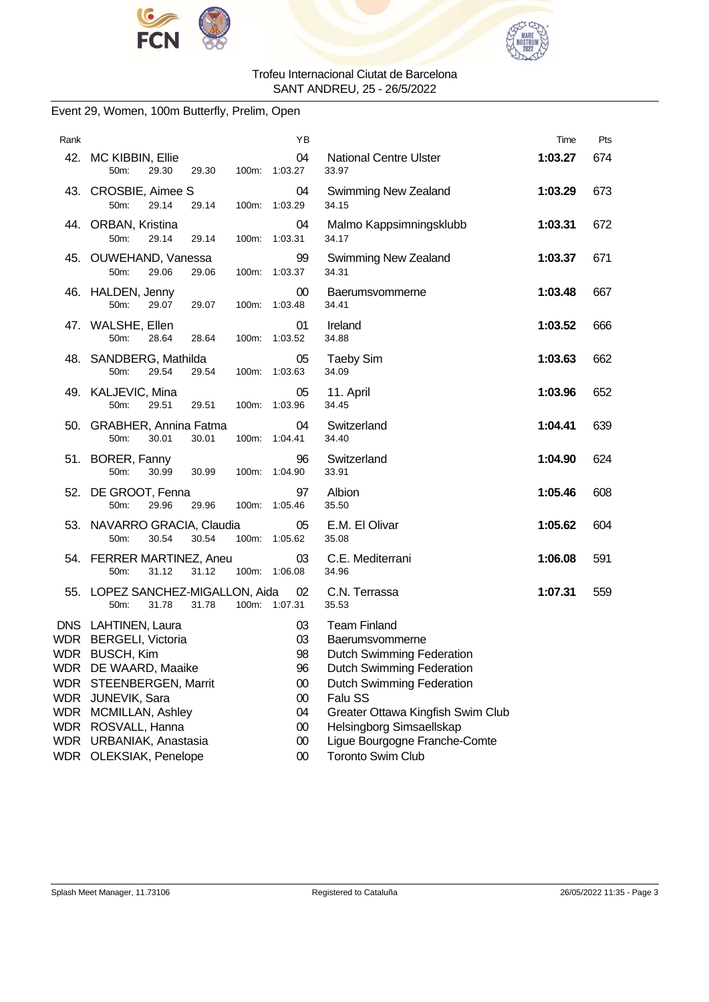



### Event 29, Women, 100m Butterfly, Prelim, Open

| Rank |                                                                                                                                                                                                                 | ΥB                                                                 |                                                                                                                                                                                                                                                   | Time    | Pts |
|------|-----------------------------------------------------------------------------------------------------------------------------------------------------------------------------------------------------------------|--------------------------------------------------------------------|---------------------------------------------------------------------------------------------------------------------------------------------------------------------------------------------------------------------------------------------------|---------|-----|
|      | 42. MC KIBBIN, Ellie<br>29.30<br>50m:<br>29.30                                                                                                                                                                  | 04<br>100m: 1:03.27                                                | <b>National Centre Ulster</b><br>33.97                                                                                                                                                                                                            | 1:03.27 | 674 |
|      | 43. CROSBIE, Aimee S<br>50m:<br>29.14<br>29.14<br>100m:                                                                                                                                                         | 04<br>1:03.29                                                      | Swimming New Zealand<br>34.15                                                                                                                                                                                                                     | 1:03.29 | 673 |
|      | 44. ORBAN, Kristina<br>50m:<br>29.14<br>29.14                                                                                                                                                                   | 04<br>100m: 1:03.31                                                | Malmo Kappsimningsklubb<br>34.17                                                                                                                                                                                                                  | 1:03.31 | 672 |
|      | 45. OUWEHAND, Vanessa<br>50m:<br>29.06<br>29.06<br>100m:                                                                                                                                                        | 99<br>1:03.37                                                      | Swimming New Zealand<br>34.31                                                                                                                                                                                                                     | 1:03.37 | 671 |
|      | 46. HALDEN, Jenny<br>50m:<br>29.07<br>29.07<br>100m:                                                                                                                                                            | 00<br>1:03.48                                                      | Baerumsvommerne<br>34.41                                                                                                                                                                                                                          | 1:03.48 | 667 |
|      | 47. WALSHE, Ellen<br>50m:<br>28.64<br>28.64                                                                                                                                                                     | 01<br>100m: 1:03.52                                                | Ireland<br>34.88                                                                                                                                                                                                                                  | 1:03.52 | 666 |
|      | 48. SANDBERG, Mathilda<br>50m:<br>29.54<br>29.54<br>100m:                                                                                                                                                       | 05<br>1:03.63                                                      | <b>Taeby Sim</b><br>34.09                                                                                                                                                                                                                         | 1:03.63 | 662 |
|      | 49. KALJEVIC, Mina<br>50m:<br>29.51<br>29.51                                                                                                                                                                    | 05<br>100m: 1:03.96                                                | 11. April<br>34.45                                                                                                                                                                                                                                | 1:03.96 | 652 |
|      | 50. GRABHER, Annina Fatma<br>50m:<br>30.01<br>30.01                                                                                                                                                             | 04<br>100m: 1:04.41                                                | Switzerland<br>34.40                                                                                                                                                                                                                              | 1:04.41 | 639 |
|      | 51. BORER, Fanny<br>50m:<br>30.99<br>30.99<br>100m:                                                                                                                                                             | 96<br>1:04.90                                                      | Switzerland<br>33.91                                                                                                                                                                                                                              | 1:04.90 | 624 |
|      | 52. DE GROOT, Fenna<br>50m:<br>29.96<br>29.96                                                                                                                                                                   | 97<br>100m: 1:05.46                                                | Albion<br>35.50                                                                                                                                                                                                                                   | 1:05.46 | 608 |
|      | 53. NAVARRO GRACIA, Claudia<br>50m:<br>30.54<br>30.54                                                                                                                                                           | 05<br>100m: 1:05.62                                                | E.M. El Olivar<br>35.08                                                                                                                                                                                                                           | 1:05.62 | 604 |
|      | 54. FERRER MARTINEZ, Aneu<br>50m:<br>31.12<br>31.12                                                                                                                                                             | 03<br>100m: 1:06.08                                                | C.E. Mediterrani<br>34.96                                                                                                                                                                                                                         | 1:06.08 | 591 |
|      | 55. LOPEZ SANCHEZ-MIGALLON, Aida<br>50m:<br>31.78<br>31.78                                                                                                                                                      | 02<br>100m: 1:07.31                                                | C.N. Terrassa<br>35.53                                                                                                                                                                                                                            | 1:07.31 | 559 |
|      | DNS LAHTINEN, Laura<br>WDR BERGELI, Victoria<br>WDR BUSCH, Kim<br>WDR DE WAARD, Maaike<br>WDR STEENBERGEN, Marrit<br>WDR JUNEVIK, Sara<br>WDR MCMILLAN, Ashley<br>WDR ROSVALL, Hanna<br>WDR URBANIAK, Anastasia | 03<br>03<br>98<br>96<br>$00\,$<br>$00\,$<br>04<br>$00\,$<br>$00\,$ | <b>Team Finland</b><br>Baerumsvommerne<br><b>Dutch Swimming Federation</b><br>Dutch Swimming Federation<br>Dutch Swimming Federation<br>Falu SS<br>Greater Ottawa Kingfish Swim Club<br>Helsingborg Simsaellskap<br>Ligue Bourgogne Franche-Comte |         |     |
|      | WDR OLEKSIAK, Penelope                                                                                                                                                                                          | $00\,$                                                             | <b>Toronto Swim Club</b>                                                                                                                                                                                                                          |         |     |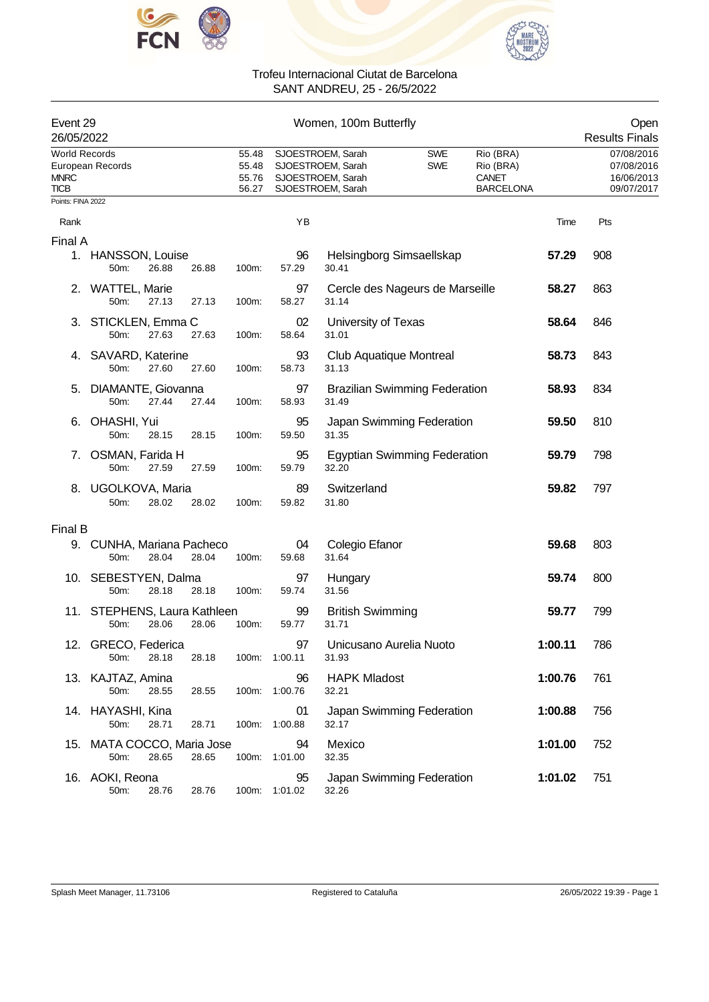



| Event 29<br>26/05/2022                             |                                      |       |       |                                  |                     | Women, 100m Butterfly                                                            |                                      |                                                            |         | Open<br><b>Results Finals</b>                        |
|----------------------------------------------------|--------------------------------------|-------|-------|----------------------------------|---------------------|----------------------------------------------------------------------------------|--------------------------------------|------------------------------------------------------------|---------|------------------------------------------------------|
| <b>World Records</b><br><b>MNRC</b><br><b>TICB</b> | European Records                     |       |       | 55.48<br>55.48<br>55.76<br>56.27 |                     | SJOESTROEM, Sarah<br>SJOESTROEM, Sarah<br>SJOESTROEM, Sarah<br>SJOESTROEM, Sarah | <b>SWE</b><br><b>SWE</b>             | Rio (BRA)<br>Rio (BRA)<br><b>CANET</b><br><b>BARCELONA</b> |         | 07/08/2016<br>07/08/2016<br>16/06/2013<br>09/07/2017 |
| Points: FINA 2022                                  |                                      |       |       |                                  |                     |                                                                                  |                                      |                                                            |         |                                                      |
| Rank                                               |                                      |       |       |                                  | YB                  |                                                                                  |                                      |                                                            | Time    | Pts                                                  |
| Final A                                            | 1. HANSSON, Louise<br>50m:           | 26.88 | 26.88 | 100m:                            | 96<br>57.29         | 30.41                                                                            | Helsingborg Simsaellskap             |                                                            | 57.29   | 908                                                  |
| 2.                                                 | <b>WATTEL, Marie</b><br>50m:         | 27.13 | 27.13 | 100m:                            | 97<br>58.27         | 31.14                                                                            | Cercle des Nageurs de Marseille      |                                                            | 58.27   | 863                                                  |
|                                                    | 3. STICKLEN, Emma C<br>50m:          | 27.63 | 27.63 | 100m:                            | 02<br>58.64         | University of Texas<br>31.01                                                     |                                      |                                                            | 58.64   | 846                                                  |
| 4.                                                 | SAVARD, Katerine<br>50m:             | 27.60 | 27.60 | 100m:                            | 93<br>58.73         | 31.13                                                                            | Club Aquatique Montreal              |                                                            | 58.73   | 843                                                  |
| 5.                                                 | DIAMANTE, Giovanna<br>50m:           | 27.44 | 27.44 | 100m:                            | 97<br>58.93         | 31.49                                                                            | <b>Brazilian Swimming Federation</b> |                                                            | 58.93   | 834                                                  |
| 6.                                                 | OHASHI, Yui<br>50m:                  | 28.15 | 28.15 | 100m:                            | 95<br>59.50         | 31.35                                                                            | Japan Swimming Federation            |                                                            | 59.50   | 810                                                  |
| 7.                                                 | OSMAN, Farida H<br>50m:              | 27.59 | 27.59 | 100m:                            | 95<br>59.79         | 32.20                                                                            | <b>Egyptian Swimming Federation</b>  |                                                            | 59.79   | 798                                                  |
| 8.                                                 | UGOLKOVA, Maria<br>50m:              | 28.02 | 28.02 | 100m:                            | 89<br>59.82         | Switzerland<br>31.80                                                             |                                      |                                                            | 59.82   | 797                                                  |
| Final B                                            |                                      |       |       |                                  |                     |                                                                                  |                                      |                                                            |         |                                                      |
|                                                    | 9. CUNHA, Mariana Pacheco<br>50m:    | 28.04 | 28.04 | 100m:                            | 04<br>59.68         | Colegio Efanor<br>31.64                                                          |                                      |                                                            | 59.68   | 803                                                  |
|                                                    | 10. SEBESTYEN, Dalma<br>50m:         | 28.18 | 28.18 | 100m:                            | 97<br>59.74         | Hungary<br>31.56                                                                 |                                      |                                                            | 59.74   | 800                                                  |
|                                                    | 11. STEPHENS, Laura Kathleen<br>50m: | 28.06 | 28.06 | 100m:                            | 99<br>59.77         | <b>British Swimming</b><br>31.71                                                 |                                      |                                                            | 59.77   | 799                                                  |
|                                                    | 12. GRECO, Federica<br>50m:          | 28.18 | 28.18 |                                  | 97<br>100m: 1:00.11 | 31.93                                                                            | Unicusano Aurelia Nuoto              |                                                            | 1:00.11 | 786                                                  |
|                                                    | 13. KAJTAZ, Amina<br>50m:            | 28.55 | 28.55 | 100m:                            | 96<br>1:00.76       | <b>HAPK Mladost</b><br>32.21                                                     |                                      |                                                            | 1:00.76 | 761                                                  |
|                                                    | 14. HAYASHI, Kina<br>50m:            | 28.71 | 28.71 |                                  | 01<br>100m: 1:00.88 | 32.17                                                                            | Japan Swimming Federation            |                                                            | 1:00.88 | 756                                                  |
|                                                    | 15. MATA COCCO, Maria Jose<br>50m:   | 28.65 | 28.65 |                                  | 94<br>100m: 1:01.00 | Mexico<br>32.35                                                                  |                                      |                                                            | 1:01.00 | 752                                                  |
|                                                    | 16. AOKI, Reona<br>50m:              | 28.76 | 28.76 |                                  | 95<br>100m: 1:01.02 | 32.26                                                                            | Japan Swimming Federation            |                                                            | 1:01.02 | 751                                                  |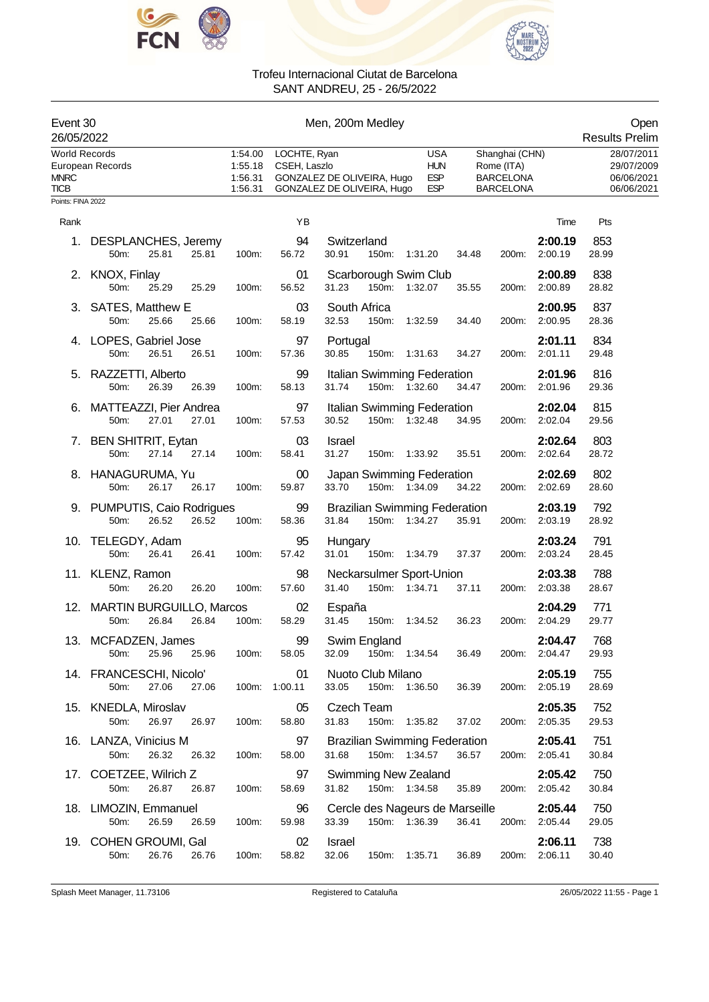



| Event 30<br>26/05/2022                             |                                                        |                                          |                              | Men, 200m Medley                                         |                   |                                                       |       |                                                                      |                          | Open<br><b>Results Prelim</b>                        |
|----------------------------------------------------|--------------------------------------------------------|------------------------------------------|------------------------------|----------------------------------------------------------|-------------------|-------------------------------------------------------|-------|----------------------------------------------------------------------|--------------------------|------------------------------------------------------|
| <b>World Records</b><br><b>MNRC</b><br><b>TICB</b> | European Records                                       | 1:54.00<br>1:55.18<br>1:56.31<br>1:56.31 | LOCHTE, Ryan<br>CSEH, Laszlo | GONZALEZ DE OLIVEIRA, Hugo<br>GONZALEZ DE OLIVEIRA, Hugo |                   | <b>USA</b><br><b>HUN</b><br><b>ESP</b><br><b>ESP</b>  |       | Shanghai (CHN)<br>Rome (ITA)<br><b>BARCELONA</b><br><b>BARCELONA</b> |                          | 28/07/2011<br>29/07/2009<br>06/06/2021<br>06/06/2021 |
| Points: FINA 2022                                  |                                                        |                                          |                              |                                                          |                   |                                                       |       |                                                                      |                          |                                                      |
| Rank                                               |                                                        |                                          | YB                           |                                                          |                   |                                                       |       |                                                                      | Time                     | Pts                                                  |
| 1.                                                 | DESPLANCHES, Jeremy<br>50m:<br>25.81<br>25.81          | 100m:                                    | 94<br>56.72                  | Switzerland<br>30.91                                     |                   | 150m: 1:31.20                                         | 34.48 | 200m:                                                                | 2:00.19<br>2:00.19       | 853<br>28.99                                         |
|                                                    | 2. KNOX, Finlay<br>50m:<br>25.29<br>25.29              | 100m:                                    | 01<br>56.52                  | 31.23                                                    |                   | Scarborough Swim Club<br>150m: 1:32.07                | 35.55 | 200m:                                                                | 2:00.89<br>2:00.89       | 838<br>28.82                                         |
|                                                    | 3. SATES, Matthew E<br>25.66<br>25.66<br>50m:          | 100m:                                    | 03<br>58.19                  | South Africa<br>32.53                                    |                   | 150m: 1:32.59                                         | 34.40 | 200m:                                                                | 2:00.95<br>2:00.95       | 837<br>28.36                                         |
|                                                    | 4. LOPES, Gabriel Jose<br>50m:<br>26.51<br>26.51       | 100m:                                    | 97<br>57.36                  | Portugal<br>30.85                                        | 150m:             | 1:31.63                                               | 34.27 | 200m:                                                                | 2:01.11<br>2:01.11       | 834<br>29.48                                         |
|                                                    | 5. RAZZETTI, Alberto<br>50m:<br>26.39<br>26.39         | 100m:                                    | 99<br>58.13                  | 31.74                                                    |                   | Italian Swimming Federation<br>150m: 1:32.60          | 34.47 | 200m:                                                                | 2:01.96<br>2:01.96       | 816<br>29.36                                         |
|                                                    | 6. MATTEAZZI, Pier Andrea<br>50m:<br>27.01<br>27.01    | 100m:                                    | 97<br>57.53                  | 30.52                                                    |                   | Italian Swimming Federation<br>150m: 1:32.48          | 34.95 | 200m:                                                                | 2:02.04<br>2:02.04       | 815<br>29.56                                         |
|                                                    | 7. BEN SHITRIT, Eytan<br>50m:<br>27.14<br>27.14        | 100m:                                    | 03<br>58.41                  | <b>Israel</b><br>31.27                                   |                   | 150m: 1:33.92                                         | 35.51 | 200m:                                                                | 2:02.64<br>2:02.64       | 803<br>28.72                                         |
|                                                    | 8. HANAGURUMA, Yu<br>50m:<br>26.17<br>26.17            | 100m:                                    | 00<br>59.87                  | 33.70                                                    |                   | Japan Swimming Federation<br>150m: 1:34.09            | 34.22 | 200m:                                                                | 2:02.69<br>2:02.69       | 802<br>28.60                                         |
|                                                    | 9. PUMPUTIS, Caio Rodrigues<br>50m:<br>26.52<br>26.52  | 100m:                                    | 99<br>58.36                  | 31.84                                                    |                   | <b>Brazilian Swimming Federation</b><br>150m: 1:34.27 | 35.91 | 200m:                                                                | 2:03.19<br>2:03.19       | 792<br>28.92                                         |
|                                                    | 10. TELEGDY, Adam<br>50m:<br>26.41<br>26.41            | 100m:                                    | 95<br>57.42                  | Hungary<br>31.01                                         |                   | 150m: 1:34.79                                         | 37.37 | 200m:                                                                | 2:03.24<br>2:03.24       | 791<br>28.45                                         |
|                                                    | 11. KLENZ, Ramon<br>26.20<br>26.20<br>50m:             | 100m:                                    | 98<br>57.60                  | 31.40                                                    |                   | Neckarsulmer Sport-Union<br>150m: 1:34.71             | 37.11 | 200m:                                                                | 2:03.38<br>2:03.38       | 788<br>28.67                                         |
|                                                    | 12. MARTIN BURGUILLO, Marcos<br>26.84<br>26.84<br>50m: | 100m:                                    | 02<br>58.29                  | España<br>31.45                                          |                   | 150m: 1:34.52                                         | 36.23 | 200m:                                                                | 2:04.29<br>2:04.29       | 771<br>29.77                                         |
|                                                    | 13. MCFADZEN, James<br>25.96 25.96<br>$50m$ :          |                                          | 99<br>100m: 58.05            |                                                          | Swim England      | 32.09 150m: 1:34.54 36.49                             |       |                                                                      | 2:04.47<br>200m: 2:04.47 | 768<br>29.93                                         |
|                                                    | 14. FRANCESCHI, Nicolo'<br>27.06<br>27.06<br>50m:      | 100m: 1:00.11                            | 01                           | 33.05                                                    | Nuoto Club Milano | 150m: 1:36.50                                         | 36.39 |                                                                      | 2:05.19<br>200m: 2:05.19 | 755<br>28.69                                         |
|                                                    | 15. KNEDLA, Miroslav<br>26.97<br>50m:<br>26.97         | 100m:                                    | 05<br>58.80                  | Czech Team<br>31.83                                      |                   | 150m: 1:35.82                                         | 37.02 |                                                                      | 2:05.35<br>200m: 2:05.35 | 752<br>29.53                                         |
|                                                    | 16. LANZA, Vinicius M<br>50m:<br>26.32<br>26.32        | 100m:                                    | 97<br>58.00                  | 31.68                                                    |                   | <b>Brazilian Swimming Federation</b><br>150m: 1:34.57 | 36.57 |                                                                      | 2:05.41<br>200m: 2:05.41 | 751<br>30.84                                         |
|                                                    | 17. COETZEE, Wilrich Z<br>50m:<br>26.87<br>26.87       | 100m:                                    | 97<br>58.69                  | 31.82                                                    |                   | <b>Swimming New Zealand</b><br>150m: 1:34.58          | 35.89 |                                                                      | 2:05.42<br>200m: 2:05.42 | 750<br>30.84                                         |
|                                                    | 18. LIMOZIN, Emmanuel<br>50m:<br>26.59<br>26.59        | 100m:                                    | 96<br>59.98                  | 33.39                                                    |                   | Cercle des Nageurs de Marseille<br>150m: 1:36.39      | 36.41 |                                                                      | 2:05.44<br>200m: 2:05.44 | 750<br>29.05                                         |
|                                                    | 19. COHEN GROUMI, Gal<br>26.76<br>50m:<br>26.76        | 100m:                                    | 02<br>58.82                  | Israel<br>32.06                                          |                   | 150m: 1:35.71                                         | 36.89 |                                                                      | 2:06.11<br>200m: 2:06.11 | 738<br>30.40                                         |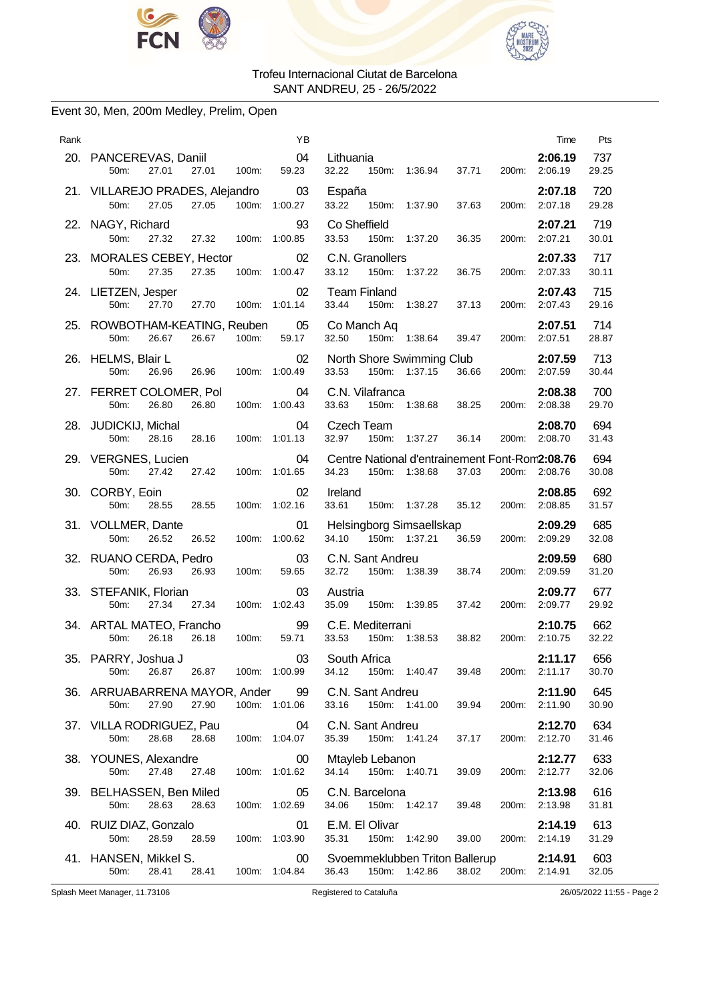



### Event 30, Men, 200m Medley, Prelim, Open

| Rank | YB                                                                                      |                                                                                            | Time                     | Pts          |
|------|-----------------------------------------------------------------------------------------|--------------------------------------------------------------------------------------------|--------------------------|--------------|
|      | 20. PANCEREVAS, Daniil<br>04<br>27.01<br>27.01<br>59.23<br>50m:<br>100m:                | Lithuania<br>150m: 1:36.94<br>32.22<br>37.71<br>200m:                                      | 2:06.19<br>2:06.19       | 737<br>29.25 |
|      | 21. VILLAREJO PRADES, Alejandro<br>03<br>27.05<br>27.05<br>100m:<br>50m:<br>1:00.27     | España<br>33.22<br>37.63<br>200m:<br>150m: 1:37.90                                         | 2:07.18<br>2:07.18       | 720<br>29.28 |
|      | 93<br>22. NAGY, Richard<br>27.32<br>27.32 100m: 1:00.85<br>50m:                         | Co Sheffield<br>1:37.20<br>33.53<br>150m:<br>36.35                                         | 2:07.21<br>200m: 2:07.21 | 719<br>30.01 |
|      | 23. MORALES CEBEY, Hector<br>02<br>50m:<br>27.35<br>27.35<br>100m: 1:00.47              | C.N. Granollers<br>33.12<br>150m: 1:37.22<br>36.75<br>200m:                                | 2:07.33<br>2:07.33       | 717<br>30.11 |
|      | 02<br>24. LIETZEN, Jesper<br>100m: 1:01.14<br>50m:<br>27.70<br>27.70                    | <b>Team Finland</b><br>33.44<br>150m:<br>1:38.27<br>37.13                                  | 2:07.43<br>200m: 2:07.43 | 715<br>29.16 |
|      | 25. ROWBOTHAM-KEATING, Reuben<br>05<br>59.17<br>26.67<br>26.67<br>100m:<br>50m:         | Co Manch Aq<br>150m: 1:38.64<br>32.50<br>39.47<br>200m: 2:07.51                            | 2:07.51                  | 714<br>28.87 |
|      | 26. HELMS, Blair L<br>02<br>26.96<br>26.96<br>100m: 1:00.49<br>50m:                     | North Shore Swimming Club<br>33.53<br>150m: 1:37.15<br>36.66<br>200m:                      | 2:07.59<br>2:07.59       | 713<br>30.44 |
|      | 27. FERRET COLOMER, Pol<br>04<br>50m:<br>26.80<br>26.80<br>100m: 1:00.43                | C.N. Vilafranca<br>33.63<br>150m:<br>1:38.68<br>38.25<br>200m: 2:08.38                     | 2:08.38                  | 700<br>29.70 |
|      | 28. JUDICKIJ, Michal<br>04<br>100m: 1:01.13<br>28.16<br>28.16<br>50m:                   | <b>Czech Team</b><br>1:37.27<br>32.97<br>150m:<br>36.14                                    | 2:08.70<br>200m: 2:08.70 | 694<br>31.43 |
|      | 29. VERGNES, Lucien<br>04<br>50m:<br>27.42<br>100m:<br>1:01.65<br>27.42                 | Centre National d'entrainement Font-Rom2:08.76<br>34.23<br>150m: 1:38.68<br>37.03<br>200m: | 2:08.76                  | 694<br>30.08 |
|      | 30. CORBY, Eoin<br>02<br>50m:<br>28.55<br>28.55<br>100m: 1:02.16                        | Ireland<br>33.61<br>200m: 2:08.85<br>150m: 1:37.28<br>35.12                                | 2:08.85                  | 692<br>31.57 |
|      | 31. VOLLMER, Dante<br>01<br>26.52<br>26.52<br>100m: 1:00.62<br>50m:                     | Helsingborg Simsaellskap<br>36.59<br>34.10 150m: 1:37.21<br>200m: 2:09.29                  | 2:09.29                  | 685<br>32.08 |
|      | 32. RUANO CERDA, Pedro<br>03<br>26.93<br>50m:<br>26.93<br>100m:<br>59.65                | C.N. Sant Andreu<br>32.72<br>150m: 1:38.39<br>38.74<br>200m:                               | 2:09.59<br>2:09.59       | 680<br>31.20 |
|      | 33. STEFANIK, Florian<br>03<br>27.34<br>50m:<br>27.34<br>100m: 1:02.43                  | Austria<br>35.09<br>150m: 1:39.85<br>37.42                                                 | 2:09.77<br>200m: 2:09.77 | 677<br>29.92 |
|      | 99<br>34. ARTAL MATEO, Francho<br>50m:<br>26.18<br>26.18<br>100m:<br>59.71              | C.E. Mediterrani<br>150m: 1:38.53<br>33.53<br>38.82<br>200m: 2:10.75                       | 2:10.75                  | 662<br>32.22 |
|      | 35. PARRY, Joshua J<br>03<br>50m: 26.87 26.87 100m: 1:00.99                             | South Africa<br>34.12 150m: 1:40.47 39.48                                                  | 2:11.17<br>200m: 2:11.17 | 656<br>30.70 |
|      | 36. ARRUABARRENA MAYOR, Ander 99<br>27.90<br>27.90  100m: 1:01.06<br>50m:               | C.N. Sant Andreu<br>arit Ariureu<br>150m: 1:41.00<br>33.16<br>39.94                        | 2:11.90<br>200m: 2:11.90 | 645<br>30.90 |
|      | $\overline{0}$ 4<br>37. VILLA RODRIGUEZ, Pau<br>100m: 1:04.07<br>50m:<br>28.68<br>28.68 | C.N. Sant Andreu<br>150m: 1:41.24<br>35.39<br>37.17                                        | 2:12.70<br>200m: 2:12.70 | 634<br>31.46 |
|      | 38. YOUNES, Alexandre<br>$00\,$<br>27.48<br>50m:<br>100m: 1:01.62<br>27.48              | Mtayleb Lebanon<br>34.14 150m: 1:40.71<br>39.09                                            | 2:12.77<br>200m: 2:12.77 | 633<br>32.06 |
|      | 39. BELHASSEN, Ben Miled<br>05<br>28.63<br>28.63<br>100m: 1:02.69<br>50m:               | C.N. Barcelona<br>34.06 150m: 1:42.17<br>39.48                                             | 2:13.98<br>200m: 2:13.98 | 616<br>31.81 |
|      | 40. RUIZ DIAZ, Gonzalo<br>01<br>50m:<br>28.59<br>100m: 1:03.90<br>28.59                 | E.M. El Olivar<br>150m: 1:42.90<br>35.31<br>39.00                                          | 2:14.19<br>200m: 2:14.19 | 613<br>31.29 |
|      | 41. HANSEN, Mikkel S.<br>$00\,$<br>28.41  28.41  100m: 1:04.84<br>50m:                  | Svoemmeklubben Triton Ballerup<br>36.43 150m: 1:42.86<br>38.02 200m: 2:14.91               | 2:14.91                  | 603<br>32.05 |

Splash Meet Manager, 11.73106 Registered to Cataluña 26/05/2022 11:55 - Page 2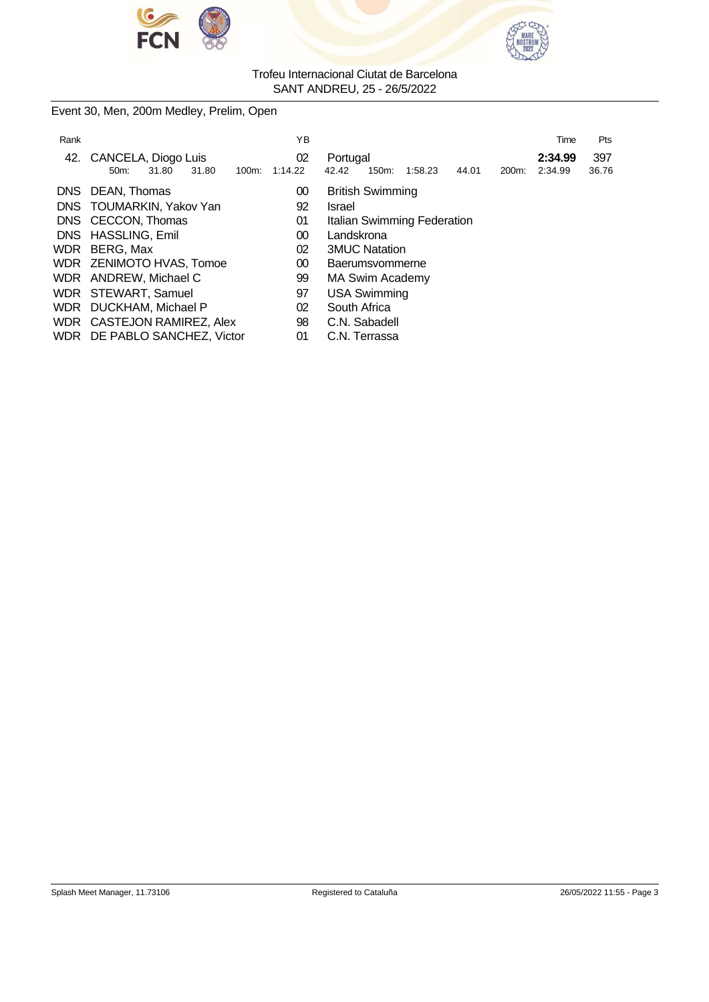



Event 30, Men, 200m Medley, Prelim, Open

| Rank       |                                            | ΥB      | Pts<br>Time                                                                  |
|------------|--------------------------------------------|---------|------------------------------------------------------------------------------|
|            | 42. CANCELA, Diogo Luis                    | 02      | 397<br>Portugal<br>2:34.99                                                   |
|            | 31.80<br>31.80<br>100m:<br>50 <sub>m</sub> | 1:14.22 | 36.76<br>42.42<br>150m:<br>200 <sub>m</sub> :<br>2:34.99<br>1:58.23<br>44.01 |
| DNS.       | DEAN, Thomas                               | 00      | <b>British Swimming</b>                                                      |
|            | DNS TOUMARKIN, Yakov Yan                   | 92      | Israel                                                                       |
|            | DNS CECCON, Thomas                         | 01      | Italian Swimming Federation                                                  |
|            | DNS HASSLING, Emil                         | 00      | Landskrona                                                                   |
| <b>WDR</b> | BERG, Max                                  | 02      | <b>3MUC Natation</b>                                                         |
|            | WDR ZENIMOTO HVAS, Tomoe                   | 00      | Baerumsvommerne                                                              |
|            | WDR ANDREW, Michael C                      | 99      | MA Swim Academy                                                              |
|            | WDR STEWART, Samuel                        | 97      | <b>USA Swimming</b>                                                          |
|            | WDR DUCKHAM, Michael P                     | 02      | South Africa                                                                 |
|            | WDR CASTEJON RAMIREZ, Alex                 | 98      | C.N. Sabadell                                                                |
|            | WDR DE PABLO SANCHEZ, Victor               | 01      | C.N. Terrassa                                                                |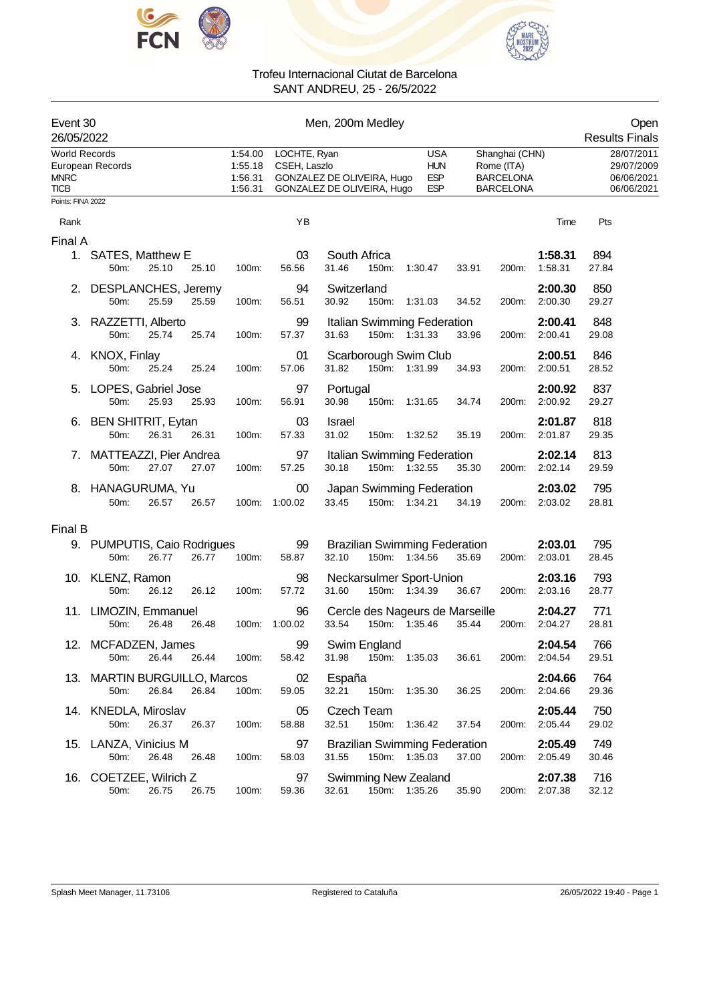



| Event 30<br>26/05/2022                             |                                                        |                                          | Open<br><b>Results Finals</b> |                                                                                                                                                                                   |                                                      |
|----------------------------------------------------|--------------------------------------------------------|------------------------------------------|-------------------------------|-----------------------------------------------------------------------------------------------------------------------------------------------------------------------------------|------------------------------------------------------|
| <b>World Records</b><br><b>MNRC</b><br><b>TICB</b> | European Records                                       | 1:54.00<br>1:55.18<br>1:56.31<br>1:56.31 | LOCHTE, Ryan<br>CSEH, Laszlo  | USA<br>Shanghai (CHN)<br><b>HUN</b><br>Rome (ITA)<br><b>ESP</b><br>GONZALEZ DE OLIVEIRA, Hugo<br><b>BARCELONA</b><br>GONZALEZ DE OLIVEIRA, Hugo<br><b>ESP</b><br><b>BARCELONA</b> | 28/07/2011<br>29/07/2009<br>06/06/2021<br>06/06/2021 |
| Points: FINA 2022                                  |                                                        |                                          |                               |                                                                                                                                                                                   |                                                      |
| Rank                                               |                                                        |                                          | YB                            | Time                                                                                                                                                                              | Pts                                                  |
| Final A                                            | 1. SATES, Matthew E                                    |                                          | 03                            | South Africa<br>1:58.31                                                                                                                                                           | 894                                                  |
|                                                    | 50m:<br>25.10<br>25.10                                 | 100m:                                    | 56.56                         | 31.46<br>150m:<br>1:58.31<br>1:30.47<br>33.91<br>200m:                                                                                                                            | 27.84                                                |
|                                                    | 2. DESPLANCHES, Jeremy<br>25.59<br>50m:<br>25.59       | 100m:                                    | 94<br>56.51                   | 2:00.30<br>Switzerland<br>30.92<br>150m:<br>2:00.30<br>1:31.03<br>34.52<br>200m:                                                                                                  | 850<br>29.27                                         |
|                                                    | 3. RAZZETTI, Alberto<br>50m:<br>25.74<br>25.74         | 100m:                                    | 99<br>57.37                   | Italian Swimming Federation<br>2:00.41<br>31.63<br>150m: 1:31.33<br>33.96<br>200m: 2:00.41                                                                                        | 848<br>29.08                                         |
|                                                    | 4. KNOX, Finlay<br>25.24<br>50m:<br>25.24              | 100m:                                    | 01<br>57.06                   | Scarborough Swim Club<br>2:00.51<br>31.82<br>150m: 1:31.99<br>2:00.51<br>34.93<br>200m:                                                                                           | 846<br>28.52                                         |
|                                                    | 5. LOPES, Gabriel Jose<br>50m:<br>25.93<br>25.93       | 100m:                                    | 97<br>56.91                   | 2:00.92<br>Portugal<br>30.98<br>2:00.92<br>150m: 1:31.65<br>34.74<br>200m:                                                                                                        | 837<br>29.27                                         |
|                                                    | 6. BEN SHITRIT, Eytan<br>50m:<br>26.31<br>26.31        | 100m:                                    | 03<br>57.33                   | 2:01.87<br><b>Israel</b><br>31.02<br>150m: 1:32.52<br>35.19<br>200m:<br>2:01.87                                                                                                   | 818<br>29.35                                         |
|                                                    | 7. MATTEAZZI, Pier Andrea<br>27.07<br>27.07<br>50m:    | 100m:                                    | 97<br>57.25                   | 2:02.14<br>Italian Swimming Federation<br>30.18<br>150m: 1:32.55<br>35.30<br>2:02.14<br>200m:                                                                                     | 813<br>29.59                                         |
|                                                    | 8. HANAGURUMA, Yu<br>50m:<br>26.57<br>26.57            |                                          | $00\,$<br>100m: 1:00.02       | 2:03.02<br>Japan Swimming Federation<br>33.45<br>150m: 1:34.21<br>34.19<br>200m: 2:03.02                                                                                          | 795<br>28.81                                         |
| Final B                                            |                                                        |                                          |                               |                                                                                                                                                                                   |                                                      |
|                                                    | 9. PUMPUTIS, Caio Rodrigues<br>26.77<br>26.77<br>50m:  | 100m:                                    | 99<br>58.87                   | <b>Brazilian Swimming Federation</b><br>2:03.01<br>150m: 1:34.56<br>32.10<br>35.69<br>200m: 2:03.01                                                                               | 795<br>28.45                                         |
|                                                    | 10. KLENZ, Ramon<br>50m:<br>26.12<br>26.12             | 100m:                                    | 98<br>57.72                   | Neckarsulmer Sport-Union<br>2:03.16<br>31.60<br>150m: 1:34.39<br>2:03.16<br>36.67<br>200m:                                                                                        | 793<br>28.77                                         |
|                                                    | 11. LIMOZIN, Emmanuel<br>50m:<br>26.48<br>26.48        | 100m:                                    | 96<br>1:00.02                 | Cercle des Nageurs de Marseille<br>2:04.27<br>33.54<br>150m: 1:35.46<br>2:04.27<br>35.44<br>200m:                                                                                 | 771<br>28.81                                         |
|                                                    | 12. MCFADZEN, James<br>50m:<br>26.44<br>26.44          | 100m:                                    | 99<br>58.42                   | Swim England<br>2:04.54<br>31.98<br>150m: 1:35.03<br>36.61<br>200m: 2:04.54                                                                                                       | 766<br>29.51                                         |
|                                                    | 13. MARTIN BURGUILLO, Marcos<br>26.84<br>50m:<br>26.84 | 100m:                                    | 02<br>59.05                   | España<br>2:04.66<br>32.21<br>150m:<br>36.25<br>2:04.66<br>1:35.30<br>200m:                                                                                                       | 764<br>29.36                                         |
|                                                    | 14. KNEDLA, Miroslav<br>50m:<br>26.37<br>26.37         | 100m:                                    | 05<br>58.88                   | Czech Team<br>2:05.44<br>32.51<br>150m:<br>1:36.42<br>2:05.44<br>37.54<br>200m:                                                                                                   | 750<br>29.02                                         |
|                                                    | 15. LANZA, Vinicius M<br>50m:<br>26.48<br>26.48        | 100m:                                    | 97<br>58.03                   | <b>Brazilian Swimming Federation</b><br>2:05.49<br>150m: 1:35.03<br>37.00<br>31.55<br>200m: 2:05.49                                                                               | 749<br>30.46                                         |
|                                                    | 16. COETZEE, Wilrich Z<br>26.75<br>26.75<br>50m:       | 100m:                                    | 97<br>59.36                   | Swimming New Zealand<br>2:07.38<br>150m: 1:35.26<br>35.90<br>2:07.38<br>32.61<br>200m:                                                                                            | 716<br>32.12                                         |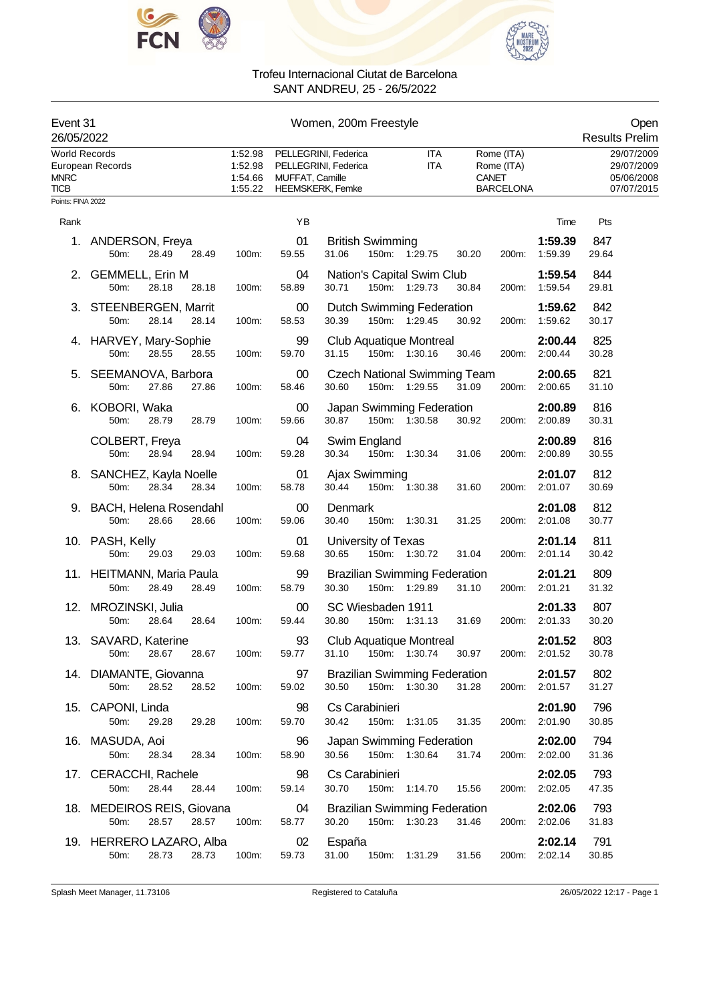



| Event 31<br>26/05/2022                             |                                                      | Women, 200m Freestyle                    |                 |                                                                         |                   |              |                                              |                          | Open<br><b>Results Prelim</b>                        |
|----------------------------------------------------|------------------------------------------------------|------------------------------------------|-----------------|-------------------------------------------------------------------------|-------------------|--------------|----------------------------------------------|--------------------------|------------------------------------------------------|
| <b>World Records</b><br><b>MNRC</b><br><b>TICB</b> | European Records                                     | 1:52.98<br>1:52.98<br>1:54.66<br>1:55.22 | MUFFAT, Camille | PELLEGRINI, Federica<br>PELLEGRINI, Federica<br><b>HEEMSKERK, Femke</b> | ITA<br><b>ITA</b> | <b>CANET</b> | Rome (ITA)<br>Rome (ITA)<br><b>BARCELONA</b> |                          | 29/07/2009<br>29/07/2009<br>05/06/2008<br>07/07/2015 |
| Points: FINA 2022                                  |                                                      |                                          |                 |                                                                         |                   |              |                                              |                          |                                                      |
| Rank                                               |                                                      |                                          | YB              |                                                                         |                   |              |                                              | Time                     | Pts                                                  |
|                                                    | 1. ANDERSON, Freya<br>28.49<br>50m:<br>28.49         | 100m:                                    | 01<br>59.55     | <b>British Swimming</b><br>31.06                                        | 150m: 1:29.75     | 30.20        | 200m:                                        | 1:59.39<br>1:59.39       | 847<br>29.64                                         |
|                                                    | 2. GEMMELL, Erin M<br>50m:<br>28.18<br>28.18         | 100m:                                    | 04<br>58.89     | Nation's Capital Swim Club<br>30.71                                     | 150m: 1:29.73     | 30.84        | 200m:                                        | 1:59.54<br>1:59.54       | 844<br>29.81                                         |
|                                                    | 3. STEENBERGEN, Marrit<br>50m:<br>28.14<br>28.14     | 100m:                                    | $00\,$<br>58.53 | Dutch Swimming Federation<br>30.39                                      | 150m: 1:29.45     | 30.92        | 200m:                                        | 1:59.62<br>1:59.62       | 842<br>30.17                                         |
|                                                    | 4. HARVEY, Mary-Sophie<br>28.55<br>50m:<br>28.55     | 100m:                                    | 99<br>59.70     | Club Aquatique Montreal<br>31.15                                        | 150m: 1:30.16     | 30.46        | 200m:                                        | 2:00.44<br>2:00.44       | 825<br>30.28                                         |
|                                                    | 5. SEEMANOVA, Barbora<br>27.86<br>50m:<br>27.86      | 100m:                                    | 00<br>58.46     | <b>Czech National Swimming Team</b><br>30.60                            | 150m: 1:29.55     | 31.09        | 200m:                                        | 2:00.65<br>2:00.65       | 821<br>31.10                                         |
| 6.                                                 | KOBORI, Waka<br>28.79<br>28.79<br>50m:               | 100m:                                    | $00\,$<br>59.66 | Japan Swimming Federation<br>30.87                                      | 150m: 1:30.58     | 30.92        | 200m:                                        | 2:00.89<br>2:00.89       | 816<br>30.31                                         |
|                                                    | COLBERT, Freya<br>50m:<br>28.94<br>28.94             | 100m:                                    | 04<br>59.28     | Swim England<br>30.34                                                   | 150m: 1:30.34     | 31.06        | 200m:                                        | 2:00.89<br>2:00.89       | 816<br>30.55                                         |
|                                                    | 8. SANCHEZ, Kayla Noelle<br>28.34<br>28.34<br>50m:   | 100m:                                    | 01<br>58.78     | Ajax Swimming<br>30.44                                                  | 150m: 1:30.38     | 31.60        | 200m:                                        | 2:01.07<br>2:01.07       | 812<br>30.69                                         |
|                                                    | 9. BACH, Helena Rosendahl<br>28.66<br>28.66<br>50m:  | 100m:                                    | $00\,$<br>59.06 | Denmark<br>30.40                                                        | 150m: 1:30.31     | 31.25        | 200m:                                        | 2:01.08<br>2:01.08       | 812<br>30.77                                         |
|                                                    | 10. PASH, Kelly<br>50m:<br>29.03<br>29.03            | 100m:                                    | 01<br>59.68     | University of Texas<br>30.65                                            | 150m: 1:30.72     | 31.04        | 200m:                                        | 2:01.14<br>2:01.14       | 811<br>30.42                                         |
|                                                    | 11. HEITMANN, Maria Paula<br>50m:<br>28.49<br>28.49  | 100m:                                    | 99<br>58.79     | <b>Brazilian Swimming Federation</b><br>30.30                           | 150m: 1:29.89     | 31.10        | 200m:                                        | 2:01.21<br>2:01.21       | 809<br>31.32                                         |
|                                                    | 12. MROZINSKI, Julia<br>28.64<br>28.64<br>50m:       | 100m:                                    | 00<br>59.44     | SC Wiesbaden 1911<br>30.80                                              | 150m: 1:31.13     | 31.69        | 200m:                                        | 2:01.33<br>2:01.33       | 807<br>30.20                                         |
|                                                    | 13. SAVARD, Katerine<br>50m:<br>28.67<br>28.67       | 100m:                                    | 93<br>59.77     | Club Aquatique Montreal<br>31.10                                        | 150m: 1:30.74     | 30.97        |                                              | 2:01.52<br>200m: 2:01.52 | 803<br>30.78                                         |
|                                                    | 14. DIAMANTE, Giovanna<br>28.52<br>28.52<br>50m:     | 100m:                                    | 97<br>59.02     | <b>Brazilian Swimming Federation</b><br>30.50                           | 150m: 1:30.30     | 31.28        | 200m:                                        | 2:01.57<br>2:01.57       | 802<br>31.27                                         |
|                                                    | 15. CAPONI, Linda<br>50m:<br>29.28<br>29.28          | 100m:                                    | 98<br>59.70     | Cs Carabinieri<br>30.42                                                 | 150m: 1:31.05     | 31.35        | 200m:                                        | 2:01.90<br>2:01.90       | 796<br>30.85                                         |
|                                                    | 16. MASUDA, Aoi<br>50m:<br>28.34<br>28.34            | 100m:                                    | 96<br>58.90     | Japan Swimming Federation<br>30.56                                      | 150m: 1:30.64     | 31.74        |                                              | 2:02.00<br>200m: 2:02.00 | 794<br>31.36                                         |
|                                                    | 17. CERACCHI, Rachele<br>28.44<br>50m:<br>28.44      | 100m:                                    | 98<br>59.14     | Cs Carabinieri<br>30.70                                                 | 150m: 1:14.70     | 15.56        | 200m:                                        | 2:02.05<br>2:02.05       | 793<br>47.35                                         |
|                                                    | 18. MEDEIROS REIS, Giovana<br>50m:<br>28.57<br>28.57 | 100m:                                    | 04<br>58.77     | <b>Brazilian Swimming Federation</b><br>30.20                           | 150m: 1:30.23     | 31.46        |                                              | 2:02.06<br>200m: 2:02.06 | 793<br>31.83                                         |
|                                                    | 19. HERRERO LAZARO, Alba<br>28.73<br>50m:<br>28.73   | 100m:                                    | 02<br>59.73     | España<br>31.00                                                         | 150m: 1:31.29     | 31.56        |                                              | 2:02.14<br>200m: 2:02.14 | 791<br>30.85                                         |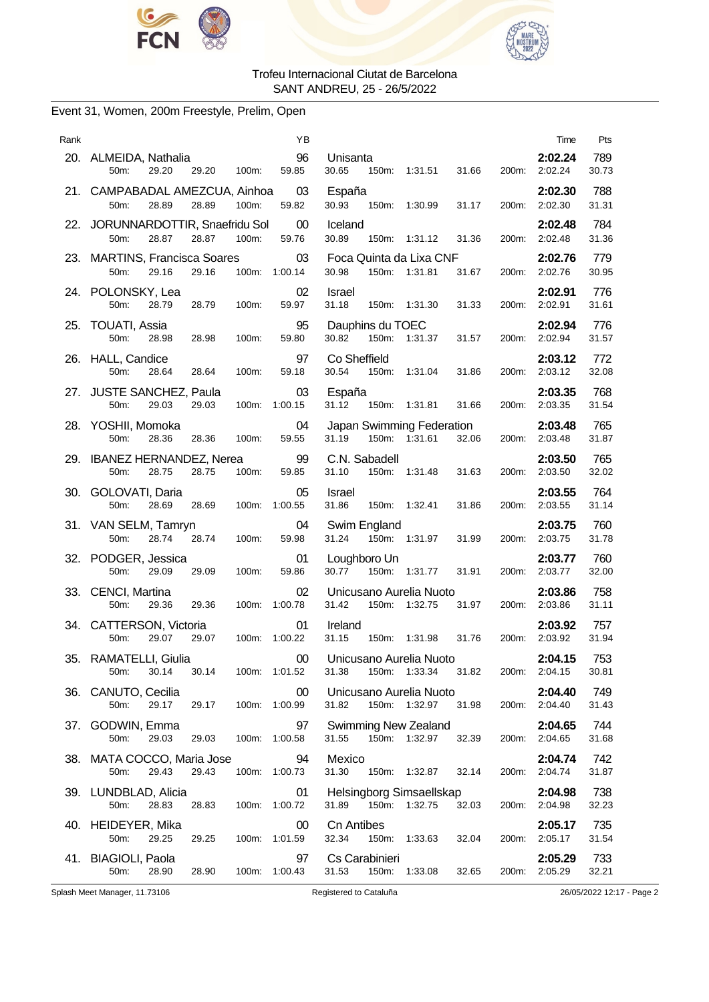



# Event 31, Women, 200m Freestyle, Prelim, Open

| Rank | ΥB                                                                                      |                                                              |       | Time                     | Pts          |
|------|-----------------------------------------------------------------------------------------|--------------------------------------------------------------|-------|--------------------------|--------------|
|      | 96<br>20. ALMEIDA, Nathalia<br>29.20<br>29.20<br>59.85<br>50m:<br>100m:                 | Unisanta<br>150m: 1:31.51<br>30.65<br>31.66                  |       | 2:02.24<br>200m: 2:02.24 | 789<br>30.73 |
|      | 21. CAMPABADAL AMEZCUA, Ainhoa<br>03<br>59.82<br>50m:<br>28.89<br>28.89<br>100m:        | España<br>30.93<br>150m: 1:30.99<br>31.17                    | 200m: | 2:02.30<br>2:02.30       | 788<br>31.31 |
|      | 22. JORUNNARDOTTIR, Snaefridu Sol<br>$00\,$<br>28.87<br>28.87<br>100m:<br>59.76<br>50m: | Iceland<br>30.89<br>31.36<br>150m: 1:31.12                   |       | 2:02.48<br>200m: 2:02.48 | 784<br>31.36 |
|      | 23. MARTINS, Francisca Soares<br>03<br>50m:<br>29.16<br>29.16<br>100m:<br>1:00.14       | Foca Quinta da Lixa CNF<br>30.98<br>150m: 1:31.81<br>31.67   | 200m: | 2:02.76<br>2:02.76       | 779<br>30.95 |
|      | 24. POLONSKY, Lea<br>02<br>50m:<br>28.79<br>28.79<br>59.97<br>100m:                     | Israel<br>31.18<br>150m: 1:31.30<br>31.33                    |       | 2:02.91<br>200m: 2:02.91 | 776<br>31.61 |
|      | 95<br>25. TOUATI, Assia<br>50m:<br>100m:<br>59.80<br>28.98<br>28.98                     | Dauphins du TOEC<br>150m: 1:31.37<br>30.82<br>31.57          |       | 2:02.94<br>200m: 2:02.94 | 776<br>31.57 |
|      | 26. HALL, Candice<br>97<br>28.64<br>28.64<br>100m:<br>59.18<br>50m:                     | Co Sheffield<br>30.54<br>150m:<br>1:31.04<br>31.86           | 200m: | 2:03.12<br>2:03.12       | 772<br>32.08 |
|      | 27. JUSTE SANCHEZ, Paula<br>03<br>50m:<br>29.03<br>29.03<br>100m: 1:00.15               | España<br>31.12<br>150m: 1:31.81<br>31.66                    |       | 2:03.35<br>200m: 2:03.35 | 768<br>31.54 |
|      | 04<br>28. YOSHII, Momoka<br>28.36<br>28.36<br>100m:<br>59.55<br>50m:                    | Japan Swimming Federation<br>31.19<br>150m: 1:31.61<br>32.06 |       | 2:03.48<br>200m: 2:03.48 | 765<br>31.87 |
|      | 99<br>29. IBANEZ HERNANDEZ, Nerea<br>50m:<br>28.75<br>28.75<br>100m:<br>59.85           | C.N. Sabadell<br>31.10<br>150m:<br>1:31.48<br>31.63          | 200m: | 2:03.50<br>2:03.50       | 765<br>32.02 |
|      | 30. GOLOVATI, Daria<br>05<br>50m:<br>28.69<br>100m: 1:00.55<br>28.69                    | Israel<br>31.86<br>150m: 1:32.41<br>31.86                    |       | 2:03.55<br>200m: 2:03.55 | 764<br>31.14 |
|      | 31. VAN SELM, Tamryn<br>04<br>28.74<br>28.74<br>100m:<br>59.98<br>50m:                  | Swim England<br>31.24 150m: 1:31.97<br>31.99                 |       | 2:03.75<br>200m: 2:03.75 | 760<br>31.78 |
|      | 01<br>32. PODGER, Jessica<br>50m:<br>29.09<br>29.09<br>59.86<br>100m:                   | Loughboro Un<br>30.77<br>150m: 1:31.77<br>31.91              | 200m: | 2:03.77<br>2:03.77       | 760<br>32.00 |
|      | 33. CENCI, Martina<br>02<br>100m: 1:00.78<br>50m:<br>29.36<br>29.36                     | Unicusano Aurelia Nuoto<br>31.42<br>150m: 1:32.75<br>31.97   |       | 2:03.86<br>200m: 2:03.86 | 758<br>31.11 |
|      | 34. CATTERSON, Victoria<br>01<br>50m:<br>29.07<br>29.07<br>100m: 1:00.22                | Ireland<br>150m: 1:31.98<br>31.76<br>31.15                   |       | 2:03.92<br>200m: 2:03.92 | 757<br>31.94 |
| 35.  | RAMATELLI, Giulia<br>00<br>30.14<br>30.14 100m: 1:01.52<br>50m:                         | Unicusano Aurelia Nuoto<br>31.38 150m: 1:33.34 31.82         |       | 2:04.15<br>200m: 2:04.15 | 753<br>30.81 |
|      | 36. CANUTO, Cecilia<br>$00\,$<br>29.17<br>29.17 100m: 1:00.99<br>50m:                   | Unicusano Aurelia Nuoto<br>150m: 1:32.97 31.98<br>31.82      |       | 2:04.40<br>200m: 2:04.40 | 749<br>31.43 |
|      | 37. GODWIN, Emma<br>97<br>50m:<br>29.03<br>29.03<br>100m: 1:00.58                       | Swimming New Zealand<br>150m: 1:32.97<br>32.39<br>31.55      |       | 2:04.65<br>200m: 2:04.65 | 744<br>31.68 |
|      | 94<br>38. MATA COCCO, Maria Jose<br>50m:<br>29.43<br>29.43<br>100m: 1:00.73             | Mexico<br>31.30<br>150m: 1:32.87<br>32.14                    |       | 2:04.74<br>200m: 2:04.74 | 742<br>31.87 |
|      | 39. LUNDBLAD, Alicia<br>01<br>28.83<br>100m: 1:00.72<br>50m:<br>28.83                   | Helsingborg Simsaellskap<br>31.89 150m: 1:32.75<br>32.03     |       | 2:04.98<br>200m: 2:04.98 | 738<br>32.23 |
|      | 40. HEIDEYER, Mika<br>00<br>50m:<br>29.25<br>29.25<br>100m: 1:01.59                     | Cn Antibes<br>32.34<br>150m: 1:33.63<br>32.04                |       | 2:05.17<br>200m: 2:05.17 | 735<br>31.54 |
|      | 41. BIAGIOLI, Paola<br>97<br>28.90<br>50m:<br>28.90<br>100m: 1:00.43                    | Cs Carabinieri<br>150m: 1:33.08<br>31.53<br>32.65            |       | 2:05.29<br>200m: 2:05.29 | 733<br>32.21 |

Splash Meet Manager, 11.73106 Registered to Cataluña 26/05/2022 12:17 - Page 2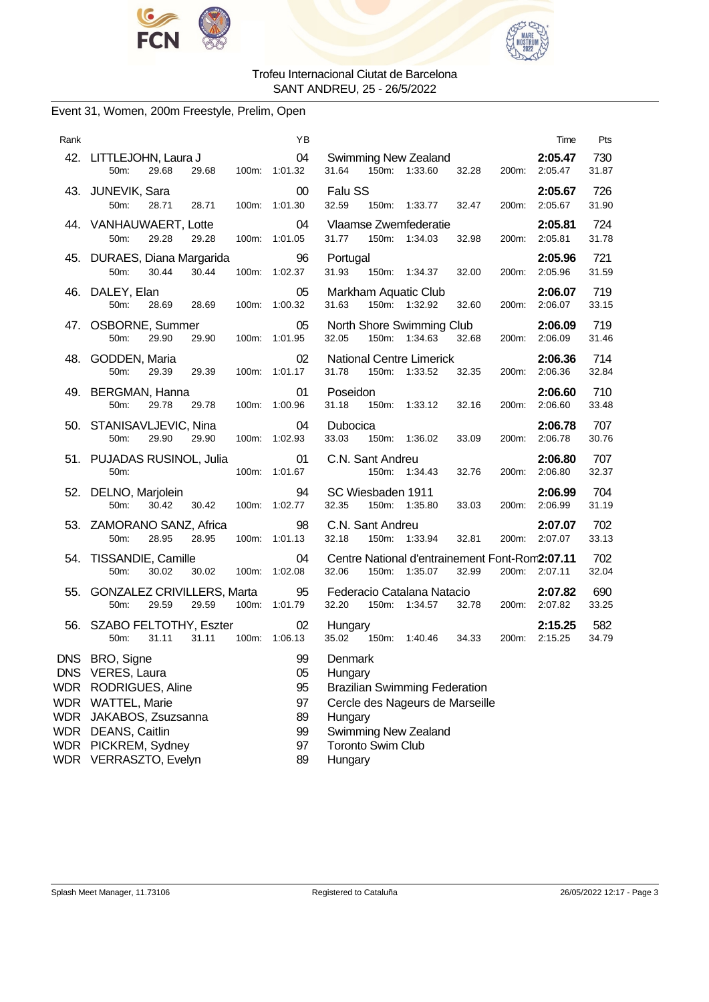



# Event 31, Women, 200m Freestyle, Prelim, Open

| Rank |                                                                                                                                                                                        | ΥB                                           | Time                                                                                                                                                                    | Pts          |
|------|----------------------------------------------------------------------------------------------------------------------------------------------------------------------------------------|----------------------------------------------|-------------------------------------------------------------------------------------------------------------------------------------------------------------------------|--------------|
|      | 42. LITTLEJOHN, Laura J<br>29.68<br>29.68<br>50m:                                                                                                                                      | 04<br>100m: 1:01.32                          | Swimming New Zealand<br>2:05.47<br>31.64<br>32.28<br>150m: 1:33.60<br>200m: 2:05.47                                                                                     | 730<br>31.87 |
|      | 43. JUNEVIK, Sara<br>50 <sub>m</sub> :<br>28.71<br>28.71<br>100m:                                                                                                                      | $00\,$<br>1:01.30                            | Falu SS<br>2:05.67<br>32.59<br>150m: 1:33.77<br>32.47<br>2:05.67<br>200m:                                                                                               | 726<br>31.90 |
|      | 44. VANHAUWAERT, Lotte<br>29.28<br>29.28<br>50m:                                                                                                                                       | 04<br>100m: 1:01.05                          | Vlaamse Zwemfederatie<br>2:05.81<br>31.77<br>150m: 1:34.03<br>32.98<br>200m: 2:05.81                                                                                    | 724<br>31.78 |
|      | 45. DURAES, Diana Margarida<br>30.44<br>50 <sub>m</sub> :<br>30.44                                                                                                                     | 96<br>100m: 1:02.37                          | 2:05.96<br>Portugal<br>31.93<br>150m: 1:34.37<br>32.00<br>200m:<br>2:05.96                                                                                              | 721<br>31.59 |
|      | 46. DALEY, Elan<br>50m:<br>28.69<br>28.69                                                                                                                                              | 05<br>100m: 1:00.32                          | 2:06.07<br>Markham Aquatic Club<br>150m: 1:32.92<br>31.63<br>32.60<br>200m: 2:06.07                                                                                     | 719<br>33.15 |
|      | 47. OSBORNE, Summer<br>29.90<br>50m:<br>29.90                                                                                                                                          | 05<br>100m: 1:01.95                          | North Shore Swimming Club<br>2:06.09<br>32.68<br>32.05<br>150m: 1:34.63<br>200m: 2:06.09                                                                                | 719<br>31.46 |
|      | 48. GODDEN, Maria<br>50m:<br>29.39<br>29.39                                                                                                                                            | 02<br>100m: 1:01.17                          | <b>National Centre Limerick</b><br>2:06.36<br>2:06.36<br>31.78<br>150m:<br>1:33.52<br>32.35<br>200m:                                                                    | 714<br>32.84 |
|      | 49. BERGMAN, Hanna<br>50m:<br>29.78<br>29.78                                                                                                                                           | 01<br>100m: 1:00.96                          | Poseidon<br>2:06.60<br>31.18<br>150m: 1:33.12<br>32.16<br>200m: 2:06.60                                                                                                 | 710<br>33.48 |
|      | 50. STANISAVLJEVIC, Nina<br>50m:<br>29.90<br>29.90                                                                                                                                     | 04<br>100m: 1:02.93                          | 2:06.78<br>Dubocica<br>33.03<br>150m: 1:36.02<br>33.09<br>200m: 2:06.78                                                                                                 | 707<br>30.76 |
|      | 51. PUJADAS RUSINOL, Julia<br>50m:<br>100m:                                                                                                                                            | 01<br>1:01.67                                | C.N. Sant Andreu<br>2:06.80<br>150m: 1:34.43<br>32.76<br>200m:<br>2:06.80                                                                                               | 707<br>32.37 |
|      | 52. DELNO, Marjolein<br>50 <sub>m</sub> :<br>30.42<br>30.42                                                                                                                            | 94<br>100m: 1:02.77                          | SC Wiesbaden 1911<br>2:06.99<br>32.35<br>150m: 1:35.80<br>200m: 2:06.99<br>33.03                                                                                        | 704<br>31.19 |
|      | 53. ZAMORANO SANZ, Africa<br>50m:<br>28.95<br>28.95                                                                                                                                    | 98<br>100m: 1:01.13                          | C.N. Sant Andreu<br>2:07.07<br>150m: 1:33.94<br>32.81<br>32.18<br>200m: 2:07.07                                                                                         | 702<br>33.13 |
|      | 54. TISSANDIE, Camille<br>30.02<br>50m:<br>30.02<br>100m:                                                                                                                              | 04<br>1:02.08                                | Centre National d'entrainement Font-Rom2:07.11<br>32.06<br>150m: 1:35.07<br>32.99<br>200m: 2:07.11                                                                      | 702<br>32.04 |
|      | 55. GONZALEZ CRIVILLERS, Marta<br>50 <sub>m</sub> :<br>29.59<br>29.59                                                                                                                  | 95<br>100m: 1:01.79                          | Federacio Catalana Natacio<br>2:07.82<br>32.20<br>150m: 1:34.57<br>32.78<br>200m: 2:07.82                                                                               | 690<br>33.25 |
|      | 56. SZABO FELTOTHY, Eszter<br>31.11<br>31.11<br>50m:                                                                                                                                   | 02<br>100m: 1:06.13                          | Hungary<br>2:15.25<br>35.02 150m: 1:40.46<br>34.33<br>200m: 2:15.25                                                                                                     | 582<br>34.79 |
|      | DNS BRO, Signe<br>DNS VERES, Laura<br>WDR RODRIGUES, Aline<br>WDR WATTEL, Marie<br>WDR JAKABOS, Zsuzsanna<br><b>WDR DEANS, Caitlin</b><br>WDR PICKREM, Sydney<br>WDR VERRASZTO, Evelyn | 99<br>05<br>95<br>97<br>89<br>99<br>97<br>89 | Denmark<br>Hungary<br><b>Brazilian Swimming Federation</b><br>Cercle des Nageurs de Marseille<br>Hungary<br>Swimming New Zealand<br><b>Toronto Swim Club</b><br>Hungary |              |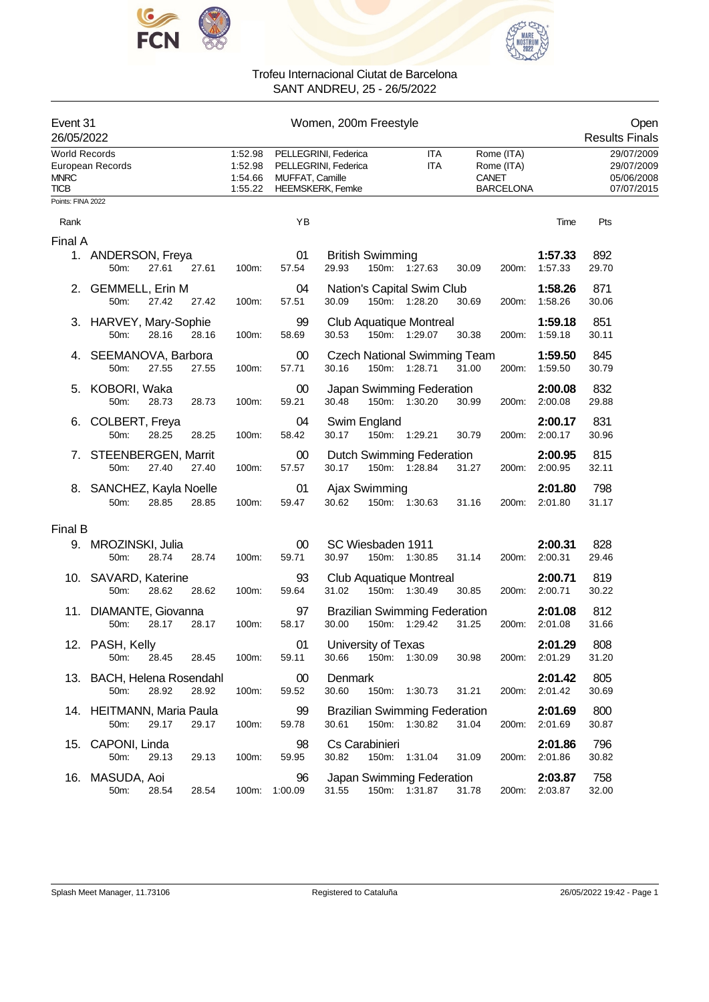



| Event 31<br>26/05/2022                             |                                          |       |       | Women, 200m Freestyle                    |                                                                                            |                                                                         |                                                       |                    |                                                      |  |  |
|----------------------------------------------------|------------------------------------------|-------|-------|------------------------------------------|--------------------------------------------------------------------------------------------|-------------------------------------------------------------------------|-------------------------------------------------------|--------------------|------------------------------------------------------|--|--|
| <b>World Records</b><br><b>MNRC</b><br><b>TICB</b> | European Records                         |       |       | 1:52.98<br>1:52.98<br>1:54.66<br>1:55.22 | PELLEGRINI, Federica<br>PELLEGRINI, Federica<br>MUFFAT, Camille<br><b>HEEMSKERK, Femke</b> | ITA<br><b>ITA</b>                                                       | Rome (ITA)<br>Rome (ITA)<br>CANET<br><b>BARCELONA</b> |                    | 29/07/2009<br>29/07/2009<br>05/06/2008<br>07/07/2015 |  |  |
| Points: FINA 2022                                  |                                          |       |       |                                          |                                                                                            |                                                                         |                                                       |                    |                                                      |  |  |
| Rank                                               |                                          |       |       |                                          | YB                                                                                         |                                                                         |                                                       | Time               | Pts                                                  |  |  |
| Final A                                            | 1. ANDERSON, Freya<br>50m:               | 27.61 | 27.61 | 100m:                                    | 01<br>57.54                                                                                | <b>British Swimming</b><br>29.93<br>150m: 1:27.63<br>30.09              | 200m:                                                 | 1:57.33<br>1:57.33 | 892<br>29.70                                         |  |  |
|                                                    | 2. GEMMELL, Erin M<br>50m:               | 27.42 | 27.42 | 100m:                                    | 04<br>57.51                                                                                | Nation's Capital Swim Club<br>30.09<br>150m: 1:28.20<br>30.69           | 200m:                                                 | 1:58.26<br>1:58.26 | 871<br>30.06                                         |  |  |
|                                                    | 3. HARVEY, Mary-Sophie<br>50m:           | 28.16 | 28.16 | 100m:                                    | 99<br>58.69                                                                                | <b>Club Aquatique Montreal</b><br>30.53<br>150m: 1:29.07<br>30.38       | 200m:                                                 | 1:59.18<br>1:59.18 | 851<br>30.11                                         |  |  |
|                                                    | 4. SEEMANOVA, Barbora<br>50m:            | 27.55 | 27.55 | 100m:                                    | 00<br>57.71                                                                                | <b>Czech National Swimming Team</b><br>30.16<br>150m: 1:28.71<br>31.00  | 200m:                                                 | 1:59.50<br>1:59.50 | 845<br>30.79                                         |  |  |
|                                                    | 5. KOBORI, Waka<br>50m:                  | 28.73 | 28.73 | 100m:                                    | $00\,$<br>59.21                                                                            | Japan Swimming Federation<br>30.48<br>150m: 1:30.20<br>30.99            | 200m:                                                 | 2:00.08<br>2:00.08 | 832<br>29.88                                         |  |  |
|                                                    | 6. COLBERT, Freya<br>50m:                | 28.25 | 28.25 | 100m:                                    | 04<br>58.42                                                                                | Swim England<br>30.17<br>150m: 1:29.21<br>30.79                         | 200m:                                                 | 2:00.17<br>2:00.17 | 831<br>30.96                                         |  |  |
|                                                    | 7. STEENBERGEN, Marrit<br>50m:           | 27.40 | 27.40 | 100m:                                    | 00<br>57.57                                                                                | <b>Dutch Swimming Federation</b><br>30.17<br>150m: 1:28.84<br>31.27     | 200m:                                                 | 2:00.95<br>2:00.95 | 815<br>32.11                                         |  |  |
|                                                    | 8. SANCHEZ, Kayla Noelle<br>50m:         | 28.85 | 28.85 | 100m:                                    | 01<br>59.47                                                                                | Ajax Swimming<br>30.62<br>150m: 1:30.63<br>31.16                        | 200m:                                                 | 2:01.80<br>2:01.80 | 798<br>31.17                                         |  |  |
| Final B                                            |                                          |       |       |                                          |                                                                                            |                                                                         |                                                       |                    |                                                      |  |  |
|                                                    | 9. MROZINSKI, Julia<br>50 <sub>m</sub> : | 28.74 | 28.74 | 100m:                                    | 00<br>59.71                                                                                | SC Wiesbaden 1911<br>30.97<br>150m: 1:30.85<br>31.14                    | 200m:                                                 | 2:00.31<br>2:00.31 | 828<br>29.46                                         |  |  |
|                                                    | 10. SAVARD, Katerine<br>50m:             | 28.62 | 28.62 | 100m:                                    | 93<br>59.64                                                                                | Club Aquatique Montreal<br>31.02<br>150m: 1:30.49<br>30.85              | 200m:                                                 | 2:00.71<br>2:00.71 | 819<br>30.22                                         |  |  |
|                                                    | 11. DIAMANTE, Giovanna<br>50m:           | 28.17 | 28.17 | 100m:                                    | 97<br>58.17                                                                                | <b>Brazilian Swimming Federation</b><br>30.00<br>150m: 1:29.42<br>31.25 | 200m:                                                 | 2:01.08<br>2:01.08 | 812<br>31.66                                         |  |  |
|                                                    | 12. PASH, Kelly<br>50m:                  | 28.45 | 28.45 | 100m:                                    | 01<br>59.11                                                                                | University of Texas<br>30.66<br>150m: 1:30.09<br>30.98                  | 200m:                                                 | 2:01.29<br>2:01.29 | 808<br>31.20                                         |  |  |
|                                                    | 13. BACH, Helena Rosendahl<br>50m:       | 28.92 | 28.92 | 100m:                                    | 00<br>59.52                                                                                | Denmark<br>30.60<br>150m: 1:30.73<br>31.21                              | 200m:                                                 | 2:01.42<br>2:01.42 | 805<br>30.69                                         |  |  |
|                                                    | 14. HEITMANN, Maria Paula<br>50m:        | 29.17 | 29.17 | 100m:                                    | 99<br>59.78                                                                                | <b>Brazilian Swimming Federation</b><br>150m: 1:30.82<br>30.61<br>31.04 | 200m:                                                 | 2:01.69<br>2:01.69 | 800<br>30.87                                         |  |  |
| 15.                                                | CAPONI, Linda<br>50m:                    | 29.13 | 29.13 | 100m:                                    | 98<br>59.95                                                                                | Cs Carabinieri<br>30.82<br>150m: 1:31.04<br>31.09                       | 200m:                                                 | 2:01.86<br>2:01.86 | 796<br>30.82                                         |  |  |
|                                                    | 16. MASUDA, Aoi<br>50m:                  | 28.54 | 28.54 | 100m:                                    | 96<br>1:00.09                                                                              | Japan Swimming Federation<br>31.55<br>150m: 1:31.87<br>31.78            | 200m:                                                 | 2:03.87<br>2:03.87 | 758<br>32.00                                         |  |  |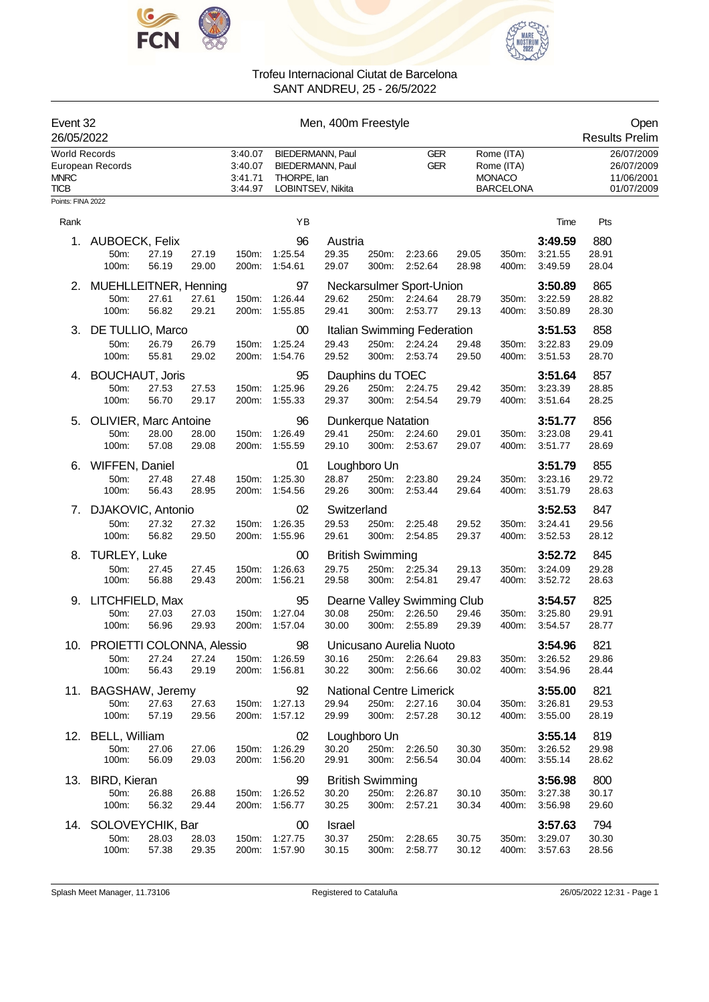



| Event 32<br>26/05/2022                                                 |                                         |                |                                          | Men, 400m Freestyle                                                             |                          |                           |                                    |                                    |                                                               |                |                                                      |                       |
|------------------------------------------------------------------------|-----------------------------------------|----------------|------------------------------------------|---------------------------------------------------------------------------------|--------------------------|---------------------------|------------------------------------|------------------------------------|---------------------------------------------------------------|----------------|------------------------------------------------------|-----------------------|
| <b>World Records</b><br>European Records<br><b>MNRC</b><br><b>TICB</b> |                                         |                | 3:40.07<br>3:40.07<br>3:41.71<br>3:44.97 | <b>BIEDERMANN, Paul</b><br>BIEDERMANN, Paul<br>THORPE, lan<br>LOBINTSEV, Nikita |                          |                           |                                    | <b>GER</b><br><b>GER</b>           | Rome (ITA)<br>Rome (ITA)<br><b>MONACO</b><br><b>BARCELONA</b> |                | 26/07/2009<br>26/07/2009<br>11/06/2001<br>01/07/2009 |                       |
| Points: FINA 2022                                                      |                                         |                |                                          |                                                                                 |                          |                           |                                    |                                    |                                                               |                |                                                      |                       |
| Rank                                                                   |                                         |                |                                          |                                                                                 | YB                       |                           |                                    |                                    |                                                               |                | Time                                                 | Pts                   |
| 1.                                                                     | AUBOECK, Felix<br>50m:<br>100m:         | 27.19<br>56.19 | 27.19<br>29.00                           | 150m:<br>200m:                                                                  | 96<br>1:25.54<br>1:54.61 | Austria<br>29.35<br>29.07 | 250m:<br>300m:                     | 2:23.66<br>2:52.64                 | 29.05<br>28.98                                                | 350m:<br>400m: | 3:49.59<br>3:21.55<br>3:49.59                        | 880<br>28.91<br>28.04 |
| 2.                                                                     | MUEHLLEITNER, Henning                   |                |                                          |                                                                                 | 97                       |                           |                                    | Neckarsulmer Sport-Union           |                                                               |                | 3:50.89                                              | 865                   |
|                                                                        | 50m:<br>100m:                           | 27.61<br>56.82 | 27.61<br>29.21                           | 150m:<br>200m:                                                                  | 1:26.44<br>1:55.85       | 29.62<br>29.41            | 300m:                              | 250m: 2:24.64<br>2:53.77           | 28.79<br>29.13                                                | 350m:<br>400m: | 3:22.59<br>3:50.89                                   | 28.82<br>28.30        |
| 3.                                                                     | DE TULLIO, Marco                        |                |                                          |                                                                                 | 00                       |                           |                                    | Italian Swimming Federation        |                                                               |                | 3:51.53                                              | 858                   |
|                                                                        | 50m:<br>100m:                           | 26.79<br>55.81 | 26.79<br>29.02                           | 150m:<br>200m:                                                                  | 1:25.24<br>1:54.76       | 29.43<br>29.52            | 250m:<br>300m:                     | 2:24.24<br>2:53.74                 | 29.48<br>29.50                                                | 350m:<br>400m: | 3:22.83<br>3:51.53                                   | 29.09<br>28.70        |
| 4.                                                                     | <b>BOUCHAUT, Joris</b><br>50m:<br>100m: | 27.53<br>56.70 | 27.53<br>29.17                           | 150m:<br>200m:                                                                  | 95<br>1:25.96<br>1:55.33 | 29.26<br>29.37            | Dauphins du TOEC<br>250m:<br>300m: | 2:24.75<br>2:54.54                 | 29.42<br>29.79                                                | 350m:<br>400m: | 3:51.64<br>3:23.39<br>3:51.64                        | 857<br>28.85<br>28.25 |
| 5.                                                                     | <b>OLIVIER, Marc Antoine</b>            |                |                                          |                                                                                 | 96                       |                           | <b>Dunkerque Natation</b>          |                                    |                                                               |                | 3:51.77                                              | 856                   |
|                                                                        | 50m:<br>100m:                           | 28.00<br>57.08 | 28.00<br>29.08                           | 150m:<br>200m:                                                                  | 1:26.49<br>1:55.59       | 29.41<br>29.10            | 250m:<br>300m:                     | 2:24.60<br>2:53.67                 | 29.01<br>29.07                                                | 350m:<br>400m: | 3:23.08<br>3:51.77                                   | 29.41<br>28.69        |
| 6.                                                                     | <b>WIFFEN, Daniel</b>                   |                |                                          |                                                                                 | 01                       |                           | Loughboro Un                       |                                    |                                                               |                | 3:51.79                                              | 855                   |
|                                                                        | 50m:                                    | 27.48          | 27.48                                    | 150m:                                                                           | 1:25.30                  | 28.87                     | 250m:                              | 2:23.80                            | 29.24                                                         | 350m:          | 3:23.16                                              | 29.72                 |
|                                                                        | 100m:                                   | 56.43          | 28.95                                    | 200m:                                                                           | 1:54.56                  | 29.26                     | 300m:                              | 2.53.44                            | 29.64                                                         | 400m:          | 3:51.79                                              | 28.63                 |
| 7.                                                                     | DJAKOVIC, Antonio                       |                |                                          |                                                                                 | 02                       | Switzerland               |                                    |                                    |                                                               |                | 3:52.53                                              | 847                   |
|                                                                        | 50m:<br>100m:                           | 27.32<br>56.82 | 27.32<br>29.50                           | 150m:<br>200m:                                                                  | 1:26.35<br>1:55.96       | 29.53<br>29.61            | 250m:<br>300m:                     | 2.25.48<br>2:54.85                 | 29.52<br>29.37                                                | 350m:<br>400m: | 3:24.41<br>3:52.53                                   | 29.56<br>28.12        |
| 8.                                                                     | TURLEY, Luke                            |                |                                          |                                                                                 | 00                       |                           | <b>British Swimming</b>            |                                    |                                                               |                | 3:52.72                                              | 845                   |
|                                                                        | 50m:                                    | 27.45          | 27.45                                    | 150m:                                                                           | 1:26.63                  | 29.75                     | 250m:                              | 2:25.34                            | 29.13                                                         | 350m:          | 3:24.09                                              | 29.28                 |
|                                                                        | 100m:                                   | 56.88          | 29.43                                    | 200m:                                                                           | 1:56.21                  | 29.58                     | 300m:                              | 2:54.81                            | 29.47                                                         | 400m:          | 3:52.72                                              | 28.63                 |
| 9.                                                                     | LITCHFIELD, Max                         |                |                                          |                                                                                 | 95                       |                           |                                    | Dearne Valley Swimming Club        |                                                               |                | 3:54.57                                              | 825                   |
|                                                                        | 50m:<br>100m:                           | 27.03<br>56.96 | 27.03<br>29.93                           | 150m:<br>200m:                                                                  | 1:27.04<br>1:57.04       | 30.08<br>30.00            | 250m:<br>300m:                     | 2:26.50<br>2:55.89                 | 29.46<br>29.39                                                | 350m:<br>400m: | 3:25.80<br>3:54.57                                   | 29.91<br>28.77        |
|                                                                        |                                         |                |                                          |                                                                                 |                          |                           |                                    |                                    |                                                               |                |                                                      |                       |
|                                                                        | 10. PROIETTI COLONNA, Alessio<br>50m:   | 27.24          | 27.24                                    | 150m:                                                                           | 98<br>1:26.59            | 30.16                     | 250m:                              | Unicusano Aurelia Nuoto<br>2:26.64 | 29.83                                                         | 350m:          | 3:54.96<br>3:26.52                                   | 821<br>29.86          |
|                                                                        | 100m:                                   | 56.43          | 29.19                                    | 200m:                                                                           | 1:56.81                  | 30.22                     |                                    | 300m: 2:56.66                      | 30.02                                                         | 400m:          | 3:54.96                                              | 28.44                 |
|                                                                        | 11. BAGSHAW, Jeremy                     |                |                                          |                                                                                 | 92                       |                           |                                    | <b>National Centre Limerick</b>    |                                                               |                | 3:55.00                                              | 821                   |
|                                                                        | 50m:                                    | 27.63          | 27.63                                    | 150m:                                                                           | 1:27.13                  | 29.94                     |                                    | 250m: 2:27.16                      | 30.04                                                         | 350m:          | 3:26.81                                              | 29.53                 |
|                                                                        | 100m:                                   | 57.19          | 29.56                                    | 200m:                                                                           | 1:57.12                  | 29.99                     | 300m:                              | 2:57.28                            | 30.12                                                         | 400m:          | 3:55.00                                              | 28.19                 |
|                                                                        | 12. BELL, William                       |                |                                          |                                                                                 | 02                       |                           | Loughboro Un                       |                                    |                                                               |                | 3:55.14                                              | 819                   |
|                                                                        | 50m:<br>100m:                           | 27.06<br>56.09 | 27.06<br>29.03                           | 150m:                                                                           | 1:26.29<br>200m: 1:56.20 | 30.20<br>29.91            | 250m:<br>300m:                     | 2:26.50<br>2:56.54                 | 30.30<br>30.04                                                | 350m:<br>400m. | 3:26.52<br>3:55.14                                   | 29.98<br>28.62        |
|                                                                        | 13. BIRD, Kieran                        |                |                                          |                                                                                 | 99                       |                           | <b>British Swimming</b>            |                                    |                                                               |                | 3:56.98                                              | 800                   |
|                                                                        | 50m:                                    | 26.88          | 26.88                                    | 150m:                                                                           | 1:26.52                  | 30.20                     |                                    | 250m: 2:26.87                      | 30.10                                                         | 350m:          | 3:27.38                                              | 30.17                 |
|                                                                        | 100m:                                   | 56.32          | 29.44                                    | 200m:                                                                           | 1:56.77                  | 30.25                     |                                    | 300m: 2:57.21                      | 30.34                                                         | 400m:          | 3:56.98                                              | 29.60                 |
| 14.                                                                    | SOLOVEYCHIK, Bar                        |                |                                          |                                                                                 | 00                       | Israel                    |                                    |                                    |                                                               |                | 3:57.63                                              | 794                   |
|                                                                        | 50m:                                    | 28.03          | 28.03                                    | 150m:                                                                           | 1:27.75                  | 30.37                     | 250m:                              | 2:28.65                            | 30.75                                                         | 350m:          | 3:29.07                                              | 30.30                 |
|                                                                        | 100m:                                   | 57.38          | 29.35                                    | 200m:                                                                           | 1:57.90                  | 30.15                     | 300m:                              | 2:58.77                            | 30.12                                                         | 400m:          | 3:57.63                                              | 28.56                 |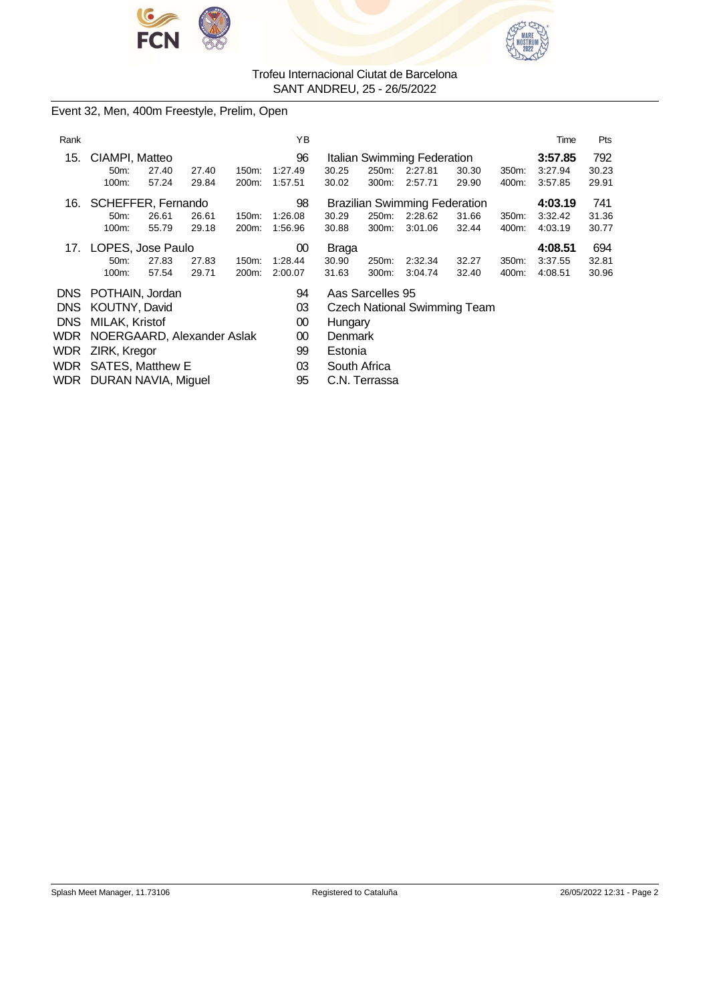



Event 32, Men, 400m Freestyle, Prelim, Open

| Rank       |                                    | Time           | Pts            |                |                          |                                     |                                      |                                                   |                |                |                               |                       |  |
|------------|------------------------------------|----------------|----------------|----------------|--------------------------|-------------------------------------|--------------------------------------|---------------------------------------------------|----------------|----------------|-------------------------------|-----------------------|--|
| 15.        | CIAMPI, Matteo<br>$50m$ :<br>100m: | 27.40<br>57.24 | 27.40<br>29.84 | 150m:<br>200m: | 96<br>1:27.49<br>1:57.51 | 30.25<br>30.02                      | 250m:<br>300m:                       | Italian Swimming Federation<br>2:27.81<br>2:57.71 | 30.30<br>29.90 | 350m:<br>400m: | 3:57.85<br>3:27.94<br>3:57.85 | 792<br>30.23<br>29.91 |  |
| 16.        | SCHEFFER, Fernando                 |                |                |                | 98                       |                                     | <b>Brazilian Swimming Federation</b> | 4:03.19                                           | 741            |                |                               |                       |  |
|            | 50 <sub>m</sub> :                  | 26.61          | 26.61          | 150m:          | 1:26.08                  | 30.29                               | 250m:                                | 2:28.62                                           | 31.66          | 350m:          | 3:32.42                       | 31.36                 |  |
|            | 100m:                              | 55.79          | 29.18          | 200m:          | 1:56.96                  | 30.88                               | 300m:                                | 3:01.06                                           | 32.44          | 400m:          | 4:03.19                       | 30.77                 |  |
|            | 17. LOPES, Jose Paulo              |                |                |                | 00                       | <b>Braga</b>                        |                                      |                                                   |                |                | 4:08.51                       | 694                   |  |
|            | 50m:                               | 27.83          | 27.83          | 150m:          | 1:28.44                  | 30.90                               | 250m:                                | 2:32.34                                           | 32.27          | 350m:          | 3:37.55                       | 32.81                 |  |
|            | 100m:                              | 57.54          | 29.71          | 200m:          | 2:00.07                  | 31.63                               | 300m:                                | 3:04.74                                           | 32.40          | 400m:          | 4:08.51                       | 30.96                 |  |
| DNS.       | POTHAIN, Jordan                    |                |                |                | 94                       | Aas Sarcelles 95                    |                                      |                                                   |                |                |                               |                       |  |
| DNS.       | KOUTNY, David                      |                |                |                | 03                       | <b>Czech National Swimming Team</b> |                                      |                                                   |                |                |                               |                       |  |
| <b>DNS</b> | MILAK, Kristof                     |                |                |                | 00                       | Hungary                             |                                      |                                                   |                |                |                               |                       |  |
| WDR        | NOERGAARD, Alexander Aslak         |                |                |                | 00                       | Denmark                             |                                      |                                                   |                |                |                               |                       |  |
| WDR        | ZIRK, Kregor                       |                |                |                | 99                       | Estonia                             |                                      |                                                   |                |                |                               |                       |  |
| WDR        | <b>SATES, Matthew E</b>            |                |                |                | 03                       | South Africa                        |                                      |                                                   |                |                |                               |                       |  |
|            | WDR DURAN NAVIA, Miguel            |                |                |                | 95                       | C.N. Terrassa                       |                                      |                                                   |                |                |                               |                       |  |